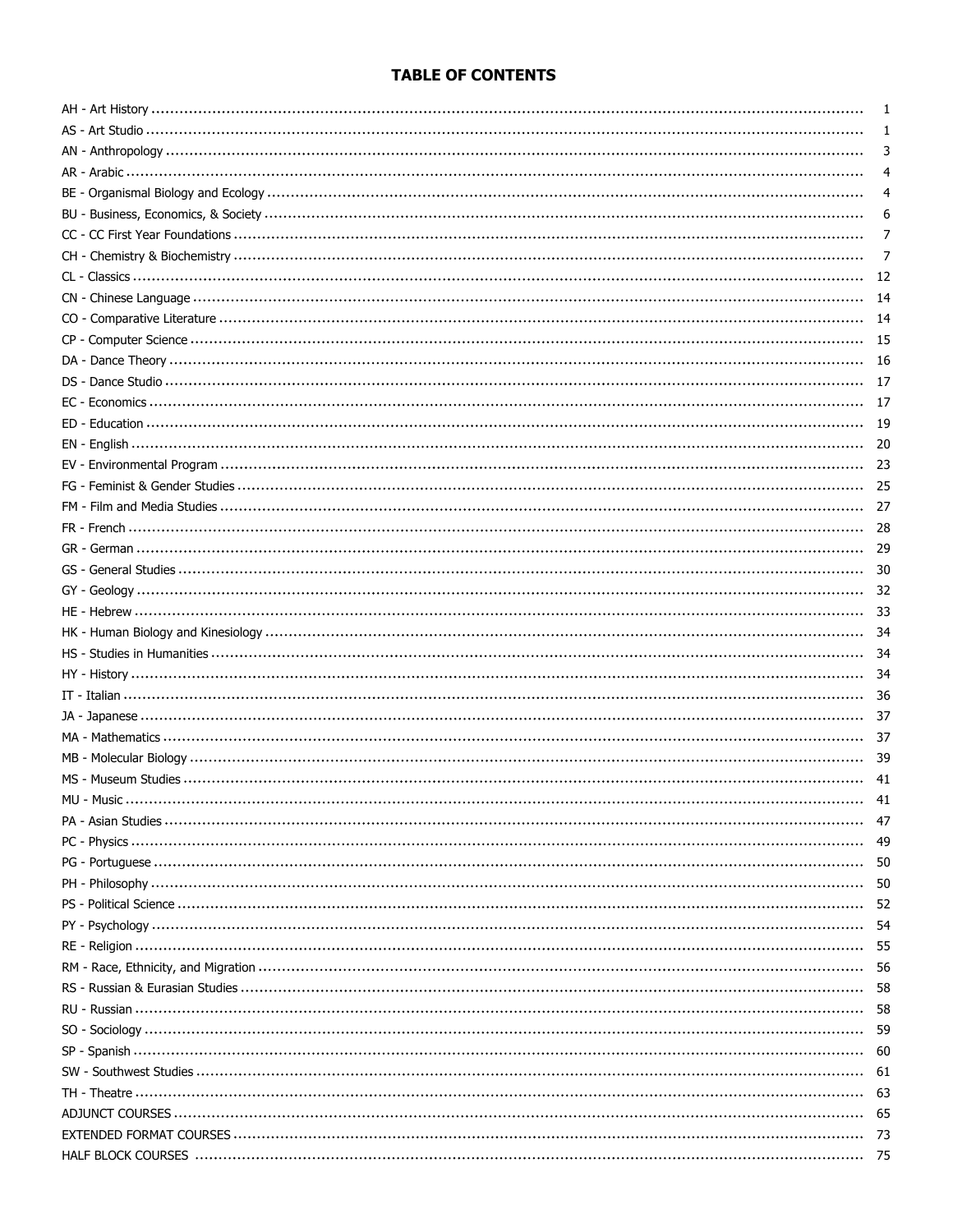#### **TABLE OF CONTENTS**

| 1    |
|------|
| 3    |
| 4    |
|      |
| 6    |
| 7    |
| 7    |
| 12   |
| 14   |
|      |
| 14   |
| - 15 |
|      |
| 17   |
|      |
| - 19 |
|      |
| -23  |
| 25   |
| 27   |
|      |
|      |
| 30   |
|      |
| 33   |
|      |
| 34   |
|      |
|      |
|      |
|      |
|      |
| 39   |
| 41   |
| -41  |
| 47   |
| -49  |
|      |
| 50   |
| -52  |
| -54  |
|      |
|      |
| 58   |
|      |
| -59  |
|      |
| - 61 |
|      |
|      |
| - 73 |
|      |
| - 75 |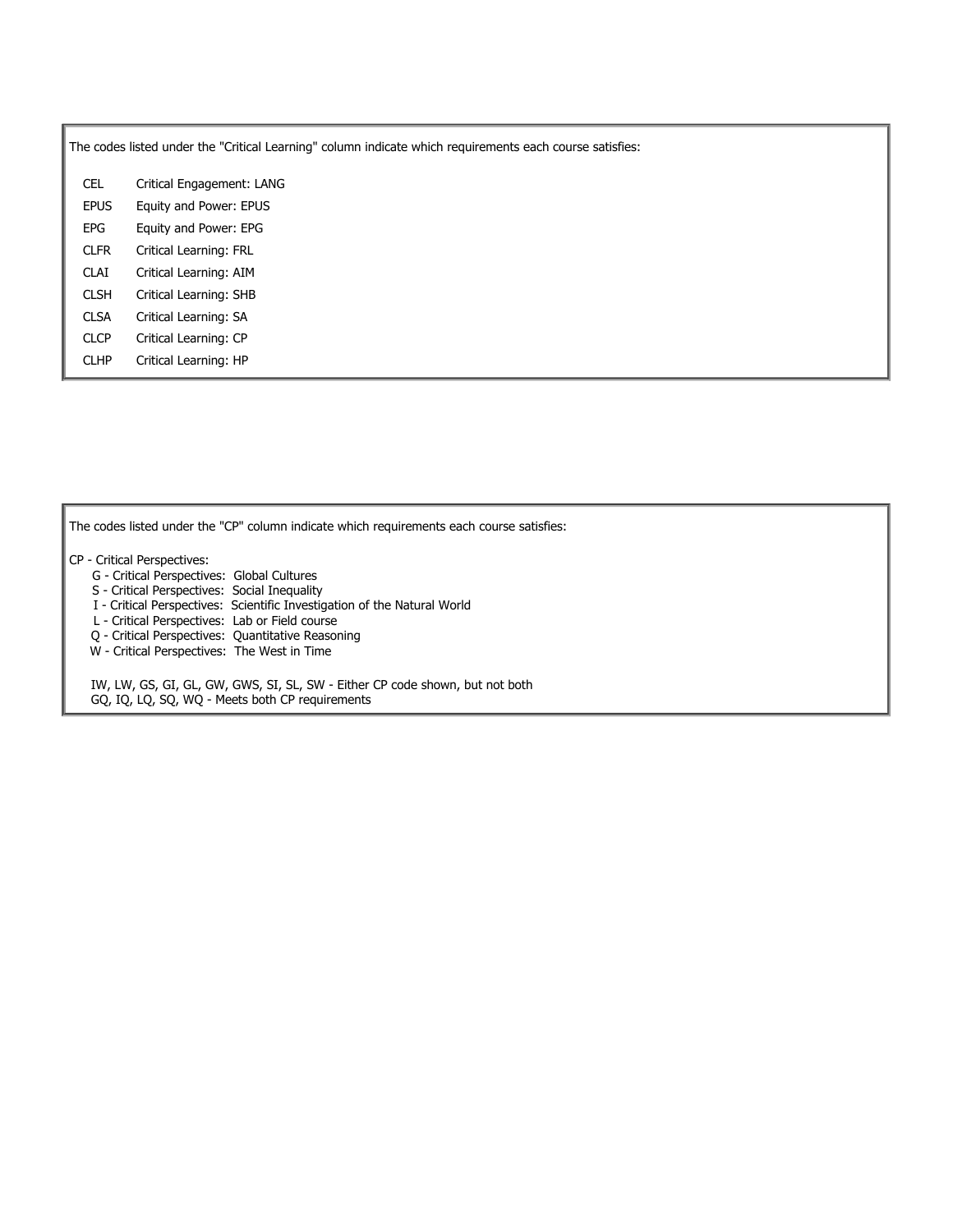The codes listed under the "Critical Learning" column indicate which requirements each course satisfies:

CEL Critical Engagement: LANG EPUS Equity and Power: EPUS EPG Equity and Power: EPG CLFR Critical Learning: FRL CLAI Critical Learning: AIM CLSH Critical Learning: SHB CLSA Critical Learning: SA CLCP Critical Learning: CP CLHP Critical Learning: HP

The codes listed under the "CP" column indicate which requirements each course satisfies:

- CP Critical Perspectives:
	- G Critical Perspectives: Global Cultures
	- S Critical Perspectives: Social Inequality
	- I Critical Perspectives: Scientific Investigation of the Natural World
	- L Critical Perspectives: Lab or Field course
	- Q Critical Perspectives: Quantitative Reasoning
	- W Critical Perspectives: The West in Time

IW, LW, GS, GI, GL, GW, GWS, SI, SL, SW - Either CP code shown, but not both GQ, IQ, LQ, SQ, WQ - Meets both CP requirements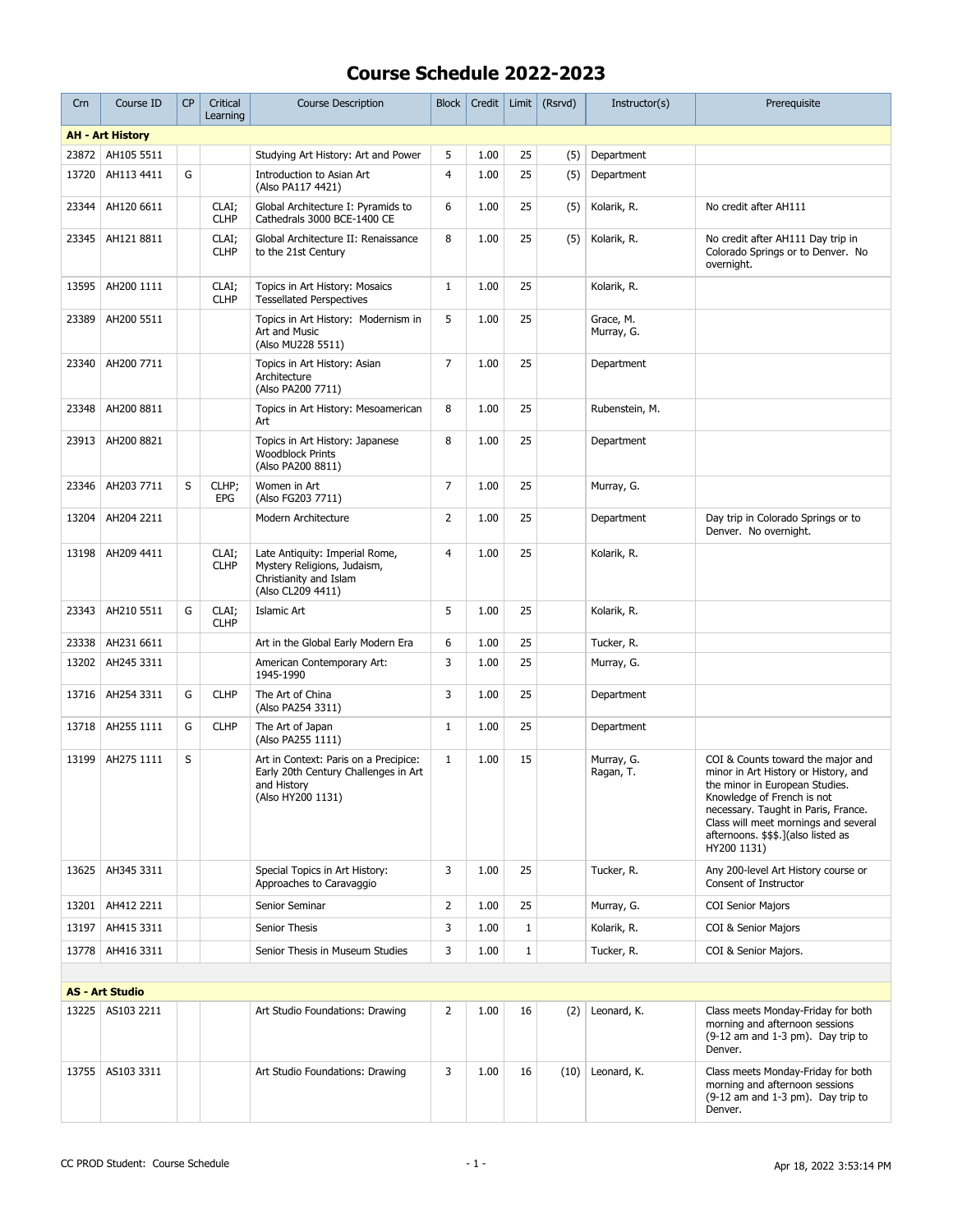| Crn   | Course ID               | <b>CP</b> | Critical<br>Learning | <b>Course Description</b>                                                                                         | <b>Block</b>   | Credit | Limit        | (Rsrvd) | Instructor(s)           | Prerequisite                                                                                                                                                                                                                                                                   |
|-------|-------------------------|-----------|----------------------|-------------------------------------------------------------------------------------------------------------------|----------------|--------|--------------|---------|-------------------------|--------------------------------------------------------------------------------------------------------------------------------------------------------------------------------------------------------------------------------------------------------------------------------|
|       | <b>AH - Art History</b> |           |                      |                                                                                                                   |                |        |              |         |                         |                                                                                                                                                                                                                                                                                |
|       | 23872 AH105 5511        |           |                      | Studying Art History: Art and Power                                                                               | 5              | 1.00   | 25           | (5)     | Department              |                                                                                                                                                                                                                                                                                |
| 13720 | AH113 4411              | G         |                      | Introduction to Asian Art<br>(Also PA117 4421)                                                                    | $\overline{4}$ | 1.00   | 25           | (5)     | Department              |                                                                                                                                                                                                                                                                                |
| 23344 | AH120 6611              |           | CLAI;<br><b>CLHP</b> | Global Architecture I: Pyramids to<br>Cathedrals 3000 BCE-1400 CE                                                 | 6              | 1.00   | 25           | (5)     | Kolarik, R.             | No credit after AH111                                                                                                                                                                                                                                                          |
| 23345 | AH121 8811              |           | CLAI;<br><b>CLHP</b> | Global Architecture II: Renaissance<br>to the 21st Century                                                        | 8              | 1.00   | 25           | (5)     | Kolarik, R.             | No credit after AH111 Day trip in<br>Colorado Springs or to Denver. No<br>overnight.                                                                                                                                                                                           |
| 13595 | AH200 1111              |           | CLAI;<br><b>CLHP</b> | Topics in Art History: Mosaics<br><b>Tessellated Perspectives</b>                                                 | $\mathbf{1}$   | 1.00   | 25           |         | Kolarik, R.             |                                                                                                                                                                                                                                                                                |
| 23389 | AH200 5511              |           |                      | Topics in Art History: Modernism in<br>Art and Music<br>(Also MU228 5511)                                         | 5              | 1.00   | 25           |         | Grace, M.<br>Murray, G. |                                                                                                                                                                                                                                                                                |
| 23340 | AH200 7711              |           |                      | Topics in Art History: Asian<br>Architecture<br>(Also PA200 7711)                                                 | $\overline{7}$ | 1.00   | 25           |         | Department              |                                                                                                                                                                                                                                                                                |
| 23348 | AH200 8811              |           |                      | Topics in Art History: Mesoamerican<br>Art                                                                        | 8              | 1.00   | 25           |         | Rubenstein, M.          |                                                                                                                                                                                                                                                                                |
| 23913 | AH200 8821              |           |                      | Topics in Art History: Japanese<br><b>Woodblock Prints</b><br>(Also PA200 8811)                                   | 8              | 1.00   | 25           |         | Department              |                                                                                                                                                                                                                                                                                |
| 23346 | AH203 7711              | S         | CLHP;<br>EPG         | Women in Art<br>(Also FG203 7711)                                                                                 | $\overline{7}$ | 1.00   | 25           |         | Murray, G.              |                                                                                                                                                                                                                                                                                |
| 13204 | AH204 2211              |           |                      | Modern Architecture                                                                                               | $\overline{2}$ | 1.00   | 25           |         | Department              | Day trip in Colorado Springs or to<br>Denver. No overnight.                                                                                                                                                                                                                    |
| 13198 | AH209 4411              |           | CLAI;<br><b>CLHP</b> | Late Antiquity: Imperial Rome,<br>Mystery Religions, Judaism,<br>Christianity and Islam<br>(Also CL209 4411)      | $\overline{4}$ | 1.00   | 25           |         | Kolarik, R.             |                                                                                                                                                                                                                                                                                |
| 23343 | AH210 5511              | G         | CLAI;<br><b>CLHP</b> | Islamic Art                                                                                                       | 5              | 1.00   | 25           |         | Kolarik, R.             |                                                                                                                                                                                                                                                                                |
| 23338 | AH231 6611              |           |                      | Art in the Global Early Modern Era                                                                                | 6              | 1.00   | 25           |         | Tucker, R.              |                                                                                                                                                                                                                                                                                |
| 13202 | AH245 3311              |           |                      | American Contemporary Art:<br>1945-1990                                                                           | 3              | 1.00   | 25           |         | Murray, G.              |                                                                                                                                                                                                                                                                                |
| 13716 | AH254 3311              | G         | <b>CLHP</b>          | The Art of China<br>(Also PA254 3311)                                                                             | 3              | 1.00   | 25           |         | Department              |                                                                                                                                                                                                                                                                                |
| 13718 | AH255 1111              | G         | <b>CLHP</b>          | The Art of Japan<br>(Also PA255 1111)                                                                             | 1              | 1.00   | 25           |         | Department              |                                                                                                                                                                                                                                                                                |
| 13199 | AH275 1111              | S         |                      | Art in Context: Paris on a Precipice:<br>Early 20th Century Challenges in Art<br>and History<br>(Also HY200 1131) | $\mathbf{1}$   | 1.00   | 15           |         | Murray, G.<br>Ragan, T. | COI & Counts toward the major and<br>minor in Art History or History, and<br>the minor in European Studies.<br>Knowledge of French is not<br>necessary. Taught in Paris, France.<br>Class will meet mornings and several<br>afternoons. \$\$\$.](also listed as<br>HY200 1131) |
| 13625 | AH345 3311              |           |                      | Special Topics in Art History:<br>Approaches to Caravaggio                                                        | 3              | 1.00   | 25           |         | Tucker, R.              | Any 200-level Art History course or<br>Consent of Instructor                                                                                                                                                                                                                   |
| 13201 | AH412 2211              |           |                      | Senior Seminar                                                                                                    | $\overline{2}$ | 1.00   | 25           |         | Murray, G.              | <b>COI Senior Majors</b>                                                                                                                                                                                                                                                       |
| 13197 | AH415 3311              |           |                      | Senior Thesis                                                                                                     | 3              | 1.00   | $\mathbf{1}$ |         | Kolarik, R.             | COI & Senior Majors                                                                                                                                                                                                                                                            |
|       | 13778   AH416 3311      |           |                      | Senior Thesis in Museum Studies                                                                                   | 3              | 1.00   | $\mathbf{1}$ |         | Tucker, R.              | COI & Senior Majors.                                                                                                                                                                                                                                                           |
|       |                         |           |                      |                                                                                                                   |                |        |              |         |                         |                                                                                                                                                                                                                                                                                |
|       | <b>AS - Art Studio</b>  |           |                      |                                                                                                                   |                |        |              |         |                         |                                                                                                                                                                                                                                                                                |
|       | 13225 AS103 2211        |           |                      | Art Studio Foundations: Drawing                                                                                   | $\overline{2}$ | 1.00   | 16           | (2)     | Leonard, K.             | Class meets Monday-Friday for both<br>morning and afternoon sessions<br>(9-12 am and 1-3 pm). Day trip to<br>Denver.                                                                                                                                                           |
| 13755 | AS103 3311              |           |                      | Art Studio Foundations: Drawing                                                                                   | 3              | 1.00   | 16           |         | $(10)$ Leonard, K.      | Class meets Monday-Friday for both<br>morning and afternoon sessions<br>(9-12 am and 1-3 pm). Day trip to<br>Denver.                                                                                                                                                           |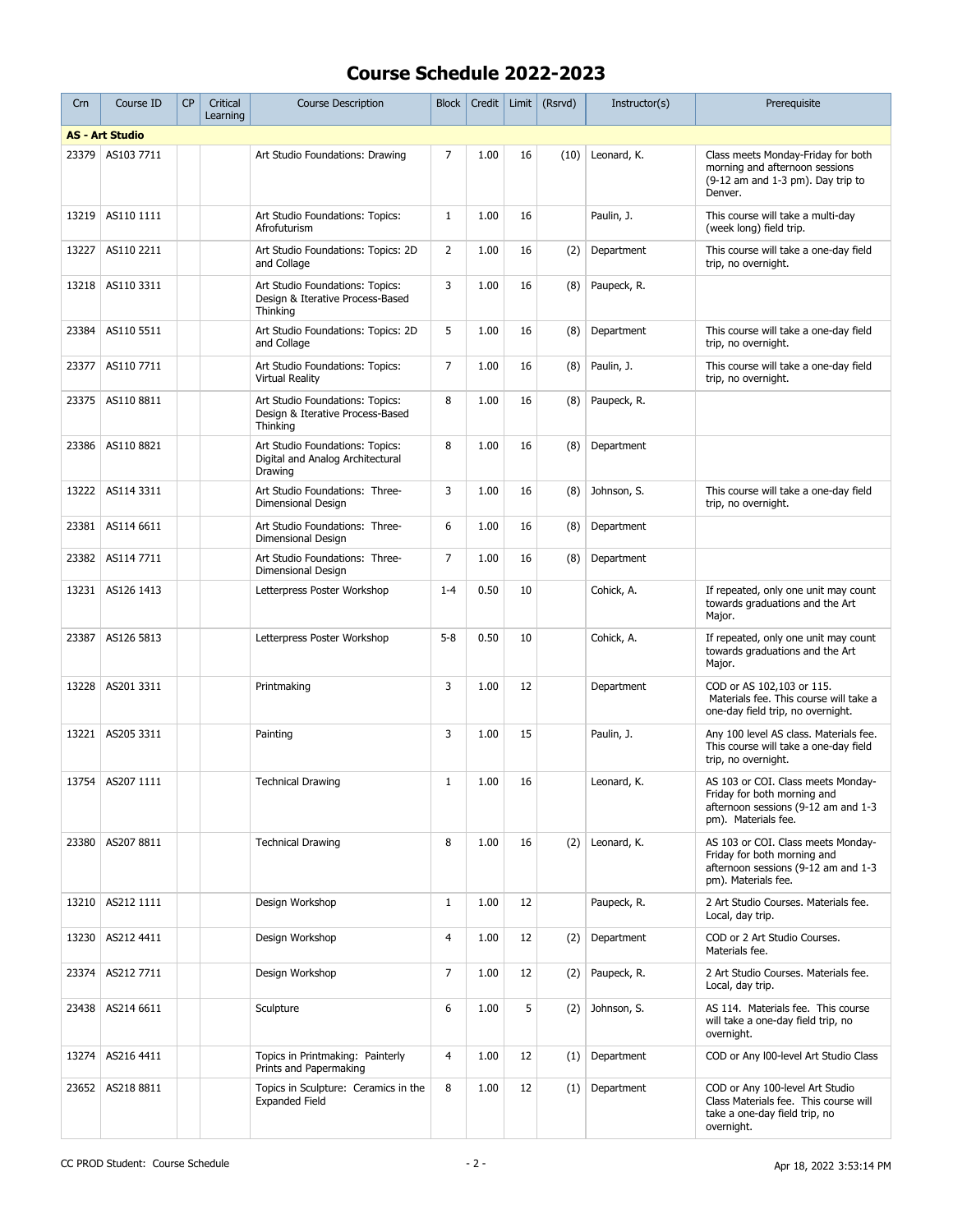| Crn   | Course ID              | <b>CP</b> | Critical<br>Learning | <b>Course Description</b>                                                       | <b>Block</b>   | Credit | Limit | (Rsrvd) | Instructor(s) | Prerequisite                                                                                                                    |
|-------|------------------------|-----------|----------------------|---------------------------------------------------------------------------------|----------------|--------|-------|---------|---------------|---------------------------------------------------------------------------------------------------------------------------------|
|       | <b>AS - Art Studio</b> |           |                      |                                                                                 |                |        |       |         |               |                                                                                                                                 |
| 23379 | AS103 7711             |           |                      | Art Studio Foundations: Drawing                                                 | $\overline{7}$ | 1.00   | 16    | (10)    | Leonard, K.   | Class meets Monday-Friday for both<br>morning and afternoon sessions<br>$(9-12$ am and $1-3$ pm). Day trip to<br>Denver.        |
| 13219 | AS110 1111             |           |                      | Art Studio Foundations: Topics:<br>Afrofuturism                                 | $\mathbf{1}$   | 1.00   | 16    |         | Paulin, J.    | This course will take a multi-day<br>(week long) field trip.                                                                    |
| 13227 | AS110 2211             |           |                      | Art Studio Foundations: Topics: 2D<br>and Collage                               | $\overline{2}$ | 1.00   | 16    | (2)     | Department    | This course will take a one-day field<br>trip, no overnight.                                                                    |
| 13218 | AS110 3311             |           |                      | Art Studio Foundations: Topics:<br>Design & Iterative Process-Based<br>Thinking | 3              | 1.00   | 16    | (8)     | Paupeck, R.   |                                                                                                                                 |
| 23384 | AS110 5511             |           |                      | Art Studio Foundations: Topics: 2D<br>and Collage                               | 5              | 1.00   | 16    | (8)     | Department    | This course will take a one-day field<br>trip, no overnight.                                                                    |
| 23377 | AS110 7711             |           |                      | Art Studio Foundations: Topics:<br><b>Virtual Reality</b>                       | $\overline{7}$ | 1.00   | 16    | (8)     | Paulin, J.    | This course will take a one-day field<br>trip, no overnight.                                                                    |
| 23375 | AS110 8811             |           |                      | Art Studio Foundations: Topics:<br>Design & Iterative Process-Based<br>Thinking | 8              | 1.00   | 16    | (8)     | Paupeck, R.   |                                                                                                                                 |
| 23386 | AS110 8821             |           |                      | Art Studio Foundations: Topics:<br>Digital and Analog Architectural<br>Drawing  | 8              | 1.00   | 16    | (8)     | Department    |                                                                                                                                 |
| 13222 | AS114 3311             |           |                      | Art Studio Foundations: Three-<br>Dimensional Design                            | 3              | 1.00   | 16    | (8)     | Johnson, S.   | This course will take a one-day field<br>trip, no overnight.                                                                    |
| 23381 | AS114 6611             |           |                      | Art Studio Foundations: Three-<br>Dimensional Design                            | 6              | 1.00   | 16    | (8)     | Department    |                                                                                                                                 |
| 23382 | AS114 7711             |           |                      | Art Studio Foundations: Three-<br>Dimensional Design                            | 7              | 1.00   | 16    | (8)     | Department    |                                                                                                                                 |
| 13231 | AS126 1413             |           |                      | Letterpress Poster Workshop                                                     | $1 - 4$        | 0.50   | 10    |         | Cohick, A.    | If repeated, only one unit may count<br>towards graduations and the Art<br>Major.                                               |
| 23387 | AS126 5813             |           |                      | Letterpress Poster Workshop                                                     | $5 - 8$        | 0.50   | 10    |         | Cohick, A.    | If repeated, only one unit may count<br>towards graduations and the Art<br>Major.                                               |
| 13228 | AS201 3311             |           |                      | Printmaking                                                                     | 3              | 1.00   | 12    |         | Department    | COD or AS 102,103 or 115.<br>Materials fee. This course will take a<br>one-day field trip, no overnight.                        |
| 13221 | AS205 3311             |           |                      | Painting                                                                        | 3              | 1.00   | 15    |         | Paulin, J.    | Any 100 level AS class. Materials fee.<br>This course will take a one-day field<br>trip, no overnight.                          |
|       | 13754 AS207 1111       |           |                      | <b>Technical Drawing</b>                                                        | $\mathbf{1}$   | 1.00   | 16    |         | Leonard, K.   | AS 103 or COI. Class meets Monday-<br>Friday for both morning and<br>afternoon sessions (9-12 am and 1-3<br>pm). Materials fee. |
| 23380 | AS207 8811             |           |                      | <b>Technical Drawing</b>                                                        | 8              | 1.00   | 16    | (2)     | Leonard, K.   | AS 103 or COI. Class meets Mondav-<br>Friday for both morning and<br>afternoon sessions (9-12 am and 1-3<br>pm). Materials fee. |
| 13210 | AS212 1111             |           |                      | Design Workshop                                                                 | $\mathbf{1}$   | 1.00   | 12    |         | Paupeck, R.   | 2 Art Studio Courses. Materials fee.<br>Local, day trip.                                                                        |
| 13230 | AS212 4411             |           |                      | Design Workshop                                                                 | 4              | 1.00   | 12    | (2)     | Department    | COD or 2 Art Studio Courses.<br>Materials fee.                                                                                  |
| 23374 | AS212 7711             |           |                      | Design Workshop                                                                 | $\overline{7}$ | 1.00   | 12    | (2)     | Paupeck, R.   | 2 Art Studio Courses. Materials fee.<br>Local, day trip.                                                                        |
| 23438 | AS214 6611             |           |                      | Sculpture                                                                       | 6              | 1.00   | 5     | (2)     | Johnson, S.   | AS 114. Materials fee. This course<br>will take a one-day field trip, no<br>overnight.                                          |
| 13274 | AS216 4411             |           |                      | Topics in Printmaking: Painterly<br>Prints and Papermaking                      | $\overline{4}$ | 1.00   | 12    | (1)     | Department    | COD or Any 100-level Art Studio Class                                                                                           |
| 23652 | AS218 8811             |           |                      | Topics in Sculpture: Ceramics in the<br><b>Expanded Field</b>                   | 8              | 1.00   | 12    | (1)     | Department    | COD or Any 100-level Art Studio<br>Class Materials fee. This course will<br>take a one-day field trip, no<br>overnight.         |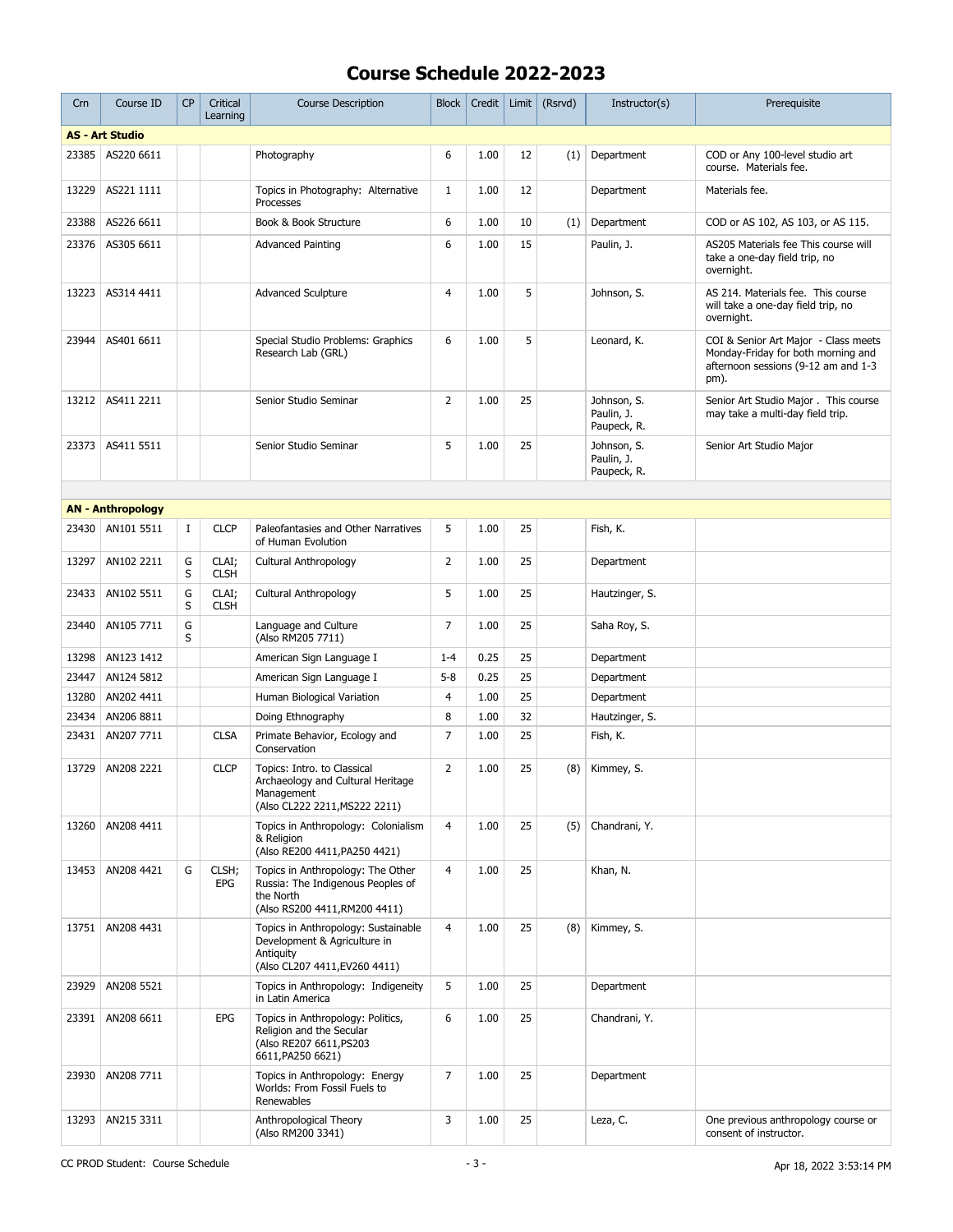| Crn   | Course ID                | <b>CP</b> | Critical<br>Learning | <b>Course Description</b>                                                                                            | <b>Block</b>   | Credit | Limit | (Rsrvd) | Instructor(s)                            | Prerequisite                                                                                                              |
|-------|--------------------------|-----------|----------------------|----------------------------------------------------------------------------------------------------------------------|----------------|--------|-------|---------|------------------------------------------|---------------------------------------------------------------------------------------------------------------------------|
|       | <b>AS - Art Studio</b>   |           |                      |                                                                                                                      |                |        |       |         |                                          |                                                                                                                           |
| 23385 | AS220 6611               |           |                      | Photography                                                                                                          | 6              | 1.00   | 12    | (1)     | Department                               | COD or Any 100-level studio art<br>course. Materials fee.                                                                 |
| 13229 | AS221 1111               |           |                      | Topics in Photography: Alternative<br>Processes                                                                      | $\mathbf{1}$   | 1.00   | 12    |         | Department                               | Materials fee.                                                                                                            |
| 23388 | AS226 6611               |           |                      | Book & Book Structure                                                                                                | 6              | 1.00   | 10    | (1)     | Department                               | COD or AS 102, AS 103, or AS 115.                                                                                         |
| 23376 | AS305 6611               |           |                      | <b>Advanced Painting</b>                                                                                             | 6              | 1.00   | 15    |         | Paulin, J.                               | AS205 Materials fee This course will<br>take a one-day field trip, no<br>overnight.                                       |
| 13223 | AS314 4411               |           |                      | <b>Advanced Sculpture</b>                                                                                            | $\overline{4}$ | 1.00   | 5     |         | Johnson, S.                              | AS 214. Materials fee. This course<br>will take a one-day field trip, no<br>overnight.                                    |
| 23944 | AS401 6611               |           |                      | Special Studio Problems: Graphics<br>Research Lab (GRL)                                                              | 6              | 1.00   | 5     |         | Leonard, K.                              | COI & Senior Art Major - Class meets<br>Monday-Friday for both morning and<br>afternoon sessions (9-12 am and 1-3<br>pm). |
| 13212 | AS411 2211               |           |                      | Senior Studio Seminar                                                                                                | $\overline{2}$ | 1.00   | 25    |         | Johnson, S.<br>Paulin, J.<br>Paupeck, R. | Senior Art Studio Major . This course<br>may take a multi-day field trip.                                                 |
| 23373 | AS411 5511               |           |                      | Senior Studio Seminar                                                                                                | 5              | 1.00   | 25    |         | Johnson, S.<br>Paulin, J.<br>Paupeck, R. | Senior Art Studio Major                                                                                                   |
|       |                          |           |                      |                                                                                                                      |                |        |       |         |                                          |                                                                                                                           |
|       | <b>AN - Anthropology</b> |           |                      |                                                                                                                      |                |        |       |         |                                          |                                                                                                                           |
| 23430 | AN101 5511               | $\bf{I}$  | <b>CLCP</b>          | Paleofantasies and Other Narratives<br>of Human Evolution                                                            | 5              | 1.00   | 25    |         | Fish, K.                                 |                                                                                                                           |
| 13297 | AN102 2211               | G<br>S    | CLAI;<br><b>CLSH</b> | Cultural Anthropology                                                                                                | 2              | 1.00   | 25    |         | Department                               |                                                                                                                           |
| 23433 | AN102 5511               | G<br>S    | CLAI;<br><b>CLSH</b> | Cultural Anthropology                                                                                                | 5              | 1.00   | 25    |         | Hautzinger, S.                           |                                                                                                                           |
| 23440 | AN105 7711               | G<br>S    |                      | Language and Culture<br>(Also RM205 7711)                                                                            | $\overline{7}$ | 1.00   | 25    |         | Saha Roy, S.                             |                                                                                                                           |
| 13298 | AN123 1412               |           |                      | American Sign Language I                                                                                             | $1 - 4$        | 0.25   | 25    |         | Department                               |                                                                                                                           |
| 23447 | AN124 5812               |           |                      | American Sign Language I                                                                                             | $5 - 8$        | 0.25   | 25    |         | Department                               |                                                                                                                           |
| 13280 | AN202 4411               |           |                      | Human Biological Variation                                                                                           | 4              | 1.00   | 25    |         | Department                               |                                                                                                                           |
| 23434 | AN206 8811               |           |                      | Doing Ethnography                                                                                                    | 8              | 1.00   | 32    |         | Hautzinger, S.                           |                                                                                                                           |
| 23431 | AN207 7711               |           | <b>CLSA</b>          | Primate Behavior, Ecology and<br>Conservation                                                                        | $\overline{7}$ | 1.00   | 25    |         | Fish, K.                                 |                                                                                                                           |
| 13729 | AN208 2221               |           | <b>CLCP</b>          | Topics: Intro. to Classical<br>Archaeology and Cultural Heritage<br>Management<br>(Also CL222 2211, MS222 2211)      | $\overline{2}$ | 1.00   | 25    | (8)     | Kimmey, S.                               |                                                                                                                           |
| 13260 | AN208 4411               |           |                      | Topics in Anthropology: Colonialism<br>& Religion<br>(Also RE200 4411, PA250 4421)                                   | 4              | 1.00   | 25    | (5)     | Chandrani, Y.                            |                                                                                                                           |
| 13453 | AN208 4421               | G         | CLSH;<br>EPG         | Topics in Anthropology: The Other<br>Russia: The Indigenous Peoples of<br>the North<br>(Also RS200 4411, RM200 4411) | $\overline{4}$ | 1.00   | 25    |         | Khan, N.                                 |                                                                                                                           |
| 13751 | AN208 4431               |           |                      | Topics in Anthropology: Sustainable<br>Development & Agriculture in<br>Antiquity<br>(Also CL207 4411, EV260 4411)    | 4              | 1.00   | 25    | (8)     | Kimmey, S.                               |                                                                                                                           |
| 23929 | AN208 5521               |           |                      | Topics in Anthropology: Indigeneity<br>in Latin America                                                              | 5              | 1.00   | 25    |         | Department                               |                                                                                                                           |
| 23391 | AN208 6611               |           | <b>EPG</b>           | Topics in Anthropology: Politics,<br>Religion and the Secular<br>(Also RE207 6611, PS203<br>6611, PA250 6621)        | 6              | 1.00   | 25    |         | Chandrani, Y.                            |                                                                                                                           |
| 23930 | AN208 7711               |           |                      | Topics in Anthropology: Energy<br>Worlds: From Fossil Fuels to<br>Renewables                                         | 7              | 1.00   | 25    |         | Department                               |                                                                                                                           |
| 13293 | AN215 3311               |           |                      | Anthropological Theory<br>(Also RM200 3341)                                                                          | 3              | 1.00   | 25    |         | Leza, C.                                 | One previous anthropology course or<br>consent of instructor.                                                             |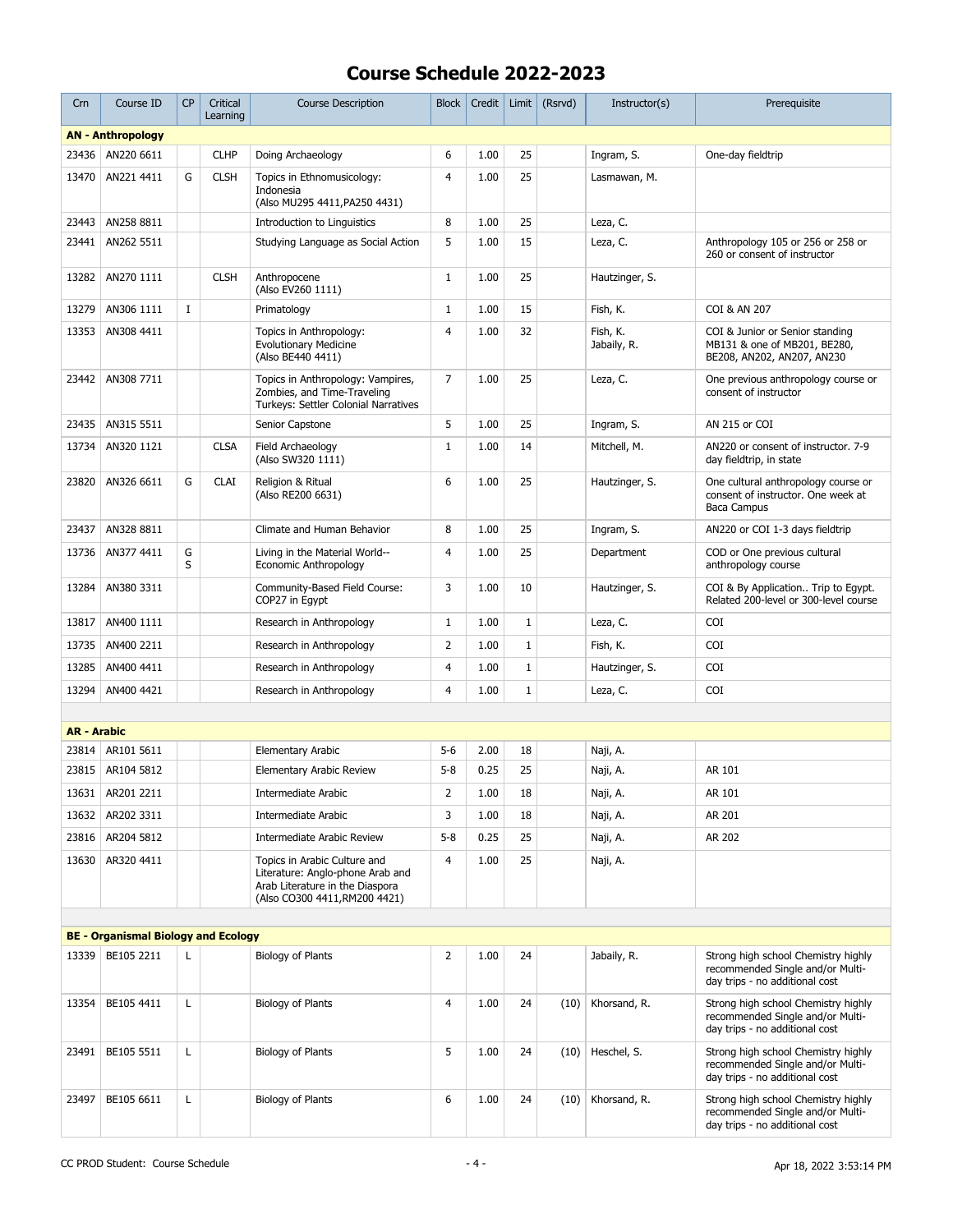| Crn                | Course ID                                  | <b>CP</b>   | Critical<br>Learning | <b>Course Description</b>                                                                                                            | Block          | Credit | Limit        | (Rsrvd) | Instructor(s)           | Prerequisite                                                                                              |
|--------------------|--------------------------------------------|-------------|----------------------|--------------------------------------------------------------------------------------------------------------------------------------|----------------|--------|--------------|---------|-------------------------|-----------------------------------------------------------------------------------------------------------|
|                    | <b>AN - Anthropology</b>                   |             |                      |                                                                                                                                      |                |        |              |         |                         |                                                                                                           |
| 23436              | AN220 6611                                 |             | <b>CLHP</b>          | Doing Archaeology                                                                                                                    | 6              | 1.00   | 25           |         | Ingram, S.              | One-day fieldtrip                                                                                         |
| 13470              | AN221 4411                                 | G           | <b>CLSH</b>          | Topics in Ethnomusicology:<br>Indonesia<br>(Also MU295 4411, PA250 4431)                                                             | 4              | 1.00   | 25           |         | Lasmawan, M.            |                                                                                                           |
| 23443              | AN258 8811                                 |             |                      | Introduction to Linguistics                                                                                                          | 8              | 1.00   | 25           |         | Leza, C.                |                                                                                                           |
| 23441              | AN262 5511                                 |             |                      | Studying Language as Social Action                                                                                                   | 5              | 1.00   | 15           |         | Leza, C.                | Anthropology 105 or 256 or 258 or<br>260 or consent of instructor                                         |
| 13282              | AN270 1111                                 |             | <b>CLSH</b>          | Anthropocene<br>(Also EV260 1111)                                                                                                    | $\mathbf{1}$   | 1.00   | 25           |         | Hautzinger, S.          |                                                                                                           |
| 13279              | AN306 1111                                 | $\mathbf I$ |                      | Primatology                                                                                                                          | $\mathbf{1}$   | 1.00   | 15           |         | Fish, K.                | COI & AN 207                                                                                              |
| 13353              | AN308 4411                                 |             |                      | Topics in Anthropology:<br><b>Evolutionary Medicine</b><br>(Also BE440 4411)                                                         | $\overline{4}$ | 1.00   | 32           |         | Fish, K.<br>Jabaily, R. | COI & Junior or Senior standing<br>MB131 & one of MB201, BE280,<br>BE208, AN202, AN207, AN230             |
| 23442              | AN308 7711                                 |             |                      | Topics in Anthropology: Vampires,<br>Zombies, and Time-Traveling<br>Turkeys: Settler Colonial Narratives                             | $\overline{7}$ | 1.00   | 25           |         | Leza, C.                | One previous anthropology course or<br>consent of instructor                                              |
| 23435              | AN315 5511                                 |             |                      | Senior Capstone                                                                                                                      | 5              | 1.00   | 25           |         | Ingram, S.              | AN 215 or COI                                                                                             |
| 13734              | AN320 1121                                 |             | <b>CLSA</b>          | Field Archaeology<br>(Also SW320 1111)                                                                                               | $\mathbf{1}$   | 1.00   | 14           |         | Mitchell, M.            | AN220 or consent of instructor, 7-9<br>day fieldtrip, in state                                            |
| 23820              | AN326 6611                                 | G           | <b>CLAI</b>          | Religion & Ritual<br>(Also RE200 6631)                                                                                               | 6              | 1.00   | 25           |         | Hautzinger, S.          | One cultural anthropology course or<br>consent of instructor. One week at<br><b>Baca Campus</b>           |
| 23437              | AN328 8811                                 |             |                      | Climate and Human Behavior                                                                                                           | 8              | 1.00   | 25           |         | Ingram, S.              | AN220 or COI 1-3 days fieldtrip                                                                           |
| 13736              | AN377 4411                                 | G<br>S      |                      | Living in the Material World--<br>Economic Anthropology                                                                              | 4              | 1.00   | 25           |         | Department              | COD or One previous cultural<br>anthropology course                                                       |
| 13284              | AN380 3311                                 |             |                      | Community-Based Field Course:<br>COP27 in Eqypt                                                                                      | 3              | 1.00   | 10           |         | Hautzinger, S.          | COI & By Application Trip to Egypt.<br>Related 200-level or 300-level course                              |
| 13817              | AN400 1111                                 |             |                      | Research in Anthropology                                                                                                             | $\mathbf{1}$   | 1.00   | $1\,$        |         | Leza, C.                | <b>COI</b>                                                                                                |
| 13735              | AN400 2211                                 |             |                      | Research in Anthropology                                                                                                             | 2              | 1.00   | $\mathbf{1}$ |         | Fish, K.                | COI                                                                                                       |
| 13285              | AN400 4411                                 |             |                      | Research in Anthropology                                                                                                             | $\overline{4}$ | 1.00   | $\mathbf 1$  |         | Hautzinger, S.          | <b>COI</b>                                                                                                |
| 13294              | AN400 4421                                 |             |                      | Research in Anthropology                                                                                                             | 4              | 1.00   | $1\,$        |         | Leza, C.                | <b>COI</b>                                                                                                |
|                    |                                            |             |                      |                                                                                                                                      |                |        |              |         |                         |                                                                                                           |
| <b>AR - Arabic</b> |                                            |             |                      |                                                                                                                                      |                |        |              |         |                         |                                                                                                           |
| 23814              | AR101 5611                                 |             |                      | <b>Elementary Arabic</b>                                                                                                             | $5 - 6$        | 2.00   | 18           |         | Naji, A.                |                                                                                                           |
| 23815              | AR104 5812                                 |             |                      | <b>Elementary Arabic Review</b>                                                                                                      | $5 - 8$        | 0.25   | 25           |         | Naji, A.                | AR 101                                                                                                    |
| 13631              | AR201 2211                                 |             |                      | Intermediate Arabic                                                                                                                  | 2              | 1.00   | 18           |         | Naji, A.                | AR 101                                                                                                    |
| 13632              | AR202 3311                                 |             |                      | <b>Intermediate Arabic</b>                                                                                                           | 3              | 1.00   | 18           |         | Naji, A.                | AR 201                                                                                                    |
|                    | 23816 AR204 5812                           |             |                      | Intermediate Arabic Review                                                                                                           | $5 - 8$        | 0.25   | 25           |         | Naji, A.                | AR 202                                                                                                    |
| 13630              | AR320 4411                                 |             |                      | Topics in Arabic Culture and<br>Literature: Anglo-phone Arab and<br>Arab Literature in the Diaspora<br>(Also CO300 4411, RM200 4421) | $\overline{4}$ | 1.00   | 25           |         | Naji, A.                |                                                                                                           |
|                    |                                            |             |                      |                                                                                                                                      |                |        |              |         |                         |                                                                                                           |
|                    | <b>BE - Organismal Biology and Ecology</b> |             |                      |                                                                                                                                      |                |        |              |         |                         |                                                                                                           |
| 13339              | BE105 2211                                 | L           |                      | <b>Biology of Plants</b>                                                                                                             | $\overline{2}$ | 1.00   | 24           |         | Jabaily, R.             | Strong high school Chemistry highly<br>recommended Single and/or Multi-<br>day trips - no additional cost |
| 13354              | BE105 4411                                 | L           |                      | <b>Biology of Plants</b>                                                                                                             | $\overline{4}$ | 1.00   | 24           | (10)    | Khorsand, R.            | Strong high school Chemistry highly<br>recommended Single and/or Multi-<br>day trips - no additional cost |
| 23491              | BE105 5511                                 | L           |                      | <b>Biology of Plants</b>                                                                                                             | 5              | 1.00   | 24           | (10)    | Heschel, S.             | Strong high school Chemistry highly<br>recommended Single and/or Multi-<br>day trips - no additional cost |
| 23497              | BE105 6611                                 | L           |                      | <b>Biology of Plants</b>                                                                                                             | 6              | 1.00   | 24           | (10)    | Khorsand, R.            | Strong high school Chemistry highly<br>recommended Single and/or Multi-<br>day trips - no additional cost |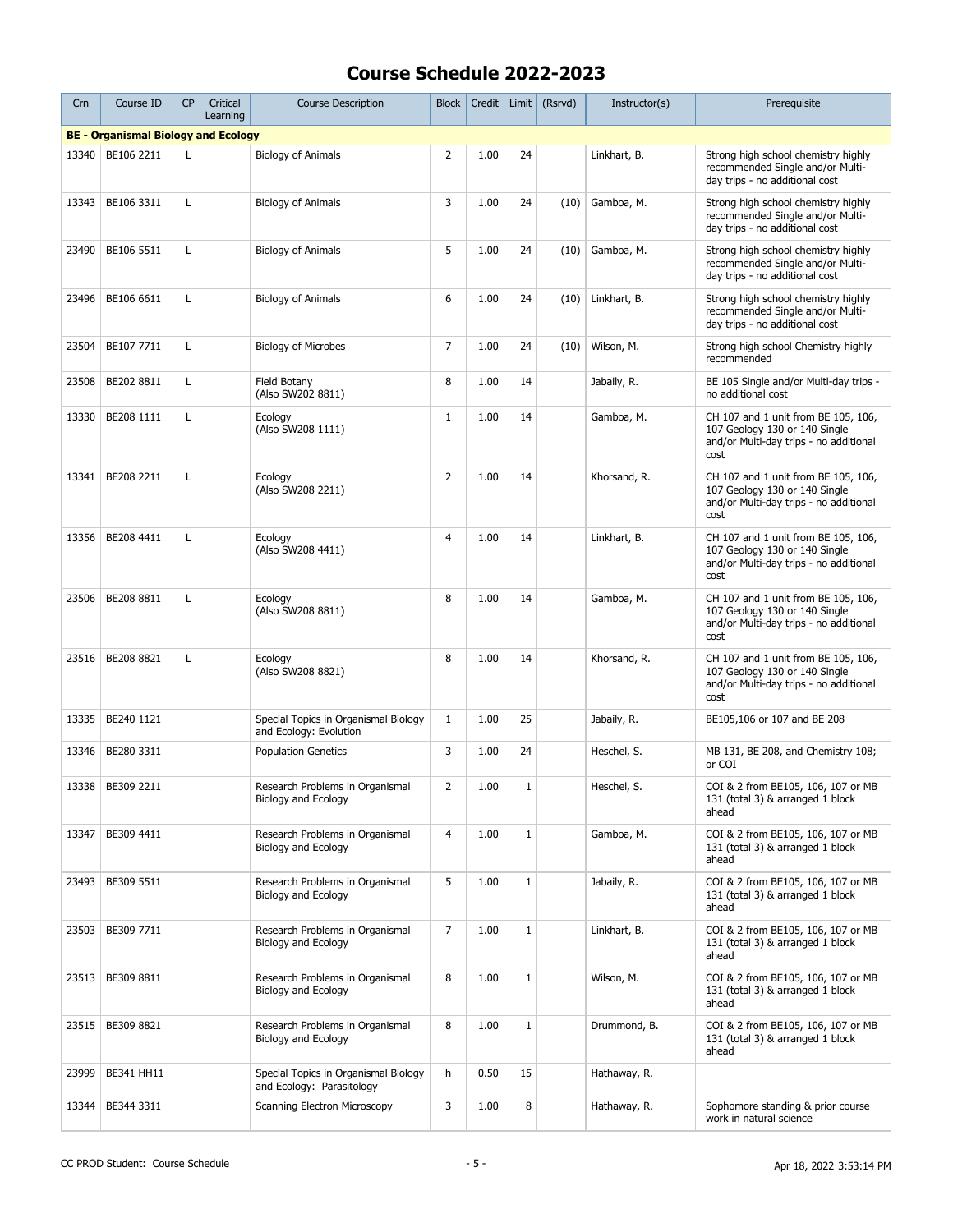| Crn   | Course ID                                  | <b>CP</b> | Critical<br>Learning | <b>Course Description</b>                                         | <b>Block</b>   | Credit | Limit        | (Rsrvd) | Instructor(s) | Prerequisite                                                                                                           |
|-------|--------------------------------------------|-----------|----------------------|-------------------------------------------------------------------|----------------|--------|--------------|---------|---------------|------------------------------------------------------------------------------------------------------------------------|
|       | <b>BE - Organismal Biology and Ecology</b> |           |                      |                                                                   |                |        |              |         |               |                                                                                                                        |
| 13340 | BE106 2211                                 | L         |                      | <b>Biology of Animals</b>                                         | 2              | 1.00   | 24           |         | Linkhart, B.  | Strong high school chemistry highly<br>recommended Single and/or Multi-<br>day trips - no additional cost              |
| 13343 | BE106 3311                                 | Г         |                      | <b>Biology of Animals</b>                                         | 3              | 1.00   | 24           | (10)    | Gamboa, M.    | Strong high school chemistry highly<br>recommended Single and/or Multi-<br>day trips - no additional cost              |
| 23490 | BE106 5511                                 | Г         |                      | <b>Biology of Animals</b>                                         | 5              | 1.00   | 24           | (10)    | Gamboa, M.    | Strong high school chemistry highly<br>recommended Single and/or Multi-<br>day trips - no additional cost              |
| 23496 | BE106 6611                                 | L         |                      | Biology of Animals                                                | 6              | 1.00   | 24           | (10)    | Linkhart, B.  | Strong high school chemistry highly<br>recommended Single and/or Multi-<br>day trips - no additional cost              |
| 23504 | BE107 7711                                 | Г         |                      | <b>Biology of Microbes</b>                                        | $\overline{7}$ | 1.00   | 24           | (10)    | Wilson, M.    | Strong high school Chemistry highly<br>recommended                                                                     |
| 23508 | BE202 8811                                 | Г         |                      | Field Botany<br>(Also SW202 8811)                                 | 8              | 1.00   | 14           |         | Jabaily, R.   | BE 105 Single and/or Multi-day trips -<br>no additional cost                                                           |
| 13330 | BE208 1111                                 | L         |                      | Ecology<br>(Also SW208 1111)                                      | $\mathbf{1}$   | 1.00   | 14           |         | Gamboa, M.    | CH 107 and 1 unit from BE 105, 106,<br>107 Geology 130 or 140 Single<br>and/or Multi-day trips - no additional<br>cost |
| 13341 | BE208 2211                                 | L         |                      | Ecology<br>(Also SW208 2211)                                      | $\overline{2}$ | 1.00   | 14           |         | Khorsand, R.  | CH 107 and 1 unit from BE 105, 106,<br>107 Geology 130 or 140 Single<br>and/or Multi-day trips - no additional<br>cost |
| 13356 | BE208 4411                                 | Г         |                      | Ecology<br>(Also SW208 4411)                                      | 4              | 1.00   | 14           |         | Linkhart, B.  | CH 107 and 1 unit from BE 105, 106,<br>107 Geology 130 or 140 Single<br>and/or Multi-day trips - no additional<br>cost |
| 23506 | BE208 8811                                 | Г         |                      | Ecology<br>(Also SW208 8811)                                      | 8              | 1.00   | 14           |         | Gamboa, M.    | CH 107 and 1 unit from BE 105, 106,<br>107 Geology 130 or 140 Single<br>and/or Multi-day trips - no additional<br>cost |
| 23516 | BE208 8821                                 | Г         |                      | Ecology<br>(Also SW208 8821)                                      | 8              | 1.00   | 14           |         | Khorsand, R.  | CH 107 and 1 unit from BE 105, 106,<br>107 Geology 130 or 140 Single<br>and/or Multi-day trips - no additional<br>cost |
| 13335 | BE240 1121                                 |           |                      | Special Topics in Organismal Biology<br>and Ecology: Evolution    | $\mathbf{1}$   | 1.00   | 25           |         | Jabaily, R.   | BE105,106 or 107 and BE 208                                                                                            |
| 13346 | BE280 3311                                 |           |                      | <b>Population Genetics</b>                                        | 3              | 1.00   | 24           |         | Heschel, S.   | MB 131, BE 208, and Chemistry 108;<br>or COI                                                                           |
| 13338 | BE309 2211                                 |           |                      | Research Problems in Organismal<br>Biology and Ecology            | 2              | 1.00   | 1            |         | Heschel, S.   | COI & 2 from BE105, 106, 107 or MB<br>131 (total 3) & arranged 1 block<br>ahead                                        |
| 13347 | BE309 4411                                 |           |                      | Research Problems in Organismal<br>Biology and Ecology            | $\overline{4}$ | 1.00   | $\mathbf{1}$ |         | Gamboa, M.    | COI & 2 from BE105, 106, 107 or MB<br>131 (total 3) & arranged 1 block<br>ahead                                        |
| 23493 | BE309 5511                                 |           |                      | Research Problems in Organismal<br>Biology and Ecology            | 5              | 1.00   | $\mathbf{1}$ |         | Jabaily, R.   | COI & 2 from BE105, 106, 107 or MB<br>131 (total 3) & arranged 1 block<br>ahead                                        |
| 23503 | BE309 7711                                 |           |                      | Research Problems in Organismal<br>Biology and Ecology            | $\overline{7}$ | 1.00   | $\mathbf{1}$ |         | Linkhart, B.  | COI & 2 from BE105, 106, 107 or MB<br>131 (total 3) & arranged 1 block<br>ahead                                        |
| 23513 | BE309 8811                                 |           |                      | Research Problems in Organismal<br>Biology and Ecology            | 8              | 1.00   | $\mathbf{1}$ |         | Wilson, M.    | COI & 2 from BE105, 106, 107 or MB<br>131 (total 3) & arranged 1 block<br>ahead                                        |
| 23515 | BE309 8821                                 |           |                      | Research Problems in Organismal<br>Biology and Ecology            | 8              | 1.00   | $1\,$        |         | Drummond, B.  | COI & 2 from BE105, 106, 107 or MB<br>131 (total 3) & arranged 1 block<br>ahead                                        |
| 23999 | BE341 HH11                                 |           |                      | Special Topics in Organismal Biology<br>and Ecology: Parasitology | h              | 0.50   | 15           |         | Hathaway, R.  |                                                                                                                        |
| 13344 | BE344 3311                                 |           |                      | Scanning Electron Microscopy                                      | 3              | 1.00   | 8            |         | Hathaway, R.  | Sophomore standing & prior course<br>work in natural science                                                           |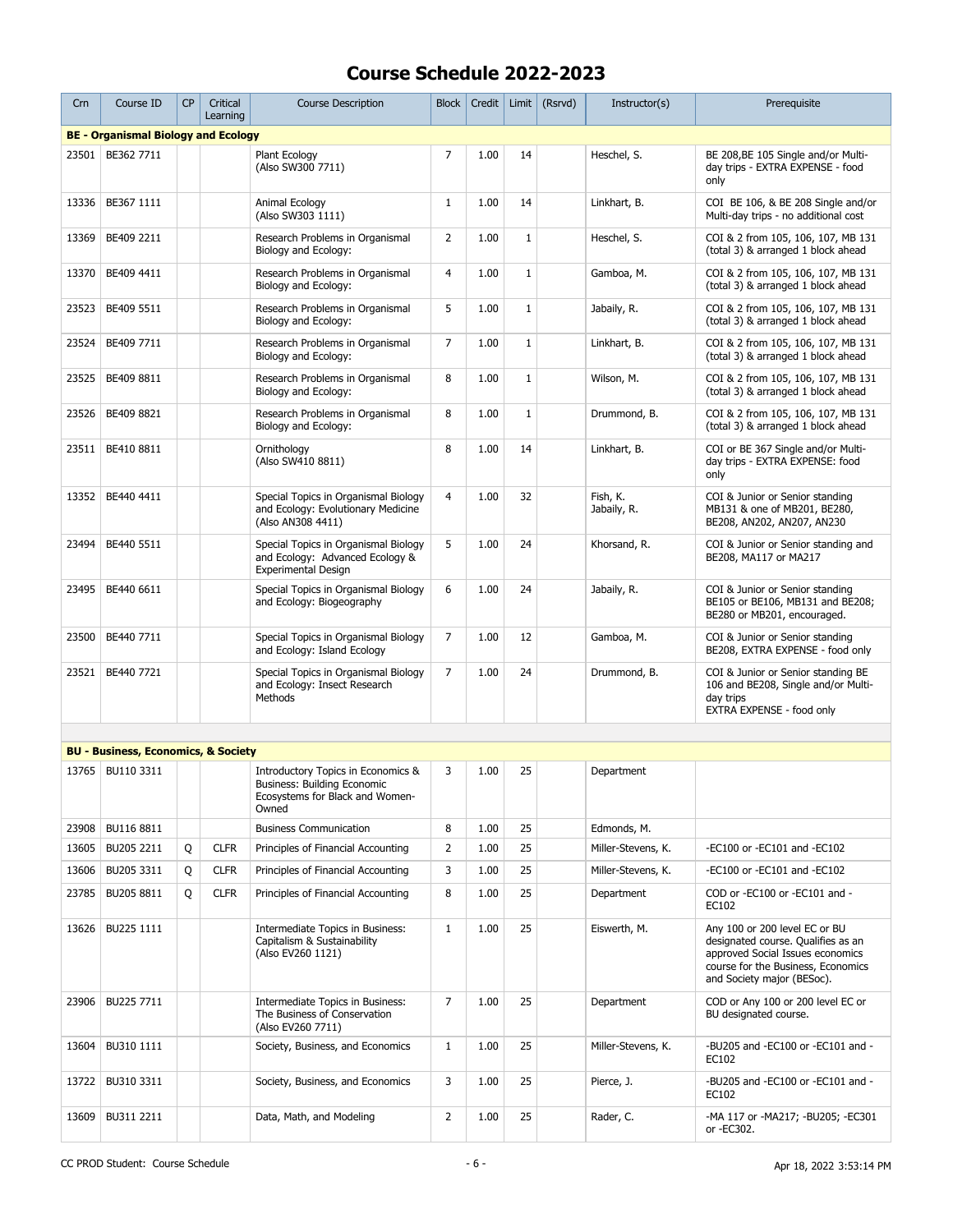| Crn   | Course ID                                      | <b>CP</b> | Critical<br>Learning | <b>Course Description</b>                                                                                     | <b>Block</b>   | Credit |              | Limit $(Rsrvd)$ | Instructor(s)           | Prerequisite                                                                                                                                                                |
|-------|------------------------------------------------|-----------|----------------------|---------------------------------------------------------------------------------------------------------------|----------------|--------|--------------|-----------------|-------------------------|-----------------------------------------------------------------------------------------------------------------------------------------------------------------------------|
|       | <b>BE - Organismal Biology and Ecology</b>     |           |                      |                                                                                                               |                |        |              |                 |                         |                                                                                                                                                                             |
| 23501 | BE362 7711                                     |           |                      | Plant Ecology<br>(Also SW300 7711)                                                                            | $\overline{7}$ | 1.00   | 14           |                 | Heschel, S.             | BE 208, BE 105 Single and/or Multi-<br>day trips - EXTRA EXPENSE - food<br>only                                                                                             |
| 13336 | BE367 1111                                     |           |                      | Animal Ecology<br>(Also SW303 1111)                                                                           | $\mathbf{1}$   | 1.00   | 14           |                 | Linkhart, B.            | COI BE 106, & BE 208 Single and/or<br>Multi-day trips - no additional cost                                                                                                  |
| 13369 | BE409 2211                                     |           |                      | Research Problems in Organismal<br>Biology and Ecology:                                                       | $\overline{2}$ | 1.00   | $\mathbf{1}$ |                 | Heschel, S.             | COI & 2 from 105, 106, 107, MB 131<br>(total 3) & arranged 1 block ahead                                                                                                    |
| 13370 | BE409 4411                                     |           |                      | Research Problems in Organismal<br>Biology and Ecology:                                                       | $\overline{4}$ | 1.00   | $\mathbf{1}$ |                 | Gamboa, M.              | COI & 2 from 105, 106, 107, MB 131<br>(total 3) & arranged 1 block ahead                                                                                                    |
| 23523 | BE409 5511                                     |           |                      | Research Problems in Organismal<br>Biology and Ecology:                                                       | 5              | 1.00   | $\mathbf{1}$ |                 | Jabaily, R.             | COI & 2 from 105, 106, 107, MB 131<br>(total 3) & arranged 1 block ahead                                                                                                    |
| 23524 | BE409 7711                                     |           |                      | Research Problems in Organismal<br>Biology and Ecology:                                                       | $\overline{7}$ | 1.00   | $\mathbf{1}$ |                 | Linkhart, B.            | COI & 2 from 105, 106, 107, MB 131<br>(total 3) & arranged 1 block ahead                                                                                                    |
| 23525 | BE409 8811                                     |           |                      | Research Problems in Organismal<br>Biology and Ecology:                                                       | 8              | 1.00   | $\mathbf{1}$ |                 | Wilson, M.              | COI & 2 from 105, 106, 107, MB 131<br>(total 3) & arranged 1 block ahead                                                                                                    |
| 23526 | BE409 8821                                     |           |                      | Research Problems in Organismal<br>Biology and Ecology:                                                       | 8              | 1.00   | $\mathbf{1}$ |                 | Drummond, B.            | COI & 2 from 105, 106, 107, MB 131<br>(total 3) & arranged 1 block ahead                                                                                                    |
| 23511 | BE410 8811                                     |           |                      | Ornithology<br>(Also SW410 8811)                                                                              | 8              | 1.00   | 14           |                 | Linkhart, B.            | COI or BE 367 Single and/or Multi-<br>day trips - EXTRA EXPENSE: food<br>only                                                                                               |
| 13352 | BE440 4411                                     |           |                      | Special Topics in Organismal Biology<br>and Ecology: Evolutionary Medicine<br>(Also AN308 4411)               | $\overline{4}$ | 1.00   | 32           |                 | Fish, K.<br>Jabaily, R. | COI & Junior or Senior standing<br>MB131 & one of MB201, BE280,<br>BE208, AN202, AN207, AN230                                                                               |
| 23494 | BE440 5511                                     |           |                      | Special Topics in Organismal Biology<br>and Ecology: Advanced Ecology &<br><b>Experimental Design</b>         | 5              | 1.00   | 24           |                 | Khorsand, R.            | COI & Junior or Senior standing and<br>BE208, MA117 or MA217                                                                                                                |
| 23495 | BE440 6611                                     |           |                      | Special Topics in Organismal Biology<br>and Ecology: Biogeography                                             | 6              | 1.00   | 24           |                 | Jabaily, R.             | COI & Junior or Senior standing<br>BE105 or BE106, MB131 and BE208;<br>BE280 or MB201, encouraged.                                                                          |
| 23500 | BE440 7711                                     |           |                      | Special Topics in Organismal Biology<br>and Ecology: Island Ecology                                           | 7              | 1.00   | 12           |                 | Gamboa, M.              | COI & Junior or Senior standing<br>BE208, EXTRA EXPENSE - food only                                                                                                         |
| 23521 | BE440 7721                                     |           |                      | Special Topics in Organismal Biology<br>and Ecology: Insect Research<br>Methods                               | 7              | 1.00   | 24           |                 | Drummond, B.            | COI & Junior or Senior standing BE<br>106 and BE208, Single and/or Multi-<br>day trips<br>EXTRA EXPENSE - food only                                                         |
|       |                                                |           |                      |                                                                                                               |                |        |              |                 |                         |                                                                                                                                                                             |
|       | <b>BU - Business, Economics, &amp; Society</b> |           |                      |                                                                                                               |                |        |              |                 |                         |                                                                                                                                                                             |
| 13765 | BU110 3311                                     |           |                      | Introductory Topics in Economics &<br>Business: Building Economic<br>Ecosystems for Black and Women-<br>Owned | 3              | 1.00   | 25           |                 | Department              |                                                                                                                                                                             |
| 23908 | BU116 8811                                     |           |                      | <b>Business Communication</b>                                                                                 | 8              | 1.00   | 25           |                 | Edmonds, M.             |                                                                                                                                                                             |
| 13605 | BU205 2211                                     | Q         | <b>CLFR</b>          | Principles of Financial Accounting                                                                            | $\overline{2}$ | 1.00   | 25           |                 | Miller-Stevens, K.      | -EC100 or -EC101 and -EC102                                                                                                                                                 |
| 13606 | BU205 3311                                     | Q         | <b>CLFR</b>          | Principles of Financial Accounting                                                                            | 3              | 1.00   | 25           |                 | Miller-Stevens, K.      | -EC100 or -EC101 and -EC102                                                                                                                                                 |
| 23785 | BU205 8811                                     | Q         | <b>CLFR</b>          | Principles of Financial Accounting                                                                            | 8              | 1.00   | 25           |                 | Department              | COD or -EC100 or -EC101 and -<br>EC102                                                                                                                                      |
| 13626 | BU225 1111                                     |           |                      | Intermediate Topics in Business:<br>Capitalism & Sustainability<br>(Also EV260 1121)                          | $\mathbf{1}$   | 1.00   | 25           |                 | Eiswerth, M.            | Any 100 or 200 level EC or BU<br>designated course. Qualifies as an<br>approved Social Issues economics<br>course for the Business, Economics<br>and Society major (BESoc). |
| 23906 | BU225 7711                                     |           |                      | Intermediate Topics in Business:<br>The Business of Conservation<br>(Also EV260 7711)                         | 7              | 1.00   | 25           |                 | Department              | COD or Any 100 or 200 level EC or<br>BU designated course.                                                                                                                  |
| 13604 | BU310 1111                                     |           |                      | Society, Business, and Economics                                                                              | $\mathbf{1}$   | 1.00   | 25           |                 | Miller-Stevens, K.      | -BU205 and -EC100 or -EC101 and -<br>EC102                                                                                                                                  |
| 13722 | BU310 3311                                     |           |                      | Society, Business, and Economics                                                                              | 3              | 1.00   | 25           |                 | Pierce, J.              | -BU205 and -EC100 or -EC101 and -<br>EC102                                                                                                                                  |
| 13609 | BU311 2211                                     |           |                      | Data, Math, and Modeling                                                                                      | $\overline{2}$ | 1.00   | 25           |                 | Rader, C.               | -MA 117 or -MA217; -BU205; -EC301<br>or -EC302.                                                                                                                             |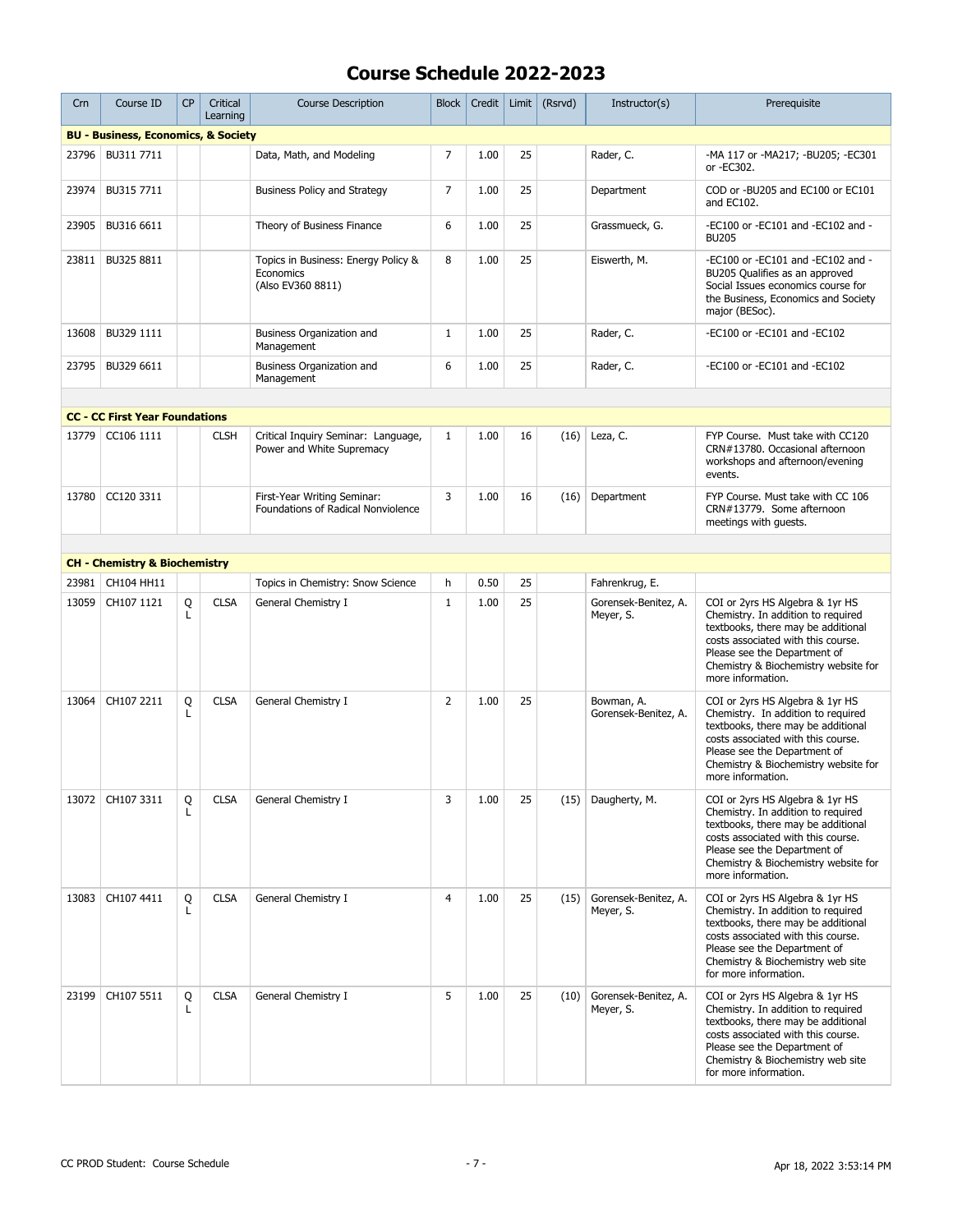| Crn   | Course ID                                      | <b>CP</b> | Critical<br>Learning | <b>Course Description</b>                                             | <b>Block</b>   | Credit | Limit | (Rsrvd) | Instructor(s)                      | Prerequisite                                                                                                                                                                                                                                    |
|-------|------------------------------------------------|-----------|----------------------|-----------------------------------------------------------------------|----------------|--------|-------|---------|------------------------------------|-------------------------------------------------------------------------------------------------------------------------------------------------------------------------------------------------------------------------------------------------|
|       | <b>BU - Business, Economics, &amp; Society</b> |           |                      |                                                                       |                |        |       |         |                                    |                                                                                                                                                                                                                                                 |
| 23796 | BU311 7711                                     |           |                      | Data, Math, and Modeling                                              | $\overline{7}$ | 1.00   | 25    |         | Rader, C.                          | -MA 117 or -MA217; -BU205; -EC301<br>or -EC302.                                                                                                                                                                                                 |
| 23974 | BU315 7711                                     |           |                      | <b>Business Policy and Strategy</b>                                   | 7              | 1.00   | 25    |         | Department                         | COD or -BU205 and EC100 or EC101<br>and EC102.                                                                                                                                                                                                  |
| 23905 | BU316 6611                                     |           |                      | Theory of Business Finance                                            | 6              | 1.00   | 25    |         | Grassmueck, G.                     | -EC100 or -EC101 and -EC102 and -<br><b>BU205</b>                                                                                                                                                                                               |
| 23811 | BU325 8811                                     |           |                      | Topics in Business: Energy Policy &<br>Economics<br>(Also EV360 8811) | 8              | 1.00   | 25    |         | Eiswerth, M.                       | -EC100 or -EC101 and -EC102 and -<br>BU205 Qualifies as an approved<br>Social Issues economics course for<br>the Business, Economics and Society<br>major (BESoc).                                                                              |
| 13608 | BU329 1111                                     |           |                      | Business Organization and<br>Management                               | $\mathbf{1}$   | 1.00   | 25    |         | Rader, C.                          | -EC100 or -EC101 and -EC102                                                                                                                                                                                                                     |
| 23795 | BU329 6611                                     |           |                      | Business Organization and<br>Management                               | 6              | 1.00   | 25    |         | Rader, C.                          | -EC100 or -EC101 and -EC102                                                                                                                                                                                                                     |
|       |                                                |           |                      |                                                                       |                |        |       |         |                                    |                                                                                                                                                                                                                                                 |
|       | <b>CC - CC First Year Foundations</b>          |           |                      |                                                                       |                |        |       |         |                                    |                                                                                                                                                                                                                                                 |
| 13779 | CC106 1111                                     |           | <b>CLSH</b>          | Critical Inquiry Seminar: Language,<br>Power and White Supremacy      | $\mathbf{1}$   | 1.00   | 16    | (16)    | Leza, C.                           | FYP Course. Must take with CC120<br>CRN#13780, Occasional afternoon<br>workshops and afternoon/evening<br>events.                                                                                                                               |
| 13780 | CC120 3311                                     |           |                      | First-Year Writing Seminar:<br>Foundations of Radical Nonviolence     | 3              | 1.00   | 16    | (16)    | Department                         | FYP Course. Must take with CC 106<br>CRN#13779. Some afternoon<br>meetings with guests.                                                                                                                                                         |
|       |                                                |           |                      |                                                                       |                |        |       |         |                                    |                                                                                                                                                                                                                                                 |
|       | <b>CH - Chemistry &amp; Biochemistry</b>       |           |                      |                                                                       |                |        |       |         |                                    |                                                                                                                                                                                                                                                 |
| 23981 | CH104 HH11                                     |           |                      | Topics in Chemistry: Snow Science                                     | h              | 0.50   | 25    |         | Fahrenkrug, E.                     |                                                                                                                                                                                                                                                 |
| 13059 | CH107 1121                                     | Q<br>L    | <b>CLSA</b>          | General Chemistry I                                                   | $\mathbf{1}$   | 1.00   | 25    |         | Gorensek-Benitez, A.<br>Meyer, S.  | COI or 2yrs HS Algebra & 1yr HS<br>Chemistry. In addition to required<br>textbooks, there may be additional<br>costs associated with this course.<br>Please see the Department of<br>Chemistry & Biochemistry website for<br>more information.  |
| 13064 | CH107 2211                                     | Q<br>L    | <b>CLSA</b>          | General Chemistry I                                                   | $\overline{2}$ | 1.00   | 25    |         | Bowman, A.<br>Gorensek-Benitez, A. | COI or 2yrs HS Algebra & 1yr HS<br>Chemistry. In addition to required<br>textbooks, there may be additional<br>costs associated with this course.<br>Please see the Department of<br>Chemistry & Biochemistry website for<br>more information.  |
|       | 13072   CH107 3311                             | Q<br>L    | <b>CLSA</b>          | General Chemistry I                                                   | 3              | 1.00   | 25    |         | (15) Daugherty, M.                 | COI or 2yrs HS Algebra & 1yr HS<br>Chemistry. In addition to required<br>textbooks, there may be additional<br>costs associated with this course.<br>Please see the Department of<br>Chemistry & Biochemistry website for<br>more information.  |
| 13083 | CH107 4411                                     | Q<br>L    | <b>CLSA</b>          | General Chemistry I                                                   | $\overline{4}$ | 1.00   | 25    | (15)    | Gorensek-Benitez, A.<br>Meyer, S.  | COI or 2yrs HS Algebra & 1yr HS<br>Chemistry. In addition to required<br>textbooks, there may be additional<br>costs associated with this course.<br>Please see the Department of<br>Chemistry & Biochemistry web site<br>for more information. |
| 23199 | CH107 5511                                     | Q<br>L    | <b>CLSA</b>          | General Chemistry I                                                   | 5              | 1.00   | 25    | (10)    | Gorensek-Benitez, A.<br>Meyer, S.  | COI or 2yrs HS Algebra & 1yr HS<br>Chemistry. In addition to required<br>textbooks, there may be additional<br>costs associated with this course.<br>Please see the Department of<br>Chemistry & Biochemistry web site<br>for more information. |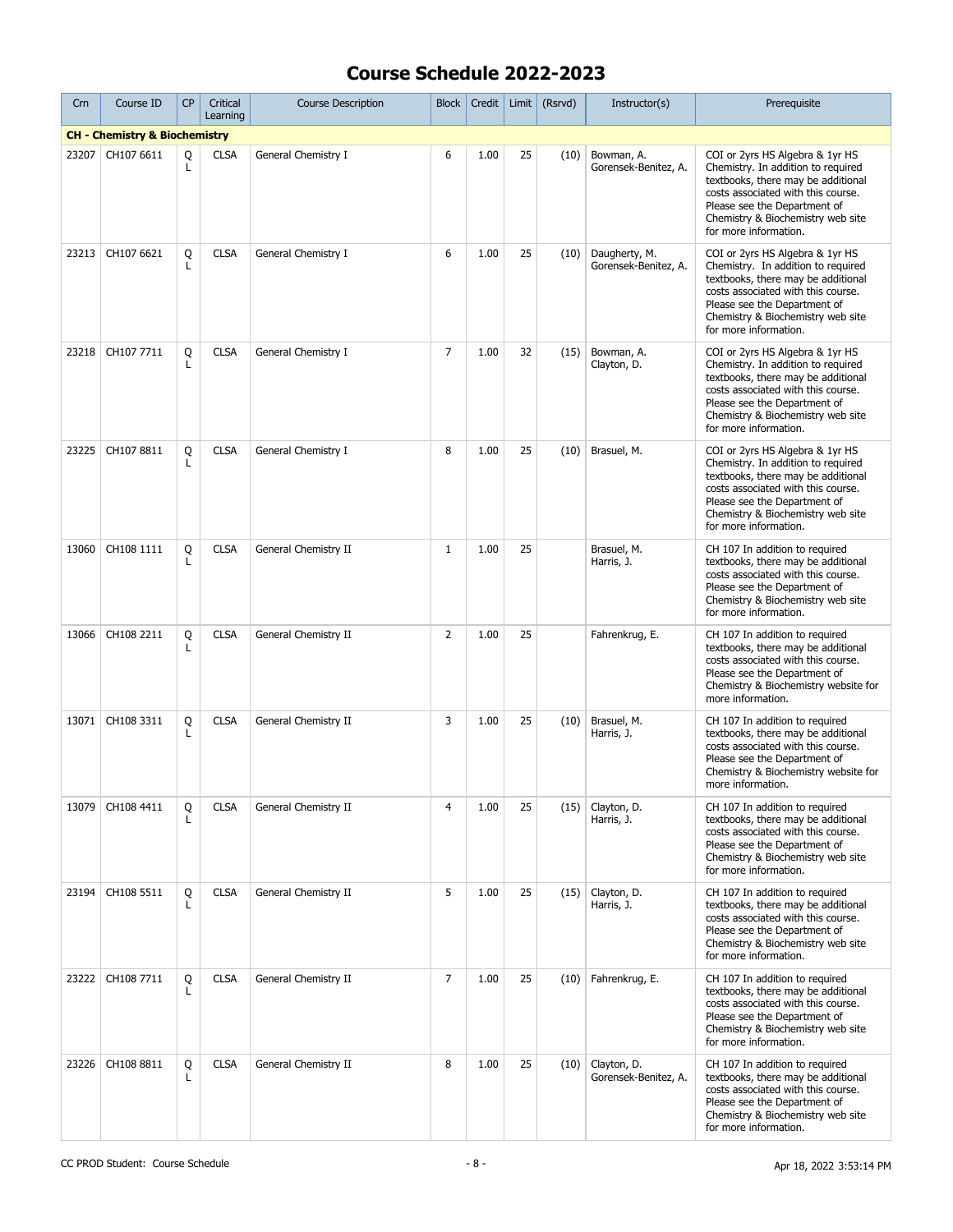| Crn   | Course ID                                | <b>CP</b> | Critical<br>Learning | <b>Course Description</b> | <b>Block</b>   | Credit | Limit | (Rsrvd) | Instructor(s)                         | Prerequisite                                                                                                                                                                                                                                    |
|-------|------------------------------------------|-----------|----------------------|---------------------------|----------------|--------|-------|---------|---------------------------------------|-------------------------------------------------------------------------------------------------------------------------------------------------------------------------------------------------------------------------------------------------|
|       | <b>CH - Chemistry &amp; Biochemistry</b> |           |                      |                           |                |        |       |         |                                       |                                                                                                                                                                                                                                                 |
| 23207 | CH107 6611                               | Q<br>L    | <b>CLSA</b>          | General Chemistry I       | 6              | 1.00   | 25    | (10)    | Bowman, A.<br>Gorensek-Benitez, A.    | COI or 2yrs HS Algebra & 1yr HS<br>Chemistry. In addition to required<br>textbooks, there may be additional<br>costs associated with this course.<br>Please see the Department of<br>Chemistry & Biochemistry web site<br>for more information. |
| 23213 | CH107 6621                               | Q<br>L    | <b>CLSA</b>          | General Chemistry I       | 6              | 1.00   | 25    | (10)    | Daugherty, M.<br>Gorensek-Benitez, A. | COI or 2yrs HS Algebra & 1yr HS<br>Chemistry. In addition to required<br>textbooks, there may be additional<br>costs associated with this course.<br>Please see the Department of<br>Chemistry & Biochemistry web site<br>for more information. |
| 23218 | CH107 7711                               | Q<br>L    | <b>CLSA</b>          | General Chemistry I       | $\overline{7}$ | 1.00   | 32    | (15)    | Bowman, A.<br>Clayton, D.             | COI or 2yrs HS Algebra & 1yr HS<br>Chemistry. In addition to required<br>textbooks, there may be additional<br>costs associated with this course.<br>Please see the Department of<br>Chemistry & Biochemistry web site<br>for more information. |
| 23225 | CH107 8811                               | Q<br>L    | <b>CLSA</b>          | General Chemistry I       | 8              | 1.00   | 25    | (10)    | Brasuel, M.                           | COI or 2yrs HS Algebra & 1yr HS<br>Chemistry. In addition to required<br>textbooks, there may be additional<br>costs associated with this course.<br>Please see the Department of<br>Chemistry & Biochemistry web site<br>for more information. |
| 13060 | CH108 1111                               | Q<br>L    | <b>CLSA</b>          | General Chemistry II      | $\mathbf{1}$   | 1.00   | 25    |         | Brasuel, M.<br>Harris, J.             | CH 107 In addition to required<br>textbooks, there may be additional<br>costs associated with this course.<br>Please see the Department of<br>Chemistry & Biochemistry web site<br>for more information.                                        |
| 13066 | CH108 2211                               | Q<br>L    | <b>CLSA</b>          | General Chemistry II      | $\overline{2}$ | 1.00   | 25    |         | Fahrenkrug, E.                        | CH 107 In addition to required<br>textbooks, there may be additional<br>costs associated with this course.<br>Please see the Department of<br>Chemistry & Biochemistry website for<br>more information.                                         |
| 13071 | CH108 3311                               | Q<br>L    | <b>CLSA</b>          | General Chemistry II      | 3              | 1.00   | 25    | (10)    | Brasuel, M.<br>Harris, J.             | CH 107 In addition to required<br>textbooks, there may be additional<br>costs associated with this course.<br>Please see the Department of<br>Chemistry & Biochemistry website for<br>more information.                                         |
| 13079 | CH108 4411                               | Q<br>L    | <b>CLSA</b>          | General Chemistry II      | 4              | 1.00   | 25    | (15)    | Clayton, D.<br>Harris, J.             | CH 107 In addition to required<br>textbooks, there may be additional<br>costs associated with this course.<br>Please see the Department of<br>Chemistry & Biochemistry web site<br>for more information.                                        |
| 23194 | CH108 5511                               | Q         | <b>CLSA</b>          | General Chemistry II      | 5              | 1.00   | 25    | (15)    | Clayton, D.<br>Harris, J.             | CH 107 In addition to required<br>textbooks, there may be additional<br>costs associated with this course.<br>Please see the Department of<br>Chemistry & Biochemistry web site<br>for more information.                                        |
| 23222 | CH108 7711                               | Q<br>L    | <b>CLSA</b>          | General Chemistry II      | $\overline{7}$ | 1.00   | 25    |         | $(10)$ Fahrenkrug, E.                 | CH 107 In addition to required<br>textbooks, there may be additional<br>costs associated with this course.<br>Please see the Department of<br>Chemistry & Biochemistry web site<br>for more information.                                        |
| 23226 | CH108 8811                               | Q<br>L    | <b>CLSA</b>          | General Chemistry II      | 8              | 1.00   | 25    | (10)    | Clayton, D.<br>Gorensek-Benitez, A.   | CH 107 In addition to required<br>textbooks, there may be additional<br>costs associated with this course.<br>Please see the Department of<br>Chemistry & Biochemistry web site<br>for more information.                                        |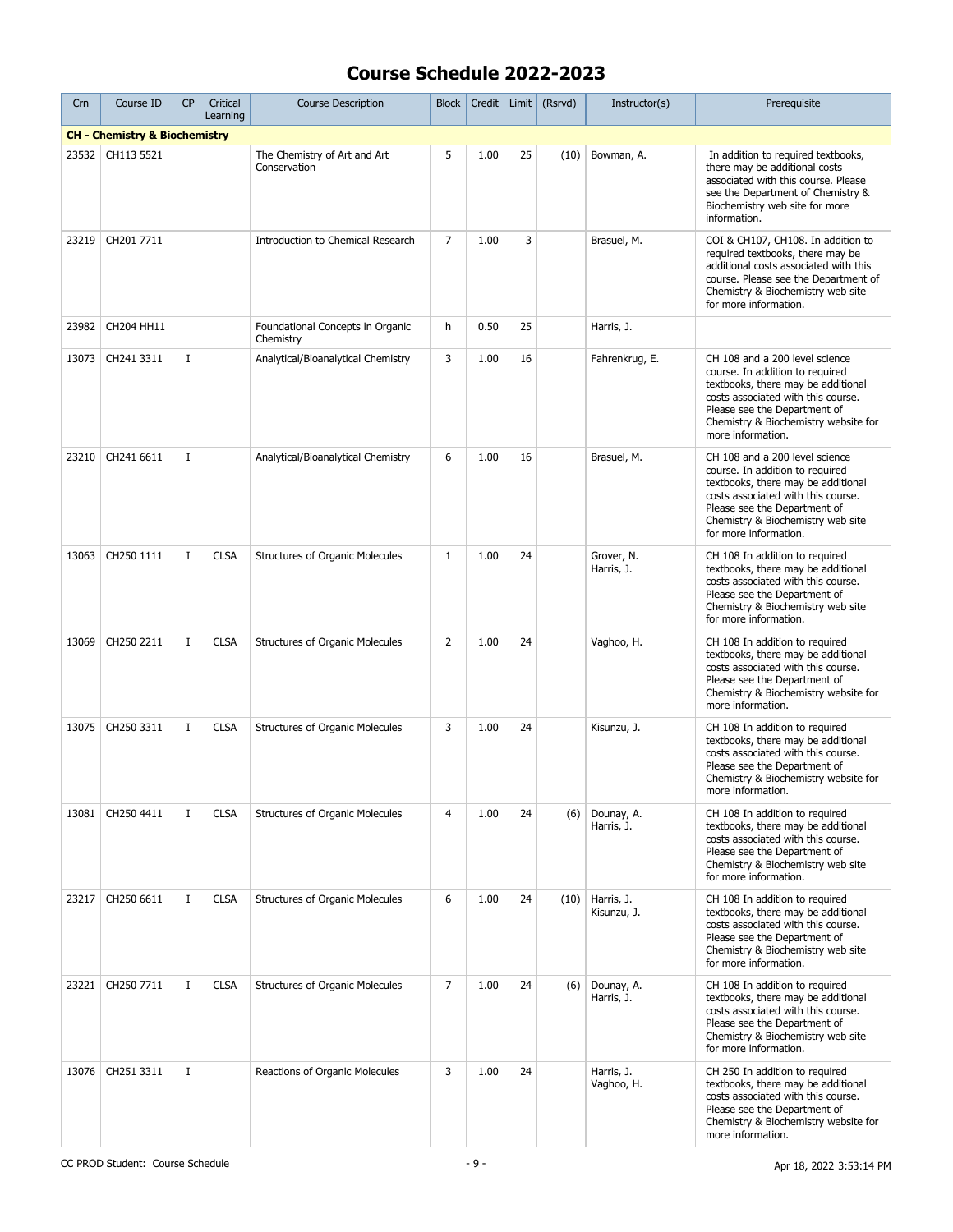| Crn   | Course ID                                | <b>CP</b>   | Critical<br>Learning | <b>Course Description</b>                     | Block          | Credit | Limit | (Rsrvd) | Instructor(s)                    | Prerequisite                                                                                                                                                                                                                                |
|-------|------------------------------------------|-------------|----------------------|-----------------------------------------------|----------------|--------|-------|---------|----------------------------------|---------------------------------------------------------------------------------------------------------------------------------------------------------------------------------------------------------------------------------------------|
|       | <b>CH - Chemistry &amp; Biochemistry</b> |             |                      |                                               |                |        |       |         |                                  |                                                                                                                                                                                                                                             |
| 23532 | CH113 5521                               |             |                      | The Chemistry of Art and Art<br>Conservation  | 5              | 1.00   | 25    | (10)    | Bowman, A.                       | In addition to required textbooks,<br>there may be additional costs<br>associated with this course. Please<br>see the Department of Chemistry &<br>Biochemistry web site for more<br>information.                                           |
| 23219 | CH201 7711                               |             |                      | <b>Introduction to Chemical Research</b>      | $\overline{7}$ | 1.00   | 3     |         | Brasuel, M.                      | COI & CH107, CH108. In addition to<br>required textbooks, there may be<br>additional costs associated with this<br>course. Please see the Department of<br>Chemistry & Biochemistry web site<br>for more information.                       |
| 23982 | CH204 HH11                               |             |                      | Foundational Concepts in Organic<br>Chemistry | h              | 0.50   | 25    |         | Harris, J.                       |                                                                                                                                                                                                                                             |
| 13073 | CH241 3311                               | $\bf{I}$    |                      | Analytical/Bioanalytical Chemistry            | 3              | 1.00   | 16    |         | Fahrenkrug, E.                   | CH 108 and a 200 level science<br>course. In addition to required<br>textbooks, there may be additional<br>costs associated with this course.<br>Please see the Department of<br>Chemistry & Biochemistry website for<br>more information.  |
| 23210 | CH241 6611                               | $\bf{I}$    |                      | Analytical/Bioanalytical Chemistry            | 6              | 1.00   | 16    |         | Brasuel, M.                      | CH 108 and a 200 level science<br>course. In addition to required<br>textbooks, there may be additional<br>costs associated with this course.<br>Please see the Department of<br>Chemistry & Biochemistry web site<br>for more information. |
| 13063 | CH250 1111                               | $\mathbf I$ | <b>CLSA</b>          | Structures of Organic Molecules               | $\mathbf{1}$   | 1.00   | 24    |         | Grover, N.<br>Harris, J.         | CH 108 In addition to required<br>textbooks, there may be additional<br>costs associated with this course.<br>Please see the Department of<br>Chemistry & Biochemistry web site<br>for more information.                                    |
| 13069 | CH250 2211                               | $\bf{I}$    | <b>CLSA</b>          | <b>Structures of Organic Molecules</b>        | $\overline{2}$ | 1.00   | 24    |         | Vaghoo, H.                       | CH 108 In addition to required<br>textbooks, there may be additional<br>costs associated with this course.<br>Please see the Department of<br>Chemistry & Biochemistry website for<br>more information.                                     |
| 13075 | CH250 3311                               | $\bf{I}$    | <b>CLSA</b>          | Structures of Organic Molecules               | 3              | 1.00   | 24    |         | Kisunzu, J.                      | CH 108 In addition to required<br>textbooks, there may be additional<br>costs associated with this course.<br>Please see the Department of<br>Chemistry & Biochemistry website for<br>more information.                                     |
| 13081 | CH250 4411                               | $\bf{I}$    | <b>CLSA</b>          | <b>Structures of Organic Molecules</b>        | 4              | 1.00   | 24    | (6)     | Dounay, A.<br>Harris, J.         | CH 108 In addition to required<br>textbooks, there may be additional<br>costs associated with this course.<br>Please see the Department of<br>Chemistry & Biochemistry web site<br>for more information.                                    |
| 23217 | CH250 6611                               | <b>I</b>    | <b>CLSA</b>          | Structures of Organic Molecules               | 6              | 1.00   | 24    |         | $(10)$ Harris, J.<br>Kisunzu, J. | CH 108 In addition to required<br>textbooks, there may be additional<br>costs associated with this course.<br>Please see the Department of<br>Chemistry & Biochemistry web site<br>for more information.                                    |
| 23221 | CH250 7711                               | $\mathbf I$ | <b>CLSA</b>          | <b>Structures of Organic Molecules</b>        | $\overline{7}$ | 1.00   | 24    | (6)     | Dounay, A.<br>Harris, J.         | CH 108 In addition to required<br>textbooks, there may be additional<br>costs associated with this course.<br>Please see the Department of<br>Chemistry & Biochemistry web site<br>for more information.                                    |
| 13076 | CH251 3311                               | $\bf{I}$    |                      | Reactions of Organic Molecules                | 3              | 1.00   | 24    |         | Harris, J.<br>Vaghoo, H.         | CH 250 In addition to required<br>textbooks, there may be additional<br>costs associated with this course.<br>Please see the Department of<br>Chemistry & Biochemistry website for<br>more information.                                     |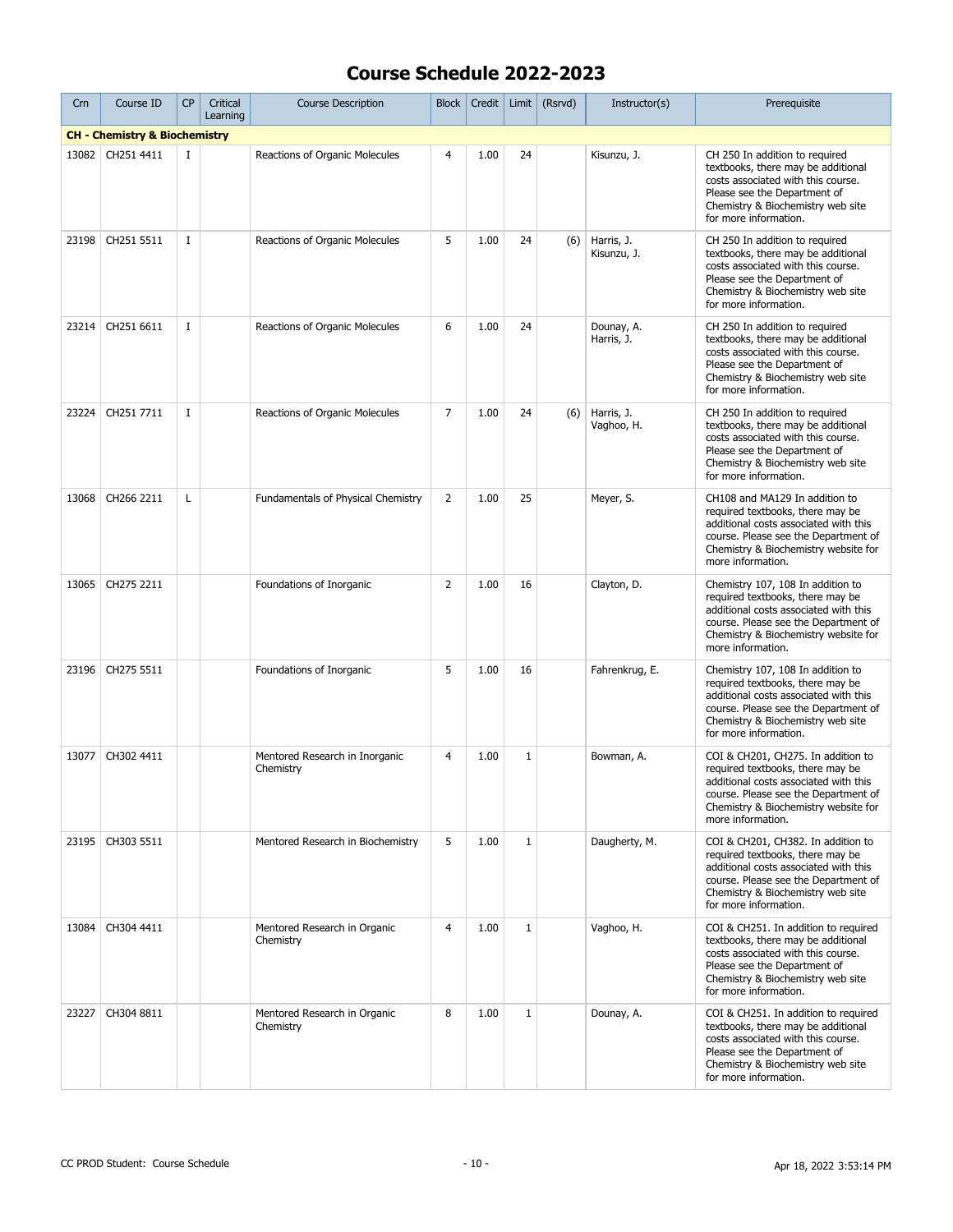| Crn   | Course ID                                | <b>CP</b>   | Critical<br>Learning | <b>Course Description</b>                   | <b>Block</b>   | Credit | Limit        | (Rsrvd) | Instructor(s)             | Prerequisite                                                                                                                                                                                                          |
|-------|------------------------------------------|-------------|----------------------|---------------------------------------------|----------------|--------|--------------|---------|---------------------------|-----------------------------------------------------------------------------------------------------------------------------------------------------------------------------------------------------------------------|
|       | <b>CH - Chemistry &amp; Biochemistry</b> |             |                      |                                             |                |        |              |         |                           |                                                                                                                                                                                                                       |
| 13082 | CH251 4411                               | 1           |                      | Reactions of Organic Molecules              | 4              | 1.00   | 24           |         | Kisunzu, J.               | CH 250 In addition to required<br>textbooks, there may be additional<br>costs associated with this course.<br>Please see the Department of<br>Chemistry & Biochemistry web site<br>for more information.              |
| 23198 | CH251 5511                               | $\mathbf I$ |                      | Reactions of Organic Molecules              | 5              | 1.00   | 24           | (6)     | Harris, J.<br>Kisunzu, J. | CH 250 In addition to required<br>textbooks, there may be additional<br>costs associated with this course.<br>Please see the Department of<br>Chemistry & Biochemistry web site<br>for more information.              |
| 23214 | CH251 6611                               | $\mathbf I$ |                      | Reactions of Organic Molecules              | 6              | 1.00   | 24           |         | Dounay, A.<br>Harris, J.  | CH 250 In addition to required<br>textbooks, there may be additional<br>costs associated with this course.<br>Please see the Department of<br>Chemistry & Biochemistry web site<br>for more information.              |
| 23224 | CH251 7711                               | I           |                      | Reactions of Organic Molecules              | $\overline{7}$ | 1.00   | 24           | (6)     | Harris, J.<br>Vaghoo, H.  | CH 250 In addition to required<br>textbooks, there may be additional<br>costs associated with this course.<br>Please see the Department of<br>Chemistry & Biochemistry web site<br>for more information.              |
| 13068 | CH266 2211                               | Г           |                      | Fundamentals of Physical Chemistry          | 2              | 1.00   | 25           |         | Meyer, S.                 | CH108 and MA129 In addition to<br>required textbooks, there may be<br>additional costs associated with this<br>course. Please see the Department of<br>Chemistry & Biochemistry website for<br>more information.      |
| 13065 | CH275 2211                               |             |                      | Foundations of Inorganic                    | $\overline{2}$ | 1.00   | 16           |         | Clayton, D.               | Chemistry 107, 108 In addition to<br>required textbooks, there may be<br>additional costs associated with this<br>course. Please see the Department of<br>Chemistry & Biochemistry website for<br>more information.   |
| 23196 | CH275 5511                               |             |                      | Foundations of Inorganic                    | 5              | 1.00   | 16           |         | Fahrenkrug, E.            | Chemistry 107, 108 In addition to<br>required textbooks, there may be<br>additional costs associated with this<br>course. Please see the Department of<br>Chemistry & Biochemistry web site<br>for more information.  |
| 13077 | CH302 4411                               |             |                      | Mentored Research in Inorganic<br>Chemistry | 4              | 1.00   | $\mathbf 1$  |         | Bowman, A.                | COI & CH201, CH275. In addition to<br>required textbooks, there may be<br>additional costs associated with this<br>course. Please see the Department of<br>Chemistry & Biochemistry website for<br>more information.  |
| 23195 | CH303 5511                               |             |                      | Mentored Research in Biochemistry           | 5              | 1.00   | $\mathbf{1}$ |         | Daugherty, M.             | COI & CH201, CH382. In addition to<br>required textbooks, there may be<br>additional costs associated with this<br>course. Please see the Department of<br>Chemistry & Biochemistry web site<br>for more information. |
| 13084 | CH304 4411                               |             |                      | Mentored Research in Organic<br>Chemistry   | $\overline{4}$ | 1.00   | $\mathbf{1}$ |         | Vaghoo, H.                | COI & CH251. In addition to required<br>textbooks, there may be additional<br>costs associated with this course.<br>Please see the Department of<br>Chemistry & Biochemistry web site<br>for more information.        |
| 23227 | CH304 8811                               |             |                      | Mentored Research in Organic<br>Chemistry   | 8              | 1.00   | $\mathbf{1}$ |         | Dounay, A.                | COI & CH251. In addition to required<br>textbooks, there may be additional<br>costs associated with this course.<br>Please see the Department of<br>Chemistry & Biochemistry web site<br>for more information.        |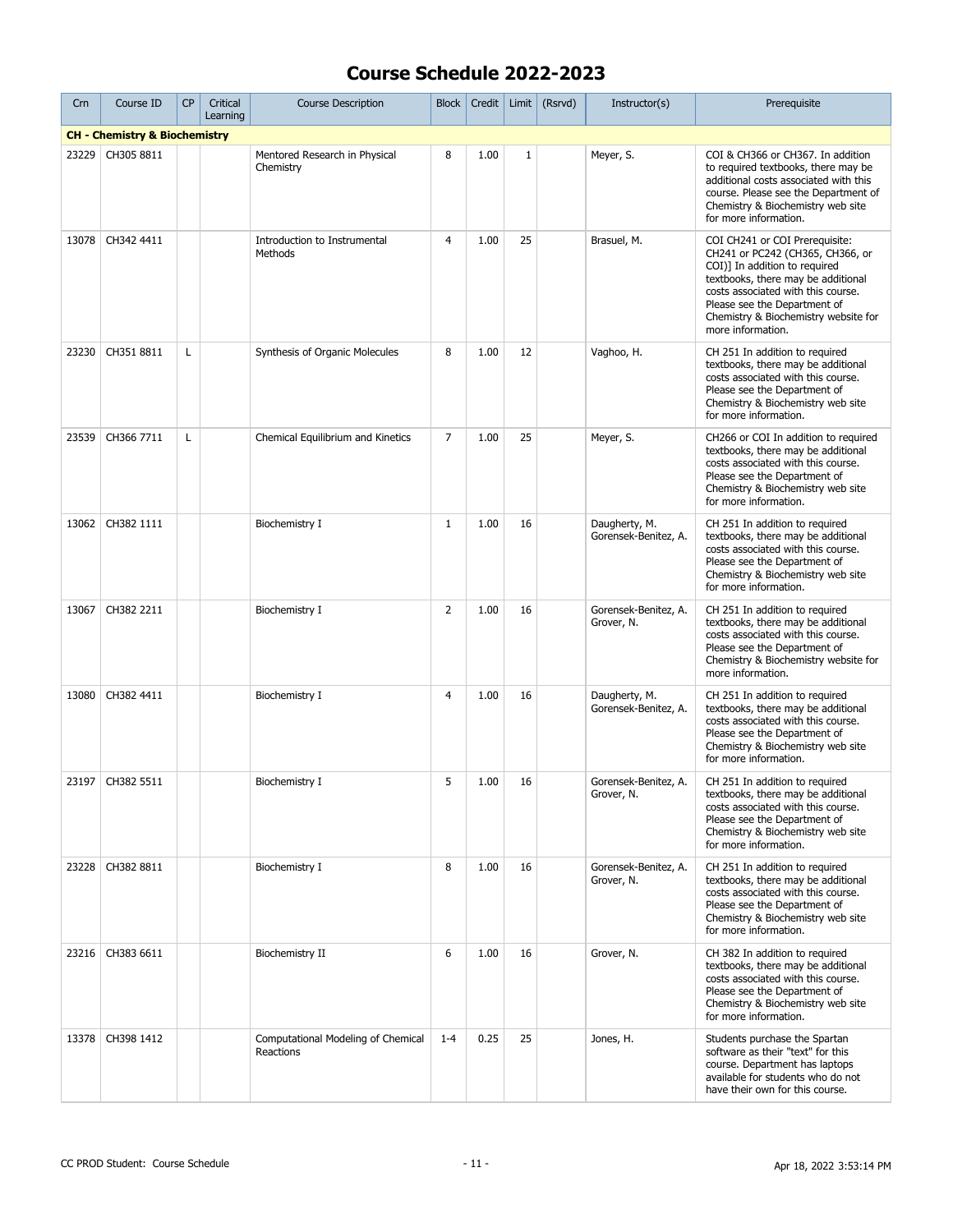| Crn   | Course ID                                | <b>CP</b> | Critical<br>Learning | <b>Course Description</b>                       | <b>Block</b>   | Credit | Limit        | (Rsrvd) | Instructor(s)                         | Prerequisite                                                                                                                                                                                                                                                                 |
|-------|------------------------------------------|-----------|----------------------|-------------------------------------------------|----------------|--------|--------------|---------|---------------------------------------|------------------------------------------------------------------------------------------------------------------------------------------------------------------------------------------------------------------------------------------------------------------------------|
|       | <b>CH - Chemistry &amp; Biochemistry</b> |           |                      |                                                 |                |        |              |         |                                       |                                                                                                                                                                                                                                                                              |
| 23229 | CH305 8811                               |           |                      | Mentored Research in Physical<br>Chemistry      | 8              | 1.00   | $\mathbf{1}$ |         | Meyer, S.                             | COI & CH366 or CH367. In addition<br>to required textbooks, there may be<br>additional costs associated with this<br>course. Please see the Department of<br>Chemistry & Biochemistry web site<br>for more information.                                                      |
| 13078 | CH342 4411                               |           |                      | Introduction to Instrumental<br>Methods         | $\overline{4}$ | 1.00   | 25           |         | Brasuel, M.                           | COI CH241 or COI Prerequisite:<br>CH241 or PC242 (CH365, CH366, or<br>COI)] In addition to required<br>textbooks, there may be additional<br>costs associated with this course.<br>Please see the Department of<br>Chemistry & Biochemistry website for<br>more information. |
| 23230 | CH351 8811                               | L         |                      | Synthesis of Organic Molecules                  | 8              | 1.00   | 12           |         | Vaghoo, H.                            | CH 251 In addition to required<br>textbooks, there may be additional<br>costs associated with this course.<br>Please see the Department of<br>Chemistry & Biochemistry web site<br>for more information.                                                                     |
| 23539 | CH366 7711                               | Г         |                      | Chemical Equilibrium and Kinetics               | $\overline{7}$ | 1.00   | 25           |         | Meyer, S.                             | CH266 or COI In addition to required<br>textbooks, there may be additional<br>costs associated with this course.<br>Please see the Department of<br>Chemistry & Biochemistry web site<br>for more information.                                                               |
| 13062 | CH382 1111                               |           |                      | Biochemistry I                                  | $\mathbf{1}$   | 1.00   | 16           |         | Daugherty, M.<br>Gorensek-Benitez, A. | CH 251 In addition to required<br>textbooks, there may be additional<br>costs associated with this course.<br>Please see the Department of<br>Chemistry & Biochemistry web site<br>for more information.                                                                     |
| 13067 | CH382 2211                               |           |                      | Biochemistry I                                  | $\overline{2}$ | 1.00   | 16           |         | Gorensek-Benitez, A.<br>Grover, N.    | CH 251 In addition to required<br>textbooks, there may be additional<br>costs associated with this course.<br>Please see the Department of<br>Chemistry & Biochemistry website for<br>more information.                                                                      |
| 13080 | CH382 4411                               |           |                      | Biochemistry I                                  | 4              | 1.00   | 16           |         | Daugherty, M.<br>Gorensek-Benitez, A. | CH 251 In addition to required<br>textbooks, there may be additional<br>costs associated with this course.<br>Please see the Department of<br>Chemistry & Biochemistry web site<br>for more information.                                                                     |
|       | 23197   CH382 5511                       |           |                      | Biochemistry I                                  | 5              | 1.00   | 16           |         | Gorensek-Benitez, A.<br>Grover, N.    | CH 251 In addition to required<br>textbooks, there may be additional<br>costs associated with this course.<br>Please see the Department of<br>Chemistry & Biochemistry web site<br>for more information.                                                                     |
| 23228 | CH382 8811                               |           |                      | Biochemistry I                                  | 8              | 1.00   | 16           |         | Gorensek-Benitez, A.<br>Grover, N.    | CH 251 In addition to required<br>textbooks, there may be additional<br>costs associated with this course.<br>Please see the Department of<br>Chemistry & Biochemistry web site<br>for more information.                                                                     |
|       | 23216 CH383 6611                         |           |                      | Biochemistry II                                 | 6              | 1.00   | 16           |         | Grover, N.                            | CH 382 In addition to required<br>textbooks, there may be additional<br>costs associated with this course.<br>Please see the Department of<br>Chemistry & Biochemistry web site<br>for more information.                                                                     |
| 13378 | CH398 1412                               |           |                      | Computational Modeling of Chemical<br>Reactions | $1 - 4$        | 0.25   | 25           |         | Jones, H.                             | Students purchase the Spartan<br>software as their "text" for this<br>course. Department has laptops<br>available for students who do not<br>have their own for this course.                                                                                                 |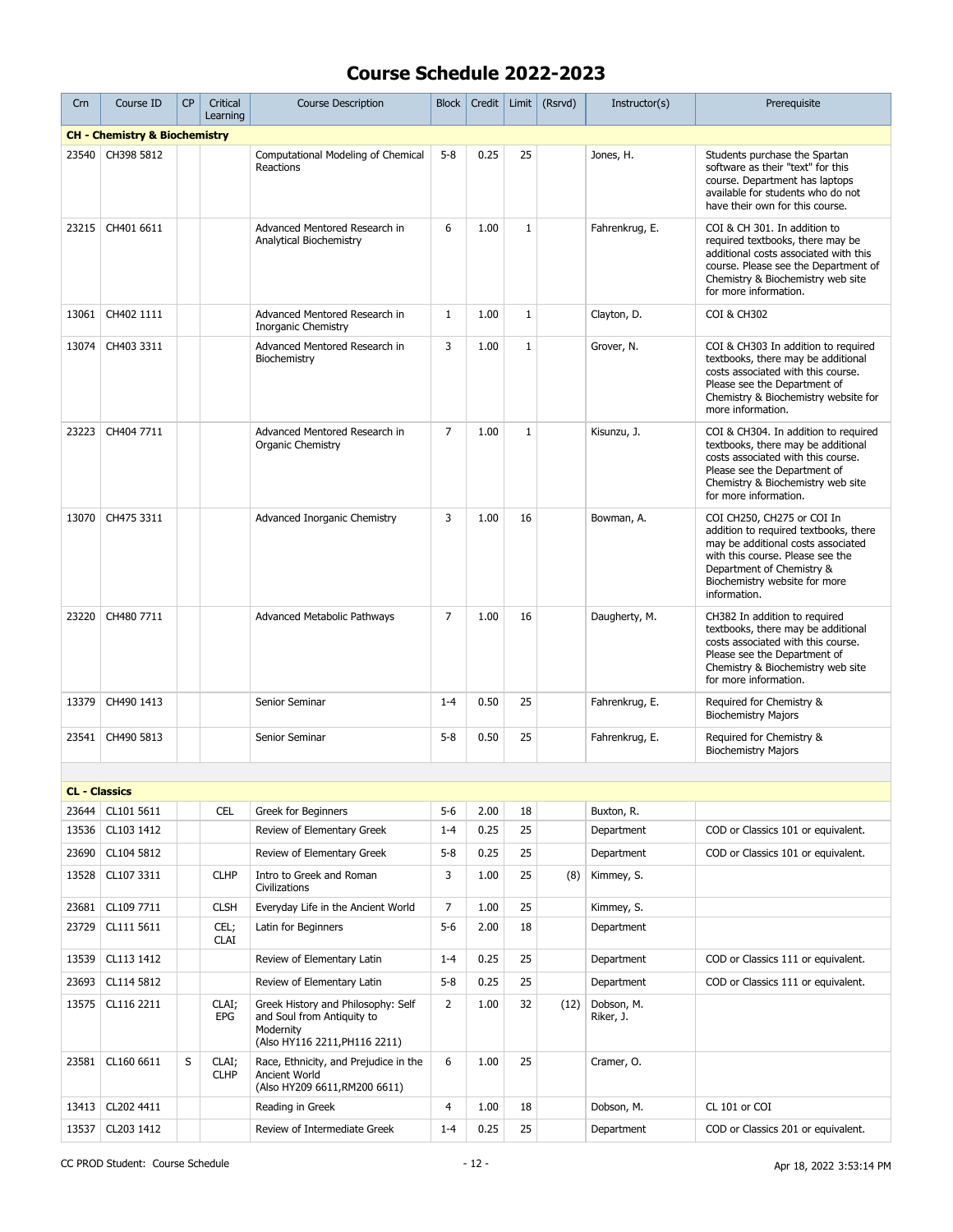| Crn                  | Course ID                                | <b>CP</b> | Critical<br>Learning | <b>Course Description</b>                                                                                      | <b>Block</b>   | Credit | Limit        | (Rsrvd) | Instructor(s)           | Prerequisite                                                                                                                                                                                                                |
|----------------------|------------------------------------------|-----------|----------------------|----------------------------------------------------------------------------------------------------------------|----------------|--------|--------------|---------|-------------------------|-----------------------------------------------------------------------------------------------------------------------------------------------------------------------------------------------------------------------------|
|                      | <b>CH - Chemistry &amp; Biochemistry</b> |           |                      |                                                                                                                |                |        |              |         |                         |                                                                                                                                                                                                                             |
| 23540                | CH398 5812                               |           |                      | Computational Modeling of Chemical<br>Reactions                                                                | $5 - 8$        | 0.25   | 25           |         | Jones, H.               | Students purchase the Spartan<br>software as their "text" for this<br>course. Department has laptops<br>available for students who do not<br>have their own for this course.                                                |
| 23215                | CH401 6611                               |           |                      | Advanced Mentored Research in<br>Analytical Biochemistry                                                       | 6              | 1.00   | $\mathbf{1}$ |         | Fahrenkrug, E.          | COI & CH 301. In addition to<br>required textbooks, there may be<br>additional costs associated with this<br>course. Please see the Department of<br>Chemistry & Biochemistry web site<br>for more information.             |
| 13061                | CH402 1111                               |           |                      | Advanced Mentored Research in<br><b>Inorganic Chemistry</b>                                                    | $\mathbf{1}$   | 1.00   | $1\,$        |         | Clayton, D.             | <b>COI &amp; CH302</b>                                                                                                                                                                                                      |
| 13074                | CH403 3311                               |           |                      | Advanced Mentored Research in<br>Biochemistry                                                                  | 3              | 1.00   | $1\,$        |         | Grover, N.              | COI & CH303 In addition to required<br>textbooks, there may be additional<br>costs associated with this course.<br>Please see the Department of<br>Chemistry & Biochemistry website for<br>more information.                |
| 23223                | CH404 7711                               |           |                      | Advanced Mentored Research in<br>Organic Chemistry                                                             | 7              | 1.00   | $\mathbf{1}$ |         | Kisunzu, J.             | COI & CH304. In addition to required<br>textbooks, there may be additional<br>costs associated with this course.<br>Please see the Department of<br>Chemistry & Biochemistry web site<br>for more information.              |
| 13070                | CH475 3311                               |           |                      | Advanced Inorganic Chemistry                                                                                   | 3              | 1.00   | 16           |         | Bowman, A.              | COI CH250, CH275 or COI In<br>addition to required textbooks, there<br>may be additional costs associated<br>with this course. Please see the<br>Department of Chemistry &<br>Biochemistry website for more<br>information. |
| 23220                | CH480 7711                               |           |                      | Advanced Metabolic Pathways                                                                                    | $\overline{7}$ | 1.00   | 16           |         | Daugherty, M.           | CH382 In addition to required<br>textbooks, there may be additional<br>costs associated with this course.<br>Please see the Department of<br>Chemistry & Biochemistry web site<br>for more information.                     |
| 13379                | CH490 1413                               |           |                      | Senior Seminar                                                                                                 | $1 - 4$        | 0.50   | 25           |         | Fahrenkrug, E.          | Required for Chemistry &<br><b>Biochemistry Majors</b>                                                                                                                                                                      |
| 23541                | CH490 5813                               |           |                      | Senior Seminar                                                                                                 | $5 - 8$        | 0.50   | 25           |         | Fahrenkrug, E.          | Required for Chemistry &<br><b>Biochemistry Majors</b>                                                                                                                                                                      |
|                      |                                          |           |                      |                                                                                                                |                |        |              |         |                         |                                                                                                                                                                                                                             |
| <b>CL - Classics</b> |                                          |           |                      |                                                                                                                |                |        |              |         |                         |                                                                                                                                                                                                                             |
| 23644                | CL101 5611                               |           | <b>CEL</b>           | Greek for Beginners                                                                                            | $5 - 6$        | 2.00   | 18           |         | Buxton, R.              |                                                                                                                                                                                                                             |
| 13536                | CL103 1412                               |           |                      | Review of Elementary Greek                                                                                     | $1 - 4$        | 0.25   | 25           |         | Department              | COD or Classics 101 or equivalent.                                                                                                                                                                                          |
| 23690                | CL104 5812                               |           |                      | Review of Elementary Greek                                                                                     | $5 - 8$        | 0.25   | 25           |         | Department              | COD or Classics 101 or equivalent.                                                                                                                                                                                          |
| 13528                | CL107 3311                               |           | <b>CLHP</b>          | Intro to Greek and Roman<br>Civilizations                                                                      | 3              | 1.00   | 25           | (8)     | Kimmey, S.              |                                                                                                                                                                                                                             |
| 23681                | CL109 7711                               |           | <b>CLSH</b>          | Everyday Life in the Ancient World                                                                             | 7              | 1.00   | 25           |         | Kimmey, S.              |                                                                                                                                                                                                                             |
| 23729                | CL111 5611                               |           | CEL;<br><b>CLAI</b>  | Latin for Beginners                                                                                            | $5 - 6$        | 2.00   | 18           |         | Department              |                                                                                                                                                                                                                             |
| 13539                | CL113 1412                               |           |                      | Review of Elementary Latin                                                                                     | $1 - 4$        | 0.25   | 25           |         | Department              | COD or Classics 111 or equivalent.                                                                                                                                                                                          |
| 23693                | CL114 5812                               |           |                      | Review of Elementary Latin                                                                                     | $5 - 8$        | 0.25   | 25           |         | Department              | COD or Classics 111 or equivalent.                                                                                                                                                                                          |
| 13575                | CL116 2211                               |           | CLAI;<br>EPG         | Greek History and Philosophy: Self<br>and Soul from Antiquity to<br>Modernity<br>(Also HY116 2211, PH116 2211) | $\overline{2}$ | 1.00   | 32           | (12)    | Dobson, M.<br>Riker, J. |                                                                                                                                                                                                                             |
| 23581                | CL160 6611                               | S         | CLAI;<br><b>CLHP</b> | Race, Ethnicity, and Prejudice in the<br>Ancient World<br>(Also HY209 6611, RM200 6611)                        | 6              | 1.00   | 25           |         | Cramer, O.              |                                                                                                                                                                                                                             |
|                      | 13413   CL202 4411                       |           |                      | Reading in Greek                                                                                               | 4              | 1.00   | 18           |         | Dobson, M.              | CL 101 or COI                                                                                                                                                                                                               |
| 13537                | CL203 1412                               |           |                      | Review of Intermediate Greek                                                                                   | $1 - 4$        | 0.25   | 25           |         | Department              | COD or Classics 201 or equivalent.                                                                                                                                                                                          |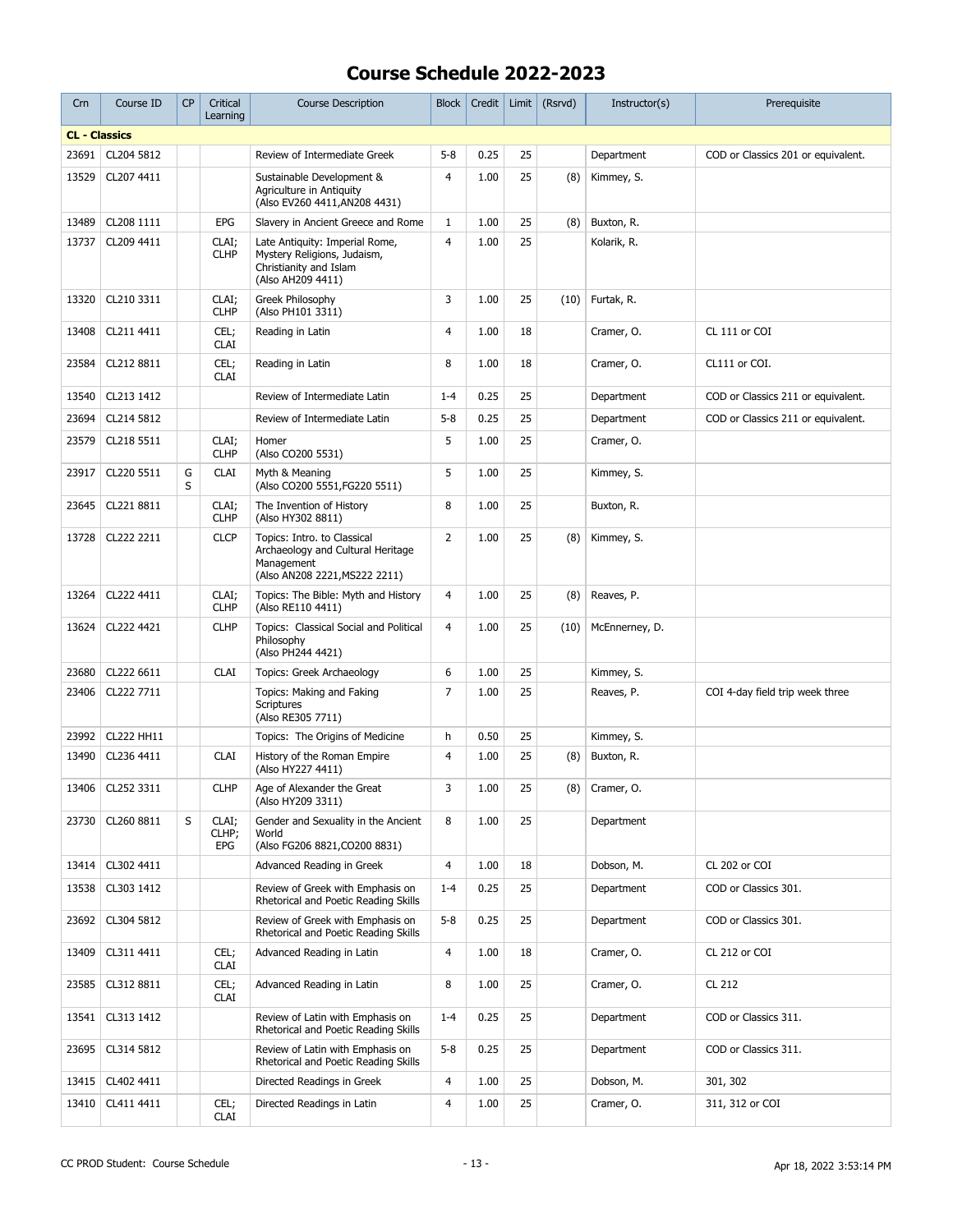| Crn                  | Course ID        | CP     | Critical<br>Learning  | <b>Course Description</b>                                                                                       | <b>Block</b>   | Credit | Limit | (Rsrvd) | Instructor(s)  | Prerequisite                       |
|----------------------|------------------|--------|-----------------------|-----------------------------------------------------------------------------------------------------------------|----------------|--------|-------|---------|----------------|------------------------------------|
| <b>CL - Classics</b> |                  |        |                       |                                                                                                                 |                |        |       |         |                |                                    |
| 23691                | CL204 5812       |        |                       | Review of Intermediate Greek                                                                                    | $5 - 8$        | 0.25   | 25    |         | Department     | COD or Classics 201 or equivalent. |
| 13529                | CL207 4411       |        |                       | Sustainable Development &<br>Agriculture in Antiguity<br>(Also EV260 4411, AN208 4431)                          | 4              | 1.00   | 25    | (8)     | Kimmey, S.     |                                    |
| 13489                | CL208 1111       |        | <b>EPG</b>            | Slavery in Ancient Greece and Rome                                                                              | $\mathbf{1}$   | 1.00   | 25    | (8)     | Buxton, R.     |                                    |
| 13737                | CL209 4411       |        | CLAI;<br><b>CLHP</b>  | Late Antiquity: Imperial Rome,<br>Mystery Religions, Judaism,<br>Christianity and Islam<br>(Also AH209 4411)    | $\overline{4}$ | 1.00   | 25    |         | Kolarik, R.    |                                    |
| 13320                | CL210 3311       |        | CLAI;<br><b>CLHP</b>  | Greek Philosophy<br>(Also PH101 3311)                                                                           | 3              | 1.00   | 25    | (10)    | Furtak, R.     |                                    |
| 13408                | CL211 4411       |        | CEL;<br><b>CLAI</b>   | Reading in Latin                                                                                                | 4              | 1.00   | 18    |         | Cramer, O.     | CL 111 or COI                      |
| 23584                | CL212 8811       |        | CEL;<br><b>CLAI</b>   | Reading in Latin                                                                                                | 8              | 1.00   | 18    |         | Cramer, O.     | CL111 or COI.                      |
| 13540                | CL213 1412       |        |                       | Review of Intermediate Latin                                                                                    | $1 - 4$        | 0.25   | 25    |         | Department     | COD or Classics 211 or equivalent. |
| 23694                | CL214 5812       |        |                       | Review of Intermediate Latin                                                                                    | $5 - 8$        | 0.25   | 25    |         | Department     | COD or Classics 211 or equivalent. |
| 23579                | CL218 5511       |        | CLAI;<br><b>CLHP</b>  | Homer<br>(Also CO200 5531)                                                                                      | 5              | 1.00   | 25    |         | Cramer, O.     |                                    |
| 23917                | CL220 5511       | G<br>S | <b>CLAI</b>           | Myth & Meaning<br>(Also CO200 5551, FG220 5511)                                                                 | 5              | 1.00   | 25    |         | Kimmey, S.     |                                    |
| 23645                | CL221 8811       |        | CLAI;<br><b>CLHP</b>  | The Invention of History<br>(Also HY302 8811)                                                                   | 8              | 1.00   | 25    |         | Buxton, R.     |                                    |
| 13728                | CL222 2211       |        | <b>CLCP</b>           | Topics: Intro. to Classical<br>Archaeology and Cultural Heritage<br>Management<br>(Also AN208 2221, MS222 2211) | $\overline{2}$ | 1.00   | 25    | (8)     | Kimmey, S.     |                                    |
| 13264                | CL222 4411       |        | CLAI;<br><b>CLHP</b>  | Topics: The Bible: Myth and History<br>(Also RE110 4411)                                                        | 4              | 1.00   | 25    | (8)     | Reaves, P.     |                                    |
| 13624                | CL222 4421       |        | <b>CLHP</b>           | Topics: Classical Social and Political<br>Philosophy<br>(Also PH244 4421)                                       | $\overline{4}$ | 1.00   | 25    | (10)    | McEnnerney, D. |                                    |
| 23680                | CL222 6611       |        | <b>CLAI</b>           | Topics: Greek Archaeology                                                                                       | 6              | 1.00   | 25    |         | Kimmey, S.     |                                    |
| 23406                | CL222 7711       |        |                       | Topics: Making and Faking<br><b>Scriptures</b><br>(Also RE305 7711)                                             | 7              | 1.00   | 25    |         | Reaves, P.     | COI 4-day field trip week three    |
| 23992                | CL222 HH11       |        |                       | Topics: The Origins of Medicine                                                                                 | h              | 0.50   | 25    |         | Kimmey, S.     |                                    |
| 13490                | CL236 4411       |        | <b>CLAI</b>           | History of the Roman Empire<br>(Also HY227 4411)                                                                | 4              | 1.00   | 25    | (8)     | Buxton, R.     |                                    |
|                      | 13406 CL252 3311 |        | <b>CLHP</b>           | Age of Alexander the Great<br>(Also HY209 3311)                                                                 | 3              | 1.00   | 25    | (8)     | Cramer, O.     |                                    |
| 23730                | CL260 8811       | S      | CLAI;<br>CLHP;<br>EPG | Gender and Sexuality in the Ancient<br>World<br>(Also FG206 8821, CO200 8831)                                   | 8              | 1.00   | 25    |         | Department     |                                    |
| 13414                | CL302 4411       |        |                       | Advanced Reading in Greek                                                                                       | 4              | 1.00   | 18    |         | Dobson, M.     | CL 202 or COI                      |
| 13538                | CL303 1412       |        |                       | Review of Greek with Emphasis on<br>Rhetorical and Poetic Reading Skills                                        | $1 - 4$        | 0.25   | 25    |         | Department     | COD or Classics 301.               |
| 23692                | CL304 5812       |        |                       | Review of Greek with Emphasis on<br>Rhetorical and Poetic Reading Skills                                        | $5 - 8$        | 0.25   | 25    |         | Department     | COD or Classics 301.               |
| 13409                | CL311 4411       |        | CEL;<br><b>CLAI</b>   | Advanced Reading in Latin                                                                                       | 4              | 1.00   | 18    |         | Cramer, O.     | CL 212 or COI                      |
| 23585                | CL312 8811       |        | CEL;<br><b>CLAI</b>   | Advanced Reading in Latin                                                                                       | 8              | 1.00   | 25    |         | Cramer, O.     | CL 212                             |
| 13541                | CL313 1412       |        |                       | Review of Latin with Emphasis on<br>Rhetorical and Poetic Reading Skills                                        | $1 - 4$        | 0.25   | 25    |         | Department     | COD or Classics 311.               |
| 23695                | CL314 5812       |        |                       | Review of Latin with Emphasis on<br>Rhetorical and Poetic Reading Skills                                        | $5 - 8$        | 0.25   | 25    |         | Department     | COD or Classics 311.               |
| 13415                | CL402 4411       |        |                       | Directed Readings in Greek                                                                                      | 4              | 1.00   | 25    |         | Dobson, M.     | 301, 302                           |
| 13410                | CL411 4411       |        | CEL;<br>CLAI          | Directed Readings in Latin                                                                                      | 4              | 1.00   | 25    |         | Cramer, O.     | 311, 312 or COI                    |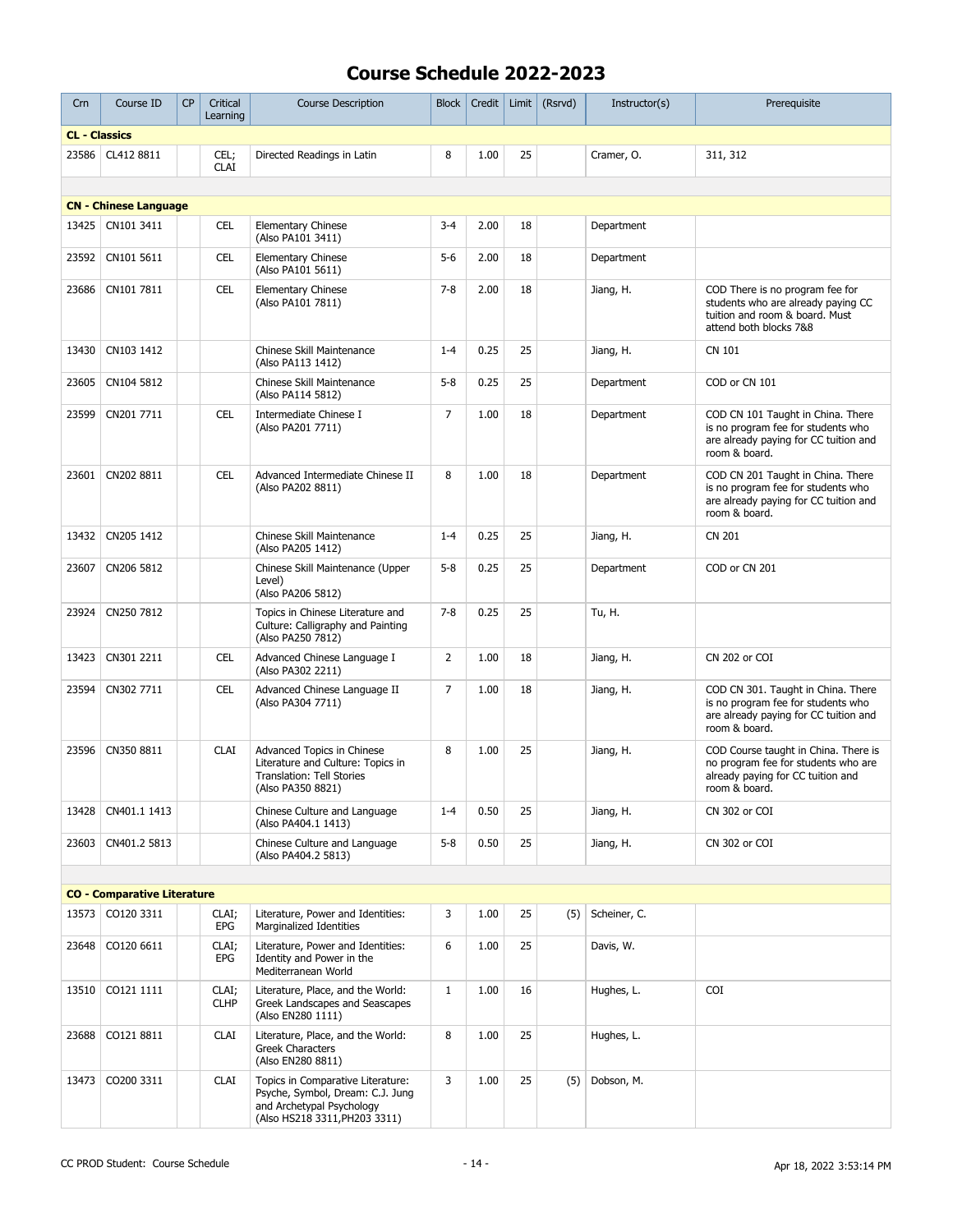| Crn                  | Course ID                          | <b>CP</b> | Critical<br>Learning | <b>Course Description</b>                                                                                                           | Block          | Credit | Limit | (Rsrvd) | Instructor(s) | Prerequisite                                                                                                                       |
|----------------------|------------------------------------|-----------|----------------------|-------------------------------------------------------------------------------------------------------------------------------------|----------------|--------|-------|---------|---------------|------------------------------------------------------------------------------------------------------------------------------------|
| <b>CL - Classics</b> |                                    |           |                      |                                                                                                                                     |                |        |       |         |               |                                                                                                                                    |
|                      | 23586 CL412 8811                   |           | CEL;<br><b>CLAI</b>  | Directed Readings in Latin                                                                                                          | 8              | 1.00   | 25    |         | Cramer, O.    | 311, 312                                                                                                                           |
|                      |                                    |           |                      |                                                                                                                                     |                |        |       |         |               |                                                                                                                                    |
|                      | <b>CN - Chinese Language</b>       |           |                      |                                                                                                                                     |                |        |       |         |               |                                                                                                                                    |
| 13425                | CN101 3411                         |           | <b>CEL</b>           | <b>Elementary Chinese</b><br>(Also PA101 3411)                                                                                      | $3 - 4$        | 2.00   | 18    |         | Department    |                                                                                                                                    |
|                      | 23592 CN101 5611                   |           | <b>CEL</b>           | <b>Elementary Chinese</b><br>(Also PA101 5611)                                                                                      | $5-6$          | 2.00   | 18    |         | Department    |                                                                                                                                    |
| 23686                | CN101 7811                         |           | <b>CEL</b>           | <b>Elementary Chinese</b><br>(Also PA101 7811)                                                                                      | $7 - 8$        | 2.00   | 18    |         | Jiang, H.     | COD There is no program fee for<br>students who are already paying CC<br>tuition and room & board. Must<br>attend both blocks 7&8  |
| 13430                | CN103 1412                         |           |                      | Chinese Skill Maintenance<br>(Also PA113 1412)                                                                                      | $1 - 4$        | 0.25   | 25    |         | Jiang, H.     | CN 101                                                                                                                             |
| 23605                | CN104 5812                         |           |                      | Chinese Skill Maintenance<br>(Also PA114 5812)                                                                                      | $5-8$          | 0.25   | 25    |         | Department    | COD or CN 101                                                                                                                      |
| 23599                | CN201 7711                         |           | <b>CEL</b>           | Intermediate Chinese I<br>(Also PA201 7711)                                                                                         | $\overline{7}$ | 1.00   | 18    |         | Department    | COD CN 101 Taught in China. There<br>is no program fee for students who<br>are already paying for CC tuition and<br>room & board.  |
| 23601                | CN202 8811                         |           | <b>CEL</b>           | Advanced Intermediate Chinese II<br>(Also PA202 8811)                                                                               | 8              | 1.00   | 18    |         | Department    | COD CN 201 Taught in China. There<br>is no program fee for students who<br>are already paying for CC tuition and<br>room & board.  |
| 13432                | CN205 1412                         |           |                      | Chinese Skill Maintenance<br>(Also PA205 1412)                                                                                      | $1 - 4$        | 0.25   | 25    |         | Jiang, H.     | <b>CN 201</b>                                                                                                                      |
| 23607                | CN206 5812                         |           |                      | Chinese Skill Maintenance (Upper<br>Level)<br>(Also PA206 5812)                                                                     | $5 - 8$        | 0.25   | 25    |         | Department    | COD or CN 201                                                                                                                      |
| 23924                | CN250 7812                         |           |                      | Topics in Chinese Literature and<br>Culture: Calligraphy and Painting<br>(Also PA250 7812)                                          | $7 - 8$        | 0.25   | 25    |         | Tu, H.        |                                                                                                                                    |
| 13423                | CN301 2211                         |           | <b>CEL</b>           | Advanced Chinese Language I<br>(Also PA302 2211)                                                                                    | $\overline{2}$ | 1.00   | 18    |         | Jiang, H.     | CN 202 or COI                                                                                                                      |
| 23594                | CN302 7711                         |           | <b>CEL</b>           | Advanced Chinese Language II<br>(Also PA304 7711)                                                                                   | 7              | 1.00   | 18    |         | Jiang, H.     | COD CN 301. Taught in China. There<br>is no program fee for students who<br>are already paying for CC tuition and<br>room & board. |
| 23596                | CN350 8811                         |           | <b>CLAI</b>          | Advanced Topics in Chinese<br>Literature and Culture: Topics in<br>Translation: Tell Stories<br>(Also PA350 8821)                   | 8              | 1.00   | 25    |         | Jiang, H.     | COD Course taught in China. There is<br>no program fee for students who are<br>already paying for CC tuition and<br>room & board.  |
| 13428                | CN401.1 1413                       |           |                      | Chinese Culture and Language<br>(Also PA404.1 1413)                                                                                 | $1 - 4$        | 0.50   | 25    |         | Jiang, H.     | CN 302 or COI                                                                                                                      |
| 23603                | CN401.2 5813                       |           |                      | Chinese Culture and Language<br>(Also PA404.2 5813)                                                                                 | $5 - 8$        | 0.50   | 25    |         | Jiang, H.     | CN 302 or COI                                                                                                                      |
|                      |                                    |           |                      |                                                                                                                                     |                |        |       |         |               |                                                                                                                                    |
|                      | <b>CO - Comparative Literature</b> |           |                      |                                                                                                                                     |                |        |       |         |               |                                                                                                                                    |
| 13573                | CO120 3311                         |           | CLAI;<br>EPG         | Literature, Power and Identities:<br>Marginalized Identities                                                                        | 3              | 1.00   | 25    | (5)     | Scheiner, C.  |                                                                                                                                    |
| 23648                | CO120 6611                         |           | CLAI;<br>EPG         | Literature, Power and Identities:<br>Identity and Power in the<br>Mediterranean World                                               | 6              | 1.00   | 25    |         | Davis, W.     |                                                                                                                                    |
|                      | 13510 CO121 1111                   |           | CLAI;<br><b>CLHP</b> | Literature, Place, and the World:<br>Greek Landscapes and Seascapes<br>(Also EN280 1111)                                            | $\mathbf{1}$   | 1.00   | 16    |         | Hughes, L.    | COI                                                                                                                                |
| 23688                | CO121 8811                         |           | <b>CLAI</b>          | Literature, Place, and the World:<br>Greek Characters<br>(Also EN280 8811)                                                          | 8              | 1.00   | 25    |         | Hughes, L.    |                                                                                                                                    |
| 13473                | CO200 3311                         |           | <b>CLAI</b>          | Topics in Comparative Literature:<br>Psyche, Symbol, Dream: C.J. Jung<br>and Archetypal Psychology<br>(Also HS218 3311, PH203 3311) | 3              | 1.00   | 25    | (5)     | Dobson, M.    |                                                                                                                                    |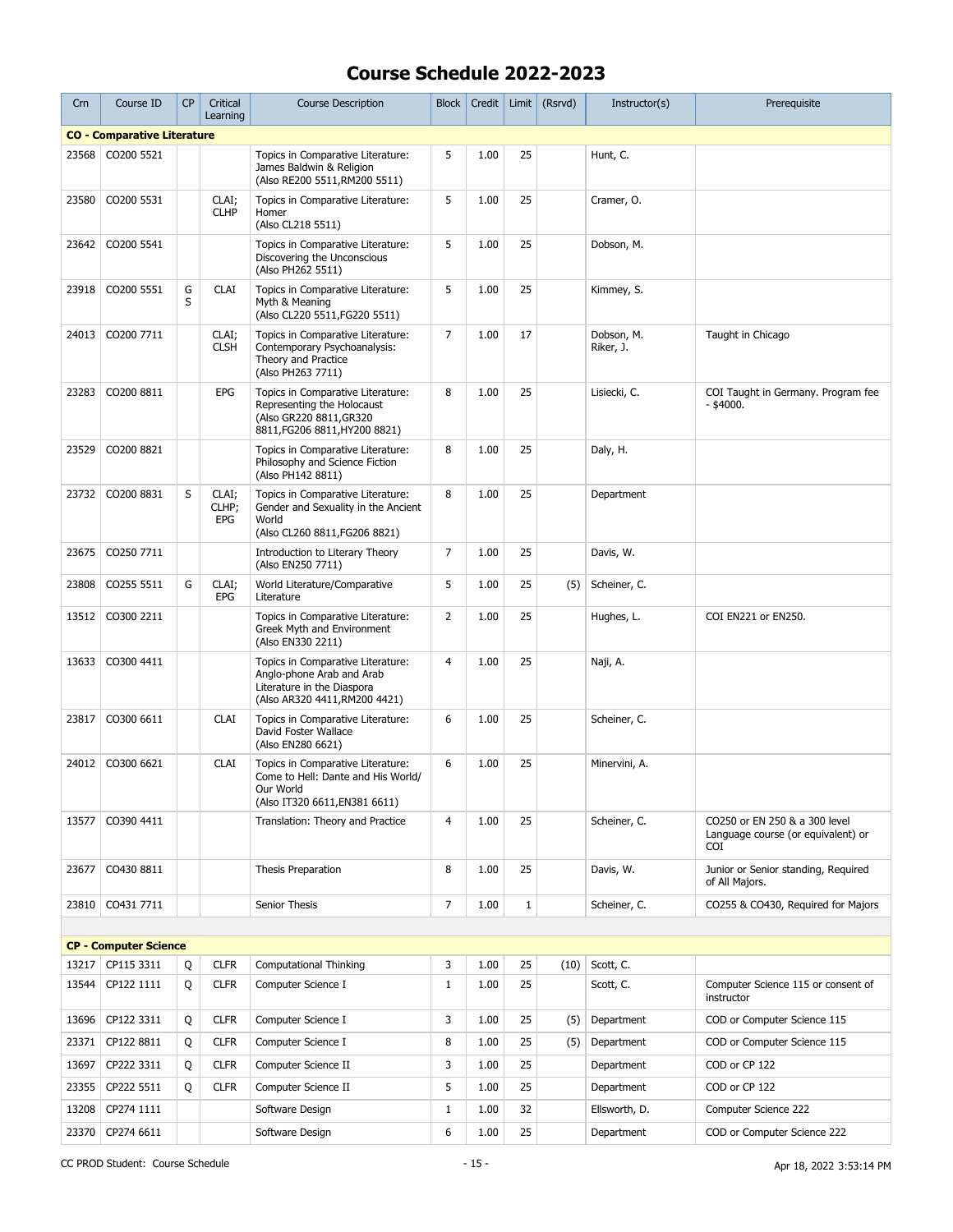| Crn   | Course ID                                  | CP     | Critical<br>Learning         | <b>Course Description</b>                                                                                                     | <b>Block</b>   | Credit | Limit        | (Rsrvd) | Instructor(s)           | Prerequisite                                                                |
|-------|--------------------------------------------|--------|------------------------------|-------------------------------------------------------------------------------------------------------------------------------|----------------|--------|--------------|---------|-------------------------|-----------------------------------------------------------------------------|
|       | <b>CO - Comparative Literature</b>         |        |                              |                                                                                                                               |                |        |              |         |                         |                                                                             |
| 23568 | CO200 5521                                 |        |                              | Topics in Comparative Literature:<br>James Baldwin & Religion<br>(Also RE200 5511, RM200 5511)                                | 5              | 1.00   | 25           |         | Hunt, C.                |                                                                             |
| 23580 | CO200 5531                                 |        | CLAI;<br><b>CLHP</b>         | Topics in Comparative Literature:<br>Homer<br>(Also CL218 5511)                                                               | 5              | 1.00   | 25           |         | Cramer, O.              |                                                                             |
| 23642 | CO200 5541                                 |        |                              | Topics in Comparative Literature:<br>Discovering the Unconscious<br>(Also PH262 5511)                                         | 5              | 1.00   | 25           |         | Dobson, M.              |                                                                             |
| 23918 | CO200 5551                                 | G<br>S | <b>CLAI</b>                  | Topics in Comparative Literature:<br>Myth & Meaning<br>(Also CL220 5511, FG220 5511)                                          | 5              | 1.00   | 25           |         | Kimmey, S.              |                                                                             |
| 24013 | CO200 7711                                 |        | CLAI;<br><b>CLSH</b>         | Topics in Comparative Literature:<br>Contemporary Psychoanalysis:<br>Theory and Practice<br>(Also PH263 7711)                 | 7              | 1.00   | 17           |         | Dobson, M.<br>Riker, J. | Taught in Chicago                                                           |
| 23283 | CO200 8811                                 |        | <b>EPG</b>                   | Topics in Comparative Literature:<br>Representing the Holocaust<br>(Also GR220 8811, GR320<br>8811, FG206 8811, HY200 8821)   | 8              | 1.00   | 25           |         | Lisiecki, C.            | COI Taught in Germany. Program fee<br>$-$ \$4000.                           |
| 23529 | CO200 8821                                 |        |                              | Topics in Comparative Literature:<br>Philosophy and Science Fiction<br>(Also PH142 8811)                                      | 8              | 1.00   | 25           |         | Daly, H.                |                                                                             |
| 23732 | CO200 8831                                 | S      | CLAI;<br>CLHP;<br><b>EPG</b> | Topics in Comparative Literature:<br>Gender and Sexuality in the Ancient<br>World<br>(Also CL260 8811, FG206 8821)            | 8              | 1.00   | 25           |         | Department              |                                                                             |
| 23675 | CO250 7711                                 |        |                              | Introduction to Literary Theory<br>(Also EN250 7711)                                                                          | $\overline{7}$ | 1.00   | 25           |         | Davis, W.               |                                                                             |
| 23808 | CO255 5511                                 | G      | CLAI;<br><b>EPG</b>          | World Literature/Comparative<br>Literature                                                                                    | 5              | 1.00   | 25           | (5)     | Scheiner, C.            |                                                                             |
| 13512 | CO300 2211                                 |        |                              | Topics in Comparative Literature:<br>Greek Myth and Environment<br>(Also EN330 2211)                                          | $\overline{2}$ | 1.00   | 25           |         | Hughes, L.              | COI EN221 or EN250.                                                         |
| 13633 | CO300 4411                                 |        |                              | Topics in Comparative Literature:<br>Anglo-phone Arab and Arab<br>Literature in the Diaspora<br>(Also AR320 4411, RM200 4421) | $\overline{4}$ | 1.00   | 25           |         | Naji, A.                |                                                                             |
| 23817 | CO300 6611                                 |        | <b>CLAI</b>                  | Topics in Comparative Literature:<br>David Foster Wallace<br>(Also EN280 6621)                                                | 6              | 1.00   | 25           |         | Scheiner, C.            |                                                                             |
| 24012 | CO300 6621                                 |        | <b>CLAI</b>                  | Topics in Comparative Literature:<br>Come to Hell: Dante and His World/<br>Our World<br>(Also IT320 6611, EN381 6611)         | 6              | 1.00   | 25           |         | Minervini, A.           |                                                                             |
| 13577 | CO390 4411                                 |        |                              | Translation: Theory and Practice                                                                                              | 4              | 1.00   | 25           |         | Scheiner, C.            | CO250 or EN 250 & a 300 level<br>Language course (or equivalent) or<br>COI. |
| 23677 | CO430 8811                                 |        |                              | Thesis Preparation                                                                                                            | 8              | 1.00   | 25           |         | Davis, W.               | Junior or Senior standing, Reguired<br>of All Majors.                       |
| 23810 | CO431 7711                                 |        |                              | Senior Thesis                                                                                                                 | 7              | 1.00   | $\mathbf{1}$ |         | Scheiner, C.            | CO255 & CO430, Required for Majors                                          |
|       |                                            |        |                              |                                                                                                                               |                |        |              |         |                         |                                                                             |
| 13217 | <b>CP - Computer Science</b><br>CP115 3311 | Q      | <b>CLFR</b>                  | <b>Computational Thinking</b>                                                                                                 | 3              | 1.00   | 25           | (10)    | Scott, C.               |                                                                             |
| 13544 | CP122 1111                                 | Q      | <b>CLFR</b>                  | Computer Science I                                                                                                            | $\mathbf{1}$   | 1.00   | 25           |         | Scott, C.               | Computer Science 115 or consent of<br>instructor                            |
| 13696 | CP122 3311                                 | Q      | <b>CLFR</b>                  | Computer Science I                                                                                                            | 3              | 1.00   | 25           | (5)     | Department              | COD or Computer Science 115                                                 |
| 23371 | CP122 8811                                 | Q      | <b>CLFR</b>                  | Computer Science I                                                                                                            | 8              | 1.00   | 25           | (5)     | Department              | COD or Computer Science 115                                                 |
| 13697 | CP222 3311                                 | Q      | <b>CLFR</b>                  | Computer Science II                                                                                                           | 3              | 1.00   | 25           |         | Department              | COD or CP 122                                                               |
| 23355 | CP222 5511                                 | Q      | <b>CLFR</b>                  | Computer Science II                                                                                                           | 5              | 1.00   | 25           |         | Department              | COD or CP 122                                                               |
| 13208 | CP274 1111                                 |        |                              | Software Design                                                                                                               | $\mathbf{1}$   | 1.00   | 32           |         | Ellsworth, D.           | Computer Science 222                                                        |
| 23370 | CP274 6611                                 |        |                              | Software Design                                                                                                               | 6              | 1.00   | 25           |         | Department              | COD or Computer Science 222                                                 |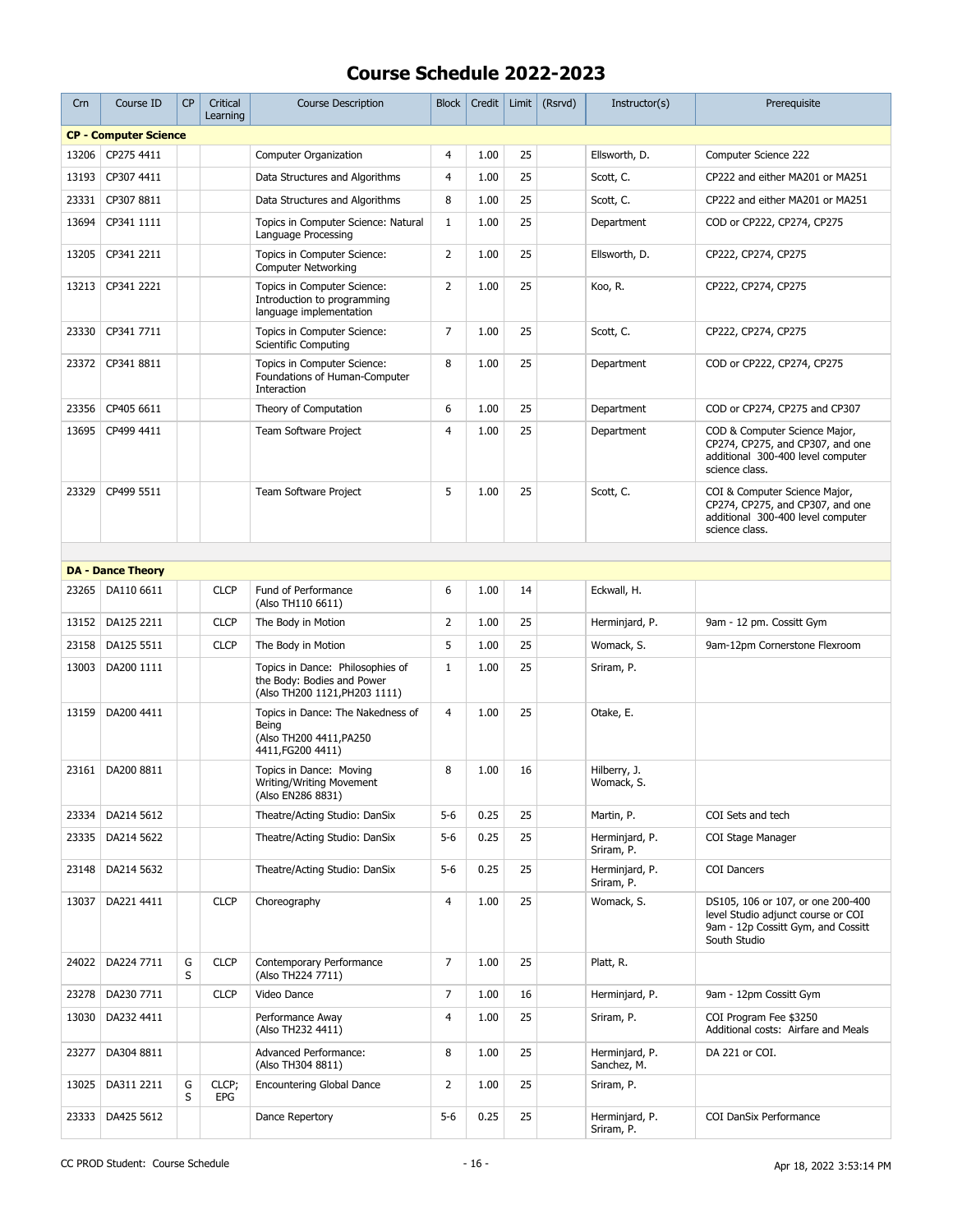| Crn   | Course ID                    | <b>CP</b> | Critical<br>Learning | <b>Course Description</b>                                                                       | <b>Block</b>   | Credit | Limit | (Rsrvd) | Instructor(s)                 | Prerequisite                                                                                                                  |
|-------|------------------------------|-----------|----------------------|-------------------------------------------------------------------------------------------------|----------------|--------|-------|---------|-------------------------------|-------------------------------------------------------------------------------------------------------------------------------|
|       | <b>CP - Computer Science</b> |           |                      |                                                                                                 |                |        |       |         |                               |                                                                                                                               |
| 13206 | CP275 4411                   |           |                      | <b>Computer Organization</b>                                                                    | 4              | 1.00   | 25    |         | Ellsworth, D.                 | Computer Science 222                                                                                                          |
| 13193 | CP307 4411                   |           |                      | Data Structures and Algorithms                                                                  | $\overline{4}$ | 1.00   | 25    |         | Scott, C.                     | CP222 and either MA201 or MA251                                                                                               |
| 23331 | CP307 8811                   |           |                      | Data Structures and Algorithms                                                                  | 8              | 1.00   | 25    |         | Scott, C.                     | CP222 and either MA201 or MA251                                                                                               |
| 13694 | CP341 1111                   |           |                      | Topics in Computer Science: Natural<br>Language Processing                                      | $\mathbf{1}$   | 1.00   | 25    |         | Department                    | COD or CP222, CP274, CP275                                                                                                    |
| 13205 | CP341 2211                   |           |                      | Topics in Computer Science:<br><b>Computer Networking</b>                                       | $\overline{2}$ | 1.00   | 25    |         | Ellsworth, D.                 | CP222, CP274, CP275                                                                                                           |
| 13213 | CP341 2221                   |           |                      | Topics in Computer Science:<br>Introduction to programming<br>language implementation           | $\overline{2}$ | 1.00   | 25    |         | Koo, R.                       | CP222, CP274, CP275                                                                                                           |
| 23330 | CP341 7711                   |           |                      | Topics in Computer Science:<br><b>Scientific Computing</b>                                      | $\overline{7}$ | 1.00   | 25    |         | Scott, C.                     | CP222, CP274, CP275                                                                                                           |
| 23372 | CP341 8811                   |           |                      | Topics in Computer Science:<br>Foundations of Human-Computer<br>Interaction                     | 8              | 1.00   | 25    |         | Department                    | COD or CP222, CP274, CP275                                                                                                    |
| 23356 | CP405 6611                   |           |                      | Theory of Computation                                                                           | 6              | 1.00   | 25    |         | Department                    | COD or CP274, CP275 and CP307                                                                                                 |
| 13695 | CP499 4411                   |           |                      | <b>Team Software Project</b>                                                                    | $\overline{4}$ | 1.00   | 25    |         | Department                    | COD & Computer Science Major,<br>CP274, CP275, and CP307, and one<br>additional 300-400 level computer<br>science class.      |
| 23329 | CP499 5511                   |           |                      | Team Software Project                                                                           | 5              | 1.00   | 25    |         | Scott, C.                     | COI & Computer Science Major,<br>CP274, CP275, and CP307, and one<br>additional 300-400 level computer<br>science class.      |
|       |                              |           |                      |                                                                                                 |                |        |       |         |                               |                                                                                                                               |
|       | <b>DA - Dance Theory</b>     |           |                      |                                                                                                 |                |        |       |         |                               |                                                                                                                               |
| 23265 | DA110 6611                   |           | <b>CLCP</b>          | Fund of Performance<br>(Also TH110 6611)                                                        | 6              | 1.00   | 14    |         | Eckwall, H.                   |                                                                                                                               |
| 13152 | DA125 2211                   |           | <b>CLCP</b>          | The Body in Motion                                                                              | $\overline{2}$ | 1.00   | 25    |         | Herminjard, P.                | 9am - 12 pm. Cossitt Gym                                                                                                      |
| 23158 | DA125 5511                   |           | <b>CLCP</b>          | The Body in Motion                                                                              | 5              | 1.00   | 25    |         | Womack, S.                    | 9am-12pm Cornerstone Flexroom                                                                                                 |
| 13003 | DA200 1111                   |           |                      | Topics in Dance: Philosophies of<br>the Body: Bodies and Power<br>(Also TH200 1121, PH203 1111) | $\mathbf{1}$   | 1.00   | 25    |         | Sriram, P.                    |                                                                                                                               |
| 13159 | DA200 4411                   |           |                      | Topics in Dance: The Nakedness of<br>Being<br>(Also TH200 4411, PA250<br>4411, FG200 4411)      | 4              | 1.00   | 25    |         | Otake, E.                     |                                                                                                                               |
| 23161 | DA200 8811                   |           |                      | Topics in Dance: Moving<br>Writing/Writing Movement<br>(Also EN286 8831)                        | 8              | 1.00   | 16    |         | Hilberry, J.<br>Womack, S.    |                                                                                                                               |
| 23334 | DA214 5612                   |           |                      | Theatre/Acting Studio: DanSix                                                                   | $5-6$          | 0.25   | 25    |         | Martin, P.                    | COI Sets and tech                                                                                                             |
| 23335 | DA214 5622                   |           |                      | Theatre/Acting Studio: DanSix                                                                   | $5-6$          | 0.25   | 25    |         | Herminiard, P.<br>Sriram, P.  | COI Stage Manager                                                                                                             |
| 23148 | DA214 5632                   |           |                      | Theatre/Acting Studio: DanSix                                                                   | $5-6$          | 0.25   | 25    |         | Herminjard, P.<br>Sriram, P.  | <b>COI Dancers</b>                                                                                                            |
| 13037 | DA221 4411                   |           | <b>CLCP</b>          | Choreography                                                                                    | 4              | 1.00   | 25    |         | Womack, S.                    | DS105, 106 or 107, or one 200-400<br>level Studio adjunct course or COI<br>9am - 12p Cossitt Gym, and Cossitt<br>South Studio |
| 24022 | DA224 7711                   | G<br>S    | <b>CLCP</b>          | Contemporary Performance<br>(Also TH224 7711)                                                   | 7              | 1.00   | 25    |         | Platt, R.                     |                                                                                                                               |
| 23278 | DA230 7711                   |           | <b>CLCP</b>          | Video Dance                                                                                     | $\overline{7}$ | 1.00   | 16    |         | Herminjard, P.                | 9am - 12pm Cossitt Gym                                                                                                        |
| 13030 | DA232 4411                   |           |                      | Performance Away<br>(Also TH232 4411)                                                           | $\overline{4}$ | 1.00   | 25    |         | Sriram, P.                    | COI Program Fee \$3250<br>Additional costs: Airfare and Meals                                                                 |
| 23277 | DA304 8811                   |           |                      | Advanced Performance:<br>(Also TH304 8811)                                                      | 8              | 1.00   | 25    |         | Herminjard, P.<br>Sanchez, M. | DA 221 or COI.                                                                                                                |
| 13025 | DA311 2211                   | G<br>S    | CLCP;<br>EPG         | <b>Encountering Global Dance</b>                                                                | $\overline{2}$ | 1.00   | 25    |         | Sriram, P.                    |                                                                                                                               |
| 23333 | DA425 5612                   |           |                      | Dance Repertory                                                                                 | $5-6$          | 0.25   | 25    |         | Herminjard, P.<br>Sriram, P.  | COI DanSix Performance                                                                                                        |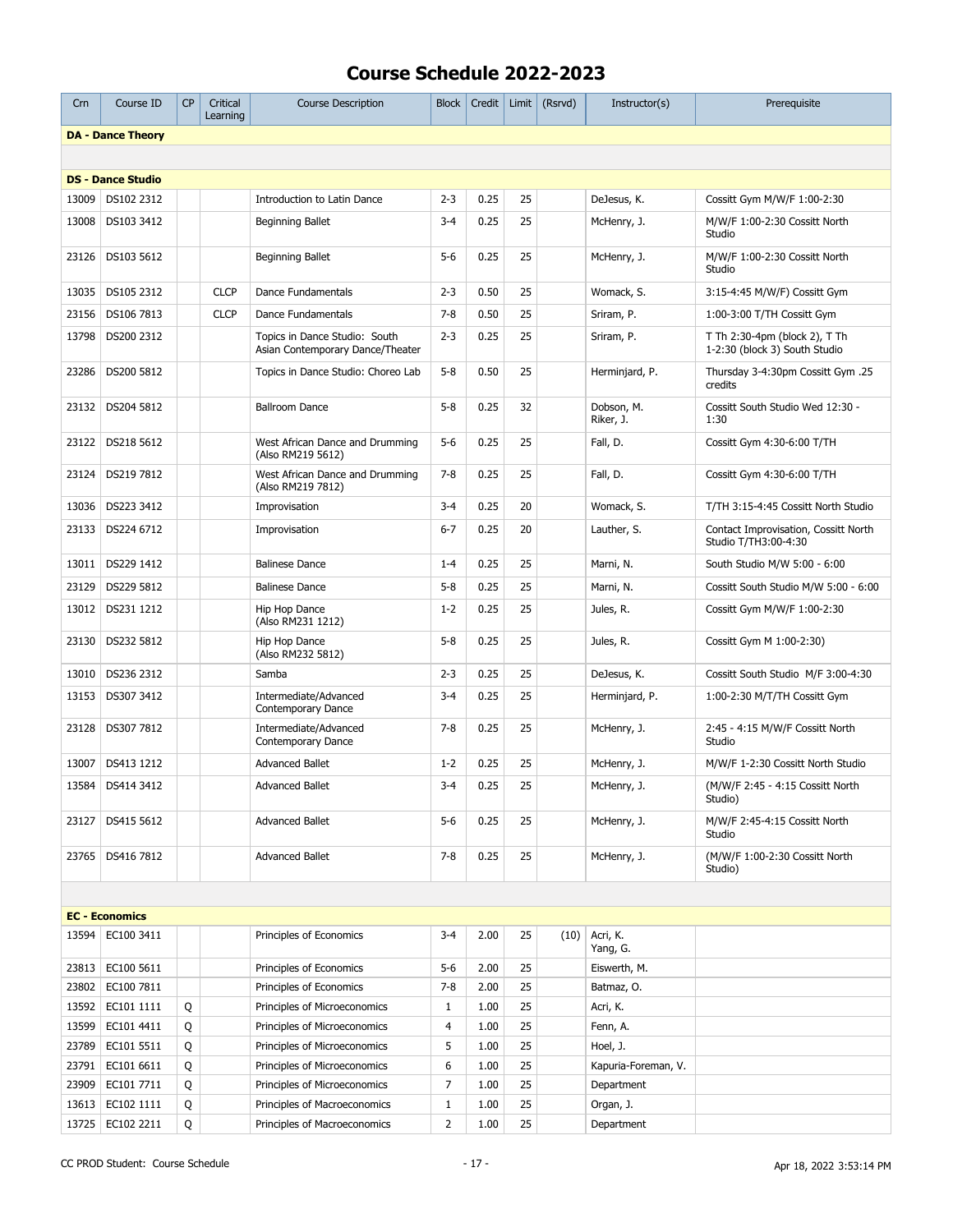| Crn   | Course ID                              | <b>CP</b> | Critical<br>Learning | <b>Course Description</b>                                         | <b>Block</b>   | Credit       |          | Limit $(Rsrvd)$ | Instructor(s)                   | Prerequisite                                                   |
|-------|----------------------------------------|-----------|----------------------|-------------------------------------------------------------------|----------------|--------------|----------|-----------------|---------------------------------|----------------------------------------------------------------|
|       | <b>DA - Dance Theory</b>               |           |                      |                                                                   |                |              |          |                 |                                 |                                                                |
|       |                                        |           |                      |                                                                   |                |              |          |                 |                                 |                                                                |
|       | <b>DS - Dance Studio</b>               |           |                      |                                                                   |                |              |          |                 |                                 |                                                                |
| 13009 | DS102 2312                             |           |                      | Introduction to Latin Dance                                       | $2 - 3$        | 0.25         | 25       |                 | DeJesus, K.                     | Cossitt Gym M/W/F 1:00-2:30                                    |
| 13008 | DS103 3412                             |           |                      | Beginning Ballet                                                  | $3 - 4$        | 0.25         | 25       |                 | McHenry, J.                     | M/W/F 1:00-2:30 Cossitt North<br>Studio                        |
| 23126 | DS103 5612                             |           |                      | Beginning Ballet                                                  | $5 - 6$        | 0.25         | 25       |                 | McHenry, J.                     | M/W/F 1:00-2:30 Cossitt North<br>Studio                        |
| 13035 | DS105 2312                             |           | <b>CLCP</b>          | Dance Fundamentals                                                | $2 - 3$        | 0.50         | 25       |                 | Womack, S.                      | 3:15-4:45 M/W/F) Cossitt Gym                                   |
| 23156 | DS106 7813                             |           | <b>CLCP</b>          | Dance Fundamentals                                                | $7 - 8$        | 0.50         | 25       |                 | Sriram, P.                      | 1:00-3:00 T/TH Cossitt Gym                                     |
| 13798 | DS200 2312                             |           |                      | Topics in Dance Studio: South<br>Asian Contemporary Dance/Theater | $2 - 3$        | 0.25         | 25       |                 | Sriram, P.                      | T Th 2:30-4pm (block 2), T Th<br>1-2:30 (block 3) South Studio |
| 23286 | DS200 5812                             |           |                      | Topics in Dance Studio: Choreo Lab                                | $5 - 8$        | 0.50         | 25       |                 | Herminjard, P.                  | Thursday 3-4:30pm Cossitt Gym .25<br>credits                   |
| 23132 | DS204 5812                             |           |                      | <b>Ballroom Dance</b>                                             | $5 - 8$        | 0.25         | 32       |                 | Dobson, M.<br>Riker, J.         | Cossitt South Studio Wed 12:30 -<br>1:30                       |
| 23122 | DS218 5612                             |           |                      | West African Dance and Drumming<br>(Also RM219 5612)              | $5-6$          | 0.25         | 25       |                 | Fall, D.                        | Cossitt Gym 4:30-6:00 T/TH                                     |
| 23124 | DS219 7812                             |           |                      | West African Dance and Drumming<br>(Also RM219 7812)              | $7 - 8$        | 0.25         | 25       |                 | Fall, D.                        | Cossitt Gym 4:30-6:00 T/TH                                     |
| 13036 | DS223 3412                             |           |                      | Improvisation                                                     | $3 - 4$        | 0.25         | 20       |                 | Womack, S.                      | T/TH 3:15-4:45 Cossitt North Studio                            |
| 23133 | DS224 6712                             |           |                      | Improvisation                                                     | $6 - 7$        | 0.25         | 20       |                 | Lauther, S.                     | Contact Improvisation, Cossitt North<br>Studio T/TH3:00-4:30   |
|       | 13011   DS229 1412                     |           |                      | <b>Balinese Dance</b>                                             | $1 - 4$        | 0.25         | 25       |                 | Marni, N.                       | South Studio M/W 5:00 - 6:00                                   |
| 23129 | DS229 5812                             |           |                      | <b>Balinese Dance</b>                                             | $5 - 8$        | 0.25         | 25       |                 | Marni, N.                       | Cossitt South Studio M/W 5:00 - 6:00                           |
| 13012 | DS231 1212                             |           |                      | Hip Hop Dance<br>(Also RM231 1212)                                | $1 - 2$        | 0.25         | 25       |                 | Jules, R.                       | Cossitt Gym M/W/F 1:00-2:30                                    |
| 23130 | DS232 5812                             |           |                      | Hip Hop Dance<br>(Also RM232 5812)                                | $5 - 8$        | 0.25         | 25       |                 | Jules, R.                       | Cossitt Gym M 1:00-2:30)                                       |
| 13010 | DS236 2312                             |           |                      | Samba                                                             | $2 - 3$        | 0.25         | 25       |                 | DeJesus, K.                     | Cossitt South Studio M/F 3:00-4:30                             |
| 13153 | DS307 3412                             |           |                      | Intermediate/Advanced<br><b>Contemporary Dance</b>                | $3 - 4$        | 0.25         | 25       |                 | Herminjard, P.                  | 1:00-2:30 M/T/TH Cossitt Gym                                   |
| 23128 | DS307 7812                             |           |                      | Intermediate/Advanced<br><b>Contemporary Dance</b>                | $7 - 8$        | 0.25         | 25       |                 | McHenry, J.                     | 2:45 - 4:15 M/W/F Cossitt North<br>Studio                      |
|       | 13007 DS413 1212                       |           |                      | <b>Advanced Ballet</b>                                            | $1 - 2$        | 0.25         | 25       |                 | McHenry, J.                     | M/W/F 1-2:30 Cossitt North Studio                              |
|       | 13584 DS414 3412                       |           |                      | <b>Advanced Ballet</b>                                            | $3 - 4$        | 0.25         | 25       |                 | McHenry, J.                     | (M/W/F 2:45 - 4:15 Cossitt North<br>Studio)                    |
|       | 23127   DS415 5612                     |           |                      | <b>Advanced Ballet</b>                                            | $5-6$          | 0.25         | 25       |                 | McHenry, J.                     | M/W/F 2:45-4:15 Cossitt North<br>Studio                        |
|       | 23765   DS416 7812                     |           |                      | <b>Advanced Ballet</b>                                            | $7 - 8$        | 0.25         | 25       |                 | McHenry, J.                     | (M/W/F 1:00-2:30 Cossitt North<br>Studio)                      |
|       |                                        |           |                      |                                                                   |                |              |          |                 |                                 |                                                                |
|       | <b>EC - Economics</b>                  |           |                      |                                                                   |                |              |          |                 |                                 |                                                                |
|       | 13594 EC100 3411                       |           |                      | Principles of Economics                                           | $3 - 4$        | 2.00         | 25       | (10)            | Acri, K.<br>Yang, G.            |                                                                |
|       | 23813 EC100 5611                       |           |                      | Principles of Economics                                           | $5-6$          | 2.00         | 25       |                 | Eiswerth, M.                    |                                                                |
|       | 23802 EC100 7811                       |           |                      | Principles of Economics                                           | $7 - 8$        | 2.00         | 25       |                 | Batmaz, O.                      |                                                                |
|       | 13592 EC101 1111                       | Q         |                      | Principles of Microeconomics                                      | 1              | 1.00         | 25       |                 | Acri, K.                        |                                                                |
|       | 13599 EC101 4411                       | Q         |                      | Principles of Microeconomics                                      | 4<br>5         | 1.00         | 25<br>25 |                 | Fenn, A.                        |                                                                |
|       | 23789 EC101 5511<br>23791   EC101 6611 | Q<br>Q    |                      | Principles of Microeconomics<br>Principles of Microeconomics      | 6              | 1.00<br>1.00 | 25       |                 | Hoel, J.<br>Kapuria-Foreman, V. |                                                                |
|       | 23909 EC101 7711                       | Q         |                      | Principles of Microeconomics                                      | 7              | 1.00         | 25       |                 | Department                      |                                                                |
|       | 13613 EC102 1111                       | Q         |                      | Principles of Macroeconomics                                      | $\mathbf{1}$   | 1.00         | 25       |                 | Organ, J.                       |                                                                |
|       | 13725 EC102 2211                       | Q         |                      | Principles of Macroeconomics                                      | $\overline{2}$ | 1.00         | 25       |                 | Department                      |                                                                |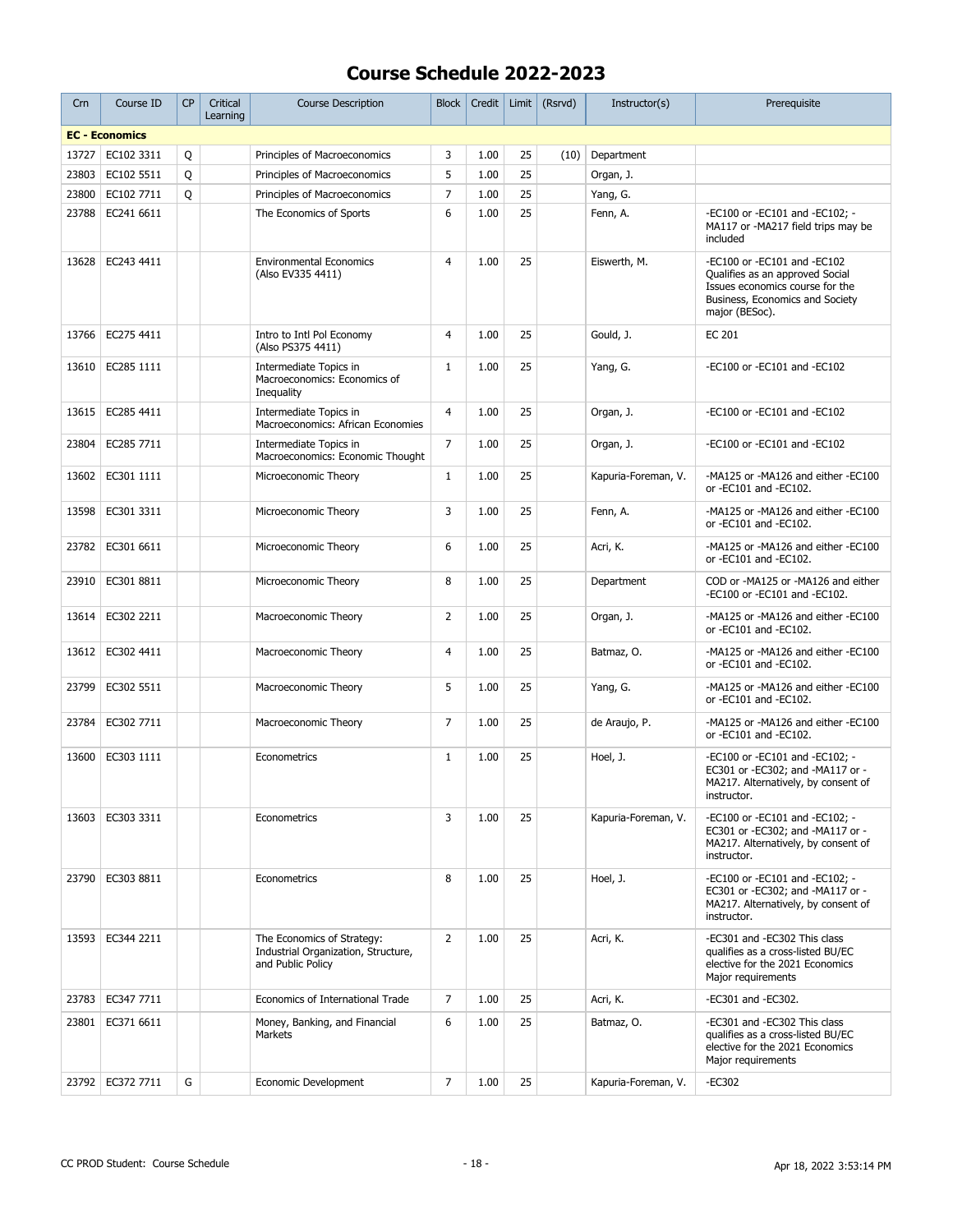| Crn   | Course ID             | <b>CP</b> | Critical<br>Learning | <b>Course Description</b>                                                              | Block          | Credit |    | Limit $(Rsrvd)$ | Instructor(s)       | Prerequisite                                                                                                                                           |
|-------|-----------------------|-----------|----------------------|----------------------------------------------------------------------------------------|----------------|--------|----|-----------------|---------------------|--------------------------------------------------------------------------------------------------------------------------------------------------------|
|       | <b>EC - Economics</b> |           |                      |                                                                                        |                |        |    |                 |                     |                                                                                                                                                        |
| 13727 | EC102 3311            | Q         |                      | Principles of Macroeconomics                                                           | 3              | 1.00   | 25 | (10)            | Department          |                                                                                                                                                        |
| 23803 | EC102 5511            | Q         |                      | Principles of Macroeconomics                                                           | 5              | 1.00   | 25 |                 | Organ, J.           |                                                                                                                                                        |
| 23800 | EC102 7711            | Q         |                      | Principles of Macroeconomics                                                           | $\overline{7}$ | 1.00   | 25 |                 | Yang, G.            |                                                                                                                                                        |
| 23788 | EC241 6611            |           |                      | The Economics of Sports                                                                | 6              | 1.00   | 25 |                 | Fenn, A.            | -EC100 or -EC101 and -EC102; -<br>MA117 or -MA217 field trips may be<br>included                                                                       |
| 13628 | EC243 4411            |           |                      | <b>Environmental Economics</b><br>(Also EV335 4411)                                    | $\overline{4}$ | 1.00   | 25 |                 | Eiswerth, M.        | -EC100 or -EC101 and -EC102<br>Qualifies as an approved Social<br>Issues economics course for the<br>Business, Economics and Society<br>major (BESoc). |
| 13766 | EC275 4411            |           |                      | Intro to Intl Pol Economy<br>(Also PS375 4411)                                         | $\overline{4}$ | 1.00   | 25 |                 | Gould, J.           | EC 201                                                                                                                                                 |
| 13610 | EC285 1111            |           |                      | Intermediate Topics in<br>Macroeconomics: Economics of<br>Inequality                   | $\mathbf{1}$   | 1.00   | 25 |                 | Yang, G.            | -EC100 or -EC101 and -EC102                                                                                                                            |
| 13615 | EC285 4411            |           |                      | Intermediate Topics in<br>Macroeconomics: African Economies                            | 4              | 1.00   | 25 |                 | Organ, J.           | -EC100 or -EC101 and -EC102                                                                                                                            |
| 23804 | EC285 7711            |           |                      | Intermediate Topics in<br>Macroeconomics: Economic Thought                             | $\overline{7}$ | 1.00   | 25 |                 | Organ, J.           | -EC100 or -EC101 and -EC102                                                                                                                            |
| 13602 | EC301 1111            |           |                      | Microeconomic Theory                                                                   | $\mathbf{1}$   | 1.00   | 25 |                 | Kapuria-Foreman, V. | -MA125 or -MA126 and either -EC100<br>or -EC101 and -EC102.                                                                                            |
| 13598 | EC301 3311            |           |                      | Microeconomic Theory                                                                   | 3              | 1.00   | 25 |                 | Fenn, A.            | -MA125 or -MA126 and either -EC100<br>or -EC101 and -EC102.                                                                                            |
| 23782 | EC301 6611            |           |                      | Microeconomic Theory                                                                   | 6              | 1.00   | 25 |                 | Acri, K.            | -MA125 or -MA126 and either -EC100<br>or -EC101 and -EC102.                                                                                            |
| 23910 | EC301 8811            |           |                      | Microeconomic Theory                                                                   | 8              | 1.00   | 25 |                 | Department          | COD or -MA125 or -MA126 and either<br>-EC100 or -EC101 and -EC102.                                                                                     |
| 13614 | EC302 2211            |           |                      | Macroeconomic Theory                                                                   | $\overline{2}$ | 1.00   | 25 |                 | Organ, J.           | -MA125 or -MA126 and either -EC100<br>or -EC101 and -EC102.                                                                                            |
| 13612 | EC302 4411            |           |                      | Macroeconomic Theory                                                                   | 4              | 1.00   | 25 |                 | Batmaz, O.          | -MA125 or -MA126 and either -EC100<br>or -EC101 and -EC102.                                                                                            |
| 23799 | EC302 5511            |           |                      | Macroeconomic Theory                                                                   | 5              | 1.00   | 25 |                 | Yang, G.            | -MA125 or -MA126 and either -EC100<br>or -EC101 and -EC102.                                                                                            |
| 23784 | EC302 7711            |           |                      | Macroeconomic Theory                                                                   | $\overline{7}$ | 1.00   | 25 |                 | de Araujo, P.       | -MA125 or -MA126 and either -EC100<br>or -EC101 and -EC102.                                                                                            |
| 13600 | EC303 1111            |           |                      | Econometrics                                                                           | $\mathbf{1}$   | 1.00   | 25 |                 | Hoel, J.            | -EC100 or -EC101 and -EC102; -<br>EC301 or -EC302: and -MA117 or -<br>MA217. Alternatively, by consent of<br>instructor.                               |
| 13603 | EC303 3311            |           |                      | Econometrics                                                                           | 3              | 1.00   | 25 |                 | Kapuria-Foreman, V. | -EC100 or -EC101 and -EC102; -<br>EC301 or -EC302; and -MA117 or -<br>MA217. Alternatively, by consent of<br>instructor.                               |
| 23790 | EC303 8811            |           |                      | Econometrics                                                                           | 8              | 1.00   | 25 |                 | Hoel, J.            | -EC100 or -EC101 and -EC102; -<br>EC301 or -EC302; and -MA117 or -<br>MA217. Alternatively, by consent of<br>instructor.                               |
| 13593 | EC344 2211            |           |                      | The Economics of Strategy:<br>Industrial Organization, Structure,<br>and Public Policy | $\overline{2}$ | 1.00   | 25 |                 | Acri, K.            | -EC301 and -EC302 This class<br>qualifies as a cross-listed BU/EC<br>elective for the 2021 Economics<br>Major requirements                             |
| 23783 | EC347 7711            |           |                      | Economics of International Trade                                                       | $\overline{7}$ | 1.00   | 25 |                 | Acri, K.            | -EC301 and -EC302.                                                                                                                                     |
| 23801 | EC371 6611            |           |                      | Money, Banking, and Financial<br>Markets                                               | 6              | 1.00   | 25 |                 | Batmaz, O.          | -EC301 and -EC302 This class<br>qualifies as a cross-listed BU/EC<br>elective for the 2021 Economics<br>Major requirements                             |
| 23792 | EC372 7711            | G         |                      | Economic Development                                                                   | 7              | 1.00   | 25 |                 | Kapuria-Foreman, V. | $-EC302$                                                                                                                                               |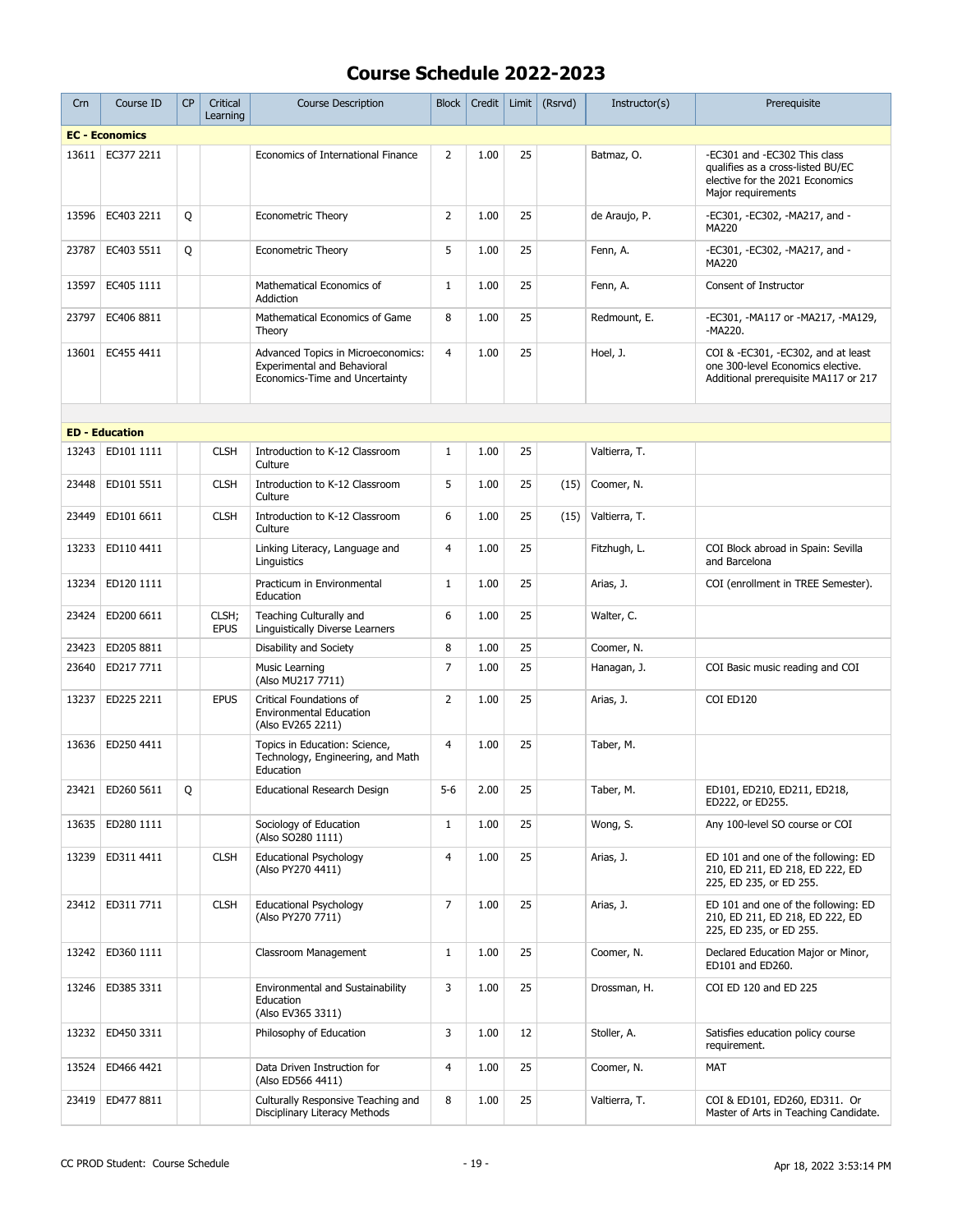| Crn   | Course ID             | <b>CP</b> | Critical<br>Learning | <b>Course Description</b>                                                                                  | <b>Block</b>   | Credit | Limit | (Rsrvd) | Instructor(s) | Prerequisite                                                                                                               |
|-------|-----------------------|-----------|----------------------|------------------------------------------------------------------------------------------------------------|----------------|--------|-------|---------|---------------|----------------------------------------------------------------------------------------------------------------------------|
|       | <b>EC - Economics</b> |           |                      |                                                                                                            |                |        |       |         |               |                                                                                                                            |
| 13611 | EC377 2211            |           |                      | Economics of International Finance                                                                         | $\overline{2}$ | 1.00   | 25    |         | Batmaz, O.    | -EC301 and -EC302 This class<br>qualifies as a cross-listed BU/EC<br>elective for the 2021 Economics<br>Major requirements |
| 13596 | EC403 2211            | Q         |                      | <b>Econometric Theory</b>                                                                                  | $\overline{2}$ | 1.00   | 25    |         | de Araujo, P. | -EC301, -EC302, -MA217, and -<br>MA220                                                                                     |
| 23787 | EC403 5511            | Q         |                      | <b>Econometric Theory</b>                                                                                  | 5              | 1.00   | 25    |         | Fenn, A.      | -EC301, -EC302, -MA217, and -<br><b>MA220</b>                                                                              |
| 13597 | EC405 1111            |           |                      | Mathematical Economics of<br>Addiction                                                                     | $\mathbf{1}$   | 1.00   | 25    |         | Fenn, A.      | Consent of Instructor                                                                                                      |
| 23797 | EC406 8811            |           |                      | Mathematical Economics of Game<br>Theory                                                                   | 8              | 1.00   | 25    |         | Redmount, E.  | -EC301, -MA117 or -MA217, -MA129,<br>-MA220.                                                                               |
| 13601 | EC455 4411            |           |                      | Advanced Topics in Microeconomics:<br><b>Experimental and Behavioral</b><br>Economics-Time and Uncertainty | $\overline{4}$ | 1.00   | 25    |         | Hoel, J.      | COI & -EC301, -EC302, and at least<br>one 300-level Economics elective.<br>Additional prerequisite MA117 or 217            |
|       |                       |           |                      |                                                                                                            |                |        |       |         |               |                                                                                                                            |
|       | <b>ED - Education</b> |           |                      |                                                                                                            |                |        |       |         |               |                                                                                                                            |
| 13243 | ED101 1111            |           | <b>CLSH</b>          | Introduction to K-12 Classroom<br>Culture                                                                  | $\mathbf{1}$   | 1.00   | 25    |         | Valtierra, T. |                                                                                                                            |
| 23448 | ED101 5511            |           | <b>CLSH</b>          | Introduction to K-12 Classroom<br>Culture                                                                  | 5              | 1.00   | 25    | (15)    | Coomer, N.    |                                                                                                                            |
| 23449 | ED101 6611            |           | <b>CLSH</b>          | Introduction to K-12 Classroom<br>Culture                                                                  | 6              | 1.00   | 25    | (15)    | Valtierra, T. |                                                                                                                            |
| 13233 | ED110 4411            |           |                      | Linking Literacy, Language and<br>Linguistics                                                              | $\overline{4}$ | 1.00   | 25    |         | Fitzhugh, L.  | COI Block abroad in Spain: Sevilla<br>and Barcelona                                                                        |
| 13234 | ED120 1111            |           |                      | Practicum in Environmental<br>Education                                                                    | $\mathbf{1}$   | 1.00   | 25    |         | Arias, J.     | COI (enrollment in TREE Semester).                                                                                         |
| 23424 | ED200 6611            |           | CLSH;<br><b>EPUS</b> | Teaching Culturally and<br><b>Linguistically Diverse Learners</b>                                          | 6              | 1.00   | 25    |         | Walter, C.    |                                                                                                                            |
| 23423 | ED205 8811            |           |                      | Disability and Society                                                                                     | 8              | 1.00   | 25    |         | Coomer, N.    |                                                                                                                            |
| 23640 | ED217 7711            |           |                      | Music Learning<br>(Also MU217 7711)                                                                        | $\overline{7}$ | 1.00   | 25    |         | Hanagan, J.   | COI Basic music reading and COI                                                                                            |
| 13237 | ED225 2211            |           | <b>EPUS</b>          | Critical Foundations of<br><b>Environmental Education</b><br>(Also EV265 2211)                             | $\overline{2}$ | 1.00   | 25    |         | Arias, J.     | COI ED120                                                                                                                  |
| 13636 | ED250 4411            |           |                      | Topics in Education: Science,<br>Technology, Engineering, and Math<br>Education                            | $\overline{4}$ | 1.00   | 25    |         | Taber, M.     |                                                                                                                            |
| 23421 | ED260 5611            | Q         |                      | Educational Research Design                                                                                | $5-6$          | 2.00   | 25    |         | Taber, M.     | ED101, ED210, ED211, ED218,<br>ED222, or ED255.                                                                            |
|       | 13635   ED280 1111    |           |                      | Sociology of Education<br>(Also SO280 1111)                                                                | $\mathbf{1}$   | 1.00   | 25    |         | Wong, S.      | Any 100-level SO course or COI                                                                                             |
| 13239 | ED311 4411            |           | <b>CLSH</b>          | <b>Educational Psychology</b><br>(Also PY270 4411)                                                         | 4              | 1.00   | 25    |         | Arias, J.     | ED 101 and one of the following: ED<br>210, ED 211, ED 218, ED 222, ED<br>225, ED 235, or ED 255.                          |
|       | 23412   ED311 7711    |           | <b>CLSH</b>          | <b>Educational Psychology</b><br>(Also PY270 7711)                                                         | 7              | 1.00   | 25    |         | Arias, J.     | ED 101 and one of the following: ED<br>210, ED 211, ED 218, ED 222, ED<br>225, ED 235, or ED 255.                          |
| 13242 | ED360 1111            |           |                      | Classroom Management                                                                                       | $\mathbf{1}$   | 1.00   | 25    |         | Coomer, N.    | Declared Education Major or Minor,<br>ED101 and ED260.                                                                     |
| 13246 | ED385 3311            |           |                      | <b>Environmental and Sustainability</b><br>Education<br>(Also EV365 3311)                                  | 3              | 1.00   | 25    |         | Drossman, H.  | COI ED 120 and ED 225                                                                                                      |
| 13232 | ED450 3311            |           |                      | Philosophy of Education                                                                                    | 3              | 1.00   | 12    |         | Stoller, A.   | Satisfies education policy course<br>requirement.                                                                          |
| 13524 | ED466 4421            |           |                      | Data Driven Instruction for<br>(Also ED566 4411)                                                           | 4              | 1.00   | 25    |         | Coomer, N.    | MAT                                                                                                                        |
| 23419 | ED477 8811            |           |                      | Culturally Responsive Teaching and<br>Disciplinary Literacy Methods                                        | 8              | 1.00   | 25    |         | Valtierra, T. | COI & ED101, ED260, ED311. Or<br>Master of Arts in Teaching Candidate.                                                     |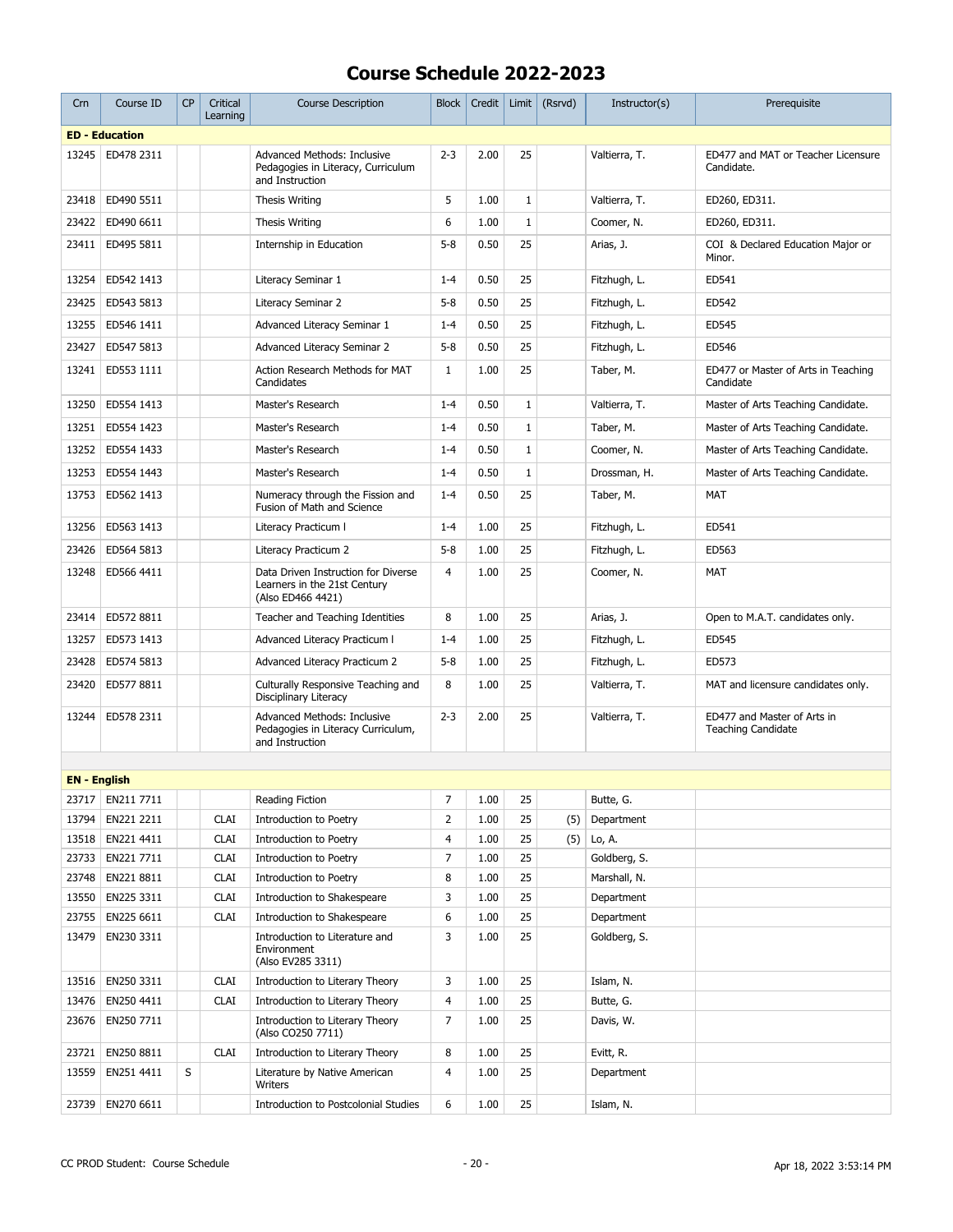| Crn                 | Course ID                | CP | Critical<br>Learning | <b>Course Description</b>                                                                | <b>Block</b>   | Credit       | Limit        | (Rsrvd) | Instructor(s)              | Prerequisite                                             |
|---------------------|--------------------------|----|----------------------|------------------------------------------------------------------------------------------|----------------|--------------|--------------|---------|----------------------------|----------------------------------------------------------|
|                     | <b>ED - Education</b>    |    |                      |                                                                                          |                |              |              |         |                            |                                                          |
| 13245               | ED478 2311               |    |                      | Advanced Methods: Inclusive<br>Pedagogies in Literacy, Curriculum<br>and Instruction     | $2 - 3$        | 2.00         | 25           |         | Valtierra, T.              | ED477 and MAT or Teacher Licensure<br>Candidate.         |
| 23418               | ED490 5511               |    |                      | Thesis Writing                                                                           | 5              | 1.00         | $\mathbf{1}$ |         | Valtierra, T.              | ED260, ED311.                                            |
| 23422               | ED490 6611               |    |                      | Thesis Writing                                                                           | 6              | 1.00         | $\mathbf{1}$ |         | Coomer, N.                 | ED260, ED311.                                            |
| 23411               | ED495 5811               |    |                      | Internship in Education                                                                  | $5 - 8$        | 0.50         | 25           |         | Arias, J.                  | COI & Declared Education Major or<br>Minor.              |
| 13254               | ED542 1413               |    |                      | Literacy Seminar 1                                                                       | $1 - 4$        | 0.50         | 25           |         | Fitzhugh, L.               | ED541                                                    |
| 23425               | ED543 5813               |    |                      | Literacy Seminar 2                                                                       | $5 - 8$        | 0.50         | 25           |         | Fitzhugh, L.               | ED542                                                    |
| 13255               | ED546 1411               |    |                      | Advanced Literacy Seminar 1                                                              | $1 - 4$        | 0.50         | 25           |         | Fitzhugh, L.               | ED545                                                    |
| 23427               | ED547 5813               |    |                      | Advanced Literacy Seminar 2                                                              | $5 - 8$        | 0.50         | 25           |         | Fitzhugh, L.               | ED546                                                    |
| 13241               | ED553 1111               |    |                      | Action Research Methods for MAT<br>Candidates                                            | $\mathbf{1}$   | 1.00         | 25           |         | Taber, M.                  | ED477 or Master of Arts in Teaching<br>Candidate         |
| 13250               | ED554 1413               |    |                      | Master's Research                                                                        | $1 - 4$        | 0.50         | $\mathbf{1}$ |         | Valtierra, T.              | Master of Arts Teaching Candidate.                       |
| 13251               | ED554 1423               |    |                      | Master's Research                                                                        | $1 - 4$        | 0.50         | $\mathbf 1$  |         | Taber, M.                  | Master of Arts Teaching Candidate.                       |
| 13252               | ED554 1433               |    |                      | Master's Research                                                                        | $1 - 4$        | 0.50         | $\mathbf 1$  |         | Coomer, N.                 | Master of Arts Teaching Candidate.                       |
| 13253               | ED554 1443               |    |                      | Master's Research                                                                        | $1 - 4$        | 0.50         | $1\,$        |         | Drossman, H.               | Master of Arts Teaching Candidate.                       |
| 13753               | ED562 1413               |    |                      | Numeracy through the Fission and<br>Fusion of Math and Science                           | $1 - 4$        | 0.50         | 25           |         | Taber, M.                  | <b>MAT</b>                                               |
| 13256               | ED563 1413               |    |                      | Literacy Practicum I                                                                     | $1 - 4$        | 1.00         | 25           |         | Fitzhugh, L.               | ED541                                                    |
| 23426               | ED564 5813               |    |                      | Literacy Practicum 2                                                                     | $5 - 8$        | 1.00         | 25           |         | Fitzhugh, L.               | ED563                                                    |
| 13248               | ED566 4411               |    |                      | Data Driven Instruction for Diverse<br>Learners in the 21st Century<br>(Also ED466 4421) | $\overline{4}$ | 1.00         | 25           |         | Coomer, N.                 | MAT                                                      |
| 23414               | ED572 8811               |    |                      | Teacher and Teaching Identities                                                          | 8              | 1.00         | 25           |         | Arias, J.                  | Open to M.A.T. candidates only.                          |
| 13257               | ED573 1413               |    |                      | Advanced Literacy Practicum I                                                            | $1 - 4$        | 1.00         | 25           |         | Fitzhugh, L.               | ED545                                                    |
| 23428               | ED574 5813               |    |                      | Advanced Literacy Practicum 2                                                            | $5 - 8$        | 1.00         | 25           |         | Fitzhugh, L.               | ED573                                                    |
| 23420               | ED577 8811               |    |                      | Culturally Responsive Teaching and<br>Disciplinary Literacy                              | 8              | 1.00         | 25           |         | Valtierra, T.              | MAT and licensure candidates only.                       |
| 13244               | ED578 2311               |    |                      | Advanced Methods: Inclusive<br>Pedagogies in Literacy Curriculum,<br>and Instruction     | $2 - 3$        | 2.00         | 25           |         | Valtierra, T.              | ED477 and Master of Arts in<br><b>Teaching Candidate</b> |
|                     |                          |    |                      |                                                                                          |                |              |              |         |                            |                                                          |
| <b>EN</b> - English |                          |    |                      |                                                                                          |                |              |              |         |                            |                                                          |
| 23717               | EN211 7711               |    |                      | Reading Fiction                                                                          | 7              | 1.00         | 25           |         | Butte, G.                  |                                                          |
| 13794               | EN221 2211               |    | <b>CLAI</b>          | <b>Introduction to Poetry</b>                                                            | 2              | 1.00         | 25           | (5)     | Department                 |                                                          |
| 13518               | EN221 4411               |    | <b>CLAI</b>          | Introduction to Poetry                                                                   | 4              | 1.00         | 25           | (5)     | Lo, A.                     |                                                          |
| 23733               | EN221 7711               |    | <b>CLAI</b>          | Introduction to Poetry                                                                   | 7              | 1.00         | 25           |         | Goldberg, S.               |                                                          |
| 23748               | EN221 8811               |    | <b>CLAI</b>          | Introduction to Poetry                                                                   | 8              | 1.00         | 25           |         | Marshall, N.               |                                                          |
| 13550               | EN225 3311               |    | <b>CLAI</b>          | Introduction to Shakespeare<br>Introduction to Shakespeare                               | 3<br>6         | 1.00         | 25           |         | Department                 |                                                          |
| 23755<br>13479      | EN225 6611<br>EN230 3311 |    | <b>CLAI</b>          | Introduction to Literature and                                                           | 3              | 1.00<br>1.00 | 25<br>25     |         | Department<br>Goldberg, S. |                                                          |
|                     |                          |    |                      | Environment<br>(Also EV285 3311)                                                         |                |              |              |         |                            |                                                          |
| 13516               | EN250 3311               |    | <b>CLAI</b>          | Introduction to Literary Theory                                                          | 3              | 1.00         | 25           |         | Islam, N.                  |                                                          |
| 13476               | EN250 4411               |    | <b>CLAI</b>          | Introduction to Literary Theory                                                          | 4              | 1.00         | 25           |         | Butte, G.                  |                                                          |
| 23676               | EN250 7711               |    |                      | Introduction to Literary Theory<br>(Also CO250 7711)                                     | 7              | 1.00         | 25           |         | Davis, W.                  |                                                          |
| 23721               | EN250 8811               |    | <b>CLAI</b>          | Introduction to Literary Theory                                                          | 8              | 1.00         | 25           |         | Evitt, R.                  |                                                          |
| 13559               | EN251 4411               | S  |                      | Literature by Native American<br>Writers                                                 | 4              | 1.00         | 25           |         | Department                 |                                                          |
| 23739               | EN270 6611               |    |                      | Introduction to Postcolonial Studies                                                     | 6              | 1.00         | 25           |         | Islam, N.                  |                                                          |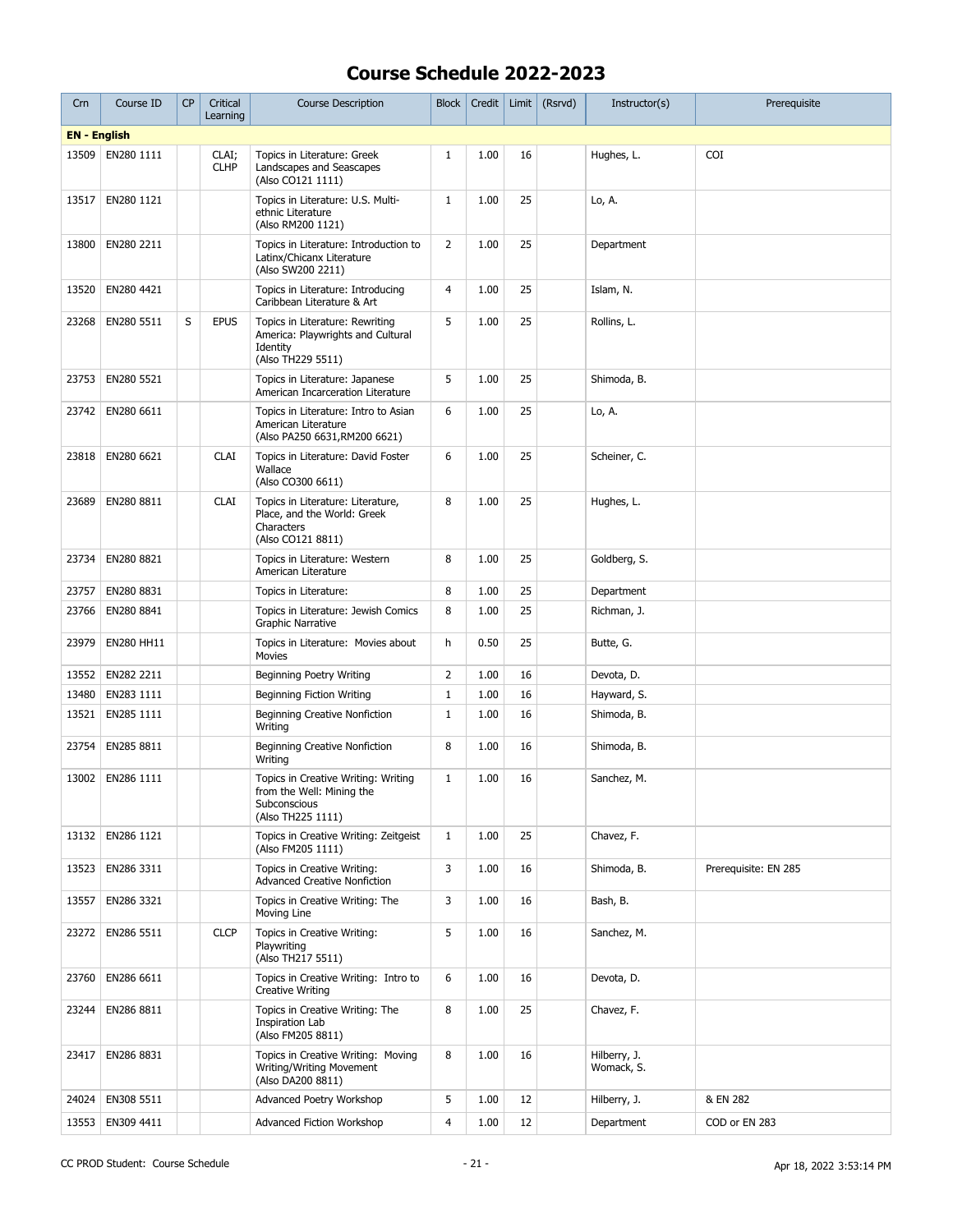| Crn                 | Course ID          | <b>CP</b> | Critical<br>Learning | <b>Course Description</b>                                                                             | Block          | Credit | Limit $ $ | (Rsrvd) | Instructor(s)              | Prerequisite         |
|---------------------|--------------------|-----------|----------------------|-------------------------------------------------------------------------------------------------------|----------------|--------|-----------|---------|----------------------------|----------------------|
| <b>EN</b> - English |                    |           |                      |                                                                                                       |                |        |           |         |                            |                      |
| 13509               | EN280 1111         |           | CLAI;<br><b>CLHP</b> | Topics in Literature: Greek<br>Landscapes and Seascapes<br>(Also CO121 1111)                          | $\mathbf{1}$   | 1.00   | 16        |         | Hughes, L.                 | <b>COI</b>           |
| 13517               | EN280 1121         |           |                      | Topics in Literature: U.S. Multi-<br>ethnic Literature<br>(Also RM200 1121)                           | $\mathbf{1}$   | 1.00   | 25        |         | Lo, A.                     |                      |
| 13800               | EN280 2211         |           |                      | Topics in Literature: Introduction to<br>Latinx/Chicanx Literature<br>(Also SW200 2211)               | $\overline{2}$ | 1.00   | 25        |         | Department                 |                      |
| 13520               | EN280 4421         |           |                      | Topics in Literature: Introducing<br>Caribbean Literature & Art                                       | $\overline{4}$ | 1.00   | 25        |         | Islam, N.                  |                      |
| 23268               | EN280 5511         | S         | <b>EPUS</b>          | Topics in Literature: Rewriting<br>America: Playwrights and Cultural<br>Identity<br>(Also TH229 5511) | 5              | 1.00   | 25        |         | Rollins, L.                |                      |
| 23753               | EN280 5521         |           |                      | Topics in Literature: Japanese<br>American Incarceration Literature                                   | 5              | 1.00   | 25        |         | Shimoda, B.                |                      |
| 23742               | EN280 6611         |           |                      | Topics in Literature: Intro to Asian<br>American Literature<br>(Also PA250 6631, RM200 6621)          | 6              | 1.00   | 25        |         | Lo, A.                     |                      |
| 23818               | EN280 6621         |           | <b>CLAI</b>          | Topics in Literature: David Foster<br>Wallace<br>(Also CO300 6611)                                    | 6              | 1.00   | 25        |         | Scheiner, C.               |                      |
| 23689               | EN280 8811         |           | <b>CLAI</b>          | Topics in Literature: Literature,<br>Place, and the World: Greek<br>Characters<br>(Also CO121 8811)   | 8              | 1.00   | 25        |         | Hughes, L.                 |                      |
| 23734               | EN280 8821         |           |                      | Topics in Literature: Western<br>American Literature                                                  | 8              | 1.00   | 25        |         | Goldberg, S.               |                      |
| 23757               | EN280 8831         |           |                      | Topics in Literature:                                                                                 | 8              | 1.00   | 25        |         | Department                 |                      |
| 23766               | EN280 8841         |           |                      | Topics in Literature: Jewish Comics<br>Graphic Narrative                                              | 8              | 1.00   | 25        |         | Richman, J.                |                      |
| 23979               | EN280 HH11         |           |                      | Topics in Literature: Movies about<br><b>Movies</b>                                                   | h              | 0.50   | 25        |         | Butte, G.                  |                      |
| 13552               | EN282 2211         |           |                      | Beginning Poetry Writing                                                                              | $\overline{2}$ | 1.00   | 16        |         | Devota, D.                 |                      |
| 13480               | EN283 1111         |           |                      | Beginning Fiction Writing                                                                             | $\mathbf{1}$   | 1.00   | 16        |         | Hayward, S.                |                      |
| 13521               | EN285 1111         |           |                      | <b>Beginning Creative Nonfiction</b><br>Writing                                                       | $\mathbf{1}$   | 1.00   | 16        |         | Shimoda, B.                |                      |
| 23754               | EN285 8811         |           |                      | Beginning Creative Nonfiction<br>Writing                                                              | 8              | 1.00   | 16        |         | Shimoda, B.                |                      |
|                     | 13002   EN286 1111 |           |                      | Topics in Creative Writing: Writing<br>from the Well: Mining the<br>Subconscious<br>(Also TH225 1111) | $\mathbf{1}$   | 1.00   | 16        |         | Sanchez, M.                |                      |
|                     | 13132 EN286 1121   |           |                      | Topics in Creative Writing: Zeitgeist<br>(Also FM205 1111)                                            | $\mathbf{1}$   | 1.00   | 25        |         | Chavez, F.                 |                      |
| 13523               | EN286 3311         |           |                      | Topics in Creative Writing:<br><b>Advanced Creative Nonfiction</b>                                    | 3              | 1.00   | 16        |         | Shimoda, B.                | Prerequisite: EN 285 |
| 13557               | EN286 3321         |           |                      | Topics in Creative Writing: The<br>Moving Line                                                        | 3              | 1.00   | 16        |         | Bash, B.                   |                      |
| 23272               | EN286 5511         |           | <b>CLCP</b>          | Topics in Creative Writing:<br>Playwriting<br>(Also TH217 5511)                                       | 5              | 1.00   | 16        |         | Sanchez, M.                |                      |
| 23760               | EN286 6611         |           |                      | Topics in Creative Writing: Intro to<br>Creative Writing                                              | 6              | 1.00   | 16        |         | Devota, D.                 |                      |
| 23244               | EN286 8811         |           |                      | Topics in Creative Writing: The<br><b>Inspiration Lab</b><br>(Also FM205 8811)                        | 8              | 1.00   | 25        |         | Chavez, F.                 |                      |
| 23417               | EN286 8831         |           |                      | Topics in Creative Writing: Moving<br>Writing/Writing Movement<br>(Also DA200 8811)                   | 8              | 1.00   | 16        |         | Hilberry, J.<br>Womack, S. |                      |
| 24024               | EN308 5511         |           |                      | Advanced Poetry Workshop                                                                              | 5              | 1.00   | 12        |         | Hilberry, J.               | & EN 282             |
| 13553               | EN309 4411         |           |                      | Advanced Fiction Workshop                                                                             | 4              | 1.00   | 12        |         | Department                 | COD or EN 283        |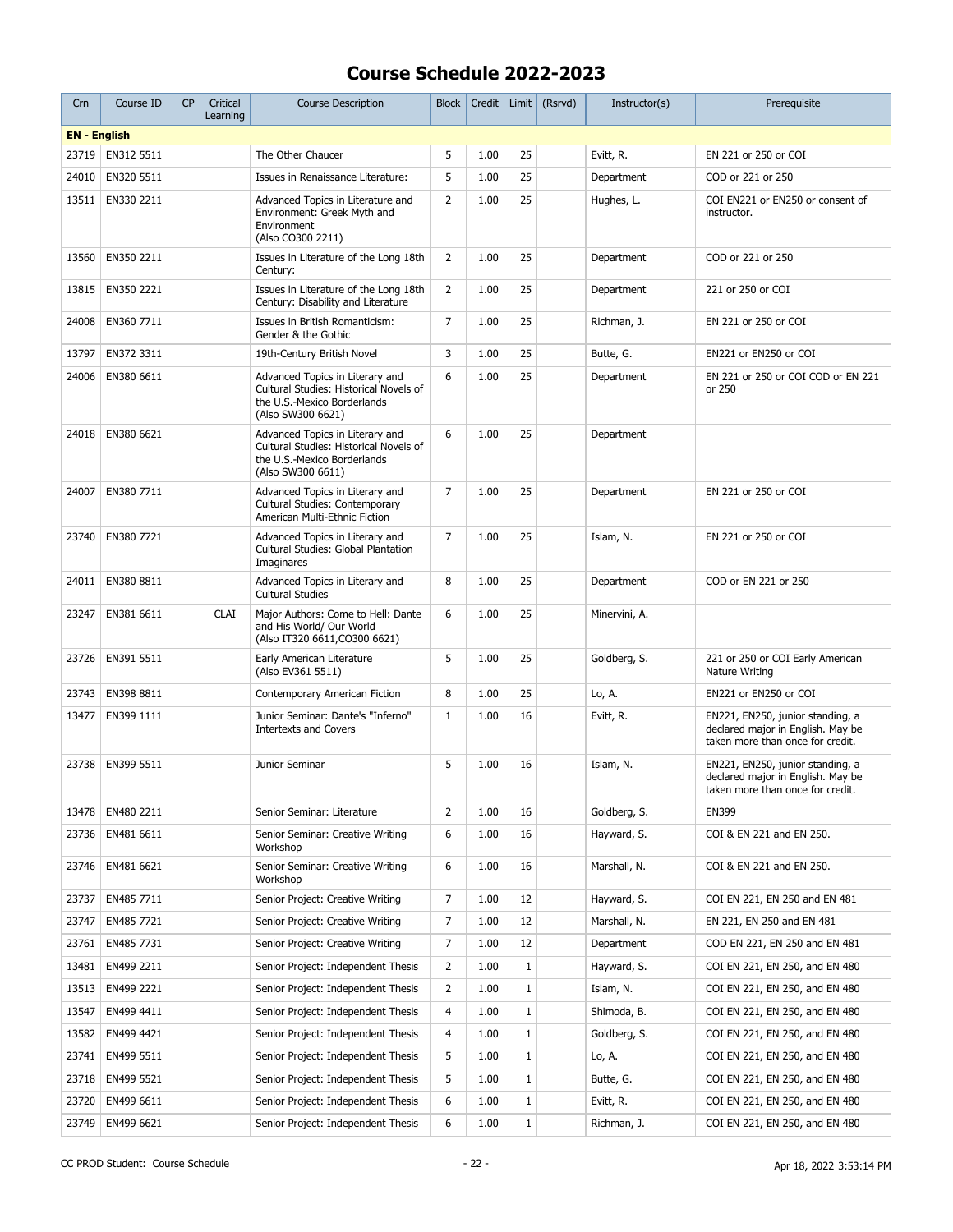| Crn                 | Course ID  | CP | Critical<br>Learning | <b>Course Description</b>                                                                                                     | <b>Block</b>   | Credit |              | Limit $(Rsrvd)$ | Instructor(s) | Prerequisite                                                                                              |
|---------------------|------------|----|----------------------|-------------------------------------------------------------------------------------------------------------------------------|----------------|--------|--------------|-----------------|---------------|-----------------------------------------------------------------------------------------------------------|
| <b>EN - English</b> |            |    |                      |                                                                                                                               |                |        |              |                 |               |                                                                                                           |
| 23719               | EN312 5511 |    |                      | The Other Chaucer                                                                                                             | 5              | 1.00   | 25           |                 | Evitt, R.     | EN 221 or 250 or COI                                                                                      |
| 24010               | EN320 5511 |    |                      | Issues in Renaissance Literature:                                                                                             | 5              | 1.00   | 25           |                 | Department    | COD or 221 or 250                                                                                         |
| 13511               | EN330 2211 |    |                      | Advanced Topics in Literature and<br>Environment: Greek Myth and<br>Environment<br>(Also CO300 2211)                          | $\overline{2}$ | 1.00   | 25           |                 | Hughes, L.    | COI EN221 or EN250 or consent of<br>instructor.                                                           |
| 13560               | EN350 2211 |    |                      | Issues in Literature of the Long 18th<br>Century:                                                                             | 2              | 1.00   | 25           |                 | Department    | COD or 221 or 250                                                                                         |
| 13815               | EN350 2221 |    |                      | Issues in Literature of the Long 18th<br>Century: Disability and Literature                                                   | $\overline{2}$ | 1.00   | 25           |                 | Department    | 221 or 250 or COI                                                                                         |
| 24008               | EN360 7711 |    |                      | Issues in British Romanticism:<br>Gender & the Gothic                                                                         | $\overline{7}$ | 1.00   | 25           |                 | Richman, J.   | EN 221 or 250 or COI                                                                                      |
| 13797               | EN372 3311 |    |                      | 19th-Century British Novel                                                                                                    | 3              | 1.00   | 25           |                 | Butte, G.     | EN221 or EN250 or COI                                                                                     |
| 24006               | EN380 6611 |    |                      | Advanced Topics in Literary and<br>Cultural Studies: Historical Novels of<br>the U.S.-Mexico Borderlands<br>(Also SW300 6621) | 6              | 1.00   | 25           |                 | Department    | EN 221 or 250 or COI COD or EN 221<br>or 250                                                              |
| 24018               | EN380 6621 |    |                      | Advanced Topics in Literary and<br>Cultural Studies: Historical Novels of<br>the U.S.-Mexico Borderlands<br>(Also SW300 6611) | 6              | 1.00   | 25           |                 | Department    |                                                                                                           |
| 24007               | EN380 7711 |    |                      | Advanced Topics in Literary and<br>Cultural Studies: Contemporary<br>American Multi-Ethnic Fiction                            | $\overline{7}$ | 1.00   | 25           |                 | Department    | EN 221 or 250 or COI                                                                                      |
| 23740               | EN380 7721 |    |                      | Advanced Topics in Literary and<br>Cultural Studies: Global Plantation<br>Imaginares                                          | $\overline{7}$ | 1.00   | 25           |                 | Islam, N.     | EN 221 or 250 or COI                                                                                      |
| 24011               | EN380 8811 |    |                      | Advanced Topics in Literary and<br><b>Cultural Studies</b>                                                                    | 8              | 1.00   | 25           |                 | Department    | COD or EN 221 or 250                                                                                      |
| 23247               | EN381 6611 |    | <b>CLAI</b>          | Major Authors: Come to Hell: Dante<br>and His World/ Our World<br>(Also IT320 6611, CO300 6621)                               | 6              | 1.00   | 25           |                 | Minervini, A. |                                                                                                           |
| 23726               | EN391 5511 |    |                      | Early American Literature<br>(Also EV361 5511)                                                                                | 5              | 1.00   | 25           |                 | Goldberg, S.  | 221 or 250 or COI Early American<br>Nature Writing                                                        |
| 23743               | EN398 8811 |    |                      | Contemporary American Fiction                                                                                                 | 8              | 1.00   | 25           |                 | Lo, A.        | EN221 or EN250 or COI                                                                                     |
| 13477               | EN399 1111 |    |                      | Junior Seminar: Dante's "Inferno"<br><b>Intertexts and Covers</b>                                                             | $\mathbf{1}$   | 1.00   | 16           |                 | Evitt, R.     | EN221, EN250, junior standing, a<br>declared major in English. May be<br>taken more than once for credit. |
| 23738               | EN399 5511 |    |                      | Junior Seminar                                                                                                                | 5              | 1.00   | 16           |                 | Islam, N.     | EN221, EN250, junior standing, a<br>declared major in English. May be<br>taken more than once for credit. |
| 13478               | EN480 2211 |    |                      | Senior Seminar: Literature                                                                                                    | 2              | 1.00   | 16           |                 | Goldberg, S.  | EN399                                                                                                     |
| 23736               | EN481 6611 |    |                      | Senior Seminar: Creative Writing<br>Workshop                                                                                  | 6              | 1.00   | 16           |                 | Hayward, S.   | COI & EN 221 and EN 250.                                                                                  |
| 23746               | EN481 6621 |    |                      | Senior Seminar: Creative Writing<br>Workshop                                                                                  | 6              | 1.00   | 16           |                 | Marshall, N.  | COI & EN 221 and EN 250.                                                                                  |
| 23737               | EN485 7711 |    |                      | Senior Project: Creative Writing                                                                                              | 7              | 1.00   | 12           |                 | Hayward, S.   | COI EN 221, EN 250 and EN 481                                                                             |
| 23747               | EN485 7721 |    |                      | Senior Project: Creative Writing                                                                                              | 7              | 1.00   | 12           |                 | Marshall, N.  | EN 221, EN 250 and EN 481                                                                                 |
| 23761               | EN485 7731 |    |                      | Senior Project: Creative Writing                                                                                              | 7              | 1.00   | 12           |                 | Department    | COD EN 221, EN 250 and EN 481                                                                             |
| 13481               | EN499 2211 |    |                      | Senior Project: Independent Thesis                                                                                            | $\overline{2}$ | 1.00   | $\mathbf{1}$ |                 | Hayward, S.   | COI EN 221, EN 250, and EN 480                                                                            |
| 13513               | EN499 2221 |    |                      | Senior Project: Independent Thesis                                                                                            | 2              | 1.00   | $1\,$        |                 | Islam, N.     | COI EN 221, EN 250, and EN 480                                                                            |
| 13547               | EN499 4411 |    |                      | Senior Project: Independent Thesis                                                                                            | 4              | 1.00   | $\mathbf{1}$ |                 | Shimoda, B.   | COI EN 221, EN 250, and EN 480                                                                            |
| 13582               | EN499 4421 |    |                      | Senior Project: Independent Thesis                                                                                            | 4              | 1.00   | $\,1$        |                 | Goldberg, S.  | COI EN 221, EN 250, and EN 480                                                                            |
| 23741               | EN499 5511 |    |                      | Senior Project: Independent Thesis                                                                                            | 5              | 1.00   | $1\,$        |                 | Lo, A.        | COI EN 221, EN 250, and EN 480                                                                            |
| 23718               | EN499 5521 |    |                      | Senior Project: Independent Thesis                                                                                            | 5              | 1.00   | $\mathbf{1}$ |                 | Butte, G.     | COI EN 221, EN 250, and EN 480                                                                            |
| 23720               | EN499 6611 |    |                      | Senior Project: Independent Thesis                                                                                            | 6              | 1.00   | $\mathbf{1}$ |                 | Evitt, R.     | COI EN 221, EN 250, and EN 480                                                                            |
| 23749               | EN499 6621 |    |                      | Senior Project: Independent Thesis                                                                                            | 6              | 1.00   | $\mathbf{1}$ |                 | Richman, J.   | COI EN 221, EN 250, and EN 480                                                                            |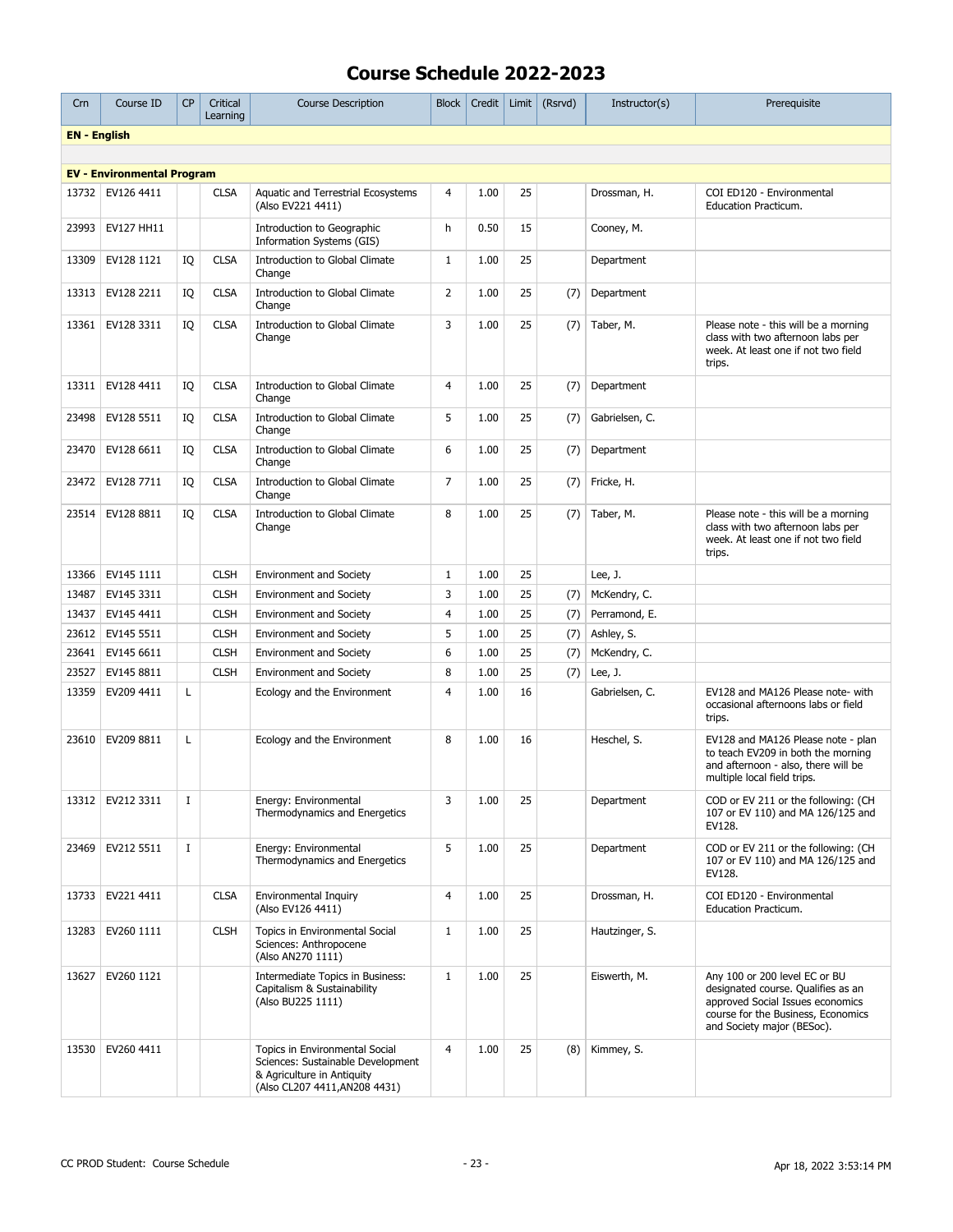| Crn                 | Course ID                         | <b>CP</b> | Critical<br>Learning | <b>Course Description</b>                                                                                                          | <b>Block</b>   | Credit | Limit $\vert$ | (Rsrvd) | Instructor(s)  | Prerequisite                                                                                                                                                                |
|---------------------|-----------------------------------|-----------|----------------------|------------------------------------------------------------------------------------------------------------------------------------|----------------|--------|---------------|---------|----------------|-----------------------------------------------------------------------------------------------------------------------------------------------------------------------------|
| <b>EN</b> - English |                                   |           |                      |                                                                                                                                    |                |        |               |         |                |                                                                                                                                                                             |
|                     |                                   |           |                      |                                                                                                                                    |                |        |               |         |                |                                                                                                                                                                             |
|                     | <b>EV - Environmental Program</b> |           |                      |                                                                                                                                    |                |        |               |         |                |                                                                                                                                                                             |
| 13732               | EV126 4411                        |           | <b>CLSA</b>          | Aquatic and Terrestrial Ecosystems<br>(Also EV221 4411)                                                                            | 4              | 1.00   | 25            |         | Drossman, H.   | COI ED120 - Environmental<br>Education Practicum.                                                                                                                           |
| 23993               | EV127 HH11                        |           |                      | Introduction to Geographic<br>Information Systems (GIS)                                                                            | h              | 0.50   | 15            |         | Cooney, M.     |                                                                                                                                                                             |
| 13309               | EV128 1121                        | IQ        | <b>CLSA</b>          | Introduction to Global Climate<br>Change                                                                                           | $\mathbf{1}$   | 1.00   | 25            |         | Department     |                                                                                                                                                                             |
| 13313               | EV128 2211                        | IQ        | <b>CLSA</b>          | <b>Introduction to Global Climate</b><br>Change                                                                                    | $\overline{2}$ | 1.00   | 25            | (7)     | Department     |                                                                                                                                                                             |
| 13361               | EV128 3311                        | IQ        | <b>CLSA</b>          | Introduction to Global Climate<br>Change                                                                                           | 3              | 1.00   | 25            | (7)     | Taber, M.      | Please note - this will be a morning<br>class with two afternoon labs per<br>week. At least one if not two field<br>trips.                                                  |
| 13311               | EV128 4411                        | IQ        | <b>CLSA</b>          | <b>Introduction to Global Climate</b><br>Change                                                                                    | $\overline{4}$ | 1.00   | 25            | (7)     | Department     |                                                                                                                                                                             |
| 23498               | EV128 5511                        | IQ        | <b>CLSA</b>          | <b>Introduction to Global Climate</b><br>Change                                                                                    | 5              | 1.00   | 25            | (7)     | Gabrielsen, C. |                                                                                                                                                                             |
| 23470               | EV128 6611                        | IQ        | <b>CLSA</b>          | <b>Introduction to Global Climate</b><br>Change                                                                                    | 6              | 1.00   | 25            | (7)     | Department     |                                                                                                                                                                             |
| 23472               | EV128 7711                        | IQ        | <b>CLSA</b>          | <b>Introduction to Global Climate</b><br>Change                                                                                    | $\overline{7}$ | 1.00   | 25            | (7)     | Fricke, H.     |                                                                                                                                                                             |
| 23514               | EV128 8811                        | IQ        | <b>CLSA</b>          | Introduction to Global Climate<br>Change                                                                                           | 8              | 1.00   | 25            | (7)     | Taber, M.      | Please note - this will be a morning<br>class with two afternoon labs per<br>week. At least one if not two field<br>trips.                                                  |
| 13366               | EV145 1111                        |           | <b>CLSH</b>          | <b>Environment and Society</b>                                                                                                     | $\mathbf{1}$   | 1.00   | 25            |         | Lee, $J.$      |                                                                                                                                                                             |
| 13487               | EV145 3311                        |           | <b>CLSH</b>          | <b>Environment and Society</b>                                                                                                     | 3              | 1.00   | 25            | (7)     | McKendry, C.   |                                                                                                                                                                             |
| 13437               | EV145 4411                        |           | <b>CLSH</b>          | <b>Environment and Society</b>                                                                                                     | $\overline{4}$ | 1.00   | 25            | (7)     | Perramond, E.  |                                                                                                                                                                             |
| 23612               | EV145 5511                        |           | <b>CLSH</b>          | <b>Environment and Society</b>                                                                                                     | 5              | 1.00   | 25            | (7)     | Ashley, S.     |                                                                                                                                                                             |
| 23641               | EV145 6611                        |           | <b>CLSH</b>          | <b>Environment and Society</b>                                                                                                     | 6              | 1.00   | 25            | (7)     | McKendry, C.   |                                                                                                                                                                             |
| 23527               | EV145 8811                        |           | <b>CLSH</b>          | <b>Environment and Society</b>                                                                                                     | 8              | 1.00   | 25            | (7)     | Lee, J.        |                                                                                                                                                                             |
| 13359               | EV209 4411                        | L         |                      | Ecology and the Environment                                                                                                        | $\overline{4}$ | 1.00   | 16            |         | Gabrielsen, C. | EV128 and MA126 Please note- with<br>occasional afternoons labs or field<br>trips.                                                                                          |
| 23610               | EV209 8811                        | L         |                      | Ecology and the Environment                                                                                                        | 8              | 1.00   | 16            |         | Heschel, S.    | EV128 and MA126 Please note - plan<br>to teach EV209 in both the morning<br>and afternoon - also, there will be<br>multiple local field trips.                              |
|                     | 13312   EV212 3311                | Ι.        |                      | Energy: Environmental<br>Thermodynamics and Energetics                                                                             | 3              | 1.00   | 25            |         | Department     | COD or EV 211 or the following: (CH<br>107 or EV 110) and MA 126/125 and<br>EV128.                                                                                          |
| 23469               | EV212 5511                        | $\bf{I}$  |                      | Energy: Environmental<br>Thermodynamics and Energetics                                                                             | 5              | 1.00   | 25            |         | Department     | COD or EV 211 or the following: (CH<br>107 or EV 110) and MA 126/125 and<br>EV128.                                                                                          |
| 13733               | EV221 4411                        |           | <b>CLSA</b>          | Environmental Inquiry<br>(Also EV126 4411)                                                                                         | $\overline{4}$ | 1.00   | 25            |         | Drossman, H.   | COI ED120 - Environmental<br><b>Education Practicum.</b>                                                                                                                    |
| 13283               | EV260 1111                        |           | <b>CLSH</b>          | Topics in Environmental Social<br>Sciences: Anthropocene<br>(Also AN270 1111)                                                      | $\mathbf{1}$   | 1.00   | 25            |         | Hautzinger, S. |                                                                                                                                                                             |
| 13627               | EV260 1121                        |           |                      | Intermediate Topics in Business:<br>Capitalism & Sustainability<br>(Also BU225 1111)                                               | $\mathbf{1}$   | 1.00   | 25            |         | Eiswerth, M.   | Any 100 or 200 level EC or BU<br>designated course. Qualifies as an<br>approved Social Issues economics<br>course for the Business, Economics<br>and Society major (BESoc). |
| 13530               | EV260 4411                        |           |                      | Topics in Environmental Social<br>Sciences: Sustainable Development<br>& Agriculture in Antiquity<br>(Also CL207 4411, AN208 4431) | $\overline{4}$ | 1.00   | 25            | (8)     | Kimmey, S.     |                                                                                                                                                                             |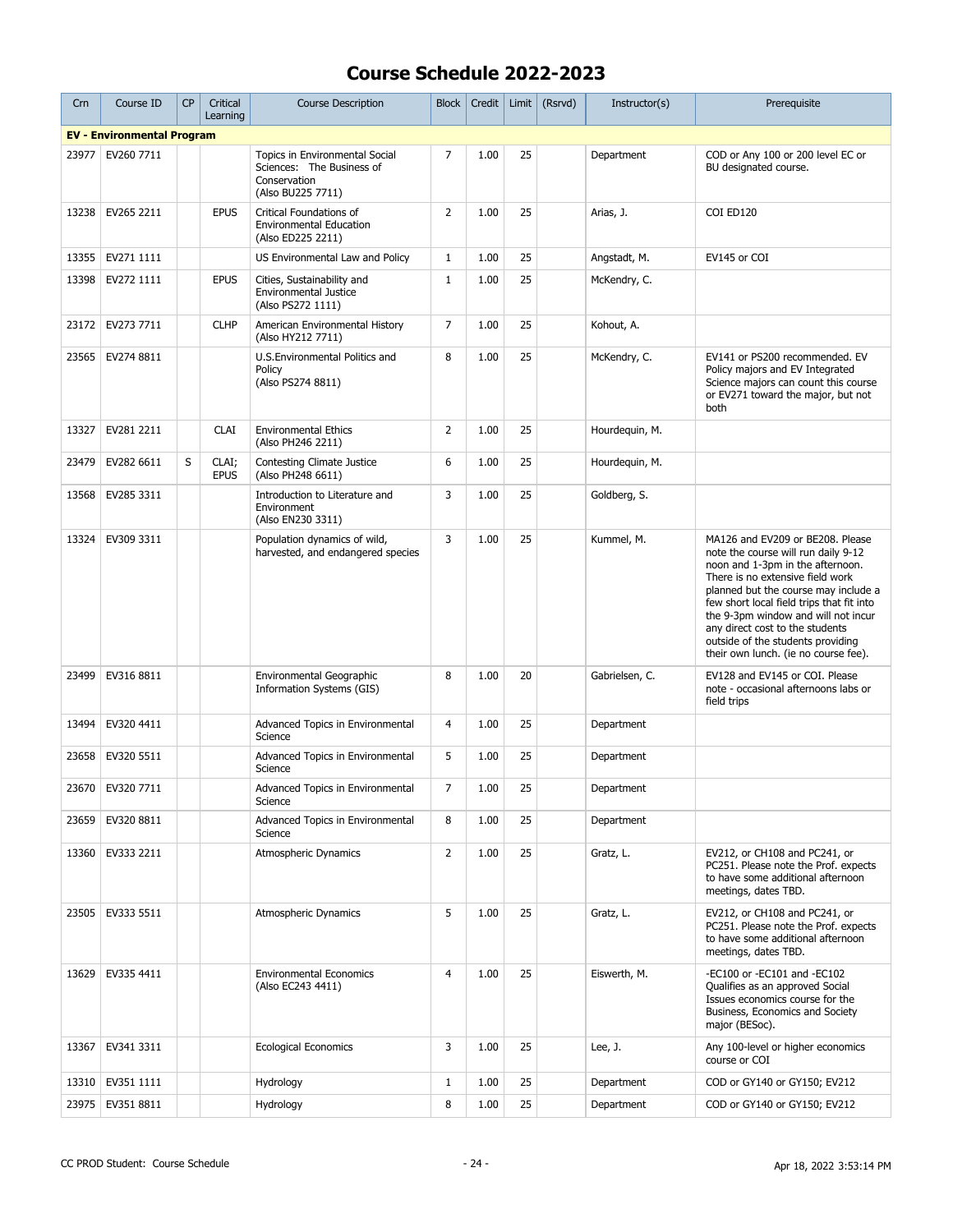| Crn   | Course ID                         | <b>CP</b> | Critical<br>Learning | <b>Course Description</b>                                                                        | <b>Block</b>   | Credit |    | Limit $(Rsrvd)$ | Instructor(s)  | Prerequisite                                                                                                                                                                                                                                                                                                                                                                                |
|-------|-----------------------------------|-----------|----------------------|--------------------------------------------------------------------------------------------------|----------------|--------|----|-----------------|----------------|---------------------------------------------------------------------------------------------------------------------------------------------------------------------------------------------------------------------------------------------------------------------------------------------------------------------------------------------------------------------------------------------|
|       | <b>EV - Environmental Program</b> |           |                      |                                                                                                  |                |        |    |                 |                |                                                                                                                                                                                                                                                                                                                                                                                             |
| 23977 | EV260 7711                        |           |                      | Topics in Environmental Social<br>Sciences: The Business of<br>Conservation<br>(Also BU225 7711) | $\overline{7}$ | 1.00   | 25 |                 | Department     | COD or Any 100 or 200 level EC or<br>BU designated course.                                                                                                                                                                                                                                                                                                                                  |
| 13238 | EV265 2211                        |           | <b>EPUS</b>          | Critical Foundations of<br><b>Environmental Education</b><br>(Also ED225 2211)                   | $\overline{2}$ | 1.00   | 25 |                 | Arias, J.      | COI ED120                                                                                                                                                                                                                                                                                                                                                                                   |
| 13355 | EV271 1111                        |           |                      | US Environmental Law and Policy                                                                  | 1              | 1.00   | 25 |                 | Angstadt, M.   | EV145 or COI                                                                                                                                                                                                                                                                                                                                                                                |
| 13398 | EV272 1111                        |           | <b>EPUS</b>          | Cities, Sustainability and<br><b>Environmental Justice</b><br>(Also PS272 1111)                  | $\mathbf{1}$   | 1.00   | 25 |                 | McKendry, C.   |                                                                                                                                                                                                                                                                                                                                                                                             |
| 23172 | EV273 7711                        |           | <b>CLHP</b>          | American Environmental History<br>(Also HY212 7711)                                              | $\overline{7}$ | 1.00   | 25 |                 | Kohout, A.     |                                                                                                                                                                                                                                                                                                                                                                                             |
| 23565 | EV274 8811                        |           |                      | U.S.Environmental Politics and<br>Policy<br>(Also PS274 8811)                                    | 8              | 1.00   | 25 |                 | McKendry, C.   | EV141 or PS200 recommended. EV<br>Policy majors and EV Integrated<br>Science majors can count this course<br>or EV271 toward the major, but not<br>both                                                                                                                                                                                                                                     |
| 13327 | EV281 2211                        |           | <b>CLAI</b>          | <b>Environmental Ethics</b><br>(Also PH246 2211)                                                 | 2              | 1.00   | 25 |                 | Hourdequin, M. |                                                                                                                                                                                                                                                                                                                                                                                             |
| 23479 | EV282 6611                        | S         | CLAI;<br><b>EPUS</b> | <b>Contesting Climate Justice</b><br>(Also PH248 6611)                                           | 6              | 1.00   | 25 |                 | Hourdequin, M. |                                                                                                                                                                                                                                                                                                                                                                                             |
| 13568 | EV285 3311                        |           |                      | Introduction to Literature and<br>Environment<br>(Also EN230 3311)                               | 3              | 1.00   | 25 |                 | Goldberg, S.   |                                                                                                                                                                                                                                                                                                                                                                                             |
| 13324 | EV309 3311                        |           |                      | Population dynamics of wild,<br>harvested, and endangered species                                | 3              | 1.00   | 25 |                 | Kummel, M.     | MA126 and EV209 or BE208. Please<br>note the course will run daily 9-12<br>noon and 1-3pm in the afternoon.<br>There is no extensive field work<br>planned but the course may include a<br>few short local field trips that fit into<br>the 9-3pm window and will not incur<br>any direct cost to the students<br>outside of the students providing<br>their own lunch. (ie no course fee). |
| 23499 | EV316 8811                        |           |                      | Environmental Geographic<br>Information Systems (GIS)                                            | 8              | 1.00   | 20 |                 | Gabrielsen, C. | EV128 and EV145 or COI. Please<br>note - occasional afternoons labs or<br>field trips                                                                                                                                                                                                                                                                                                       |
| 13494 | EV320 4411                        |           |                      | Advanced Topics in Environmental<br>Science                                                      | $\overline{4}$ | 1.00   | 25 |                 | Department     |                                                                                                                                                                                                                                                                                                                                                                                             |
| 23658 | EV320 5511                        |           |                      | Advanced Topics in Environmental<br>Science                                                      | 5              | 1.00   | 25 |                 | Department     |                                                                                                                                                                                                                                                                                                                                                                                             |
|       | 23670   EV320 7711                |           |                      | Advanced Topics in Environmental<br>Science                                                      | $\overline{7}$ | 1.00   | 25 |                 | Department     |                                                                                                                                                                                                                                                                                                                                                                                             |
| 23659 | EV320 8811                        |           |                      | Advanced Topics in Environmental<br>Science                                                      | 8              | 1.00   | 25 |                 | Department     |                                                                                                                                                                                                                                                                                                                                                                                             |
| 13360 | EV333 2211                        |           |                      | <b>Atmospheric Dynamics</b>                                                                      | $\overline{2}$ | 1.00   | 25 |                 | Gratz, L.      | EV212, or CH108 and PC241, or<br>PC251. Please note the Prof. expects<br>to have some additional afternoon<br>meetings, dates TBD.                                                                                                                                                                                                                                                          |
| 23505 | EV333 5511                        |           |                      | <b>Atmospheric Dynamics</b>                                                                      | 5              | 1.00   | 25 |                 | Gratz, L.      | EV212, or CH108 and PC241, or<br>PC251. Please note the Prof. expects<br>to have some additional afternoon<br>meetings, dates TBD.                                                                                                                                                                                                                                                          |
| 13629 | EV335 4411                        |           |                      | <b>Environmental Economics</b><br>(Also EC243 4411)                                              | $\overline{4}$ | 1.00   | 25 |                 | Eiswerth, M.   | -EC100 or -EC101 and -EC102<br>Qualifies as an approved Social<br>Issues economics course for the<br>Business, Economics and Society<br>major (BESoc).                                                                                                                                                                                                                                      |
| 13367 | EV341 3311                        |           |                      | <b>Ecological Economics</b>                                                                      | 3              | 1.00   | 25 |                 | Lee, J.        | Any 100-level or higher economics<br>course or COI                                                                                                                                                                                                                                                                                                                                          |
| 13310 | EV351 1111                        |           |                      | Hydrology                                                                                        | $\mathbf{1}$   | 1.00   | 25 |                 | Department     | COD or GY140 or GY150; EV212                                                                                                                                                                                                                                                                                                                                                                |
|       | 23975   EV351 8811                |           |                      | Hydrology                                                                                        | 8              | 1.00   | 25 |                 | Department     | COD or GY140 or GY150; EV212                                                                                                                                                                                                                                                                                                                                                                |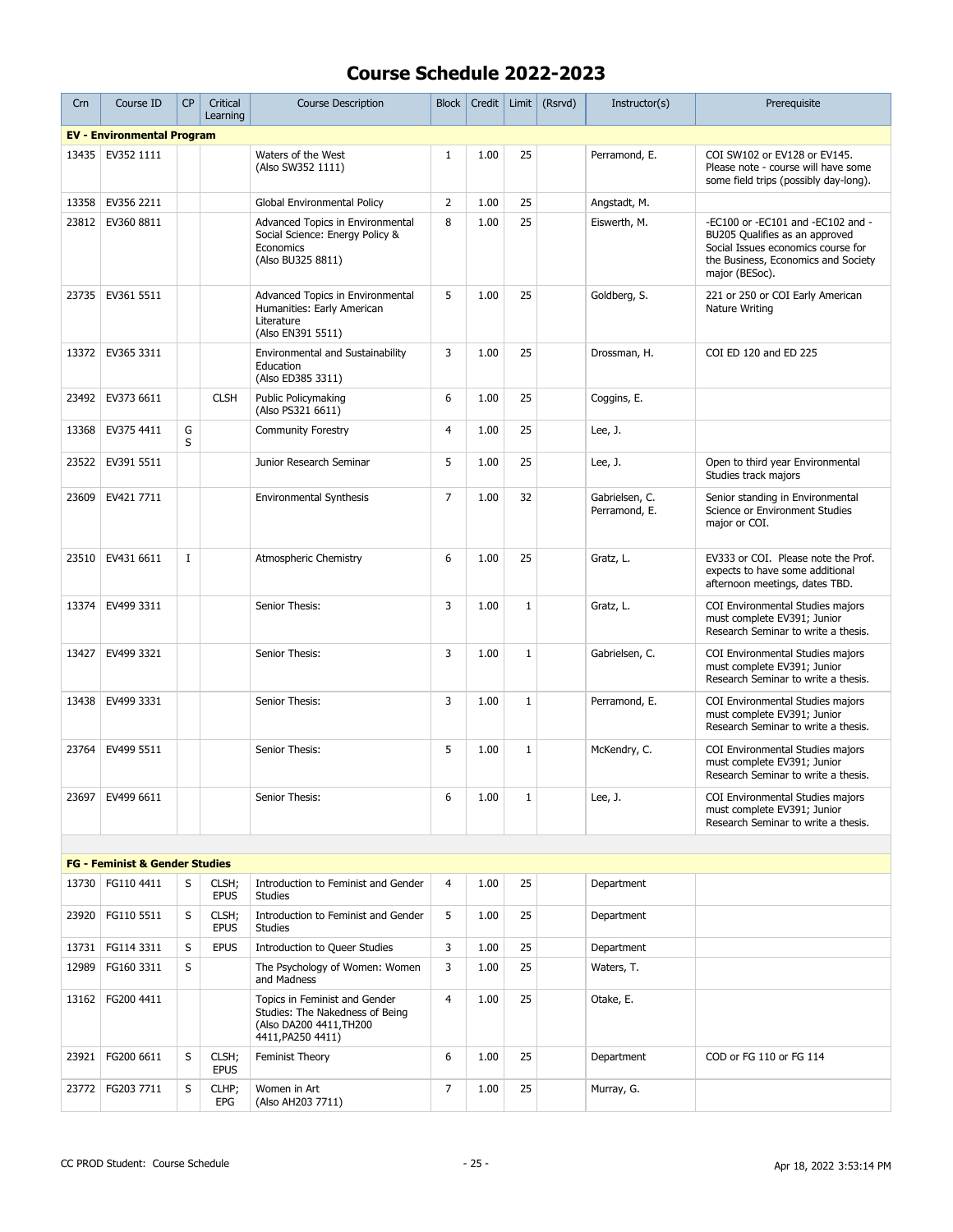| Crn   | Course ID                                 | <b>CP</b>   | Critical<br>Learning | <b>Course Description</b>                                                                                        | Block          | Credit | Limit        | (Rsrvd) | Instructor(s)                   | Prerequisite                                                                                                                                                       |
|-------|-------------------------------------------|-------------|----------------------|------------------------------------------------------------------------------------------------------------------|----------------|--------|--------------|---------|---------------------------------|--------------------------------------------------------------------------------------------------------------------------------------------------------------------|
|       | <b>EV - Environmental Program</b>         |             |                      |                                                                                                                  |                |        |              |         |                                 |                                                                                                                                                                    |
| 13435 | EV352 1111                                |             |                      | Waters of the West<br>(Also SW352 1111)                                                                          | $\mathbf{1}$   | 1.00   | 25           |         | Perramond, E.                   | COI SW102 or EV128 or EV145.<br>Please note - course will have some<br>some field trips (possibly day-long).                                                       |
| 13358 | EV356 2211                                |             |                      | Global Environmental Policy                                                                                      | $\overline{2}$ | 1.00   | 25           |         | Angstadt, M.                    |                                                                                                                                                                    |
| 23812 | EV360 8811                                |             |                      | Advanced Topics in Environmental<br>Social Science: Energy Policy &<br>Economics<br>(Also BU325 8811)            | 8              | 1.00   | 25           |         | Eiswerth, M.                    | -EC100 or -EC101 and -EC102 and -<br>BU205 Qualifies as an approved<br>Social Issues economics course for<br>the Business, Economics and Society<br>major (BESoc). |
| 23735 | EV361 5511                                |             |                      | Advanced Topics in Environmental<br>Humanities: Early American<br>Literature<br>(Also EN391 5511)                | 5              | 1.00   | 25           |         | Goldberg, S.                    | 221 or 250 or COI Early American<br>Nature Writing                                                                                                                 |
| 13372 | EV365 3311                                |             |                      | Environmental and Sustainability<br>Education<br>(Also ED385 3311)                                               | 3              | 1.00   | 25           |         | Drossman, H.                    | COI ED 120 and ED 225                                                                                                                                              |
| 23492 | EV373 6611                                |             | <b>CLSH</b>          | Public Policymaking<br>(Also PS321 6611)                                                                         | 6              | 1.00   | 25           |         | Coggins, E.                     |                                                                                                                                                                    |
| 13368 | EV375 4411                                | G<br>S      |                      | <b>Community Forestry</b>                                                                                        | $\overline{4}$ | 1.00   | 25           |         | Lee, J.                         |                                                                                                                                                                    |
| 23522 | EV391 5511                                |             |                      | Junior Research Seminar                                                                                          | 5              | 1.00   | 25           |         | Lee, $J.$                       | Open to third year Environmental<br>Studies track majors                                                                                                           |
| 23609 | EV421 7711                                |             |                      | <b>Environmental Synthesis</b>                                                                                   | $\overline{7}$ | 1.00   | 32           |         | Gabrielsen, C.<br>Perramond, E. | Senior standing in Environmental<br>Science or Environment Studies<br>major or COI.                                                                                |
| 23510 | EV431 6611                                | $\mathbf I$ |                      | Atmospheric Chemistry                                                                                            | 6              | 1.00   | 25           |         | Gratz, L.                       | EV333 or COI. Please note the Prof.<br>expects to have some additional<br>afternoon meetings, dates TBD.                                                           |
| 13374 | EV499 3311                                |             |                      | Senior Thesis:                                                                                                   | 3              | 1.00   | $\mathbf{1}$ |         | Gratz, L.                       | COI Environmental Studies majors<br>must complete EV391; Junior<br>Research Seminar to write a thesis.                                                             |
| 13427 | EV499 3321                                |             |                      | Senior Thesis:                                                                                                   | 3              | 1.00   | $\mathbf{1}$ |         | Gabrielsen, C.                  | COI Environmental Studies majors<br>must complete EV391; Junior<br>Research Seminar to write a thesis.                                                             |
| 13438 | EV499 3331                                |             |                      | Senior Thesis:                                                                                                   | 3              | 1.00   | $\mathbf{1}$ |         | Perramond, E.                   | COI Environmental Studies majors<br>must complete EV391; Junior<br>Research Seminar to write a thesis.                                                             |
| 23764 | EV499 5511                                |             |                      | Senior Thesis:                                                                                                   | 5              | 1.00   | $\mathbf{1}$ |         | McKendry, C.                    | COI Environmental Studies majors<br>must complete EV391; Junior<br>Research Seminar to write a thesis.                                                             |
|       | 23697   EV499 6611                        |             |                      | Senior Thesis:                                                                                                   | 6              | 1.00   | $\mathbf{1}$ |         | Lee, J.                         | COI Environmental Studies majors<br>must complete EV391; Junior<br>Research Seminar to write a thesis.                                                             |
|       |                                           |             |                      |                                                                                                                  |                |        |              |         |                                 |                                                                                                                                                                    |
|       | <b>FG - Feminist &amp; Gender Studies</b> |             |                      |                                                                                                                  |                |        |              |         |                                 |                                                                                                                                                                    |
| 13730 | FG110 4411                                | S           | CLSH;<br><b>EPUS</b> | Introduction to Feminist and Gender<br><b>Studies</b>                                                            | $\overline{4}$ | 1.00   | 25           |         | Department                      |                                                                                                                                                                    |
| 23920 | FG110 5511                                | S           | CLSH;<br><b>EPUS</b> | Introduction to Feminist and Gender<br><b>Studies</b>                                                            | 5              | 1.00   | 25           |         | Department                      |                                                                                                                                                                    |
| 13731 | FG114 3311                                | S           | <b>EPUS</b>          | Introduction to Queer Studies                                                                                    | 3              | 1.00   | 25           |         | Department                      |                                                                                                                                                                    |
| 12989 | FG160 3311                                | S           |                      | The Psychology of Women: Women<br>and Madness                                                                    | 3              | 1.00   | 25           |         | Waters, T.                      |                                                                                                                                                                    |
| 13162 | FG200 4411                                |             |                      | Topics in Feminist and Gender<br>Studies: The Nakedness of Being<br>(Also DA200 4411, TH200<br>4411, PA250 4411) | $\overline{4}$ | 1.00   | 25           |         | Otake, E.                       |                                                                                                                                                                    |
| 23921 | FG200 6611                                | S           | CLSH;<br><b>EPUS</b> | Feminist Theory                                                                                                  | 6              | 1.00   | 25           |         | Department                      | COD or FG 110 or FG 114                                                                                                                                            |
| 23772 | FG203 7711                                | S           | CLHP;<br>EPG         | Women in Art<br>(Also AH203 7711)                                                                                | 7              | 1.00   | 25           |         | Murray, G.                      |                                                                                                                                                                    |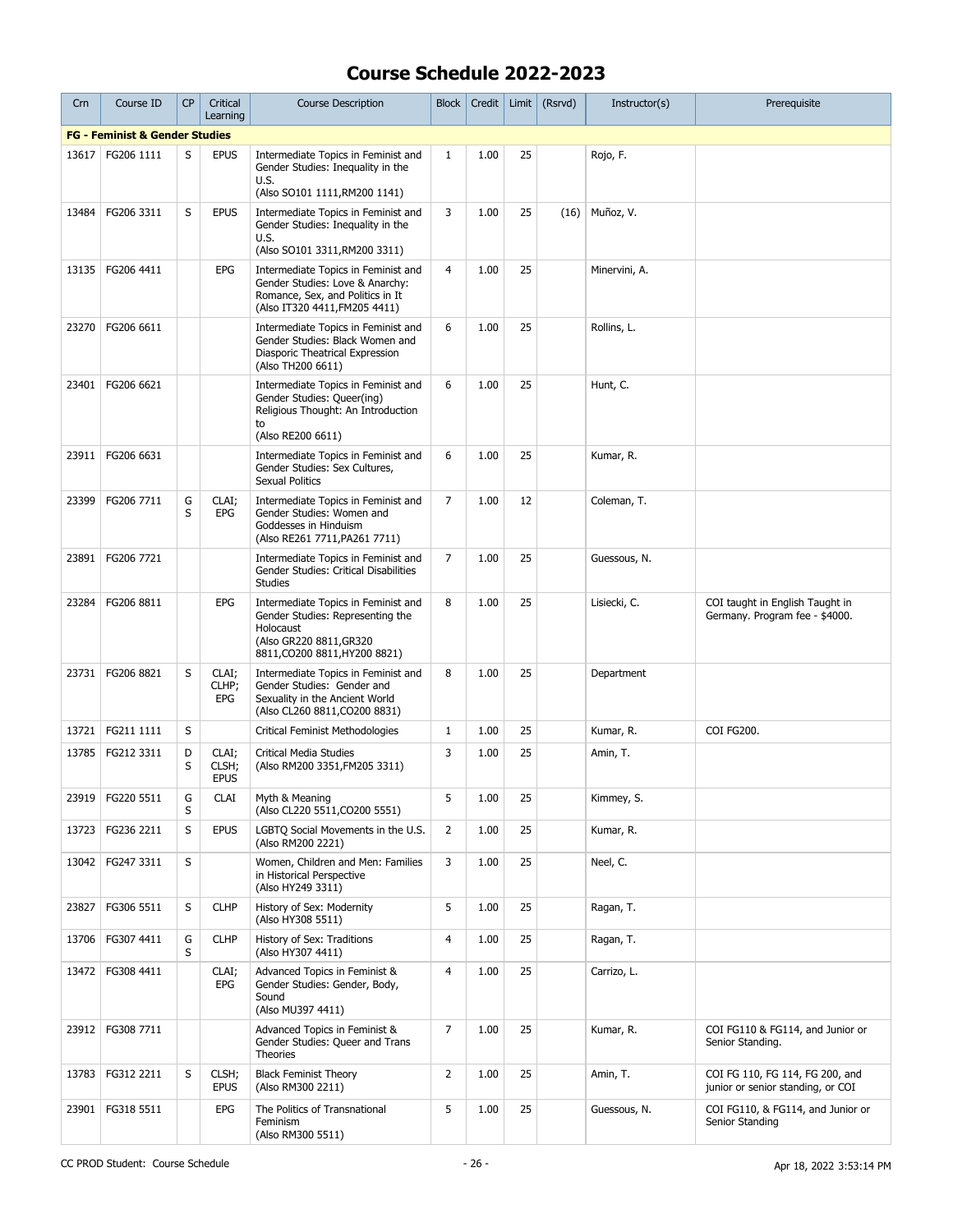| Crn   | Course ID                                 | <b>CP</b> | Critical<br>Learning          | <b>Course Description</b>                                                                                                                        | Block          | Credit | Limit | (Rsrvd) | Instructor(s) | Prerequisite                                                         |
|-------|-------------------------------------------|-----------|-------------------------------|--------------------------------------------------------------------------------------------------------------------------------------------------|----------------|--------|-------|---------|---------------|----------------------------------------------------------------------|
|       | <b>FG - Feminist &amp; Gender Studies</b> |           |                               |                                                                                                                                                  |                |        |       |         |               |                                                                      |
| 13617 | FG206 1111                                | S         | <b>EPUS</b>                   | Intermediate Topics in Feminist and<br>Gender Studies: Inequality in the<br>U.S.<br>(Also SO101 1111, RM200 1141)                                | $\mathbf{1}$   | 1.00   | 25    |         | Rojo, F.      |                                                                      |
| 13484 | FG206 3311                                | S         | <b>EPUS</b>                   | Intermediate Topics in Feminist and<br>Gender Studies: Inequality in the<br>U.S.<br>(Also SO101 3311, RM200 3311)                                | 3              | 1.00   | 25    | (16)    | Muñoz, V.     |                                                                      |
| 13135 | FG206 4411                                |           | EPG                           | Intermediate Topics in Feminist and<br>Gender Studies: Love & Anarchy:<br>Romance, Sex, and Politics in It<br>(Also IT320 4411, FM205 4411)      | $\overline{4}$ | 1.00   | 25    |         | Minervini, A. |                                                                      |
| 23270 | FG206 6611                                |           |                               | Intermediate Topics in Feminist and<br>Gender Studies: Black Women and<br>Diasporic Theatrical Expression<br>(Also TH200 6611)                   | 6              | 1.00   | 25    |         | Rollins, L.   |                                                                      |
| 23401 | FG206 6621                                |           |                               | Intermediate Topics in Feminist and<br>Gender Studies: Queer(ing)<br>Religious Thought: An Introduction<br>to<br>(Also RE200 6611)               | 6              | 1.00   | 25    |         | Hunt, C.      |                                                                      |
| 23911 | FG206 6631                                |           |                               | Intermediate Topics in Feminist and<br>Gender Studies: Sex Cultures,<br><b>Sexual Politics</b>                                                   | 6              | 1.00   | 25    |         | Kumar, R.     |                                                                      |
| 23399 | FG206 7711                                | G<br>S    | CLAI;<br>EPG                  | Intermediate Topics in Feminist and<br>Gender Studies: Women and<br>Goddesses in Hinduism<br>(Also RE261 7711, PA261 7711)                       | $\overline{7}$ | 1.00   | 12    |         | Coleman, T.   |                                                                      |
| 23891 | FG206 7721                                |           |                               | Intermediate Topics in Feminist and<br>Gender Studies: Critical Disabilities<br><b>Studies</b>                                                   | $\overline{7}$ | 1.00   | 25    |         | Guessous, N.  |                                                                      |
| 23284 | FG206 8811                                |           | EPG                           | Intermediate Topics in Feminist and<br>Gender Studies: Representing the<br>Holocaust<br>(Also GR220 8811, GR320<br>8811, CO200 8811, HY200 8821) | 8              | 1.00   | 25    |         | Lisiecki, C.  | COI taught in English Taught in<br>Germany. Program fee - \$4000.    |
| 23731 | FG206 8821                                | S         | CLAI;<br>CLHP;<br><b>EPG</b>  | Intermediate Topics in Feminist and<br>Gender Studies: Gender and<br>Sexuality in the Ancient World<br>(Also CL260 8811, CO200 8831)             | 8              | 1.00   | 25    |         | Department    |                                                                      |
| 13721 | FG211 1111                                | S         |                               | <b>Critical Feminist Methodologies</b>                                                                                                           | $\mathbf{1}$   | 1.00   | 25    |         | Kumar, R.     | COI FG200.                                                           |
| 13785 | FG212 3311                                | D<br>S    | CLAI;<br>CLSH;<br><b>EPUS</b> | Critical Media Studies<br>(Also RM200 3351, FM205 3311)                                                                                          | 3              | 1.00   | 25    |         | Amin, T.      |                                                                      |
|       | 23919   FG220 5511                        | G<br>S    | <b>CLAI</b>                   | Myth & Meaning<br>(Also CL220 5511, CO200 5551)                                                                                                  | 5              | 1.00   | 25    |         | Kimmey, S.    |                                                                      |
| 13723 | FG236 2211                                | S         | <b>EPUS</b>                   | LGBTQ Social Movements in the U.S.<br>(Also RM200 2221)                                                                                          | 2              | 1.00   | 25    |         | Kumar, R.     |                                                                      |
| 13042 | FG247 3311                                | S         |                               | Women, Children and Men: Families<br>in Historical Perspective<br>(Also HY249 3311)                                                              | 3              | 1.00   | 25    |         | Neel, C.      |                                                                      |
| 23827 | FG306 5511                                | S         | <b>CLHP</b>                   | History of Sex: Modernity<br>(Also HY308 5511)                                                                                                   | 5              | 1.00   | 25    |         | Ragan, T.     |                                                                      |
| 13706 | FG307 4411                                | G<br>S    | <b>CLHP</b>                   | History of Sex: Traditions<br>(Also HY307 4411)                                                                                                  | 4              | 1.00   | 25    |         | Ragan, T.     |                                                                      |
|       | 13472   FG308 4411                        |           | CLAI;<br>EPG                  | Advanced Topics in Feminist &<br>Gender Studies: Gender, Body,<br>Sound<br>(Also MU397 4411)                                                     | $\overline{4}$ | 1.00   | 25    |         | Carrizo, L.   |                                                                      |
|       | 23912   FG308 7711                        |           |                               | Advanced Topics in Feminist &<br>Gender Studies: Queer and Trans<br>Theories                                                                     | $\overline{7}$ | 1.00   | 25    |         | Kumar, R.     | COI FG110 & FG114, and Junior or<br>Senior Standing.                 |
| 13783 | FG312 2211                                | S         | CLSH;<br><b>EPUS</b>          | <b>Black Feminist Theory</b><br>(Also RM300 2211)                                                                                                | $\overline{2}$ | 1.00   | 25    |         | Amin, T.      | COI FG 110, FG 114, FG 200, and<br>junior or senior standing, or COI |
| 23901 | FG318 5511                                |           | EPG                           | The Politics of Transnational<br>Feminism<br>(Also RM300 5511)                                                                                   | 5              | 1.00   | 25    |         | Guessous, N.  | COI FG110, & FG114, and Junior or<br>Senior Standing                 |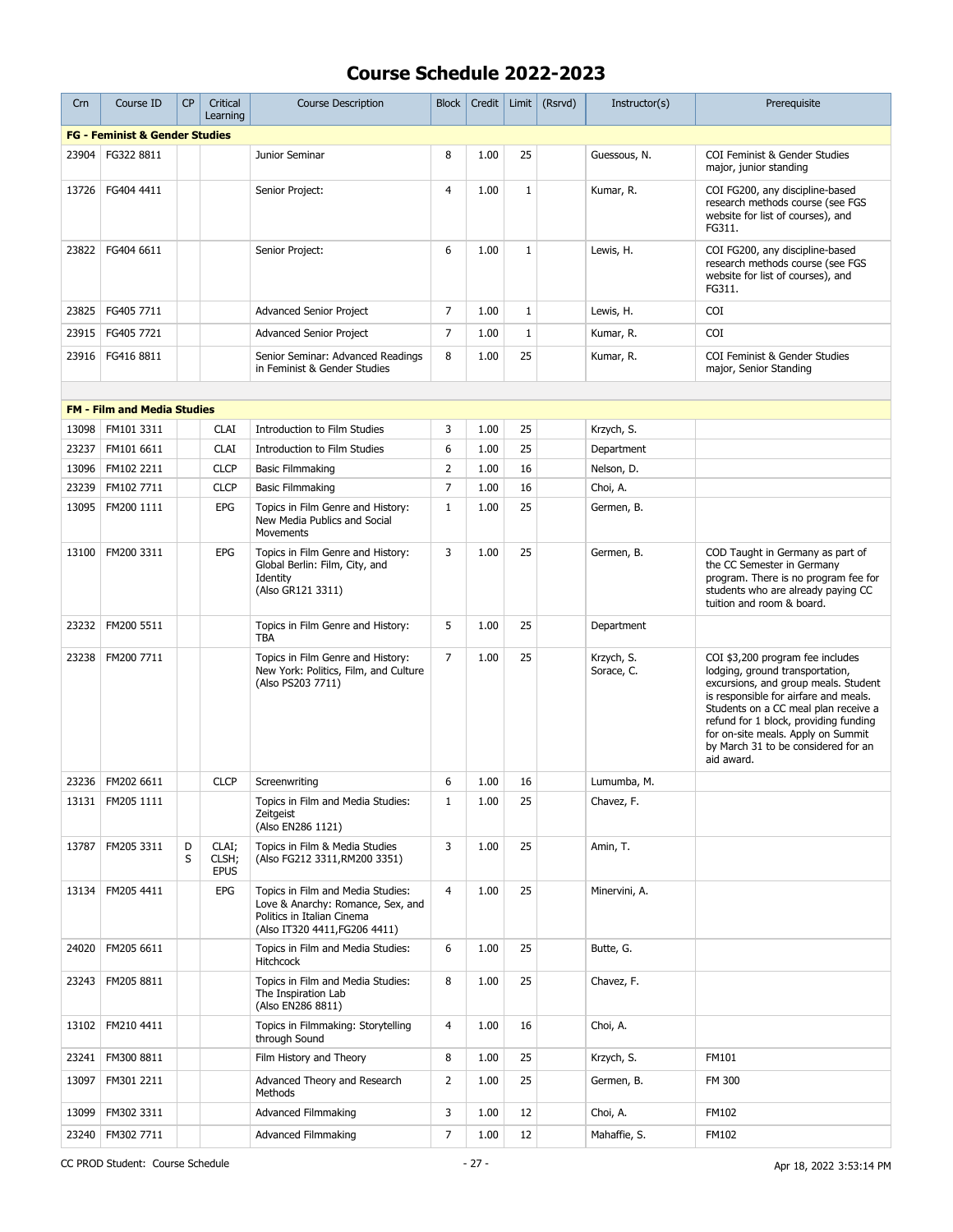| Crn   | Course ID                                 | <b>CP</b> | Critical<br>Learning          | <b>Course Description</b>                                                                                                             | <b>Block</b>   | Credit | Limit        | (Rsrvd) | Instructor(s)            | Prerequisite                                                                                                                                                                                                                                                                                                                     |
|-------|-------------------------------------------|-----------|-------------------------------|---------------------------------------------------------------------------------------------------------------------------------------|----------------|--------|--------------|---------|--------------------------|----------------------------------------------------------------------------------------------------------------------------------------------------------------------------------------------------------------------------------------------------------------------------------------------------------------------------------|
|       | <b>FG - Feminist &amp; Gender Studies</b> |           |                               |                                                                                                                                       |                |        |              |         |                          |                                                                                                                                                                                                                                                                                                                                  |
| 23904 | FG322 8811                                |           |                               | Junior Seminar                                                                                                                        | 8              | 1.00   | 25           |         | Guessous, N.             | COI Feminist & Gender Studies<br>major, junior standing                                                                                                                                                                                                                                                                          |
| 13726 | FG404 4411                                |           |                               | Senior Project:                                                                                                                       | $\overline{4}$ | 1.00   | $\mathbf{1}$ |         | Kumar, R.                | COI FG200, any discipline-based<br>research methods course (see FGS<br>website for list of courses), and<br>FG311.                                                                                                                                                                                                               |
| 23822 | FG404 6611                                |           |                               | Senior Project:                                                                                                                       | 6              | 1.00   | $\mathbf{1}$ |         | Lewis, H.                | COI FG200, any discipline-based<br>research methods course (see FGS<br>website for list of courses), and<br>FG311.                                                                                                                                                                                                               |
| 23825 | FG405 7711                                |           |                               | <b>Advanced Senior Project</b>                                                                                                        | 7              | 1.00   | $\mathbf 1$  |         | Lewis, H.                | <b>COI</b>                                                                                                                                                                                                                                                                                                                       |
| 23915 | FG405 7721                                |           |                               | <b>Advanced Senior Project</b>                                                                                                        | $\overline{7}$ | 1.00   | $\mathbf 1$  |         | Kumar, R.                | COI                                                                                                                                                                                                                                                                                                                              |
| 23916 | FG416 8811                                |           |                               | Senior Seminar: Advanced Readings<br>in Feminist & Gender Studies                                                                     | 8              | 1.00   | 25           |         | Kumar, R.                | COI Feminist & Gender Studies<br>major, Senior Standing                                                                                                                                                                                                                                                                          |
|       |                                           |           |                               |                                                                                                                                       |                |        |              |         |                          |                                                                                                                                                                                                                                                                                                                                  |
|       | <b>FM - Film and Media Studies</b>        |           |                               |                                                                                                                                       |                |        |              |         |                          |                                                                                                                                                                                                                                                                                                                                  |
| 13098 | FM101 3311                                |           | <b>CLAI</b>                   | Introduction to Film Studies                                                                                                          | 3              | 1.00   | 25           |         | Krzych, S.               |                                                                                                                                                                                                                                                                                                                                  |
| 23237 | FM101 6611                                |           | <b>CLAI</b>                   | Introduction to Film Studies                                                                                                          | 6              | 1.00   | 25           |         | Department               |                                                                                                                                                                                                                                                                                                                                  |
| 13096 | FM102 2211                                |           | <b>CLCP</b>                   | <b>Basic Filmmaking</b>                                                                                                               | $\overline{2}$ | 1.00   | 16           |         | Nelson, D.               |                                                                                                                                                                                                                                                                                                                                  |
| 23239 | FM102 7711                                |           | <b>CLCP</b>                   | <b>Basic Filmmaking</b>                                                                                                               | $\overline{7}$ | 1.00   | 16           |         | Choi, A.                 |                                                                                                                                                                                                                                                                                                                                  |
| 13095 | FM200 1111                                |           | <b>EPG</b>                    | Topics in Film Genre and History:<br>New Media Publics and Social<br>Movements                                                        | $\mathbf{1}$   | 1.00   | 25           |         | Germen, B.               |                                                                                                                                                                                                                                                                                                                                  |
| 13100 | FM200 3311                                |           | <b>EPG</b>                    | Topics in Film Genre and History:<br>Global Berlin: Film, City, and<br>Identity<br>(Also GR121 3311)                                  | 3              | 1.00   | 25           |         | Germen, B.               | COD Taught in Germany as part of<br>the CC Semester in Germany<br>program. There is no program fee for<br>students who are already paying CC<br>tuition and room & board.                                                                                                                                                        |
| 23232 | FM200 5511                                |           |                               | Topics in Film Genre and History:<br><b>TBA</b>                                                                                       | 5              | 1.00   | 25           |         | Department               |                                                                                                                                                                                                                                                                                                                                  |
| 23238 | FM200 7711                                |           |                               | Topics in Film Genre and History:<br>New York: Politics, Film, and Culture<br>(Also PS203 7711)                                       | $\overline{7}$ | 1.00   | 25           |         | Krzych, S.<br>Sorace, C. | COI \$3,200 program fee includes<br>lodging, ground transportation,<br>excursions, and group meals. Student<br>is responsible for airfare and meals.<br>Students on a CC meal plan receive a<br>refund for 1 block, providing funding<br>for on-site meals. Apply on Summit<br>by March 31 to be considered for an<br>aid award. |
|       | 23236   FM202 6611                        |           | <b>CLCP</b>                   | Screenwriting                                                                                                                         | 6              | 1.00   | 16           |         | Lumumba, M.              |                                                                                                                                                                                                                                                                                                                                  |
|       | 13131   FM205 1111                        |           |                               | Topics in Film and Media Studies:<br>Zeitgeist<br>(Also EN286 1121)                                                                   | $\mathbf{1}$   | 1.00   | 25           |         | Chavez, F.               |                                                                                                                                                                                                                                                                                                                                  |
| 13787 | FM205 3311                                | D<br>S    | CLAI;<br>CLSH;<br><b>EPUS</b> | Topics in Film & Media Studies<br>(Also FG212 3311, RM200 3351)                                                                       | 3              | 1.00   | 25           |         | Amin, T.                 |                                                                                                                                                                                                                                                                                                                                  |
| 13134 | FM205 4411                                |           | <b>EPG</b>                    | Topics in Film and Media Studies:<br>Love & Anarchy: Romance, Sex, and<br>Politics in Italian Cinema<br>(Also IT320 4411, FG206 4411) | 4              | 1.00   | 25           |         | Minervini, A.            |                                                                                                                                                                                                                                                                                                                                  |
| 24020 | FM205 6611                                |           |                               | Topics in Film and Media Studies:<br><b>Hitchcock</b>                                                                                 | 6              | 1.00   | 25           |         | Butte, G.                |                                                                                                                                                                                                                                                                                                                                  |
| 23243 | FM205 8811                                |           |                               | Topics in Film and Media Studies:<br>The Inspiration Lab<br>(Also EN286 8811)                                                         | 8              | 1.00   | 25           |         | Chavez, F.               |                                                                                                                                                                                                                                                                                                                                  |
|       | 13102   FM210 4411                        |           |                               | Topics in Filmmaking: Storytelling<br>through Sound                                                                                   | 4              | 1.00   | 16           |         | Choi, A.                 |                                                                                                                                                                                                                                                                                                                                  |
| 23241 | FM300 8811                                |           |                               | Film History and Theory                                                                                                               | 8              | 1.00   | 25           |         | Krzych, S.               | FM101                                                                                                                                                                                                                                                                                                                            |
| 13097 | FM301 2211                                |           |                               | Advanced Theory and Research<br>Methods                                                                                               | $\overline{2}$ | 1.00   | 25           |         | Germen, B.               | FM 300                                                                                                                                                                                                                                                                                                                           |
| 13099 | FM302 3311                                |           |                               | <b>Advanced Filmmaking</b>                                                                                                            | 3              | 1.00   | 12           |         | Choi, A.                 | FM102                                                                                                                                                                                                                                                                                                                            |
| 23240 | FM302 7711                                |           |                               | <b>Advanced Filmmaking</b>                                                                                                            | $\overline{7}$ | 1.00   | 12           |         | Mahaffie, S.             | FM102                                                                                                                                                                                                                                                                                                                            |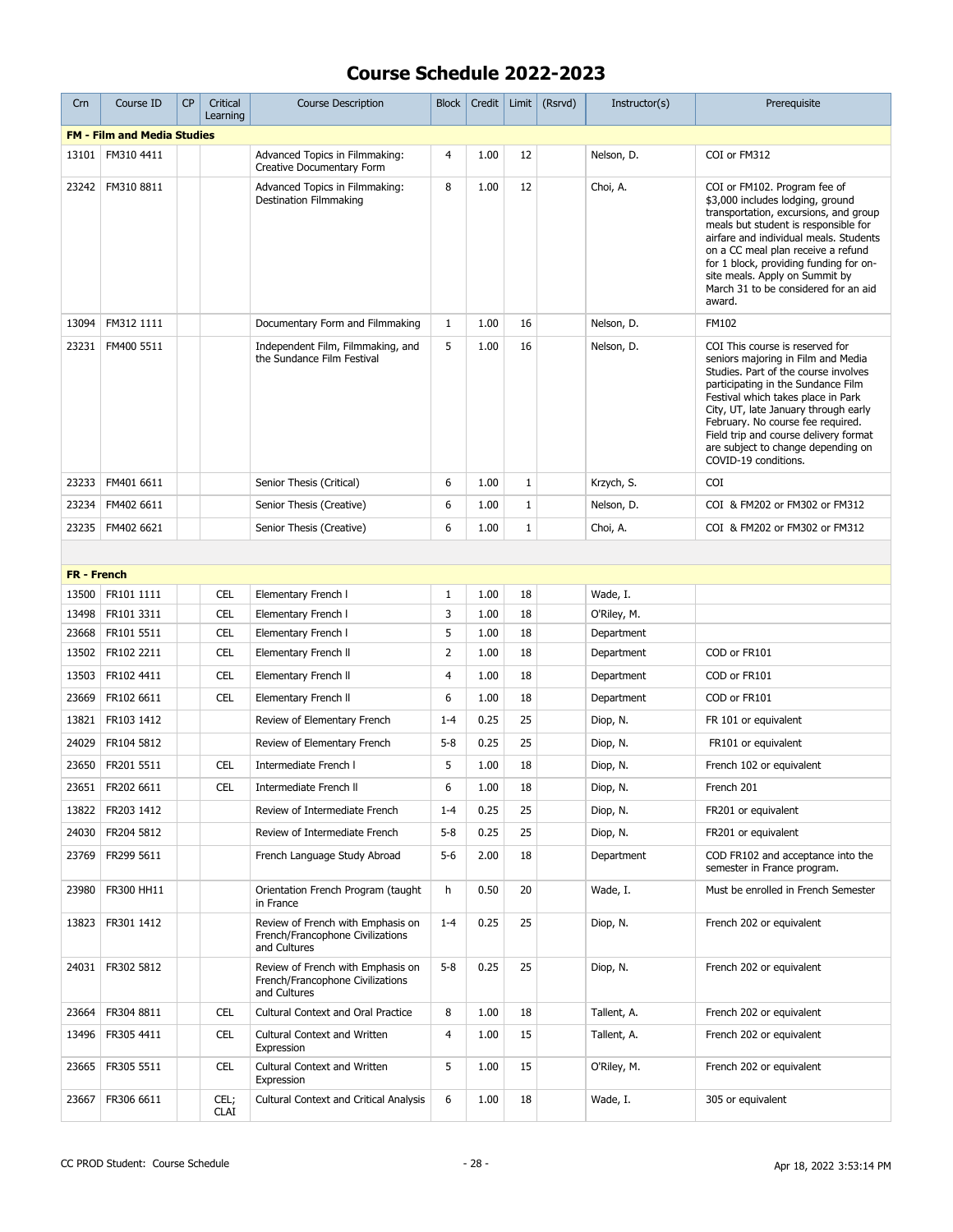| Crn                | Course ID                          | <b>CP</b> | Critical<br>Learning | <b>Course Description</b>                                                             | <b>Block</b>   | Credit | Limit        | (Rsrvd) | Instructor(s) | Prerequisite                                                                                                                                                                                                                                                                                                                                                                  |
|--------------------|------------------------------------|-----------|----------------------|---------------------------------------------------------------------------------------|----------------|--------|--------------|---------|---------------|-------------------------------------------------------------------------------------------------------------------------------------------------------------------------------------------------------------------------------------------------------------------------------------------------------------------------------------------------------------------------------|
|                    | <b>FM - Film and Media Studies</b> |           |                      |                                                                                       |                |        |              |         |               |                                                                                                                                                                                                                                                                                                                                                                               |
| 13101              | FM310 4411                         |           |                      | Advanced Topics in Filmmaking:<br>Creative Documentary Form                           | $\overline{4}$ | 1.00   | 12           |         | Nelson, D.    | COI or FM312                                                                                                                                                                                                                                                                                                                                                                  |
| 23242              | FM310 8811                         |           |                      | Advanced Topics in Filmmaking:<br><b>Destination Filmmaking</b>                       | 8              | 1.00   | 12           |         | Choi, A.      | COI or FM102. Program fee of<br>\$3,000 includes lodging, ground<br>transportation, excursions, and group<br>meals but student is responsible for<br>airfare and individual meals. Students<br>on a CC meal plan receive a refund<br>for 1 block, providing funding for on-<br>site meals. Apply on Summit by<br>March 31 to be considered for an aid<br>award.               |
| 13094              | FM312 1111                         |           |                      | Documentary Form and Filmmaking                                                       | $\mathbf{1}$   | 1.00   | 16           |         | Nelson, D.    | FM102                                                                                                                                                                                                                                                                                                                                                                         |
| 23231              | FM400 5511                         |           |                      | Independent Film, Filmmaking, and<br>the Sundance Film Festival                       | 5              | 1.00   | 16           |         | Nelson, D.    | COI This course is reserved for<br>seniors majoring in Film and Media<br>Studies. Part of the course involves<br>participating in the Sundance Film<br>Festival which takes place in Park<br>City, UT, late January through early<br>February. No course fee required.<br>Field trip and course delivery format<br>are subject to change depending on<br>COVID-19 conditions. |
| 23233              | FM401 6611                         |           |                      | Senior Thesis (Critical)                                                              | 6              | 1.00   | 1            |         | Krzych, S.    | COI                                                                                                                                                                                                                                                                                                                                                                           |
| 23234              | FM402 6611                         |           |                      | Senior Thesis (Creative)                                                              | 6              | 1.00   | $\mathbf{1}$ |         | Nelson, D.    | COI & FM202 or FM302 or FM312                                                                                                                                                                                                                                                                                                                                                 |
| 23235              | FM402 6621                         |           |                      | Senior Thesis (Creative)                                                              | 6              | 1.00   | $\mathbf{1}$ |         | Choi, A.      | COI & FM202 or FM302 or FM312                                                                                                                                                                                                                                                                                                                                                 |
|                    |                                    |           |                      |                                                                                       |                |        |              |         |               |                                                                                                                                                                                                                                                                                                                                                                               |
| <b>FR - French</b> |                                    |           |                      |                                                                                       |                |        |              |         |               |                                                                                                                                                                                                                                                                                                                                                                               |
| 13500              | FR101 1111                         |           | <b>CEL</b>           | Elementary French I                                                                   | $\mathbf{1}$   | 1.00   | 18           |         | Wade, I.      |                                                                                                                                                                                                                                                                                                                                                                               |
| 13498              | FR101 3311                         |           | <b>CEL</b>           | Elementary French I                                                                   | 3              | 1.00   | 18           |         | O'Riley, M.   |                                                                                                                                                                                                                                                                                                                                                                               |
| 23668              | FR101 5511                         |           | <b>CEL</b>           | Elementary French I                                                                   | 5              | 1.00   | 18           |         | Department    |                                                                                                                                                                                                                                                                                                                                                                               |
| 13502              | FR102 2211                         |           | <b>CEL</b>           | Elementary French II                                                                  | 2              | 1.00   | 18           |         | Department    | COD or FR101                                                                                                                                                                                                                                                                                                                                                                  |
| 13503              | FR102 4411                         |           | <b>CEL</b>           | Elementary French II                                                                  | 4              | 1.00   | 18           |         | Department    | COD or FR101                                                                                                                                                                                                                                                                                                                                                                  |
| 23669              | FR102 6611                         |           | <b>CEL</b>           | Elementary French II                                                                  | 6              | 1.00   | 18           |         | Department    | COD or FR101                                                                                                                                                                                                                                                                                                                                                                  |
| 13821              | FR103 1412                         |           |                      | Review of Elementary French                                                           | $1 - 4$        | 0.25   | 25           |         | Diop, N.      | FR 101 or equivalent                                                                                                                                                                                                                                                                                                                                                          |
| 24029              | FR104 5812                         |           |                      | Review of Elementary French                                                           | $5 - 8$        | 0.25   | 25           |         | Diop, N.      | FR101 or equivalent                                                                                                                                                                                                                                                                                                                                                           |
| 23650              | FR201 5511                         |           | <b>CEL</b>           | Intermediate French I                                                                 | 5              | 1.00   | 18           |         | Diop, N.      | French 102 or equivalent                                                                                                                                                                                                                                                                                                                                                      |
| 23651              | FR202 6611                         |           | CEL                  | Intermediate French II                                                                | 6              | 1.00   | 18           |         | Diop, N.      | French 201                                                                                                                                                                                                                                                                                                                                                                    |
| 13822              | FR203 1412                         |           |                      | Review of Intermediate French                                                         | $1 - 4$        | 0.25   | 25           |         | Diop, N.      | FR201 or equivalent                                                                                                                                                                                                                                                                                                                                                           |
| 24030              | FR204 5812                         |           |                      | Review of Intermediate French                                                         | $5 - 8$        | 0.25   | 25           |         | Diop, N.      | FR201 or equivalent                                                                                                                                                                                                                                                                                                                                                           |
| 23769              | FR299 5611                         |           |                      | French Language Study Abroad                                                          | 5-6            | 2.00   | 18           |         | Department    | COD FR102 and acceptance into the<br>semester in France program.                                                                                                                                                                                                                                                                                                              |
| 23980              | FR300 HH11                         |           |                      | Orientation French Program (taught<br>in France                                       | h              | 0.50   | 20           |         | Wade, I.      | Must be enrolled in French Semester                                                                                                                                                                                                                                                                                                                                           |
| 13823              | FR301 1412                         |           |                      | Review of French with Emphasis on<br>French/Francophone Civilizations<br>and Cultures | $1 - 4$        | 0.25   | 25           |         | Diop, N.      | French 202 or equivalent                                                                                                                                                                                                                                                                                                                                                      |
| 24031              | FR302 5812                         |           |                      | Review of French with Emphasis on<br>French/Francophone Civilizations<br>and Cultures | $5 - 8$        | 0.25   | 25           |         | Diop, N.      | French 202 or equivalent                                                                                                                                                                                                                                                                                                                                                      |
| 23664              | FR304 8811                         |           | CEL                  | <b>Cultural Context and Oral Practice</b>                                             | 8              | 1.00   | 18           |         | Tallent, A.   | French 202 or equivalent                                                                                                                                                                                                                                                                                                                                                      |
| 13496              | FR305 4411                         |           | CEL                  | Cultural Context and Written<br>Expression                                            | 4              | 1.00   | 15           |         | Tallent, A.   | French 202 or equivalent                                                                                                                                                                                                                                                                                                                                                      |
| 23665              | FR305 5511                         |           | <b>CEL</b>           | Cultural Context and Written<br>Expression                                            | 5              | 1.00   | 15           |         | O'Riley, M.   | French 202 or equivalent                                                                                                                                                                                                                                                                                                                                                      |
| 23667              | FR306 6611                         |           | CEL;<br><b>CLAI</b>  | <b>Cultural Context and Critical Analysis</b>                                         | 6              | 1.00   | 18           |         | Wade, I.      | 305 or equivalent                                                                                                                                                                                                                                                                                                                                                             |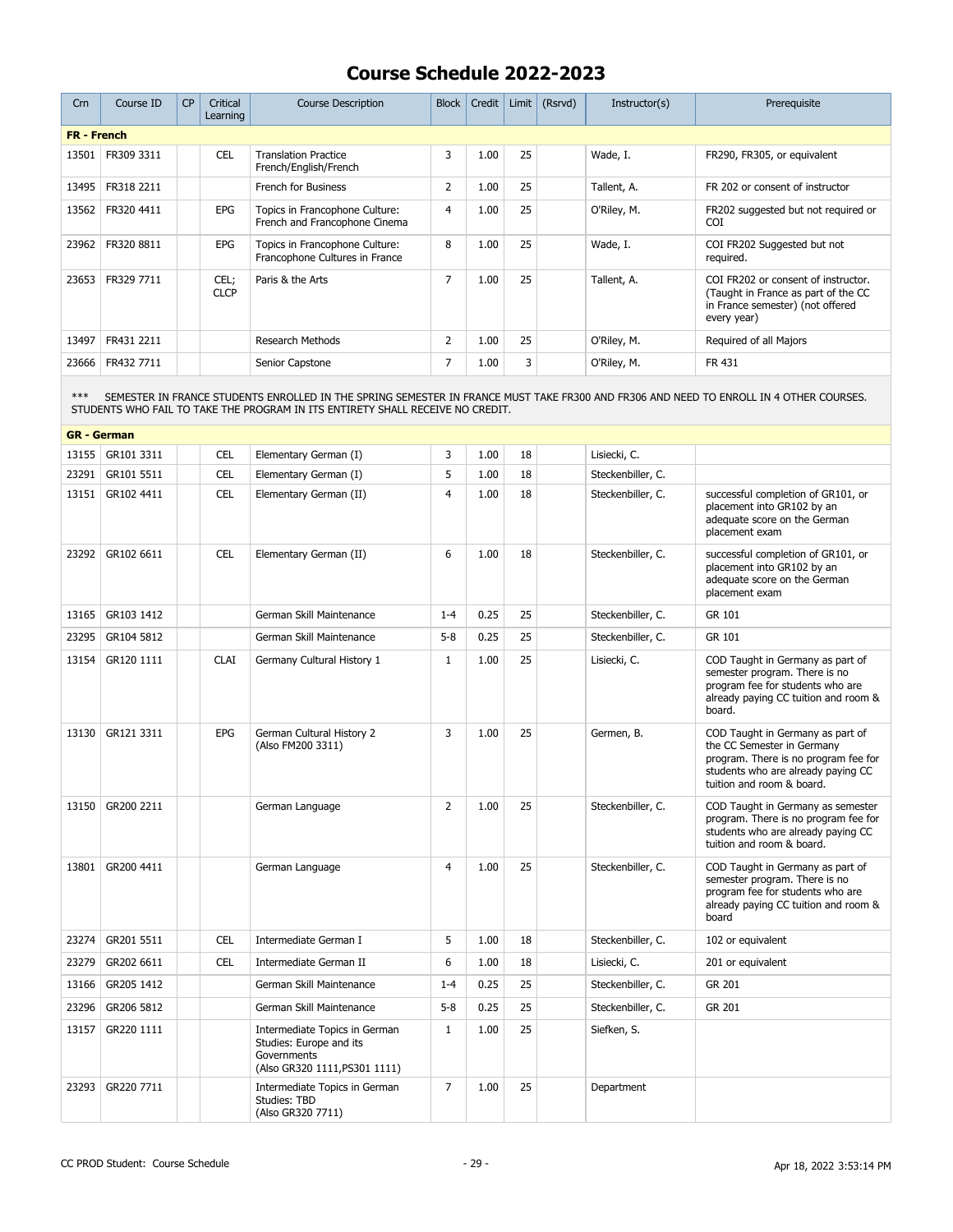| Crn                | Course ID  | CP | Critical<br>Learning | <b>Course Description</b>                                        | <b>Block</b>   | Credit | Limit | (Rsrvd) | Instructor(s) | Prerequisite                                                                                                                  |
|--------------------|------------|----|----------------------|------------------------------------------------------------------|----------------|--------|-------|---------|---------------|-------------------------------------------------------------------------------------------------------------------------------|
| <b>FR</b> - French |            |    |                      |                                                                  |                |        |       |         |               |                                                                                                                               |
| 13501              | FR309 3311 |    | <b>CEL</b>           | <b>Translation Practice</b><br>French/English/French             | 3              | 1.00   | 25    |         | Wade, I.      | FR290, FR305, or equivalent                                                                                                   |
| 13495              | FR318 2211 |    |                      | French for Business                                              | $\overline{2}$ | 1.00   | 25    |         | Tallent, A.   | FR 202 or consent of instructor                                                                                               |
| 13562              | FR320 4411 |    | <b>EPG</b>           | Topics in Francophone Culture:<br>French and Francophone Cinema  | 4              | 1.00   | 25    |         | O'Riley, M.   | FR202 suggested but not required or<br><b>COI</b>                                                                             |
| 23962              | FR320 8811 |    | <b>EPG</b>           | Topics in Francophone Culture:<br>Francophone Cultures in France | 8              | 1.00   | 25    |         | Wade, I.      | COI FR202 Suggested but not<br>required.                                                                                      |
| 23653              | FR329 7711 |    | CEL;<br><b>CLCP</b>  | Paris & the Arts                                                 | 7              | 1.00   | 25    |         | Tallent, A.   | COI FR202 or consent of instructor.<br>(Taught in France as part of the CC<br>in France semester) (not offered<br>every year) |
| 13497              | FR431 2211 |    |                      | <b>Research Methods</b>                                          | $\overline{2}$ | 1.00   | 25    |         | O'Riley, M.   | Required of all Majors                                                                                                        |
| 23666              | FR432 7711 |    |                      | Senior Capstone                                                  | 7              | 1.00   | 3     |         | O'Riley, M.   | FR 431                                                                                                                        |

\*\*\* SEMESTER IN FRANCE STUDENTS ENROLLED IN THE SPRING SEMESTER IN FRANCE MUST TAKE FR300 AND FR306 AND NEED TO ENROLL IN 4 OTHER COURSES. STUDENTS WHO FAIL TO TAKE THE PROGRAM IN ITS ENTIRETY SHALL RECEIVE NO CREDIT.

|       | <b>GR</b> - German |             |                                                                                                          |                |      |    |                   |                                                                                                                                                                           |
|-------|--------------------|-------------|----------------------------------------------------------------------------------------------------------|----------------|------|----|-------------------|---------------------------------------------------------------------------------------------------------------------------------------------------------------------------|
| 13155 | GR101 3311         | <b>CEL</b>  | Elementary German (I)                                                                                    | 3              | 1.00 | 18 | Lisiecki, C.      |                                                                                                                                                                           |
| 23291 | GR101 5511         | <b>CEL</b>  | Elementary German (I)                                                                                    | 5              | 1.00 | 18 | Steckenbiller, C. |                                                                                                                                                                           |
| 13151 | GR102 4411         | <b>CEL</b>  | Elementary German (II)                                                                                   | $\overline{4}$ | 1.00 | 18 | Steckenbiller, C. | successful completion of GR101, or<br>placement into GR102 by an<br>adequate score on the German<br>placement exam                                                        |
| 23292 | GR102 6611         | <b>CEL</b>  | Elementary German (II)                                                                                   | 6              | 1.00 | 18 | Steckenbiller, C. | successful completion of GR101, or<br>placement into GR102 by an<br>adequate score on the German<br>placement exam                                                        |
| 13165 | GR103 1412         |             | German Skill Maintenance                                                                                 | $1 - 4$        | 0.25 | 25 | Steckenbiller, C. | GR 101                                                                                                                                                                    |
| 23295 | GR104 5812         |             | German Skill Maintenance                                                                                 | $5 - 8$        | 0.25 | 25 | Steckenbiller, C. | GR 101                                                                                                                                                                    |
| 13154 | GR120 1111         | <b>CLAI</b> | Germany Cultural History 1                                                                               | $\mathbf{1}$   | 1.00 | 25 | Lisiecki, C.      | COD Taught in Germany as part of<br>semester program. There is no<br>program fee for students who are<br>already paying CC tuition and room &<br>board.                   |
| 13130 | GR121 3311         | EPG         | German Cultural History 2<br>(Also FM200 3311)                                                           | 3              | 1.00 | 25 | Germen, B.        | COD Taught in Germany as part of<br>the CC Semester in Germany<br>program. There is no program fee for<br>students who are already paying CC<br>tuition and room & board. |
| 13150 | GR200 2211         |             | German Language                                                                                          | $\overline{2}$ | 1.00 | 25 | Steckenbiller, C. | COD Taught in Germany as semester<br>program. There is no program fee for<br>students who are already paying CC<br>tuition and room & board.                              |
| 13801 | GR200 4411         |             | German Language                                                                                          | $\overline{4}$ | 1.00 | 25 | Steckenbiller, C. | COD Taught in Germany as part of<br>semester program. There is no<br>program fee for students who are<br>already paying CC tuition and room &<br>board                    |
| 23274 | GR201 5511         | <b>CEL</b>  | Intermediate German I                                                                                    | 5              | 1.00 | 18 | Steckenbiller, C. | 102 or equivalent                                                                                                                                                         |
| 23279 | GR202 6611         | <b>CEL</b>  | Intermediate German II                                                                                   | 6              | 1.00 | 18 | Lisiecki, C.      | 201 or equivalent                                                                                                                                                         |
| 13166 | GR205 1412         |             | German Skill Maintenance                                                                                 | $1 - 4$        | 0.25 | 25 | Steckenbiller, C. | GR 201                                                                                                                                                                    |
| 23296 | GR206 5812         |             | German Skill Maintenance                                                                                 | $5 - 8$        | 0.25 | 25 | Steckenbiller, C. | GR 201                                                                                                                                                                    |
| 13157 | GR220 1111         |             | Intermediate Topics in German<br>Studies: Europe and its<br>Governments<br>(Also GR320 1111, PS301 1111) | $\mathbf{1}$   | 1.00 | 25 | Siefken, S.       |                                                                                                                                                                           |
| 23293 | GR220 7711         |             | Intermediate Topics in German<br>Studies: TBD<br>(Also GR320 7711)                                       | $\overline{7}$ | 1.00 | 25 | Department        |                                                                                                                                                                           |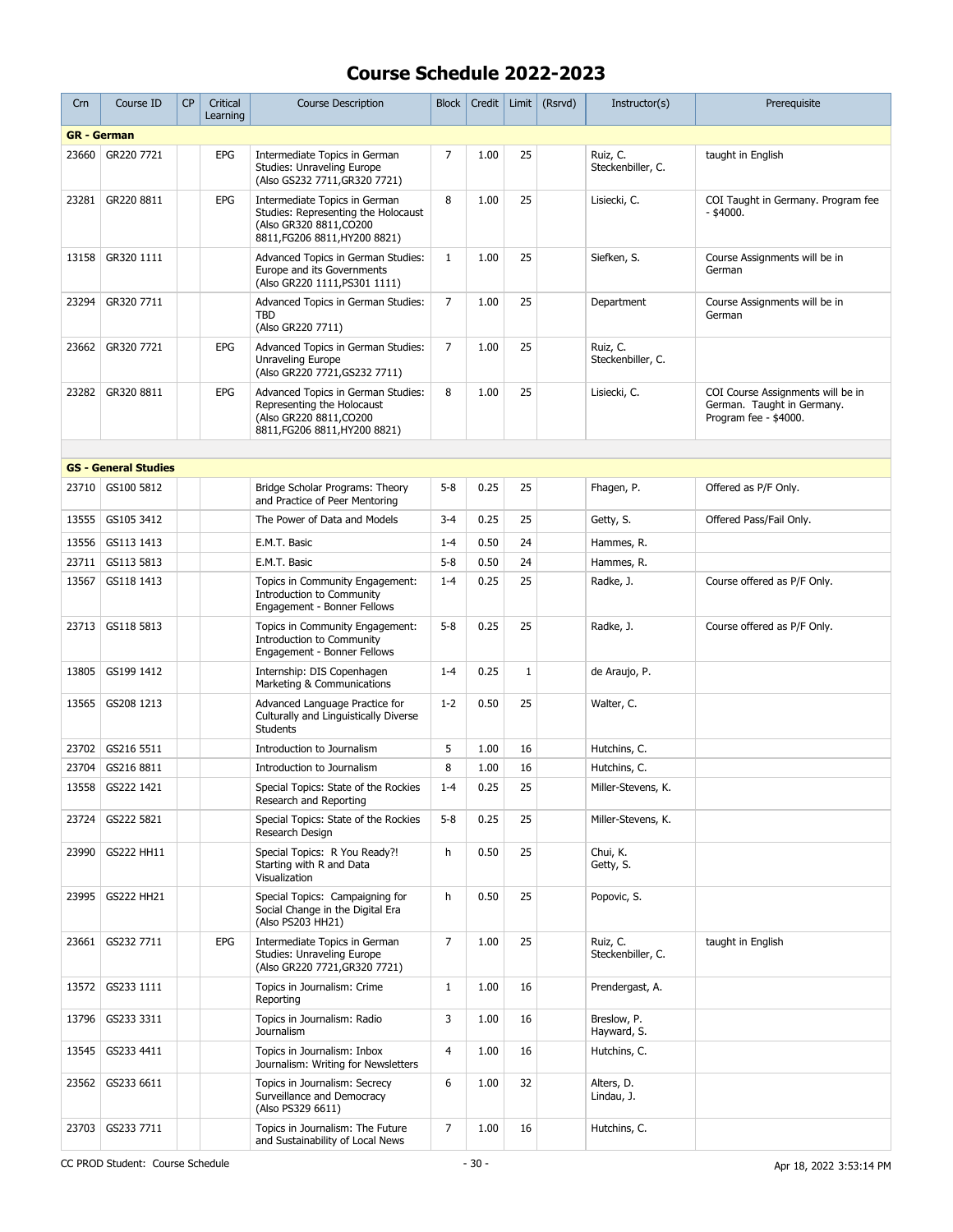| Crn   | Course ID                   | <b>CP</b> | Critical<br>Learning | <b>Course Description</b>                                                                                                        | <b>Block</b>   | Credit | Limit        | (Rsrvd) | Instructor(s)                 | Prerequisite                                                                             |
|-------|-----------------------------|-----------|----------------------|----------------------------------------------------------------------------------------------------------------------------------|----------------|--------|--------------|---------|-------------------------------|------------------------------------------------------------------------------------------|
|       | <b>GR</b> - German          |           |                      |                                                                                                                                  |                |        |              |         |                               |                                                                                          |
| 23660 | GR220 7721                  |           | <b>EPG</b>           | Intermediate Topics in German<br>Studies: Unraveling Europe<br>(Also GS232 7711, GR320 7721)                                     | $\overline{7}$ | 1.00   | 25           |         | Ruiz, C.<br>Steckenbiller, C. | taught in English                                                                        |
| 23281 | GR220 8811                  |           | <b>EPG</b>           | Intermediate Topics in German<br>Studies: Representing the Holocaust<br>(Also GR320 8811, CO200<br>8811, FG206 8811, HY200 8821) | 8              | 1.00   | 25           |         | Lisiecki, C.                  | COI Taught in Germany. Program fee<br>- \$4000.                                          |
| 13158 | GR320 1111                  |           |                      | Advanced Topics in German Studies:<br>Europe and its Governments<br>(Also GR220 1111, PS301 1111)                                | $\mathbf{1}$   | 1.00   | 25           |         | Siefken, S.                   | Course Assignments will be in<br>German                                                  |
| 23294 | GR320 7711                  |           |                      | Advanced Topics in German Studies:<br><b>TBD</b><br>(Also GR220 7711)                                                            | $\overline{7}$ | 1.00   | 25           |         | Department                    | Course Assignments will be in<br>German                                                  |
| 23662 | GR320 7721                  |           | EPG                  | Advanced Topics in German Studies:<br>Unraveling Europe<br>(Also GR220 7721, GS232 7711)                                         | 7              | 1.00   | 25           |         | Ruiz, C.<br>Steckenbiller, C. |                                                                                          |
| 23282 | GR320 8811                  |           | EPG                  | Advanced Topics in German Studies:<br>Representing the Holocaust<br>(Also GR220 8811, CO200<br>8811, FG206 8811, HY200 8821)     | 8              | 1.00   | 25           |         | Lisiecki, C.                  | COI Course Assignments will be in<br>German. Taught in Germany.<br>Program fee - \$4000. |
|       |                             |           |                      |                                                                                                                                  |                |        |              |         |                               |                                                                                          |
|       | <b>GS - General Studies</b> |           |                      |                                                                                                                                  |                |        |              |         |                               |                                                                                          |
|       | 23710 GS100 5812            |           |                      | Bridge Scholar Programs: Theory<br>and Practice of Peer Mentoring                                                                | $5 - 8$        | 0.25   | 25           |         | Fhagen, P.                    | Offered as P/F Only.                                                                     |
| 13555 | GS105 3412                  |           |                      | The Power of Data and Models                                                                                                     | $3 - 4$        | 0.25   | 25           |         | Getty, S.                     | Offered Pass/Fail Only.                                                                  |
| 13556 | GS113 1413                  |           |                      | E.M.T. Basic                                                                                                                     | $1 - 4$        | 0.50   | 24           |         | Hammes, R.                    |                                                                                          |
| 23711 | GS113 5813                  |           |                      | E.M.T. Basic                                                                                                                     | $5 - 8$        | 0.50   | 24           |         | Hammes, R.                    |                                                                                          |
| 13567 | GS118 1413                  |           |                      | Topics in Community Engagement:<br><b>Introduction to Community</b><br>Engagement - Bonner Fellows                               | $1 - 4$        | 0.25   | 25           |         | Radke, J.                     | Course offered as P/F Only.                                                              |
| 23713 | GS118 5813                  |           |                      | Topics in Community Engagement:<br><b>Introduction to Community</b><br>Engagement - Bonner Fellows                               | $5 - 8$        | 0.25   | 25           |         | Radke, J.                     | Course offered as P/F Only.                                                              |
| 13805 | GS199 1412                  |           |                      | Internship: DIS Copenhagen<br>Marketing & Communications                                                                         | $1 - 4$        | 0.25   | $\mathbf{1}$ |         | de Araujo, P.                 |                                                                                          |
| 13565 | GS208 1213                  |           |                      | Advanced Language Practice for<br>Culturally and Linguistically Diverse<br><b>Students</b>                                       | $1 - 2$        | 0.50   | 25           |         | Walter, C.                    |                                                                                          |
| 23702 | GS216 5511                  |           |                      | Introduction to Journalism                                                                                                       | 5              | 1.00   | 16           |         | Hutchins, C.                  |                                                                                          |
| 23704 | GS216 8811                  |           |                      | Introduction to Journalism                                                                                                       | 8              | 1.00   | 16           |         | Hutchins, C.                  |                                                                                          |
|       | 13558 GS222 1421            |           |                      | Special Topics: State of the Rockies<br>Research and Reporting                                                                   | $1 - 4$        | 0.25   | 25           |         | Miller-Stevens, K.            |                                                                                          |
| 23724 | GS222 5821                  |           |                      | Special Topics: State of the Rockies<br>Research Design                                                                          | $5 - 8$        | 0.25   | 25           |         | Miller-Stevens, K.            |                                                                                          |
| 23990 | GS222 HH11                  |           |                      | Special Topics: R You Ready?!<br>Starting with R and Data<br>Visualization                                                       | h              | 0.50   | 25           |         | Chui, K.<br>Getty, S.         |                                                                                          |
| 23995 | GS222 HH21                  |           |                      | Special Topics: Campaigning for<br>Social Change in the Digital Era<br>(Also PS203 HH21)                                         | h              | 0.50   | 25           |         | Popovic, S.                   |                                                                                          |
| 23661 | GS232 7711                  |           | EPG                  | Intermediate Topics in German<br>Studies: Unraveling Europe<br>(Also GR220 7721, GR320 7721)                                     | $\overline{7}$ | 1.00   | 25           |         | Ruiz, C.<br>Steckenbiller, C. | taught in English                                                                        |
| 13572 | GS233 1111                  |           |                      | Topics in Journalism: Crime<br>Reporting                                                                                         | $\mathbf{1}$   | 1.00   | 16           |         | Prendergast, A.               |                                                                                          |
| 13796 | GS233 3311                  |           |                      | Topics in Journalism: Radio<br><b>Journalism</b>                                                                                 | 3              | 1.00   | 16           |         | Breslow, P.<br>Hayward, S.    |                                                                                          |
| 13545 | GS233 4411                  |           |                      | Topics in Journalism: Inbox<br>Journalism: Writing for Newsletters                                                               | 4              | 1.00   | 16           |         | Hutchins, C.                  |                                                                                          |
| 23562 | GS233 6611                  |           |                      | Topics in Journalism: Secrecy<br>Surveillance and Democracy<br>(Also PS329 6611)                                                 | 6              | 1.00   | 32           |         | Alters, D.<br>Lindau, J.      |                                                                                          |
| 23703 | GS233 7711                  |           |                      | Topics in Journalism: The Future<br>and Sustainability of Local News                                                             | $\overline{7}$ | 1.00   | 16           |         | Hutchins, C.                  |                                                                                          |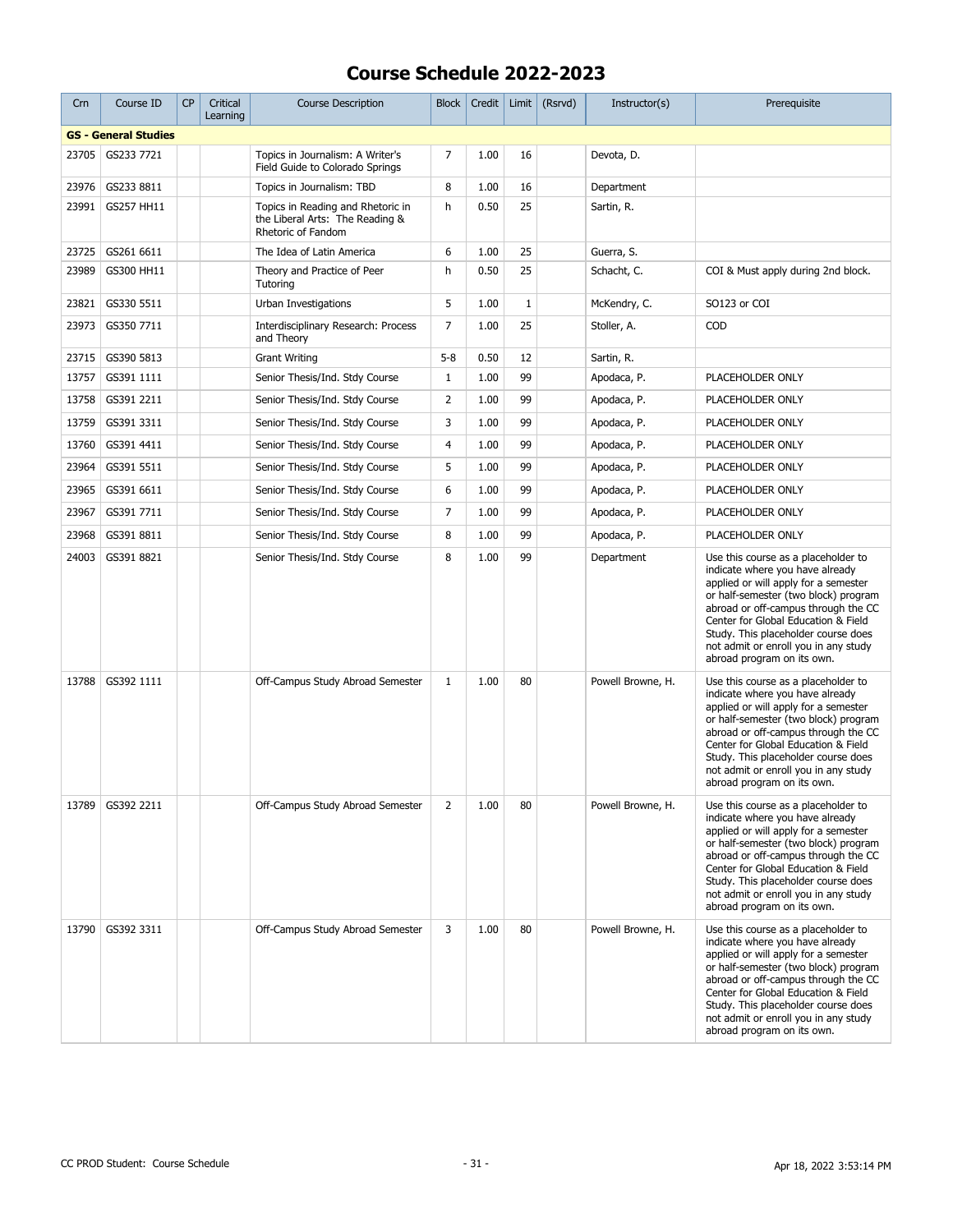| Crn   | Course ID                   | <b>CP</b> | Critical<br>Learning | <b>Course Description</b>                                                                  | <b>Block</b> | Credit | Limit | (Rsrvd) | Instructor(s)     | Prerequisite                                                                                                                                                                                                                                                                                                                                      |
|-------|-----------------------------|-----------|----------------------|--------------------------------------------------------------------------------------------|--------------|--------|-------|---------|-------------------|---------------------------------------------------------------------------------------------------------------------------------------------------------------------------------------------------------------------------------------------------------------------------------------------------------------------------------------------------|
|       | <b>GS - General Studies</b> |           |                      |                                                                                            |              |        |       |         |                   |                                                                                                                                                                                                                                                                                                                                                   |
| 23705 | GS233 7721                  |           |                      | Topics in Journalism: A Writer's<br>Field Guide to Colorado Springs                        | 7            | 1.00   | 16    |         | Devota, D.        |                                                                                                                                                                                                                                                                                                                                                   |
| 23976 | GS233 8811                  |           |                      | Topics in Journalism: TBD                                                                  | 8            | 1.00   | 16    |         | Department        |                                                                                                                                                                                                                                                                                                                                                   |
| 23991 | GS257 HH11                  |           |                      | Topics in Reading and Rhetoric in<br>the Liberal Arts: The Reading &<br>Rhetoric of Fandom | h            | 0.50   | 25    |         | Sartin, R.        |                                                                                                                                                                                                                                                                                                                                                   |
| 23725 | GS261 6611                  |           |                      | The Idea of Latin America                                                                  | 6            | 1.00   | 25    |         | Guerra, S.        |                                                                                                                                                                                                                                                                                                                                                   |
| 23989 | GS300 HH11                  |           |                      | Theory and Practice of Peer<br>Tutoring                                                    | h            | 0.50   | 25    |         | Schacht, C.       | COI & Must apply during 2nd block.                                                                                                                                                                                                                                                                                                                |
| 23821 | GS330 5511                  |           |                      | Urban Investigations                                                                       | 5            | 1.00   | $1\,$ |         | McKendry, C.      | SO123 or COI                                                                                                                                                                                                                                                                                                                                      |
| 23973 | GS350 7711                  |           |                      | Interdisciplinary Research: Process<br>and Theory                                          | 7            | 1.00   | 25    |         | Stoller, A.       | COD                                                                                                                                                                                                                                                                                                                                               |
| 23715 | GS390 5813                  |           |                      | <b>Grant Writing</b>                                                                       | $5 - 8$      | 0.50   | 12    |         | Sartin, R.        |                                                                                                                                                                                                                                                                                                                                                   |
| 13757 | GS391 1111                  |           |                      | Senior Thesis/Ind. Stdy Course                                                             | $\mathbf{1}$ | 1.00   | 99    |         | Apodaca, P.       | PLACEHOLDER ONLY                                                                                                                                                                                                                                                                                                                                  |
| 13758 | GS391 2211                  |           |                      | Senior Thesis/Ind. Stdy Course                                                             | 2            | 1.00   | 99    |         | Apodaca, P.       | PLACEHOLDER ONLY                                                                                                                                                                                                                                                                                                                                  |
| 13759 | GS391 3311                  |           |                      | Senior Thesis/Ind. Stdy Course                                                             | 3            | 1.00   | 99    |         | Apodaca, P.       | PLACEHOLDER ONLY                                                                                                                                                                                                                                                                                                                                  |
| 13760 | GS391 4411                  |           |                      | Senior Thesis/Ind. Stdy Course                                                             | 4            | 1.00   | 99    |         | Apodaca, P.       | PLACEHOLDER ONLY                                                                                                                                                                                                                                                                                                                                  |
| 23964 | GS391 5511                  |           |                      | Senior Thesis/Ind. Stdy Course                                                             | 5            | 1.00   | 99    |         | Apodaca, P.       | PLACEHOLDER ONLY                                                                                                                                                                                                                                                                                                                                  |
| 23965 | GS391 6611                  |           |                      | Senior Thesis/Ind. Stdy Course                                                             | 6            | 1.00   | 99    |         | Apodaca, P.       | PLACEHOLDER ONLY                                                                                                                                                                                                                                                                                                                                  |
| 23967 | GS391 7711                  |           |                      | Senior Thesis/Ind. Stdy Course                                                             | 7            | 1.00   | 99    |         | Apodaca, P.       | PLACEHOLDER ONLY                                                                                                                                                                                                                                                                                                                                  |
| 23968 | GS391 8811                  |           |                      | Senior Thesis/Ind. Stdy Course                                                             | 8            | 1.00   | 99    |         | Apodaca, P.       | PLACEHOLDER ONLY                                                                                                                                                                                                                                                                                                                                  |
| 24003 | GS391 8821                  |           |                      | Senior Thesis/Ind. Stdy Course                                                             | 8            | 1.00   | 99    |         | Department        | Use this course as a placeholder to<br>indicate where you have already<br>applied or will apply for a semester<br>or half-semester (two block) program<br>abroad or off-campus through the CC<br>Center for Global Education & Field<br>Study. This placeholder course does<br>not admit or enroll you in any study<br>abroad program on its own. |
| 13788 | GS392 1111                  |           |                      | Off-Campus Study Abroad Semester                                                           | $\mathbf{1}$ | 1.00   | 80    |         | Powell Browne, H. | Use this course as a placeholder to<br>indicate where you have already<br>applied or will apply for a semester<br>or half-semester (two block) program<br>abroad or off-campus through the CC<br>Center for Global Education & Field<br>Study. This placeholder course does<br>not admit or enroll you in any study<br>abroad program on its own. |
| 13789 | GS392 2211                  |           |                      | Off-Campus Study Abroad Semester                                                           | 2            | 1.00   | 80    |         | Powell Browne, H. | Use this course as a placeholder to<br>indicate where you have already<br>applied or will apply for a semester<br>or half-semester (two block) program<br>abroad or off-campus through the CC<br>Center for Global Education & Field<br>Study. This placeholder course does<br>not admit or enroll you in any study<br>abroad program on its own. |
| 13790 | GS392 3311                  |           |                      | Off-Campus Study Abroad Semester                                                           | 3            | 1.00   | 80    |         | Powell Browne, H. | Use this course as a placeholder to<br>indicate where you have already<br>applied or will apply for a semester<br>or half-semester (two block) program<br>abroad or off-campus through the CC<br>Center for Global Education & Field<br>Study. This placeholder course does<br>not admit or enroll you in any study<br>abroad program on its own. |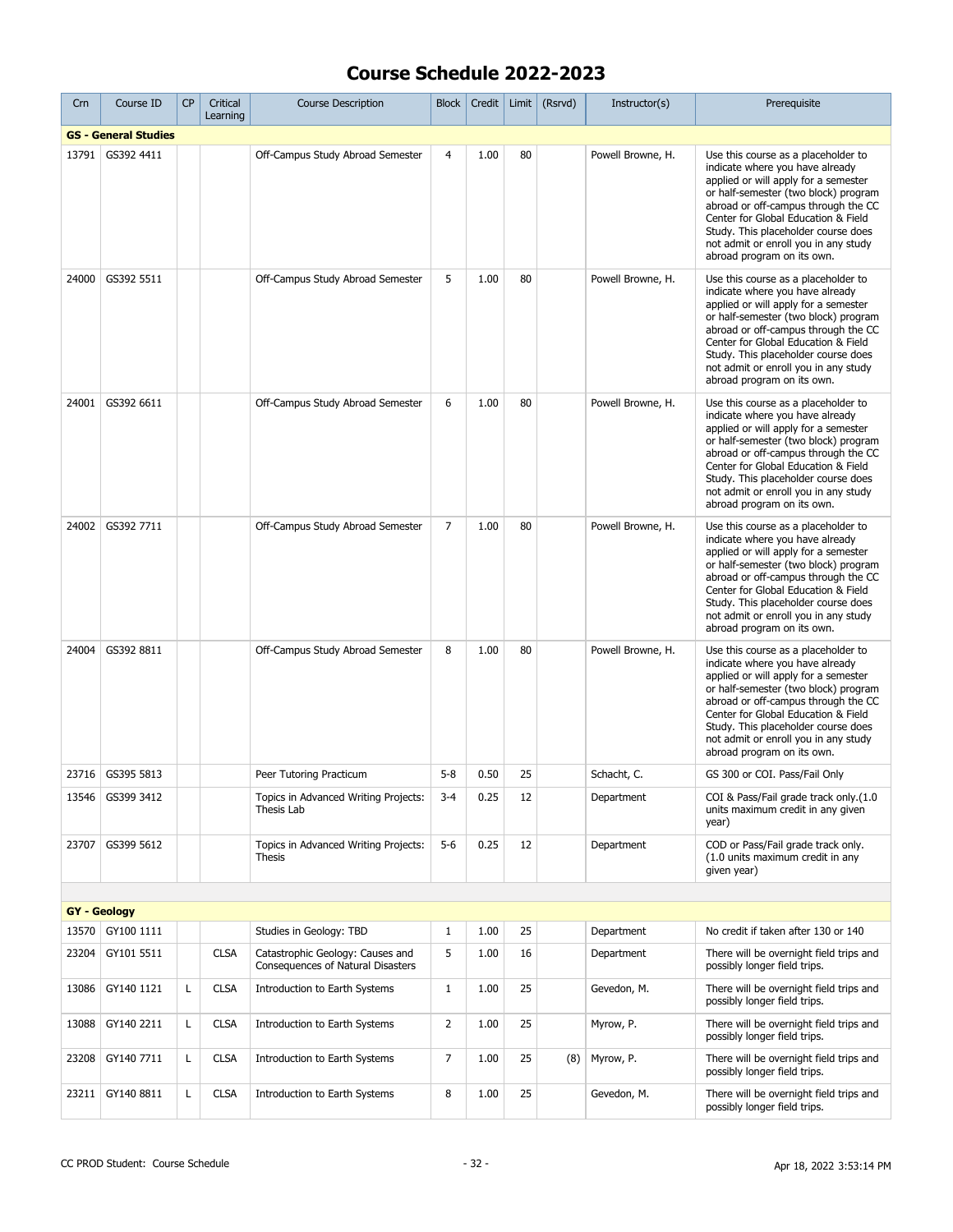| Crn   | Course ID                   | <b>CP</b> | Critical<br>Learning | <b>Course Description</b>                                             | <b>Block</b>   | Credit | Limit | (Rsrvd) | Instructor(s)     | Prerequisite                                                                                                                                                                                                                                                                                                                                      |
|-------|-----------------------------|-----------|----------------------|-----------------------------------------------------------------------|----------------|--------|-------|---------|-------------------|---------------------------------------------------------------------------------------------------------------------------------------------------------------------------------------------------------------------------------------------------------------------------------------------------------------------------------------------------|
|       | <b>GS - General Studies</b> |           |                      |                                                                       |                |        |       |         |                   |                                                                                                                                                                                                                                                                                                                                                   |
| 13791 | GS392 4411                  |           |                      | Off-Campus Study Abroad Semester                                      | 4              | 1.00   | 80    |         | Powell Browne, H. | Use this course as a placeholder to<br>indicate where you have already<br>applied or will apply for a semester<br>or half-semester (two block) program<br>abroad or off-campus through the CC<br>Center for Global Education & Field<br>Study. This placeholder course does<br>not admit or enroll you in any study<br>abroad program on its own. |
| 24000 | GS392 5511                  |           |                      | Off-Campus Study Abroad Semester                                      | 5              | 1.00   | 80    |         | Powell Browne, H. | Use this course as a placeholder to<br>indicate where you have already<br>applied or will apply for a semester<br>or half-semester (two block) program<br>abroad or off-campus through the CC<br>Center for Global Education & Field<br>Study. This placeholder course does<br>not admit or enroll you in any study<br>abroad program on its own. |
| 24001 | GS392 6611                  |           |                      | Off-Campus Study Abroad Semester                                      | 6              | 1.00   | 80    |         | Powell Browne, H. | Use this course as a placeholder to<br>indicate where you have already<br>applied or will apply for a semester<br>or half-semester (two block) program<br>abroad or off-campus through the CC<br>Center for Global Education & Field<br>Study. This placeholder course does<br>not admit or enroll you in any study<br>abroad program on its own. |
| 24002 | GS392 7711                  |           |                      | Off-Campus Study Abroad Semester                                      | $\overline{7}$ | 1.00   | 80    |         | Powell Browne, H. | Use this course as a placeholder to<br>indicate where you have already<br>applied or will apply for a semester<br>or half-semester (two block) program<br>abroad or off-campus through the CC<br>Center for Global Education & Field<br>Study. This placeholder course does<br>not admit or enroll you in any study<br>abroad program on its own. |
| 24004 | GS392 8811                  |           |                      | Off-Campus Study Abroad Semester                                      | 8              | 1.00   | 80    |         | Powell Browne, H. | Use this course as a placeholder to<br>indicate where you have already<br>applied or will apply for a semester<br>or half-semester (two block) program<br>abroad or off-campus through the CC<br>Center for Global Education & Field<br>Study. This placeholder course does<br>not admit or enroll you in any study<br>abroad program on its own. |
| 23716 | GS395 5813                  |           |                      | Peer Tutoring Practicum                                               | $5 - 8$        | 0.50   | 25    |         | Schacht, C.       | GS 300 or COI. Pass/Fail Only                                                                                                                                                                                                                                                                                                                     |
|       | 13546   GS399 3412          |           |                      | Topics in Advanced Writing Projects:<br>Thesis Lab                    | $3 - 4$        | 0.25   | 12    |         | Department        | COI & Pass/Fail grade track only.(1.0<br>units maximum credit in any given<br>year)                                                                                                                                                                                                                                                               |
| 23707 | GS399 5612                  |           |                      | Topics in Advanced Writing Projects:<br><b>Thesis</b>                 | $5-6$          | 0.25   | 12    |         | Department        | COD or Pass/Fail grade track only.<br>(1.0 units maximum credit in any<br>given year)                                                                                                                                                                                                                                                             |
|       |                             |           |                      |                                                                       |                |        |       |         |                   |                                                                                                                                                                                                                                                                                                                                                   |
|       | <b>GY</b> - Geology         |           |                      |                                                                       |                |        |       |         |                   |                                                                                                                                                                                                                                                                                                                                                   |
| 13570 | GY100 1111                  |           |                      | Studies in Geology: TBD                                               | $\mathbf{1}$   | 1.00   | 25    |         | Department        | No credit if taken after 130 or 140                                                                                                                                                                                                                                                                                                               |
| 23204 | GY101 5511                  |           | <b>CLSA</b>          | Catastrophic Geology: Causes and<br>Consequences of Natural Disasters | 5              | 1.00   | 16    |         | Department        | There will be overnight field trips and<br>possibly longer field trips.                                                                                                                                                                                                                                                                           |
| 13086 | GY140 1121                  | L         | <b>CLSA</b>          | Introduction to Earth Systems                                         | $\mathbf{1}$   | 1.00   | 25    |         | Gevedon, M.       | There will be overnight field trips and<br>possibly longer field trips.                                                                                                                                                                                                                                                                           |
| 13088 | GY140 2211                  | L         | <b>CLSA</b>          | Introduction to Earth Systems                                         | 2              | 1.00   | 25    |         | Myrow, P.         | There will be overnight field trips and<br>possibly longer field trips.                                                                                                                                                                                                                                                                           |
| 23208 | GY140 7711                  | L         | <b>CLSA</b>          | Introduction to Earth Systems                                         | 7              | 1.00   | 25    | (8)     | Myrow, P.         | There will be overnight field trips and<br>possibly longer field trips.                                                                                                                                                                                                                                                                           |
| 23211 | GY140 8811                  | Г         | <b>CLSA</b>          | Introduction to Earth Systems                                         | 8              | 1.00   | 25    |         | Gevedon, M.       | There will be overnight field trips and<br>possibly longer field trips.                                                                                                                                                                                                                                                                           |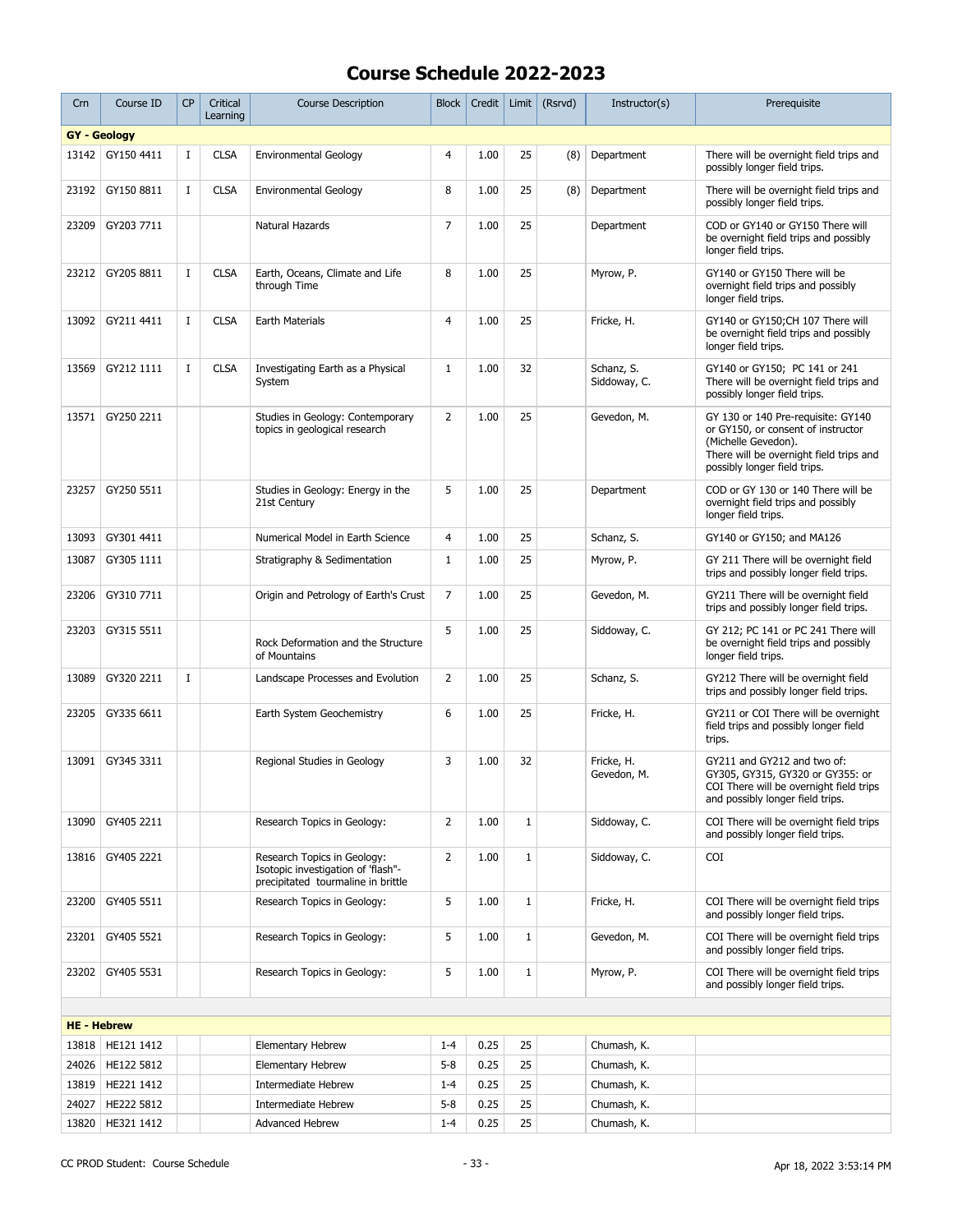| Crn                | Course ID           | <b>CP</b>   | Critical<br>Learning | <b>Course Description</b>                                                                               | <b>Block</b>   | Credit |             | Limit $(Rsrvd)$ | Instructor(s)              | Prerequisite                                                                                                                                                               |
|--------------------|---------------------|-------------|----------------------|---------------------------------------------------------------------------------------------------------|----------------|--------|-------------|-----------------|----------------------------|----------------------------------------------------------------------------------------------------------------------------------------------------------------------------|
|                    | <b>GY</b> - Geology |             |                      |                                                                                                         |                |        |             |                 |                            |                                                                                                                                                                            |
| 13142              | GY150 4411          | $\mathbf I$ | <b>CLSA</b>          | <b>Environmental Geology</b>                                                                            | 4              | 1.00   | 25          | (8)             | Department                 | There will be overnight field trips and<br>possibly longer field trips.                                                                                                    |
| 23192              | GY150 8811          | Ι.          | <b>CLSA</b>          | <b>Environmental Geology</b>                                                                            | 8              | 1.00   | 25          | (8)             | Department                 | There will be overnight field trips and<br>possibly longer field trips.                                                                                                    |
| 23209              | GY203 7711          |             |                      | Natural Hazards                                                                                         | 7              | 1.00   | 25          |                 | Department                 | COD or GY140 or GY150 There will<br>be overnight field trips and possibly<br>longer field trips.                                                                           |
| 23212              | GY205 8811          | $\mathbf I$ | <b>CLSA</b>          | Earth, Oceans, Climate and Life<br>through Time                                                         | 8              | 1.00   | 25          |                 | Myrow, P.                  | GY140 or GY150 There will be<br>overnight field trips and possibly<br>longer field trips.                                                                                  |
| 13092              | GY211 4411          | Ι.          | <b>CLSA</b>          | Earth Materials                                                                                         | $\overline{4}$ | 1.00   | 25          |                 | Fricke, H.                 | GY140 or GY150;CH 107 There will<br>be overnight field trips and possibly<br>longer field trips.                                                                           |
| 13569              | GY212 1111          | $\mathbf I$ | <b>CLSA</b>          | Investigating Earth as a Physical<br>System                                                             | $\mathbf{1}$   | 1.00   | 32          |                 | Schanz, S.<br>Siddoway, C. | GY140 or GY150; PC 141 or 241<br>There will be overnight field trips and<br>possibly longer field trips.                                                                   |
| 13571              | GY250 2211          |             |                      | Studies in Geology: Contemporary<br>topics in geological research                                       | $\overline{2}$ | 1.00   | 25          |                 | Gevedon, M.                | GY 130 or 140 Pre-requisite: GY140<br>or GY150, or consent of instructor<br>(Michelle Gevedon).<br>There will be overnight field trips and<br>possibly longer field trips. |
| 23257              | GY250 5511          |             |                      | Studies in Geology: Energy in the<br>21st Century                                                       | 5              | 1.00   | 25          |                 | Department                 | COD or GY 130 or 140 There will be<br>overnight field trips and possibly<br>longer field trips.                                                                            |
| 13093              | GY301 4411          |             |                      | Numerical Model in Earth Science                                                                        | 4              | 1.00   | 25          |                 | Schanz, S.                 | GY140 or GY150; and MA126                                                                                                                                                  |
| 13087              | GY305 1111          |             |                      | Stratigraphy & Sedimentation                                                                            | $\mathbf{1}$   | 1.00   | 25          |                 | Myrow, P.                  | GY 211 There will be overnight field<br>trips and possibly longer field trips.                                                                                             |
| 23206              | GY310 7711          |             |                      | Origin and Petrology of Earth's Crust                                                                   | $\overline{7}$ | 1.00   | 25          |                 | Gevedon, M.                | GY211 There will be overnight field<br>trips and possibly longer field trips.                                                                                              |
| 23203              | GY315 5511          |             |                      | Rock Deformation and the Structure<br>of Mountains                                                      | 5              | 1.00   | 25          |                 | Siddoway, C.               | GY 212; PC 141 or PC 241 There will<br>be overnight field trips and possibly<br>longer field trips.                                                                        |
| 13089              | GY320 2211          | $\bf{I}$    |                      | Landscape Processes and Evolution                                                                       | 2              | 1.00   | 25          |                 | Schanz, S.                 | GY212 There will be overnight field<br>trips and possibly longer field trips.                                                                                              |
| 23205              | GY335 6611          |             |                      | Earth System Geochemistry                                                                               | 6              | 1.00   | 25          |                 | Fricke, H.                 | GY211 or COI There will be overnight<br>field trips and possibly longer field<br>trips.                                                                                    |
| 13091              | GY345 3311          |             |                      | Regional Studies in Geology                                                                             | 3              | 1.00   | 32          |                 | Fricke, H.<br>Gevedon, M.  | GY211 and GY212 and two of:<br>GY305, GY315, GY320 or GY355: or<br>COI There will be overnight field trips<br>and possibly longer field trips.                             |
| 13090              | GY405 2211          |             |                      | Research Topics in Geology:                                                                             | 2              | 1.00   | $1\,$       |                 | Siddoway, C.               | COI There will be overnight field trips<br>and possibly longer field trips.                                                                                                |
| 13816              | GY405 2221          |             |                      | Research Topics in Geology:<br>Isotopic investigation of 'flash"-<br>precipitated tourmaline in brittle | $\overline{2}$ | 1.00   | $\mathbf 1$ |                 | Siddoway, C.               | COI                                                                                                                                                                        |
| 23200              | GY405 5511          |             |                      | Research Topics in Geology:                                                                             | 5              | 1.00   | $1\,$       |                 | Fricke, H.                 | COI There will be overnight field trips<br>and possibly longer field trips.                                                                                                |
| 23201              | GY405 5521          |             |                      | Research Topics in Geology:                                                                             | 5              | 1.00   | $1\,$       |                 | Gevedon, M.                | COI There will be overnight field trips<br>and possibly longer field trips.                                                                                                |
| 23202              | GY405 5531          |             |                      | Research Topics in Geology:                                                                             | 5              | 1.00   | $\mathbf 1$ |                 | Myrow, P.                  | COI There will be overnight field trips<br>and possibly longer field trips.                                                                                                |
|                    |                     |             |                      |                                                                                                         |                |        |             |                 |                            |                                                                                                                                                                            |
| <b>HE - Hebrew</b> |                     |             |                      |                                                                                                         |                |        |             |                 |                            |                                                                                                                                                                            |
| 13818              | HE121 1412          |             |                      | <b>Elementary Hebrew</b>                                                                                | $1 - 4$        | 0.25   | 25          |                 | Chumash, K.                |                                                                                                                                                                            |
| 24026              | HE122 5812          |             |                      | <b>Elementary Hebrew</b>                                                                                | $5 - 8$        | 0.25   | 25          |                 | Chumash, K.                |                                                                                                                                                                            |
| 13819              | HE221 1412          |             |                      | Intermediate Hebrew                                                                                     | $1 - 4$        | 0.25   | 25          |                 | Chumash, K.                |                                                                                                                                                                            |
| 24027              | HE222 5812          |             |                      | <b>Intermediate Hebrew</b>                                                                              | $5 - 8$        | 0.25   | 25          |                 | Chumash, K.                |                                                                                                                                                                            |
| 13820              | HE321 1412          |             |                      | <b>Advanced Hebrew</b>                                                                                  | $1 - 4$        | 0.25   | 25          |                 | Chumash, K.                |                                                                                                                                                                            |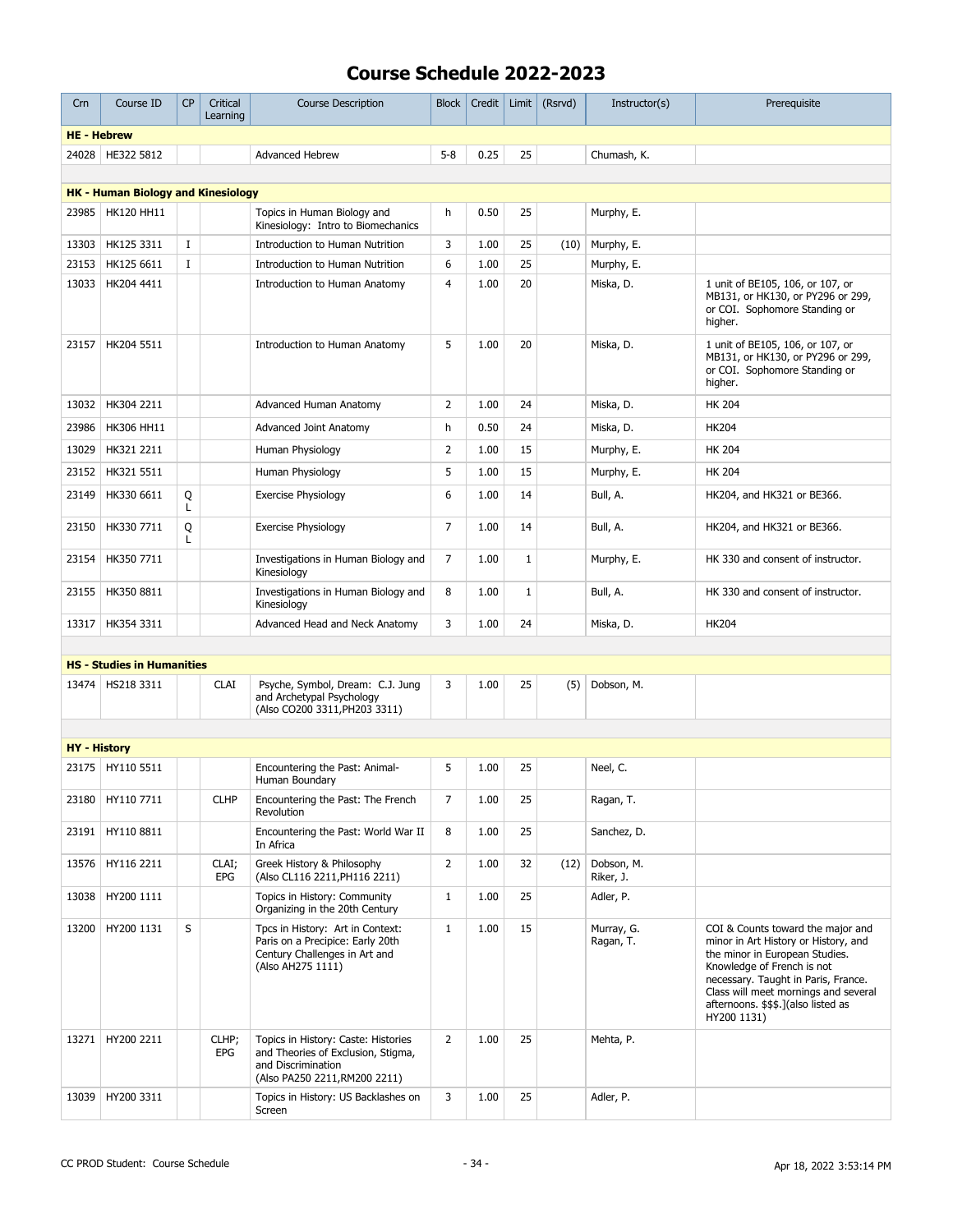| Crn                 | Course ID                                 | CP       | Critical<br>Learning | <b>Course Description</b>                                                                                                        | <b>Block</b>   | Credit | Limit        | (Rsrvd) | Instructor(s)           | Prerequisite                                                                                                                                                                                                                                                                   |
|---------------------|-------------------------------------------|----------|----------------------|----------------------------------------------------------------------------------------------------------------------------------|----------------|--------|--------------|---------|-------------------------|--------------------------------------------------------------------------------------------------------------------------------------------------------------------------------------------------------------------------------------------------------------------------------|
| <b>HE - Hebrew</b>  |                                           |          |                      |                                                                                                                                  |                |        |              |         |                         |                                                                                                                                                                                                                                                                                |
| 24028               | HE322 5812                                |          |                      | <b>Advanced Hebrew</b>                                                                                                           | $5 - 8$        | 0.25   | 25           |         | Chumash, K.             |                                                                                                                                                                                                                                                                                |
|                     |                                           |          |                      |                                                                                                                                  |                |        |              |         |                         |                                                                                                                                                                                                                                                                                |
|                     | <b>HK - Human Biology and Kinesiology</b> |          |                      |                                                                                                                                  |                |        |              |         |                         |                                                                                                                                                                                                                                                                                |
| 23985               | <b>HK120 HH11</b>                         |          |                      | Topics in Human Biology and<br>Kinesiology: Intro to Biomechanics                                                                | h              | 0.50   | 25           |         | Murphy, E.              |                                                                                                                                                                                                                                                                                |
| 13303               | HK125 3311                                | <b>I</b> |                      | Introduction to Human Nutrition                                                                                                  | 3              | 1.00   | 25           | (10)    | Murphy, E.              |                                                                                                                                                                                                                                                                                |
| 23153               | HK125 6611                                | $\bf{I}$ |                      | Introduction to Human Nutrition                                                                                                  | 6              | 1.00   | 25           |         | Murphy, E.              |                                                                                                                                                                                                                                                                                |
| 13033               | HK204 4411                                |          |                      | Introduction to Human Anatomy                                                                                                    | $\overline{4}$ | 1.00   | 20           |         | Miska, D.               | 1 unit of BE105, 106, or 107, or<br>MB131, or HK130, or PY296 or 299,<br>or COI. Sophomore Standing or<br>higher.                                                                                                                                                              |
| 23157               | HK204 5511                                |          |                      | Introduction to Human Anatomy                                                                                                    | 5              | 1.00   | 20           |         | Miska, D.               | 1 unit of BE105, 106, or 107, or<br>MB131, or HK130, or PY296 or 299,<br>or COI. Sophomore Standing or<br>higher.                                                                                                                                                              |
| 13032               | HK304 2211                                |          |                      | Advanced Human Anatomy                                                                                                           | 2              | 1.00   | 24           |         | Miska, D.               | <b>HK 204</b>                                                                                                                                                                                                                                                                  |
| 23986               | <b>HK306 HH11</b>                         |          |                      | <b>Advanced Joint Anatomy</b>                                                                                                    | h              | 0.50   | 24           |         | Miska, D.               | <b>HK204</b>                                                                                                                                                                                                                                                                   |
| 13029               | HK321 2211                                |          |                      | Human Physiology                                                                                                                 | 2              | 1.00   | 15           |         | Murphy, E.              | <b>HK 204</b>                                                                                                                                                                                                                                                                  |
| 23152               | HK321 5511                                |          |                      | Human Physiology                                                                                                                 | 5              | 1.00   | 15           |         | Murphy, E.              | <b>HK 204</b>                                                                                                                                                                                                                                                                  |
| 23149               | HK330 6611                                | Q<br>L   |                      | <b>Exercise Physiology</b>                                                                                                       | 6              | 1.00   | 14           |         | Bull, A.                | HK204, and HK321 or BE366.                                                                                                                                                                                                                                                     |
| 23150               | HK330 7711                                | Q<br>L   |                      | <b>Exercise Physiology</b>                                                                                                       | $\overline{7}$ | 1.00   | 14           |         | Bull, A.                | HK204, and HK321 or BE366.                                                                                                                                                                                                                                                     |
| 23154               | HK350 7711                                |          |                      | Investigations in Human Biology and<br>Kinesiology                                                                               | $\overline{7}$ | 1.00   | $1\,$        |         | Murphy, E.              | HK 330 and consent of instructor.                                                                                                                                                                                                                                              |
| 23155               | HK350 8811                                |          |                      | Investigations in Human Biology and<br>Kinesiology                                                                               | 8              | 1.00   | $\mathbf{1}$ |         | Bull, A.                | HK 330 and consent of instructor.                                                                                                                                                                                                                                              |
| 13317               | HK354 3311                                |          |                      | Advanced Head and Neck Anatomy                                                                                                   | 3              | 1.00   | 24           |         | Miska, D.               | <b>HK204</b>                                                                                                                                                                                                                                                                   |
|                     |                                           |          |                      |                                                                                                                                  |                |        |              |         |                         |                                                                                                                                                                                                                                                                                |
|                     | <b>HS - Studies in Humanities</b>         |          |                      |                                                                                                                                  |                |        |              |         |                         |                                                                                                                                                                                                                                                                                |
|                     | 13474   HS218 3311                        |          | <b>CLAI</b>          | Psyche, Symbol, Dream: C.J. Jung<br>and Archetypal Psychology<br>(Also CO200 3311, PH203 3311)                                   | 3              | 1.00   | 25           | (5)     | Dobson, M.              |                                                                                                                                                                                                                                                                                |
|                     |                                           |          |                      |                                                                                                                                  |                |        |              |         |                         |                                                                                                                                                                                                                                                                                |
| <b>HY</b> - History |                                           |          |                      |                                                                                                                                  |                |        |              |         |                         |                                                                                                                                                                                                                                                                                |
|                     | 23175 HY110 5511                          |          |                      | Encountering the Past: Animal-<br>Human Boundary                                                                                 | 5              | 1.00   | 25           |         | Neel, C.                |                                                                                                                                                                                                                                                                                |
|                     | 23180   HY110 7711                        |          | <b>CLHP</b>          | Encountering the Past: The French<br>Revolution                                                                                  | 7              | 1.00   | 25           |         | Ragan, T.               |                                                                                                                                                                                                                                                                                |
| 23191               | HY110 8811                                |          |                      | Encountering the Past: World War II<br>In Africa                                                                                 | 8              | 1.00   | 25           |         | Sanchez, D.             |                                                                                                                                                                                                                                                                                |
| 13576               | HY116 2211                                |          | CLAI;<br><b>EPG</b>  | Greek History & Philosophy<br>(Also CL116 2211, PH116 2211)                                                                      | 2              | 1.00   | 32           | (12)    | Dobson, M.<br>Riker, J. |                                                                                                                                                                                                                                                                                |
| 13038               | HY200 1111                                |          |                      | Topics in History: Community<br>Organizing in the 20th Century                                                                   | $\mathbf{1}$   | 1.00   | 25           |         | Adler, P.               |                                                                                                                                                                                                                                                                                |
| 13200               | HY200 1131                                | S        |                      | Tpcs in History: Art in Context:<br>Paris on a Precipice: Early 20th<br>Century Challenges in Art and<br>(Also AH275 1111)       | $\mathbf{1}$   | 1.00   | 15           |         | Murray, G.<br>Ragan, T. | COI & Counts toward the major and<br>minor in Art History or History, and<br>the minor in European Studies.<br>Knowledge of French is not<br>necessary. Taught in Paris, France.<br>Class will meet mornings and several<br>afternoons. \$\$\$.](also listed as<br>HY200 1131) |
| 13271               | HY200 2211                                |          | CLHP;<br>EPG         | Topics in History: Caste: Histories<br>and Theories of Exclusion, Stigma,<br>and Discrimination<br>(Also PA250 2211, RM200 2211) | $\overline{2}$ | 1.00   | 25           |         | Mehta, P.               |                                                                                                                                                                                                                                                                                |
| 13039               | HY200 3311                                |          |                      | Topics in History: US Backlashes on<br>Screen                                                                                    | 3              | 1.00   | 25           |         | Adler, P.               |                                                                                                                                                                                                                                                                                |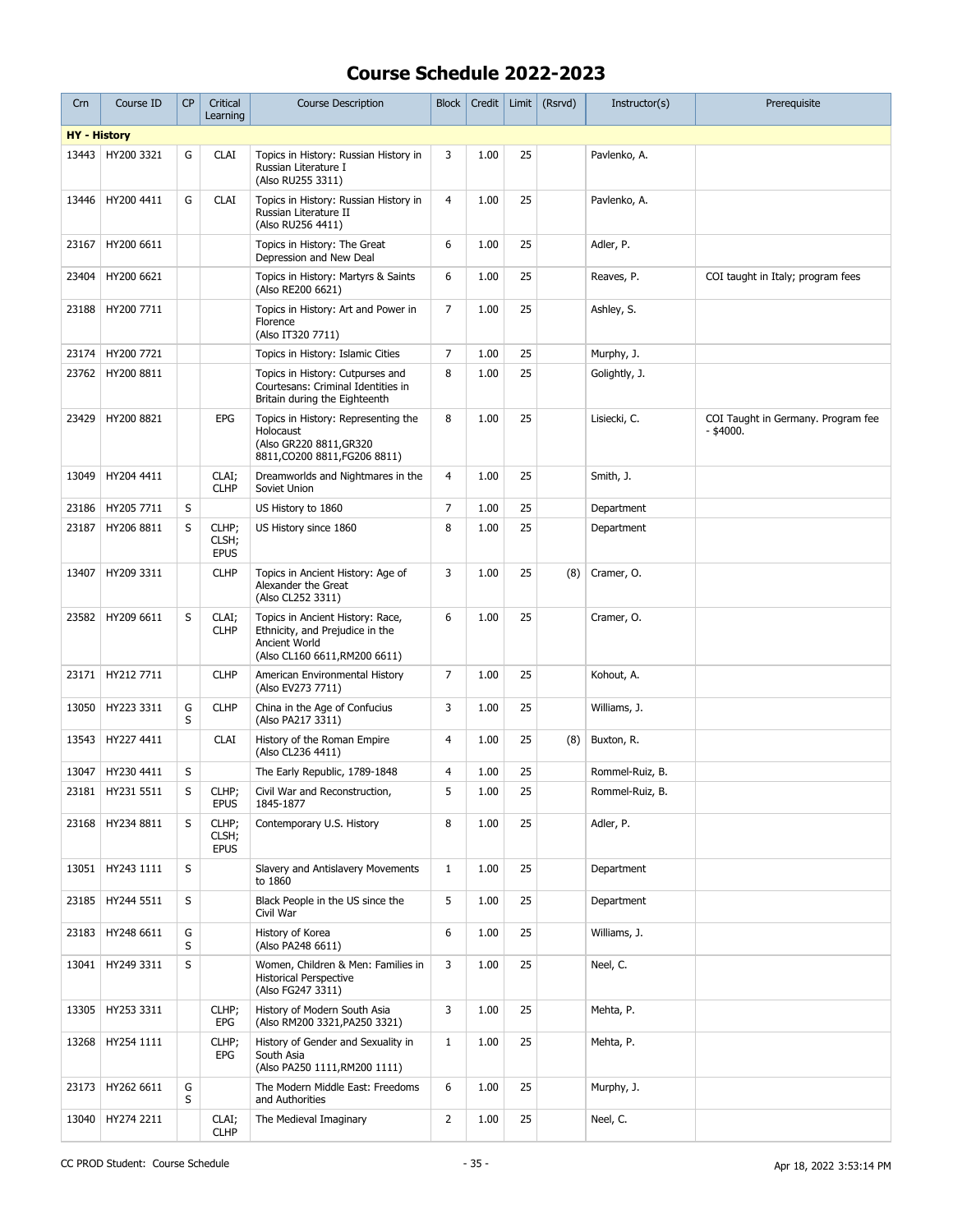| Crn                 | Course ID          | <b>CP</b> | Critical<br>Learning          | <b>Course Description</b>                                                                                             | <b>Block</b>   | Credit | Limit | (Rsrvd) | Instructor(s)   | Prerequisite                                      |
|---------------------|--------------------|-----------|-------------------------------|-----------------------------------------------------------------------------------------------------------------------|----------------|--------|-------|---------|-----------------|---------------------------------------------------|
| <b>HY</b> - History |                    |           |                               |                                                                                                                       |                |        |       |         |                 |                                                   |
| 13443               | HY200 3321         | G         | <b>CLAI</b>                   | Topics in History: Russian History in<br>Russian Literature I<br>(Also RU255 3311)                                    | 3              | 1.00   | 25    |         | Pavlenko, A.    |                                                   |
| 13446               | HY200 4411         | G         | <b>CLAI</b>                   | Topics in History: Russian History in<br>Russian Literature II<br>(Also RU256 4411)                                   | 4              | 1.00   | 25    |         | Pavlenko, A.    |                                                   |
| 23167               | HY200 6611         |           |                               | Topics in History: The Great<br>Depression and New Deal                                                               | 6              | 1.00   | 25    |         | Adler, P.       |                                                   |
| 23404               | HY200 6621         |           |                               | Topics in History: Martyrs & Saints<br>(Also RE200 6621)                                                              | 6              | 1.00   | 25    |         | Reaves, P.      | COI taught in Italy; program fees                 |
| 23188               | HY200 7711         |           |                               | Topics in History: Art and Power in<br>Florence<br>(Also IT320 7711)                                                  | 7              | 1.00   | 25    |         | Ashley, S.      |                                                   |
| 23174               | HY200 7721         |           |                               | Topics in History: Islamic Cities                                                                                     | 7              | 1.00   | 25    |         | Murphy, J.      |                                                   |
| 23762               | HY200 8811         |           |                               | Topics in History: Cutpurses and<br>Courtesans: Criminal Identities in<br>Britain during the Eighteenth               | 8              | 1.00   | 25    |         | Golightly, J.   |                                                   |
| 23429               | HY200 8821         |           | <b>EPG</b>                    | Topics in History: Representing the<br>Holocaust<br>(Also GR220 8811, GR320<br>8811, CO200 8811, FG206 8811)          | 8              | 1.00   | 25    |         | Lisiecki, C.    | COI Taught in Germany. Program fee<br>$-$ \$4000. |
| 13049               | HY204 4411         |           | CLAI;<br><b>CLHP</b>          | Dreamworlds and Nightmares in the<br>Soviet Union                                                                     | $\overline{4}$ | 1.00   | 25    |         | Smith, J.       |                                                   |
| 23186               | HY205 7711         | S         |                               | US History to 1860                                                                                                    | 7              | 1.00   | 25    |         | Department      |                                                   |
| 23187               | HY206 8811         | S         | CLHP;<br>CLSH;<br><b>EPUS</b> | US History since 1860                                                                                                 | 8              | 1.00   | 25    |         | Department      |                                                   |
| 13407               | HY209 3311         |           | <b>CLHP</b>                   | Topics in Ancient History: Age of<br>Alexander the Great<br>(Also CL252 3311)                                         | 3              | 1.00   | 25    | (8)     | Cramer, O.      |                                                   |
| 23582               | HY209 6611         | S         | CLAI;<br><b>CLHP</b>          | Topics in Ancient History: Race,<br>Ethnicity, and Prejudice in the<br>Ancient World<br>(Also CL160 6611, RM200 6611) | 6              | 1.00   | 25    |         | Cramer, O.      |                                                   |
| 23171               | HY212 7711         |           | <b>CLHP</b>                   | American Environmental History<br>(Also EV273 7711)                                                                   | 7              | 1.00   | 25    |         | Kohout, A.      |                                                   |
| 13050               | HY223 3311         | G<br>S    | <b>CLHP</b>                   | China in the Age of Confucius<br>(Also PA217 3311)                                                                    | 3              | 1.00   | 25    |         | Williams, J.    |                                                   |
| 13543               | HY227 4411         |           | <b>CLAI</b>                   | History of the Roman Empire<br>(Also CL236 4411)                                                                      | $\overline{4}$ | 1.00   | 25    | (8)     | Buxton, R.      |                                                   |
| 13047               | HY230 4411         | S         |                               | The Early Republic, 1789-1848                                                                                         | 4              | 1.00   | 25    |         | Rommel-Ruiz, B. |                                                   |
|                     | 23181 HY231 5511   | S         | CLHP;<br><b>EPUS</b>          | Civil War and Reconstruction,<br>1845-1877                                                                            | 5              | 1.00   | 25    |         | Rommel-Ruiz, B. |                                                   |
|                     | 23168 HY234 8811   | S         | CLHP;<br>CLSH;<br><b>EPUS</b> | Contemporary U.S. History                                                                                             | 8              | 1.00   | 25    |         | Adler, P.       |                                                   |
|                     | 13051   HY243 1111 | S         |                               | Slavery and Antislavery Movements<br>to 1860                                                                          | $\mathbf{1}$   | 1.00   | 25    |         | Department      |                                                   |
| 23185               | HY244 5511         | S         |                               | Black People in the US since the<br>Civil War                                                                         | 5              | 1.00   | 25    |         | Department      |                                                   |
| 23183               | HY248 6611         | G<br>S    |                               | History of Korea<br>(Also PA248 6611)                                                                                 | 6              | 1.00   | 25    |         | Williams, J.    |                                                   |
| 13041               | HY249 3311         | S         |                               | Women, Children & Men: Families in<br><b>Historical Perspective</b><br>(Also FG247 3311)                              | 3              | 1.00   | 25    |         | Neel, C.        |                                                   |
| 13305               | HY253 3311         |           | CLHP;<br>EPG                  | History of Modern South Asia<br>(Also RM200 3321, PA250 3321)                                                         | 3              | 1.00   | 25    |         | Mehta, P.       |                                                   |
|                     | 13268   HY254 1111 |           | CLHP;<br>EPG                  | History of Gender and Sexuality in<br>South Asia<br>(Also PA250 1111, RM200 1111)                                     | $\mathbf{1}$   | 1.00   | 25    |         | Mehta, P.       |                                                   |
|                     | 23173   HY262 6611 | G<br>S    |                               | The Modern Middle East: Freedoms<br>and Authorities                                                                   | 6              | 1.00   | 25    |         | Murphy, J.      |                                                   |
| 13040               | HY274 2211         |           | CLAI;<br><b>CLHP</b>          | The Medieval Imaginary                                                                                                | $\overline{2}$ | 1.00   | 25    |         | Neel, C.        |                                                   |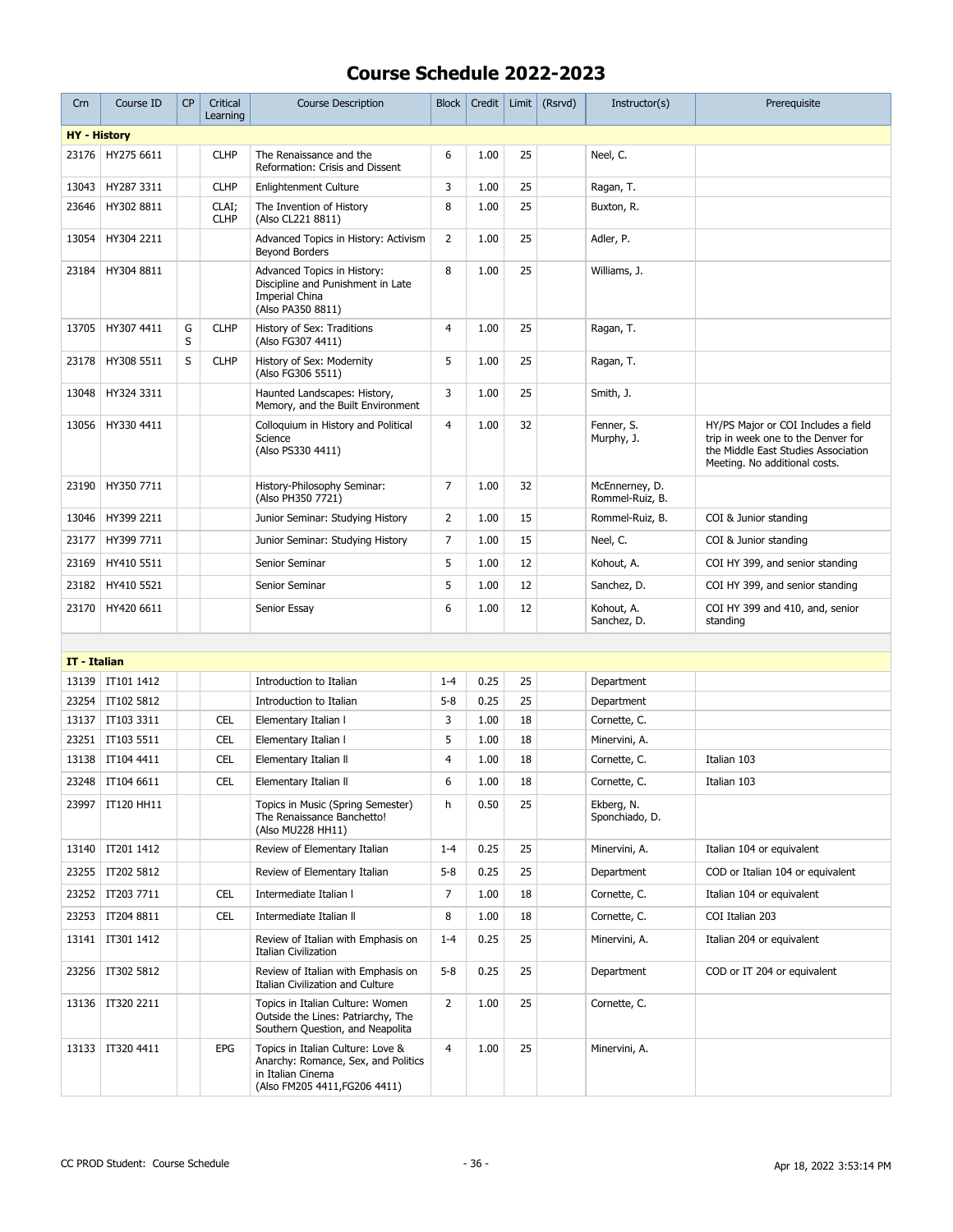| Crn                 | Course ID          | CP     | Critical<br>Learning | <b>Course Description</b>                                                                                                      | <b>Block</b>   | Credit | Limit | (Rsrvd) | Instructor(s)                     | Prerequisite                                                                                                                                      |
|---------------------|--------------------|--------|----------------------|--------------------------------------------------------------------------------------------------------------------------------|----------------|--------|-------|---------|-----------------------------------|---------------------------------------------------------------------------------------------------------------------------------------------------|
| <b>HY</b> - History |                    |        |                      |                                                                                                                                |                |        |       |         |                                   |                                                                                                                                                   |
| 23176               | HY275 6611         |        | <b>CLHP</b>          | The Renaissance and the<br>Reformation: Crisis and Dissent                                                                     | 6              | 1.00   | 25    |         | Neel, C.                          |                                                                                                                                                   |
| 13043               | HY287 3311         |        | <b>CLHP</b>          | <b>Enlightenment Culture</b>                                                                                                   | 3              | 1.00   | 25    |         | Ragan, T.                         |                                                                                                                                                   |
| 23646               | HY302 8811         |        | CLAI;<br><b>CLHP</b> | The Invention of History<br>(Also CL221 8811)                                                                                  | 8              | 1.00   | 25    |         | Buxton, R.                        |                                                                                                                                                   |
| 13054               | HY304 2211         |        |                      | Advanced Topics in History: Activism<br><b>Beyond Borders</b>                                                                  | $\overline{2}$ | 1.00   | 25    |         | Adler, P.                         |                                                                                                                                                   |
| 23184               | HY304 8811         |        |                      | Advanced Topics in History:<br>Discipline and Punishment in Late<br>Imperial China<br>(Also PA350 8811)                        | 8              | 1.00   | 25    |         | Williams, J.                      |                                                                                                                                                   |
| 13705               | HY307 4411         | G<br>S | <b>CLHP</b>          | History of Sex: Traditions<br>(Also FG307 4411)                                                                                | $\overline{4}$ | 1.00   | 25    |         | Ragan, T.                         |                                                                                                                                                   |
| 23178               | HY308 5511         | S      | <b>CLHP</b>          | History of Sex: Modernity<br>(Also FG306 5511)                                                                                 | 5              | 1.00   | 25    |         | Ragan, T.                         |                                                                                                                                                   |
| 13048               | HY324 3311         |        |                      | Haunted Landscapes: History,<br>Memory, and the Built Environment                                                              | 3              | 1.00   | 25    |         | Smith, J.                         |                                                                                                                                                   |
| 13056               | HY330 4411         |        |                      | Colloquium in History and Political<br>Science<br>(Also PS330 4411)                                                            | $\overline{4}$ | 1.00   | 32    |         | Fenner, S.<br>Murphy, J.          | HY/PS Major or COI Includes a field<br>trip in week one to the Denver for<br>the Middle East Studies Association<br>Meeting. No additional costs. |
| 23190               | HY350 7711         |        |                      | History-Philosophy Seminar:<br>(Also PH350 7721)                                                                               | 7              | 1.00   | 32    |         | McEnnerney, D.<br>Rommel-Ruiz, B. |                                                                                                                                                   |
| 13046               | HY399 2211         |        |                      | Junior Seminar: Studying History                                                                                               | 2              | 1.00   | 15    |         | Rommel-Ruiz, B.                   | COI & Junior standing                                                                                                                             |
| 23177               | HY399 7711         |        |                      | Junior Seminar: Studying History                                                                                               | 7              | 1.00   | 15    |         | Neel, C.                          | COI & Junior standing                                                                                                                             |
| 23169               | HY410 5511         |        |                      | Senior Seminar                                                                                                                 | 5              | 1.00   | 12    |         | Kohout, A.                        | COI HY 399, and senior standing                                                                                                                   |
| 23182               | HY410 5521         |        |                      | Senior Seminar                                                                                                                 | 5              | 1.00   | 12    |         | Sanchez, D.                       | COI HY 399, and senior standing                                                                                                                   |
| 23170               | HY420 6611         |        |                      | Senior Essay                                                                                                                   | 6              | 1.00   | 12    |         | Kohout, A.<br>Sanchez, D.         | COI HY 399 and 410, and, senior<br>standing                                                                                                       |
|                     |                    |        |                      |                                                                                                                                |                |        |       |         |                                   |                                                                                                                                                   |
| IT - Italian        |                    |        |                      |                                                                                                                                |                |        |       |         |                                   |                                                                                                                                                   |
| 13139               | IT101 1412         |        |                      | Introduction to Italian                                                                                                        | $1 - 4$        | 0.25   | 25    |         | Department                        |                                                                                                                                                   |
| 23254               | IT102 5812         |        |                      | Introduction to Italian                                                                                                        | $5 - 8$        | 0.25   | 25    |         | Department                        |                                                                                                                                                   |
| 13137               | IT103 3311         |        | <b>CEL</b>           | Elementary Italian I                                                                                                           | 3              | 1.00   | 18    |         | Cornette, C.                      |                                                                                                                                                   |
|                     | 23251   IT103 5511 |        | <b>CEL</b>           | Elementary Italian I                                                                                                           | 5              | 1.00   | 18    |         | Minervini, A.                     |                                                                                                                                                   |
| 13138               | IT104 4411         |        | <b>CEL</b>           | Elementary Italian II                                                                                                          | $\overline{4}$ | 1.00   | 18    |         | Cornette, C.                      | Italian 103                                                                                                                                       |
|                     | 23248   IT104 6611 |        | <b>CEL</b>           | Elementary Italian II                                                                                                          | 6              | 1.00   | 18    |         | Cornette, C.                      | Italian 103                                                                                                                                       |
|                     | 23997   IT120 HH11 |        |                      | Topics in Music (Spring Semester)<br>The Renaissance Banchetto!<br>(Also MU228 HH11)                                           | h              | 0.50   | 25    |         | Ekberg, N.<br>Sponchiado, D.      |                                                                                                                                                   |
| 13140               | IT201 1412         |        |                      | Review of Elementary Italian                                                                                                   | $1 - 4$        | 0.25   | 25    |         | Minervini, A.                     | Italian 104 or equivalent                                                                                                                         |
| 23255               | IT202 5812         |        |                      | Review of Elementary Italian                                                                                                   | $5 - 8$        | 0.25   | 25    |         | Department                        | COD or Italian 104 or equivalent                                                                                                                  |
|                     | 23252 TT203 7711   |        | <b>CEL</b>           | Intermediate Italian I                                                                                                         | $\overline{7}$ | 1.00   | 18    |         | Cornette, C.                      | Italian 104 or equivalent                                                                                                                         |
| 23253               | IT204 8811         |        | <b>CEL</b>           | Intermediate Italian II                                                                                                        | 8              | 1.00   | 18    |         | Cornette, C.                      | COI Italian 203                                                                                                                                   |
| 13141               | IT301 1412         |        |                      | Review of Italian with Emphasis on<br><b>Italian Civilization</b>                                                              | $1 - 4$        | 0.25   | 25    |         | Minervini, A.                     | Italian 204 or equivalent                                                                                                                         |
| 23256               | IT302 5812         |        |                      | Review of Italian with Emphasis on<br>Italian Civilization and Culture                                                         | $5 - 8$        | 0.25   | 25    |         | Department                        | COD or IT 204 or equivalent                                                                                                                       |
| 13136               | IT320 2211         |        |                      | Topics in Italian Culture: Women<br>Outside the Lines: Patriarchy, The<br>Southern Question, and Neapolita                     | $\overline{2}$ | 1.00   | 25    |         | Cornette, C.                      |                                                                                                                                                   |
|                     | 13133   IT320 4411 |        | EPG                  | Topics in Italian Culture: Love &<br>Anarchy: Romance, Sex, and Politics<br>in Italian Cinema<br>(Also FM205 4411, FG206 4411) | 4              | 1.00   | 25    |         | Minervini, A.                     |                                                                                                                                                   |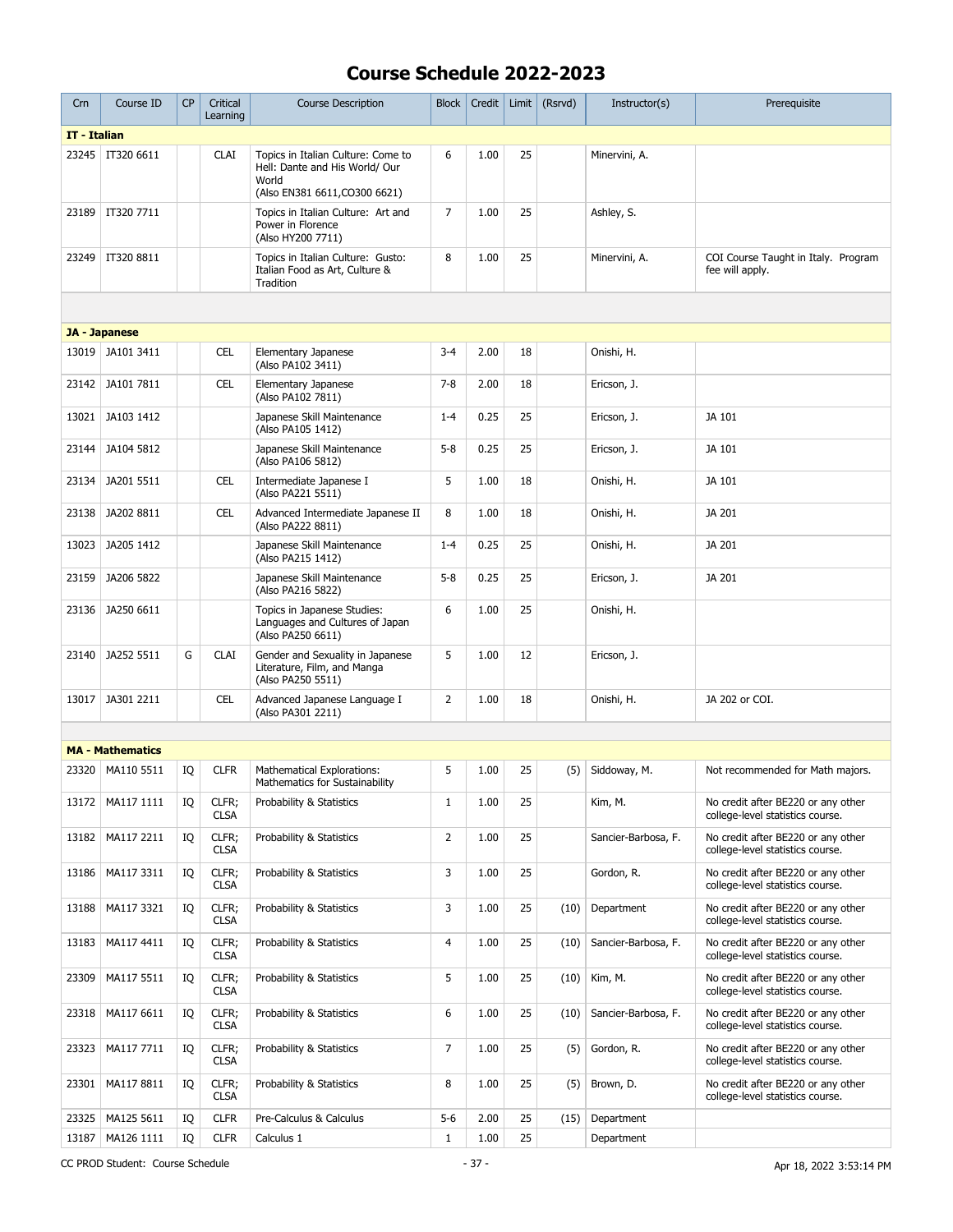| IT - Italian<br>23245<br>IT320 6611<br><b>CLAI</b><br>Topics in Italian Culture: Come to<br>6<br>1.00<br>25<br>Minervini, A.<br>Hell: Dante and His World/ Our<br>World<br>(Also EN381 6611, CO300 6621)<br>$\overline{7}$<br>25<br>IT320 7711<br>Topics in Italian Culture: Art and<br>1.00<br>23189<br>Ashley, S.<br>Power in Florence<br>(Also HY200 7711)<br>8<br>25<br>IT320 8811<br>1.00<br>23249<br>Topics in Italian Culture: Gusto:<br>Minervini, A.<br>COI Course Taught in Italy. Program<br>Italian Food as Art, Culture &<br>fee will apply.<br>Tradition<br>JA - Japanese<br>JA101 3411<br><b>CEL</b><br>Elementary Japanese<br>$3 - 4$<br>2.00<br>18<br>Onishi, H.<br>13019<br>(Also PA102 3411)<br>$7 - 8$<br>18<br>23142<br>JA101 7811<br><b>CEL</b><br>Elementary Japanese<br>2.00<br>Ericson, J.<br>(Also PA102 7811)<br>0.25<br>25<br>13021<br>JA103 1412<br>Japanese Skill Maintenance<br>$1 - 4$<br>JA 101<br>Ericson, J.<br>(Also PA105 1412)<br>JA104 5812<br>Japanese Skill Maintenance<br>$5 - 8$<br>0.25<br>25<br>JA 101<br>23144<br>Ericson, J.<br>(Also PA106 5812)<br>5<br><b>CEL</b><br>1.00<br>18<br>23134<br>JA201 5511<br>Intermediate Japanese I<br>Onishi, H.<br>JA 101<br>(Also PA221 5511)<br>Advanced Intermediate Japanese II<br>8<br>18<br>Onishi, H.<br>23138<br>JA202 8811<br><b>CEL</b><br>1.00<br>JA 201<br>(Also PA222 8811)<br>JA205 1412<br>Japanese Skill Maintenance<br>$1 - 4$<br>0.25<br>25<br>13023<br>Onishi, H.<br>JA 201<br>(Also PA215 1412)<br>25<br>23159<br>JA206 5822<br>Japanese Skill Maintenance<br>$5 - 8$<br>0.25<br>JA 201<br>Ericson, J.<br>(Also PA216 5822)<br>6<br>23136<br>JA250 6611<br>Topics in Japanese Studies:<br>1.00<br>25<br>Onishi, H.<br>Languages and Cultures of Japan<br>(Also PA250 6611)<br>5<br>JA252 5511<br>G<br><b>CLAI</b><br>Gender and Sexuality in Japanese<br>1.00<br>12<br>23140<br>Ericson, J.<br>Literature, Film, and Manga<br>(Also PA250 5511)<br>JA301 2211<br><b>CEL</b><br>Advanced Japanese Language I<br>2<br>1.00<br>18<br>JA 202 or COI.<br>13017<br>Onishi, H.<br>(Also PA301 2211)<br><b>MA - Mathematics</b><br>5<br>IQ<br><b>CLFR</b><br>1.00<br>25<br>23320<br>MA110 5511<br>Mathematical Explorations:<br>(5)<br>Siddoway, M.<br>Not recommended for Math majors.<br>Mathematics for Sustainability<br>CLFR;<br>$\mathbf{1}$<br>1.00<br>25<br>13172<br>MA117 1111<br>IQ<br>Probability & Statistics<br>Kim, M.<br>No credit after BE220 or any other<br><b>CLSA</b><br>college-level statistics course.<br>$\overline{2}$<br>25<br>MA117 2211<br>CLFR;<br>1.00<br>13182<br>IQ<br>Probability & Statistics<br>Sancier-Barbosa, F.<br>No credit after BE220 or any other<br>college-level statistics course.<br><b>CLSA</b><br>3<br>25<br>13186<br>MA117 3311<br>IQ<br>CLFR;<br>Probability & Statistics<br>1.00<br>Gordon, R.<br>No credit after BE220 or any other<br><b>CLSA</b><br>college-level statistics course.<br>3<br>25<br>13188<br>MA117 3321<br>IQ<br>CLFR;<br>Probability & Statistics<br>1.00<br>Department<br>No credit after BE220 or any other<br>(10)<br><b>CLSA</b><br>college-level statistics course.<br>4<br>13183<br>MA117 4411<br>IQ<br>CLFR;<br>Probability & Statistics<br>1.00<br>25<br>(10)<br>Sancier-Barbosa, F.<br>No credit after BE220 or any other<br><b>CLSA</b><br>college-level statistics course.<br>5<br>CLFR;<br>1.00<br>25<br>Kim, M.<br>23309<br>MA117 5511<br>IQ<br>Probability & Statistics<br>(10)<br>No credit after BE220 or any other<br><b>CLSA</b><br>college-level statistics course.<br>6<br>1.00<br>25<br>23318<br>MA117 6611<br>IQ<br>CLFR;<br>Probability & Statistics<br>(10)<br>Sancier-Barbosa, F.<br>No credit after BE220 or any other<br><b>CLSA</b><br>college-level statistics course.<br>$\overline{7}$<br>1.00<br>25<br>Gordon, R.<br>23323<br>MA117 7711<br>IQ<br>CLFR;<br>Probability & Statistics<br>(5)<br>No credit after BE220 or any other<br><b>CLSA</b><br>college-level statistics course.<br>MA117 8811<br>8<br>25<br>23301<br>IQ<br>CLFR;<br>Probability & Statistics<br>1.00<br>(5)<br>Brown, D.<br>No credit after BE220 or any other<br><b>CLSA</b><br>college-level statistics course.<br>MA125 5611<br><b>CLFR</b><br>$5-6$<br>2.00<br>25<br>23325<br>IQ<br>Pre-Calculus & Calculus<br>(15)<br>Department<br>25<br>13187<br>MA126 1111<br><b>CLFR</b><br>$\mathbf{1}$<br>1.00<br>IQ<br>Calculus 1<br>Department | Crn | Course ID | <b>CP</b> | Critical<br>Learning | <b>Course Description</b> | <b>Block</b> | Credit | Limit | (Rsrvd) | Instructor(s) | Prerequisite |
|----------------------------------------------------------------------------------------------------------------------------------------------------------------------------------------------------------------------------------------------------------------------------------------------------------------------------------------------------------------------------------------------------------------------------------------------------------------------------------------------------------------------------------------------------------------------------------------------------------------------------------------------------------------------------------------------------------------------------------------------------------------------------------------------------------------------------------------------------------------------------------------------------------------------------------------------------------------------------------------------------------------------------------------------------------------------------------------------------------------------------------------------------------------------------------------------------------------------------------------------------------------------------------------------------------------------------------------------------------------------------------------------------------------------------------------------------------------------------------------------------------------------------------------------------------------------------------------------------------------------------------------------------------------------------------------------------------------------------------------------------------------------------------------------------------------------------------------------------------------------------------------------------------------------------------------------------------------------------------------------------------------------------------------------------------------------------------------------------------------------------------------------------------------------------------------------------------------------------------------------------------------------------------------------------------------------------------------------------------------------------------------------------------------------------------------------------------------------------------------------------------------------------------------------------------------------------------------------------------------------------------------------------------------------------------------------------------------------------------------------------------------------------------------------------------------------------------------------------------------------------------------------------------------------------------------------------------------------------------------------------------------------------------------------------------------------------------------------------------------------------------------------------------------------------------------------------------------------------------------------------------------------------------------------------------------------------------------------------------------------------------------------------------------------------------------------------------------------------------------------------------------------------------------------------------------------------------------------------------------------------------------------------------------------------------------------------------------------------------------------------------------------------------------------------------------------------------------------------------------------------------------------------------------------------------------------------------------------------------------------------------------------------------------------------------------------------------------------------------------------------------------------------------------------------------------------------------------------------------------------------------------------------------------------------------------------------------------------------------------------------------------------------------------------|-----|-----------|-----------|----------------------|---------------------------|--------------|--------|-------|---------|---------------|--------------|
|                                                                                                                                                                                                                                                                                                                                                                                                                                                                                                                                                                                                                                                                                                                                                                                                                                                                                                                                                                                                                                                                                                                                                                                                                                                                                                                                                                                                                                                                                                                                                                                                                                                                                                                                                                                                                                                                                                                                                                                                                                                                                                                                                                                                                                                                                                                                                                                                                                                                                                                                                                                                                                                                                                                                                                                                                                                                                                                                                                                                                                                                                                                                                                                                                                                                                                                                                                                                                                                                                                                                                                                                                                                                                                                                                                                                                                                                                                                                                                                                                                                                                                                                                                                                                                                                                                                                                                                                                      |     |           |           |                      |                           |              |        |       |         |               |              |
|                                                                                                                                                                                                                                                                                                                                                                                                                                                                                                                                                                                                                                                                                                                                                                                                                                                                                                                                                                                                                                                                                                                                                                                                                                                                                                                                                                                                                                                                                                                                                                                                                                                                                                                                                                                                                                                                                                                                                                                                                                                                                                                                                                                                                                                                                                                                                                                                                                                                                                                                                                                                                                                                                                                                                                                                                                                                                                                                                                                                                                                                                                                                                                                                                                                                                                                                                                                                                                                                                                                                                                                                                                                                                                                                                                                                                                                                                                                                                                                                                                                                                                                                                                                                                                                                                                                                                                                                                      |     |           |           |                      |                           |              |        |       |         |               |              |
|                                                                                                                                                                                                                                                                                                                                                                                                                                                                                                                                                                                                                                                                                                                                                                                                                                                                                                                                                                                                                                                                                                                                                                                                                                                                                                                                                                                                                                                                                                                                                                                                                                                                                                                                                                                                                                                                                                                                                                                                                                                                                                                                                                                                                                                                                                                                                                                                                                                                                                                                                                                                                                                                                                                                                                                                                                                                                                                                                                                                                                                                                                                                                                                                                                                                                                                                                                                                                                                                                                                                                                                                                                                                                                                                                                                                                                                                                                                                                                                                                                                                                                                                                                                                                                                                                                                                                                                                                      |     |           |           |                      |                           |              |        |       |         |               |              |
|                                                                                                                                                                                                                                                                                                                                                                                                                                                                                                                                                                                                                                                                                                                                                                                                                                                                                                                                                                                                                                                                                                                                                                                                                                                                                                                                                                                                                                                                                                                                                                                                                                                                                                                                                                                                                                                                                                                                                                                                                                                                                                                                                                                                                                                                                                                                                                                                                                                                                                                                                                                                                                                                                                                                                                                                                                                                                                                                                                                                                                                                                                                                                                                                                                                                                                                                                                                                                                                                                                                                                                                                                                                                                                                                                                                                                                                                                                                                                                                                                                                                                                                                                                                                                                                                                                                                                                                                                      |     |           |           |                      |                           |              |        |       |         |               |              |
|                                                                                                                                                                                                                                                                                                                                                                                                                                                                                                                                                                                                                                                                                                                                                                                                                                                                                                                                                                                                                                                                                                                                                                                                                                                                                                                                                                                                                                                                                                                                                                                                                                                                                                                                                                                                                                                                                                                                                                                                                                                                                                                                                                                                                                                                                                                                                                                                                                                                                                                                                                                                                                                                                                                                                                                                                                                                                                                                                                                                                                                                                                                                                                                                                                                                                                                                                                                                                                                                                                                                                                                                                                                                                                                                                                                                                                                                                                                                                                                                                                                                                                                                                                                                                                                                                                                                                                                                                      |     |           |           |                      |                           |              |        |       |         |               |              |
|                                                                                                                                                                                                                                                                                                                                                                                                                                                                                                                                                                                                                                                                                                                                                                                                                                                                                                                                                                                                                                                                                                                                                                                                                                                                                                                                                                                                                                                                                                                                                                                                                                                                                                                                                                                                                                                                                                                                                                                                                                                                                                                                                                                                                                                                                                                                                                                                                                                                                                                                                                                                                                                                                                                                                                                                                                                                                                                                                                                                                                                                                                                                                                                                                                                                                                                                                                                                                                                                                                                                                                                                                                                                                                                                                                                                                                                                                                                                                                                                                                                                                                                                                                                                                                                                                                                                                                                                                      |     |           |           |                      |                           |              |        |       |         |               |              |
|                                                                                                                                                                                                                                                                                                                                                                                                                                                                                                                                                                                                                                                                                                                                                                                                                                                                                                                                                                                                                                                                                                                                                                                                                                                                                                                                                                                                                                                                                                                                                                                                                                                                                                                                                                                                                                                                                                                                                                                                                                                                                                                                                                                                                                                                                                                                                                                                                                                                                                                                                                                                                                                                                                                                                                                                                                                                                                                                                                                                                                                                                                                                                                                                                                                                                                                                                                                                                                                                                                                                                                                                                                                                                                                                                                                                                                                                                                                                                                                                                                                                                                                                                                                                                                                                                                                                                                                                                      |     |           |           |                      |                           |              |        |       |         |               |              |
|                                                                                                                                                                                                                                                                                                                                                                                                                                                                                                                                                                                                                                                                                                                                                                                                                                                                                                                                                                                                                                                                                                                                                                                                                                                                                                                                                                                                                                                                                                                                                                                                                                                                                                                                                                                                                                                                                                                                                                                                                                                                                                                                                                                                                                                                                                                                                                                                                                                                                                                                                                                                                                                                                                                                                                                                                                                                                                                                                                                                                                                                                                                                                                                                                                                                                                                                                                                                                                                                                                                                                                                                                                                                                                                                                                                                                                                                                                                                                                                                                                                                                                                                                                                                                                                                                                                                                                                                                      |     |           |           |                      |                           |              |        |       |         |               |              |
|                                                                                                                                                                                                                                                                                                                                                                                                                                                                                                                                                                                                                                                                                                                                                                                                                                                                                                                                                                                                                                                                                                                                                                                                                                                                                                                                                                                                                                                                                                                                                                                                                                                                                                                                                                                                                                                                                                                                                                                                                                                                                                                                                                                                                                                                                                                                                                                                                                                                                                                                                                                                                                                                                                                                                                                                                                                                                                                                                                                                                                                                                                                                                                                                                                                                                                                                                                                                                                                                                                                                                                                                                                                                                                                                                                                                                                                                                                                                                                                                                                                                                                                                                                                                                                                                                                                                                                                                                      |     |           |           |                      |                           |              |        |       |         |               |              |
|                                                                                                                                                                                                                                                                                                                                                                                                                                                                                                                                                                                                                                                                                                                                                                                                                                                                                                                                                                                                                                                                                                                                                                                                                                                                                                                                                                                                                                                                                                                                                                                                                                                                                                                                                                                                                                                                                                                                                                                                                                                                                                                                                                                                                                                                                                                                                                                                                                                                                                                                                                                                                                                                                                                                                                                                                                                                                                                                                                                                                                                                                                                                                                                                                                                                                                                                                                                                                                                                                                                                                                                                                                                                                                                                                                                                                                                                                                                                                                                                                                                                                                                                                                                                                                                                                                                                                                                                                      |     |           |           |                      |                           |              |        |       |         |               |              |
|                                                                                                                                                                                                                                                                                                                                                                                                                                                                                                                                                                                                                                                                                                                                                                                                                                                                                                                                                                                                                                                                                                                                                                                                                                                                                                                                                                                                                                                                                                                                                                                                                                                                                                                                                                                                                                                                                                                                                                                                                                                                                                                                                                                                                                                                                                                                                                                                                                                                                                                                                                                                                                                                                                                                                                                                                                                                                                                                                                                                                                                                                                                                                                                                                                                                                                                                                                                                                                                                                                                                                                                                                                                                                                                                                                                                                                                                                                                                                                                                                                                                                                                                                                                                                                                                                                                                                                                                                      |     |           |           |                      |                           |              |        |       |         |               |              |
|                                                                                                                                                                                                                                                                                                                                                                                                                                                                                                                                                                                                                                                                                                                                                                                                                                                                                                                                                                                                                                                                                                                                                                                                                                                                                                                                                                                                                                                                                                                                                                                                                                                                                                                                                                                                                                                                                                                                                                                                                                                                                                                                                                                                                                                                                                                                                                                                                                                                                                                                                                                                                                                                                                                                                                                                                                                                                                                                                                                                                                                                                                                                                                                                                                                                                                                                                                                                                                                                                                                                                                                                                                                                                                                                                                                                                                                                                                                                                                                                                                                                                                                                                                                                                                                                                                                                                                                                                      |     |           |           |                      |                           |              |        |       |         |               |              |
|                                                                                                                                                                                                                                                                                                                                                                                                                                                                                                                                                                                                                                                                                                                                                                                                                                                                                                                                                                                                                                                                                                                                                                                                                                                                                                                                                                                                                                                                                                                                                                                                                                                                                                                                                                                                                                                                                                                                                                                                                                                                                                                                                                                                                                                                                                                                                                                                                                                                                                                                                                                                                                                                                                                                                                                                                                                                                                                                                                                                                                                                                                                                                                                                                                                                                                                                                                                                                                                                                                                                                                                                                                                                                                                                                                                                                                                                                                                                                                                                                                                                                                                                                                                                                                                                                                                                                                                                                      |     |           |           |                      |                           |              |        |       |         |               |              |
|                                                                                                                                                                                                                                                                                                                                                                                                                                                                                                                                                                                                                                                                                                                                                                                                                                                                                                                                                                                                                                                                                                                                                                                                                                                                                                                                                                                                                                                                                                                                                                                                                                                                                                                                                                                                                                                                                                                                                                                                                                                                                                                                                                                                                                                                                                                                                                                                                                                                                                                                                                                                                                                                                                                                                                                                                                                                                                                                                                                                                                                                                                                                                                                                                                                                                                                                                                                                                                                                                                                                                                                                                                                                                                                                                                                                                                                                                                                                                                                                                                                                                                                                                                                                                                                                                                                                                                                                                      |     |           |           |                      |                           |              |        |       |         |               |              |
|                                                                                                                                                                                                                                                                                                                                                                                                                                                                                                                                                                                                                                                                                                                                                                                                                                                                                                                                                                                                                                                                                                                                                                                                                                                                                                                                                                                                                                                                                                                                                                                                                                                                                                                                                                                                                                                                                                                                                                                                                                                                                                                                                                                                                                                                                                                                                                                                                                                                                                                                                                                                                                                                                                                                                                                                                                                                                                                                                                                                                                                                                                                                                                                                                                                                                                                                                                                                                                                                                                                                                                                                                                                                                                                                                                                                                                                                                                                                                                                                                                                                                                                                                                                                                                                                                                                                                                                                                      |     |           |           |                      |                           |              |        |       |         |               |              |
|                                                                                                                                                                                                                                                                                                                                                                                                                                                                                                                                                                                                                                                                                                                                                                                                                                                                                                                                                                                                                                                                                                                                                                                                                                                                                                                                                                                                                                                                                                                                                                                                                                                                                                                                                                                                                                                                                                                                                                                                                                                                                                                                                                                                                                                                                                                                                                                                                                                                                                                                                                                                                                                                                                                                                                                                                                                                                                                                                                                                                                                                                                                                                                                                                                                                                                                                                                                                                                                                                                                                                                                                                                                                                                                                                                                                                                                                                                                                                                                                                                                                                                                                                                                                                                                                                                                                                                                                                      |     |           |           |                      |                           |              |        |       |         |               |              |
|                                                                                                                                                                                                                                                                                                                                                                                                                                                                                                                                                                                                                                                                                                                                                                                                                                                                                                                                                                                                                                                                                                                                                                                                                                                                                                                                                                                                                                                                                                                                                                                                                                                                                                                                                                                                                                                                                                                                                                                                                                                                                                                                                                                                                                                                                                                                                                                                                                                                                                                                                                                                                                                                                                                                                                                                                                                                                                                                                                                                                                                                                                                                                                                                                                                                                                                                                                                                                                                                                                                                                                                                                                                                                                                                                                                                                                                                                                                                                                                                                                                                                                                                                                                                                                                                                                                                                                                                                      |     |           |           |                      |                           |              |        |       |         |               |              |
|                                                                                                                                                                                                                                                                                                                                                                                                                                                                                                                                                                                                                                                                                                                                                                                                                                                                                                                                                                                                                                                                                                                                                                                                                                                                                                                                                                                                                                                                                                                                                                                                                                                                                                                                                                                                                                                                                                                                                                                                                                                                                                                                                                                                                                                                                                                                                                                                                                                                                                                                                                                                                                                                                                                                                                                                                                                                                                                                                                                                                                                                                                                                                                                                                                                                                                                                                                                                                                                                                                                                                                                                                                                                                                                                                                                                                                                                                                                                                                                                                                                                                                                                                                                                                                                                                                                                                                                                                      |     |           |           |                      |                           |              |        |       |         |               |              |
|                                                                                                                                                                                                                                                                                                                                                                                                                                                                                                                                                                                                                                                                                                                                                                                                                                                                                                                                                                                                                                                                                                                                                                                                                                                                                                                                                                                                                                                                                                                                                                                                                                                                                                                                                                                                                                                                                                                                                                                                                                                                                                                                                                                                                                                                                                                                                                                                                                                                                                                                                                                                                                                                                                                                                                                                                                                                                                                                                                                                                                                                                                                                                                                                                                                                                                                                                                                                                                                                                                                                                                                                                                                                                                                                                                                                                                                                                                                                                                                                                                                                                                                                                                                                                                                                                                                                                                                                                      |     |           |           |                      |                           |              |        |       |         |               |              |
|                                                                                                                                                                                                                                                                                                                                                                                                                                                                                                                                                                                                                                                                                                                                                                                                                                                                                                                                                                                                                                                                                                                                                                                                                                                                                                                                                                                                                                                                                                                                                                                                                                                                                                                                                                                                                                                                                                                                                                                                                                                                                                                                                                                                                                                                                                                                                                                                                                                                                                                                                                                                                                                                                                                                                                                                                                                                                                                                                                                                                                                                                                                                                                                                                                                                                                                                                                                                                                                                                                                                                                                                                                                                                                                                                                                                                                                                                                                                                                                                                                                                                                                                                                                                                                                                                                                                                                                                                      |     |           |           |                      |                           |              |        |       |         |               |              |
|                                                                                                                                                                                                                                                                                                                                                                                                                                                                                                                                                                                                                                                                                                                                                                                                                                                                                                                                                                                                                                                                                                                                                                                                                                                                                                                                                                                                                                                                                                                                                                                                                                                                                                                                                                                                                                                                                                                                                                                                                                                                                                                                                                                                                                                                                                                                                                                                                                                                                                                                                                                                                                                                                                                                                                                                                                                                                                                                                                                                                                                                                                                                                                                                                                                                                                                                                                                                                                                                                                                                                                                                                                                                                                                                                                                                                                                                                                                                                                                                                                                                                                                                                                                                                                                                                                                                                                                                                      |     |           |           |                      |                           |              |        |       |         |               |              |
|                                                                                                                                                                                                                                                                                                                                                                                                                                                                                                                                                                                                                                                                                                                                                                                                                                                                                                                                                                                                                                                                                                                                                                                                                                                                                                                                                                                                                                                                                                                                                                                                                                                                                                                                                                                                                                                                                                                                                                                                                                                                                                                                                                                                                                                                                                                                                                                                                                                                                                                                                                                                                                                                                                                                                                                                                                                                                                                                                                                                                                                                                                                                                                                                                                                                                                                                                                                                                                                                                                                                                                                                                                                                                                                                                                                                                                                                                                                                                                                                                                                                                                                                                                                                                                                                                                                                                                                                                      |     |           |           |                      |                           |              |        |       |         |               |              |
|                                                                                                                                                                                                                                                                                                                                                                                                                                                                                                                                                                                                                                                                                                                                                                                                                                                                                                                                                                                                                                                                                                                                                                                                                                                                                                                                                                                                                                                                                                                                                                                                                                                                                                                                                                                                                                                                                                                                                                                                                                                                                                                                                                                                                                                                                                                                                                                                                                                                                                                                                                                                                                                                                                                                                                                                                                                                                                                                                                                                                                                                                                                                                                                                                                                                                                                                                                                                                                                                                                                                                                                                                                                                                                                                                                                                                                                                                                                                                                                                                                                                                                                                                                                                                                                                                                                                                                                                                      |     |           |           |                      |                           |              |        |       |         |               |              |
|                                                                                                                                                                                                                                                                                                                                                                                                                                                                                                                                                                                                                                                                                                                                                                                                                                                                                                                                                                                                                                                                                                                                                                                                                                                                                                                                                                                                                                                                                                                                                                                                                                                                                                                                                                                                                                                                                                                                                                                                                                                                                                                                                                                                                                                                                                                                                                                                                                                                                                                                                                                                                                                                                                                                                                                                                                                                                                                                                                                                                                                                                                                                                                                                                                                                                                                                                                                                                                                                                                                                                                                                                                                                                                                                                                                                                                                                                                                                                                                                                                                                                                                                                                                                                                                                                                                                                                                                                      |     |           |           |                      |                           |              |        |       |         |               |              |
|                                                                                                                                                                                                                                                                                                                                                                                                                                                                                                                                                                                                                                                                                                                                                                                                                                                                                                                                                                                                                                                                                                                                                                                                                                                                                                                                                                                                                                                                                                                                                                                                                                                                                                                                                                                                                                                                                                                                                                                                                                                                                                                                                                                                                                                                                                                                                                                                                                                                                                                                                                                                                                                                                                                                                                                                                                                                                                                                                                                                                                                                                                                                                                                                                                                                                                                                                                                                                                                                                                                                                                                                                                                                                                                                                                                                                                                                                                                                                                                                                                                                                                                                                                                                                                                                                                                                                                                                                      |     |           |           |                      |                           |              |        |       |         |               |              |
|                                                                                                                                                                                                                                                                                                                                                                                                                                                                                                                                                                                                                                                                                                                                                                                                                                                                                                                                                                                                                                                                                                                                                                                                                                                                                                                                                                                                                                                                                                                                                                                                                                                                                                                                                                                                                                                                                                                                                                                                                                                                                                                                                                                                                                                                                                                                                                                                                                                                                                                                                                                                                                                                                                                                                                                                                                                                                                                                                                                                                                                                                                                                                                                                                                                                                                                                                                                                                                                                                                                                                                                                                                                                                                                                                                                                                                                                                                                                                                                                                                                                                                                                                                                                                                                                                                                                                                                                                      |     |           |           |                      |                           |              |        |       |         |               |              |
|                                                                                                                                                                                                                                                                                                                                                                                                                                                                                                                                                                                                                                                                                                                                                                                                                                                                                                                                                                                                                                                                                                                                                                                                                                                                                                                                                                                                                                                                                                                                                                                                                                                                                                                                                                                                                                                                                                                                                                                                                                                                                                                                                                                                                                                                                                                                                                                                                                                                                                                                                                                                                                                                                                                                                                                                                                                                                                                                                                                                                                                                                                                                                                                                                                                                                                                                                                                                                                                                                                                                                                                                                                                                                                                                                                                                                                                                                                                                                                                                                                                                                                                                                                                                                                                                                                                                                                                                                      |     |           |           |                      |                           |              |        |       |         |               |              |
|                                                                                                                                                                                                                                                                                                                                                                                                                                                                                                                                                                                                                                                                                                                                                                                                                                                                                                                                                                                                                                                                                                                                                                                                                                                                                                                                                                                                                                                                                                                                                                                                                                                                                                                                                                                                                                                                                                                                                                                                                                                                                                                                                                                                                                                                                                                                                                                                                                                                                                                                                                                                                                                                                                                                                                                                                                                                                                                                                                                                                                                                                                                                                                                                                                                                                                                                                                                                                                                                                                                                                                                                                                                                                                                                                                                                                                                                                                                                                                                                                                                                                                                                                                                                                                                                                                                                                                                                                      |     |           |           |                      |                           |              |        |       |         |               |              |
|                                                                                                                                                                                                                                                                                                                                                                                                                                                                                                                                                                                                                                                                                                                                                                                                                                                                                                                                                                                                                                                                                                                                                                                                                                                                                                                                                                                                                                                                                                                                                                                                                                                                                                                                                                                                                                                                                                                                                                                                                                                                                                                                                                                                                                                                                                                                                                                                                                                                                                                                                                                                                                                                                                                                                                                                                                                                                                                                                                                                                                                                                                                                                                                                                                                                                                                                                                                                                                                                                                                                                                                                                                                                                                                                                                                                                                                                                                                                                                                                                                                                                                                                                                                                                                                                                                                                                                                                                      |     |           |           |                      |                           |              |        |       |         |               |              |
|                                                                                                                                                                                                                                                                                                                                                                                                                                                                                                                                                                                                                                                                                                                                                                                                                                                                                                                                                                                                                                                                                                                                                                                                                                                                                                                                                                                                                                                                                                                                                                                                                                                                                                                                                                                                                                                                                                                                                                                                                                                                                                                                                                                                                                                                                                                                                                                                                                                                                                                                                                                                                                                                                                                                                                                                                                                                                                                                                                                                                                                                                                                                                                                                                                                                                                                                                                                                                                                                                                                                                                                                                                                                                                                                                                                                                                                                                                                                                                                                                                                                                                                                                                                                                                                                                                                                                                                                                      |     |           |           |                      |                           |              |        |       |         |               |              |
|                                                                                                                                                                                                                                                                                                                                                                                                                                                                                                                                                                                                                                                                                                                                                                                                                                                                                                                                                                                                                                                                                                                                                                                                                                                                                                                                                                                                                                                                                                                                                                                                                                                                                                                                                                                                                                                                                                                                                                                                                                                                                                                                                                                                                                                                                                                                                                                                                                                                                                                                                                                                                                                                                                                                                                                                                                                                                                                                                                                                                                                                                                                                                                                                                                                                                                                                                                                                                                                                                                                                                                                                                                                                                                                                                                                                                                                                                                                                                                                                                                                                                                                                                                                                                                                                                                                                                                                                                      |     |           |           |                      |                           |              |        |       |         |               |              |

CC PROD Student: Course Schedule - 37 - 37 - 37 - Apr 18, 2022 3:53:14 PM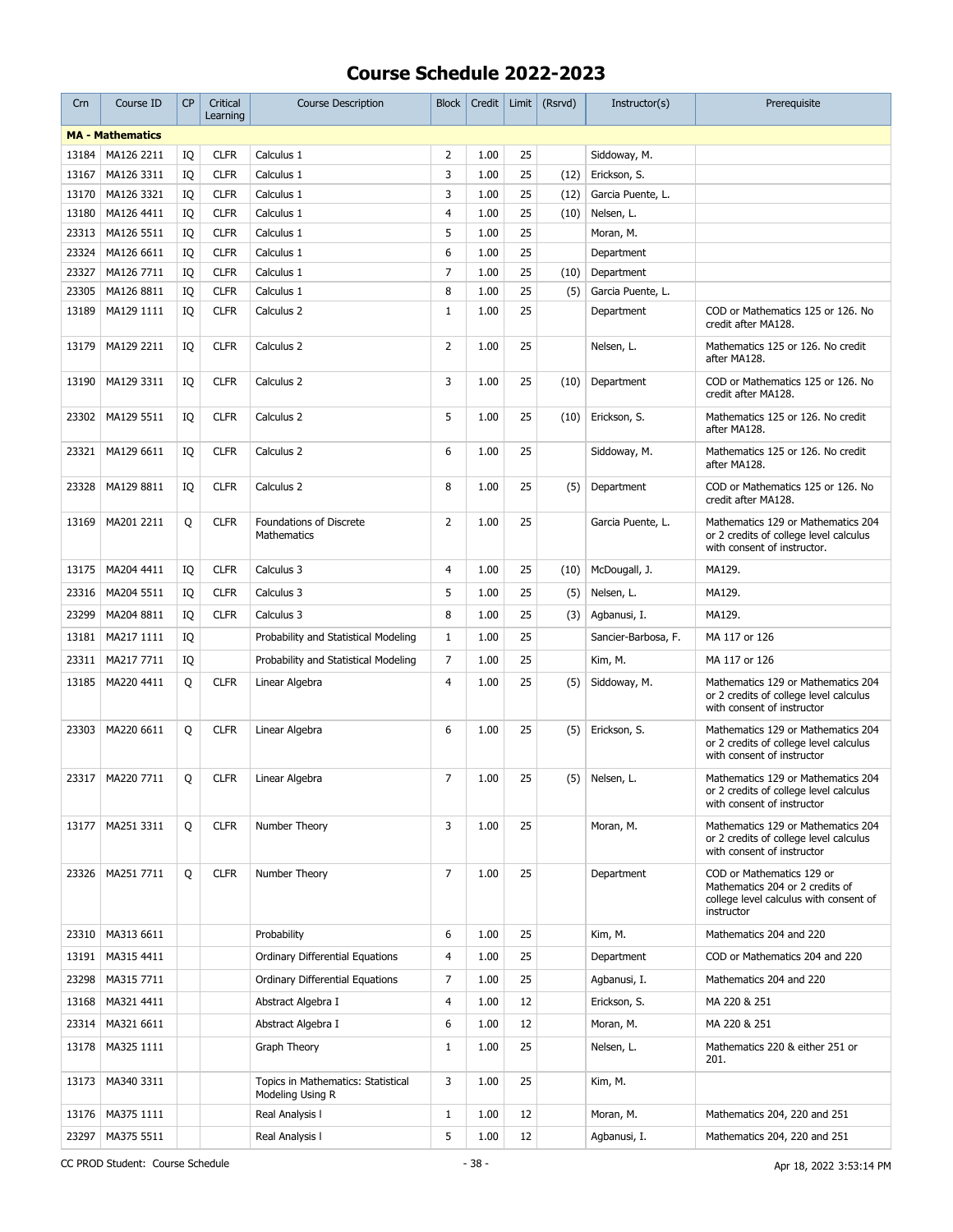| <b>MA - Mathematics</b><br>$\overline{2}$<br>25<br>MA126 2211<br><b>CLFR</b><br>Calculus 1<br>1.00<br>13184<br>IQ<br>Siddoway, M.<br>3<br>25<br>Erickson, S.<br>13167<br>MA126 3311<br><b>CLFR</b><br>1.00<br>IQ<br>Calculus 1<br>(12)<br>3<br>25<br>13170<br>MA126 3321<br><b>CLFR</b><br>1.00<br>Garcia Puente, L.<br>IQ<br>Calculus 1<br>(12)<br>25<br>13180<br>MA126 4411<br><b>CLFR</b><br>4<br>1.00<br>(10)<br>IQ<br>Calculus 1<br>Nelsen, L.<br>5<br>25<br>23313<br>MA126 5511<br><b>CLFR</b><br>1.00<br>IQ<br>Calculus 1<br>Moran, M.<br>6<br>25<br>23324<br>MA126 6611<br><b>CLFR</b><br>IQ<br>Calculus 1<br>1.00<br>Department<br>$\overline{7}$<br>25<br>23327<br>MA126 7711<br><b>CLFR</b><br>1.00<br>IQ<br>Calculus 1<br>(10)<br>Department<br>8<br>25<br>23305<br>MA126 8811<br><b>CLFR</b><br>1.00<br>IQ<br>Calculus 1<br>(5)<br>Garcia Puente, L.<br>25<br>MA129 1111<br>1.00<br>13189<br>IQ<br><b>CLFR</b><br>Calculus 2<br>$\mathbf{1}$<br>Department<br>COD or Mathematics 125 or 126. No<br>credit after MA128.<br>MA129 2211<br><b>CLFR</b><br>2<br>1.00<br>25<br>Mathematics 125 or 126. No credit<br>13179<br>IQ<br>Calculus 2<br>Nelsen, L.<br>after MA128.<br>3<br>MA129 3311<br>1.00<br>25<br>13190<br>IQ<br><b>CLFR</b><br>Calculus 2<br>(10)<br>Department<br>COD or Mathematics 125 or 126. No<br>credit after MA128.<br>MA129 5511<br><b>CLFR</b><br>5<br>1.00<br>25<br>Erickson, S.<br>Mathematics 125 or 126. No credit<br>23302<br>IQ<br>Calculus 2<br>(10)<br>after MA128.<br>MA129 6611<br><b>CLFR</b><br>6<br>1.00<br>25<br>Mathematics 125 or 126. No credit<br>23321<br>IQ<br>Calculus 2<br>Siddoway, M.<br>after MA128.<br>23328<br>MA129 8811<br><b>CLFR</b><br>8<br>1.00<br>25<br>COD or Mathematics 125 or 126. No<br>IQ<br>Calculus 2<br>(5)<br>Department<br>credit after MA128.<br>25<br>MA201 2211<br>Q<br><b>CLFR</b><br><b>Foundations of Discrete</b><br>$\overline{2}$<br>1.00<br>Mathematics 129 or Mathematics 204<br>13169<br>Garcia Puente, L.<br>Mathematics<br>or 2 credits of college level calculus<br>with consent of instructor.<br>$\overline{4}$<br>25<br>McDougall, J.<br>13175<br>MA204 4411<br>IQ<br><b>CLFR</b><br>Calculus 3<br>1.00<br>(10)<br>MA129.<br>5<br>25<br>23316<br>MA204 5511<br><b>CLFR</b><br>Calculus 3<br>1.00<br>(5)<br>Nelsen, L.<br>MA129.<br>IQ<br>25<br>23299<br>MA204 8811<br><b>CLFR</b><br>8<br>1.00<br>IQ<br>Calculus 3<br>(3)<br>Agbanusi, I.<br>MA129.<br>25<br>$\mathbf{1}$<br>1.00<br>13181<br>MA217 1111<br>IQ<br>Probability and Statistical Modeling<br>Sancier-Barbosa, F.<br>MA 117 or 126<br>25<br>23311<br>MA217 7711<br>$\overline{7}$<br>1.00<br>IQ<br>Probability and Statistical Modeling<br>Kim, M.<br>MA 117 or 126<br>MA220 4411<br><b>CLFR</b><br>4<br>1.00<br>25<br>Mathematics 129 or Mathematics 204<br>13185<br>Q<br>Linear Algebra<br>(5)<br>Siddoway, M.<br>or 2 credits of college level calculus<br>with consent of instructor<br>MA220 6611<br><b>CLFR</b><br>6<br>1.00<br>25<br>23303<br>Q<br>Linear Algebra<br>(5)<br>Erickson, S.<br>Mathematics 129 or Mathematics 204<br>or 2 credits of college level calculus<br>with consent of instructor<br>$\overline{7}$<br>23317   MA220 7711<br>Q<br>1.00<br>25<br><b>CLFR</b><br>Linear Algebra<br>$(5)$ Nelsen, L.<br>Mathematics 129 or Mathematics 204<br>or 2 credits of college level calculus<br>with consent of instructor<br>25<br>3<br>1.00<br>MA251 3311<br>Q<br><b>CLFR</b><br>Number Theory<br>Mathematics 129 or Mathematics 204<br>13177<br>Moran, M.<br>or 2 credits of college level calculus<br>with consent of instructor<br>$\overline{7}$<br>MA251 7711<br>O<br><b>CLFR</b><br>Number Theory<br>1.00<br>25<br>COD or Mathematics 129 or<br>23326<br>Department<br>Mathematics 204 or 2 credits of<br>college level calculus with consent of<br>instructor<br>MA313 6611<br>6<br>1.00<br>25<br>Mathematics 204 and 220<br>23310<br>Probability<br>Kim, M.<br>25<br>MA315 4411<br>Ordinary Differential Equations<br>4<br>1.00<br>13191<br>Department<br>COD or Mathematics 204 and 220<br>7<br>25<br>23298<br>MA315 7711<br>1.00<br>Ordinary Differential Equations<br>Agbanusi, I.<br>Mathematics 204 and 220<br>4<br>12<br>13168<br>MA321 4411<br>Abstract Algebra I<br>1.00<br>Erickson, S.<br>MA 220 & 251<br>12<br>MA321 6611<br>6<br>23314<br>Abstract Algebra I<br>1.00<br>Moran, M.<br>MA 220 & 251<br>MA325 1111<br>$\mathbf{1}$<br>1.00<br>25<br>13178<br>Graph Theory<br>Nelsen, L.<br>Mathematics 220 & either 251 or<br>201.<br>3<br>MA340 3311<br>1.00<br>25<br>13173<br>Topics in Mathematics: Statistical<br>Kim, M.<br>Modeling Using R<br>MA375 1111<br>$\mathbf{1}$<br>1.00<br>12<br>13176<br>Real Analysis I<br>Moran, M.<br>Mathematics 204, 220 and 251 | Crn | Course ID | <b>CP</b> | Critical<br>Learning | <b>Course Description</b> | <b>Block</b> | Credit | Limit | (Rsrvd) | Instructor(s) | Prerequisite |
|------------------------------------------------------------------------------------------------------------------------------------------------------------------------------------------------------------------------------------------------------------------------------------------------------------------------------------------------------------------------------------------------------------------------------------------------------------------------------------------------------------------------------------------------------------------------------------------------------------------------------------------------------------------------------------------------------------------------------------------------------------------------------------------------------------------------------------------------------------------------------------------------------------------------------------------------------------------------------------------------------------------------------------------------------------------------------------------------------------------------------------------------------------------------------------------------------------------------------------------------------------------------------------------------------------------------------------------------------------------------------------------------------------------------------------------------------------------------------------------------------------------------------------------------------------------------------------------------------------------------------------------------------------------------------------------------------------------------------------------------------------------------------------------------------------------------------------------------------------------------------------------------------------------------------------------------------------------------------------------------------------------------------------------------------------------------------------------------------------------------------------------------------------------------------------------------------------------------------------------------------------------------------------------------------------------------------------------------------------------------------------------------------------------------------------------------------------------------------------------------------------------------------------------------------------------------------------------------------------------------------------------------------------------------------------------------------------------------------------------------------------------------------------------------------------------------------------------------------------------------------------------------------------------------------------------------------------------------------------------------------------------------------------------------------------------------------------------------------------------------------------------------------------------------------------------------------------------------------------------------------------------------------------------------------------------------------------------------------------------------------------------------------------------------------------------------------------------------------------------------------------------------------------------------------------------------------------------------------------------------------------------------------------------------------------------------------------------------------------------------------------------------------------------------------------------------------------------------------------------------------------------------------------------------------------------------------------------------------------------------------------------------------------------------------------------------------------------------------------------------------------------------------------------------------------------------------------------------------------------------------------------------------------------------------------------------------------------------------------------------------------------------------------------------------------------------------------------------------------------------------------------------------------------------------------------------------------------------------------------------------------------------------------------------------------------------------------------------------------------------------------------------|-----|-----------|-----------|----------------------|---------------------------|--------------|--------|-------|---------|---------------|--------------|
|                                                                                                                                                                                                                                                                                                                                                                                                                                                                                                                                                                                                                                                                                                                                                                                                                                                                                                                                                                                                                                                                                                                                                                                                                                                                                                                                                                                                                                                                                                                                                                                                                                                                                                                                                                                                                                                                                                                                                                                                                                                                                                                                                                                                                                                                                                                                                                                                                                                                                                                                                                                                                                                                                                                                                                                                                                                                                                                                                                                                                                                                                                                                                                                                                                                                                                                                                                                                                                                                                                                                                                                                                                                                                                                                                                                                                                                                                                                                                                                                                                                                                                                                                                                                                                                                                                                                                                                                                                                                                                                                                                                                                                                                                                                                                                        |     |           |           |                      |                           |              |        |       |         |               |              |
|                                                                                                                                                                                                                                                                                                                                                                                                                                                                                                                                                                                                                                                                                                                                                                                                                                                                                                                                                                                                                                                                                                                                                                                                                                                                                                                                                                                                                                                                                                                                                                                                                                                                                                                                                                                                                                                                                                                                                                                                                                                                                                                                                                                                                                                                                                                                                                                                                                                                                                                                                                                                                                                                                                                                                                                                                                                                                                                                                                                                                                                                                                                                                                                                                                                                                                                                                                                                                                                                                                                                                                                                                                                                                                                                                                                                                                                                                                                                                                                                                                                                                                                                                                                                                                                                                                                                                                                                                                                                                                                                                                                                                                                                                                                                                                        |     |           |           |                      |                           |              |        |       |         |               |              |
|                                                                                                                                                                                                                                                                                                                                                                                                                                                                                                                                                                                                                                                                                                                                                                                                                                                                                                                                                                                                                                                                                                                                                                                                                                                                                                                                                                                                                                                                                                                                                                                                                                                                                                                                                                                                                                                                                                                                                                                                                                                                                                                                                                                                                                                                                                                                                                                                                                                                                                                                                                                                                                                                                                                                                                                                                                                                                                                                                                                                                                                                                                                                                                                                                                                                                                                                                                                                                                                                                                                                                                                                                                                                                                                                                                                                                                                                                                                                                                                                                                                                                                                                                                                                                                                                                                                                                                                                                                                                                                                                                                                                                                                                                                                                                                        |     |           |           |                      |                           |              |        |       |         |               |              |
|                                                                                                                                                                                                                                                                                                                                                                                                                                                                                                                                                                                                                                                                                                                                                                                                                                                                                                                                                                                                                                                                                                                                                                                                                                                                                                                                                                                                                                                                                                                                                                                                                                                                                                                                                                                                                                                                                                                                                                                                                                                                                                                                                                                                                                                                                                                                                                                                                                                                                                                                                                                                                                                                                                                                                                                                                                                                                                                                                                                                                                                                                                                                                                                                                                                                                                                                                                                                                                                                                                                                                                                                                                                                                                                                                                                                                                                                                                                                                                                                                                                                                                                                                                                                                                                                                                                                                                                                                                                                                                                                                                                                                                                                                                                                                                        |     |           |           |                      |                           |              |        |       |         |               |              |
|                                                                                                                                                                                                                                                                                                                                                                                                                                                                                                                                                                                                                                                                                                                                                                                                                                                                                                                                                                                                                                                                                                                                                                                                                                                                                                                                                                                                                                                                                                                                                                                                                                                                                                                                                                                                                                                                                                                                                                                                                                                                                                                                                                                                                                                                                                                                                                                                                                                                                                                                                                                                                                                                                                                                                                                                                                                                                                                                                                                                                                                                                                                                                                                                                                                                                                                                                                                                                                                                                                                                                                                                                                                                                                                                                                                                                                                                                                                                                                                                                                                                                                                                                                                                                                                                                                                                                                                                                                                                                                                                                                                                                                                                                                                                                                        |     |           |           |                      |                           |              |        |       |         |               |              |
|                                                                                                                                                                                                                                                                                                                                                                                                                                                                                                                                                                                                                                                                                                                                                                                                                                                                                                                                                                                                                                                                                                                                                                                                                                                                                                                                                                                                                                                                                                                                                                                                                                                                                                                                                                                                                                                                                                                                                                                                                                                                                                                                                                                                                                                                                                                                                                                                                                                                                                                                                                                                                                                                                                                                                                                                                                                                                                                                                                                                                                                                                                                                                                                                                                                                                                                                                                                                                                                                                                                                                                                                                                                                                                                                                                                                                                                                                                                                                                                                                                                                                                                                                                                                                                                                                                                                                                                                                                                                                                                                                                                                                                                                                                                                                                        |     |           |           |                      |                           |              |        |       |         |               |              |
|                                                                                                                                                                                                                                                                                                                                                                                                                                                                                                                                                                                                                                                                                                                                                                                                                                                                                                                                                                                                                                                                                                                                                                                                                                                                                                                                                                                                                                                                                                                                                                                                                                                                                                                                                                                                                                                                                                                                                                                                                                                                                                                                                                                                                                                                                                                                                                                                                                                                                                                                                                                                                                                                                                                                                                                                                                                                                                                                                                                                                                                                                                                                                                                                                                                                                                                                                                                                                                                                                                                                                                                                                                                                                                                                                                                                                                                                                                                                                                                                                                                                                                                                                                                                                                                                                                                                                                                                                                                                                                                                                                                                                                                                                                                                                                        |     |           |           |                      |                           |              |        |       |         |               |              |
|                                                                                                                                                                                                                                                                                                                                                                                                                                                                                                                                                                                                                                                                                                                                                                                                                                                                                                                                                                                                                                                                                                                                                                                                                                                                                                                                                                                                                                                                                                                                                                                                                                                                                                                                                                                                                                                                                                                                                                                                                                                                                                                                                                                                                                                                                                                                                                                                                                                                                                                                                                                                                                                                                                                                                                                                                                                                                                                                                                                                                                                                                                                                                                                                                                                                                                                                                                                                                                                                                                                                                                                                                                                                                                                                                                                                                                                                                                                                                                                                                                                                                                                                                                                                                                                                                                                                                                                                                                                                                                                                                                                                                                                                                                                                                                        |     |           |           |                      |                           |              |        |       |         |               |              |
|                                                                                                                                                                                                                                                                                                                                                                                                                                                                                                                                                                                                                                                                                                                                                                                                                                                                                                                                                                                                                                                                                                                                                                                                                                                                                                                                                                                                                                                                                                                                                                                                                                                                                                                                                                                                                                                                                                                                                                                                                                                                                                                                                                                                                                                                                                                                                                                                                                                                                                                                                                                                                                                                                                                                                                                                                                                                                                                                                                                                                                                                                                                                                                                                                                                                                                                                                                                                                                                                                                                                                                                                                                                                                                                                                                                                                                                                                                                                                                                                                                                                                                                                                                                                                                                                                                                                                                                                                                                                                                                                                                                                                                                                                                                                                                        |     |           |           |                      |                           |              |        |       |         |               |              |
|                                                                                                                                                                                                                                                                                                                                                                                                                                                                                                                                                                                                                                                                                                                                                                                                                                                                                                                                                                                                                                                                                                                                                                                                                                                                                                                                                                                                                                                                                                                                                                                                                                                                                                                                                                                                                                                                                                                                                                                                                                                                                                                                                                                                                                                                                                                                                                                                                                                                                                                                                                                                                                                                                                                                                                                                                                                                                                                                                                                                                                                                                                                                                                                                                                                                                                                                                                                                                                                                                                                                                                                                                                                                                                                                                                                                                                                                                                                                                                                                                                                                                                                                                                                                                                                                                                                                                                                                                                                                                                                                                                                                                                                                                                                                                                        |     |           |           |                      |                           |              |        |       |         |               |              |
|                                                                                                                                                                                                                                                                                                                                                                                                                                                                                                                                                                                                                                                                                                                                                                                                                                                                                                                                                                                                                                                                                                                                                                                                                                                                                                                                                                                                                                                                                                                                                                                                                                                                                                                                                                                                                                                                                                                                                                                                                                                                                                                                                                                                                                                                                                                                                                                                                                                                                                                                                                                                                                                                                                                                                                                                                                                                                                                                                                                                                                                                                                                                                                                                                                                                                                                                                                                                                                                                                                                                                                                                                                                                                                                                                                                                                                                                                                                                                                                                                                                                                                                                                                                                                                                                                                                                                                                                                                                                                                                                                                                                                                                                                                                                                                        |     |           |           |                      |                           |              |        |       |         |               |              |
|                                                                                                                                                                                                                                                                                                                                                                                                                                                                                                                                                                                                                                                                                                                                                                                                                                                                                                                                                                                                                                                                                                                                                                                                                                                                                                                                                                                                                                                                                                                                                                                                                                                                                                                                                                                                                                                                                                                                                                                                                                                                                                                                                                                                                                                                                                                                                                                                                                                                                                                                                                                                                                                                                                                                                                                                                                                                                                                                                                                                                                                                                                                                                                                                                                                                                                                                                                                                                                                                                                                                                                                                                                                                                                                                                                                                                                                                                                                                                                                                                                                                                                                                                                                                                                                                                                                                                                                                                                                                                                                                                                                                                                                                                                                                                                        |     |           |           |                      |                           |              |        |       |         |               |              |
|                                                                                                                                                                                                                                                                                                                                                                                                                                                                                                                                                                                                                                                                                                                                                                                                                                                                                                                                                                                                                                                                                                                                                                                                                                                                                                                                                                                                                                                                                                                                                                                                                                                                                                                                                                                                                                                                                                                                                                                                                                                                                                                                                                                                                                                                                                                                                                                                                                                                                                                                                                                                                                                                                                                                                                                                                                                                                                                                                                                                                                                                                                                                                                                                                                                                                                                                                                                                                                                                                                                                                                                                                                                                                                                                                                                                                                                                                                                                                                                                                                                                                                                                                                                                                                                                                                                                                                                                                                                                                                                                                                                                                                                                                                                                                                        |     |           |           |                      |                           |              |        |       |         |               |              |
|                                                                                                                                                                                                                                                                                                                                                                                                                                                                                                                                                                                                                                                                                                                                                                                                                                                                                                                                                                                                                                                                                                                                                                                                                                                                                                                                                                                                                                                                                                                                                                                                                                                                                                                                                                                                                                                                                                                                                                                                                                                                                                                                                                                                                                                                                                                                                                                                                                                                                                                                                                                                                                                                                                                                                                                                                                                                                                                                                                                                                                                                                                                                                                                                                                                                                                                                                                                                                                                                                                                                                                                                                                                                                                                                                                                                                                                                                                                                                                                                                                                                                                                                                                                                                                                                                                                                                                                                                                                                                                                                                                                                                                                                                                                                                                        |     |           |           |                      |                           |              |        |       |         |               |              |
|                                                                                                                                                                                                                                                                                                                                                                                                                                                                                                                                                                                                                                                                                                                                                                                                                                                                                                                                                                                                                                                                                                                                                                                                                                                                                                                                                                                                                                                                                                                                                                                                                                                                                                                                                                                                                                                                                                                                                                                                                                                                                                                                                                                                                                                                                                                                                                                                                                                                                                                                                                                                                                                                                                                                                                                                                                                                                                                                                                                                                                                                                                                                                                                                                                                                                                                                                                                                                                                                                                                                                                                                                                                                                                                                                                                                                                                                                                                                                                                                                                                                                                                                                                                                                                                                                                                                                                                                                                                                                                                                                                                                                                                                                                                                                                        |     |           |           |                      |                           |              |        |       |         |               |              |
|                                                                                                                                                                                                                                                                                                                                                                                                                                                                                                                                                                                                                                                                                                                                                                                                                                                                                                                                                                                                                                                                                                                                                                                                                                                                                                                                                                                                                                                                                                                                                                                                                                                                                                                                                                                                                                                                                                                                                                                                                                                                                                                                                                                                                                                                                                                                                                                                                                                                                                                                                                                                                                                                                                                                                                                                                                                                                                                                                                                                                                                                                                                                                                                                                                                                                                                                                                                                                                                                                                                                                                                                                                                                                                                                                                                                                                                                                                                                                                                                                                                                                                                                                                                                                                                                                                                                                                                                                                                                                                                                                                                                                                                                                                                                                                        |     |           |           |                      |                           |              |        |       |         |               |              |
|                                                                                                                                                                                                                                                                                                                                                                                                                                                                                                                                                                                                                                                                                                                                                                                                                                                                                                                                                                                                                                                                                                                                                                                                                                                                                                                                                                                                                                                                                                                                                                                                                                                                                                                                                                                                                                                                                                                                                                                                                                                                                                                                                                                                                                                                                                                                                                                                                                                                                                                                                                                                                                                                                                                                                                                                                                                                                                                                                                                                                                                                                                                                                                                                                                                                                                                                                                                                                                                                                                                                                                                                                                                                                                                                                                                                                                                                                                                                                                                                                                                                                                                                                                                                                                                                                                                                                                                                                                                                                                                                                                                                                                                                                                                                                                        |     |           |           |                      |                           |              |        |       |         |               |              |
|                                                                                                                                                                                                                                                                                                                                                                                                                                                                                                                                                                                                                                                                                                                                                                                                                                                                                                                                                                                                                                                                                                                                                                                                                                                                                                                                                                                                                                                                                                                                                                                                                                                                                                                                                                                                                                                                                                                                                                                                                                                                                                                                                                                                                                                                                                                                                                                                                                                                                                                                                                                                                                                                                                                                                                                                                                                                                                                                                                                                                                                                                                                                                                                                                                                                                                                                                                                                                                                                                                                                                                                                                                                                                                                                                                                                                                                                                                                                                                                                                                                                                                                                                                                                                                                                                                                                                                                                                                                                                                                                                                                                                                                                                                                                                                        |     |           |           |                      |                           |              |        |       |         |               |              |
|                                                                                                                                                                                                                                                                                                                                                                                                                                                                                                                                                                                                                                                                                                                                                                                                                                                                                                                                                                                                                                                                                                                                                                                                                                                                                                                                                                                                                                                                                                                                                                                                                                                                                                                                                                                                                                                                                                                                                                                                                                                                                                                                                                                                                                                                                                                                                                                                                                                                                                                                                                                                                                                                                                                                                                                                                                                                                                                                                                                                                                                                                                                                                                                                                                                                                                                                                                                                                                                                                                                                                                                                                                                                                                                                                                                                                                                                                                                                                                                                                                                                                                                                                                                                                                                                                                                                                                                                                                                                                                                                                                                                                                                                                                                                                                        |     |           |           |                      |                           |              |        |       |         |               |              |
|                                                                                                                                                                                                                                                                                                                                                                                                                                                                                                                                                                                                                                                                                                                                                                                                                                                                                                                                                                                                                                                                                                                                                                                                                                                                                                                                                                                                                                                                                                                                                                                                                                                                                                                                                                                                                                                                                                                                                                                                                                                                                                                                                                                                                                                                                                                                                                                                                                                                                                                                                                                                                                                                                                                                                                                                                                                                                                                                                                                                                                                                                                                                                                                                                                                                                                                                                                                                                                                                                                                                                                                                                                                                                                                                                                                                                                                                                                                                                                                                                                                                                                                                                                                                                                                                                                                                                                                                                                                                                                                                                                                                                                                                                                                                                                        |     |           |           |                      |                           |              |        |       |         |               |              |
|                                                                                                                                                                                                                                                                                                                                                                                                                                                                                                                                                                                                                                                                                                                                                                                                                                                                                                                                                                                                                                                                                                                                                                                                                                                                                                                                                                                                                                                                                                                                                                                                                                                                                                                                                                                                                                                                                                                                                                                                                                                                                                                                                                                                                                                                                                                                                                                                                                                                                                                                                                                                                                                                                                                                                                                                                                                                                                                                                                                                                                                                                                                                                                                                                                                                                                                                                                                                                                                                                                                                                                                                                                                                                                                                                                                                                                                                                                                                                                                                                                                                                                                                                                                                                                                                                                                                                                                                                                                                                                                                                                                                                                                                                                                                                                        |     |           |           |                      |                           |              |        |       |         |               |              |
|                                                                                                                                                                                                                                                                                                                                                                                                                                                                                                                                                                                                                                                                                                                                                                                                                                                                                                                                                                                                                                                                                                                                                                                                                                                                                                                                                                                                                                                                                                                                                                                                                                                                                                                                                                                                                                                                                                                                                                                                                                                                                                                                                                                                                                                                                                                                                                                                                                                                                                                                                                                                                                                                                                                                                                                                                                                                                                                                                                                                                                                                                                                                                                                                                                                                                                                                                                                                                                                                                                                                                                                                                                                                                                                                                                                                                                                                                                                                                                                                                                                                                                                                                                                                                                                                                                                                                                                                                                                                                                                                                                                                                                                                                                                                                                        |     |           |           |                      |                           |              |        |       |         |               |              |
|                                                                                                                                                                                                                                                                                                                                                                                                                                                                                                                                                                                                                                                                                                                                                                                                                                                                                                                                                                                                                                                                                                                                                                                                                                                                                                                                                                                                                                                                                                                                                                                                                                                                                                                                                                                                                                                                                                                                                                                                                                                                                                                                                                                                                                                                                                                                                                                                                                                                                                                                                                                                                                                                                                                                                                                                                                                                                                                                                                                                                                                                                                                                                                                                                                                                                                                                                                                                                                                                                                                                                                                                                                                                                                                                                                                                                                                                                                                                                                                                                                                                                                                                                                                                                                                                                                                                                                                                                                                                                                                                                                                                                                                                                                                                                                        |     |           |           |                      |                           |              |        |       |         |               |              |
|                                                                                                                                                                                                                                                                                                                                                                                                                                                                                                                                                                                                                                                                                                                                                                                                                                                                                                                                                                                                                                                                                                                                                                                                                                                                                                                                                                                                                                                                                                                                                                                                                                                                                                                                                                                                                                                                                                                                                                                                                                                                                                                                                                                                                                                                                                                                                                                                                                                                                                                                                                                                                                                                                                                                                                                                                                                                                                                                                                                                                                                                                                                                                                                                                                                                                                                                                                                                                                                                                                                                                                                                                                                                                                                                                                                                                                                                                                                                                                                                                                                                                                                                                                                                                                                                                                                                                                                                                                                                                                                                                                                                                                                                                                                                                                        |     |           |           |                      |                           |              |        |       |         |               |              |
|                                                                                                                                                                                                                                                                                                                                                                                                                                                                                                                                                                                                                                                                                                                                                                                                                                                                                                                                                                                                                                                                                                                                                                                                                                                                                                                                                                                                                                                                                                                                                                                                                                                                                                                                                                                                                                                                                                                                                                                                                                                                                                                                                                                                                                                                                                                                                                                                                                                                                                                                                                                                                                                                                                                                                                                                                                                                                                                                                                                                                                                                                                                                                                                                                                                                                                                                                                                                                                                                                                                                                                                                                                                                                                                                                                                                                                                                                                                                                                                                                                                                                                                                                                                                                                                                                                                                                                                                                                                                                                                                                                                                                                                                                                                                                                        |     |           |           |                      |                           |              |        |       |         |               |              |
|                                                                                                                                                                                                                                                                                                                                                                                                                                                                                                                                                                                                                                                                                                                                                                                                                                                                                                                                                                                                                                                                                                                                                                                                                                                                                                                                                                                                                                                                                                                                                                                                                                                                                                                                                                                                                                                                                                                                                                                                                                                                                                                                                                                                                                                                                                                                                                                                                                                                                                                                                                                                                                                                                                                                                                                                                                                                                                                                                                                                                                                                                                                                                                                                                                                                                                                                                                                                                                                                                                                                                                                                                                                                                                                                                                                                                                                                                                                                                                                                                                                                                                                                                                                                                                                                                                                                                                                                                                                                                                                                                                                                                                                                                                                                                                        |     |           |           |                      |                           |              |        |       |         |               |              |
|                                                                                                                                                                                                                                                                                                                                                                                                                                                                                                                                                                                                                                                                                                                                                                                                                                                                                                                                                                                                                                                                                                                                                                                                                                                                                                                                                                                                                                                                                                                                                                                                                                                                                                                                                                                                                                                                                                                                                                                                                                                                                                                                                                                                                                                                                                                                                                                                                                                                                                                                                                                                                                                                                                                                                                                                                                                                                                                                                                                                                                                                                                                                                                                                                                                                                                                                                                                                                                                                                                                                                                                                                                                                                                                                                                                                                                                                                                                                                                                                                                                                                                                                                                                                                                                                                                                                                                                                                                                                                                                                                                                                                                                                                                                                                                        |     |           |           |                      |                           |              |        |       |         |               |              |
|                                                                                                                                                                                                                                                                                                                                                                                                                                                                                                                                                                                                                                                                                                                                                                                                                                                                                                                                                                                                                                                                                                                                                                                                                                                                                                                                                                                                                                                                                                                                                                                                                                                                                                                                                                                                                                                                                                                                                                                                                                                                                                                                                                                                                                                                                                                                                                                                                                                                                                                                                                                                                                                                                                                                                                                                                                                                                                                                                                                                                                                                                                                                                                                                                                                                                                                                                                                                                                                                                                                                                                                                                                                                                                                                                                                                                                                                                                                                                                                                                                                                                                                                                                                                                                                                                                                                                                                                                                                                                                                                                                                                                                                                                                                                                                        |     |           |           |                      |                           |              |        |       |         |               |              |
|                                                                                                                                                                                                                                                                                                                                                                                                                                                                                                                                                                                                                                                                                                                                                                                                                                                                                                                                                                                                                                                                                                                                                                                                                                                                                                                                                                                                                                                                                                                                                                                                                                                                                                                                                                                                                                                                                                                                                                                                                                                                                                                                                                                                                                                                                                                                                                                                                                                                                                                                                                                                                                                                                                                                                                                                                                                                                                                                                                                                                                                                                                                                                                                                                                                                                                                                                                                                                                                                                                                                                                                                                                                                                                                                                                                                                                                                                                                                                                                                                                                                                                                                                                                                                                                                                                                                                                                                                                                                                                                                                                                                                                                                                                                                                                        |     |           |           |                      |                           |              |        |       |         |               |              |
|                                                                                                                                                                                                                                                                                                                                                                                                                                                                                                                                                                                                                                                                                                                                                                                                                                                                                                                                                                                                                                                                                                                                                                                                                                                                                                                                                                                                                                                                                                                                                                                                                                                                                                                                                                                                                                                                                                                                                                                                                                                                                                                                                                                                                                                                                                                                                                                                                                                                                                                                                                                                                                                                                                                                                                                                                                                                                                                                                                                                                                                                                                                                                                                                                                                                                                                                                                                                                                                                                                                                                                                                                                                                                                                                                                                                                                                                                                                                                                                                                                                                                                                                                                                                                                                                                                                                                                                                                                                                                                                                                                                                                                                                                                                                                                        |     |           |           |                      |                           |              |        |       |         |               |              |
|                                                                                                                                                                                                                                                                                                                                                                                                                                                                                                                                                                                                                                                                                                                                                                                                                                                                                                                                                                                                                                                                                                                                                                                                                                                                                                                                                                                                                                                                                                                                                                                                                                                                                                                                                                                                                                                                                                                                                                                                                                                                                                                                                                                                                                                                                                                                                                                                                                                                                                                                                                                                                                                                                                                                                                                                                                                                                                                                                                                                                                                                                                                                                                                                                                                                                                                                                                                                                                                                                                                                                                                                                                                                                                                                                                                                                                                                                                                                                                                                                                                                                                                                                                                                                                                                                                                                                                                                                                                                                                                                                                                                                                                                                                                                                                        |     |           |           |                      |                           |              |        |       |         |               |              |
|                                                                                                                                                                                                                                                                                                                                                                                                                                                                                                                                                                                                                                                                                                                                                                                                                                                                                                                                                                                                                                                                                                                                                                                                                                                                                                                                                                                                                                                                                                                                                                                                                                                                                                                                                                                                                                                                                                                                                                                                                                                                                                                                                                                                                                                                                                                                                                                                                                                                                                                                                                                                                                                                                                                                                                                                                                                                                                                                                                                                                                                                                                                                                                                                                                                                                                                                                                                                                                                                                                                                                                                                                                                                                                                                                                                                                                                                                                                                                                                                                                                                                                                                                                                                                                                                                                                                                                                                                                                                                                                                                                                                                                                                                                                                                                        |     |           |           |                      |                           |              |        |       |         |               |              |
|                                                                                                                                                                                                                                                                                                                                                                                                                                                                                                                                                                                                                                                                                                                                                                                                                                                                                                                                                                                                                                                                                                                                                                                                                                                                                                                                                                                                                                                                                                                                                                                                                                                                                                                                                                                                                                                                                                                                                                                                                                                                                                                                                                                                                                                                                                                                                                                                                                                                                                                                                                                                                                                                                                                                                                                                                                                                                                                                                                                                                                                                                                                                                                                                                                                                                                                                                                                                                                                                                                                                                                                                                                                                                                                                                                                                                                                                                                                                                                                                                                                                                                                                                                                                                                                                                                                                                                                                                                                                                                                                                                                                                                                                                                                                                                        |     |           |           |                      |                           |              |        |       |         |               |              |
|                                                                                                                                                                                                                                                                                                                                                                                                                                                                                                                                                                                                                                                                                                                                                                                                                                                                                                                                                                                                                                                                                                                                                                                                                                                                                                                                                                                                                                                                                                                                                                                                                                                                                                                                                                                                                                                                                                                                                                                                                                                                                                                                                                                                                                                                                                                                                                                                                                                                                                                                                                                                                                                                                                                                                                                                                                                                                                                                                                                                                                                                                                                                                                                                                                                                                                                                                                                                                                                                                                                                                                                                                                                                                                                                                                                                                                                                                                                                                                                                                                                                                                                                                                                                                                                                                                                                                                                                                                                                                                                                                                                                                                                                                                                                                                        |     |           |           |                      |                           |              |        |       |         |               |              |
|                                                                                                                                                                                                                                                                                                                                                                                                                                                                                                                                                                                                                                                                                                                                                                                                                                                                                                                                                                                                                                                                                                                                                                                                                                                                                                                                                                                                                                                                                                                                                                                                                                                                                                                                                                                                                                                                                                                                                                                                                                                                                                                                                                                                                                                                                                                                                                                                                                                                                                                                                                                                                                                                                                                                                                                                                                                                                                                                                                                                                                                                                                                                                                                                                                                                                                                                                                                                                                                                                                                                                                                                                                                                                                                                                                                                                                                                                                                                                                                                                                                                                                                                                                                                                                                                                                                                                                                                                                                                                                                                                                                                                                                                                                                                                                        |     |           |           |                      |                           |              |        |       |         |               |              |
| 5<br>23297<br>MA375 5511<br>1.00<br>12<br>Real Analysis I<br>Agbanusi, I.<br>Mathematics 204, 220 and 251                                                                                                                                                                                                                                                                                                                                                                                                                                                                                                                                                                                                                                                                                                                                                                                                                                                                                                                                                                                                                                                                                                                                                                                                                                                                                                                                                                                                                                                                                                                                                                                                                                                                                                                                                                                                                                                                                                                                                                                                                                                                                                                                                                                                                                                                                                                                                                                                                                                                                                                                                                                                                                                                                                                                                                                                                                                                                                                                                                                                                                                                                                                                                                                                                                                                                                                                                                                                                                                                                                                                                                                                                                                                                                                                                                                                                                                                                                                                                                                                                                                                                                                                                                                                                                                                                                                                                                                                                                                                                                                                                                                                                                                              |     |           |           |                      |                           |              |        |       |         |               |              |

CC PROD Student: Course Schedule **- 38 -** - 38 - Apr 18, 2022 3:53:14 PM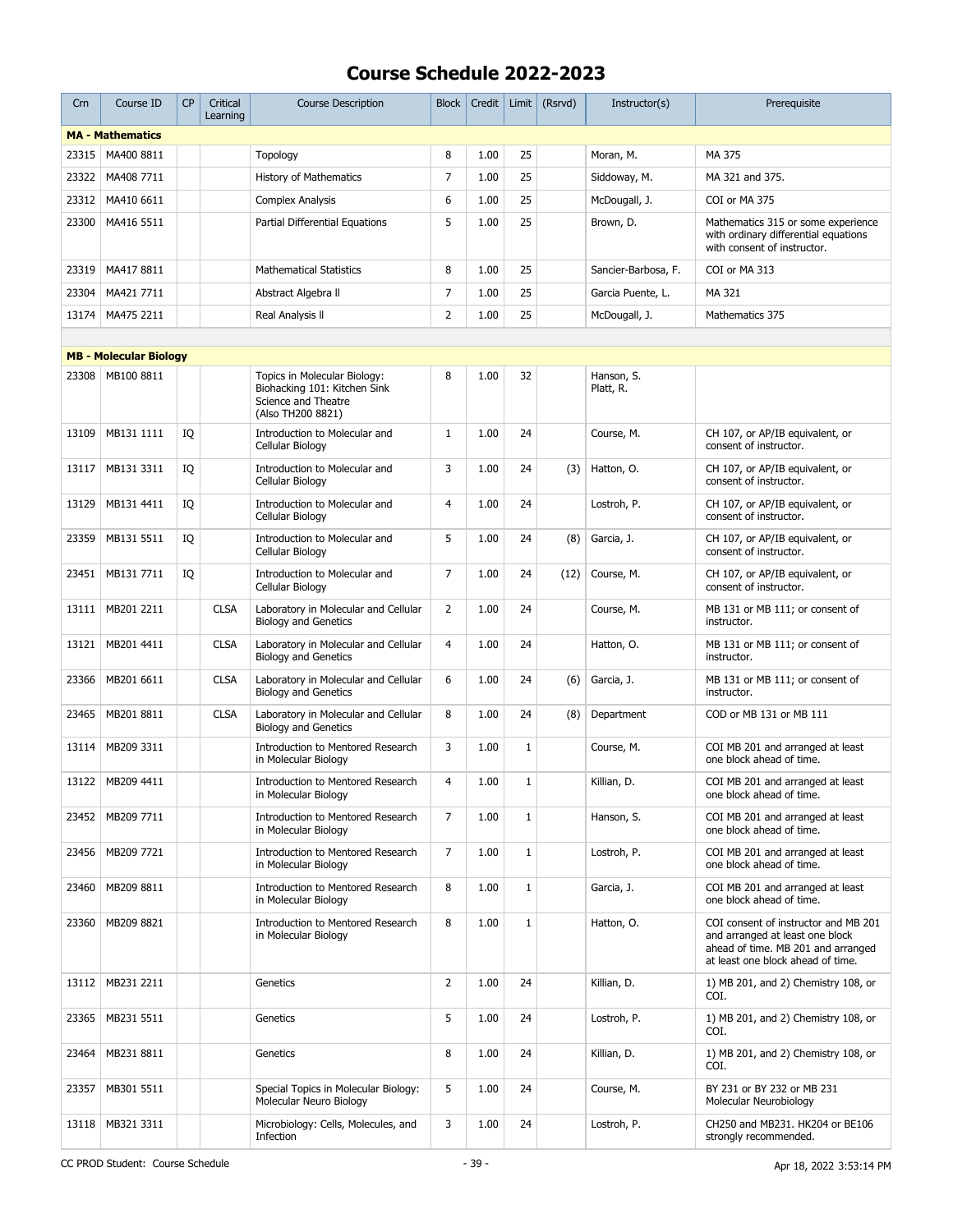| Crn   | Course ID                     | <b>CP</b> | Critical<br>Learning | <b>Course Description</b>                                                                                | Block          | Credit | Limit        | (Rsrvd) | Instructor(s)           | Prerequisite                                                                                                                                       |
|-------|-------------------------------|-----------|----------------------|----------------------------------------------------------------------------------------------------------|----------------|--------|--------------|---------|-------------------------|----------------------------------------------------------------------------------------------------------------------------------------------------|
|       | <b>MA - Mathematics</b>       |           |                      |                                                                                                          |                |        |              |         |                         |                                                                                                                                                    |
| 23315 | MA400 8811                    |           |                      | Topology                                                                                                 | 8              | 1.00   | 25           |         | Moran, M.               | MA 375                                                                                                                                             |
| 23322 | MA408 7711                    |           |                      | <b>History of Mathematics</b>                                                                            | $\overline{7}$ | 1.00   | 25           |         | Siddoway, M.            | MA 321 and 375.                                                                                                                                    |
| 23312 | MA410 6611                    |           |                      | <b>Complex Analysis</b>                                                                                  | 6              | 1.00   | 25           |         | McDougall, J.           | COI or MA 375                                                                                                                                      |
| 23300 | MA416 5511                    |           |                      | Partial Differential Equations                                                                           | 5              | 1.00   | 25           |         | Brown, D.               | Mathematics 315 or some experience<br>with ordinary differential equations<br>with consent of instructor.                                          |
| 23319 | MA417 8811                    |           |                      | <b>Mathematical Statistics</b>                                                                           | 8              | 1.00   | 25           |         | Sancier-Barbosa, F.     | COI or MA 313                                                                                                                                      |
| 23304 | MA421 7711                    |           |                      | Abstract Algebra II                                                                                      | $\overline{7}$ | 1.00   | 25           |         | Garcia Puente, L.       | MA 321                                                                                                                                             |
| 13174 | MA475 2211                    |           |                      | Real Analysis II                                                                                         | $\overline{2}$ | 1.00   | 25           |         | McDougall, J.           | Mathematics 375                                                                                                                                    |
|       |                               |           |                      |                                                                                                          |                |        |              |         |                         |                                                                                                                                                    |
|       | <b>MB - Molecular Biology</b> |           |                      |                                                                                                          |                |        |              |         |                         |                                                                                                                                                    |
| 23308 | MB100 8811                    |           |                      | Topics in Molecular Biology:<br>Biohacking 101: Kitchen Sink<br>Science and Theatre<br>(Also TH200 8821) | 8              | 1.00   | 32           |         | Hanson, S.<br>Platt, R. |                                                                                                                                                    |
| 13109 | MB131 1111                    | IQ        |                      | Introduction to Molecular and<br>Cellular Biology                                                        | $\mathbf{1}$   | 1.00   | 24           |         | Course, M.              | CH 107, or AP/IB equivalent, or<br>consent of instructor.                                                                                          |
| 13117 | MB131 3311                    | IQ        |                      | Introduction to Molecular and<br>Cellular Biology                                                        | 3              | 1.00   | 24           | (3)     | Hatton, O.              | CH 107, or AP/IB equivalent, or<br>consent of instructor.                                                                                          |
| 13129 | MB131 4411                    | IQ        |                      | Introduction to Molecular and<br>Cellular Biology                                                        | $\overline{4}$ | 1.00   | 24           |         | Lostroh, P.             | CH 107, or AP/IB equivalent, or<br>consent of instructor.                                                                                          |
| 23359 | MB131 5511                    | IQ        |                      | Introduction to Molecular and<br>Cellular Biology                                                        | 5              | 1.00   | 24           | (8)     | Garcia, J.              | CH 107, or AP/IB equivalent, or<br>consent of instructor.                                                                                          |
| 23451 | MB131 7711                    | IQ        |                      | Introduction to Molecular and<br>Cellular Biology                                                        | $\overline{7}$ | 1.00   | 24           | (12)    | Course, M.              | CH 107, or AP/IB equivalent, or<br>consent of instructor.                                                                                          |
| 13111 | MB201 2211                    |           | <b>CLSA</b>          | Laboratory in Molecular and Cellular<br><b>Biology and Genetics</b>                                      | $\overline{2}$ | 1.00   | 24           |         | Course, M.              | MB 131 or MB 111; or consent of<br>instructor.                                                                                                     |
| 13121 | MB201 4411                    |           | <b>CLSA</b>          | Laboratory in Molecular and Cellular<br><b>Biology and Genetics</b>                                      | $\overline{4}$ | 1.00   | 24           |         | Hatton, O.              | MB 131 or MB 111; or consent of<br>instructor.                                                                                                     |
| 23366 | MB201 6611                    |           | <b>CLSA</b>          | Laboratory in Molecular and Cellular<br><b>Biology and Genetics</b>                                      | 6              | 1.00   | 24           | (6)     | Garcia, J.              | MB 131 or MB 111; or consent of<br>instructor.                                                                                                     |
| 23465 | MB201 8811                    |           | <b>CLSA</b>          | Laboratory in Molecular and Cellular<br><b>Biology and Genetics</b>                                      | 8              | 1.00   | 24           | (8)     | Department              | COD or MB 131 or MB 111                                                                                                                            |
| 13114 | MB209 3311                    |           |                      | Introduction to Mentored Research<br>in Molecular Biology                                                | 3              | 1.00   | $\mathbf{1}$ |         | Course, M.              | COI MB 201 and arranged at least<br>one block ahead of time.                                                                                       |
|       | 13122   MB209 4411            |           |                      | Introduction to Mentored Research<br>in Molecular Biology                                                | $\overline{4}$ | 1.00   | $\mathbf{1}$ |         | Killian, D.             | COI MB 201 and arranged at least<br>one block ahead of time.                                                                                       |
| 23452 | MB209 7711                    |           |                      | Introduction to Mentored Research<br>in Molecular Biology                                                | 7              | 1.00   | $\mathbf 1$  |         | Hanson, S.              | COI MB 201 and arranged at least<br>one block ahead of time.                                                                                       |
| 23456 | MB209 7721                    |           |                      | Introduction to Mentored Research<br>in Molecular Biology                                                | 7              | 1.00   | $\mathbf{1}$ |         | Lostroh, P.             | COI MB 201 and arranged at least<br>one block ahead of time.                                                                                       |
| 23460 | MB209 8811                    |           |                      | <b>Introduction to Mentored Research</b><br>in Molecular Biology                                         | 8              | 1.00   | $\mathbf{1}$ |         | Garcia, J.              | COI MB 201 and arranged at least<br>one block ahead of time.                                                                                       |
| 23360 | MB209 8821                    |           |                      | Introduction to Mentored Research<br>in Molecular Biology                                                | 8              | 1.00   | $\mathbf{1}$ |         | Hatton, O.              | COI consent of instructor and MB 201<br>and arranged at least one block<br>ahead of time. MB 201 and arranged<br>at least one block ahead of time. |
| 13112 | MB231 2211                    |           |                      | Genetics                                                                                                 | $\overline{2}$ | 1.00   | 24           |         | Killian, D.             | 1) MB 201, and 2) Chemistry 108, or<br>COI.                                                                                                        |
| 23365 | MB231 5511                    |           |                      | Genetics                                                                                                 | 5              | 1.00   | 24           |         | Lostroh, P.             | 1) MB 201, and 2) Chemistry 108, or<br>COI.                                                                                                        |
| 23464 | MB231 8811                    |           |                      | Genetics                                                                                                 | 8              | 1.00   | 24           |         | Killian, D.             | 1) MB 201, and 2) Chemistry 108, or<br>COI.                                                                                                        |
| 23357 | MB301 5511                    |           |                      | Special Topics in Molecular Biology:<br>Molecular Neuro Biology                                          | 5              | 1.00   | 24           |         | Course, M.              | BY 231 or BY 232 or MB 231<br>Molecular Neurobiology                                                                                               |
| 13118 | MB321 3311                    |           |                      | Microbiology: Cells, Molecules, and<br>Infection                                                         | 3              | 1.00   | 24           |         | Lostroh, P.             | CH250 and MB231. HK204 or BE106<br>strongly recommended.                                                                                           |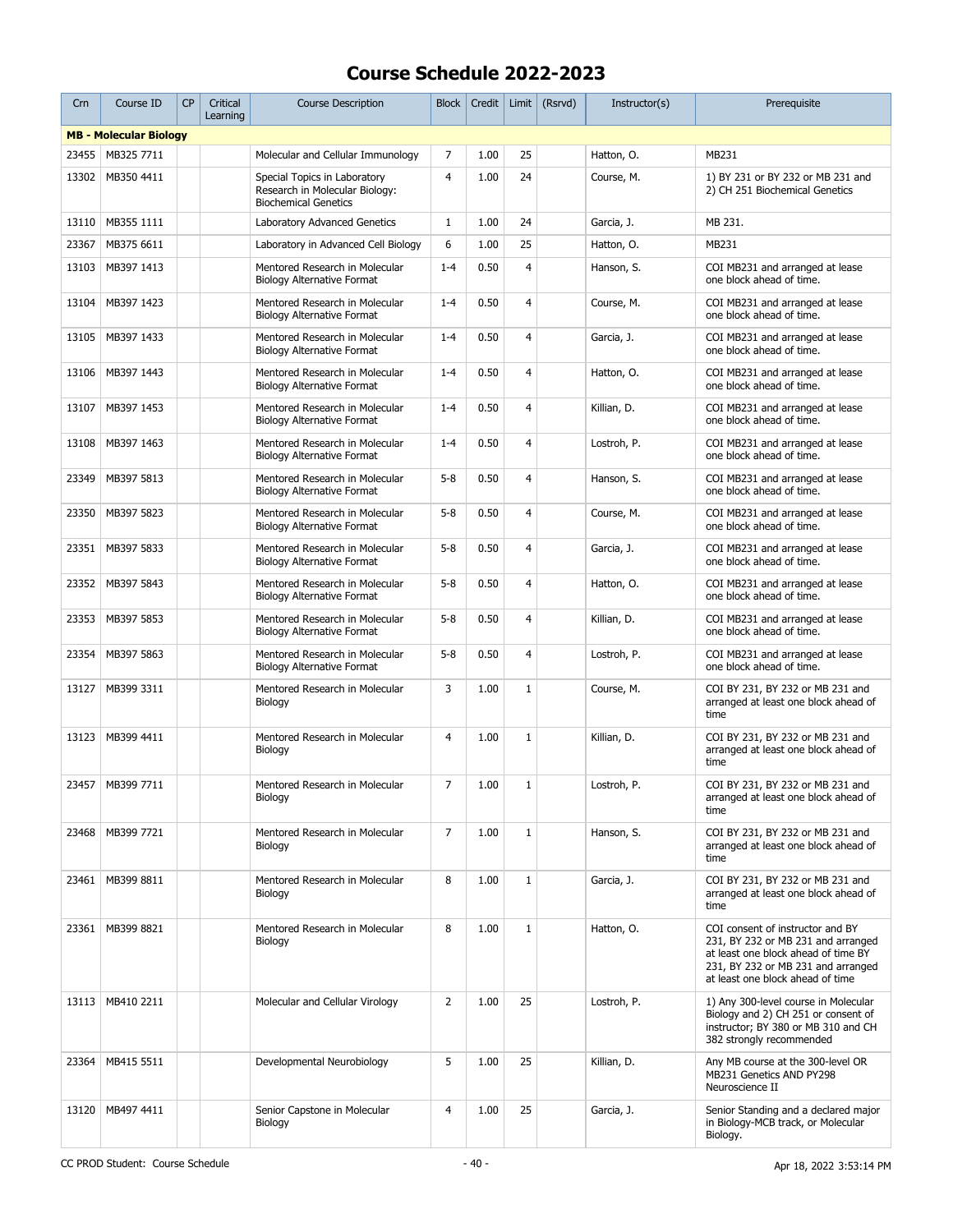| Crn   | Course ID                     | CP | Critical<br>Learning | <b>Course Description</b>                                                                     | Block          | Credit |                | Limit $(Rsrvd)$ | Instructor(s) | Prerequisite                                                                                                                                                                            |
|-------|-------------------------------|----|----------------------|-----------------------------------------------------------------------------------------------|----------------|--------|----------------|-----------------|---------------|-----------------------------------------------------------------------------------------------------------------------------------------------------------------------------------------|
|       | <b>MB - Molecular Biology</b> |    |                      |                                                                                               |                |        |                |                 |               |                                                                                                                                                                                         |
| 23455 | MB325 7711                    |    |                      | Molecular and Cellular Immunology                                                             | 7              | 1.00   | 25             |                 | Hatton, O.    | MB231                                                                                                                                                                                   |
| 13302 | MB350 4411                    |    |                      | Special Topics in Laboratory<br>Research in Molecular Biology:<br><b>Biochemical Genetics</b> | $\overline{4}$ | 1.00   | 24             |                 | Course, M.    | 1) BY 231 or BY 232 or MB 231 and<br>2) CH 251 Biochemical Genetics                                                                                                                     |
| 13110 | MB355 1111                    |    |                      | Laboratory Advanced Genetics                                                                  | $\mathbf{1}$   | 1.00   | 24             |                 | Garcia, J.    | MB 231.                                                                                                                                                                                 |
| 23367 | MB375 6611                    |    |                      | Laboratory in Advanced Cell Biology                                                           | 6              | 1.00   | 25             |                 | Hatton, O.    | MB231                                                                                                                                                                                   |
| 13103 | MB397 1413                    |    |                      | Mentored Research in Molecular<br><b>Biology Alternative Format</b>                           | $1 - 4$        | 0.50   | $\overline{4}$ |                 | Hanson, S.    | COI MB231 and arranged at lease<br>one block ahead of time.                                                                                                                             |
| 13104 | MB397 1423                    |    |                      | Mentored Research in Molecular<br><b>Biology Alternative Format</b>                           | $1 - 4$        | 0.50   | 4              |                 | Course, M.    | COI MB231 and arranged at lease<br>one block ahead of time.                                                                                                                             |
| 13105 | MB397 1433                    |    |                      | Mentored Research in Molecular<br><b>Biology Alternative Format</b>                           | $1 - 4$        | 0.50   | $\overline{4}$ |                 | Garcia, J.    | COI MB231 and arranged at lease<br>one block ahead of time.                                                                                                                             |
| 13106 | MB397 1443                    |    |                      | Mentored Research in Molecular<br><b>Biology Alternative Format</b>                           | $1 - 4$        | 0.50   | 4              |                 | Hatton, O.    | COI MB231 and arranged at lease<br>one block ahead of time.                                                                                                                             |
| 13107 | MB397 1453                    |    |                      | Mentored Research in Molecular<br><b>Biology Alternative Format</b>                           | $1 - 4$        | 0.50   | 4              |                 | Killian, D.   | COI MB231 and arranged at lease<br>one block ahead of time.                                                                                                                             |
| 13108 | MB397 1463                    |    |                      | Mentored Research in Molecular<br><b>Biology Alternative Format</b>                           | $1 - 4$        | 0.50   | 4              |                 | Lostroh, P.   | COI MB231 and arranged at lease<br>one block ahead of time.                                                                                                                             |
| 23349 | MB397 5813                    |    |                      | Mentored Research in Molecular<br><b>Biology Alternative Format</b>                           | $5 - 8$        | 0.50   | 4              |                 | Hanson, S.    | COI MB231 and arranged at lease<br>one block ahead of time.                                                                                                                             |
| 23350 | MB397 5823                    |    |                      | Mentored Research in Molecular<br>Biology Alternative Format                                  | $5 - 8$        | 0.50   | 4              |                 | Course, M.    | COI MB231 and arranged at lease<br>one block ahead of time.                                                                                                                             |
| 23351 | MB397 5833                    |    |                      | Mentored Research in Molecular<br><b>Biology Alternative Format</b>                           | $5 - 8$        | 0.50   | $\overline{4}$ |                 | Garcia, J.    | COI MB231 and arranged at lease<br>one block ahead of time.                                                                                                                             |
| 23352 | MB397 5843                    |    |                      | Mentored Research in Molecular<br><b>Biology Alternative Format</b>                           | $5 - 8$        | 0.50   | $\overline{4}$ |                 | Hatton, O.    | COI MB231 and arranged at lease<br>one block ahead of time.                                                                                                                             |
| 23353 | MB397 5853                    |    |                      | Mentored Research in Molecular<br><b>Biology Alternative Format</b>                           | $5 - 8$        | 0.50   | 4              |                 | Killian, D.   | COI MB231 and arranged at lease<br>one block ahead of time.                                                                                                                             |
| 23354 | MB397 5863                    |    |                      | Mentored Research in Molecular<br>Biology Alternative Format                                  | $5 - 8$        | 0.50   | $\overline{4}$ |                 | Lostroh, P.   | COI MB231 and arranged at lease<br>one block ahead of time.                                                                                                                             |
| 13127 | MB399 3311                    |    |                      | Mentored Research in Molecular<br>Biology                                                     | 3              | 1.00   | $\mathbf 1$    |                 | Course, M.    | COI BY 231, BY 232 or MB 231 and<br>arranged at least one block ahead of<br>time                                                                                                        |
| 13123 | MB399 4411                    |    |                      | Mentored Research in Molecular<br>Biology                                                     | $\overline{4}$ | 1.00   | $\mathbf 1$    |                 | Killian, D.   | COI BY 231, BY 232 or MB 231 and<br>arranged at least one block ahead of<br>time                                                                                                        |
| 23457 | MB399 7711                    |    |                      | Mentored Research in Molecular<br>Biology                                                     | 7              | 1.00   | $\mathbf{1}$   |                 | Lostroh, P.   | COI BY 231, BY 232 or MB 231 and<br>arranged at least one block ahead of<br>time                                                                                                        |
| 23468 | MB399 7721                    |    |                      | Mentored Research in Molecular<br>Biology                                                     | 7              | 1.00   | $\mathbf 1$    |                 | Hanson, S.    | COI BY 231, BY 232 or MB 231 and<br>arranged at least one block ahead of<br>time                                                                                                        |
| 23461 | MB399 8811                    |    |                      | Mentored Research in Molecular<br>Biology                                                     | 8              | 1.00   | $1\,$          |                 | Garcia, J.    | COI BY 231, BY 232 or MB 231 and<br>arranged at least one block ahead of<br>time                                                                                                        |
| 23361 | MB399 8821                    |    |                      | Mentored Research in Molecular<br>Biology                                                     | 8              | 1.00   | $1\,$          |                 | Hatton, O.    | COI consent of instructor and BY<br>231, BY 232 or MB 231 and arranged<br>at least one block ahead of time BY<br>231, BY 232 or MB 231 and arranged<br>at least one block ahead of time |
| 13113 | MB410 2211                    |    |                      | Molecular and Cellular Virology                                                               | $\overline{2}$ | 1.00   | 25             |                 | Lostroh, P.   | 1) Any 300-level course in Molecular<br>Biology and 2) CH 251 or consent of<br>instructor; BY 380 or MB 310 and CH<br>382 strongly recommended                                          |
| 23364 | MB415 5511                    |    |                      | Developmental Neurobiology                                                                    | 5              | 1.00   | 25             |                 | Killian, D.   | Any MB course at the 300-level OR<br>MB231 Genetics AND PY298<br>Neuroscience II                                                                                                        |
| 13120 | MB497 4411                    |    |                      | Senior Capstone in Molecular<br>Biology                                                       | 4              | 1.00   | 25             |                 | Garcia, J.    | Senior Standing and a declared major<br>in Biology-MCB track, or Molecular<br>Biology.                                                                                                  |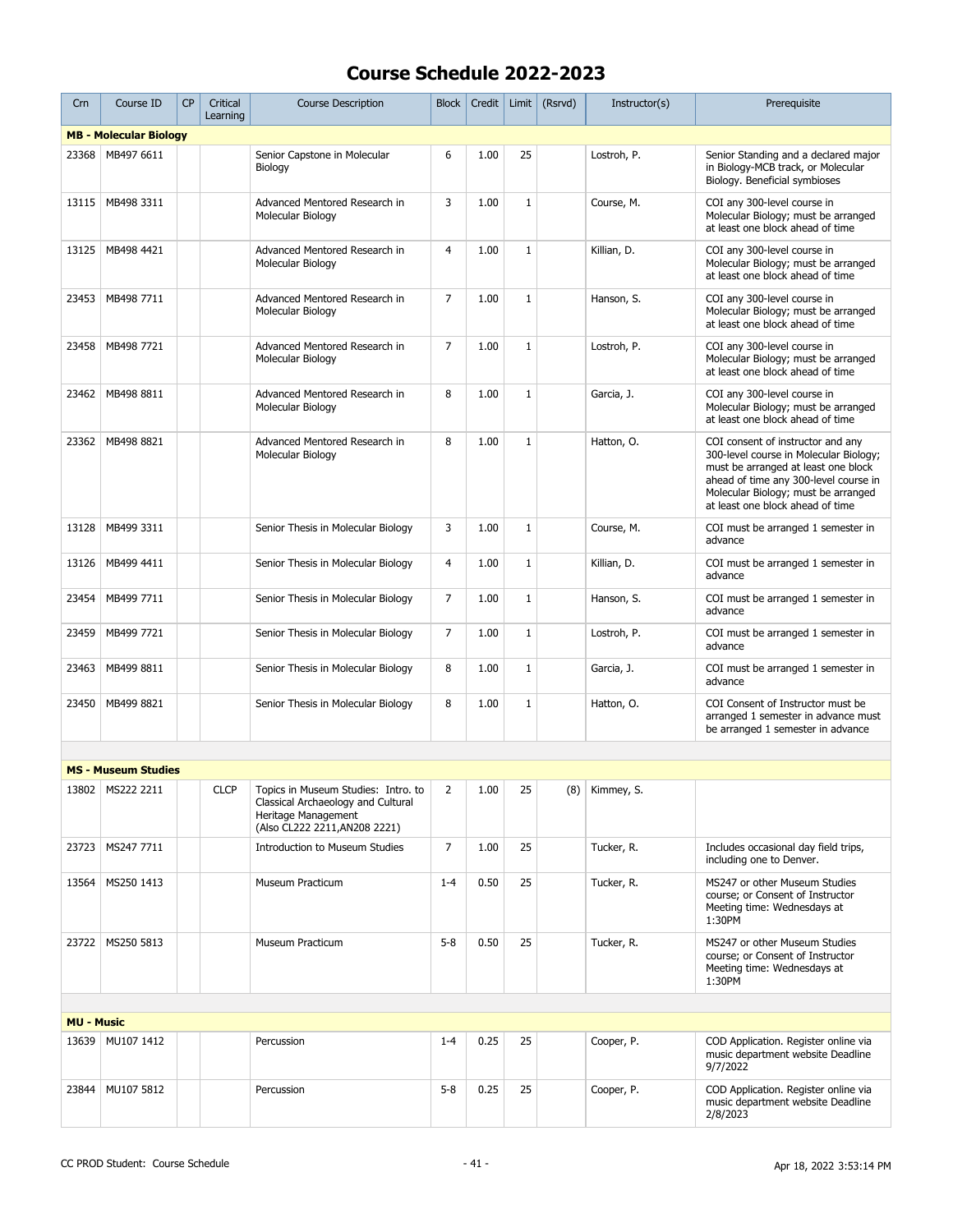| Crn               | Course ID                     | <b>CP</b> | Critical<br>Learning | <b>Course Description</b>                                                                                                         | <b>Block</b>   | Credit | Limit        | (Rsrvd) | Instructor(s)    | Prerequisite                                                                                                                                                                                                                           |
|-------------------|-------------------------------|-----------|----------------------|-----------------------------------------------------------------------------------------------------------------------------------|----------------|--------|--------------|---------|------------------|----------------------------------------------------------------------------------------------------------------------------------------------------------------------------------------------------------------------------------------|
|                   | <b>MB - Molecular Biology</b> |           |                      |                                                                                                                                   |                |        |              |         |                  |                                                                                                                                                                                                                                        |
| 23368             | MB497 6611                    |           |                      | Senior Capstone in Molecular<br>Biology                                                                                           | 6              | 1.00   | 25           |         | Lostroh, P.      | Senior Standing and a declared major<br>in Biology-MCB track, or Molecular<br>Biology. Beneficial symbioses                                                                                                                            |
| 13115             | MB498 3311                    |           |                      | Advanced Mentored Research in<br>Molecular Biology                                                                                | 3              | 1.00   | $\mathbf{1}$ |         | Course, M.       | COI any 300-level course in<br>Molecular Biology; must be arranged<br>at least one block ahead of time                                                                                                                                 |
| 13125             | MB498 4421                    |           |                      | Advanced Mentored Research in<br>Molecular Biology                                                                                | $\overline{4}$ | 1.00   | $\mathbf{1}$ |         | Killian, D.      | COI any 300-level course in<br>Molecular Biology; must be arranged<br>at least one block ahead of time                                                                                                                                 |
| 23453             | MB498 7711                    |           |                      | Advanced Mentored Research in<br>Molecular Biology                                                                                | $\overline{7}$ | 1.00   | $\mathbf{1}$ |         | Hanson, S.       | COI any 300-level course in<br>Molecular Biology; must be arranged<br>at least one block ahead of time                                                                                                                                 |
| 23458             | MB498 7721                    |           |                      | Advanced Mentored Research in<br>Molecular Biology                                                                                | $\overline{7}$ | 1.00   | $\mathbf{1}$ |         | Lostroh, P.      | COI any 300-level course in<br>Molecular Biology; must be arranged<br>at least one block ahead of time                                                                                                                                 |
| 23462             | MB498 8811                    |           |                      | Advanced Mentored Research in<br>Molecular Biology                                                                                | 8              | 1.00   | $\mathbf{1}$ |         | Garcia, J.       | COI any 300-level course in<br>Molecular Biology; must be arranged<br>at least one block ahead of time                                                                                                                                 |
| 23362             | MB498 8821                    |           |                      | Advanced Mentored Research in<br>Molecular Biology                                                                                | 8              | 1.00   | $\mathbf{1}$ |         | Hatton, O.       | COI consent of instructor and any<br>300-level course in Molecular Biology;<br>must be arranged at least one block<br>ahead of time any 300-level course in<br>Molecular Biology; must be arranged<br>at least one block ahead of time |
| 13128             | MB499 3311                    |           |                      | Senior Thesis in Molecular Biology                                                                                                | 3              | 1.00   | $\mathbf{1}$ |         | Course, M.       | COI must be arranged 1 semester in<br>advance                                                                                                                                                                                          |
| 13126             | MB499 4411                    |           |                      | Senior Thesis in Molecular Biology                                                                                                | 4              | 1.00   | $\mathbf{1}$ |         | Killian, D.      | COI must be arranged 1 semester in<br>advance                                                                                                                                                                                          |
| 23454             | MB499 7711                    |           |                      | Senior Thesis in Molecular Biology                                                                                                | 7              | 1.00   | $\mathbf{1}$ |         | Hanson, S.       | COI must be arranged 1 semester in<br>advance                                                                                                                                                                                          |
| 23459             | MB499 7721                    |           |                      | Senior Thesis in Molecular Biology                                                                                                | 7              | 1.00   | $\mathbf{1}$ |         | Lostroh, P.      | COI must be arranged 1 semester in<br>advance                                                                                                                                                                                          |
| 23463             | MB499 8811                    |           |                      | Senior Thesis in Molecular Biology                                                                                                | 8              | 1.00   | $\mathbf{1}$ |         | Garcia, J.       | COI must be arranged 1 semester in<br>advance                                                                                                                                                                                          |
| 23450             | MB499 8821                    |           |                      | Senior Thesis in Molecular Biology                                                                                                | 8              | 1.00   | $\mathbf{1}$ |         | Hatton, O.       | COI Consent of Instructor must be<br>arranged 1 semester in advance must<br>be arranged 1 semester in advance                                                                                                                          |
|                   |                               |           |                      |                                                                                                                                   |                |        |              |         |                  |                                                                                                                                                                                                                                        |
|                   | <b>MS - Museum Studies</b>    |           |                      |                                                                                                                                   |                |        |              |         |                  |                                                                                                                                                                                                                                        |
|                   | 13802 MS222 2211              |           | <b>CLCP</b>          | Topics in Museum Studies: Intro. to<br>Classical Archaeology and Cultural<br>Heritage Management<br>(Also CL222 2211, AN208 2221) | $\overline{2}$ | 1.00   | 25           |         | $(8)$ Kimmey, S. |                                                                                                                                                                                                                                        |
| 23723             | MS247 7711                    |           |                      | <b>Introduction to Museum Studies</b>                                                                                             | 7              | 1.00   | 25           |         | Tucker, R.       | Includes occasional day field trips,<br>including one to Denver.                                                                                                                                                                       |
| 13564             | MS250 1413                    |           |                      | Museum Practicum                                                                                                                  | $1 - 4$        | 0.50   | 25           |         | Tucker, R.       | MS247 or other Museum Studies<br>course; or Consent of Instructor<br>Meeting time: Wednesdays at<br>1:30PM                                                                                                                             |
| 23722             | MS250 5813                    |           |                      | Museum Practicum                                                                                                                  | $5 - 8$        | 0.50   | 25           |         | Tucker, R.       | MS247 or other Museum Studies<br>course; or Consent of Instructor<br>Meeting time: Wednesdays at<br>1:30PM                                                                                                                             |
|                   |                               |           |                      |                                                                                                                                   |                |        |              |         |                  |                                                                                                                                                                                                                                        |
| <b>MU - Music</b> |                               |           |                      |                                                                                                                                   |                |        |              |         |                  |                                                                                                                                                                                                                                        |
| 13639             | MU107 1412                    |           |                      | Percussion                                                                                                                        | $1 - 4$        | 0.25   | 25           |         | Cooper, P.       | COD Application. Register online via<br>music department website Deadline<br>9/7/2022                                                                                                                                                  |
| 23844             | MU107 5812                    |           |                      | Percussion                                                                                                                        | $5 - 8$        | 0.25   | 25           |         | Cooper, P.       | COD Application. Register online via<br>music department website Deadline<br>2/8/2023                                                                                                                                                  |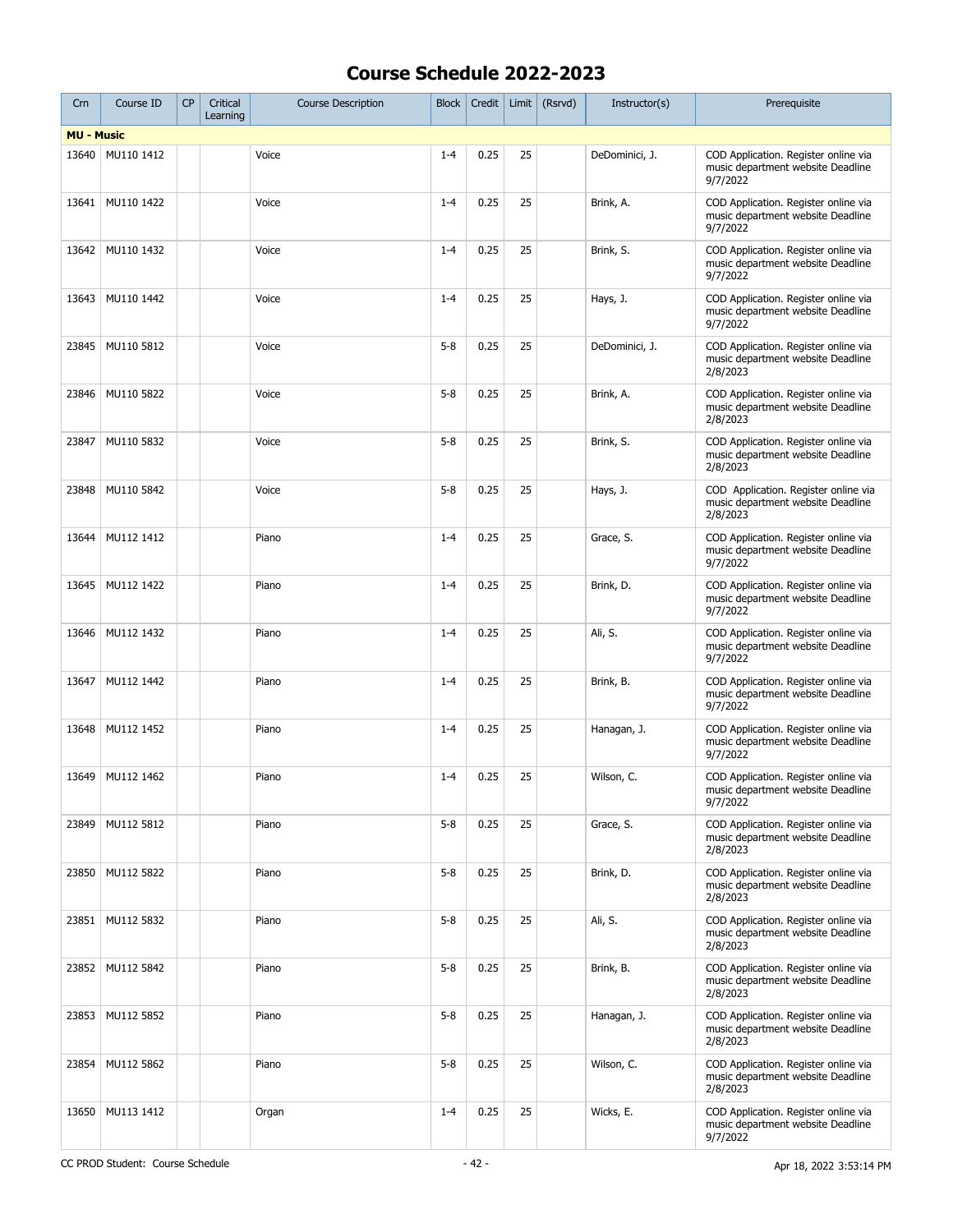| Crn               | Course ID        | CP | Critical<br>Learning | <b>Course Description</b> | <b>Block</b> | Credit |    | Limit $(Rsrvd)$ | Instructor(s)  | Prerequisite                                                                          |
|-------------------|------------------|----|----------------------|---------------------------|--------------|--------|----|-----------------|----------------|---------------------------------------------------------------------------------------|
| <b>MU - Music</b> |                  |    |                      |                           |              |        |    |                 |                |                                                                                       |
| 13640             | MU110 1412       |    |                      | Voice                     | $1 - 4$      | 0.25   | 25 |                 | DeDominici, J. | COD Application. Register online via<br>music department website Deadline<br>9/7/2022 |
| 13641             | MU110 1422       |    |                      | Voice                     | $1 - 4$      | 0.25   | 25 |                 | Brink, A.      | COD Application. Register online via<br>music department website Deadline<br>9/7/2022 |
| 13642             | MU110 1432       |    |                      | Voice                     | $1 - 4$      | 0.25   | 25 |                 | Brink, S.      | COD Application. Register online via<br>music department website Deadline<br>9/7/2022 |
| 13643             | MU110 1442       |    |                      | Voice                     | $1 - 4$      | 0.25   | 25 |                 | Hays, J.       | COD Application. Register online via<br>music department website Deadline<br>9/7/2022 |
| 23845             | MU110 5812       |    |                      | Voice                     | $5 - 8$      | 0.25   | 25 |                 | DeDominici, J. | COD Application. Register online via<br>music department website Deadline<br>2/8/2023 |
| 23846             | MU110 5822       |    |                      | Voice                     | $5 - 8$      | 0.25   | 25 |                 | Brink, A.      | COD Application. Register online via<br>music department website Deadline<br>2/8/2023 |
| 23847             | MU110 5832       |    |                      | Voice                     | $5 - 8$      | 0.25   | 25 |                 | Brink, S.      | COD Application. Register online via<br>music department website Deadline<br>2/8/2023 |
| 23848             | MU110 5842       |    |                      | Voice                     | $5 - 8$      | 0.25   | 25 |                 | Hays, J.       | COD Application. Register online via<br>music department website Deadline<br>2/8/2023 |
| 13644             | MU112 1412       |    |                      | Piano                     | $1 - 4$      | 0.25   | 25 |                 | Grace, S.      | COD Application. Register online via<br>music department website Deadline<br>9/7/2022 |
| 13645             | MU112 1422       |    |                      | Piano                     | $1 - 4$      | 0.25   | 25 |                 | Brink, D.      | COD Application. Register online via<br>music department website Deadline<br>9/7/2022 |
| 13646             | MU112 1432       |    |                      | Piano                     | $1 - 4$      | 0.25   | 25 |                 | Ali, S.        | COD Application. Register online via<br>music department website Deadline<br>9/7/2022 |
| 13647             | MU112 1442       |    |                      | Piano                     | $1 - 4$      | 0.25   | 25 |                 | Brink, B.      | COD Application. Register online via<br>music department website Deadline<br>9/7/2022 |
| 13648             | MU112 1452       |    |                      | Piano                     | $1 - 4$      | 0.25   | 25 |                 | Hanagan, J.    | COD Application. Register online via<br>music department website Deadline<br>9/7/2022 |
| 13649             | MU112 1462       |    |                      | Piano                     | $1 - 4$      | 0.25   | 25 |                 | Wilson, C.     | COD Application. Register online via<br>music department website Deadline<br>9/7/2022 |
| 23849             | MU112 5812       |    |                      | Piano                     | $5 - 8$      | 0.25   | 25 |                 | Grace, S.      | COD Application. Register online via<br>music department website Deadline<br>2/8/2023 |
| 23850             | MU112 5822       |    |                      | Piano                     | $5 - 8$      | 0.25   | 25 |                 | Brink, D.      | COD Application. Register online via<br>music department website Deadline<br>2/8/2023 |
| 23851             | MU112 5832       |    |                      | Piano                     | $5 - 8$      | 0.25   | 25 |                 | Ali, S.        | COD Application. Register online via<br>music department website Deadline<br>2/8/2023 |
|                   | 23852 MU112 5842 |    |                      | Piano                     | $5 - 8$      | 0.25   | 25 |                 | Brink, B.      | COD Application. Register online via<br>music department website Deadline<br>2/8/2023 |
| 23853             | MU112 5852       |    |                      | Piano                     | $5 - 8$      | 0.25   | 25 |                 | Hanagan, J.    | COD Application. Register online via<br>music department website Deadline<br>2/8/2023 |
| 23854             | MU112 5862       |    |                      | Piano                     | $5 - 8$      | 0.25   | 25 |                 | Wilson, C.     | COD Application. Register online via<br>music department website Deadline<br>2/8/2023 |
| 13650             | MU113 1412       |    |                      | Organ                     | $1 - 4$      | 0.25   | 25 |                 | Wicks, E.      | COD Application. Register online via<br>music department website Deadline<br>9/7/2022 |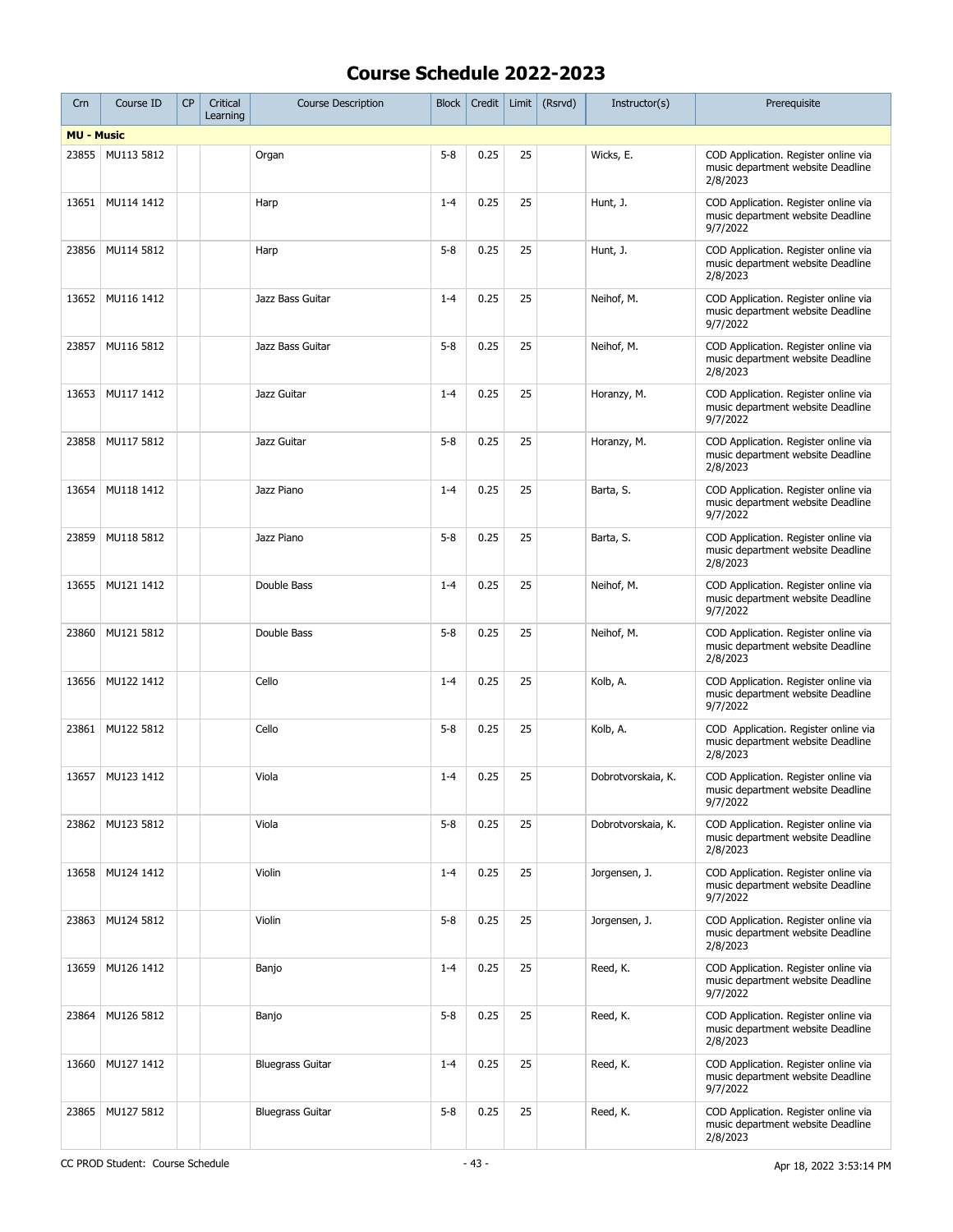| Crn               | Course ID        | CP | Critical<br>Learning | <b>Course Description</b> | <b>Block</b> | Credit |    | Limit $(Rsrvd)$ | Instructor(s)      | Prerequisite                                                                          |
|-------------------|------------------|----|----------------------|---------------------------|--------------|--------|----|-----------------|--------------------|---------------------------------------------------------------------------------------|
| <b>MU - Music</b> |                  |    |                      |                           |              |        |    |                 |                    |                                                                                       |
| 23855             | MU113 5812       |    |                      | Organ                     | $5 - 8$      | 0.25   | 25 |                 | Wicks, E.          | COD Application. Register online via<br>music department website Deadline<br>2/8/2023 |
| 13651             | MU114 1412       |    |                      | Harp                      | $1 - 4$      | 0.25   | 25 |                 | Hunt, J.           | COD Application. Register online via<br>music department website Deadline<br>9/7/2022 |
| 23856             | MU114 5812       |    |                      | Harp                      | $5 - 8$      | 0.25   | 25 |                 | Hunt, J.           | COD Application. Register online via<br>music department website Deadline<br>2/8/2023 |
| 13652             | MU116 1412       |    |                      | Jazz Bass Guitar          | $1 - 4$      | 0.25   | 25 |                 | Neihof, M.         | COD Application. Register online via<br>music department website Deadline<br>9/7/2022 |
| 23857             | MU116 5812       |    |                      | Jazz Bass Guitar          | $5 - 8$      | 0.25   | 25 |                 | Neihof, M.         | COD Application. Register online via<br>music department website Deadline<br>2/8/2023 |
| 13653             | MU117 1412       |    |                      | Jazz Guitar               | $1 - 4$      | 0.25   | 25 |                 | Horanzy, M.        | COD Application. Register online via<br>music department website Deadline<br>9/7/2022 |
| 23858             | MU117 5812       |    |                      | Jazz Guitar               | $5 - 8$      | 0.25   | 25 |                 | Horanzy, M.        | COD Application. Register online via<br>music department website Deadline<br>2/8/2023 |
| 13654             | MU118 1412       |    |                      | Jazz Piano                | $1 - 4$      | 0.25   | 25 |                 | Barta, S.          | COD Application. Register online via<br>music department website Deadline<br>9/7/2022 |
| 23859             | MU118 5812       |    |                      | Jazz Piano                | $5 - 8$      | 0.25   | 25 |                 | Barta, S.          | COD Application. Register online via<br>music department website Deadline<br>2/8/2023 |
| 13655             | MU121 1412       |    |                      | Double Bass               | $1 - 4$      | 0.25   | 25 |                 | Neihof, M.         | COD Application. Register online via<br>music department website Deadline<br>9/7/2022 |
| 23860             | MU121 5812       |    |                      | Double Bass               | $5 - 8$      | 0.25   | 25 |                 | Neihof, M.         | COD Application. Register online via<br>music department website Deadline<br>2/8/2023 |
| 13656             | MU122 1412       |    |                      | Cello                     | $1 - 4$      | 0.25   | 25 |                 | Kolb, A.           | COD Application. Register online via<br>music department website Deadline<br>9/7/2022 |
| 23861             | MU122 5812       |    |                      | Cello                     | $5 - 8$      | 0.25   | 25 |                 | Kolb, A.           | COD Application. Register online via<br>music department website Deadline<br>2/8/2023 |
|                   | 13657 MU123 1412 |    |                      | Viola                     | $1 - 4$      | 0.25   | 25 |                 | Dobrotvorskaia, K. | COD Application. Register online via<br>music department website Deadline<br>9/7/2022 |
|                   | 23862 MU123 5812 |    |                      | Viola                     | $5 - 8$      | 0.25   | 25 |                 | Dobrotvorskaia, K. | COD Application. Register online via<br>music department website Deadline<br>2/8/2023 |
| 13658             | MU124 1412       |    |                      | Violin                    | $1 - 4$      | 0.25   | 25 |                 | Jorgensen, J.      | COD Application. Register online via<br>music department website Deadline<br>9/7/2022 |
| 23863             | MU124 5812       |    |                      | Violin                    | $5 - 8$      | 0.25   | 25 |                 | Jorgensen, J.      | COD Application. Register online via<br>music department website Deadline<br>2/8/2023 |
| 13659             | MU126 1412       |    |                      | Banjo                     | $1 - 4$      | 0.25   | 25 |                 | Reed, K.           | COD Application. Register online via<br>music department website Deadline<br>9/7/2022 |
| 23864             | MU126 5812       |    |                      | Banjo                     | $5 - 8$      | 0.25   | 25 |                 | Reed, K.           | COD Application. Register online via<br>music department website Deadline<br>2/8/2023 |
| 13660             | MU127 1412       |    |                      | <b>Bluegrass Guitar</b>   | $1 - 4$      | 0.25   | 25 |                 | Reed, K.           | COD Application. Register online via<br>music department website Deadline<br>9/7/2022 |
| 23865             | MU127 5812       |    |                      | <b>Bluegrass Guitar</b>   | $5 - 8$      | 0.25   | 25 |                 | Reed, K.           | COD Application. Register online via<br>music department website Deadline<br>2/8/2023 |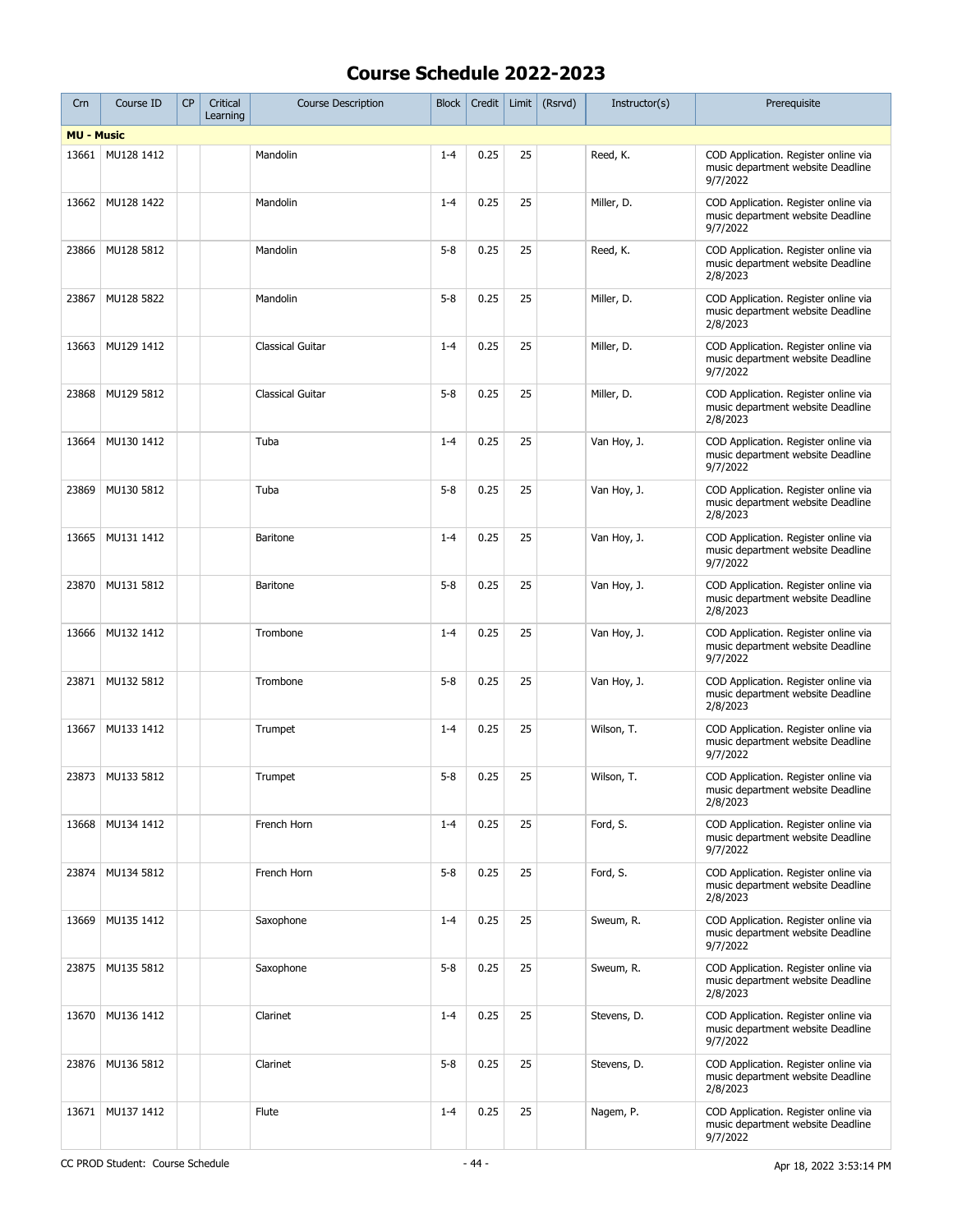| Crn               | Course ID  | CP | Critical<br>Learning | <b>Course Description</b> | <b>Block</b> | Credit | Limit | (Rsrvd) | Instructor(s) | Prerequisite                                                                          |
|-------------------|------------|----|----------------------|---------------------------|--------------|--------|-------|---------|---------------|---------------------------------------------------------------------------------------|
| <b>MU - Music</b> |            |    |                      |                           |              |        |       |         |               |                                                                                       |
| 13661             | MU128 1412 |    |                      | Mandolin                  | $1 - 4$      | 0.25   | 25    |         | Reed, K.      | COD Application. Register online via<br>music department website Deadline<br>9/7/2022 |
| 13662             | MU128 1422 |    |                      | Mandolin                  | $1 - 4$      | 0.25   | 25    |         | Miller, D.    | COD Application. Register online via<br>music department website Deadline<br>9/7/2022 |
| 23866             | MU128 5812 |    |                      | Mandolin                  | $5 - 8$      | 0.25   | 25    |         | Reed, K.      | COD Application. Register online via<br>music department website Deadline<br>2/8/2023 |
| 23867             | MU128 5822 |    |                      | Mandolin                  | $5 - 8$      | 0.25   | 25    |         | Miller, D.    | COD Application. Register online via<br>music department website Deadline<br>2/8/2023 |
| 13663             | MU129 1412 |    |                      | <b>Classical Guitar</b>   | $1 - 4$      | 0.25   | 25    |         | Miller, D.    | COD Application. Register online via<br>music department website Deadline<br>9/7/2022 |
| 23868             | MU129 5812 |    |                      | Classical Guitar          | $5 - 8$      | 0.25   | 25    |         | Miller, D.    | COD Application. Register online via<br>music department website Deadline<br>2/8/2023 |
| 13664             | MU130 1412 |    |                      | Tuba                      | $1 - 4$      | 0.25   | 25    |         | Van Hoy, J.   | COD Application. Register online via<br>music department website Deadline<br>9/7/2022 |
| 23869             | MU130 5812 |    |                      | Tuba                      | $5 - 8$      | 0.25   | 25    |         | Van Hoy, J.   | COD Application. Register online via<br>music department website Deadline<br>2/8/2023 |
| 13665             | MU131 1412 |    |                      | Baritone                  | $1 - 4$      | 0.25   | 25    |         | Van Hoy, J.   | COD Application. Register online via<br>music department website Deadline<br>9/7/2022 |
| 23870             | MU131 5812 |    |                      | <b>Baritone</b>           | $5 - 8$      | 0.25   | 25    |         | Van Hoy, J.   | COD Application. Register online via<br>music department website Deadline<br>2/8/2023 |
| 13666             | MU132 1412 |    |                      | Trombone                  | $1 - 4$      | 0.25   | 25    |         | Van Hoy, J.   | COD Application. Register online via<br>music department website Deadline<br>9/7/2022 |
| 23871             | MU132 5812 |    |                      | Trombone                  | $5 - 8$      | 0.25   | 25    |         | Van Hoy, J.   | COD Application. Register online via<br>music department website Deadline<br>2/8/2023 |
| 13667             | MU133 1412 |    |                      | Trumpet                   | $1 - 4$      | 0.25   | 25    |         | Wilson, T.    | COD Application. Register online via<br>music department website Deadline<br>9/7/2022 |
| 23873             | MU133 5812 |    |                      | Trumpet                   | $5 - 8$      | 0.25   | 25    |         | Wilson, T.    | COD Application. Register online via<br>music department website Deadline<br>2/8/2023 |
| 13668             | MU134 1412 |    |                      | French Horn               | $1 - 4$      | 0.25   | 25    |         | Ford, S.      | COD Application. Register online via<br>music department website Deadline<br>9/7/2022 |
| 23874             | MU134 5812 |    |                      | French Horn               | $5 - 8$      | 0.25   | 25    |         | Ford, S.      | COD Application. Register online via<br>music department website Deadline<br>2/8/2023 |
| 13669             | MU135 1412 |    |                      | Saxophone                 | $1 - 4$      | 0.25   | 25    |         | Sweum, R.     | COD Application. Register online via<br>music department website Deadline<br>9/7/2022 |
| 23875             | MU135 5812 |    |                      | Saxophone                 | $5 - 8$      | 0.25   | 25    |         | Sweum, R.     | COD Application. Register online via<br>music department website Deadline<br>2/8/2023 |
| 13670             | MU136 1412 |    |                      | Clarinet                  | $1 - 4$      | 0.25   | 25    |         | Stevens, D.   | COD Application. Register online via<br>music department website Deadline<br>9/7/2022 |
| 23876             | MU136 5812 |    |                      | Clarinet                  | $5 - 8$      | 0.25   | 25    |         | Stevens, D.   | COD Application. Register online via<br>music department website Deadline<br>2/8/2023 |
| 13671             | MU137 1412 |    |                      | Flute                     | $1 - 4$      | 0.25   | 25    |         | Nagem, P.     | COD Application. Register online via<br>music department website Deadline<br>9/7/2022 |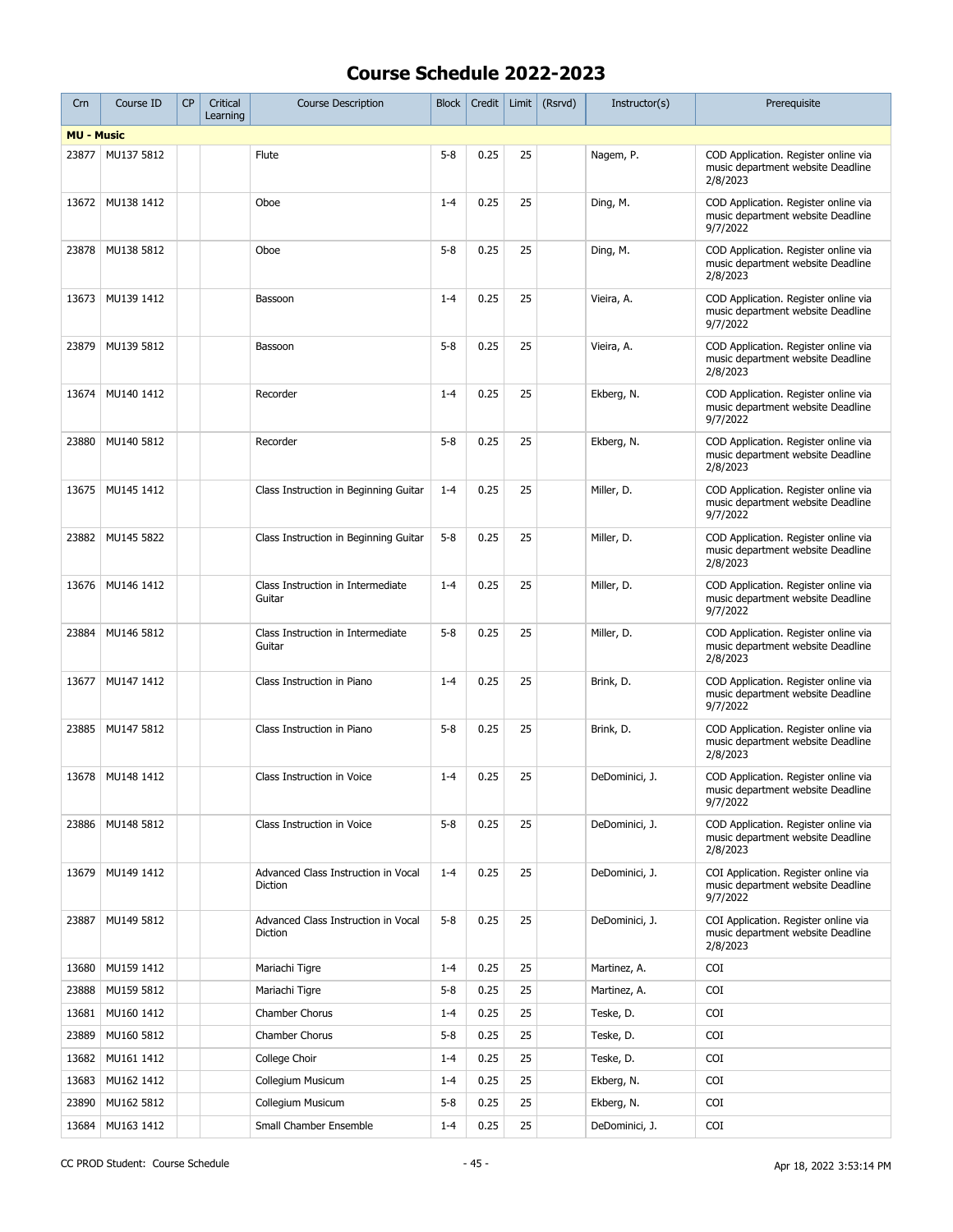| Crn               | Course ID        | <b>CP</b> | Critical<br>Learning | <b>Course Description</b>                      | <b>Block</b> | Credit |    | Limit $(Rsrvd)$ | Instructor(s)  | Prerequisite                                                                          |
|-------------------|------------------|-----------|----------------------|------------------------------------------------|--------------|--------|----|-----------------|----------------|---------------------------------------------------------------------------------------|
| <b>MU - Music</b> |                  |           |                      |                                                |              |        |    |                 |                |                                                                                       |
| 23877             | MU137 5812       |           |                      | Flute                                          | $5 - 8$      | 0.25   | 25 |                 | Nagem, P.      | COD Application. Register online via<br>music department website Deadline<br>2/8/2023 |
| 13672             | MU138 1412       |           |                      | Oboe                                           | $1 - 4$      | 0.25   | 25 |                 | Ding, M.       | COD Application. Register online via<br>music department website Deadline<br>9/7/2022 |
| 23878             | MU138 5812       |           |                      | Oboe                                           | $5 - 8$      | 0.25   | 25 |                 | Ding, M.       | COD Application. Register online via<br>music department website Deadline<br>2/8/2023 |
| 13673             | MU139 1412       |           |                      | Bassoon                                        | $1 - 4$      | 0.25   | 25 |                 | Vieira, A.     | COD Application. Register online via<br>music department website Deadline<br>9/7/2022 |
| 23879             | MU139 5812       |           |                      | Bassoon                                        | $5 - 8$      | 0.25   | 25 |                 | Vieira, A.     | COD Application. Register online via<br>music department website Deadline<br>2/8/2023 |
| 13674             | MU140 1412       |           |                      | Recorder                                       | $1 - 4$      | 0.25   | 25 |                 | Ekberg, N.     | COD Application. Register online via<br>music department website Deadline<br>9/7/2022 |
| 23880             | MU140 5812       |           |                      | Recorder                                       | $5 - 8$      | 0.25   | 25 |                 | Ekberg, N.     | COD Application. Register online via<br>music department website Deadline<br>2/8/2023 |
| 13675             | MU145 1412       |           |                      | Class Instruction in Beginning Guitar          | $1 - 4$      | 0.25   | 25 |                 | Miller, D.     | COD Application. Register online via<br>music department website Deadline<br>9/7/2022 |
| 23882             | MU145 5822       |           |                      | Class Instruction in Beginning Guitar          | $5 - 8$      | 0.25   | 25 |                 | Miller, D.     | COD Application. Register online via<br>music department website Deadline<br>2/8/2023 |
| 13676             | MU146 1412       |           |                      | Class Instruction in Intermediate<br>Guitar    | $1 - 4$      | 0.25   | 25 |                 | Miller, D.     | COD Application. Register online via<br>music department website Deadline<br>9/7/2022 |
| 23884             | MU146 5812       |           |                      | Class Instruction in Intermediate<br>Guitar    | $5 - 8$      | 0.25   | 25 |                 | Miller, D.     | COD Application. Register online via<br>music department website Deadline<br>2/8/2023 |
| 13677             | MU147 1412       |           |                      | Class Instruction in Piano                     | $1 - 4$      | 0.25   | 25 |                 | Brink, D.      | COD Application. Register online via<br>music department website Deadline<br>9/7/2022 |
| 23885             | MU147 5812       |           |                      | Class Instruction in Piano                     | $5 - 8$      | 0.25   | 25 |                 | Brink, D.      | COD Application. Register online via<br>music department website Deadline<br>2/8/2023 |
|                   | 13678 MU148 1412 |           |                      | Class Instruction in Voice                     | $1 - 4$      | 0.25   | 25 |                 | DeDominici, J. | COD Application. Register online via<br>music department website Deadline<br>9/7/2022 |
| 23886             | MU148 5812       |           |                      | Class Instruction in Voice                     | $5 - 8$      | 0.25   | 25 |                 | DeDominici, J. | COD Application. Register online via<br>music department website Deadline<br>2/8/2023 |
| 13679             | MU149 1412       |           |                      | Advanced Class Instruction in Vocal<br>Diction | $1 - 4$      | 0.25   | 25 |                 | DeDominici, J. | COI Application. Register online via<br>music department website Deadline<br>9/7/2022 |
| 23887             | MU149 5812       |           |                      | Advanced Class Instruction in Vocal<br>Diction | $5 - 8$      | 0.25   | 25 |                 | DeDominici, J. | COI Application. Register online via<br>music department website Deadline<br>2/8/2023 |
| 13680             | MU159 1412       |           |                      | Mariachi Tigre                                 | $1 - 4$      | 0.25   | 25 |                 | Martinez, A.   | <b>COI</b>                                                                            |
| 23888             | MU159 5812       |           |                      | Mariachi Tigre                                 | $5 - 8$      | 0.25   | 25 |                 | Martinez, A.   | COI                                                                                   |
| 13681             | MU160 1412       |           |                      | Chamber Chorus                                 | $1 - 4$      | 0.25   | 25 |                 | Teske, D.      | <b>COI</b>                                                                            |
| 23889             | MU160 5812       |           |                      | Chamber Chorus                                 | $5 - 8$      | 0.25   | 25 |                 | Teske, D.      | <b>COI</b>                                                                            |
| 13682             | MU161 1412       |           |                      | College Choir                                  | $1 - 4$      | 0.25   | 25 |                 | Teske, D.      | COI                                                                                   |
| 13683             | MU162 1412       |           |                      | Collegium Musicum                              | $1 - 4$      | 0.25   | 25 |                 | Ekberg, N.     | COI                                                                                   |
| 23890             | MU162 5812       |           |                      | Collegium Musicum                              | $5 - 8$      | 0.25   | 25 |                 | Ekberg, N.     | COI                                                                                   |
| 13684             | MU163 1412       |           |                      | Small Chamber Ensemble                         | $1 - 4$      | 0.25   | 25 |                 | DeDominici, J. | COI                                                                                   |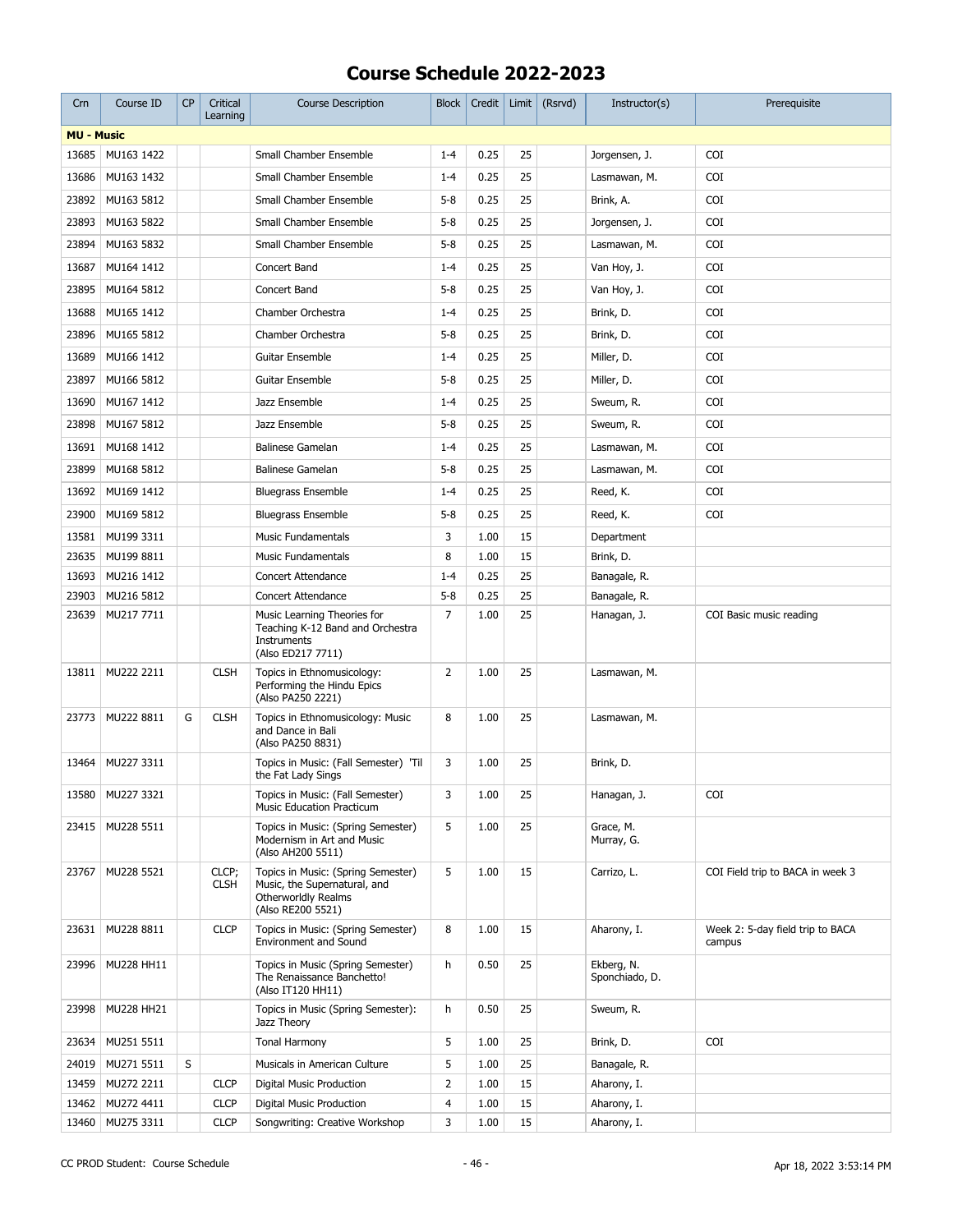| Crn               | Course ID                | <b>CP</b> | Critical<br>Learning | <b>Course Description</b>                                                                                      | <b>Block</b>   | Credit       | Limit    | (Rsrvd) | Instructor(s)                | Prerequisite                               |
|-------------------|--------------------------|-----------|----------------------|----------------------------------------------------------------------------------------------------------------|----------------|--------------|----------|---------|------------------------------|--------------------------------------------|
| <b>MU - Music</b> |                          |           |                      |                                                                                                                |                |              |          |         |                              |                                            |
| 13685             | MU163 1422               |           |                      | Small Chamber Ensemble                                                                                         | $1 - 4$        | 0.25         | 25       |         | Jorgensen, J.                | <b>COI</b>                                 |
| 13686             | MU163 1432               |           |                      | Small Chamber Ensemble                                                                                         | $1 - 4$        | 0.25         | 25       |         | Lasmawan, M.                 | COI                                        |
| 23892             | MU163 5812               |           |                      | Small Chamber Ensemble                                                                                         | $5 - 8$        | 0.25         | 25       |         | Brink, A.                    | COI                                        |
| 23893             | MU163 5822               |           |                      | Small Chamber Ensemble                                                                                         | $5 - 8$        | 0.25         | 25       |         | Jorgensen, J.                | COI                                        |
| 23894             | MU163 5832               |           |                      | Small Chamber Ensemble                                                                                         | $5 - 8$        | 0.25         | 25       |         | Lasmawan, M.                 | <b>COI</b>                                 |
| 13687             | MU164 1412               |           |                      | Concert Band                                                                                                   | $1 - 4$        | 0.25         | 25       |         | Van Hoy, J.                  | <b>COI</b>                                 |
| 23895             | MU164 5812               |           |                      | Concert Band                                                                                                   | $5 - 8$        | 0.25         | 25       |         | Van Hoy, J.                  | COI                                        |
| 13688             | MU165 1412               |           |                      | Chamber Orchestra                                                                                              | $1 - 4$        | 0.25         | 25       |         | Brink, D.                    | COI                                        |
| 23896             | MU165 5812               |           |                      | Chamber Orchestra                                                                                              | $5 - 8$        | 0.25         | 25       |         | Brink, D.                    | COI                                        |
| 13689             | MU166 1412               |           |                      | Guitar Ensemble                                                                                                | $1 - 4$        | 0.25         | 25       |         | Miller, D.                   | COI                                        |
| 23897             | MU166 5812               |           |                      | Guitar Ensemble                                                                                                | $5 - 8$        | 0.25         | 25       |         | Miller, D.                   | <b>COI</b>                                 |
| 13690             | MU167 1412               |           |                      | Jazz Ensemble                                                                                                  | $1 - 4$        | 0.25         | 25       |         | Sweum, R.                    | COI                                        |
| 23898             | MU167 5812               |           |                      | Jazz Ensemble                                                                                                  | $5 - 8$        | 0.25         | 25       |         | Sweum, R.                    | <b>COI</b>                                 |
| 13691             | MU168 1412               |           |                      | <b>Balinese Gamelan</b>                                                                                        | $1 - 4$        | 0.25         | 25       |         | Lasmawan, M.                 | COI                                        |
|                   |                          |           |                      | <b>Balinese Gamelan</b>                                                                                        |                |              | 25       |         |                              |                                            |
| 23899             | MU168 5812               |           |                      |                                                                                                                | $5 - 8$        | 0.25         |          |         | Lasmawan, M.                 | COI                                        |
| 13692             | MU169 1412               |           |                      | <b>Bluegrass Ensemble</b>                                                                                      | $1 - 4$        | 0.25         | 25       |         | Reed, K.                     | COI                                        |
| 23900             | MU169 5812               |           |                      | <b>Bluegrass Ensemble</b>                                                                                      | $5 - 8$        | 0.25         | 25       |         | Reed, K.                     | COI                                        |
| 13581             | MU199 3311               |           |                      | <b>Music Fundamentals</b>                                                                                      | 3              | 1.00         | 15       |         | Department                   |                                            |
| 23635             | MU199 8811               |           |                      | <b>Music Fundamentals</b>                                                                                      | 8              | 1.00         | 15       |         | Brink, D.                    |                                            |
| 13693             | MU216 1412               |           |                      | <b>Concert Attendance</b>                                                                                      | $1 - 4$        | 0.25         | 25<br>25 |         | Banagale, R.                 |                                            |
| 23903<br>23639    | MU216 5812<br>MU217 7711 |           |                      | Concert Attendance<br>Music Learning Theories for                                                              | $5 - 8$<br>7   | 0.25<br>1.00 | 25       |         | Banagale, R.<br>Hanagan, J.  | COI Basic music reading                    |
|                   |                          |           |                      | Teaching K-12 Band and Orchestra<br>Instruments<br>(Also ED217 7711)                                           |                |              |          |         |                              |                                            |
| 13811             | MU222 2211               |           | <b>CLSH</b>          | Topics in Ethnomusicology:<br>Performing the Hindu Epics<br>(Also PA250 2221)                                  | 2              | 1.00         | 25       |         | Lasmawan, M.                 |                                            |
| 23773             | MU222 8811               | G         | <b>CLSH</b>          | Topics in Ethnomusicology: Music<br>and Dance in Bali<br>(Also PA250 8831)                                     | 8              | 1.00         | 25       |         | Lasmawan, M.                 |                                            |
| 13464             | MU227 3311               |           |                      | Topics in Music: (Fall Semester) 'Til<br>the Fat Lady Sings                                                    | 3              | 1.00         | 25       |         | Brink, D.                    |                                            |
| 13580             | MU227 3321               |           |                      | Topics in Music: (Fall Semester)<br><b>Music Education Practicum</b>                                           | 3              | 1.00         | 25       |         | Hanagan, J.                  | COI                                        |
| 23415             | MU228 5511               |           |                      | Topics in Music: (Spring Semester)<br>Modernism in Art and Music<br>(Also AH200 5511)                          | 5              | 1.00         | 25       |         | Grace, M.<br>Murray, G.      |                                            |
| 23767             | MU228 5521               |           | CLCP;<br><b>CLSH</b> | Topics in Music: (Spring Semester)<br>Music, the Supernatural, and<br>Otherworldly Realms<br>(Also RE200 5521) | 5              | 1.00         | 15       |         | Carrizo, L.                  | COI Field trip to BACA in week 3           |
| 23631             | MU228 8811               |           | <b>CLCP</b>          | Topics in Music: (Spring Semester)<br><b>Environment and Sound</b>                                             | 8              | 1.00         | 15       |         | Aharony, I.                  | Week 2: 5-day field trip to BACA<br>campus |
| 23996             | MU228 HH11               |           |                      | Topics in Music (Spring Semester)<br>The Renaissance Banchetto!<br>(Also IT120 HH11)                           | h              | 0.50         | 25       |         | Ekberg, N.<br>Sponchiado, D. |                                            |
| 23998             | MU228 HH21               |           |                      | Topics in Music (Spring Semester):<br>Jazz Theory                                                              | h              | 0.50         | 25       |         | Sweum, R.                    |                                            |
| 23634             | MU251 5511               |           |                      | Tonal Harmony                                                                                                  | 5              | 1.00         | 25       |         | Brink, D.                    | COI                                        |
| 24019             | MU271 5511               | S         |                      | Musicals in American Culture                                                                                   | 5              | 1.00         | 25       |         | Banagale, R.                 |                                            |
| 13459             | MU272 2211               |           | <b>CLCP</b>          | Digital Music Production                                                                                       | $\overline{2}$ | 1.00         | 15       |         | Aharony, I.                  |                                            |
| 13462             | MU272 4411               |           | <b>CLCP</b>          | Digital Music Production                                                                                       | 4              | 1.00         | 15       |         | Aharony, I.                  |                                            |
| 13460             | MU275 3311               |           | <b>CLCP</b>          | Songwriting: Creative Workshop                                                                                 | 3              | 1.00         | 15       |         | Aharony, I.                  |                                            |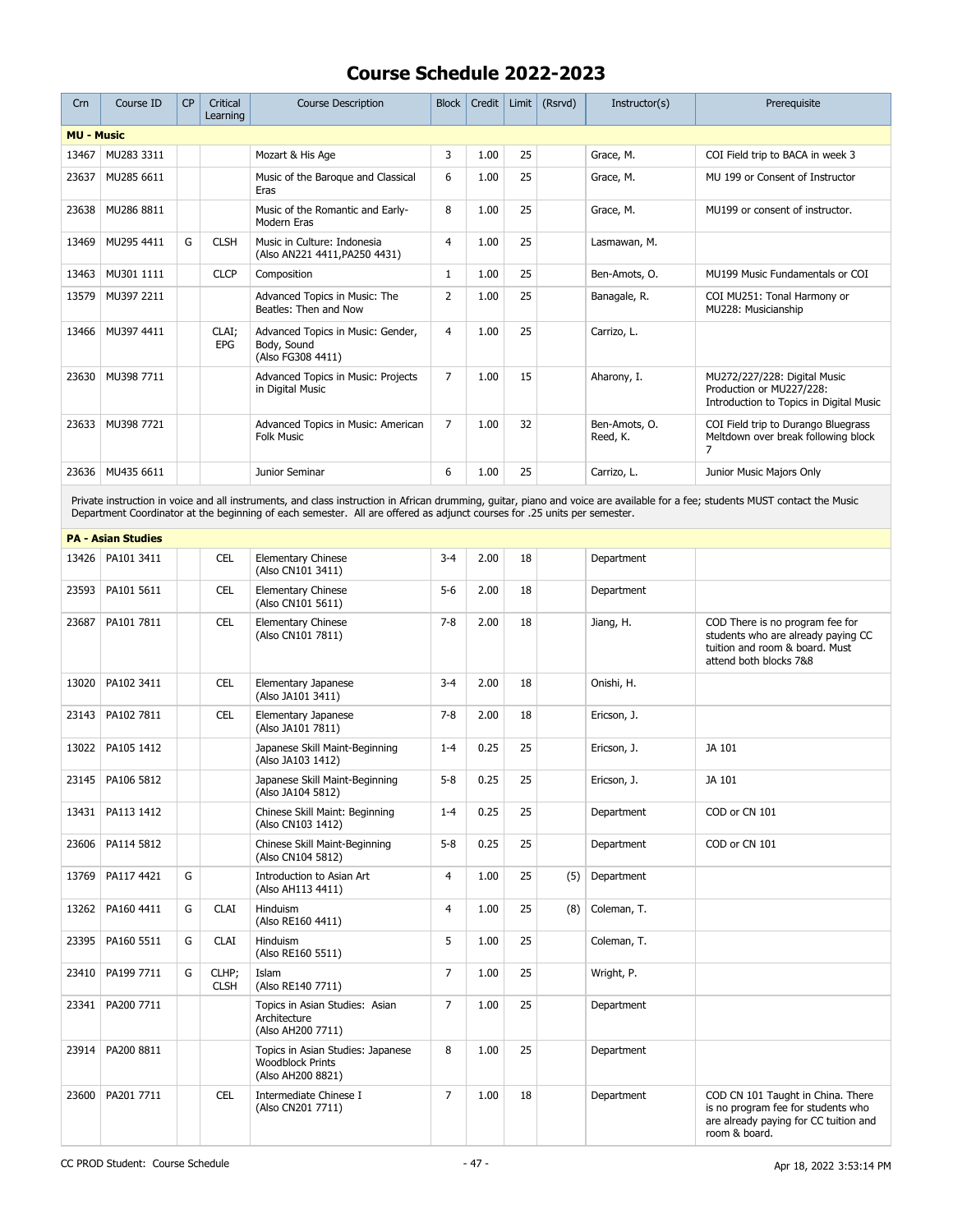| Crn               | Course ID                 | <b>CP</b> | Critical<br>Learning | <b>Course Description</b>                                                                                                                                                                                                                                                                                 | <b>Block</b>   | Credit |    | Limit $(Rsrvd)$ | Instructor(s)             | Prerequisite                                                                                                                      |
|-------------------|---------------------------|-----------|----------------------|-----------------------------------------------------------------------------------------------------------------------------------------------------------------------------------------------------------------------------------------------------------------------------------------------------------|----------------|--------|----|-----------------|---------------------------|-----------------------------------------------------------------------------------------------------------------------------------|
| <b>MU - Music</b> |                           |           |                      |                                                                                                                                                                                                                                                                                                           |                |        |    |                 |                           |                                                                                                                                   |
| 13467             | MU283 3311                |           |                      | Mozart & His Age                                                                                                                                                                                                                                                                                          | 3              | 1.00   | 25 |                 | Grace, M.                 | COI Field trip to BACA in week 3                                                                                                  |
| 23637             | MU285 6611                |           |                      | Music of the Baroque and Classical<br>Eras                                                                                                                                                                                                                                                                | 6              | 1.00   | 25 |                 | Grace, M.                 | MU 199 or Consent of Instructor                                                                                                   |
| 23638             | MU286 8811                |           |                      | Music of the Romantic and Early-<br>Modern Eras                                                                                                                                                                                                                                                           | 8              | 1.00   | 25 |                 | Grace, M.                 | MU199 or consent of instructor.                                                                                                   |
| 13469             | MU295 4411                | G         | <b>CLSH</b>          | Music in Culture: Indonesia<br>(Also AN221 4411, PA250 4431)                                                                                                                                                                                                                                              | $\overline{4}$ | 1.00   | 25 |                 | Lasmawan, M.              |                                                                                                                                   |
| 13463             | MU301 1111                |           | <b>CLCP</b>          | Composition                                                                                                                                                                                                                                                                                               | $\mathbf{1}$   | 1.00   | 25 |                 | Ben-Amots, O.             | MU199 Music Fundamentals or COI                                                                                                   |
| 13579             | MU397 2211                |           |                      | Advanced Topics in Music: The<br>Beatles: Then and Now                                                                                                                                                                                                                                                    | $\overline{2}$ | 1.00   | 25 |                 | Banagale, R.              | COI MU251: Tonal Harmony or<br>MU228: Musicianship                                                                                |
| 13466             | MU397 4411                |           | CLAI;<br>EPG         | Advanced Topics in Music: Gender,<br>Body, Sound<br>(Also FG308 4411)                                                                                                                                                                                                                                     | 4              | 1.00   | 25 |                 | Carrizo, L.               |                                                                                                                                   |
| 23630             | MU398 7711                |           |                      | Advanced Topics in Music: Projects<br>in Digital Music                                                                                                                                                                                                                                                    | $\overline{7}$ | 1.00   | 15 |                 | Aharony, I.               | MU272/227/228: Digital Music<br>Production or MU227/228:<br>Introduction to Topics in Digital Music                               |
| 23633             | MU398 7721                |           |                      | Advanced Topics in Music: American<br><b>Folk Music</b>                                                                                                                                                                                                                                                   | $\overline{7}$ | 1.00   | 32 |                 | Ben-Amots, O.<br>Reed, K. | COI Field trip to Durango Bluegrass<br>Meltdown over break following block<br>7                                                   |
|                   | 23636 MU435 6611          |           |                      | Junior Seminar                                                                                                                                                                                                                                                                                            | 6              | 1.00   | 25 |                 | Carrizo, L.               | Junior Music Majors Only                                                                                                          |
|                   |                           |           |                      | Private instruction in voice and all instruments, and class instruction in African drumming, guitar, piano and voice are available for a fee; students MUST contact the Music<br>Department Coordinator at the beginning of each semester. All are offered as adjunct courses for .25 units per semester. |                |        |    |                 |                           |                                                                                                                                   |
|                   | <b>PA - Asian Studies</b> |           |                      |                                                                                                                                                                                                                                                                                                           |                |        |    |                 |                           |                                                                                                                                   |
| 13426             | PA101 3411                |           | <b>CEL</b>           | <b>Elementary Chinese</b><br>(Also CN101 3411)                                                                                                                                                                                                                                                            | $3 - 4$        | 2.00   | 18 |                 | Department                |                                                                                                                                   |
| 23593             | PA101 5611                |           | CEL                  | <b>Elementary Chinese</b><br>(Also CN101 5611)                                                                                                                                                                                                                                                            | $5 - 6$        | 2.00   | 18 |                 | Department                |                                                                                                                                   |
| 23687             | PA101 7811                |           | <b>CEL</b>           | Elementary Chinese<br>(Also CN101 7811)                                                                                                                                                                                                                                                                   | $7 - 8$        | 2.00   | 18 |                 | Jiang, H.                 | COD There is no program fee for<br>students who are already paying CC<br>tuition and room & board. Must<br>attend both blocks 7&8 |
| 13020             | PA102 3411                |           | <b>CEL</b>           | Elementary Japanese<br>(Also JA101 3411)                                                                                                                                                                                                                                                                  | $3-4$          | 2.00   | 18 |                 | Onishi, H.                |                                                                                                                                   |
| 23143             | PA102 7811                |           | <b>CEL</b>           | Elementary Japanese<br>(Also JA101 7811)                                                                                                                                                                                                                                                                  | $7 - 8$        | 2.00   | 18 |                 | Ericson, J.               |                                                                                                                                   |
| 13022             | PA105 1412                |           |                      | Japanese Skill Maint-Beginning<br>(Also JA103 1412)                                                                                                                                                                                                                                                       | $1 - 4$        | 0.25   | 25 |                 | Ericson, J.               | JA 101                                                                                                                            |
|                   | 23145   PA106 5812        |           |                      | Japanese Skill Maint-Beginning<br>(Also JA104 5812)                                                                                                                                                                                                                                                       | $5 - 8$        | 0.25   | 25 |                 | Ericson, J.               | JA 101                                                                                                                            |
| 13431             | PA113 1412                |           |                      | Chinese Skill Maint: Beginning<br>(Also CN103 1412)                                                                                                                                                                                                                                                       | $1 - 4$        | 0.25   | 25 |                 | Department                | COD or CN 101                                                                                                                     |
| 23606             | PA114 5812                |           |                      | Chinese Skill Maint-Beginning<br>(Also CN104 5812)                                                                                                                                                                                                                                                        | $5 - 8$        | 0.25   | 25 |                 | Department                | COD or CN 101                                                                                                                     |
| 13769             | PA117 4421                | G         |                      | Introduction to Asian Art<br>(Also AH113 4411)                                                                                                                                                                                                                                                            | $\overline{4}$ | 1.00   | 25 | (5)             | Department                |                                                                                                                                   |
| 13262             | PA160 4411                | G         | <b>CLAI</b>          | Hinduism<br>(Also RE160 4411)                                                                                                                                                                                                                                                                             | $\overline{4}$ | 1.00   | 25 | (8)             | Coleman, T.               |                                                                                                                                   |
| 23395             | PA160 5511                | G         | <b>CLAI</b>          | Hinduism<br>(Also RE160 5511)                                                                                                                                                                                                                                                                             | 5              | 1.00   | 25 |                 | Coleman, T.               |                                                                                                                                   |
| 23410             | PA199 7711                | G         | CLHP;<br><b>CLSH</b> | Islam<br>(Also RE140 7711)                                                                                                                                                                                                                                                                                | 7              | 1.00   | 25 |                 | Wright, P.                |                                                                                                                                   |
|                   | 23341   PA200 7711        |           |                      | Topics in Asian Studies: Asian<br>Architecture<br>(Also AH200 7711)                                                                                                                                                                                                                                       | 7              | 1.00   | 25 |                 | Department                |                                                                                                                                   |
| 23914             | PA200 8811                |           |                      | Topics in Asian Studies: Japanese<br><b>Woodblock Prints</b><br>(Also AH200 8821)                                                                                                                                                                                                                         | 8              | 1.00   | 25 |                 | Department                |                                                                                                                                   |
| 23600             | PA201 7711                |           | <b>CEL</b>           | Intermediate Chinese I<br>(Also CN201 7711)                                                                                                                                                                                                                                                               | 7              | 1.00   | 18 |                 | Department                | COD CN 101 Taught in China. There<br>is no program fee for students who<br>are already paying for CC tuition and<br>room & board. |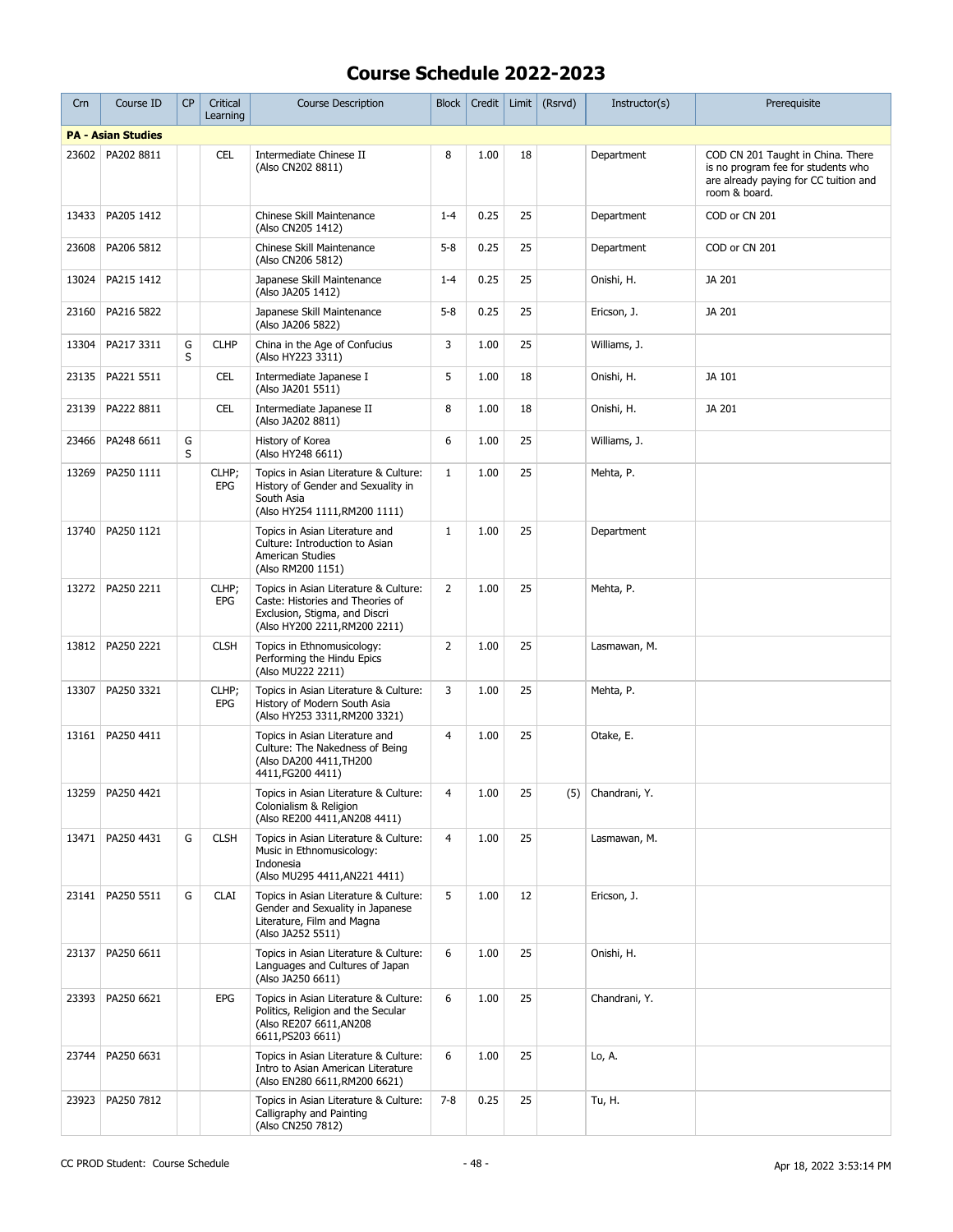| Crn   | Course ID                 | <b>CP</b> | Critical<br>Learning | <b>Course Description</b>                                                                                                                   | <b>Block</b>   | Credit |    | Limit $(Rsrvd)$ | Instructor(s)     | Prerequisite                                                                                                                      |
|-------|---------------------------|-----------|----------------------|---------------------------------------------------------------------------------------------------------------------------------------------|----------------|--------|----|-----------------|-------------------|-----------------------------------------------------------------------------------------------------------------------------------|
|       | <b>PA - Asian Studies</b> |           |                      |                                                                                                                                             |                |        |    |                 |                   |                                                                                                                                   |
| 23602 | PA202 8811                |           | <b>CEL</b>           | Intermediate Chinese II<br>(Also CN202 8811)                                                                                                | 8              | 1.00   | 18 |                 | Department        | COD CN 201 Taught in China. There<br>is no program fee for students who<br>are already paying for CC tuition and<br>room & board. |
| 13433 | PA205 1412                |           |                      | Chinese Skill Maintenance<br>(Also CN205 1412)                                                                                              | $1 - 4$        | 0.25   | 25 |                 | Department        | COD or CN 201                                                                                                                     |
| 23608 | PA206 5812                |           |                      | Chinese Skill Maintenance<br>(Also CN206 5812)                                                                                              | $5 - 8$        | 0.25   | 25 |                 | Department        | COD or CN 201                                                                                                                     |
| 13024 | PA215 1412                |           |                      | Japanese Skill Maintenance<br>(Also JA205 1412)                                                                                             | $1 - 4$        | 0.25   | 25 |                 | Onishi, H.        | JA 201                                                                                                                            |
| 23160 | PA216 5822                |           |                      | Japanese Skill Maintenance<br>(Also JA206 5822)                                                                                             | $5 - 8$        | 0.25   | 25 |                 | Ericson, J.       | JA 201                                                                                                                            |
| 13304 | PA217 3311                | G<br>S    | <b>CLHP</b>          | China in the Age of Confucius<br>(Also HY223 3311)                                                                                          | 3              | 1.00   | 25 |                 | Williams, J.      |                                                                                                                                   |
| 23135 | PA221 5511                |           | <b>CEL</b>           | Intermediate Japanese I<br>(Also JA201 5511)                                                                                                | 5              | 1.00   | 18 |                 | Onishi, H.        | JA 101                                                                                                                            |
| 23139 | PA222 8811                |           | <b>CEL</b>           | Intermediate Japanese II<br>(Also JA202 8811)                                                                                               | 8              | 1.00   | 18 |                 | Onishi, H.        | JA 201                                                                                                                            |
| 23466 | PA248 6611                | G<br>S    |                      | History of Korea<br>(Also HY248 6611)                                                                                                       | 6              | 1.00   | 25 |                 | Williams, J.      |                                                                                                                                   |
| 13269 | PA250 1111                |           | CLHP;<br>EPG         | Topics in Asian Literature & Culture:<br>History of Gender and Sexuality in<br>South Asia<br>(Also HY254 1111, RM200 1111)                  | $\mathbf{1}$   | 1.00   | 25 |                 | Mehta, P.         |                                                                                                                                   |
| 13740 | PA250 1121                |           |                      | Topics in Asian Literature and<br>Culture: Introduction to Asian<br>American Studies<br>(Also RM200 1151)                                   | $\mathbf{1}$   | 1.00   | 25 |                 | Department        |                                                                                                                                   |
| 13272 | PA250 2211                |           | CLHP;<br>EPG         | Topics in Asian Literature & Culture:<br>Caste: Histories and Theories of<br>Exclusion, Stigma, and Discri<br>(Also HY200 2211, RM200 2211) | $\overline{2}$ | 1.00   | 25 |                 | Mehta, P.         |                                                                                                                                   |
| 13812 | PA250 2221                |           | <b>CLSH</b>          | Topics in Ethnomusicology:<br>Performing the Hindu Epics<br>(Also MU222 2211)                                                               | $\overline{2}$ | 1.00   | 25 |                 | Lasmawan, M.      |                                                                                                                                   |
| 13307 | PA250 3321                |           | CLHP;<br>EPG         | Topics in Asian Literature & Culture:<br>History of Modern South Asia<br>(Also HY253 3311, RM200 3321)                                      | 3              | 1.00   | 25 |                 | Mehta, P.         |                                                                                                                                   |
|       | 13161   PA250 4411        |           |                      | Topics in Asian Literature and<br>Culture: The Nakedness of Being<br>(Also DA200 4411, TH200<br>4411, FG200 4411)                           | $\overline{4}$ | 1.00   | 25 |                 | Otake, E.         |                                                                                                                                   |
|       | 13259 PA250 4421          |           |                      | Topics in Asian Literature & Culture:<br>Colonialism & Religion<br>(Also RE200 4411, AN208 4411)                                            | $\overline{4}$ | 1.00   | 25 |                 | (5) Chandrani, Y. |                                                                                                                                   |
|       | 13471   PA250 4431        | G         | <b>CLSH</b>          | Topics in Asian Literature & Culture:<br>Music in Ethnomusicology:<br>Indonesia<br>(Also MU295 4411, AN221 4411)                            | $\overline{4}$ | 1.00   | 25 |                 | Lasmawan, M.      |                                                                                                                                   |
|       | 23141   PA250 5511        | G         | <b>CLAI</b>          | Topics in Asian Literature & Culture:<br>Gender and Sexuality in Japanese<br>Literature, Film and Magna<br>(Also JA252 5511)                | 5              | 1.00   | 12 |                 | Ericson, J.       |                                                                                                                                   |
| 23137 | PA250 6611                |           |                      | Topics in Asian Literature & Culture:<br>Languages and Cultures of Japan<br>(Also JA250 6611)                                               | 6              | 1.00   | 25 |                 | Onishi, H.        |                                                                                                                                   |
| 23393 | PA250 6621                |           | EPG                  | Topics in Asian Literature & Culture:<br>Politics, Religion and the Secular<br>(Also RE207 6611, AN208<br>6611, PS203 6611)                 | 6              | 1.00   | 25 |                 | Chandrani, Y.     |                                                                                                                                   |
| 23744 | PA250 6631                |           |                      | Topics in Asian Literature & Culture:<br>Intro to Asian American Literature<br>(Also EN280 6611, RM200 6621)                                | 6              | 1.00   | 25 |                 | Lo, A.            |                                                                                                                                   |
| 23923 | PA250 7812                |           |                      | Topics in Asian Literature & Culture:<br>Calligraphy and Painting<br>(Also CN250 7812)                                                      | $7 - 8$        | 0.25   | 25 |                 | Tu, H.            |                                                                                                                                   |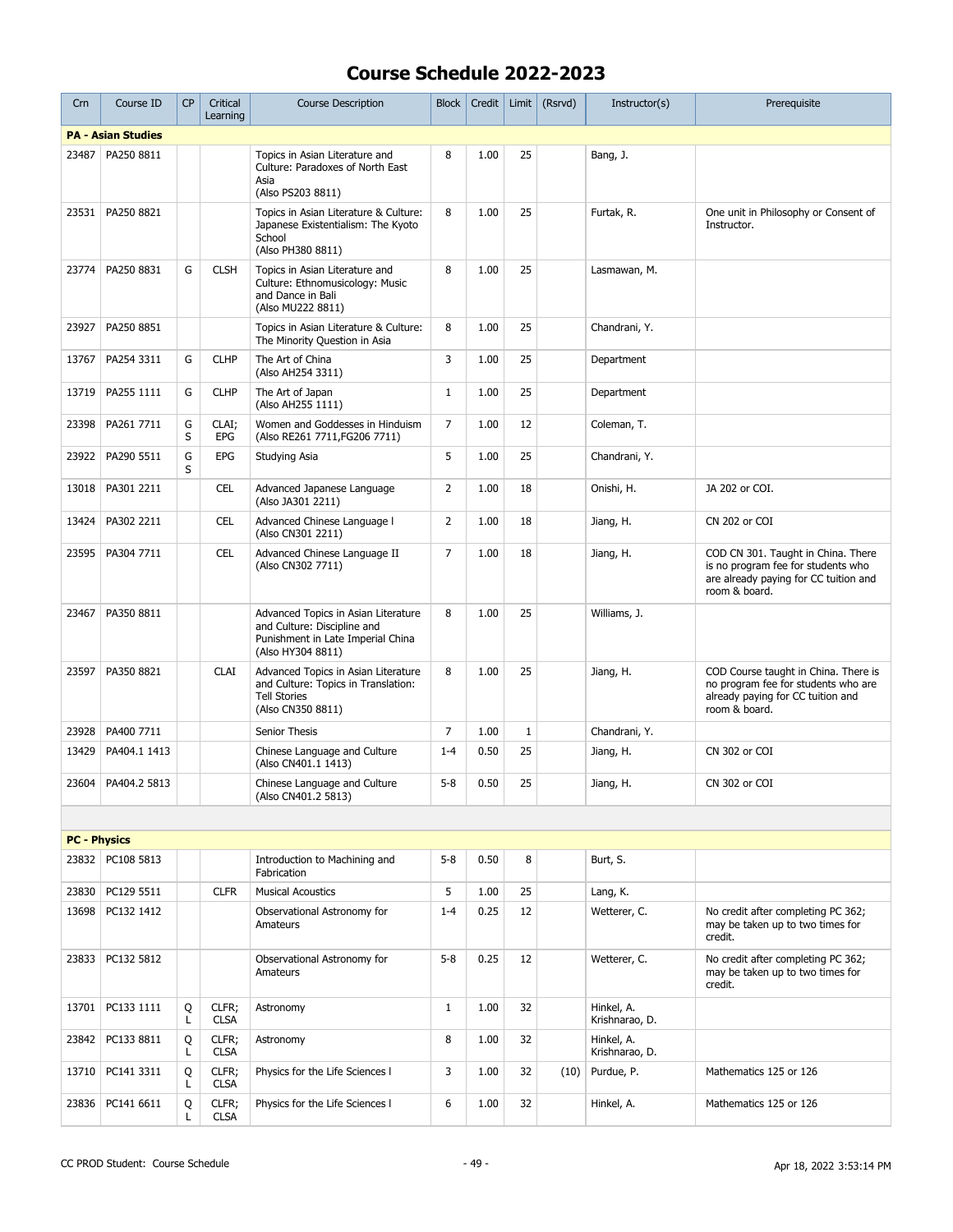| Crn                 | Course ID                 | <b>CP</b> | Critical<br>Learning | <b>Course Description</b>                                                                                                    | <b>Block</b>   | Credit | Limit        | (Rsrvd) | Instructor(s)                | Prerequisite                                                                                                                       |
|---------------------|---------------------------|-----------|----------------------|------------------------------------------------------------------------------------------------------------------------------|----------------|--------|--------------|---------|------------------------------|------------------------------------------------------------------------------------------------------------------------------------|
|                     | <b>PA - Asian Studies</b> |           |                      |                                                                                                                              |                |        |              |         |                              |                                                                                                                                    |
| 23487               | PA250 8811                |           |                      | Topics in Asian Literature and<br>Culture: Paradoxes of North East<br>Asia<br>(Also PS203 8811)                              | 8              | 1.00   | 25           |         | Bang, J.                     |                                                                                                                                    |
| 23531               | PA250 8821                |           |                      | Topics in Asian Literature & Culture:<br>Japanese Existentialism: The Kyoto<br>School<br>(Also PH380 8811)                   | 8              | 1.00   | 25           |         | Furtak, R.                   | One unit in Philosophy or Consent of<br>Instructor.                                                                                |
| 23774               | PA250 8831                | G         | <b>CLSH</b>          | Topics in Asian Literature and<br>Culture: Ethnomusicology: Music<br>and Dance in Bali<br>(Also MU222 8811)                  | 8              | 1.00   | 25           |         | Lasmawan, M.                 |                                                                                                                                    |
| 23927               | PA250 8851                |           |                      | Topics in Asian Literature & Culture:<br>The Minority Question in Asia                                                       | 8              | 1.00   | 25           |         | Chandrani, Y.                |                                                                                                                                    |
| 13767               | PA254 3311                | G         | <b>CLHP</b>          | The Art of China<br>(Also AH254 3311)                                                                                        | 3              | 1.00   | 25           |         | Department                   |                                                                                                                                    |
| 13719               | PA255 1111                | G         | <b>CLHP</b>          | The Art of Japan<br>(Also AH255 1111)                                                                                        | $\mathbf{1}$   | 1.00   | 25           |         | Department                   |                                                                                                                                    |
| 23398               | PA261 7711                | G<br>S    | CLAI;<br><b>EPG</b>  | Women and Goddesses in Hinduism<br>(Also RE261 7711, FG206 7711)                                                             | $\overline{7}$ | 1.00   | 12           |         | Coleman, T.                  |                                                                                                                                    |
| 23922               | PA290 5511                | G<br>S    | EPG                  | Studying Asia                                                                                                                | 5              | 1.00   | 25           |         | Chandrani, Y.                |                                                                                                                                    |
| 13018               | PA301 2211                |           | <b>CEL</b>           | Advanced Japanese Language<br>(Also JA301 2211)                                                                              | $\overline{2}$ | 1.00   | 18           |         | Onishi, H.                   | JA 202 or COI.                                                                                                                     |
| 13424               | PA302 2211                |           | <b>CEL</b>           | Advanced Chinese Language I<br>(Also CN301 2211)                                                                             | $\overline{2}$ | 1.00   | 18           |         | Jiang, H.                    | CN 202 or COI                                                                                                                      |
| 23595               | PA304 7711                |           | <b>CEL</b>           | Advanced Chinese Language II<br>(Also CN302 7711)                                                                            | $\overline{7}$ | 1.00   | 18           |         | Jiang, H.                    | COD CN 301. Taught in China. There<br>is no program fee for students who<br>are already paying for CC tuition and<br>room & board. |
| 23467               | PA350 8811                |           |                      | Advanced Topics in Asian Literature<br>and Culture: Discipline and<br>Punishment in Late Imperial China<br>(Also HY304 8811) | 8              | 1.00   | 25           |         | Williams, J.                 |                                                                                                                                    |
| 23597               | PA350 8821                |           | <b>CLAI</b>          | Advanced Topics in Asian Literature<br>and Culture: Topics in Translation:<br><b>Tell Stories</b><br>(Also CN350 8811)       | 8              | 1.00   | 25           |         | Jiang, H.                    | COD Course taught in China. There is<br>no program fee for students who are<br>already paying for CC tuition and<br>room & board.  |
| 23928               | PA400 7711                |           |                      | Senior Thesis                                                                                                                | 7              | 1.00   | $\mathbf{1}$ |         | Chandrani, Y.                |                                                                                                                                    |
| 13429               | PA404.1 1413              |           |                      | Chinese Language and Culture<br>(Also CN401.1 1413)                                                                          | $1 - 4$        | 0.50   | 25           |         | Jiang, H.                    | CN 302 or COI                                                                                                                      |
| 23604               | PA404.2 5813              |           |                      | Chinese Language and Culture<br>(Also CN401.2 5813)                                                                          | $5 - 8$        | 0.50   | 25           |         | Jiang, H.                    | CN 302 or COI                                                                                                                      |
|                     |                           |           |                      |                                                                                                                              |                |        |              |         |                              |                                                                                                                                    |
| <b>PC - Physics</b> |                           |           |                      |                                                                                                                              |                |        |              |         |                              |                                                                                                                                    |
| 23832               | PC108 5813                |           |                      | Introduction to Machining and<br>Fabrication                                                                                 | $5 - 8$        | 0.50   | 8            |         | Burt, S.                     |                                                                                                                                    |
| 23830               | PC129 5511                |           | <b>CLFR</b>          | <b>Musical Acoustics</b>                                                                                                     | 5              | 1.00   | 25           |         | Lang, K.                     |                                                                                                                                    |
| 13698               | PC132 1412                |           |                      | Observational Astronomy for<br>Amateurs                                                                                      | $1 - 4$        | 0.25   | 12           |         | Wetterer, C.                 | No credit after completing PC 362;<br>may be taken up to two times for<br>credit.                                                  |
| 23833               | PC132 5812                |           |                      | Observational Astronomy for<br>Amateurs                                                                                      | $5 - 8$        | 0.25   | 12           |         | Wetterer, C.                 | No credit after completing PC 362;<br>may be taken up to two times for<br>credit.                                                  |
| 13701               | PC133 1111                | Q<br>L    | CLFR;<br><b>CLSA</b> | Astronomy                                                                                                                    | $\mathbf{1}$   | 1.00   | 32           |         | Hinkel, A.<br>Krishnarao, D. |                                                                                                                                    |
| 23842               | PC133 8811                | Q<br>L    | CLFR;<br><b>CLSA</b> | Astronomy                                                                                                                    | 8              | 1.00   | 32           |         | Hinkel, A.<br>Krishnarao, D. |                                                                                                                                    |
| 13710               | PC141 3311                | Q<br>L    | CLFR;<br><b>CLSA</b> | Physics for the Life Sciences I                                                                                              | 3              | 1.00   | 32           | (10)    | Purdue, P.                   | Mathematics 125 or 126                                                                                                             |
| 23836               | PC141 6611                | Q<br>L    | CLFR;<br><b>CLSA</b> | Physics for the Life Sciences I                                                                                              | 6              | 1.00   | 32           |         | Hinkel, A.                   | Mathematics 125 or 126                                                                                                             |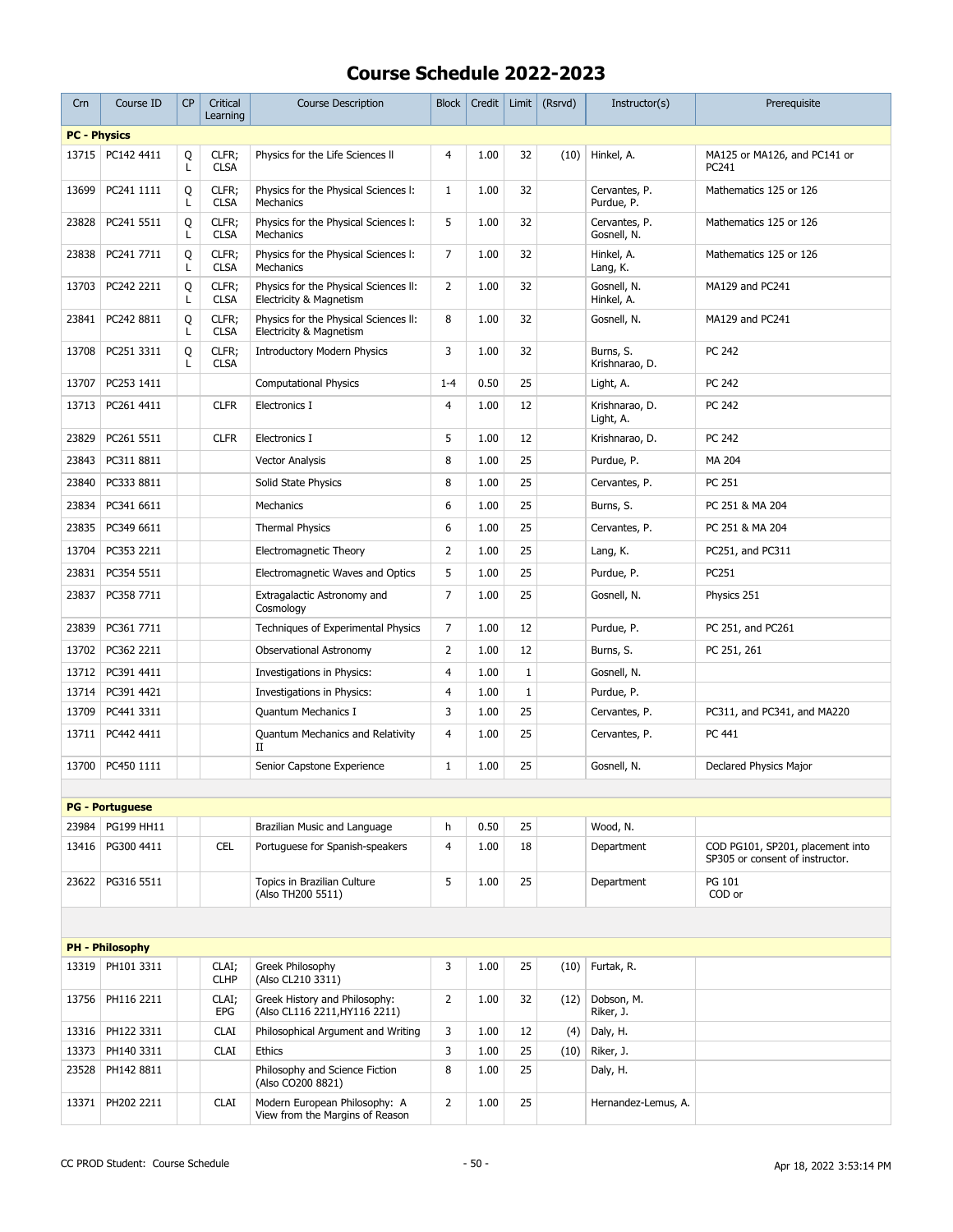| Crn                 | Course ID              | <b>CP</b> | Critical<br>Learning | <b>Course Description</b>                                        | <b>Block</b>   | Credit | Limit       | (Rsrvd) | Instructor(s)                | Prerequisite                                                        |
|---------------------|------------------------|-----------|----------------------|------------------------------------------------------------------|----------------|--------|-------------|---------|------------------------------|---------------------------------------------------------------------|
| <b>PC - Physics</b> |                        |           |                      |                                                                  |                |        |             |         |                              |                                                                     |
| 13715               | PC142 4411             | Q<br>L    | CLFR;<br><b>CLSA</b> | Physics for the Life Sciences II                                 | 4              | 1.00   | 32          | (10)    | Hinkel, A.                   | MA125 or MA126, and PC141 or<br>PC241                               |
| 13699               | PC241 1111             | Q<br>L    | CLFR;<br><b>CLSA</b> | Physics for the Physical Sciences I:<br>Mechanics                | 1              | 1.00   | 32          |         | Cervantes, P.<br>Purdue, P.  | Mathematics 125 or 126                                              |
| 23828               | PC241 5511             | Q<br>L    | CLFR;<br><b>CLSA</b> | Physics for the Physical Sciences I:<br>Mechanics                | 5              | 1.00   | 32          |         | Cervantes, P.<br>Gosnell, N. | Mathematics 125 or 126                                              |
| 23838               | PC241 7711             | Q<br>Г    | CLFR;<br><b>CLSA</b> | Physics for the Physical Sciences I:<br>Mechanics                | 7              | 1.00   | 32          |         | Hinkel, A.<br>Lang, K.       | Mathematics 125 or 126                                              |
| 13703               | PC242 2211             | Q<br>Г    | CLFR;<br><b>CLSA</b> | Physics for the Physical Sciences II:<br>Electricity & Magnetism | $\overline{2}$ | 1.00   | 32          |         | Gosnell, N.<br>Hinkel, A.    | MA129 and PC241                                                     |
| 23841               | PC242 8811             | Q<br>L    | CLFR;<br><b>CLSA</b> | Physics for the Physical Sciences II:<br>Electricity & Magnetism | 8              | 1.00   | 32          |         | Gosnell, N.                  | MA129 and PC241                                                     |
| 13708               | PC251 3311             | Q<br>L    | CLFR;<br><b>CLSA</b> | <b>Introductory Modern Physics</b>                               | 3              | 1.00   | 32          |         | Burns, S.<br>Krishnarao, D.  | PC 242                                                              |
| 13707               | PC253 1411             |           |                      | <b>Computational Physics</b>                                     | $1 - 4$        | 0.50   | 25          |         | Light, A.                    | PC 242                                                              |
| 13713               | PC261 4411             |           | <b>CLFR</b>          | Electronics I                                                    | 4              | 1.00   | 12          |         | Krishnarao, D.<br>Light, A.  | PC 242                                                              |
| 23829               | PC261 5511             |           | <b>CLFR</b>          | Electronics I                                                    | 5              | 1.00   | 12          |         | Krishnarao, D.               | PC 242                                                              |
| 23843               | PC311 8811             |           |                      | <b>Vector Analysis</b>                                           | 8              | 1.00   | 25          |         | Purdue, P.                   | MA 204                                                              |
| 23840               | PC333 8811             |           |                      | Solid State Physics                                              | 8              | 1.00   | 25          |         | Cervantes, P.                | PC 251                                                              |
| 23834               | PC341 6611             |           |                      | Mechanics                                                        | 6              | 1.00   | 25          |         | Burns, S.                    | PC 251 & MA 204                                                     |
| 23835               | PC349 6611             |           |                      | <b>Thermal Physics</b>                                           | 6              | 1.00   | 25          |         | Cervantes, P.                | PC 251 & MA 204                                                     |
|                     | 13704   PC353 2211     |           |                      | Electromagnetic Theory                                           | $\overline{2}$ | 1.00   | 25          |         | Lang, K.                     | PC251, and PC311                                                    |
| 23831               | PC354 5511             |           |                      | Electromagnetic Waves and Optics                                 | 5              | 1.00   | 25          |         | Purdue, P.                   | PC251                                                               |
| 23837               | PC358 7711             |           |                      | Extragalactic Astronomy and                                      | 7              | 1.00   | 25          |         | Gosnell, N.                  | Physics 251                                                         |
|                     |                        |           |                      | Cosmology                                                        |                |        |             |         |                              |                                                                     |
| 23839               | PC361 7711             |           |                      | Techniques of Experimental Physics                               | 7              | 1.00   | 12          |         | Purdue, P.                   | PC 251, and PC261                                                   |
| 13702               | PC362 2211             |           |                      | Observational Astronomy                                          | $\overline{2}$ | 1.00   | 12          |         | Burns, S.                    | PC 251, 261                                                         |
| 13712               | PC391 4411             |           |                      | Investigations in Physics:                                       | 4              | 1.00   | 1           |         | Gosnell, N.                  |                                                                     |
| 13714               | PC391 4421             |           |                      | Investigations in Physics:                                       | 4              | 1.00   | $\mathbf 1$ |         | Purdue, P.                   |                                                                     |
| 13709               | PC441 3311             |           |                      | Quantum Mechanics I                                              | 3              | 1.00   | 25          |         | Cervantes, P.                | PC311, and PC341, and MA220                                         |
| 13711               | PC442 4411             |           |                      | Quantum Mechanics and Relativity<br>П                            | $\overline{4}$ | 1.00   | 25          |         | Cervantes, P.                | PC 441                                                              |
| 13700               | PC450 1111             |           |                      | Senior Capstone Experience                                       | $\mathbf{1}$   | 1.00   | 25          |         | Gosnell, N.                  | Declared Physics Major                                              |
|                     |                        |           |                      |                                                                  |                |        |             |         |                              |                                                                     |
|                     | <b>PG - Portuguese</b> |           |                      |                                                                  |                |        |             |         |                              |                                                                     |
| 23984               | PG199 HH11             |           |                      | Brazilian Music and Language                                     | h              | 0.50   | 25          |         | Wood, N.                     |                                                                     |
| 13416               | PG300 4411             |           | <b>CEL</b>           | Portuguese for Spanish-speakers                                  | $\overline{4}$ | 1.00   | 18          |         | Department                   | COD PG101, SP201, placement into<br>SP305 or consent of instructor. |
| 23622               | PG316 5511             |           |                      | Topics in Brazilian Culture<br>(Also TH200 5511)                 | 5              | 1.00   | 25          |         | Department                   | PG 101<br>COD or                                                    |
|                     |                        |           |                      |                                                                  |                |        |             |         |                              |                                                                     |
|                     | <b>PH - Philosophy</b> |           |                      |                                                                  |                |        |             |         |                              |                                                                     |
| 13319               | PH101 3311             |           | CLAI;<br><b>CLHP</b> | Greek Philosophy<br>(Also CL210 3311)                            | 3              | 1.00   | 25          | (10)    | Furtak, R.                   |                                                                     |
| 13756               | PH116 2211             |           | CLAI;<br>EPG         | Greek History and Philosophy:<br>(Also CL116 2211, HY116 2211)   | $\overline{2}$ | 1.00   | 32          | (12)    | Dobson, M.<br>Riker, J.      |                                                                     |
|                     | 13316   PH122 3311     |           | <b>CLAI</b>          | Philosophical Argument and Writing                               | 3              | 1.00   | 12          | (4)     | Daly, H.                     |                                                                     |
| 13373               | PH140 3311             |           | <b>CLAI</b>          | Ethics                                                           | 3              | 1.00   | 25          | (10)    | Riker, J.                    |                                                                     |
| 23528               | PH142 8811             |           |                      | Philosophy and Science Fiction<br>(Also CO200 8821)              | 8              | 1.00   | 25          |         | Daly, H.                     |                                                                     |
| 13371               | PH202 2211             |           | <b>CLAI</b>          | Modern European Philosophy: A<br>View from the Margins of Reason | $\overline{2}$ | 1.00   | 25          |         | Hernandez-Lemus, A.          |                                                                     |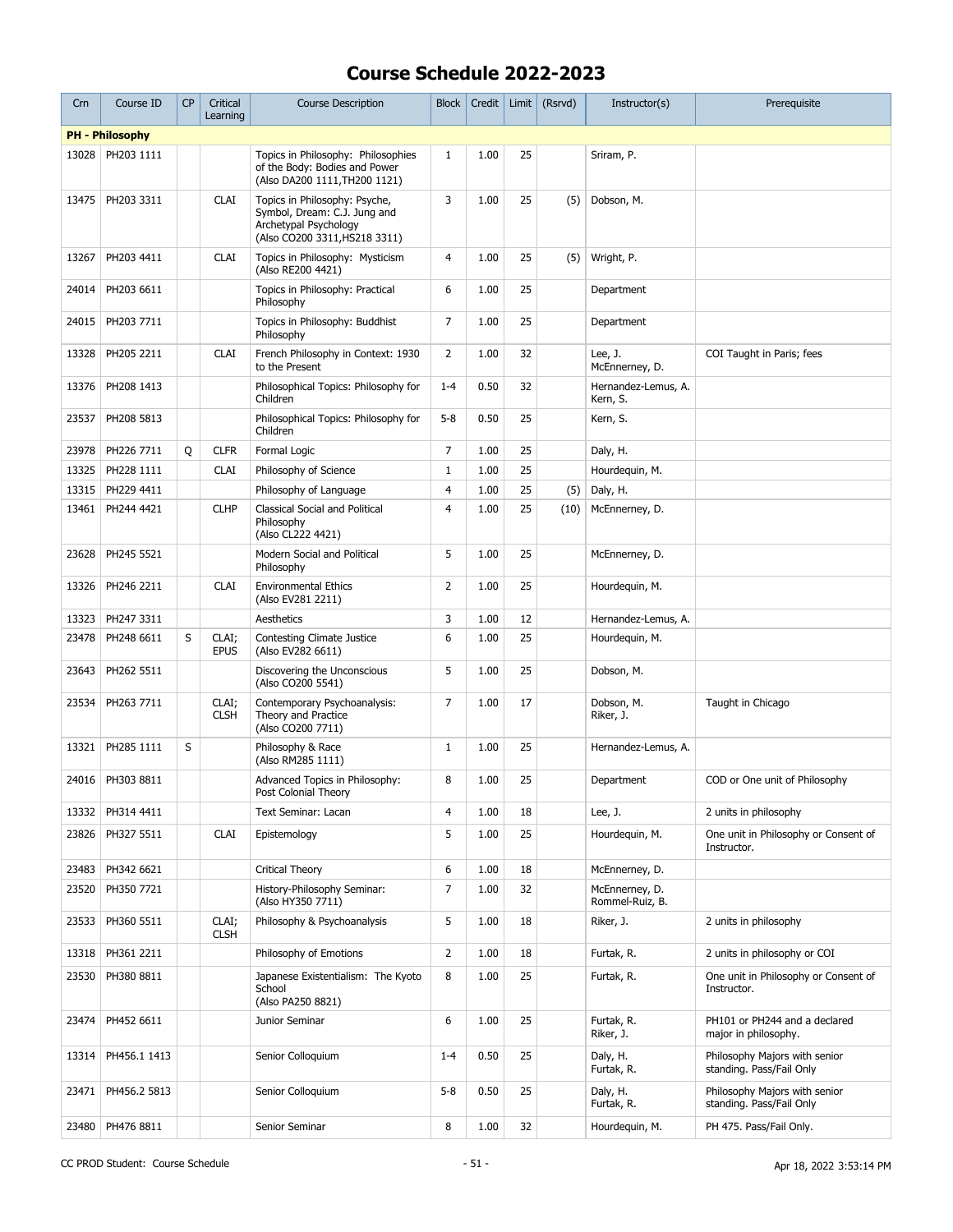| Crn   | Course ID              | <b>CP</b> | Critical<br>Learning | <b>Course Description</b>                                                                                               | <b>Block</b>   | Credit | Limit | (Rsrvd) | Instructor(s)                     | Prerequisite                                              |
|-------|------------------------|-----------|----------------------|-------------------------------------------------------------------------------------------------------------------------|----------------|--------|-------|---------|-----------------------------------|-----------------------------------------------------------|
|       | <b>PH - Philosophy</b> |           |                      |                                                                                                                         |                |        |       |         |                                   |                                                           |
| 13028 | PH203 1111             |           |                      | Topics in Philosophy: Philosophies<br>of the Body: Bodies and Power<br>(Also DA200 1111, TH200 1121)                    | $\mathbf{1}$   | 1.00   | 25    |         | Sriram, P.                        |                                                           |
| 13475 | PH203 3311             |           | <b>CLAI</b>          | Topics in Philosophy: Psyche,<br>Symbol, Dream: C.J. Jung and<br>Archetypal Psychology<br>(Also CO200 3311, HS218 3311) | 3              | 1.00   | 25    | (5)     | Dobson, M.                        |                                                           |
| 13267 | PH203 4411             |           | <b>CLAI</b>          | Topics in Philosophy: Mysticism<br>(Also RE200 4421)                                                                    | 4              | 1.00   | 25    | (5)     | Wright, P.                        |                                                           |
| 24014 | PH203 6611             |           |                      | Topics in Philosophy: Practical<br>Philosophy                                                                           | 6              | 1.00   | 25    |         | Department                        |                                                           |
| 24015 | PH203 7711             |           |                      | Topics in Philosophy: Buddhist<br>Philosophy                                                                            | 7              | 1.00   | 25    |         | Department                        |                                                           |
| 13328 | PH205 2211             |           | <b>CLAI</b>          | French Philosophy in Context: 1930<br>to the Present                                                                    | 2              | 1.00   | 32    |         | Lee, J.<br>McEnnerney, D.         | COI Taught in Paris; fees                                 |
| 13376 | PH208 1413             |           |                      | Philosophical Topics: Philosophy for<br>Children                                                                        | $1 - 4$        | 0.50   | 32    |         | Hernandez-Lemus, A.<br>Kern, S.   |                                                           |
| 23537 | PH208 5813             |           |                      | Philosophical Topics: Philosophy for<br>Children                                                                        | $5 - 8$        | 0.50   | 25    |         | Kern, S.                          |                                                           |
| 23978 | PH226 7711             | Q         | <b>CLFR</b>          | Formal Logic                                                                                                            | $\overline{7}$ | 1.00   | 25    |         | Daly, H.                          |                                                           |
| 13325 | PH228 1111             |           | <b>CLAI</b>          | Philosophy of Science                                                                                                   | $\mathbf{1}$   | 1.00   | 25    |         | Hourdequin, M.                    |                                                           |
| 13315 | PH229 4411             |           |                      | Philosophy of Language                                                                                                  | $\overline{4}$ | 1.00   | 25    | (5)     | Daly, H.                          |                                                           |
| 13461 | PH244 4421             |           | <b>CLHP</b>          | <b>Classical Social and Political</b><br>Philosophy<br>(Also CL222 4421)                                                | $\overline{4}$ | 1.00   | 25    | (10)    | McEnnerney, D.                    |                                                           |
| 23628 | PH245 5521             |           |                      | Modern Social and Political<br>Philosophy                                                                               | 5              | 1.00   | 25    |         | McEnnerney, D.                    |                                                           |
| 13326 | PH246 2211             |           | <b>CLAI</b>          | <b>Environmental Ethics</b><br>(Also EV281 2211)                                                                        | $\overline{2}$ | 1.00   | 25    |         | Hourdequin, M.                    |                                                           |
| 13323 | PH247 3311             |           |                      | Aesthetics                                                                                                              | 3              | 1.00   | 12    |         | Hernandez-Lemus, A.               |                                                           |
| 23478 | PH248 6611             | S         | CLAI;<br><b>EPUS</b> | <b>Contesting Climate Justice</b><br>(Also EV282 6611)                                                                  | 6              | 1.00   | 25    |         | Hourdequin, M.                    |                                                           |
| 23643 | PH262 5511             |           |                      | Discovering the Unconscious<br>(Also CO200 5541)                                                                        | 5              | 1.00   | 25    |         | Dobson, M.                        |                                                           |
| 23534 | PH263 7711             |           | CLAI;<br><b>CLSH</b> | Contemporary Psychoanalysis:<br>Theory and Practice<br>(Also CO200 7711)                                                | $\overline{7}$ | 1.00   | 17    |         | Dobson, M.<br>Riker, J.           | Taught in Chicago                                         |
| 13321 | PH285 1111             | S         |                      | Philosophy & Race<br>(Also RM285 1111)                                                                                  | $\mathbf{1}$   | 1.00   | 25    |         | Hernandez-Lemus, A.               |                                                           |
|       | 24016 PH303 8811       |           |                      | Advanced Topics in Philosophy:<br>Post Colonial Theory                                                                  | 8              | 1.00   | 25    |         | Department                        | COD or One unit of Philosophy                             |
| 13332 | PH314 4411             |           |                      | Text Seminar: Lacan                                                                                                     | $\overline{4}$ | 1.00   | 18    |         | Lee, $J.$                         | 2 units in philosophy                                     |
| 23826 | PH327 5511             |           | <b>CLAI</b>          | Epistemology                                                                                                            | 5              | 1.00   | 25    |         | Hourdequin, M.                    | One unit in Philosophy or Consent of<br>Instructor.       |
| 23483 | PH342 6621             |           |                      | <b>Critical Theory</b>                                                                                                  | 6              | 1.00   | 18    |         | McEnnerney, D.                    |                                                           |
| 23520 | PH350 7721             |           |                      | History-Philosophy Seminar:<br>(Also HY350 7711)                                                                        | 7              | 1.00   | 32    |         | McEnnernev, D.<br>Rommel-Ruiz, B. |                                                           |
| 23533 | PH360 5511             |           | CLAI;<br><b>CLSH</b> | Philosophy & Psychoanalysis                                                                                             | 5              | 1.00   | 18    |         | Riker, J.                         | 2 units in philosophy                                     |
| 13318 | PH361 2211             |           |                      | Philosophy of Emotions                                                                                                  | $\overline{2}$ | 1.00   | 18    |         | Furtak, R.                        | 2 units in philosophy or COI                              |
| 23530 | PH380 8811             |           |                      | Japanese Existentialism: The Kyoto<br>School<br>(Also PA250 8821)                                                       | 8              | 1.00   | 25    |         | Furtak, R.                        | One unit in Philosophy or Consent of<br>Instructor.       |
| 23474 | PH452 6611             |           |                      | Junior Seminar                                                                                                          | 6              | 1.00   | 25    |         | Furtak, R.<br>Riker, J.           | PH101 or PH244 and a declared<br>major in philosophy.     |
| 13314 | PH456.1 1413           |           |                      | Senior Colloquium                                                                                                       | $1 - 4$        | 0.50   | 25    |         | Daly, H.<br>Furtak, R.            | Philosophy Majors with senior<br>standing. Pass/Fail Only |
| 23471 | PH456.2 5813           |           |                      | Senior Colloquium                                                                                                       | $5 - 8$        | 0.50   | 25    |         | Daly, H.<br>Furtak, R.            | Philosophy Majors with senior<br>standing. Pass/Fail Only |
| 23480 | PH476 8811             |           |                      | Senior Seminar                                                                                                          | 8              | 1.00   | 32    |         | Hourdequin, M.                    | PH 475. Pass/Fail Only.                                   |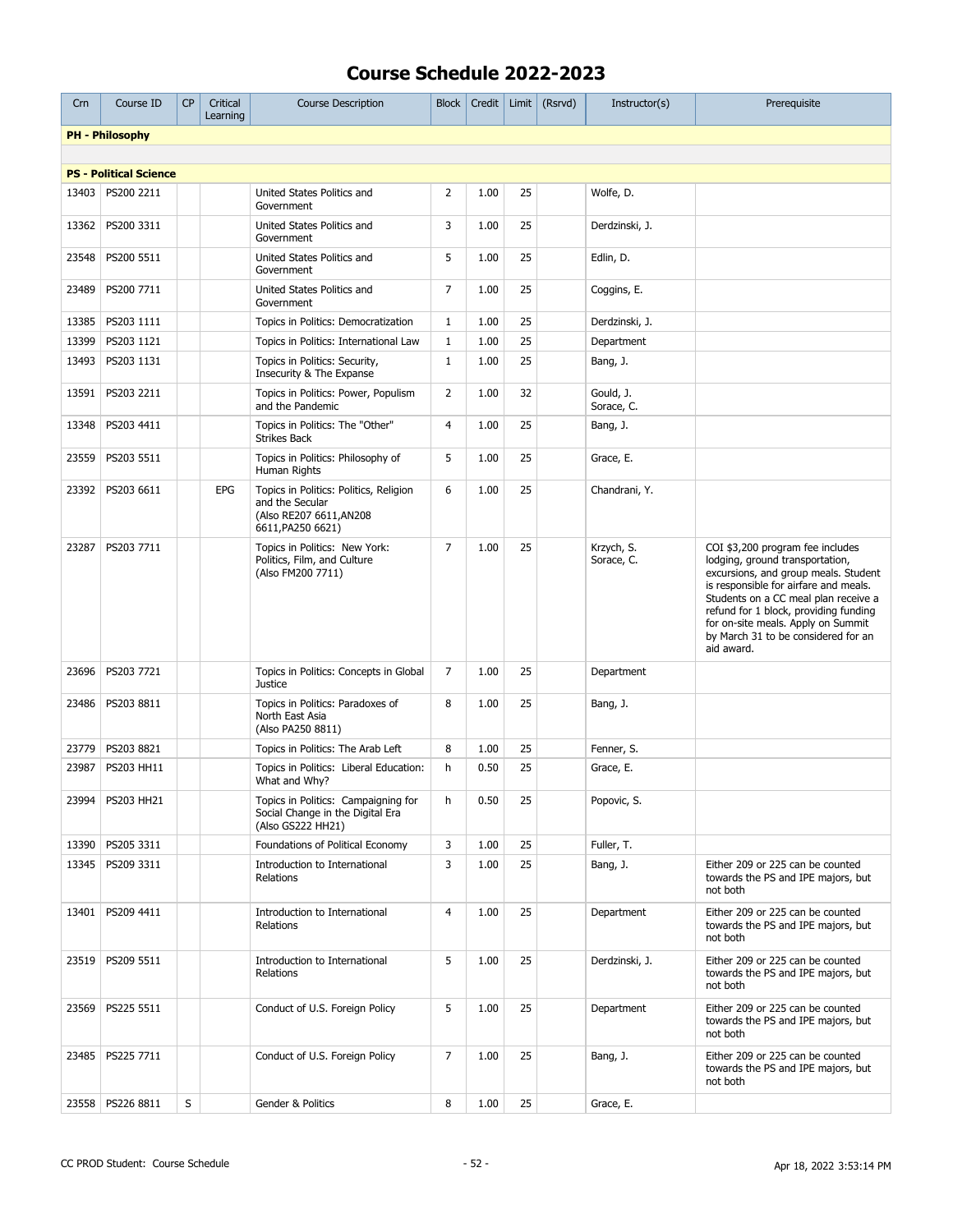| Crn   | Course ID                     | <b>CP</b> | Critical<br>Learning | <b>Course Description</b>                                                                                 | <b>Block</b>   | Credit |    | Limit $(Rsrvd)$ | Instructor(s)            | Prerequisite                                                                                                                                                                                                                                                                                                                     |
|-------|-------------------------------|-----------|----------------------|-----------------------------------------------------------------------------------------------------------|----------------|--------|----|-----------------|--------------------------|----------------------------------------------------------------------------------------------------------------------------------------------------------------------------------------------------------------------------------------------------------------------------------------------------------------------------------|
|       | <b>PH - Philosophy</b>        |           |                      |                                                                                                           |                |        |    |                 |                          |                                                                                                                                                                                                                                                                                                                                  |
|       |                               |           |                      |                                                                                                           |                |        |    |                 |                          |                                                                                                                                                                                                                                                                                                                                  |
|       | <b>PS - Political Science</b> |           |                      |                                                                                                           |                |        |    |                 |                          |                                                                                                                                                                                                                                                                                                                                  |
| 13403 | PS200 2211                    |           |                      | United States Politics and<br>Government                                                                  | $\overline{2}$ | 1.00   | 25 |                 | Wolfe, D.                |                                                                                                                                                                                                                                                                                                                                  |
| 13362 | PS200 3311                    |           |                      | United States Politics and<br>Government                                                                  | 3              | 1.00   | 25 |                 | Derdzinski, J.           |                                                                                                                                                                                                                                                                                                                                  |
| 23548 | PS200 5511                    |           |                      | United States Politics and<br>Government                                                                  | 5              | 1.00   | 25 |                 | Edlin, D.                |                                                                                                                                                                                                                                                                                                                                  |
| 23489 | PS200 7711                    |           |                      | United States Politics and<br>Government                                                                  | $\overline{7}$ | 1.00   | 25 |                 | Coggins, E.              |                                                                                                                                                                                                                                                                                                                                  |
| 13385 | PS203 1111                    |           |                      | Topics in Politics: Democratization                                                                       | $\mathbf{1}$   | 1.00   | 25 |                 | Derdzinski, J.           |                                                                                                                                                                                                                                                                                                                                  |
| 13399 | PS203 1121                    |           |                      | Topics in Politics: International Law                                                                     | $\mathbf{1}$   | 1.00   | 25 |                 | Department               |                                                                                                                                                                                                                                                                                                                                  |
| 13493 | PS203 1131                    |           |                      | Topics in Politics: Security,<br>Insecurity & The Expanse                                                 | $\mathbf{1}$   | 1.00   | 25 |                 | Bang, J.                 |                                                                                                                                                                                                                                                                                                                                  |
| 13591 | PS203 2211                    |           |                      | Topics in Politics: Power, Populism<br>and the Pandemic                                                   | $\overline{2}$ | 1.00   | 32 |                 | Gould, J.<br>Sorace, C.  |                                                                                                                                                                                                                                                                                                                                  |
| 13348 | PS203 4411                    |           |                      | Topics in Politics: The "Other"<br><b>Strikes Back</b>                                                    | $\overline{4}$ | 1.00   | 25 |                 | Bang, J.                 |                                                                                                                                                                                                                                                                                                                                  |
| 23559 | PS203 5511                    |           |                      | Topics in Politics: Philosophy of<br>Human Rights                                                         | 5              | 1.00   | 25 |                 | Grace, E.                |                                                                                                                                                                                                                                                                                                                                  |
| 23392 | PS203 6611                    |           | EPG                  | Topics in Politics: Politics, Religion<br>and the Secular<br>(Also RE207 6611, AN208<br>6611, PA250 6621) | 6              | 1.00   | 25 |                 | Chandrani, Y.            |                                                                                                                                                                                                                                                                                                                                  |
| 23287 | PS203 7711                    |           |                      | Topics in Politics: New York:<br>Politics, Film, and Culture<br>(Also FM200 7711)                         | $\overline{7}$ | 1.00   | 25 |                 | Krzych, S.<br>Sorace, C. | COI \$3,200 program fee includes<br>lodging, ground transportation,<br>excursions, and group meals. Student<br>is responsible for airfare and meals.<br>Students on a CC meal plan receive a<br>refund for 1 block, providing funding<br>for on-site meals. Apply on Summit<br>by March 31 to be considered for an<br>aid award. |
| 23696 | PS203 7721                    |           |                      | Topics in Politics: Concepts in Global<br><b>Justice</b>                                                  | 7              | 1.00   | 25 |                 | Department               |                                                                                                                                                                                                                                                                                                                                  |
| 23486 | PS203 8811                    |           |                      | Topics in Politics: Paradoxes of<br>North East Asia<br>(Also PA250 8811)                                  | 8              | 1.00   | 25 |                 | Bang, J.                 |                                                                                                                                                                                                                                                                                                                                  |
| 23779 | PS203 8821                    |           |                      | Topics in Politics: The Arab Left                                                                         | 8              | 1.00   | 25 |                 | Fenner, S.               |                                                                                                                                                                                                                                                                                                                                  |
| 23987 | PS203 HH11                    |           |                      | Topics in Politics: Liberal Education:<br>What and Why?                                                   | h              | 0.50   | 25 |                 | Grace, E.                |                                                                                                                                                                                                                                                                                                                                  |
|       | 23994   PS203 HH21            |           |                      | Topics in Politics: Campaigning for<br>Social Change in the Digital Era<br>(Also GS222 HH21)              | h              | 0.50   | 25 |                 | Popovic, S.              |                                                                                                                                                                                                                                                                                                                                  |
| 13390 | PS205 3311                    |           |                      | Foundations of Political Economy                                                                          | 3              | 1.00   | 25 |                 | Fuller, T.               |                                                                                                                                                                                                                                                                                                                                  |
| 13345 | PS209 3311                    |           |                      | Introduction to International<br>Relations                                                                | 3              | 1.00   | 25 |                 | Bang, J.                 | Either 209 or 225 can be counted<br>towards the PS and IPE majors, but<br>not both                                                                                                                                                                                                                                               |
| 13401 | PS209 4411                    |           |                      | Introduction to International<br>Relations                                                                | $\overline{4}$ | 1.00   | 25 |                 | Department               | Either 209 or 225 can be counted<br>towards the PS and IPE majors, but<br>not both                                                                                                                                                                                                                                               |
| 23519 | PS209 5511                    |           |                      | Introduction to International<br>Relations                                                                | 5              | 1.00   | 25 |                 | Derdzinski, J.           | Either 209 or 225 can be counted<br>towards the PS and IPE majors, but<br>not both                                                                                                                                                                                                                                               |
| 23569 | PS225 5511                    |           |                      | Conduct of U.S. Foreign Policy                                                                            | 5              | 1.00   | 25 |                 | Department               | Either 209 or 225 can be counted<br>towards the PS and IPE majors, but<br>not both                                                                                                                                                                                                                                               |
| 23485 | PS225 7711                    |           |                      | Conduct of U.S. Foreign Policy                                                                            | 7              | 1.00   | 25 |                 | Bang, J.                 | Either 209 or 225 can be counted<br>towards the PS and IPE majors, but<br>not both                                                                                                                                                                                                                                               |
| 23558 | PS226 8811                    | S         |                      | Gender & Politics                                                                                         | 8              | 1.00   | 25 |                 | Grace, E.                |                                                                                                                                                                                                                                                                                                                                  |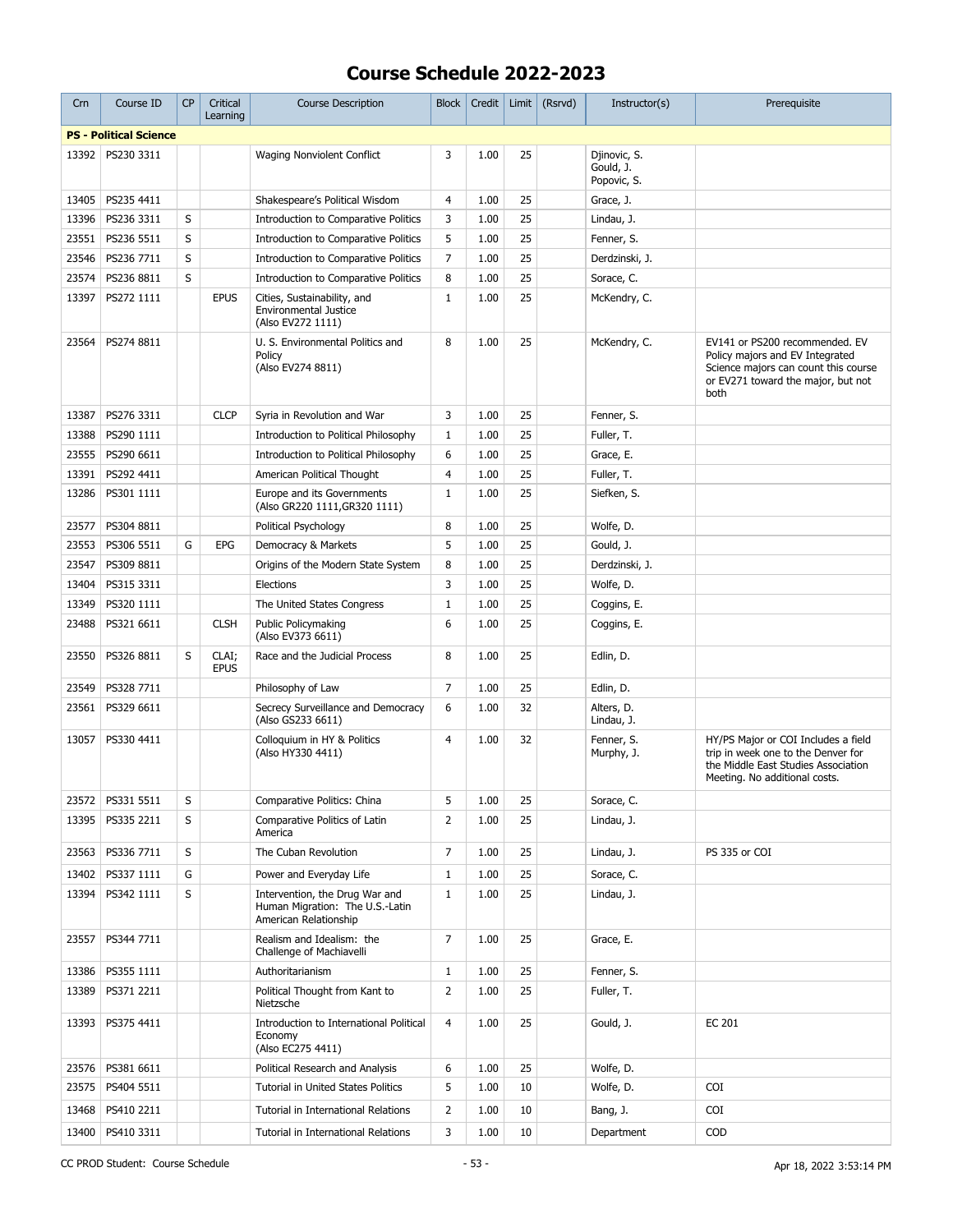| Crn   | Course ID                     | <b>CP</b> | Critical<br>Learning | <b>Course Description</b>                                                                  | <b>Block</b>   | Credit | Limit | (Rsrvd) | Instructor(s)                            | Prerequisite                                                                                                                                            |
|-------|-------------------------------|-----------|----------------------|--------------------------------------------------------------------------------------------|----------------|--------|-------|---------|------------------------------------------|---------------------------------------------------------------------------------------------------------------------------------------------------------|
|       | <b>PS - Political Science</b> |           |                      |                                                                                            |                |        |       |         |                                          |                                                                                                                                                         |
| 13392 | PS230 3311                    |           |                      | Waging Nonviolent Conflict                                                                 | 3              | 1.00   | 25    |         | Djinovic, S.<br>Gould, J.<br>Popovic, S. |                                                                                                                                                         |
| 13405 | PS235 4411                    |           |                      | Shakespeare's Political Wisdom                                                             | $\overline{4}$ | 1.00   | 25    |         | Grace, J.                                |                                                                                                                                                         |
| 13396 | PS236 3311                    | S         |                      | Introduction to Comparative Politics                                                       | 3              | 1.00   | 25    |         | Lindau, J.                               |                                                                                                                                                         |
| 23551 | PS236 5511                    | S         |                      | Introduction to Comparative Politics                                                       | 5              | 1.00   | 25    |         | Fenner, S.                               |                                                                                                                                                         |
| 23546 | PS236 7711                    | S         |                      | Introduction to Comparative Politics                                                       | $\overline{7}$ | 1.00   | 25    |         | Derdzinski, J.                           |                                                                                                                                                         |
| 23574 | PS236 8811                    | S         |                      | Introduction to Comparative Politics                                                       | 8              | 1.00   | 25    |         | Sorace, C.                               |                                                                                                                                                         |
| 13397 | PS272 1111                    |           | <b>EPUS</b>          | Cities, Sustainability, and<br><b>Environmental Justice</b><br>(Also EV272 1111)           | $\mathbf{1}$   | 1.00   | 25    |         | McKendry, C.                             |                                                                                                                                                         |
| 23564 | PS274 8811                    |           |                      | U. S. Environmental Politics and<br>Policy<br>(Also EV274 8811)                            | 8              | 1.00   | 25    |         | McKendry, C.                             | EV141 or PS200 recommended. EV<br>Policy majors and EV Integrated<br>Science majors can count this course<br>or EV271 toward the major, but not<br>both |
| 13387 | PS276 3311                    |           | <b>CLCP</b>          | Syria in Revolution and War                                                                | 3              | 1.00   | 25    |         | Fenner, S.                               |                                                                                                                                                         |
| 13388 | PS290 1111                    |           |                      | Introduction to Political Philosophy                                                       | $\mathbf{1}$   | 1.00   | 25    |         | Fuller, T.                               |                                                                                                                                                         |
| 23555 | PS290 6611                    |           |                      | Introduction to Political Philosophy                                                       | 6              | 1.00   | 25    |         | Grace, E.                                |                                                                                                                                                         |
| 13391 | PS292 4411                    |           |                      | American Political Thought                                                                 | $\overline{4}$ | 1.00   | 25    |         | Fuller, T.                               |                                                                                                                                                         |
| 13286 | PS301 1111                    |           |                      | Europe and its Governments<br>(Also GR220 1111, GR320 1111)                                | $\mathbf{1}$   | 1.00   | 25    |         | Siefken, S.                              |                                                                                                                                                         |
| 23577 | PS304 8811                    |           |                      | Political Psychology                                                                       | 8              | 1.00   | 25    |         | Wolfe, D.                                |                                                                                                                                                         |
| 23553 | PS306 5511                    | G         | EPG                  | Democracy & Markets                                                                        | 5              | 1.00   | 25    |         | Gould, J.                                |                                                                                                                                                         |
| 23547 | PS309 8811                    |           |                      | Origins of the Modern State System                                                         | 8              | 1.00   | 25    |         | Derdzinski, J.                           |                                                                                                                                                         |
| 13404 | PS315 3311                    |           |                      | Elections                                                                                  | 3              | 1.00   | 25    |         | Wolfe, D.                                |                                                                                                                                                         |
| 13349 | PS320 1111                    |           |                      | The United States Congress                                                                 | $\mathbf{1}$   | 1.00   | 25    |         | Coggins, E.                              |                                                                                                                                                         |
| 23488 | PS321 6611                    |           | <b>CLSH</b>          | Public Policymaking<br>(Also EV373 6611)                                                   | 6              | 1.00   | 25    |         | Coggins, E.                              |                                                                                                                                                         |
| 23550 | PS326 8811                    | S         | CLAI;<br><b>EPUS</b> | Race and the Judicial Process                                                              | 8              | 1.00   | 25    |         | Edlin, D.                                |                                                                                                                                                         |
| 23549 | PS328 7711                    |           |                      | Philosophy of Law                                                                          | $\overline{7}$ | 1.00   | 25    |         | Edlin, D.                                |                                                                                                                                                         |
| 23561 | PS329 6611                    |           |                      | Secrecy Surveillance and Democracy<br>(Also GS233 6611)                                    | 6              | 1.00   | 32    |         | Alters, D.<br>Lindau, J.                 |                                                                                                                                                         |
| 13057 | PS330 4411                    |           |                      | Colloquium in HY & Politics<br>(Also HY330 4411)                                           | $\overline{4}$ | 1.00   | 32    |         | Fenner, S.<br>Murphy, J.                 | HY/PS Major or COI Includes a field<br>trip in week one to the Denver for<br>the Middle East Studies Association<br>Meeting. No additional costs.       |
|       | 23572   PS331 5511            | S         |                      | Comparative Politics: China                                                                | 5              | 1.00   | 25    |         | Sorace, C.                               |                                                                                                                                                         |
| 13395 | PS335 2211                    | S         |                      | Comparative Politics of Latin<br>America                                                   | $\overline{2}$ | 1.00   | 25    |         | Lindau, J.                               |                                                                                                                                                         |
| 23563 | PS336 7711                    | S         |                      | The Cuban Revolution                                                                       | 7              | 1.00   | 25    |         | Lindau, J.                               | PS 335 or COI                                                                                                                                           |
| 13402 | PS337 1111                    | G         |                      | Power and Everyday Life                                                                    | $\mathbf{1}$   | 1.00   | 25    |         | Sorace, C.                               |                                                                                                                                                         |
| 13394 | PS342 1111                    | S         |                      | Intervention, the Drug War and<br>Human Migration: The U.S.-Latin<br>American Relationship | $\mathbf{1}$   | 1.00   | 25    |         | Lindau, J.                               |                                                                                                                                                         |
| 23557 | PS344 7711                    |           |                      | Realism and Idealism: the<br>Challenge of Machiavelli                                      | $\overline{7}$ | 1.00   | 25    |         | Grace, E.                                |                                                                                                                                                         |
| 13386 | PS355 1111                    |           |                      | Authoritarianism                                                                           | $\mathbf{1}$   | 1.00   | 25    |         | Fenner, S.                               |                                                                                                                                                         |
| 13389 | PS371 2211                    |           |                      | Political Thought from Kant to<br>Nietzsche                                                | $\overline{2}$ | 1.00   | 25    |         | Fuller, T.                               |                                                                                                                                                         |
| 13393 | PS375 4411                    |           |                      | Introduction to International Political<br>Economy<br>(Also EC275 4411)                    | $\overline{4}$ | 1.00   | 25    |         | Gould, J.                                | <b>EC 201</b>                                                                                                                                           |
| 23576 | PS381 6611                    |           |                      | Political Research and Analysis                                                            | 6              | 1.00   | 25    |         | Wolfe, D.                                |                                                                                                                                                         |
| 23575 | PS404 5511                    |           |                      | Tutorial in United States Politics                                                         | 5              | 1.00   | 10    |         | Wolfe, D.                                | COI                                                                                                                                                     |
| 13468 | PS410 2211                    |           |                      | Tutorial in International Relations                                                        | $\overline{2}$ | 1.00   | 10    |         | Bang, J.                                 | COI                                                                                                                                                     |
| 13400 | PS410 3311                    |           |                      | Tutorial in International Relations                                                        | 3              | 1.00   | 10    |         | Department                               | <b>COD</b>                                                                                                                                              |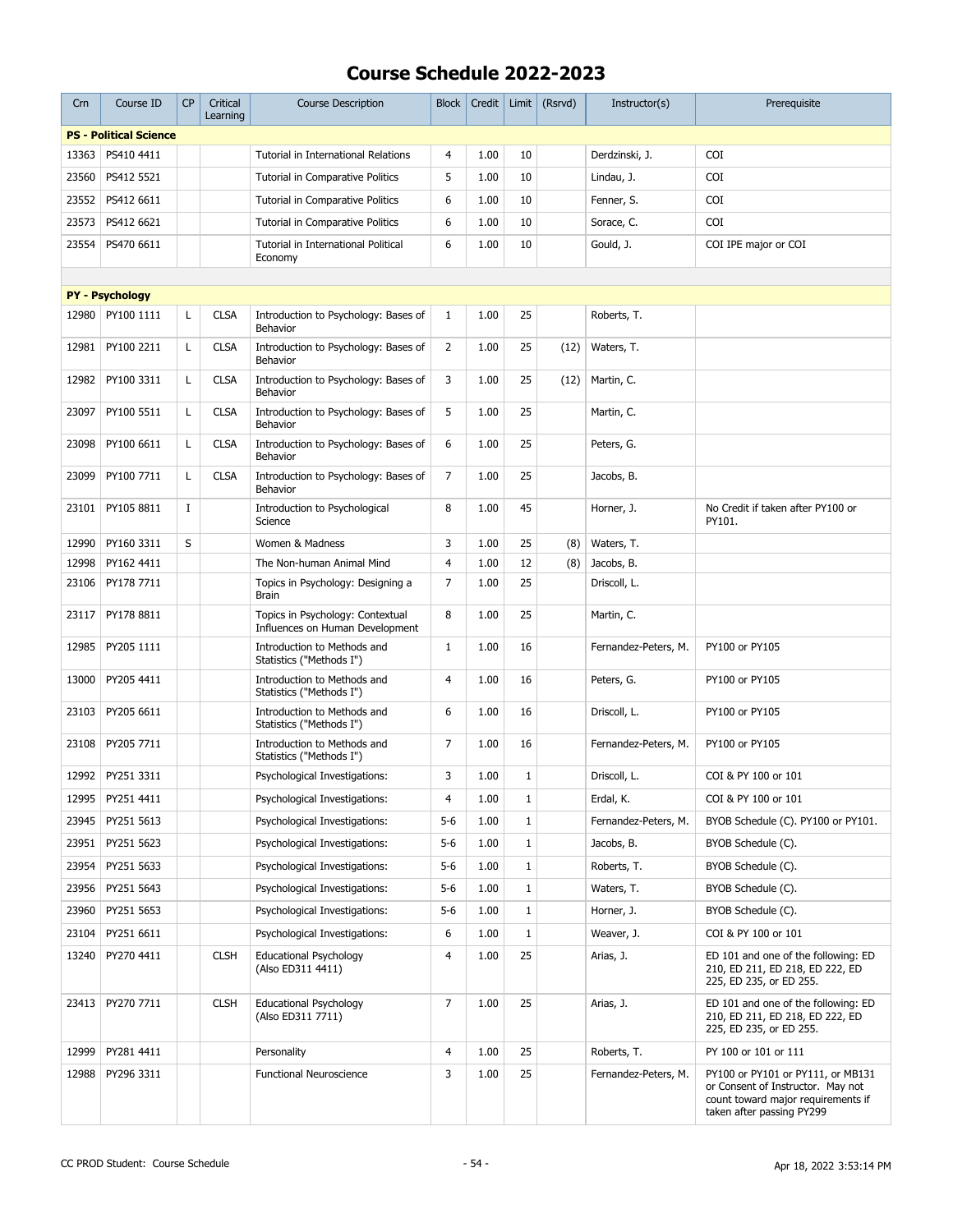| Crn   | Course ID                     | <b>CP</b> | Critical<br>Learning | <b>Course Description</b>                                           | <b>Block</b>   | Credit | Limit        | (Rsrvd) | Instructor(s)        | Prerequisite                                                                                                                              |
|-------|-------------------------------|-----------|----------------------|---------------------------------------------------------------------|----------------|--------|--------------|---------|----------------------|-------------------------------------------------------------------------------------------------------------------------------------------|
|       | <b>PS - Political Science</b> |           |                      |                                                                     |                |        |              |         |                      |                                                                                                                                           |
| 13363 | PS410 4411                    |           |                      | Tutorial in International Relations                                 | $\overline{4}$ | 1.00   | 10           |         | Derdzinski, J.       | <b>COI</b>                                                                                                                                |
| 23560 | PS412 5521                    |           |                      | Tutorial in Comparative Politics                                    | 5              | 1.00   | 10           |         | Lindau, J.           | <b>COI</b>                                                                                                                                |
| 23552 | PS412 6611                    |           |                      | Tutorial in Comparative Politics                                    | 6              | 1.00   | 10           |         | Fenner, S.           | <b>COI</b>                                                                                                                                |
| 23573 | PS412 6621                    |           |                      | Tutorial in Comparative Politics                                    | 6              | 1.00   | 10           |         | Sorace, C.           | <b>COI</b>                                                                                                                                |
| 23554 | PS470 6611                    |           |                      | Tutorial in International Political<br>Economy                      | 6              | 1.00   | 10           |         | Gould, J.            | COI IPE major or COI                                                                                                                      |
|       |                               |           |                      |                                                                     |                |        |              |         |                      |                                                                                                                                           |
|       | <b>PY - Psychology</b>        |           |                      |                                                                     |                |        |              |         |                      |                                                                                                                                           |
| 12980 | PY100 1111                    | L         | <b>CLSA</b>          | Introduction to Psychology: Bases of<br><b>Behavior</b>             | $\mathbf{1}$   | 1.00   | 25           |         | Roberts, T.          |                                                                                                                                           |
| 12981 | PY100 2211                    | L         | <b>CLSA</b>          | Introduction to Psychology: Bases of<br><b>Behavior</b>             | $\overline{2}$ | 1.00   | 25           | (12)    | Waters, T.           |                                                                                                                                           |
| 12982 | PY100 3311                    | Г         | <b>CLSA</b>          | Introduction to Psychology: Bases of<br>Behavior                    | 3              | 1.00   | 25           | (12)    | Martin, C.           |                                                                                                                                           |
| 23097 | PY100 5511                    | L         | <b>CLSA</b>          | Introduction to Psychology: Bases of<br><b>Behavior</b>             | 5              | 1.00   | 25           |         | Martin, C.           |                                                                                                                                           |
| 23098 | PY100 6611                    | Г         | <b>CLSA</b>          | Introduction to Psychology: Bases of<br>Behavior                    | 6              | 1.00   | 25           |         | Peters, G.           |                                                                                                                                           |
| 23099 | PY100 7711                    | Г         | <b>CLSA</b>          | Introduction to Psychology: Bases of<br><b>Behavior</b>             | 7              | 1.00   | 25           |         | Jacobs, B.           |                                                                                                                                           |
| 23101 | PY105 8811                    | Ι.        |                      | Introduction to Psychological<br>Science                            | 8              | 1.00   | 45           |         | Horner, J.           | No Credit if taken after PY100 or<br>PY101.                                                                                               |
| 12990 | PY160 3311                    | S         |                      | Women & Madness                                                     | 3              | 1.00   | 25           | (8)     | Waters, T.           |                                                                                                                                           |
| 12998 | PY162 4411                    |           |                      | The Non-human Animal Mind                                           | $\overline{4}$ | 1.00   | 12           | (8)     | Jacobs, B.           |                                                                                                                                           |
| 23106 | PY178 7711                    |           |                      | Topics in Psychology: Designing a<br>Brain                          | $\overline{7}$ | 1.00   | 25           |         | Driscoll, L.         |                                                                                                                                           |
| 23117 | PY178 8811                    |           |                      | Topics in Psychology: Contextual<br>Influences on Human Development | 8              | 1.00   | 25           |         | Martin, C.           |                                                                                                                                           |
| 12985 | PY205 1111                    |           |                      | Introduction to Methods and<br>Statistics ("Methods I")             | $\mathbf{1}$   | 1.00   | 16           |         | Fernandez-Peters, M. | PY100 or PY105                                                                                                                            |
| 13000 | PY205 4411                    |           |                      | Introduction to Methods and<br>Statistics ("Methods I")             | 4              | 1.00   | 16           |         | Peters, G.           | PY100 or PY105                                                                                                                            |
| 23103 | PY205 6611                    |           |                      | Introduction to Methods and<br>Statistics ("Methods I")             | 6              | 1.00   | 16           |         | Driscoll, L.         | PY100 or PY105                                                                                                                            |
| 23108 | PY205 7711                    |           |                      | Introduction to Methods and<br>Statistics ("Methods I")             | 7              | 1.00   | 16           |         | Fernandez-Peters, M. | PY100 or PY105                                                                                                                            |
| 12992 | PY251 3311                    |           |                      | Psychological Investigations:                                       | 3              | 1.00   | $1\,$        |         | Driscoll, L.         | COI & PY 100 or 101                                                                                                                       |
| 12995 | PY251 4411                    |           |                      | Psychological Investigations:                                       | 4              | 1.00   | 1            |         | Erdal, K.            | COI & PY 100 or 101                                                                                                                       |
| 23945 | PY251 5613                    |           |                      | Psychological Investigations:                                       | $5-6$          | 1.00   | 1            |         | Fernandez-Peters, M. | BYOB Schedule (C). PY100 or PY101.                                                                                                        |
| 23951 | PY251 5623                    |           |                      | Psychological Investigations:                                       | $5-6$          | 1.00   | $1\,$        |         | Jacobs, B.           | BYOB Schedule (C).                                                                                                                        |
| 23954 | PY251 5633                    |           |                      | Psychological Investigations:                                       | $5-6$          | 1.00   | $1\,$        |         | Roberts, T.          | BYOB Schedule (C).                                                                                                                        |
| 23956 | PY251 5643                    |           |                      | Psychological Investigations:                                       | $5-6$          | 1.00   | $1\,$        |         | Waters, T.           | BYOB Schedule (C).                                                                                                                        |
| 23960 | PY251 5653                    |           |                      | Psychological Investigations:                                       | $5-6$          | 1.00   | $\mathbf{1}$ |         | Horner, J.           | BYOB Schedule (C).                                                                                                                        |
| 23104 | PY251 6611                    |           |                      | Psychological Investigations:                                       | 6              | 1.00   | $\mathbf{1}$ |         | Weaver, J.           | COI & PY 100 or 101                                                                                                                       |
| 13240 | PY270 4411                    |           | <b>CLSH</b>          | <b>Educational Psychology</b><br>(Also ED311 4411)                  | 4              | 1.00   | 25           |         | Arias, J.            | ED 101 and one of the following: ED<br>210, ED 211, ED 218, ED 222, ED<br>225, ED 235, or ED 255.                                         |
| 23413 | PY270 7711                    |           | <b>CLSH</b>          | <b>Educational Psychology</b><br>(Also ED311 7711)                  | 7              | 1.00   | 25           |         | Arias, J.            | ED 101 and one of the following: ED<br>210, ED 211, ED 218, ED 222, ED<br>225, ED 235, or ED 255.                                         |
| 12999 | PY281 4411                    |           |                      | Personality                                                         | 4              | 1.00   | 25           |         | Roberts, T.          | PY 100 or 101 or 111                                                                                                                      |
| 12988 | PY296 3311                    |           |                      | <b>Functional Neuroscience</b>                                      | 3              | 1.00   | 25           |         | Fernandez-Peters, M. | PY100 or PY101 or PY111, or MB131<br>or Consent of Instructor. May not<br>count toward major requirements if<br>taken after passing PY299 |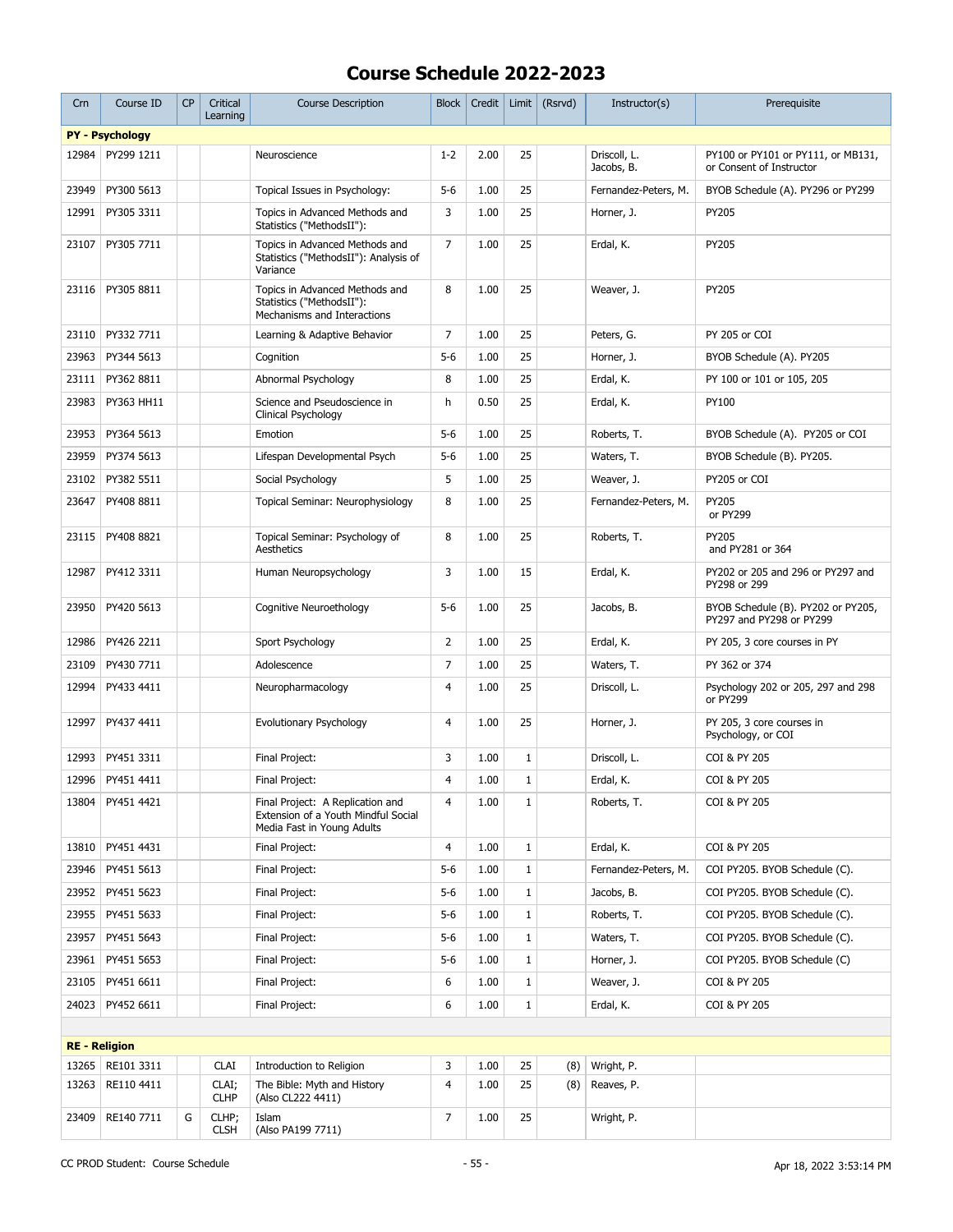| Crn                  | Course ID              | CP | Critical<br>Learning | <b>Course Description</b>                                                                             | <b>Block</b>   | Credit |              | Limit $(Rsrvd)$ | Instructor(s)              | Prerequisite                                                   |
|----------------------|------------------------|----|----------------------|-------------------------------------------------------------------------------------------------------|----------------|--------|--------------|-----------------|----------------------------|----------------------------------------------------------------|
|                      | <b>PY - Psychology</b> |    |                      |                                                                                                       |                |        |              |                 |                            |                                                                |
| 12984                | PY299 1211             |    |                      | Neuroscience                                                                                          | $1 - 2$        | 2.00   | 25           |                 | Driscoll, L.<br>Jacobs, B. | PY100 or PY101 or PY111, or MB131,<br>or Consent of Instructor |
| 23949                | PY300 5613             |    |                      | Topical Issues in Psychology:                                                                         | $5-6$          | 1.00   | 25           |                 | Fernandez-Peters, M.       | BYOB Schedule (A). PY296 or PY299                              |
| 12991                | PY305 3311             |    |                      | Topics in Advanced Methods and<br>Statistics ("MethodsII"):                                           | 3              | 1.00   | 25           |                 | Horner, J.                 | PY205                                                          |
| 23107                | PY305 7711             |    |                      | Topics in Advanced Methods and<br>Statistics ("MethodsII"): Analysis of<br>Variance                   | $\overline{7}$ | 1.00   | 25           |                 | Erdal, K.                  | PY205                                                          |
| 23116                | PY305 8811             |    |                      | Topics in Advanced Methods and<br>Statistics ("MethodsII"):<br>Mechanisms and Interactions            | 8              | 1.00   | 25           |                 | Weaver, J.                 | PY205                                                          |
| 23110                | PY332 7711             |    |                      | Learning & Adaptive Behavior                                                                          | 7              | 1.00   | 25           |                 | Peters, G.                 | PY 205 or COI                                                  |
| 23963                | PY344 5613             |    |                      | Cognition                                                                                             | $5-6$          | 1.00   | 25           |                 | Horner, J.                 | BYOB Schedule (A). PY205                                       |
| 23111                | PY362 8811             |    |                      | Abnormal Psychology                                                                                   | 8              | 1.00   | 25           |                 | Erdal, K.                  | PY 100 or 101 or 105, 205                                      |
| 23983                | PY363 HH11             |    |                      | Science and Pseudoscience in<br>Clinical Psychology                                                   | h              | 0.50   | 25           |                 | Erdal, K.                  | PY100                                                          |
| 23953                | PY364 5613             |    |                      | Emotion                                                                                               | $5-6$          | 1.00   | 25           |                 | Roberts, T.                | BYOB Schedule (A). PY205 or COI                                |
| 23959                | PY374 5613             |    |                      | Lifespan Developmental Psych                                                                          | $5-6$          | 1.00   | 25           |                 | Waters, T.                 | BYOB Schedule (B). PY205.                                      |
| 23102                | PY382 5511             |    |                      | Social Psychology                                                                                     | 5              | 1.00   | 25           |                 | Weaver, J.                 | PY205 or COI                                                   |
| 23647                | PY408 8811             |    |                      | Topical Seminar: Neurophysiology                                                                      | 8              | 1.00   | 25           |                 | Fernandez-Peters, M.       | PY205<br>or PY299                                              |
| 23115                | PY408 8821             |    |                      | Topical Seminar: Psychology of<br>Aesthetics                                                          | 8              | 1.00   | 25           |                 | Roberts, T.                | PY205<br>and PY281 or 364                                      |
| 12987                | PY412 3311             |    |                      | Human Neuropsychology                                                                                 | 3              | 1.00   | 15           |                 | Erdal, K.                  | PY202 or 205 and 296 or PY297 and<br>PY298 or 299              |
| 23950                | PY420 5613             |    |                      | Cognitive Neuroethology                                                                               | $5-6$          | 1.00   | 25           |                 | Jacobs, B.                 | BYOB Schedule (B). PY202 or PY205,<br>PY297 and PY298 or PY299 |
| 12986                | PY426 2211             |    |                      | Sport Psychology                                                                                      | $\overline{2}$ | 1.00   | 25           |                 | Erdal, K.                  | PY 205, 3 core courses in PY                                   |
| 23109                | PY430 7711             |    |                      | Adolescence                                                                                           | $\overline{7}$ | 1.00   | 25           |                 | Waters, T.                 | PY 362 or 374                                                  |
| 12994                | PY433 4411             |    |                      | Neuropharmacology                                                                                     | 4              | 1.00   | 25           |                 | Driscoll, L.               | Psychology 202 or 205, 297 and 298<br>or PY299                 |
| 12997                | PY437 4411             |    |                      | Evolutionary Psychology                                                                               | 4              | 1.00   | 25           |                 | Horner, J.                 | PY 205, 3 core courses in<br>Psychology, or COI                |
| 12993                | PY451 3311             |    |                      | Final Project:                                                                                        | 3              | 1.00   | 1            |                 | Driscoll, L.               | COI & PY 205                                                   |
| 12996                | PY451 4411             |    |                      | Final Project:                                                                                        | $\overline{4}$ | 1.00   | $\mathbf{1}$ |                 | Erdal, K.                  | COI & PY 205                                                   |
| 13804                | PY451 4421             |    |                      | Final Project: A Replication and<br>Extension of a Youth Mindful Social<br>Media Fast in Young Adults | 4              | 1.00   | 1            |                 | Roberts, T.                | COI & PY 205                                                   |
| 13810                | PY451 4431             |    |                      | Final Project:                                                                                        | 4              | 1.00   | $\mathbf{1}$ |                 | Erdal, K.                  | COI & PY 205                                                   |
| 23946                | PY451 5613             |    |                      | Final Project:                                                                                        | $5-6$          | 1.00   | $\mathbf{1}$ |                 | Fernandez-Peters, M.       | COI PY205. BYOB Schedule (C).                                  |
| 23952                | PY451 5623             |    |                      | Final Project:                                                                                        | $5-6$          | 1.00   | $\mathbf{1}$ |                 | Jacobs, B.                 | COI PY205. BYOB Schedule (C).                                  |
| 23955                | PY451 5633             |    |                      | Final Project:                                                                                        | $5-6$          | 1.00   | $\mathbf{1}$ |                 | Roberts, T.                | COI PY205. BYOB Schedule (C).                                  |
| 23957                | PY451 5643             |    |                      | Final Project:                                                                                        | $5-6$          | 1.00   | 1            |                 | Waters, T.                 | COI PY205. BYOB Schedule (C).                                  |
| 23961                | PY451 5653             |    |                      | Final Project:                                                                                        | $5-6$          | 1.00   | $\mathbf 1$  |                 | Horner, J.                 | COI PY205. BYOB Schedule (C)                                   |
| 23105                | PY451 6611             |    |                      | Final Project:                                                                                        | 6              | 1.00   | $\mathbf{1}$ |                 | Weaver, J.                 | COI & PY 205                                                   |
| 24023                | PY452 6611             |    |                      | Final Project:                                                                                        | 6              | 1.00   | $\mathbf{1}$ |                 | Erdal, K.                  | COI & PY 205                                                   |
|                      |                        |    |                      |                                                                                                       |                |        |              |                 |                            |                                                                |
| <b>RE</b> - Religion |                        |    |                      |                                                                                                       |                |        |              |                 |                            |                                                                |
| 13265                | RE101 3311             |    | <b>CLAI</b>          | Introduction to Religion                                                                              | 3              | 1.00   | 25           | (8)             | Wright, P.                 |                                                                |
| 13263                | RE110 4411             |    | CLAI;<br><b>CLHP</b> | The Bible: Myth and History<br>(Also CL222 4411)                                                      | 4              | 1.00   | 25           | (8)             | Reaves, P.                 |                                                                |
| 23409                | RE140 7711             | G  | CLHP;<br><b>CLSH</b> | Islam<br>(Also PA199 7711)                                                                            | 7              | 1.00   | 25           |                 | Wright, P.                 |                                                                |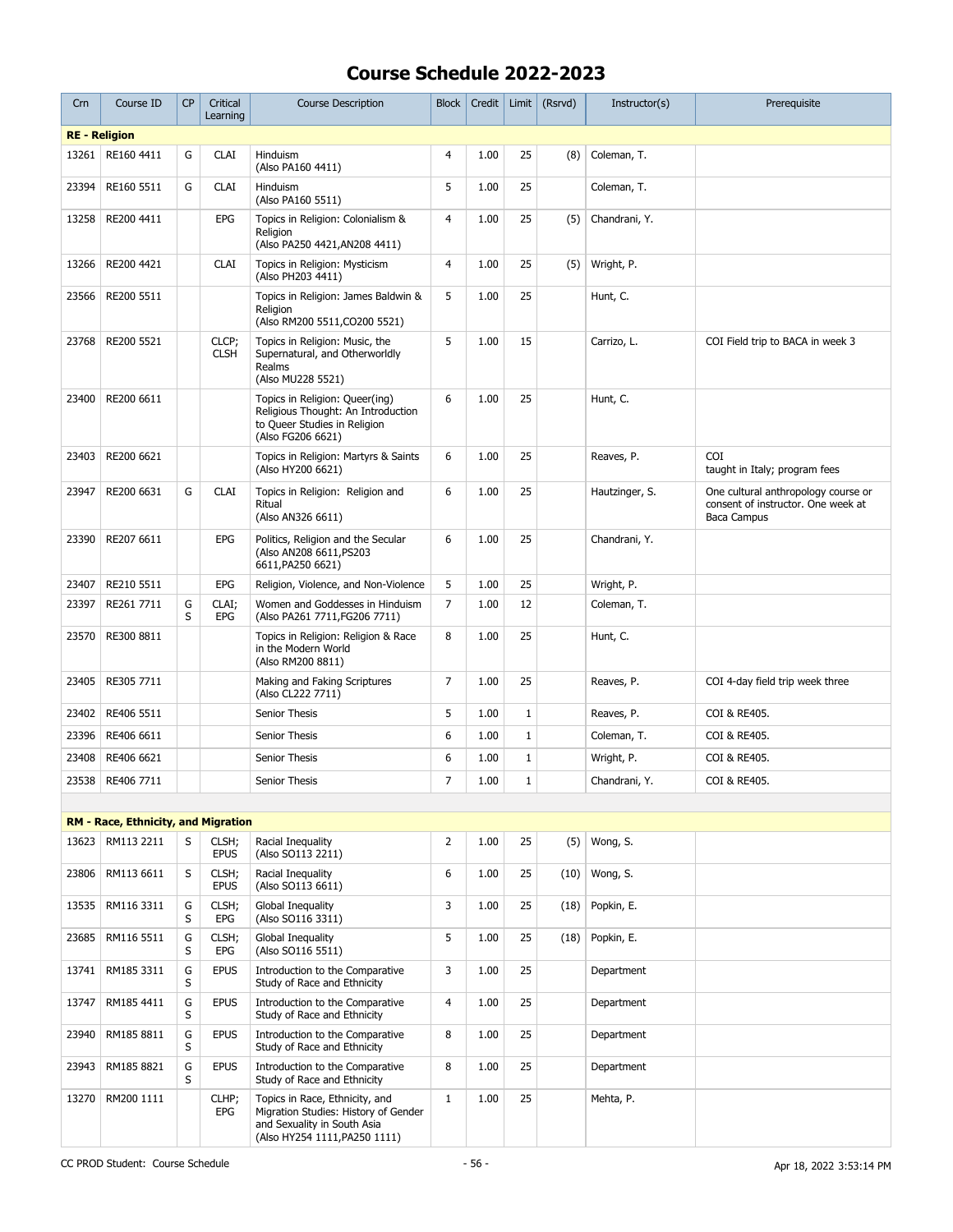| Crn                  | Course ID                                  | <b>CP</b> | Critical<br>Learning | <b>Course Description</b>                                                                                                              | <b>Block</b>   | Credit |              | Limit $(Rsrvd)$ | Instructor(s)  | Prerequisite                                                                             |
|----------------------|--------------------------------------------|-----------|----------------------|----------------------------------------------------------------------------------------------------------------------------------------|----------------|--------|--------------|-----------------|----------------|------------------------------------------------------------------------------------------|
| <b>RE</b> - Religion |                                            |           |                      |                                                                                                                                        |                |        |              |                 |                |                                                                                          |
| 13261                | RE160 4411                                 | G         | <b>CLAI</b>          | Hinduism<br>(Also PA160 4411)                                                                                                          | 4              | 1.00   | 25           | (8)             | Coleman, T.    |                                                                                          |
| 23394                | RE160 5511                                 | G         | <b>CLAI</b>          | Hinduism<br>(Also PA160 5511)                                                                                                          | 5              | 1.00   | 25           |                 | Coleman, T.    |                                                                                          |
| 13258                | RE200 4411                                 |           | EPG                  | Topics in Religion: Colonialism &<br>Religion<br>(Also PA250 4421, AN208 4411)                                                         | 4              | 1.00   | 25           | (5)             | Chandrani, Y.  |                                                                                          |
| 13266                | RE200 4421                                 |           | <b>CLAI</b>          | Topics in Religion: Mysticism<br>(Also PH203 4411)                                                                                     | 4              | 1.00   | 25           | (5)             | Wright, P.     |                                                                                          |
| 23566                | RE200 5511                                 |           |                      | Topics in Religion: James Baldwin &<br>Religion<br>(Also RM200 5511, CO200 5521)                                                       | 5              | 1.00   | 25           |                 | Hunt, C.       |                                                                                          |
| 23768                | RE200 5521                                 |           | CLCP;<br><b>CLSH</b> | Topics in Religion: Music, the<br>Supernatural, and Otherworldly<br>Realms<br>(Also MU228 5521)                                        | 5              | 1.00   | 15           |                 | Carrizo, L.    | COI Field trip to BACA in week 3                                                         |
| 23400                | RE200 6611                                 |           |                      | Topics in Religion: Queer(ing)<br>Religious Thought: An Introduction<br>to Queer Studies in Religion<br>(Also FG206 6621)              | 6              | 1.00   | 25           |                 | Hunt, C.       |                                                                                          |
| 23403                | RE200 6621                                 |           |                      | Topics in Religion: Martyrs & Saints<br>(Also HY200 6621)                                                                              | 6              | 1.00   | 25           |                 | Reaves, P.     | <b>COI</b><br>taught in Italy; program fees                                              |
| 23947                | RE200 6631                                 | G         | <b>CLAI</b>          | Topics in Religion: Religion and<br>Ritual<br>(Also AN326 6611)                                                                        | 6              | 1.00   | 25           |                 | Hautzinger, S. | One cultural anthropology course or<br>consent of instructor. One week at<br>Baca Campus |
| 23390                | RE207 6611                                 |           | EPG                  | Politics, Religion and the Secular<br>(Also AN208 6611, PS203<br>6611, PA250 6621)                                                     | 6              | 1.00   | 25           |                 | Chandrani, Y.  |                                                                                          |
| 23407                | RE210 5511                                 |           | <b>EPG</b>           | Religion, Violence, and Non-Violence                                                                                                   | 5              | 1.00   | 25           |                 | Wright, P.     |                                                                                          |
| 23397                | RE261 7711                                 | G<br>S    | CLAI;<br>EPG         | Women and Goddesses in Hinduism<br>(Also PA261 7711, FG206 7711)                                                                       | 7              | 1.00   | 12           |                 | Coleman, T.    |                                                                                          |
| 23570                | RE300 8811                                 |           |                      | Topics in Religion: Religion & Race<br>in the Modern World<br>(Also RM200 8811)                                                        | 8              | 1.00   | 25           |                 | Hunt, C.       |                                                                                          |
| 23405                | RE305 7711                                 |           |                      | Making and Faking Scriptures<br>(Also CL222 7711)                                                                                      | 7              | 1.00   | 25           |                 | Reaves, P.     | COI 4-day field trip week three                                                          |
| 23402                | RE406 5511                                 |           |                      | Senior Thesis                                                                                                                          | 5              | 1.00   | $1\,$        |                 | Reaves, P.     | COI & RE405.                                                                             |
| 23396                | RE406 6611                                 |           |                      | Senior Thesis                                                                                                                          | 6              | 1.00   | $\mathbf{1}$ |                 | Coleman, T.    | COI & RE405.                                                                             |
| 23408                | RE406 6621                                 |           |                      | Senior Thesis                                                                                                                          | 6              | 1.00   | $\mathbf{1}$ |                 | Wright, P.     | COI & RE405.                                                                             |
| 23538                | RE406 7711                                 |           |                      | Senior Thesis                                                                                                                          | $\overline{7}$ | 1.00   | $\mathbf{1}$ |                 | Chandrani, Y.  | COI & RE405.                                                                             |
|                      |                                            |           |                      |                                                                                                                                        |                |        |              |                 |                |                                                                                          |
|                      | <b>RM - Race, Ethnicity, and Migration</b> |           |                      |                                                                                                                                        |                |        |              |                 |                |                                                                                          |
| 13623                | RM113 2211                                 | S         | CLSH;<br><b>EPUS</b> | Racial Inequality<br>(Also SO113 2211)                                                                                                 | $\overline{2}$ | 1.00   | 25           | (5)             | Wong, S.       |                                                                                          |
| 23806                | RM113 6611                                 | S         | CLSH;<br><b>EPUS</b> | Racial Inequality<br>(Also SO113 6611)                                                                                                 | 6              | 1.00   | 25           | (10)            | Wong, S.       |                                                                                          |
| 13535                | RM116 3311                                 | G<br>S    | CLSH;<br>EPG         | Global Inequality<br>(Also SO116 3311)                                                                                                 | 3              | 1.00   | 25           | (18)            | Popkin, E.     |                                                                                          |
| 23685                | RM116 5511                                 | G<br>S    | CLSH;<br>EPG         | Global Inequality<br>(Also SO116 5511)                                                                                                 | 5              | 1.00   | 25           | (18)            | Popkin, E.     |                                                                                          |
| 13741                | RM185 3311                                 | G<br>S    | <b>EPUS</b>          | Introduction to the Comparative<br>Study of Race and Ethnicity                                                                         | 3              | 1.00   | 25           |                 | Department     |                                                                                          |
| 13747                | RM185 4411                                 | G<br>S    | <b>EPUS</b>          | Introduction to the Comparative<br>Study of Race and Ethnicity                                                                         | 4              | 1.00   | 25           |                 | Department     |                                                                                          |
| 23940                | RM185 8811                                 | G<br>S    | <b>EPUS</b>          | Introduction to the Comparative<br>Study of Race and Ethnicity                                                                         | 8              | 1.00   | 25           |                 | Department     |                                                                                          |
| 23943                | RM185 8821                                 | G<br>S    | <b>EPUS</b>          | Introduction to the Comparative<br>Study of Race and Ethnicity                                                                         | 8              | 1.00   | 25           |                 | Department     |                                                                                          |
| 13270                | RM200 1111                                 |           | CLHP;<br>EPG         | Topics in Race, Ethnicity, and<br>Migration Studies: History of Gender<br>and Sexuality in South Asia<br>(Also HY254 1111, PA250 1111) | $\mathbf{1}$   | 1.00   | 25           |                 | Mehta, P.      |                                                                                          |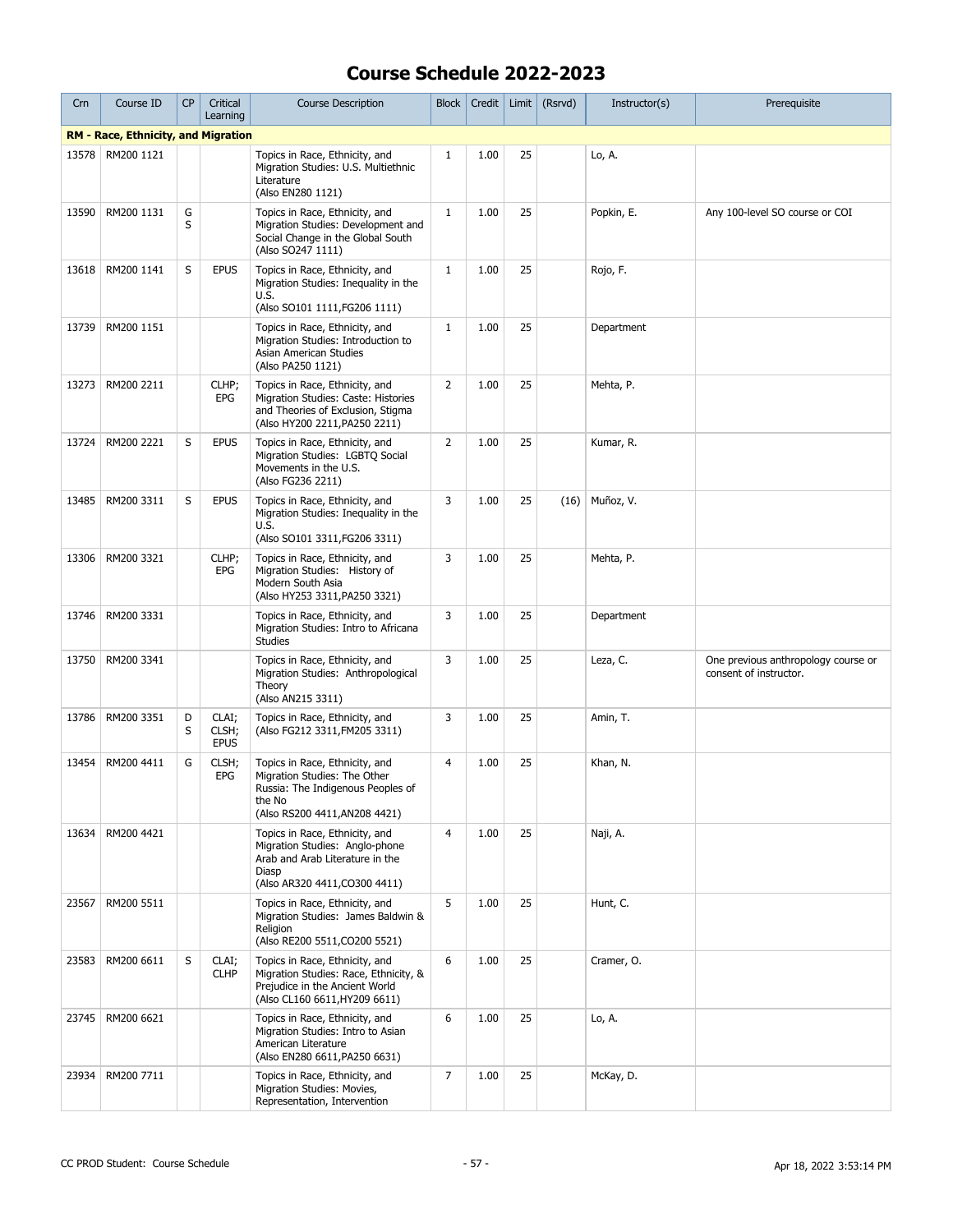| Crn   | Course ID                                  | <b>CP</b> | Critical<br>Learning          | <b>Course Description</b>                                                                                                                      | Block          | Credit |    | Limit $(Rsrvd)$ | Instructor(s) | Prerequisite                                                  |
|-------|--------------------------------------------|-----------|-------------------------------|------------------------------------------------------------------------------------------------------------------------------------------------|----------------|--------|----|-----------------|---------------|---------------------------------------------------------------|
|       | <b>RM - Race, Ethnicity, and Migration</b> |           |                               |                                                                                                                                                |                |        |    |                 |               |                                                               |
| 13578 | RM200 1121                                 |           |                               | Topics in Race, Ethnicity, and<br>Migration Studies: U.S. Multiethnic<br>Literature<br>(Also EN280 1121)                                       | $\mathbf{1}$   | 1.00   | 25 |                 | Lo, A.        |                                                               |
| 13590 | RM200 1131                                 | G<br>S    |                               | Topics in Race, Ethnicity, and<br>Migration Studies: Development and<br>Social Change in the Global South<br>(Also SO247 1111)                 | $\mathbf{1}$   | 1.00   | 25 |                 | Popkin, E.    | Any 100-level SO course or COI                                |
| 13618 | RM200 1141                                 | S         | <b>EPUS</b>                   | Topics in Race, Ethnicity, and<br>Migration Studies: Inequality in the<br>U.S.<br>(Also SO101 1111, FG206 1111)                                | $\mathbf{1}$   | 1.00   | 25 |                 | Rojo, F.      |                                                               |
| 13739 | RM200 1151                                 |           |                               | Topics in Race, Ethnicity, and<br>Migration Studies: Introduction to<br>Asian American Studies<br>(Also PA250 1121)                            | $\mathbf{1}$   | 1.00   | 25 |                 | Department    |                                                               |
| 13273 | RM200 2211                                 |           | CLHP;<br><b>EPG</b>           | Topics in Race, Ethnicity, and<br>Migration Studies: Caste: Histories<br>and Theories of Exclusion, Stigma<br>(Also HY200 2211, PA250 2211)    | $\overline{2}$ | 1.00   | 25 |                 | Mehta, P.     |                                                               |
| 13724 | RM200 2221                                 | S         | <b>EPUS</b>                   | Topics in Race, Ethnicity, and<br>Migration Studies: LGBTQ Social<br>Movements in the U.S.<br>(Also FG236 2211)                                | $\overline{2}$ | 1.00   | 25 |                 | Kumar, R.     |                                                               |
| 13485 | RM200 3311                                 | S         | <b>EPUS</b>                   | Topics in Race, Ethnicity, and<br>Migration Studies: Inequality in the<br>U.S.<br>(Also SO101 3311, FG206 3311)                                | 3              | 1.00   | 25 | (16)            | Muñoz, V.     |                                                               |
| 13306 | RM200 3321                                 |           | CLHP;<br>EPG                  | Topics in Race, Ethnicity, and<br>Migration Studies: History of<br>Modern South Asia<br>(Also HY253 3311, PA250 3321)                          | 3              | 1.00   | 25 |                 | Mehta, P.     |                                                               |
| 13746 | RM200 3331                                 |           |                               | Topics in Race, Ethnicity, and<br>Migration Studies: Intro to Africana<br><b>Studies</b>                                                       | 3              | 1.00   | 25 |                 | Department    |                                                               |
| 13750 | RM200 3341                                 |           |                               | Topics in Race, Ethnicity, and<br>Migration Studies: Anthropological<br>Theory<br>(Also AN215 3311)                                            | 3              | 1.00   | 25 |                 | Leza, C.      | One previous anthropology course or<br>consent of instructor. |
| 13786 | RM200 3351                                 | D<br>S    | CLAI;<br>CLSH;<br><b>EPUS</b> | Topics in Race, Ethnicity, and<br>(Also FG212 3311, FM205 3311)                                                                                | 3              | 1.00   | 25 |                 | Amin, T.      |                                                               |
| 13454 | RM200 4411                                 | G         | CLSH;<br>EPG                  | Topics in Race, Ethnicity, and<br>Migration Studies: The Other<br>Russia: The Indigenous Peoples of<br>the No<br>(Also RS200 4411, AN208 4421) | 4              | 1.00   | 25 |                 | Khan, N.      |                                                               |
| 13634 | RM200 4421                                 |           |                               | Topics in Race, Ethnicity, and<br>Migration Studies: Anglo-phone<br>Arab and Arab Literature in the<br>Diasp<br>(Also AR320 4411, CO300 4411)  | $\overline{4}$ | 1.00   | 25 |                 | Naji, A.      |                                                               |
| 23567 | RM200 5511                                 |           |                               | Topics in Race, Ethnicity, and<br>Migration Studies: James Baldwin &<br>Religion<br>(Also RE200 5511, CO200 5521)                              | 5              | 1.00   | 25 |                 | Hunt, C.      |                                                               |
| 23583 | RM200 6611                                 | S         | CLAI;<br><b>CLHP</b>          | Topics in Race, Ethnicity, and<br>Migration Studies: Race, Ethnicity, &<br>Prejudice in the Ancient World<br>(Also CL160 6611, HY209 6611)     | 6              | 1.00   | 25 |                 | Cramer, O.    |                                                               |
| 23745 | RM200 6621                                 |           |                               | Topics in Race, Ethnicity, and<br>Migration Studies: Intro to Asian<br>American Literature<br>(Also EN280 6611, PA250 6631)                    | 6              | 1.00   | 25 |                 | Lo, A.        |                                                               |
| 23934 | RM200 7711                                 |           |                               | Topics in Race, Ethnicity, and<br>Migration Studies: Movies,<br>Representation, Intervention                                                   | 7              | 1.00   | 25 |                 | McKay, D.     |                                                               |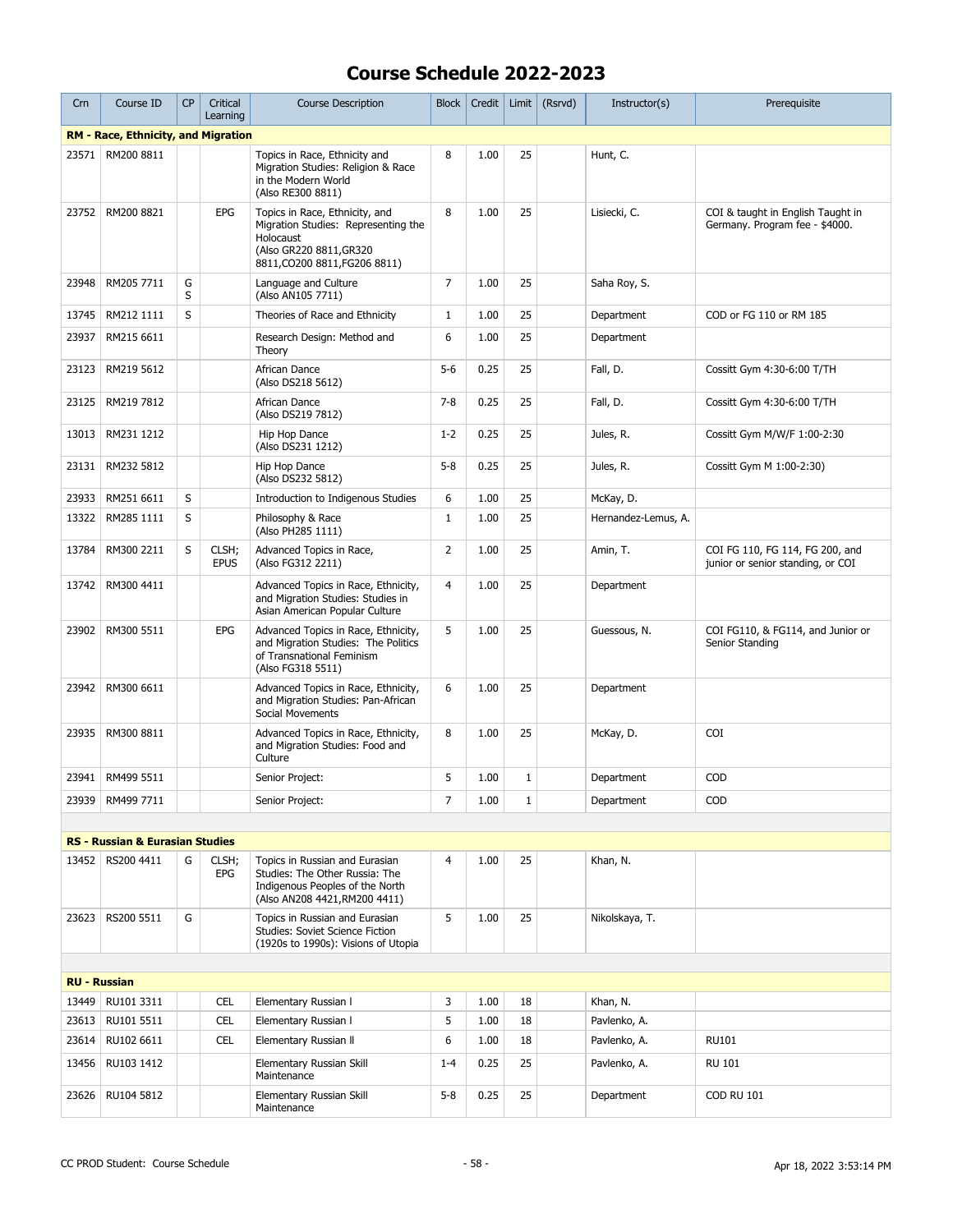| Crn                 | Course ID                                  | <b>CP</b> | Critical<br>Learning | <b>Course Description</b>                                                                                                                      | <b>Block</b>   | Credit | Limit        | (Rsrvd) | Instructor(s)       | Prerequisite                                                         |
|---------------------|--------------------------------------------|-----------|----------------------|------------------------------------------------------------------------------------------------------------------------------------------------|----------------|--------|--------------|---------|---------------------|----------------------------------------------------------------------|
|                     | <b>RM - Race, Ethnicity, and Migration</b> |           |                      |                                                                                                                                                |                |        |              |         |                     |                                                                      |
| 23571               | RM200 8811                                 |           |                      | Topics in Race, Ethnicity and<br>Migration Studies: Religion & Race<br>in the Modern World<br>(Also RE300 8811)                                | 8              | 1.00   | 25           |         | Hunt, C.            |                                                                      |
| 23752               | RM200 8821                                 |           | <b>EPG</b>           | Topics in Race, Ethnicity, and<br>Migration Studies: Representing the<br>Holocaust<br>(Also GR220 8811, GR320<br>8811, CO200 8811, FG206 8811) | 8              | 1.00   | 25           |         | Lisiecki, C.        | COI & taught in English Taught in<br>Germany. Program fee - \$4000.  |
| 23948               | RM205 7711                                 | G<br>S    |                      | Language and Culture<br>(Also AN105 7711)                                                                                                      | $\overline{7}$ | 1.00   | 25           |         | Saha Roy, S.        |                                                                      |
| 13745               | RM212 1111                                 | S         |                      | Theories of Race and Ethnicity                                                                                                                 | $\mathbf{1}$   | 1.00   | 25           |         | Department          | COD or FG 110 or RM 185                                              |
| 23937               | RM215 6611                                 |           |                      | Research Design: Method and<br>Theory                                                                                                          | 6              | 1.00   | 25           |         | Department          |                                                                      |
| 23123               | RM219 5612                                 |           |                      | African Dance<br>(Also DS218 5612)                                                                                                             | $5-6$          | 0.25   | 25           |         | Fall, D.            | Cossitt Gym 4:30-6:00 T/TH                                           |
| 23125               | RM219 7812                                 |           |                      | African Dance<br>(Also DS219 7812)                                                                                                             | $7 - 8$        | 0.25   | 25           |         | Fall, D.            | Cossitt Gym 4:30-6:00 T/TH                                           |
| 13013               | RM231 1212                                 |           |                      | Hip Hop Dance<br>(Also DS231 1212)                                                                                                             | $1 - 2$        | 0.25   | 25           |         | Jules, R.           | Cossitt Gym M/W/F 1:00-2:30                                          |
| 23131               | RM232 5812                                 |           |                      | Hip Hop Dance<br>(Also DS232 5812)                                                                                                             | $5 - 8$        | 0.25   | 25           |         | Jules, R.           | Cossitt Gym M 1:00-2:30)                                             |
| 23933               | RM251 6611                                 | S         |                      | Introduction to Indigenous Studies                                                                                                             | 6              | 1.00   | 25           |         | McKay, D.           |                                                                      |
| 13322               | RM285 1111                                 | S         |                      | Philosophy & Race<br>(Also PH285 1111)                                                                                                         | $\mathbf{1}$   | 1.00   | 25           |         | Hernandez-Lemus, A. |                                                                      |
| 13784               | RM300 2211                                 | S         | CLSH;<br><b>EPUS</b> | Advanced Topics in Race,<br>(Also FG312 2211)                                                                                                  | 2              | 1.00   | 25           |         | Amin, T.            | COI FG 110, FG 114, FG 200, and<br>junior or senior standing, or COI |
| 13742               | RM300 4411                                 |           |                      | Advanced Topics in Race, Ethnicity,<br>and Migration Studies: Studies in<br>Asian American Popular Culture                                     | $\overline{4}$ | 1.00   | 25           |         | Department          |                                                                      |
| 23902               | RM300 5511                                 |           | <b>EPG</b>           | Advanced Topics in Race, Ethnicity,<br>and Migration Studies: The Politics<br>of Transnational Feminism<br>(Also FG318 5511)                   | 5              | 1.00   | 25           |         | Guessous, N.        | COI FG110, & FG114, and Junior or<br>Senior Standing                 |
| 23942               | RM300 6611                                 |           |                      | Advanced Topics in Race, Ethnicity,<br>and Migration Studies: Pan-African<br>Social Movements                                                  | 6              | 1.00   | 25           |         | Department          |                                                                      |
| 23935               | RM300 8811                                 |           |                      | Advanced Topics in Race, Ethnicity,<br>and Migration Studies: Food and<br>Culture                                                              | 8              | 1.00   | 25           |         | McKay, D.           | <b>COI</b>                                                           |
|                     | 23941   RM499 5511                         |           |                      | Senior Project:                                                                                                                                | 5              | 1.00   | $\mathbf{1}$ |         | Department          | COD                                                                  |
| 23939               | RM499 7711                                 |           |                      | Senior Project:                                                                                                                                | $\overline{7}$ | 1.00   | 1            |         | Department          | COD                                                                  |
|                     |                                            |           |                      |                                                                                                                                                |                |        |              |         |                     |                                                                      |
|                     | <b>RS - Russian &amp; Eurasian Studies</b> |           |                      |                                                                                                                                                |                |        |              |         |                     |                                                                      |
| 13452               | RS200 4411                                 | G         | CLSH;<br>EPG         | Topics in Russian and Eurasian<br>Studies: The Other Russia: The<br>Indigenous Peoples of the North<br>(Also AN208 4421, RM200 4411)           | $\overline{4}$ | 1.00   | 25           |         | Khan, N.            |                                                                      |
| 23623               | RS200 5511                                 | G         |                      | Topics in Russian and Eurasian<br>Studies: Soviet Science Fiction<br>(1920s to 1990s): Visions of Utopia                                       | 5              | 1.00   | 25           |         | Nikolskaya, T.      |                                                                      |
|                     |                                            |           |                      |                                                                                                                                                |                |        |              |         |                     |                                                                      |
| <b>RU - Russian</b> |                                            |           |                      |                                                                                                                                                |                |        |              |         |                     |                                                                      |
| 13449               | RU101 3311                                 |           | <b>CEL</b>           | Elementary Russian I                                                                                                                           | 3              | 1.00   | 18           |         | Khan, N.            |                                                                      |
| 23613               | RU101 5511                                 |           | <b>CEL</b>           | Elementary Russian I                                                                                                                           | 5              | 1.00   | 18           |         | Pavlenko, A.        |                                                                      |
| 23614               | RU102 6611                                 |           | <b>CEL</b>           | Elementary Russian II                                                                                                                          | 6              | 1.00   | 18           |         | Pavlenko, A.        | <b>RU101</b>                                                         |
| 13456               | RU103 1412                                 |           |                      | Elementary Russian Skill<br>Maintenance                                                                                                        | $1 - 4$        | 0.25   | 25           |         | Pavlenko, A.        | <b>RU 101</b>                                                        |
| 23626               | RU104 5812                                 |           |                      | Elementary Russian Skill<br>Maintenance                                                                                                        | $5 - 8$        | 0.25   | 25           |         | Department          | <b>COD RU 101</b>                                                    |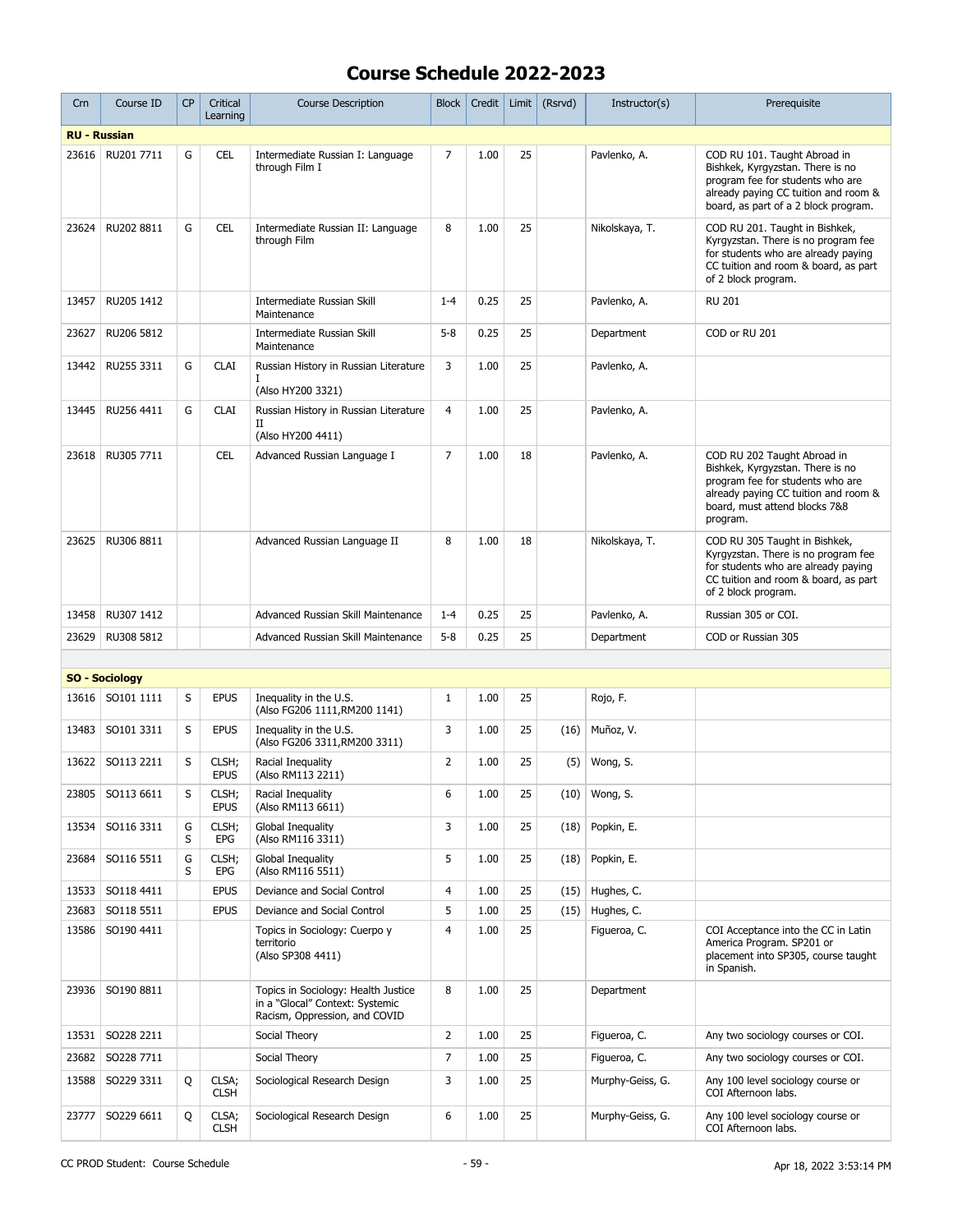| Crn   | Course ID             | <b>CP</b> | Critical<br>Learning | <b>Course Description</b>                                                                               | <b>Block</b>   | Credit | Limit | (Rsrvd) | Instructor(s)    | Prerequisite                                                                                                                                                                             |
|-------|-----------------------|-----------|----------------------|---------------------------------------------------------------------------------------------------------|----------------|--------|-------|---------|------------------|------------------------------------------------------------------------------------------------------------------------------------------------------------------------------------------|
|       | <b>RU - Russian</b>   |           |                      |                                                                                                         |                |        |       |         |                  |                                                                                                                                                                                          |
| 23616 | RU201 7711            | G         | <b>CEL</b>           | Intermediate Russian I: Language<br>through Film I                                                      | $\overline{7}$ | 1.00   | 25    |         | Pavlenko, A.     | COD RU 101. Taught Abroad in<br>Bishkek, Kyrgyzstan. There is no<br>program fee for students who are<br>already paying CC tuition and room &<br>board, as part of a 2 block program.     |
| 23624 | RU202 8811            | G         | <b>CEL</b>           | Intermediate Russian II: Language<br>through Film                                                       | 8              | 1.00   | 25    |         | Nikolskaya, T.   | COD RU 201. Taught in Bishkek,<br>Kyrgyzstan. There is no program fee<br>for students who are already paying<br>CC tuition and room & board, as part<br>of 2 block program.              |
| 13457 | RU205 1412            |           |                      | Intermediate Russian Skill<br>Maintenance                                                               | $1 - 4$        | 0.25   | 25    |         | Pavlenko, A.     | <b>RU 201</b>                                                                                                                                                                            |
| 23627 | RU206 5812            |           |                      | Intermediate Russian Skill<br>Maintenance                                                               | $5 - 8$        | 0.25   | 25    |         | Department       | COD or RU 201                                                                                                                                                                            |
| 13442 | RU255 3311            | G         | <b>CLAI</b>          | Russian History in Russian Literature<br>(Also HY200 3321)                                              | 3              | 1.00   | 25    |         | Pavlenko, A.     |                                                                                                                                                                                          |
| 13445 | RU256 4411            | G         | <b>CLAI</b>          | Russian History in Russian Literature<br>п<br>(Also HY200 4411)                                         | 4              | 1.00   | 25    |         | Pavlenko, A.     |                                                                                                                                                                                          |
| 23618 | RU305 7711            |           | <b>CEL</b>           | Advanced Russian Language I                                                                             | $\overline{7}$ | 1.00   | 18    |         | Pavlenko, A.     | COD RU 202 Taught Abroad in<br>Bishkek, Kyrgyzstan. There is no<br>program fee for students who are<br>already paying CC tuition and room &<br>board, must attend blocks 7&8<br>program. |
| 23625 | RU306 8811            |           |                      | Advanced Russian Language II                                                                            | 8              | 1.00   | 18    |         | Nikolskaya, T.   | COD RU 305 Taught in Bishkek,<br>Kyrgyzstan. There is no program fee<br>for students who are already paying<br>CC tuition and room & board, as part<br>of 2 block program.               |
| 13458 | RU307 1412            |           |                      | Advanced Russian Skill Maintenance                                                                      | $1 - 4$        | 0.25   | 25    |         | Pavlenko, A.     | Russian 305 or COI.                                                                                                                                                                      |
| 23629 | RU308 5812            |           |                      | Advanced Russian Skill Maintenance                                                                      | $5 - 8$        | 0.25   | 25    |         | Department       | COD or Russian 305                                                                                                                                                                       |
|       |                       |           |                      |                                                                                                         |                |        |       |         |                  |                                                                                                                                                                                          |
|       | <b>SO - Sociology</b> |           |                      |                                                                                                         |                |        |       |         |                  |                                                                                                                                                                                          |
| 13616 | SO101 1111            | S         | <b>EPUS</b>          | Inequality in the U.S.<br>(Also FG206 1111, RM200 1141)                                                 | $\mathbf{1}$   | 1.00   | 25    |         | Rojo, F.         |                                                                                                                                                                                          |
| 13483 | SO101 3311            | S         | <b>EPUS</b>          | Inequality in the U.S.<br>(Also FG206 3311, RM200 3311)                                                 | 3              | 1.00   | 25    | (16)    | Muñoz, V.        |                                                                                                                                                                                          |
| 13622 | SO113 2211            | S         | CLSH;<br><b>EPUS</b> | Racial Inequality<br>(Also RM113 2211)                                                                  | $\overline{2}$ | 1.00   | 25    | (5)     | Wong, S.         |                                                                                                                                                                                          |
| 23805 | SO113 6611            | S         | CLSH;<br><b>EPUS</b> | Racial Inequality<br>(Also RM113 6611)                                                                  | 6              | 1.00   | 25    |         | $(10)$ Wong, S.  |                                                                                                                                                                                          |
| 13534 | SO116 3311            | G<br>S    | CLSH;<br>EPG         | Global Inequality<br>(Also RM116 3311)                                                                  | 3              | 1.00   | 25    | (18)    | Popkin, E.       |                                                                                                                                                                                          |
| 23684 | SO116 5511            | G<br>S    | CLSH;<br>EPG         | Global Inequality<br>(Also RM116 5511)                                                                  | 5              | 1.00   | 25    | (18)    | Popkin, E.       |                                                                                                                                                                                          |
| 13533 | SO118 4411            |           | <b>EPUS</b>          | Deviance and Social Control                                                                             | $\overline{4}$ | 1.00   | 25    | (15)    | Hughes, C.       |                                                                                                                                                                                          |
| 23683 | SO118 5511            |           | <b>EPUS</b>          | Deviance and Social Control                                                                             | 5              | 1.00   | 25    | (15)    | Hughes, C.       |                                                                                                                                                                                          |
| 13586 | SO190 4411            |           |                      | Topics in Sociology: Cuerpo y<br>territorio<br>(Also SP308 4411)                                        | $\overline{4}$ | 1.00   | 25    |         | Figueroa, C.     | COI Acceptance into the CC in Latin<br>America Program. SP201 or<br>placement into SP305, course taught<br>in Spanish.                                                                   |
| 23936 | SO190 8811            |           |                      | Topics in Sociology: Health Justice<br>in a "Glocal" Context: Systemic<br>Racism, Oppression, and COVID | 8              | 1.00   | 25    |         | Department       |                                                                                                                                                                                          |
| 13531 | SO228 2211            |           |                      | Social Theory                                                                                           | $\overline{2}$ | 1.00   | 25    |         | Figueroa, C.     | Any two sociology courses or COI.                                                                                                                                                        |
| 23682 | SO228 7711            |           |                      | Social Theory                                                                                           | 7              | 1.00   | 25    |         | Figueroa, C.     | Any two sociology courses or COI.                                                                                                                                                        |
| 13588 | SO229 3311            | Q         | CLSA;<br><b>CLSH</b> | Sociological Research Design                                                                            | 3              | 1.00   | 25    |         | Murphy-Geiss, G. | Any 100 level sociology course or<br>COI Afternoon labs.                                                                                                                                 |
| 23777 | SO229 6611            | Q         | CLSA;<br><b>CLSH</b> | Sociological Research Design                                                                            | 6              | 1.00   | 25    |         | Murphy-Geiss, G. | Any 100 level sociology course or<br>COI Afternoon labs.                                                                                                                                 |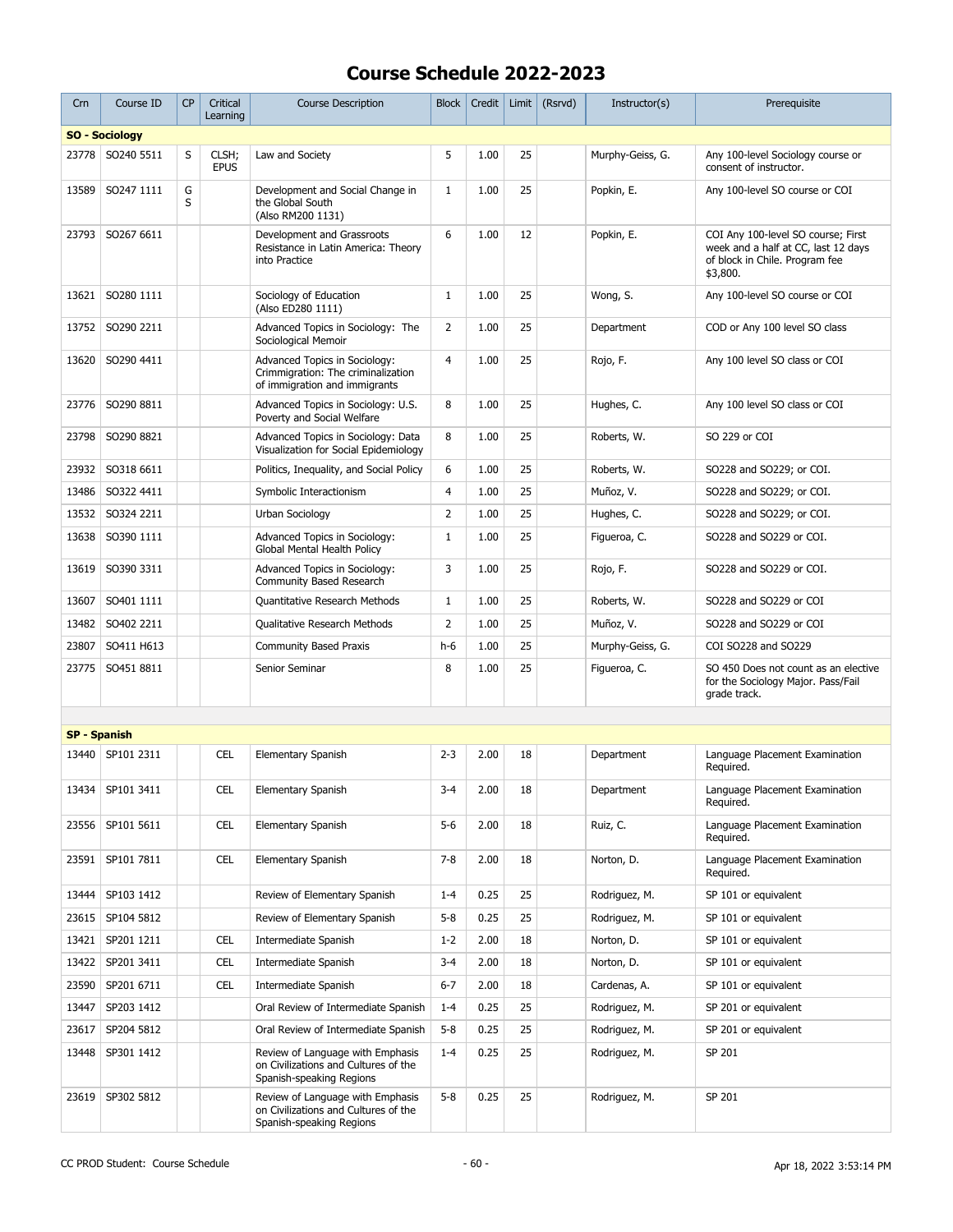| Crn                 | Course ID             | <b>CP</b> | Critical<br>Learning | <b>Course Description</b>                                                                            | Block          | Credit | Limit | (Rsrvd) | Instructor(s)    | Prerequisite                                                                                                            |
|---------------------|-----------------------|-----------|----------------------|------------------------------------------------------------------------------------------------------|----------------|--------|-------|---------|------------------|-------------------------------------------------------------------------------------------------------------------------|
|                     | <b>SO - Sociology</b> |           |                      |                                                                                                      |                |        |       |         |                  |                                                                                                                         |
| 23778               | SO240 5511            | S         | CLSH;<br><b>EPUS</b> | Law and Society                                                                                      | 5              | 1.00   | 25    |         | Murphy-Geiss, G. | Any 100-level Sociology course or<br>consent of instructor.                                                             |
| 13589               | SO247 1111            | G<br>S    |                      | Development and Social Change in<br>the Global South<br>(Also RM200 1131)                            | $\mathbf{1}$   | 1.00   | 25    |         | Popkin, E.       | Any 100-level SO course or COI                                                                                          |
| 23793               | SO267 6611            |           |                      | Development and Grassroots<br>Resistance in Latin America: Theory<br>into Practice                   | 6              | 1.00   | 12    |         | Popkin, E.       | COI Any 100-level SO course; First<br>week and a half at CC, last 12 days<br>of block in Chile. Program fee<br>\$3,800. |
| 13621               | SO280 1111            |           |                      | Sociology of Education<br>(Also ED280 1111)                                                          | $\mathbf{1}$   | 1.00   | 25    |         | Wong, S.         | Any 100-level SO course or COI                                                                                          |
| 13752               | SO290 2211            |           |                      | Advanced Topics in Sociology: The<br>Sociological Memoir                                             | $\overline{2}$ | 1.00   | 25    |         | Department       | COD or Any 100 level SO class                                                                                           |
| 13620               | SO290 4411            |           |                      | Advanced Topics in Sociology:<br>Crimmigration: The criminalization<br>of immigration and immigrants | $\overline{4}$ | 1.00   | 25    |         | Rojo, F.         | Any 100 level SO class or COI                                                                                           |
| 23776               | SO290 8811            |           |                      | Advanced Topics in Sociology: U.S.<br>Poverty and Social Welfare                                     | 8              | 1.00   | 25    |         | Hughes, C.       | Any 100 level SO class or COI                                                                                           |
| 23798               | SO290 8821            |           |                      | Advanced Topics in Sociology: Data<br>Visualization for Social Epidemiology                          | 8              | 1.00   | 25    |         | Roberts, W.      | SO 229 or COI                                                                                                           |
| 23932               | SO318 6611            |           |                      | Politics, Inequality, and Social Policy                                                              | 6              | 1.00   | 25    |         | Roberts, W.      | SO228 and SO229; or COI.                                                                                                |
| 13486               | SO322 4411            |           |                      | Symbolic Interactionism                                                                              | $\overline{4}$ | 1.00   | 25    |         | Muñoz, V.        | SO228 and SO229; or COI.                                                                                                |
| 13532               | SO324 2211            |           |                      | Urban Sociology                                                                                      | $\overline{2}$ | 1.00   | 25    |         | Hughes, C.       | SO228 and SO229; or COI.                                                                                                |
| 13638               | SO390 1111            |           |                      | Advanced Topics in Sociology:<br>Global Mental Health Policy                                         | $\mathbf{1}$   | 1.00   | 25    |         | Figueroa, C.     | SO228 and SO229 or COI.                                                                                                 |
| 13619               | SO390 3311            |           |                      | Advanced Topics in Sociology:<br>Community Based Research                                            | 3              | 1.00   | 25    |         | Rojo, F.         | SO228 and SO229 or COI.                                                                                                 |
| 13607               | SO401 1111            |           |                      | Quantitative Research Methods                                                                        | $\mathbf{1}$   | 1.00   | 25    |         | Roberts, W.      | SO228 and SO229 or COI                                                                                                  |
| 13482               | SO402 2211            |           |                      | Qualitative Research Methods                                                                         | $\overline{2}$ | 1.00   | 25    |         | Muñoz, V.        | SO228 and SO229 or COI                                                                                                  |
| 23807               | SO411 H613            |           |                      | <b>Community Based Praxis</b>                                                                        | $h-6$          | 1.00   | 25    |         | Murphy-Geiss, G. | COI SO228 and SO229                                                                                                     |
| 23775               | SO451 8811            |           |                      | Senior Seminar                                                                                       | 8              | 1.00   | 25    |         | Figueroa, C.     | SO 450 Does not count as an elective<br>for the Sociology Major. Pass/Fail<br>grade track.                              |
|                     |                       |           |                      |                                                                                                      |                |        |       |         |                  |                                                                                                                         |
| <b>SP - Spanish</b> |                       |           |                      |                                                                                                      |                |        |       |         |                  |                                                                                                                         |
|                     | 13440   SP101 2311    |           | <b>CEL</b>           | Elementary Spanish                                                                                   | $2 - 3$        | 2.00   | 18    |         | Department       | Language Placement Examination<br>Required.                                                                             |
|                     | 13434 SP101 3411      |           | <b>CEL</b>           | Elementary Spanish                                                                                   | $3-4$          | 2.00   | 18    |         | Department       | Language Placement Examination<br>Required.                                                                             |
| 23556               | SP101 5611            |           | <b>CEL</b>           | Elementary Spanish                                                                                   | $5-6$          | 2.00   | 18    |         | Ruiz, C.         | Language Placement Examination<br>Required.                                                                             |
|                     | 23591   SP101 7811    |           | <b>CEL</b>           | Elementary Spanish                                                                                   | $7 - 8$        | 2.00   | 18    |         | Norton, D.       | Language Placement Examination<br>Reauired.                                                                             |
| 13444               | SP103 1412            |           |                      | Review of Elementary Spanish                                                                         | $1 - 4$        | 0.25   | 25    |         | Rodriguez, M.    | SP 101 or equivalent                                                                                                    |
| 23615               | SP104 5812            |           |                      | Review of Elementary Spanish                                                                         | $5 - 8$        | 0.25   | 25    |         | Rodriguez, M.    | SP 101 or equivalent                                                                                                    |
| 13421               | SP201 1211            |           | <b>CEL</b>           | Intermediate Spanish                                                                                 | $1 - 2$        | 2.00   | 18    |         | Norton, D.       | SP 101 or equivalent                                                                                                    |
| 13422               | SP201 3411            |           | <b>CEL</b>           | Intermediate Spanish                                                                                 | $3 - 4$        | 2.00   | 18    |         | Norton, D.       | SP 101 or equivalent                                                                                                    |
| 23590               | SP201 6711            |           | CEL                  | Intermediate Spanish                                                                                 | $6 - 7$        | 2.00   | 18    |         | Cardenas, A.     | SP 101 or equivalent                                                                                                    |
| 13447               | SP203 1412            |           |                      | Oral Review of Intermediate Spanish                                                                  | $1 - 4$        | 0.25   | 25    |         | Rodriguez, M.    | SP 201 or equivalent                                                                                                    |
|                     |                       |           |                      |                                                                                                      | $5 - 8$        |        | 25    |         |                  |                                                                                                                         |
| 23617               | SP204 5812            |           |                      | Oral Review of Intermediate Spanish                                                                  |                | 0.25   |       |         | Rodriguez, M.    | SP 201 or equivalent                                                                                                    |
| 13448               | SP301 1412            |           |                      | Review of Language with Emphasis<br>on Civilizations and Cultures of the<br>Spanish-speaking Regions | $1 - 4$        | 0.25   | 25    |         | Rodriguez, M.    | SP 201                                                                                                                  |
| 23619               | SP302 5812            |           |                      | Review of Language with Emphasis<br>on Civilizations and Cultures of the<br>Spanish-speaking Regions | $5 - 8$        | 0.25   | 25    |         | Rodriguez, M.    | SP 201                                                                                                                  |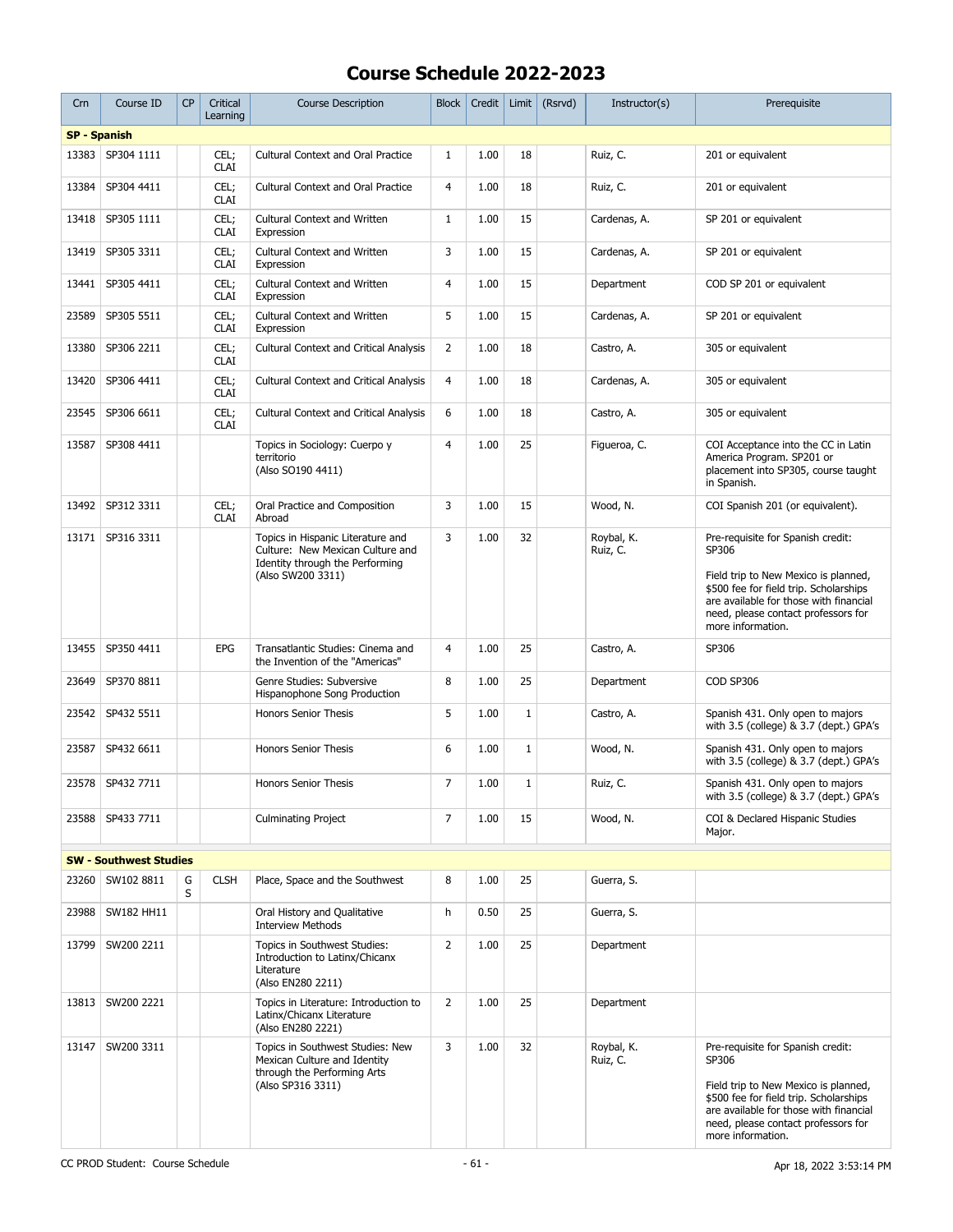| Crn                 | Course ID                     | <b>CP</b> | Critical<br>Learning | <b>Course Description</b>                                                                                                     | Block          | Credit | Limit        | (Rsrvd) | Instructor(s)          | Prerequisite                                                                                                                                                                                                                       |
|---------------------|-------------------------------|-----------|----------------------|-------------------------------------------------------------------------------------------------------------------------------|----------------|--------|--------------|---------|------------------------|------------------------------------------------------------------------------------------------------------------------------------------------------------------------------------------------------------------------------------|
| <b>SP - Spanish</b> |                               |           |                      |                                                                                                                               |                |        |              |         |                        |                                                                                                                                                                                                                                    |
| 13383               | SP304 1111                    |           | CEL;<br><b>CLAI</b>  | <b>Cultural Context and Oral Practice</b>                                                                                     | $\mathbf{1}$   | 1.00   | 18           |         | Ruiz, C.               | 201 or equivalent                                                                                                                                                                                                                  |
| 13384               | SP304 4411                    |           | CEL;<br><b>CLAI</b>  | <b>Cultural Context and Oral Practice</b>                                                                                     | $\overline{4}$ | 1.00   | 18           |         | Ruiz, C.               | 201 or equivalent                                                                                                                                                                                                                  |
| 13418               | SP305 1111                    |           | CEL;<br><b>CLAI</b>  | <b>Cultural Context and Written</b><br>Expression                                                                             | $\mathbf{1}$   | 1.00   | 15           |         | Cardenas, A.           | SP 201 or equivalent                                                                                                                                                                                                               |
| 13419               | SP305 3311                    |           | CEL;<br><b>CLAI</b>  | Cultural Context and Written<br>Expression                                                                                    | 3              | 1.00   | 15           |         | Cardenas, A.           | SP 201 or equivalent                                                                                                                                                                                                               |
| 13441               | SP305 4411                    |           | CEL;<br><b>CLAI</b>  | <b>Cultural Context and Written</b><br>Expression                                                                             | $\overline{4}$ | 1.00   | 15           |         | Department             | COD SP 201 or equivalent                                                                                                                                                                                                           |
| 23589               | SP305 5511                    |           | CEL;<br><b>CLAI</b>  | <b>Cultural Context and Written</b><br>Expression                                                                             | 5              | 1.00   | 15           |         | Cardenas, A.           | SP 201 or equivalent                                                                                                                                                                                                               |
| 13380               | SP306 2211                    |           | CEL;<br><b>CLAI</b>  | <b>Cultural Context and Critical Analysis</b>                                                                                 | $\overline{2}$ | 1.00   | 18           |         | Castro, A.             | 305 or equivalent                                                                                                                                                                                                                  |
| 13420               | SP306 4411                    |           | CEL;<br><b>CLAI</b>  | <b>Cultural Context and Critical Analysis</b>                                                                                 | 4              | 1.00   | 18           |         | Cardenas, A.           | 305 or equivalent                                                                                                                                                                                                                  |
| 23545               | SP306 6611                    |           | CEL;<br><b>CLAI</b>  | <b>Cultural Context and Critical Analysis</b>                                                                                 | 6              | 1.00   | 18           |         | Castro, A.             | 305 or equivalent                                                                                                                                                                                                                  |
| 13587               | SP308 4411                    |           |                      | Topics in Sociology: Cuerpo y<br>territorio<br>(Also SO190 4411)                                                              | $\overline{4}$ | 1.00   | 25           |         | Figueroa, C.           | COI Acceptance into the CC in Latin<br>America Program. SP201 or<br>placement into SP305, course taught<br>in Spanish.                                                                                                             |
| 13492               | SP312 3311                    |           | CEL;<br><b>CLAI</b>  | Oral Practice and Composition<br>Abroad                                                                                       | 3              | 1.00   | 15           |         | Wood, N.               | COI Spanish 201 (or equivalent).                                                                                                                                                                                                   |
| 13171               | SP316 3311                    |           |                      | Topics in Hispanic Literature and<br>Culture: New Mexican Culture and<br>Identity through the Performing<br>(Also SW200 3311) | 3              | 1.00   | 32           |         | Rovbal, K.<br>Ruiz, C. | Pre-requisite for Spanish credit:<br>SP306<br>Field trip to New Mexico is planned,<br>\$500 fee for field trip. Scholarships<br>are available for those with financial<br>need, please contact professors for<br>more information. |
| 13455               | SP350 4411                    |           | EPG                  | Transatlantic Studies: Cinema and<br>the Invention of the "Americas"                                                          | $\overline{4}$ | 1.00   | 25           |         | Castro, A.             | SP306                                                                                                                                                                                                                              |
| 23649               | SP370 8811                    |           |                      | Genre Studies: Subversive<br>Hispanophone Song Production                                                                     | 8              | 1.00   | 25           |         | Department             | COD SP306                                                                                                                                                                                                                          |
| 23542               | SP432 5511                    |           |                      | <b>Honors Senior Thesis</b>                                                                                                   | 5              | 1.00   | $\mathbf 1$  |         | Castro, A.             | Spanish 431. Only open to majors<br>with 3.5 (college) & 3.7 (dept.) GPA's                                                                                                                                                         |
| 23587               | SP432 6611                    |           |                      | <b>Honors Senior Thesis</b>                                                                                                   | 6              | 1.00   | $\mathbf{1}$ |         | Wood, N.               | Spanish 431. Only open to majors<br>with 3.5 (college) & 3.7 (dept.) GPA's                                                                                                                                                         |
|                     | 23578 SP432 7711              |           |                      | <b>Honors Senior Thesis</b>                                                                                                   | $\overline{7}$ | 1.00   | 1            |         | Ruiz, C.               | Spanish 431. Only open to majors<br>with 3.5 (college) & 3.7 (dept.) GPA's                                                                                                                                                         |
| 23588               | SP433 7711                    |           |                      | <b>Culminating Project</b>                                                                                                    | 7              | 1.00   | 15           |         | Wood, N.               | COI & Declared Hispanic Studies<br>Major.                                                                                                                                                                                          |
|                     | <b>SW - Southwest Studies</b> |           |                      |                                                                                                                               |                |        |              |         |                        |                                                                                                                                                                                                                                    |
| 23260               | SW102 8811                    | G<br>S    | <b>CLSH</b>          | Place, Space and the Southwest                                                                                                | 8              | 1.00   | 25           |         | Guerra, S.             |                                                                                                                                                                                                                                    |
| 23988               | SW182 HH11                    |           |                      | Oral History and Qualitative<br><b>Interview Methods</b>                                                                      | h              | 0.50   | 25           |         | Guerra, S.             |                                                                                                                                                                                                                                    |
| 13799               | SW200 2211                    |           |                      | Topics in Southwest Studies:<br>Introduction to Latinx/Chicanx<br>Literature<br>(Also EN280 2211)                             | $\overline{2}$ | 1.00   | 25           |         | Department             |                                                                                                                                                                                                                                    |
| 13813               | SW200 2221                    |           |                      | Topics in Literature: Introduction to<br>Latinx/Chicanx Literature<br>(Also EN280 2221)                                       | $\overline{2}$ | 1.00   | 25           |         | Department             |                                                                                                                                                                                                                                    |
| 13147               | SW200 3311                    |           |                      | Topics in Southwest Studies: New<br>Mexican Culture and Identity<br>through the Performing Arts<br>(Also SP316 3311)          | 3              | 1.00   | 32           |         | Roybal, K.<br>Ruiz, C. | Pre-requisite for Spanish credit:<br>SP306<br>Field trip to New Mexico is planned,<br>\$500 fee for field trip. Scholarships<br>are available for those with financial<br>need, please contact professors for<br>more information. |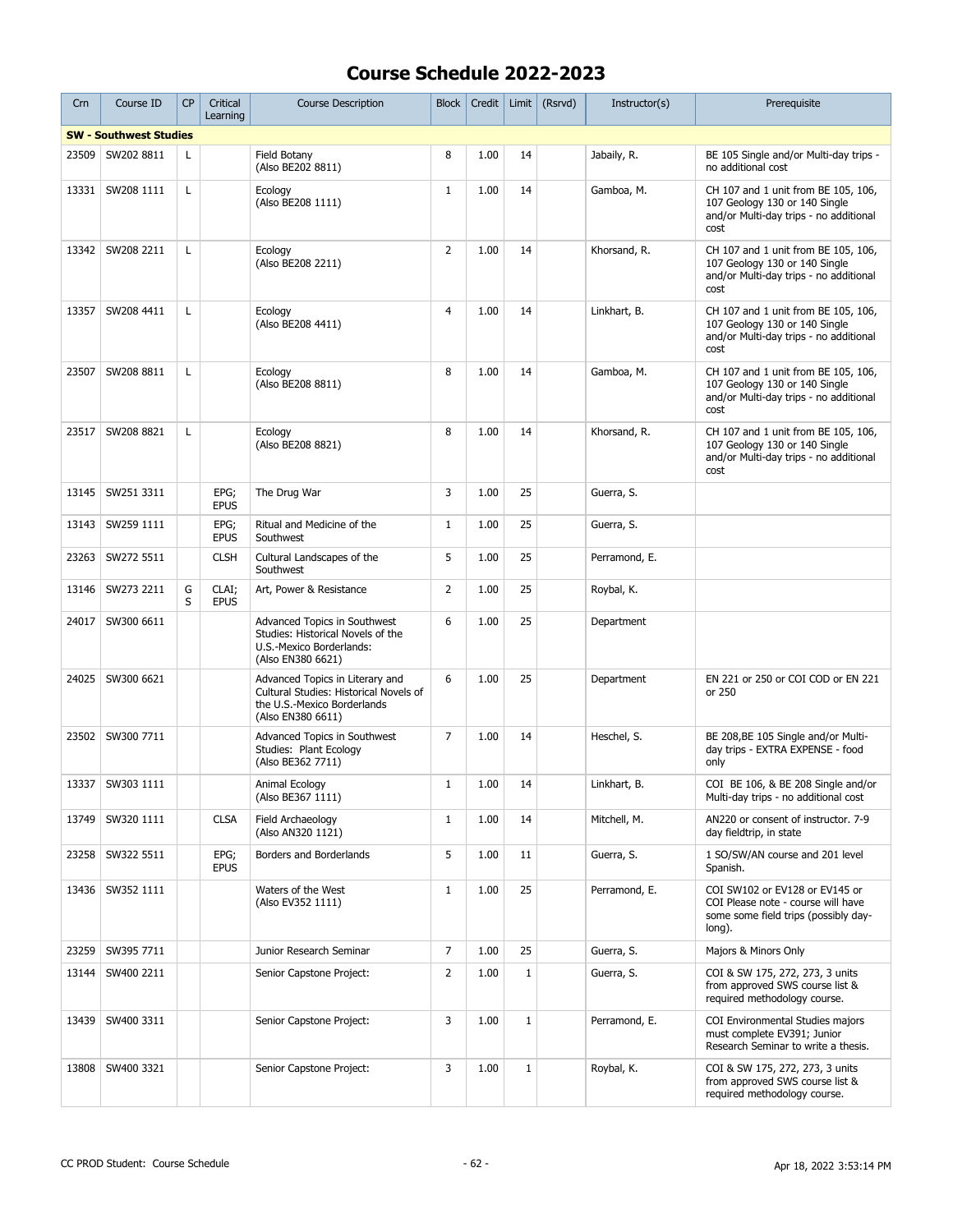| Crn   | Course ID                     | <b>CP</b>    | Critical<br>Learning | <b>Course Description</b>                                                                                                     | <b>Block</b>   | Credit | Limit | (Rsrvd) | Instructor(s) | Prerequisite                                                                                                           |
|-------|-------------------------------|--------------|----------------------|-------------------------------------------------------------------------------------------------------------------------------|----------------|--------|-------|---------|---------------|------------------------------------------------------------------------------------------------------------------------|
|       | <b>SW - Southwest Studies</b> |              |                      |                                                                                                                               |                |        |       |         |               |                                                                                                                        |
| 23509 | SW202 8811                    | L            |                      | Field Botany<br>(Also BE202 8811)                                                                                             | 8              | 1.00   | 14    |         | Jabaily, R.   | BE 105 Single and/or Multi-day trips -<br>no additional cost                                                           |
| 13331 | SW208 1111                    | $\mathsf{L}$ |                      | Ecology<br>(Also BE208 1111)                                                                                                  | $\mathbf{1}$   | 1.00   | 14    |         | Gamboa, M.    | CH 107 and 1 unit from BE 105, 106,<br>107 Geology 130 or 140 Single<br>and/or Multi-day trips - no additional<br>cost |
| 13342 | SW208 2211                    | L            |                      | Ecology<br>(Also BE208 2211)                                                                                                  | $\overline{2}$ | 1.00   | 14    |         | Khorsand, R.  | CH 107 and 1 unit from BE 105, 106,<br>107 Geology 130 or 140 Single<br>and/or Multi-day trips - no additional<br>cost |
| 13357 | SW208 4411                    | L            |                      | Ecology<br>(Also BE208 4411)                                                                                                  | $\overline{4}$ | 1.00   | 14    |         | Linkhart, B.  | CH 107 and 1 unit from BE 105, 106,<br>107 Geology 130 or 140 Single<br>and/or Multi-day trips - no additional<br>cost |
| 23507 | SW208 8811                    | L            |                      | Ecology<br>(Also BE208 8811)                                                                                                  | 8              | 1.00   | 14    |         | Gamboa, M.    | CH 107 and 1 unit from BE 105, 106,<br>107 Geology 130 or 140 Single<br>and/or Multi-day trips - no additional<br>cost |
| 23517 | SW208 8821                    | L            |                      | Ecology<br>(Also BE208 8821)                                                                                                  | 8              | 1.00   | 14    |         | Khorsand, R.  | CH 107 and 1 unit from BE 105, 106,<br>107 Geology 130 or 140 Single<br>and/or Multi-day trips - no additional<br>cost |
| 13145 | SW251 3311                    |              | EPG;<br><b>EPUS</b>  | The Drug War                                                                                                                  | 3              | 1.00   | 25    |         | Guerra, S.    |                                                                                                                        |
| 13143 | SW259 1111                    |              | EPG;<br><b>EPUS</b>  | Ritual and Medicine of the<br>Southwest                                                                                       | $\mathbf{1}$   | 1.00   | 25    |         | Guerra, S.    |                                                                                                                        |
| 23263 | SW272 5511                    |              | <b>CLSH</b>          | Cultural Landscapes of the<br>Southwest                                                                                       | 5              | 1.00   | 25    |         | Perramond, E. |                                                                                                                        |
| 13146 | SW273 2211                    | G<br>S       | CLAI;<br><b>EPUS</b> | Art, Power & Resistance                                                                                                       | $\overline{2}$ | 1.00   | 25    |         | Roybal, K.    |                                                                                                                        |
| 24017 | SW300 6611                    |              |                      | Advanced Topics in Southwest<br>Studies: Historical Novels of the<br>U.S.-Mexico Borderlands:<br>(Also EN380 6621)            | 6              | 1.00   | 25    |         | Department    |                                                                                                                        |
| 24025 | SW300 6621                    |              |                      | Advanced Topics in Literary and<br>Cultural Studies: Historical Novels of<br>the U.S.-Mexico Borderlands<br>(Also EN380 6611) | 6              | 1.00   | 25    |         | Department    | EN 221 or 250 or COI COD or EN 221<br>or 250                                                                           |
| 23502 | SW300 7711                    |              |                      | Advanced Topics in Southwest<br>Studies: Plant Ecology<br>(Also BE362 7711)                                                   | 7              | 1.00   | 14    |         | Heschel, S.   | BE 208, BE 105 Single and/or Multi-<br>day trips - EXTRA EXPENSE - food<br>only                                        |
| 13337 | SW303 1111                    |              |                      | Animal Ecology<br>(Also BE367 1111)                                                                                           | $\mathbf{1}$   | 1.00   | 14    |         | Linkhart, B.  | COI BE 106, & BE 208 Single and/or<br>Multi-day trips - no additional cost                                             |
| 13749 | SW320 1111                    |              | <b>CLSA</b>          | Field Archaeology<br>(Also AN320 1121)                                                                                        | $\mathbf{1}$   | 1.00   | 14    |         | Mitchell, M.  | AN220 or consent of instructor, 7-9<br>day fieldtrip, in state                                                         |
| 23258 | SW322 5511                    |              | EPG;<br><b>EPUS</b>  | Borders and Borderlands                                                                                                       | 5              | 1.00   | 11    |         | Guerra, S.    | 1 SO/SW/AN course and 201 level<br>Spanish.                                                                            |
| 13436 | SW352 1111                    |              |                      | Waters of the West<br>(Also EV352 1111)                                                                                       | $\mathbf{1}$   | 1.00   | 25    |         | Perramond, E. | COI SW102 or EV128 or EV145 or<br>COI Please note - course will have<br>some some field trips (possibly day-<br>long). |
| 23259 | SW395 7711                    |              |                      | Junior Research Seminar                                                                                                       | $\overline{7}$ | 1.00   | 25    |         | Guerra, S.    | Majors & Minors Only                                                                                                   |
| 13144 | SW400 2211                    |              |                      | Senior Capstone Project:                                                                                                      | $\overline{2}$ | 1.00   | $1\,$ |         | Guerra, S.    | COI & SW 175, 272, 273, 3 units<br>from approved SWS course list &<br>required methodology course.                     |
| 13439 | SW400 3311                    |              |                      | Senior Capstone Project:                                                                                                      | 3              | 1.00   | $1\,$ |         | Perramond, E. | COI Environmental Studies majors<br>must complete EV391; Junior<br>Research Seminar to write a thesis.                 |
| 13808 | SW400 3321                    |              |                      | Senior Capstone Project:                                                                                                      | 3              | 1.00   | $1\,$ |         | Roybal, K.    | COI & SW 175, 272, 273, 3 units<br>from approved SWS course list &<br>required methodology course.                     |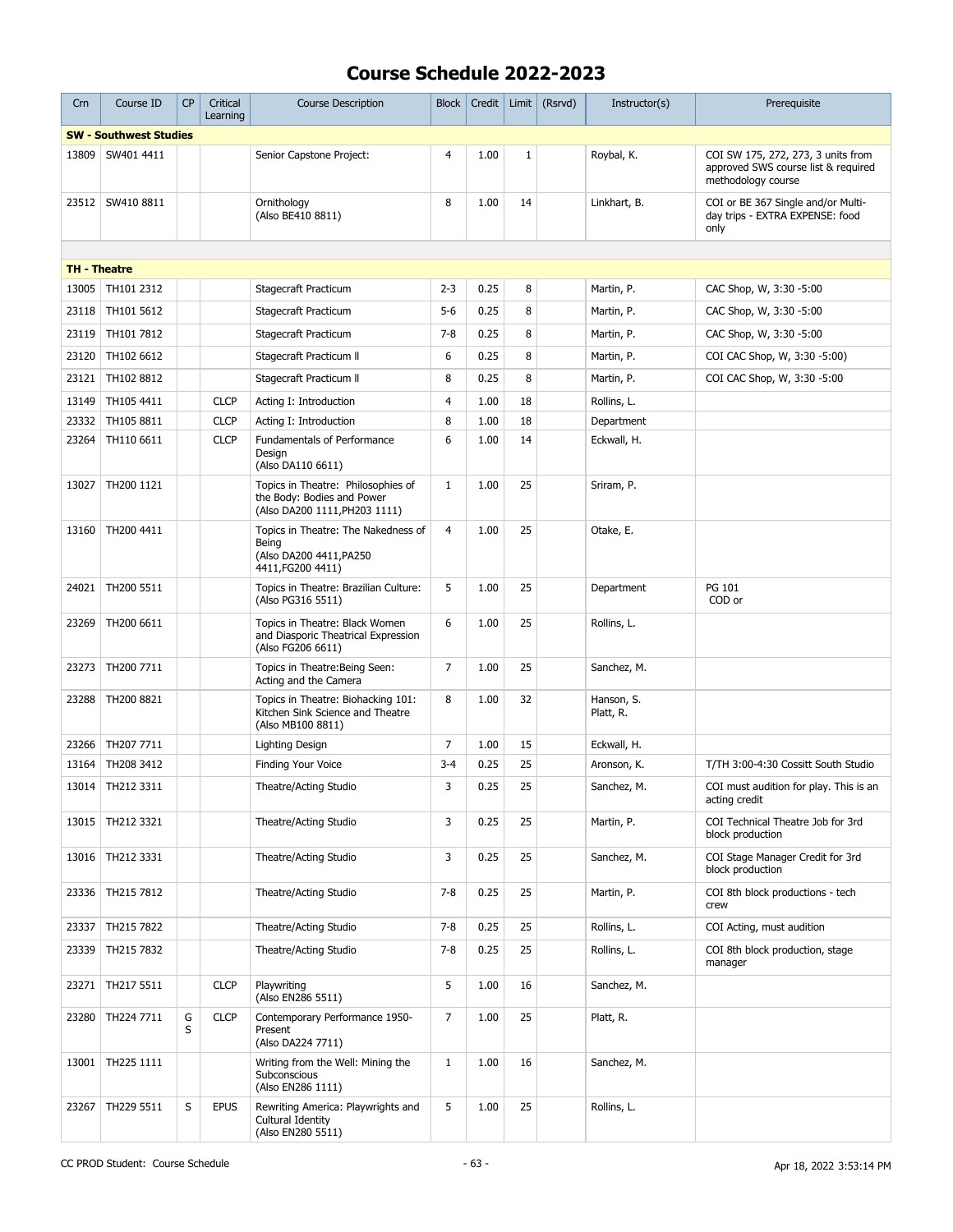| Crn                 | Course ID                     | CP     | Critical<br>Learning | <b>Course Description</b>                                                                         | <b>Block</b>   | Credit | Limit | (Rsrvd) | Instructor(s)           | Prerequisite                                                                                    |
|---------------------|-------------------------------|--------|----------------------|---------------------------------------------------------------------------------------------------|----------------|--------|-------|---------|-------------------------|-------------------------------------------------------------------------------------------------|
|                     | <b>SW - Southwest Studies</b> |        |                      |                                                                                                   |                |        |       |         |                         |                                                                                                 |
| 13809               | SW401 4411                    |        |                      | Senior Capstone Project:                                                                          | 4              | 1.00   | 1     |         | Roybal, K.              | COI SW 175, 272, 273, 3 units from<br>approved SWS course list & required<br>methodology course |
| 23512               | SW410 8811                    |        |                      | Ornithology<br>(Also BE410 8811)                                                                  | 8              | 1.00   | 14    |         | Linkhart, B.            | COI or BE 367 Single and/or Multi-<br>day trips - EXTRA EXPENSE: food<br>only                   |
|                     |                               |        |                      |                                                                                                   |                |        |       |         |                         |                                                                                                 |
| <b>TH - Theatre</b> |                               |        |                      |                                                                                                   |                |        |       |         |                         |                                                                                                 |
| 13005               | TH101 2312                    |        |                      | Stagecraft Practicum                                                                              | $2 - 3$        | 0.25   | 8     |         | Martin, P.              | CAC Shop, W, 3:30 -5:00                                                                         |
| 23118               | TH101 5612                    |        |                      | Stagecraft Practicum                                                                              | $5 - 6$        | 0.25   | 8     |         | Martin, P.              | CAC Shop, W, 3:30 -5:00                                                                         |
| 23119               | TH101 7812                    |        |                      | Stagecraft Practicum                                                                              | $7 - 8$        | 0.25   | 8     |         | Martin, P.              | CAC Shop, W, 3:30 -5:00                                                                         |
| 23120               | TH102 6612                    |        |                      | Stagecraft Practicum II                                                                           | 6              | 0.25   | 8     |         | Martin, P.              | COI CAC Shop, W, 3:30 -5:00)                                                                    |
| 23121               | TH102 8812                    |        |                      | Stagecraft Practicum II                                                                           | 8              | 0.25   | 8     |         | Martin, P.              | COI CAC Shop, W, 3:30 -5:00                                                                     |
| 13149               | TH105 4411                    |        | <b>CLCP</b>          | Acting I: Introduction                                                                            | $\overline{4}$ | 1.00   | 18    |         | Rollins, L.             |                                                                                                 |
| 23332               | TH105 8811                    |        | <b>CLCP</b>          | Acting I: Introduction                                                                            | 8              | 1.00   | 18    |         | Department              |                                                                                                 |
| 23264               | TH110 6611                    |        | <b>CLCP</b>          | Fundamentals of Performance<br>Design<br>(Also DA110 6611)                                        | 6              | 1.00   | 14    |         | Eckwall, H.             |                                                                                                 |
| 13027               | TH200 1121                    |        |                      | Topics in Theatre: Philosophies of<br>the Body: Bodies and Power<br>(Also DA200 1111, PH203 1111) | $\mathbf{1}$   | 1.00   | 25    |         | Sriram, P.              |                                                                                                 |
| 13160               | TH200 4411                    |        |                      | Topics in Theatre: The Nakedness of<br>Being<br>(Also DA200 4411, PA250<br>4411, FG200 4411)      | 4              | 1.00   | 25    |         | Otake, E.               |                                                                                                 |
| 24021               | TH200 5511                    |        |                      | Topics in Theatre: Brazilian Culture:<br>(Also PG316 5511)                                        | 5              | 1.00   | 25    |         | Department              | PG 101<br>COD or                                                                                |
| 23269               | TH200 6611                    |        |                      | Topics in Theatre: Black Women<br>and Diasporic Theatrical Expression<br>(Also FG206 6611)        | 6              | 1.00   | 25    |         | Rollins, L.             |                                                                                                 |
| 23273               | TH200 7711                    |        |                      | Topics in Theatre: Being Seen:<br>Acting and the Camera                                           | $\overline{7}$ | 1.00   | 25    |         | Sanchez, M.             |                                                                                                 |
| 23288               | TH200 8821                    |        |                      | Topics in Theatre: Biohacking 101:<br>Kitchen Sink Science and Theatre<br>(Also MB100 8811)       | 8              | 1.00   | 32    |         | Hanson, S.<br>Platt, R. |                                                                                                 |
| 23266               | TH207 7711                    |        |                      | Lighting Design                                                                                   | $\overline{7}$ | 1.00   | 15    |         | Eckwall, H.             |                                                                                                 |
| 13164               | TH208 3412                    |        |                      | Finding Your Voice                                                                                | $3 - 4$        | 0.25   | 25    |         | Aronson, K.             | T/TH 3:00-4:30 Cossitt South Studio                                                             |
|                     | 13014   TH212 3311            |        |                      | Theatre/Acting Studio                                                                             | 3              | 0.25   | 25    |         | Sanchez, M.             | COI must audition for play. This is an<br>acting credit                                         |
| 13015               | TH212 3321                    |        |                      | Theatre/Acting Studio                                                                             | 3              | 0.25   | 25    |         | Martin, P.              | COI Technical Theatre Job for 3rd<br>block production                                           |
| 13016               | TH212 3331                    |        |                      | Theatre/Acting Studio                                                                             | 3              | 0.25   | 25    |         | Sanchez, M.             | COI Stage Manager Credit for 3rd<br>block production                                            |
| 23336               | TH215 7812                    |        |                      | Theatre/Acting Studio                                                                             | $7 - 8$        | 0.25   | 25    |         | Martin, P.              | COI 8th block productions - tech<br>crew                                                        |
| 23337               | TH215 7822                    |        |                      | Theatre/Acting Studio                                                                             | $7 - 8$        | 0.25   | 25    |         | Rollins, L.             | COI Acting, must audition                                                                       |
| 23339               | TH215 7832                    |        |                      | Theatre/Acting Studio                                                                             | $7 - 8$        | 0.25   | 25    |         | Rollins, L.             | COI 8th block production, stage<br>manager                                                      |
| 23271               | TH217 5511                    |        | <b>CLCP</b>          | Playwriting<br>(Also EN286 5511)                                                                  | 5              | 1.00   | 16    |         | Sanchez, M.             |                                                                                                 |
| 23280               | TH224 7711                    | G<br>S | <b>CLCP</b>          | Contemporary Performance 1950-<br>Present<br>(Also DA224 7711)                                    | 7              | 1.00   | 25    |         | Platt, R.               |                                                                                                 |
| 13001               | TH225 1111                    |        |                      | Writing from the Well: Mining the<br>Subconscious<br>(Also EN286 1111)                            | $\mathbf{1}$   | 1.00   | 16    |         | Sanchez, M.             |                                                                                                 |
| 23267               | TH229 5511                    | S      | <b>EPUS</b>          | Rewriting America: Playwrights and<br>Cultural Identity<br>(Also EN280 5511)                      | 5              | 1.00   | 25    |         | Rollins, L.             |                                                                                                 |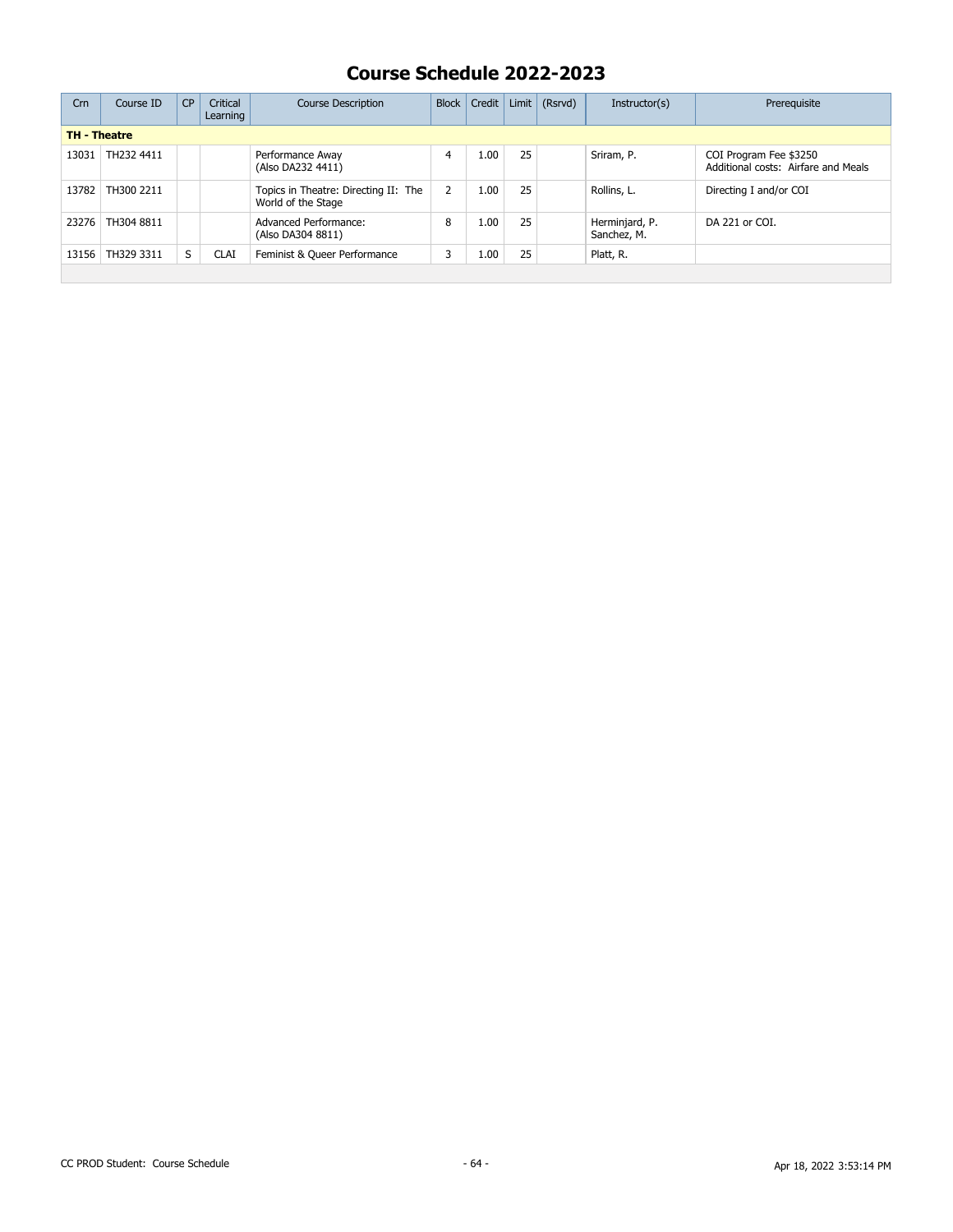| Crn                 | Course ID  | CP | Critical<br>Learning | <b>Course Description</b>                                  | <b>Block</b> | Credit | Limit | (Rsrvd) | Instructor(s)                 | Prerequisite                                                  |
|---------------------|------------|----|----------------------|------------------------------------------------------------|--------------|--------|-------|---------|-------------------------------|---------------------------------------------------------------|
| <b>TH - Theatre</b> |            |    |                      |                                                            |              |        |       |         |                               |                                                               |
| 13031               | TH232 4411 |    |                      | Performance Away<br>(Also DA232 4411)                      |              | 1.00   | 25    |         | Sriram, P.                    | COI Program Fee \$3250<br>Additional costs: Airfare and Meals |
| 13782               | TH300 2211 |    |                      | Topics in Theatre: Directing II: The<br>World of the Stage |              | 1.00   | 25    |         | Rollins, L.                   | Directing I and/or COI                                        |
| 23276               | TH304 8811 |    |                      | Advanced Performance:<br>(Also DA304 8811)                 | 8            | 1.00   | 25    |         | Herminjard, P.<br>Sanchez, M. | DA 221 or COI.                                                |
| 13156               | TH329 3311 | S  | <b>CLAI</b>          | Feminist & Queer Performance                               |              | 1.00   | 25    |         | Platt, R.                     |                                                               |
|                     |            |    |                      |                                                            |              |        |       |         |                               |                                                               |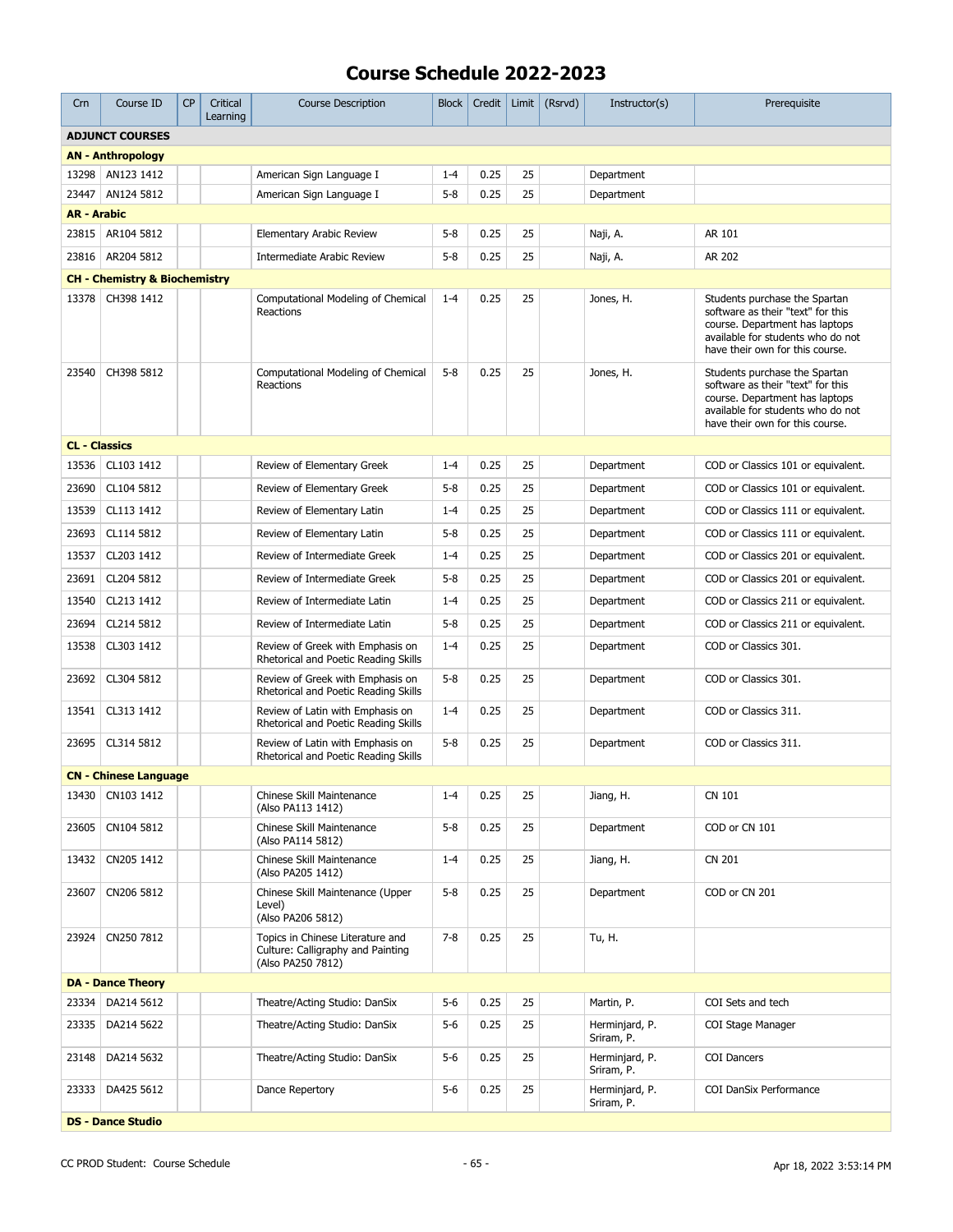| Crn                  | Course ID                                | <b>CP</b> | Critical<br>Learning | <b>Course Description</b>                                                                  | <b>Block</b> | Credit | Limit | (Rsrvd) | Instructor(s)                | Prerequisite                                                                                                                                                                 |
|----------------------|------------------------------------------|-----------|----------------------|--------------------------------------------------------------------------------------------|--------------|--------|-------|---------|------------------------------|------------------------------------------------------------------------------------------------------------------------------------------------------------------------------|
|                      | <b>ADJUNCT COURSES</b>                   |           |                      |                                                                                            |              |        |       |         |                              |                                                                                                                                                                              |
|                      | <b>AN - Anthropology</b>                 |           |                      |                                                                                            |              |        |       |         |                              |                                                                                                                                                                              |
| 13298                | AN123 1412                               |           |                      | American Sign Language I                                                                   | $1 - 4$      | 0.25   | 25    |         | Department                   |                                                                                                                                                                              |
| 23447                | AN124 5812                               |           |                      | American Sign Language I                                                                   | $5 - 8$      | 0.25   | 25    |         | Department                   |                                                                                                                                                                              |
| <b>AR - Arabic</b>   |                                          |           |                      |                                                                                            |              |        |       |         |                              |                                                                                                                                                                              |
|                      | 23815 AR104 5812                         |           |                      | Elementary Arabic Review                                                                   | $5 - 8$      | 0.25   | 25    |         | Naji, A.                     | AR 101                                                                                                                                                                       |
| 23816                | AR204 5812                               |           |                      | <b>Intermediate Arabic Review</b>                                                          | $5 - 8$      | 0.25   | 25    |         | Naji, A.                     | AR 202                                                                                                                                                                       |
|                      | <b>CH - Chemistry &amp; Biochemistry</b> |           |                      |                                                                                            |              |        |       |         |                              |                                                                                                                                                                              |
| 13378                | CH398 1412                               |           |                      | Computational Modeling of Chemical<br>Reactions                                            | $1 - 4$      | 0.25   | 25    |         | Jones, H.                    | Students purchase the Spartan<br>software as their "text" for this<br>course. Department has laptops<br>available for students who do not<br>have their own for this course. |
| 23540                | CH398 5812                               |           |                      | Computational Modeling of Chemical<br>Reactions                                            | $5 - 8$      | 0.25   | 25    |         | Jones, H.                    | Students purchase the Spartan<br>software as their "text" for this<br>course. Department has laptops<br>available for students who do not<br>have their own for this course. |
| <b>CL - Classics</b> |                                          |           |                      |                                                                                            |              |        |       |         |                              |                                                                                                                                                                              |
| 13536                | CL103 1412                               |           |                      | Review of Elementary Greek                                                                 | $1 - 4$      | 0.25   | 25    |         | Department                   | COD or Classics 101 or equivalent.                                                                                                                                           |
| 23690                | CL104 5812                               |           |                      | Review of Elementary Greek                                                                 | $5 - 8$      | 0.25   | 25    |         | Department                   | COD or Classics 101 or equivalent.                                                                                                                                           |
| 13539                | CL113 1412                               |           |                      | Review of Elementary Latin                                                                 | $1 - 4$      | 0.25   | 25    |         | Department                   | COD or Classics 111 or equivalent.                                                                                                                                           |
| 23693                | CL114 5812                               |           |                      | Review of Elementary Latin                                                                 | $5 - 8$      | 0.25   | 25    |         | Department                   | COD or Classics 111 or equivalent.                                                                                                                                           |
| 13537                | CL203 1412                               |           |                      | Review of Intermediate Greek                                                               | $1 - 4$      | 0.25   | 25    |         | Department                   | COD or Classics 201 or equivalent.                                                                                                                                           |
| 23691                | CL204 5812                               |           |                      | Review of Intermediate Greek                                                               | $5 - 8$      | 0.25   | 25    |         | Department                   | COD or Classics 201 or equivalent.                                                                                                                                           |
| 13540                | CL213 1412                               |           |                      | Review of Intermediate Latin                                                               | $1 - 4$      | 0.25   | 25    |         | Department                   | COD or Classics 211 or equivalent.                                                                                                                                           |
| 23694                | CL214 5812                               |           |                      | Review of Intermediate Latin                                                               | $5 - 8$      | 0.25   | 25    |         | Department                   | COD or Classics 211 or equivalent.                                                                                                                                           |
| 13538                | CL303 1412                               |           |                      | Review of Greek with Emphasis on<br>Rhetorical and Poetic Reading Skills                   | $1 - 4$      | 0.25   | 25    |         | Department                   | COD or Classics 301.                                                                                                                                                         |
| 23692                | CL304 5812                               |           |                      | Review of Greek with Emphasis on<br>Rhetorical and Poetic Reading Skills                   | $5 - 8$      | 0.25   | 25    |         | Department                   | COD or Classics 301.                                                                                                                                                         |
| 13541                | CL313 1412                               |           |                      | Review of Latin with Emphasis on<br>Rhetorical and Poetic Reading Skills                   | $1 - 4$      | 0.25   | 25    |         | Department                   | COD or Classics 311.                                                                                                                                                         |
| 23695                | CL314 5812                               |           |                      | Review of Latin with Emphasis on<br>Rhetorical and Poetic Reading Skills                   | $5 - 8$      | 0.25   | 25    |         | Department                   | COD or Classics 311.                                                                                                                                                         |
|                      | <b>CN - Chinese Language</b>             |           |                      |                                                                                            |              |        |       |         |                              |                                                                                                                                                                              |
|                      | 13430   CN103 1412                       |           |                      | Chinese Skill Maintenance<br>(Also PA113 1412)                                             | $1 - 4$      | 0.25   | 25    |         | Jiang, H.                    | CN 101                                                                                                                                                                       |
| 23605                | CN104 5812                               |           |                      | Chinese Skill Maintenance<br>(Also PA114 5812)                                             | $5 - 8$      | 0.25   | 25    |         | Department                   | COD or CN 101                                                                                                                                                                |
|                      | 13432   CN205 1412                       |           |                      | Chinese Skill Maintenance<br>(Also PA205 1412)                                             | $1 - 4$      | 0.25   | 25    |         | Jiang, H.                    | CN 201                                                                                                                                                                       |
| 23607                | CN206 5812                               |           |                      | Chinese Skill Maintenance (Upper<br>Level)<br>(Also PA206 5812)                            | $5 - 8$      | 0.25   | 25    |         | Department                   | COD or CN 201                                                                                                                                                                |
| 23924                | CN250 7812                               |           |                      | Topics in Chinese Literature and<br>Culture: Calligraphy and Painting<br>(Also PA250 7812) | $7 - 8$      | 0.25   | 25    |         | Tu, H.                       |                                                                                                                                                                              |
|                      | <b>DA - Dance Theory</b>                 |           |                      |                                                                                            |              |        |       |         |                              |                                                                                                                                                                              |
| 23334                | DA214 5612                               |           |                      | Theatre/Acting Studio: DanSix                                                              | $5-6$        | 0.25   | 25    |         | Martin, P.                   | COI Sets and tech                                                                                                                                                            |
| 23335                | DA214 5622                               |           |                      | Theatre/Acting Studio: DanSix                                                              | $5 - 6$      | 0.25   | 25    |         | Herminjard, P.<br>Sriram, P. | COI Stage Manager                                                                                                                                                            |
| 23148                | DA214 5632                               |           |                      | Theatre/Acting Studio: DanSix                                                              | $5-6$        | 0.25   | 25    |         | Herminjard, P.<br>Sriram, P. | <b>COI Dancers</b>                                                                                                                                                           |
| 23333                | DA425 5612                               |           |                      | Dance Repertory                                                                            | $5 - 6$      | 0.25   | 25    |         | Herminjard, P.<br>Sriram, P. | COI DanSix Performance                                                                                                                                                       |
|                      | <b>DS - Dance Studio</b>                 |           |                      |                                                                                            |              |        |       |         |                              |                                                                                                                                                                              |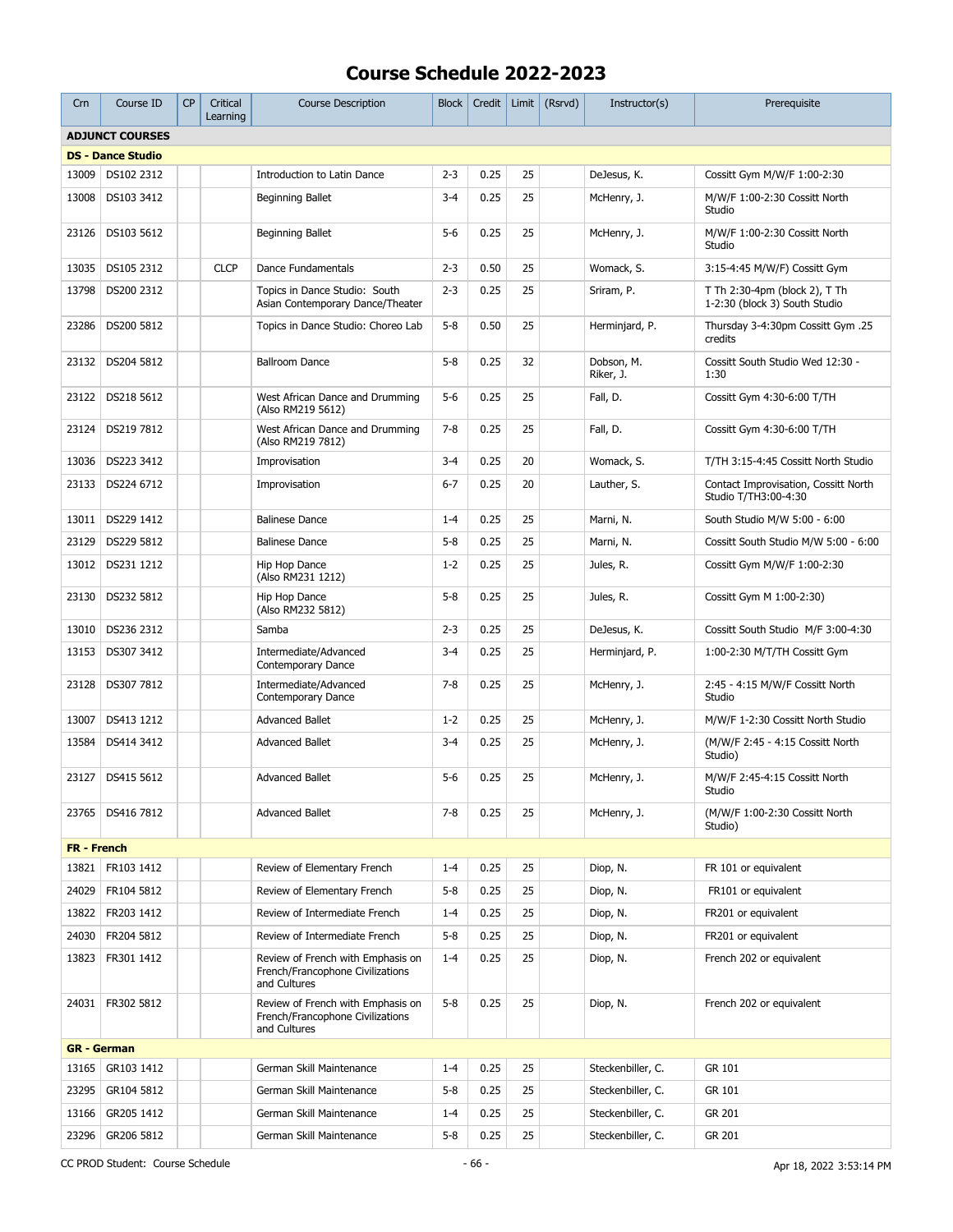| Crn                | Course ID                | CP | Critical<br>Learning | <b>Course Description</b>                                                             | <b>Block</b> | Credit | Limit | (Rsrvd) | Instructor(s)           | Prerequisite                                                   |
|--------------------|--------------------------|----|----------------------|---------------------------------------------------------------------------------------|--------------|--------|-------|---------|-------------------------|----------------------------------------------------------------|
|                    | <b>ADJUNCT COURSES</b>   |    |                      |                                                                                       |              |        |       |         |                         |                                                                |
|                    | <b>DS - Dance Studio</b> |    |                      |                                                                                       |              |        |       |         |                         |                                                                |
| 13009              | DS102 2312               |    |                      | Introduction to Latin Dance                                                           | $2 - 3$      | 0.25   | 25    |         | DeJesus, K.             | Cossitt Gvm M/W/F 1:00-2:30                                    |
| 13008              | DS103 3412               |    |                      | Beginning Ballet                                                                      | $3 - 4$      | 0.25   | 25    |         | McHenry, J.             | M/W/F 1:00-2:30 Cossitt North<br>Studio                        |
| 23126              | DS103 5612               |    |                      | Beginning Ballet                                                                      | $5-6$        | 0.25   | 25    |         | McHenry, J.             | M/W/F 1:00-2:30 Cossitt North<br>Studio                        |
| 13035              | DS105 2312               |    | <b>CLCP</b>          | Dance Fundamentals                                                                    | $2 - 3$      | 0.50   | 25    |         | Womack, S.              | 3:15-4:45 M/W/F) Cossitt Gym                                   |
| 13798              | DS200 2312               |    |                      | Topics in Dance Studio: South<br>Asian Contemporary Dance/Theater                     | $2 - 3$      | 0.25   | 25    |         | Sriram, P.              | T Th 2:30-4pm (block 2), T Th<br>1-2:30 (block 3) South Studio |
| 23286              | DS200 5812               |    |                      | Topics in Dance Studio: Choreo Lab                                                    | $5 - 8$      | 0.50   | 25    |         | Herminjard, P.          | Thursday 3-4:30pm Cossitt Gym .25<br>credits                   |
| 23132              | DS204 5812               |    |                      | <b>Ballroom Dance</b>                                                                 | $5 - 8$      | 0.25   | 32    |         | Dobson, M.<br>Riker, J. | Cossitt South Studio Wed 12:30 -<br>1:30                       |
| 23122              | DS218 5612               |    |                      | West African Dance and Drumming<br>(Also RM219 5612)                                  | $5-6$        | 0.25   | 25    |         | Fall, D.                | Cossitt Gym 4:30-6:00 T/TH                                     |
| 23124              | DS219 7812               |    |                      | West African Dance and Drumming<br>(Also RM219 7812)                                  | $7 - 8$      | 0.25   | 25    |         | Fall, D.                | Cossitt Gym 4:30-6:00 T/TH                                     |
| 13036              | DS223 3412               |    |                      | Improvisation                                                                         | $3 - 4$      | 0.25   | 20    |         | Womack, S.              | T/TH 3:15-4:45 Cossitt North Studio                            |
| 23133              | DS224 6712               |    |                      | Improvisation                                                                         | $6 - 7$      | 0.25   | 20    |         | Lauther, S.             | Contact Improvisation, Cossitt North<br>Studio T/TH3:00-4:30   |
| 13011              | DS229 1412               |    |                      | <b>Balinese Dance</b>                                                                 | $1 - 4$      | 0.25   | 25    |         | Marni, N.               | South Studio M/W 5:00 - 6:00                                   |
| 23129              | DS229 5812               |    |                      | <b>Balinese Dance</b>                                                                 | $5 - 8$      | 0.25   | 25    |         | Marni, N.               | Cossitt South Studio M/W 5:00 - 6:00                           |
| 13012              | DS231 1212               |    |                      | Hip Hop Dance<br>(Also RM231 1212)                                                    | $1 - 2$      | 0.25   | 25    |         | Jules, R.               | Cossitt Gym M/W/F 1:00-2:30                                    |
| 23130              | DS232 5812               |    |                      | Hip Hop Dance<br>(Also RM232 5812)                                                    | $5 - 8$      | 0.25   | 25    |         | Jules, R.               | Cossitt Gym M 1:00-2:30)                                       |
| 13010              | DS236 2312               |    |                      | Samba                                                                                 | $2 - 3$      | 0.25   | 25    |         | DeJesus, K.             | Cossitt South Studio M/F 3:00-4:30                             |
| 13153              | DS307 3412               |    |                      | Intermediate/Advanced<br>Contemporary Dance                                           | $3 - 4$      | 0.25   | 25    |         | Herminjard, P.          | 1:00-2:30 M/T/TH Cossitt Gym                                   |
| 23128              | DS307 7812               |    |                      | Intermediate/Advanced<br>Contemporary Dance                                           | $7 - 8$      | 0.25   | 25    |         | McHenry, J.             | 2:45 - 4:15 M/W/F Cossitt North<br>Studio                      |
| 13007              | DS413 1212               |    |                      | <b>Advanced Ballet</b>                                                                | $1 - 2$      | 0.25   | 25    |         | McHenry, J.             | M/W/F 1-2:30 Cossitt North Studio                              |
| 13584              | DS414 3412               |    |                      | <b>Advanced Ballet</b>                                                                | $3 - 4$      | 0.25   | 25    |         | McHenry, J.             | (M/W/F 2:45 - 4:15 Cossitt North<br>Studio)                    |
|                    | 23127   DS415 5612       |    |                      | <b>Advanced Ballet</b>                                                                | $5-6$        | 0.25   | 25    |         | McHenry, J.             | M/W/F 2:45-4:15 Cossitt North<br>Studio                        |
|                    | 23765   DS416 7812       |    |                      | <b>Advanced Ballet</b>                                                                | $7 - 8$      | 0.25   | 25    |         | McHenry, J.             | (M/W/F 1:00-2:30 Cossitt North<br>Studio)                      |
| <b>FR</b> - French |                          |    |                      |                                                                                       |              |        |       |         |                         |                                                                |
| 13821              | FR103 1412               |    |                      | Review of Elementary French                                                           | $1 - 4$      | 0.25   | 25    |         | Diop, N.                | FR 101 or equivalent                                           |
| 24029              | FR104 5812               |    |                      | Review of Elementary French                                                           | $5 - 8$      | 0.25   | 25    |         | Diop, N.                | FR101 or equivalent                                            |
| 13822              | FR203 1412               |    |                      | Review of Intermediate French                                                         | $1 - 4$      | 0.25   | 25    |         | Diop, N.                | FR201 or equivalent                                            |
| 24030              | FR204 5812               |    |                      | Review of Intermediate French                                                         | $5 - 8$      | 0.25   | 25    |         | Diop, N.                | FR201 or equivalent                                            |
| 13823              | FR301 1412               |    |                      | Review of French with Emphasis on<br>French/Francophone Civilizations<br>and Cultures | $1 - 4$      | 0.25   | 25    |         | Diop, N.                | French 202 or equivalent                                       |
|                    | 24031   FR302 5812       |    |                      | Review of French with Emphasis on<br>French/Francophone Civilizations<br>and Cultures | $5 - 8$      | 0.25   | 25    |         | Diop, N.                | French 202 or equivalent                                       |
|                    | <b>GR</b> - German       |    |                      |                                                                                       |              |        |       |         |                         |                                                                |
| 13165              | GR103 1412               |    |                      | German Skill Maintenance                                                              | $1 - 4$      | 0.25   | 25    |         | Steckenbiller, C.       | GR 101                                                         |
| 23295              | GR104 5812               |    |                      | German Skill Maintenance                                                              | $5 - 8$      | 0.25   | 25    |         | Steckenbiller, C.       | GR 101                                                         |
| 13166              | GR205 1412               |    |                      | German Skill Maintenance                                                              | $1 - 4$      | 0.25   | 25    |         | Steckenbiller, C.       | GR 201                                                         |
| 23296              | GR206 5812               |    |                      | German Skill Maintenance                                                              | $5 - 8$      | 0.25   | 25    |         | Steckenbiller, C.       | GR 201                                                         |
|                    |                          |    |                      |                                                                                       |              |        |       |         |                         |                                                                |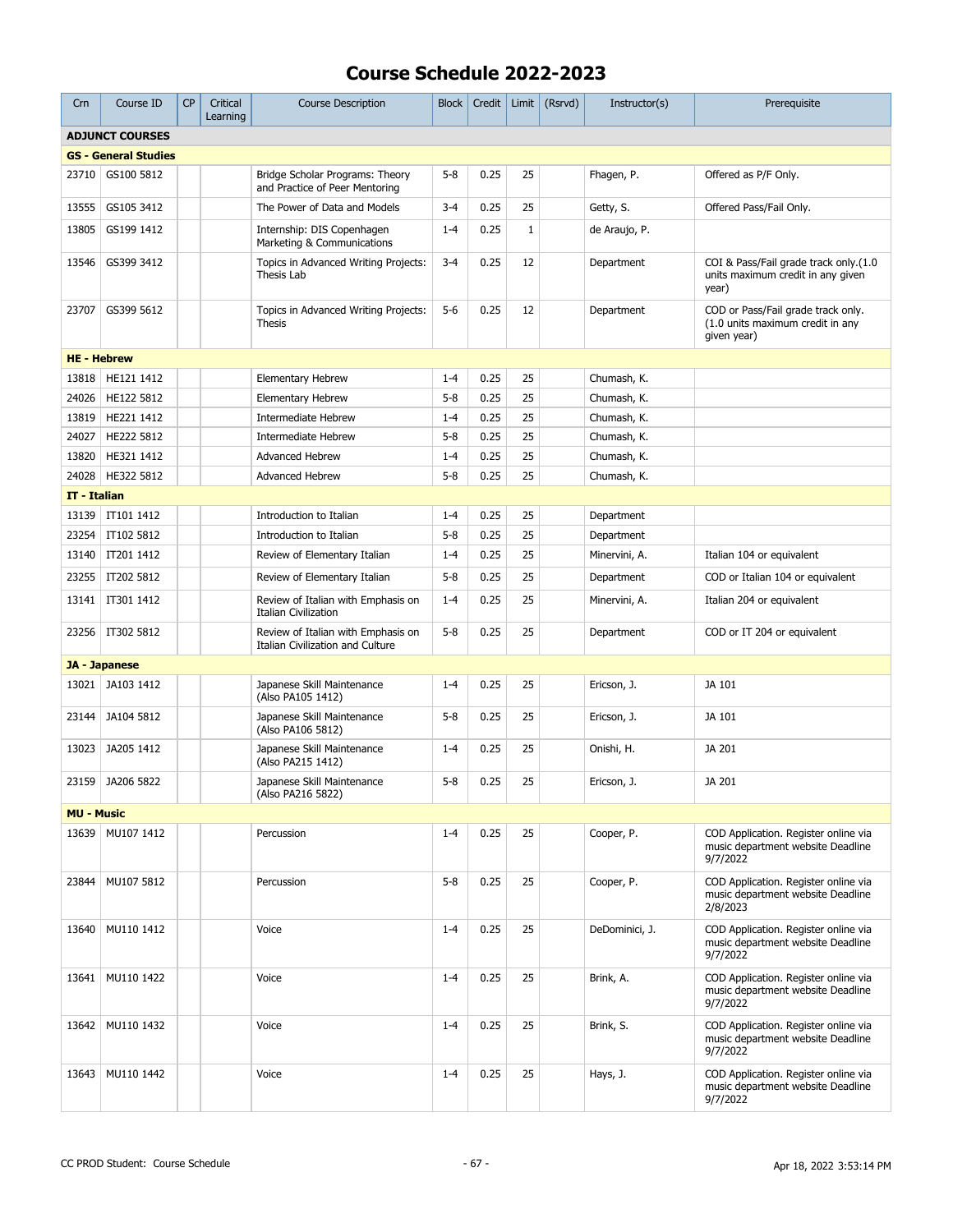| Crn                | Course ID                   | <b>CP</b> | Critical<br>Learning | <b>Course Description</b>                                              | <b>Block</b> | Credit | Limit       | (Rsrvd) | Instructor(s)  | Prerequisite                                                                          |
|--------------------|-----------------------------|-----------|----------------------|------------------------------------------------------------------------|--------------|--------|-------------|---------|----------------|---------------------------------------------------------------------------------------|
|                    | <b>ADJUNCT COURSES</b>      |           |                      |                                                                        |              |        |             |         |                |                                                                                       |
|                    | <b>GS - General Studies</b> |           |                      |                                                                        |              |        |             |         |                |                                                                                       |
| 23710              | GS100 5812                  |           |                      | Bridge Scholar Programs: Theory<br>and Practice of Peer Mentoring      | $5 - 8$      | 0.25   | 25          |         | Fhagen, P.     | Offered as P/F Only.                                                                  |
| 13555              | GS105 3412                  |           |                      | The Power of Data and Models                                           | $3 - 4$      | 0.25   | 25          |         | Getty, S.      | Offered Pass/Fail Only.                                                               |
| 13805              | GS199 1412                  |           |                      | Internship: DIS Copenhagen<br>Marketing & Communications               | $1 - 4$      | 0.25   | $\mathbf 1$ |         | de Araujo, P.  |                                                                                       |
| 13546              | GS399 3412                  |           |                      | Topics in Advanced Writing Projects:<br>Thesis Lab                     | $3 - 4$      | 0.25   | 12          |         | Department     | COI & Pass/Fail grade track only.(1.0<br>units maximum credit in any given<br>year)   |
| 23707              | GS399 5612                  |           |                      | Topics in Advanced Writing Projects:<br><b>Thesis</b>                  | $5-6$        | 0.25   | 12          |         | Department     | COD or Pass/Fail grade track only.<br>(1.0 units maximum credit in any<br>given year) |
| <b>HE - Hebrew</b> |                             |           |                      |                                                                        |              |        |             |         |                |                                                                                       |
| 13818              | HE121 1412                  |           |                      | <b>Elementary Hebrew</b>                                               | $1 - 4$      | 0.25   | 25          |         | Chumash, K.    |                                                                                       |
| 24026              | HE122 5812                  |           |                      | <b>Elementary Hebrew</b>                                               | $5 - 8$      | 0.25   | 25          |         | Chumash, K.    |                                                                                       |
| 13819              | HE221 1412                  |           |                      | <b>Intermediate Hebrew</b>                                             | $1 - 4$      | 0.25   | 25          |         | Chumash, K.    |                                                                                       |
| 24027              | HE222 5812                  |           |                      | Intermediate Hebrew                                                    | $5 - 8$      | 0.25   | 25          |         | Chumash, K.    |                                                                                       |
| 13820              | HE321 1412                  |           |                      | <b>Advanced Hebrew</b>                                                 | $1 - 4$      | 0.25   | 25          |         | Chumash, K.    |                                                                                       |
| 24028              | HE322 5812                  |           |                      | Advanced Hebrew                                                        | $5 - 8$      | 0.25   | 25          |         | Chumash, K.    |                                                                                       |
| IT - Italian       |                             |           |                      |                                                                        |              |        |             |         |                |                                                                                       |
| 13139              | IT101 1412                  |           |                      | Introduction to Italian                                                | $1 - 4$      | 0.25   | 25          |         | Department     |                                                                                       |
| 23254              | IT102 5812                  |           |                      | Introduction to Italian                                                | $5 - 8$      | 0.25   | 25          |         | Department     |                                                                                       |
| 13140              | IT201 1412                  |           |                      | Review of Elementary Italian                                           | $1 - 4$      | 0.25   | 25          |         | Minervini, A.  | Italian 104 or equivalent                                                             |
| 23255              | IT202 5812                  |           |                      | Review of Elementary Italian                                           | $5 - 8$      | 0.25   | 25          |         | Department     | COD or Italian 104 or equivalent                                                      |
| 13141              | IT301 1412                  |           |                      | Review of Italian with Emphasis on<br><b>Italian Civilization</b>      | $1 - 4$      | 0.25   | 25          |         | Minervini, A.  | Italian 204 or equivalent                                                             |
| 23256              | IT302 5812                  |           |                      | Review of Italian with Emphasis on<br>Italian Civilization and Culture | $5 - 8$      | 0.25   | 25          |         | Department     | COD or IT 204 or equivalent                                                           |
|                    | JA - Japanese               |           |                      |                                                                        |              |        |             |         |                |                                                                                       |
| 13021              | JA103 1412                  |           |                      | Japanese Skill Maintenance<br>(Also PA105 1412)                        | $1 - 4$      | 0.25   | 25          |         | Ericson, J.    | JA 101                                                                                |
| 23144              | JA104 5812                  |           |                      | Japanese Skill Maintenance<br>(Also PA106 5812)                        | $5 - 8$      | 0.25   | 25          |         | Ericson, J.    | JA 101                                                                                |
| 13023              | JA205 1412                  |           |                      | Japanese Skill Maintenance<br>(Also PA215 1412)                        | $1 - 4$      | 0.25   | 25          |         | Onishi, H.     | JA 201                                                                                |
| 23159              | JA206 5822                  |           |                      | Japanese Skill Maintenance<br>(Also PA216 5822)                        | $5 - 8$      | 0.25   | 25          |         | Ericson, J.    | JA 201                                                                                |
| <b>MU - Music</b>  |                             |           |                      |                                                                        |              |        |             |         |                |                                                                                       |
| 13639              | MU107 1412                  |           |                      | Percussion                                                             | $1 - 4$      | 0.25   | 25          |         | Cooper, P.     | COD Application. Register online via<br>music department website Deadline<br>9/7/2022 |
| 23844              | MU107 5812                  |           |                      | Percussion                                                             | $5-8$        | 0.25   | 25          |         | Cooper, P.     | COD Application. Register online via<br>music department website Deadline<br>2/8/2023 |
| 13640              | MU110 1412                  |           |                      | Voice                                                                  | $1 - 4$      | 0.25   | 25          |         | DeDominici, J. | COD Application. Register online via<br>music department website Deadline<br>9/7/2022 |
| 13641              | MU110 1422                  |           |                      | Voice                                                                  | $1 - 4$      | 0.25   | 25          |         | Brink, A.      | COD Application. Register online via<br>music department website Deadline<br>9/7/2022 |
| 13642              | MU110 1432                  |           |                      | Voice                                                                  | $1 - 4$      | 0.25   | 25          |         | Brink, S.      | COD Application. Register online via<br>music department website Deadline<br>9/7/2022 |
| 13643              | MU110 1442                  |           |                      | Voice                                                                  | $1 - 4$      | 0.25   | 25          |         | Hays, J.       | COD Application. Register online via<br>music department website Deadline<br>9/7/2022 |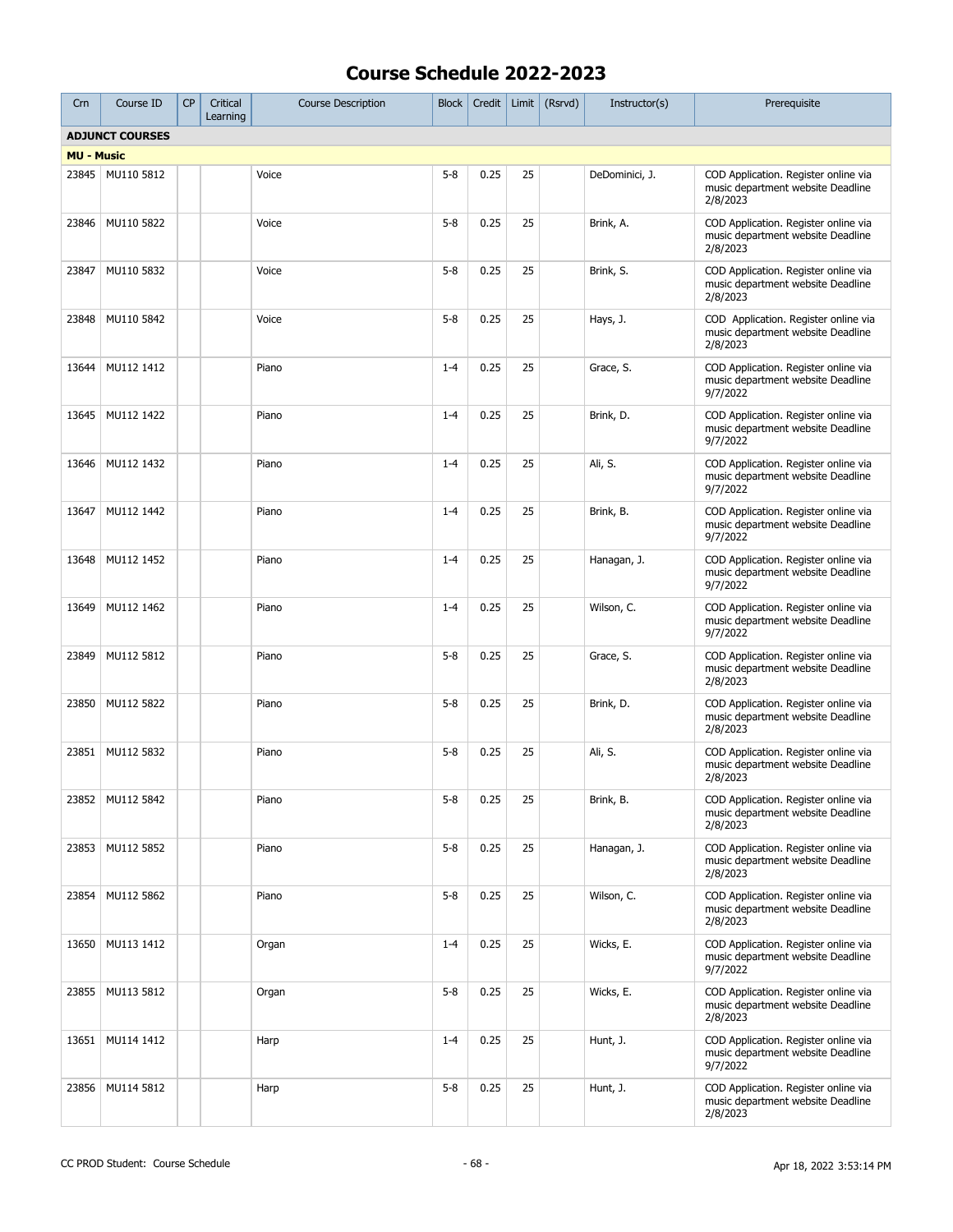| Crn               | Course ID              | CP | Critical<br>Learning | <b>Course Description</b> | <b>Block</b> | Credit | Limit | (Rsrvd) | Instructor(s)  | Prerequisite                                                                          |
|-------------------|------------------------|----|----------------------|---------------------------|--------------|--------|-------|---------|----------------|---------------------------------------------------------------------------------------|
|                   | <b>ADJUNCT COURSES</b> |    |                      |                           |              |        |       |         |                |                                                                                       |
| <b>MU - Music</b> |                        |    |                      |                           |              |        |       |         |                |                                                                                       |
| 23845             | MU110 5812             |    |                      | Voice                     | $5 - 8$      | 0.25   | 25    |         | DeDominici, J. | COD Application. Register online via<br>music department website Deadline<br>2/8/2023 |
| 23846             | MU110 5822             |    |                      | Voice                     | $5 - 8$      | 0.25   | 25    |         | Brink, A.      | COD Application. Register online via<br>music department website Deadline<br>2/8/2023 |
| 23847             | MU110 5832             |    |                      | Voice                     | $5 - 8$      | 0.25   | 25    |         | Brink, S.      | COD Application. Register online via<br>music department website Deadline<br>2/8/2023 |
| 23848             | MU110 5842             |    |                      | Voice                     | $5 - 8$      | 0.25   | 25    |         | Hays, J.       | COD Application. Register online via<br>music department website Deadline<br>2/8/2023 |
| 13644             | MU112 1412             |    |                      | Piano                     | $1 - 4$      | 0.25   | 25    |         | Grace, S.      | COD Application. Register online via<br>music department website Deadline<br>9/7/2022 |
| 13645             | MU112 1422             |    |                      | Piano                     | $1 - 4$      | 0.25   | 25    |         | Brink, D.      | COD Application. Register online via<br>music department website Deadline<br>9/7/2022 |
| 13646             | MU112 1432             |    |                      | Piano                     | $1 - 4$      | 0.25   | 25    |         | Ali, S.        | COD Application. Register online via<br>music department website Deadline<br>9/7/2022 |
| 13647             | MU112 1442             |    |                      | Piano                     | $1 - 4$      | 0.25   | 25    |         | Brink, B.      | COD Application. Register online via<br>music department website Deadline<br>9/7/2022 |
| 13648             | MU112 1452             |    |                      | Piano                     | $1 - 4$      | 0.25   | 25    |         | Hanagan, J.    | COD Application. Register online via<br>music department website Deadline<br>9/7/2022 |
| 13649             | MU112 1462             |    |                      | Piano                     | $1 - 4$      | 0.25   | 25    |         | Wilson, C.     | COD Application. Register online via<br>music department website Deadline<br>9/7/2022 |
| 23849             | MU112 5812             |    |                      | Piano                     | $5 - 8$      | 0.25   | 25    |         | Grace, S.      | COD Application. Register online via<br>music department website Deadline<br>2/8/2023 |
| 23850             | MU112 5822             |    |                      | Piano                     | $5 - 8$      | 0.25   | 25    |         | Brink, D.      | COD Application. Register online via<br>music department website Deadline<br>2/8/2023 |
| 23851             | MU112 5832             |    |                      | Piano                     | $5 - 8$      | 0.25   | 25    |         | Ali, S.        | COD Application. Register online via<br>music department website Deadline<br>2/8/2023 |
|                   | 23852 MU112 5842       |    |                      | Piano                     | $5 - 8$      | 0.25   | 25    |         | Brink, B.      | COD Application. Register online via<br>music department website Deadline<br>2/8/2023 |
| 23853             | MU112 5852             |    |                      | Piano                     | $5 - 8$      | 0.25   | 25    |         | Hanagan, J.    | COD Application. Register online via<br>music department website Deadline<br>2/8/2023 |
| 23854             | MU112 5862             |    |                      | Piano                     | $5 - 8$      | 0.25   | 25    |         | Wilson, C.     | COD Application. Register online via<br>music department website Deadline<br>2/8/2023 |
| 13650             | MU113 1412             |    |                      | Organ                     | $1 - 4$      | 0.25   | 25    |         | Wicks, E.      | COD Application. Register online via<br>music department website Deadline<br>9/7/2022 |
| 23855             | MU113 5812             |    |                      | Organ                     | $5 - 8$      | 0.25   | 25    |         | Wicks, E.      | COD Application. Register online via<br>music department website Deadline<br>2/8/2023 |
| 13651             | MU114 1412             |    |                      | Harp                      | $1 - 4$      | 0.25   | 25    |         | Hunt, J.       | COD Application. Register online via<br>music department website Deadline<br>9/7/2022 |
| 23856             | MU114 5812             |    |                      | Harp                      | $5 - 8$      | 0.25   | 25    |         | Hunt, J.       | COD Application. Register online via<br>music department website Deadline<br>2/8/2023 |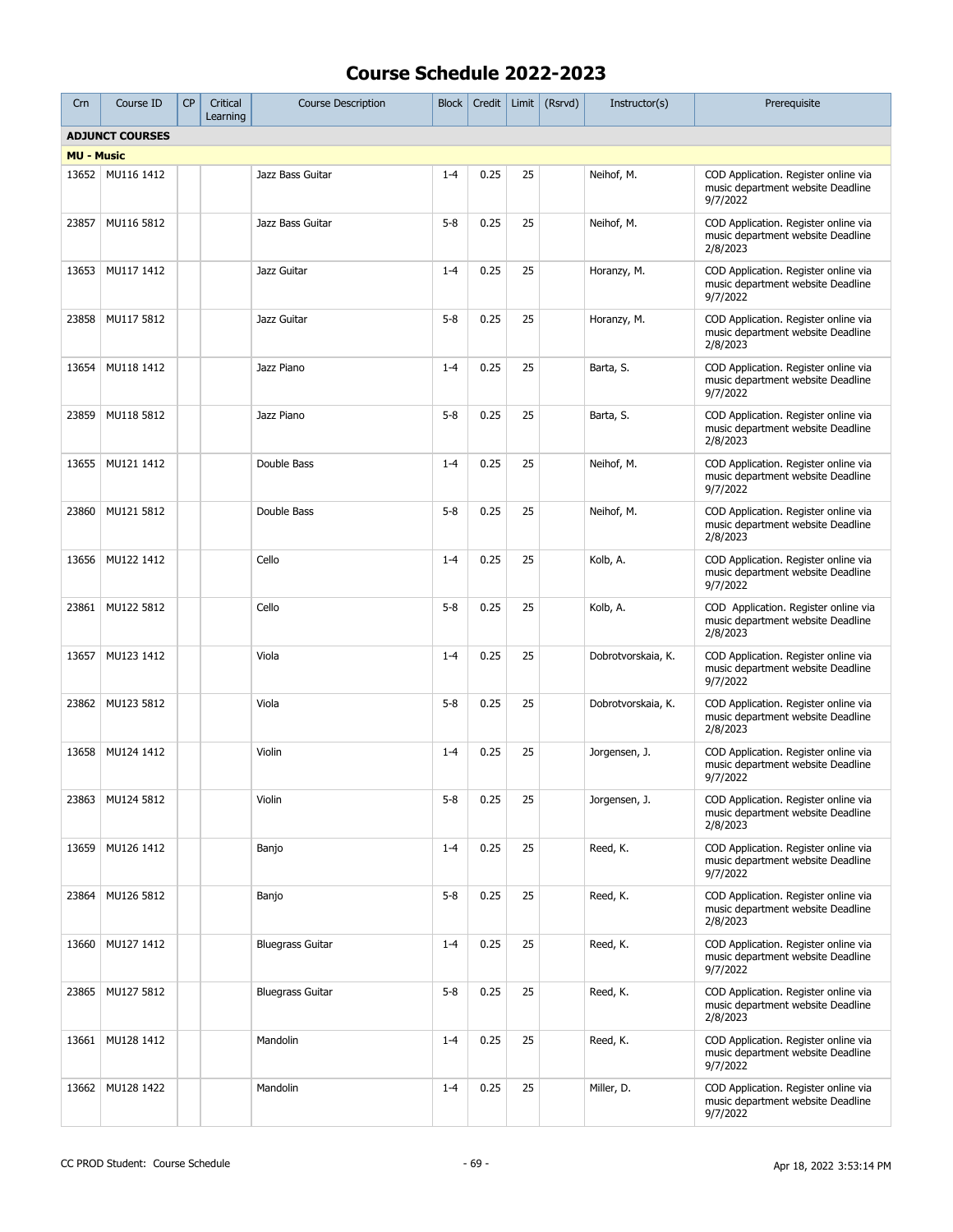| Crn               | Course ID              | <b>CP</b> | Critical<br>Learning | <b>Course Description</b> | <b>Block</b> | Credit | Limit | (Rsrvd) | Instructor(s)      | Prerequisite                                                                          |
|-------------------|------------------------|-----------|----------------------|---------------------------|--------------|--------|-------|---------|--------------------|---------------------------------------------------------------------------------------|
|                   | <b>ADJUNCT COURSES</b> |           |                      |                           |              |        |       |         |                    |                                                                                       |
| <b>MU - Music</b> |                        |           |                      |                           |              |        |       |         |                    |                                                                                       |
|                   | 13652 MU116 1412       |           |                      | Jazz Bass Guitar          | $1 - 4$      | 0.25   | 25    |         | Neihof, M.         | COD Application. Register online via<br>music department website Deadline<br>9/7/2022 |
| 23857             | MU116 5812             |           |                      | Jazz Bass Guitar          | $5 - 8$      | 0.25   | 25    |         | Neihof, M.         | COD Application. Register online via<br>music department website Deadline<br>2/8/2023 |
| 13653             | MU117 1412             |           |                      | Jazz Guitar               | $1 - 4$      | 0.25   | 25    |         | Horanzy, M.        | COD Application. Register online via<br>music department website Deadline<br>9/7/2022 |
| 23858             | MU117 5812             |           |                      | Jazz Guitar               | $5 - 8$      | 0.25   | 25    |         | Horanzy, M.        | COD Application. Register online via<br>music department website Deadline<br>2/8/2023 |
| 13654             | MU118 1412             |           |                      | Jazz Piano                | $1 - 4$      | 0.25   | 25    |         | Barta, S.          | COD Application. Register online via<br>music department website Deadline<br>9/7/2022 |
| 23859             | MU118 5812             |           |                      | Jazz Piano                | $5 - 8$      | 0.25   | 25    |         | Barta, S.          | COD Application. Register online via<br>music department website Deadline<br>2/8/2023 |
| 13655             | MU121 1412             |           |                      | Double Bass               | $1 - 4$      | 0.25   | 25    |         | Neihof, M.         | COD Application. Register online via<br>music department website Deadline<br>9/7/2022 |
| 23860             | MU121 5812             |           |                      | Double Bass               | $5 - 8$      | 0.25   | 25    |         | Neihof, M.         | COD Application. Register online via<br>music department website Deadline<br>2/8/2023 |
| 13656             | MU122 1412             |           |                      | Cello                     | $1 - 4$      | 0.25   | 25    |         | Kolb, A.           | COD Application. Register online via<br>music department website Deadline<br>9/7/2022 |
| 23861             | MU122 5812             |           |                      | Cello                     | $5 - 8$      | 0.25   | 25    |         | Kolb, A.           | COD Application. Register online via<br>music department website Deadline<br>2/8/2023 |
| 13657             | MU123 1412             |           |                      | Viola                     | $1 - 4$      | 0.25   | 25    |         | Dobrotvorskaia, K. | COD Application. Register online via<br>music department website Deadline<br>9/7/2022 |
| 23862             | MU123 5812             |           |                      | Viola                     | $5 - 8$      | 0.25   | 25    |         | Dobrotvorskaia, K. | COD Application. Register online via<br>music department website Deadline<br>2/8/2023 |
| 13658             | MU124 1412             |           |                      | Violin                    | $1 - 4$      | 0.25   | 25    |         | Jorgensen, J.      | COD Application. Register online via<br>music department website Deadline<br>9/7/2022 |
|                   | 23863 MU124 5812       |           |                      | Violin                    | $5 - 8$      | 0.25   | 25    |         | Jorgensen, J.      | COD Application. Register online via<br>music department website Deadline<br>2/8/2023 |
| 13659             | MU126 1412             |           |                      | Banjo                     | $1 - 4$      | 0.25   | 25    |         | Reed, K.           | COD Application. Register online via<br>music department website Deadline<br>9/7/2022 |
| 23864             | MU126 5812             |           |                      | Banjo                     | $5 - 8$      | 0.25   | 25    |         | Reed, K.           | COD Application. Register online via<br>music department website Deadline<br>2/8/2023 |
| 13660             | MU127 1412             |           |                      | <b>Bluegrass Guitar</b>   | $1 - 4$      | 0.25   | 25    |         | Reed, K.           | COD Application. Register online via<br>music department website Deadline<br>9/7/2022 |
| 23865             | MU127 5812             |           |                      | <b>Bluegrass Guitar</b>   | $5 - 8$      | 0.25   | 25    |         | Reed, K.           | COD Application. Register online via<br>music department website Deadline<br>2/8/2023 |
| 13661             | MU128 1412             |           |                      | Mandolin                  | $1 - 4$      | 0.25   | 25    |         | Reed, K.           | COD Application. Register online via<br>music department website Deadline<br>9/7/2022 |
| 13662             | MU128 1422             |           |                      | Mandolin                  | $1 - 4$      | 0.25   | 25    |         | Miller, D.         | COD Application. Register online via<br>music department website Deadline<br>9/7/2022 |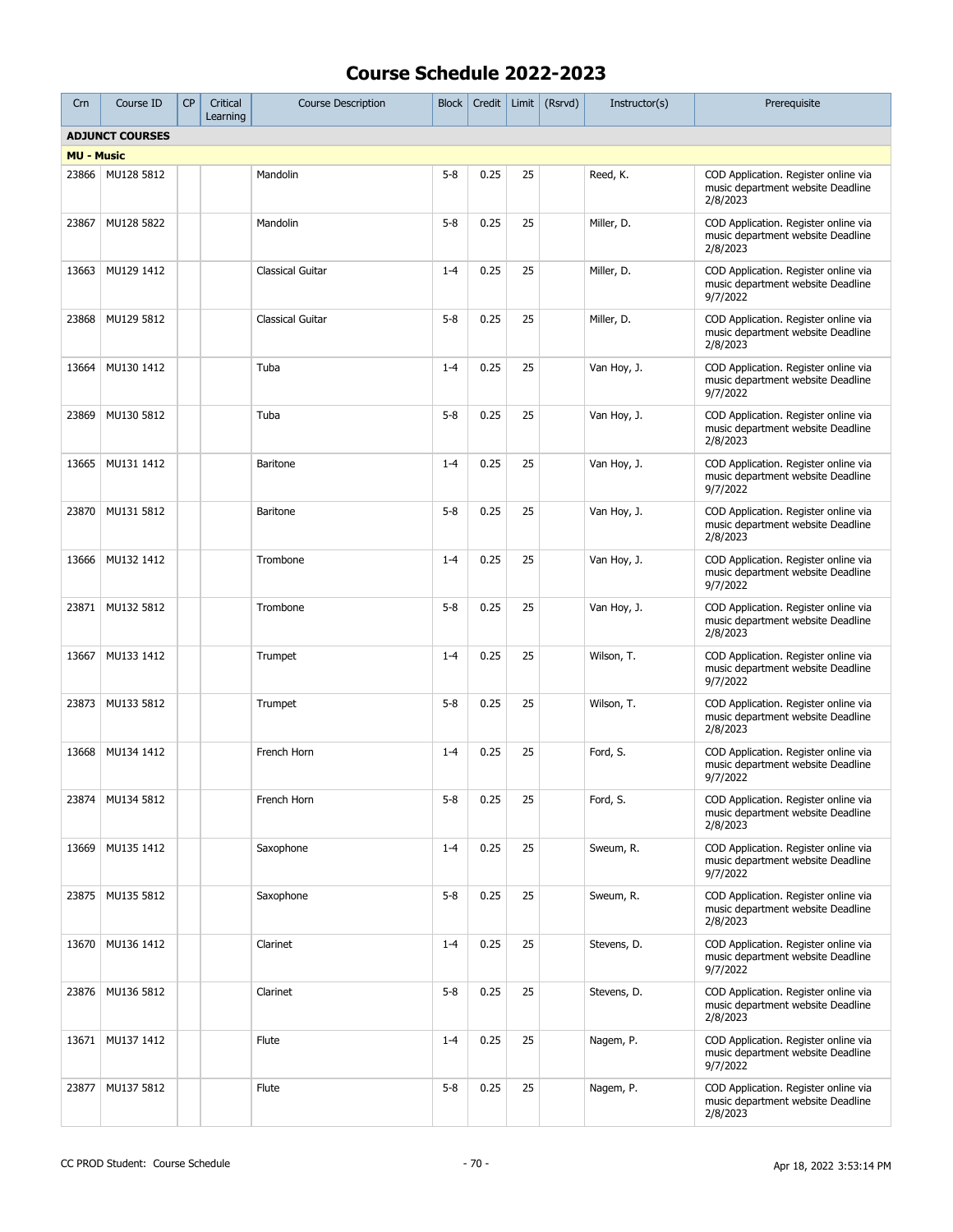| Crn               | Course ID              | <b>CP</b> | Critical<br>Learning | <b>Course Description</b> | <b>Block</b> | Credit | Limit | (Rsrvd) | Instructor(s) | Prerequisite                                                                          |
|-------------------|------------------------|-----------|----------------------|---------------------------|--------------|--------|-------|---------|---------------|---------------------------------------------------------------------------------------|
|                   | <b>ADJUNCT COURSES</b> |           |                      |                           |              |        |       |         |               |                                                                                       |
| <b>MU - Music</b> |                        |           |                      |                           |              |        |       |         |               |                                                                                       |
| 23866             | MU128 5812             |           |                      | Mandolin                  | $5 - 8$      | 0.25   | 25    |         | Reed, K.      | COD Application. Register online via<br>music department website Deadline<br>2/8/2023 |
| 23867             | MU128 5822             |           |                      | Mandolin                  | $5 - 8$      | 0.25   | 25    |         | Miller, D.    | COD Application. Register online via<br>music department website Deadline<br>2/8/2023 |
| 13663             | MU129 1412             |           |                      | Classical Guitar          | $1 - 4$      | 0.25   | 25    |         | Miller, D.    | COD Application. Register online via<br>music department website Deadline<br>9/7/2022 |
| 23868             | MU129 5812             |           |                      | Classical Guitar          | $5 - 8$      | 0.25   | 25    |         | Miller, D.    | COD Application. Register online via<br>music department website Deadline<br>2/8/2023 |
| 13664             | MU130 1412             |           |                      | Tuba                      | $1 - 4$      | 0.25   | 25    |         | Van Hoy, J.   | COD Application. Register online via<br>music department website Deadline<br>9/7/2022 |
| 23869             | MU130 5812             |           |                      | Tuba                      | $5 - 8$      | 0.25   | 25    |         | Van Hoy, J.   | COD Application. Register online via<br>music department website Deadline<br>2/8/2023 |
| 13665             | MU131 1412             |           |                      | <b>Baritone</b>           | $1 - 4$      | 0.25   | 25    |         | Van Hoy, J.   | COD Application. Register online via<br>music department website Deadline<br>9/7/2022 |
| 23870             | MU131 5812             |           |                      | <b>Baritone</b>           | $5 - 8$      | 0.25   | 25    |         | Van Hoy, J.   | COD Application. Register online via<br>music department website Deadline<br>2/8/2023 |
| 13666             | MU132 1412             |           |                      | Trombone                  | $1 - 4$      | 0.25   | 25    |         | Van Hoy, J.   | COD Application. Register online via<br>music department website Deadline<br>9/7/2022 |
| 23871             | MU132 5812             |           |                      | Trombone                  | $5 - 8$      | 0.25   | 25    |         | Van Hoy, J.   | COD Application. Register online via<br>music department website Deadline<br>2/8/2023 |
| 13667             | MU133 1412             |           |                      | Trumpet                   | $1 - 4$      | 0.25   | 25    |         | Wilson, T.    | COD Application. Register online via<br>music department website Deadline<br>9/7/2022 |
| 23873             | MU133 5812             |           |                      | Trumpet                   | $5 - 8$      | 0.25   | 25    |         | Wilson, T.    | COD Application. Register online via<br>music department website Deadline<br>2/8/2023 |
| 13668             | MU134 1412             |           |                      | French Horn               | $1 - 4$      | 0.25   | 25    |         | Ford, S.      | COD Application. Register online via<br>music department website Deadline<br>9/7/2022 |
|                   | 23874   MU134 5812     |           |                      | French Horn               | $5 - 8$      | 0.25   | 25    |         | Ford, S.      | COD Application. Register online via<br>music department website Deadline<br>2/8/2023 |
| 13669             | MU135 1412             |           |                      | Saxophone                 | $1 - 4$      | 0.25   | 25    |         | Sweum, R.     | COD Application. Register online via<br>music department website Deadline<br>9/7/2022 |
| 23875             | MU135 5812             |           |                      | Saxophone                 | $5 - 8$      | 0.25   | 25    |         | Sweum, R.     | COD Application. Register online via<br>music department website Deadline<br>2/8/2023 |
| 13670             | MU136 1412             |           |                      | Clarinet                  | $1 - 4$      | 0.25   | 25    |         | Stevens, D.   | COD Application. Register online via<br>music department website Deadline<br>9/7/2022 |
| 23876             | MU136 5812             |           |                      | Clarinet                  | $5 - 8$      | 0.25   | 25    |         | Stevens, D.   | COD Application. Register online via<br>music department website Deadline<br>2/8/2023 |
| 13671             | MU137 1412             |           |                      | Flute                     | $1 - 4$      | 0.25   | 25    |         | Nagem, P.     | COD Application. Register online via<br>music department website Deadline<br>9/7/2022 |
| 23877             | MU137 5812             |           |                      | Flute                     | $5 - 8$      | 0.25   | 25    |         | Nagem, P.     | COD Application. Register online via<br>music department website Deadline<br>2/8/2023 |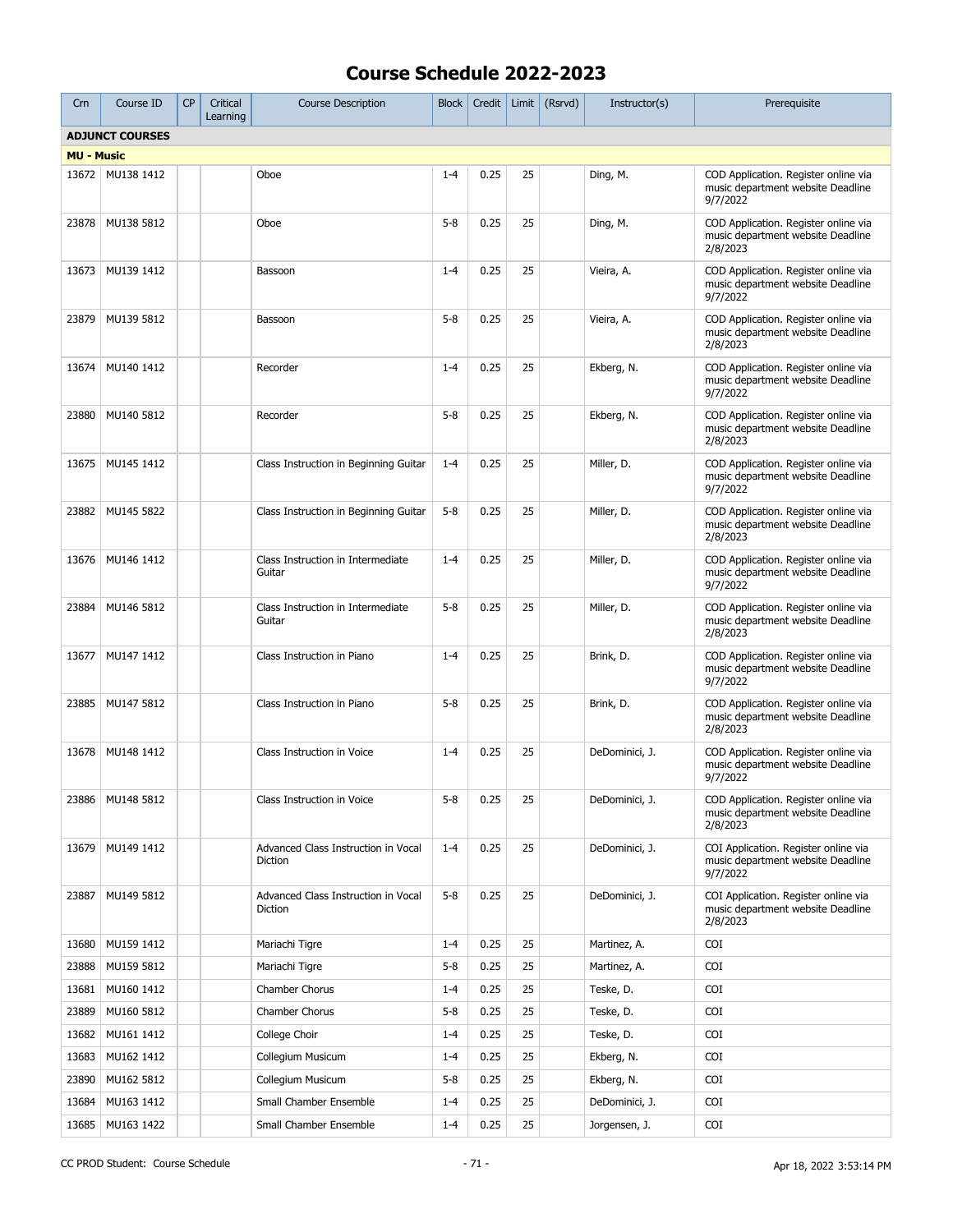| Crn                    | Course ID          | <b>CP</b> | Critical<br>Learning | <b>Course Description</b>                      | <b>Block</b> | Credit | Limit | (Rsrvd) | Instructor(s)  | Prerequisite                                                                          |
|------------------------|--------------------|-----------|----------------------|------------------------------------------------|--------------|--------|-------|---------|----------------|---------------------------------------------------------------------------------------|
| <b>ADJUNCT COURSES</b> |                    |           |                      |                                                |              |        |       |         |                |                                                                                       |
| <b>MU - Music</b>      |                    |           |                      |                                                |              |        |       |         |                |                                                                                       |
|                        | 13672   MU138 1412 |           |                      | Oboe                                           | $1 - 4$      | 0.25   | 25    |         | Ding, M.       | COD Application. Register online via<br>music department website Deadline<br>9/7/2022 |
| 23878                  | MU138 5812         |           |                      | Oboe                                           | $5 - 8$      | 0.25   | 25    |         | Ding, M.       | COD Application. Register online via<br>music department website Deadline<br>2/8/2023 |
| 13673                  | MU139 1412         |           |                      | Bassoon                                        | $1 - 4$      | 0.25   | 25    |         | Vieira, A.     | COD Application. Register online via<br>music department website Deadline<br>9/7/2022 |
| 23879                  | MU139 5812         |           |                      | Bassoon                                        | $5 - 8$      | 0.25   | 25    |         | Vieira, A.     | COD Application. Register online via<br>music department website Deadline<br>2/8/2023 |
| 13674                  | MU140 1412         |           |                      | Recorder                                       | $1 - 4$      | 0.25   | 25    |         | Ekberg, N.     | COD Application. Register online via<br>music department website Deadline<br>9/7/2022 |
| 23880                  | MU140 5812         |           |                      | Recorder                                       | $5 - 8$      | 0.25   | 25    |         | Ekberg, N.     | COD Application. Register online via<br>music department website Deadline<br>2/8/2023 |
| 13675                  | MU145 1412         |           |                      | Class Instruction in Beginning Guitar          | $1 - 4$      | 0.25   | 25    |         | Miller, D.     | COD Application. Register online via<br>music department website Deadline<br>9/7/2022 |
| 23882                  | MU145 5822         |           |                      | Class Instruction in Beginning Guitar          | $5 - 8$      | 0.25   | 25    |         | Miller, D.     | COD Application. Register online via<br>music department website Deadline<br>2/8/2023 |
| 13676                  | MU146 1412         |           |                      | Class Instruction in Intermediate<br>Guitar    | $1 - 4$      | 0.25   | 25    |         | Miller, D.     | COD Application. Register online via<br>music department website Deadline<br>9/7/2022 |
| 23884                  | MU146 5812         |           |                      | Class Instruction in Intermediate<br>Guitar    | $5 - 8$      | 0.25   | 25    |         | Miller, D.     | COD Application. Register online via<br>music department website Deadline<br>2/8/2023 |
| 13677                  | MU147 1412         |           |                      | Class Instruction in Piano                     | $1 - 4$      | 0.25   | 25    |         | Brink, D.      | COD Application. Register online via<br>music department website Deadline<br>9/7/2022 |
| 23885                  | MU147 5812         |           |                      | Class Instruction in Piano                     | $5 - 8$      | 0.25   | 25    |         | Brink, D.      | COD Application. Register online via<br>music department website Deadline<br>2/8/2023 |
| 13678                  | MU148 1412         |           |                      | Class Instruction in Voice                     | $1 - 4$      | 0.25   | 25    |         | DeDominici, J. | COD Application. Register online via<br>music department website Deadline<br>9/7/2022 |
|                        | 23886 MU148 5812   |           |                      | Class Instruction in Voice                     | $5 - 8$      | 0.25   | 25    |         | DeDominici, J. | COD Application. Register online via<br>music department website Deadline<br>2/8/2023 |
| 13679                  | MU149 1412         |           |                      | Advanced Class Instruction in Vocal<br>Diction | $1 - 4$      | 0.25   | 25    |         | DeDominici, J. | COI Application. Register online via<br>music department website Deadline<br>9/7/2022 |
| 23887                  | MU149 5812         |           |                      | Advanced Class Instruction in Vocal<br>Diction | $5 - 8$      | 0.25   | 25    |         | DeDominici, J. | COI Application. Register online via<br>music department website Deadline<br>2/8/2023 |
| 13680                  | MU159 1412         |           |                      | Mariachi Tigre                                 | $1 - 4$      | 0.25   | 25    |         | Martinez, A.   | COI                                                                                   |
| 23888                  | MU159 5812         |           |                      | Mariachi Tigre                                 | $5 - 8$      | 0.25   | 25    |         | Martinez, A.   | COI                                                                                   |
| 13681                  | MU160 1412         |           |                      | Chamber Chorus                                 | $1 - 4$      | 0.25   | 25    |         | Teske, D.      | COI                                                                                   |
| 23889                  | MU160 5812         |           |                      | Chamber Chorus                                 | $5 - 8$      | 0.25   | 25    |         | Teske, D.      | COI                                                                                   |
| 13682                  | MU161 1412         |           |                      | College Choir                                  | $1 - 4$      | 0.25   | 25    |         | Teske, D.      | COI                                                                                   |
| 13683                  | MU162 1412         |           |                      | Collegium Musicum                              | $1 - 4$      | 0.25   | 25    |         | Ekberg, N.     | COI                                                                                   |
| 23890                  | MU162 5812         |           |                      | Collegium Musicum                              | $5 - 8$      | 0.25   | 25    |         | Ekberg, N.     | COI                                                                                   |
| 13684                  | MU163 1412         |           |                      | Small Chamber Ensemble                         | $1 - 4$      | 0.25   | 25    |         | DeDominici, J. | COI                                                                                   |
| 13685                  | MU163 1422         |           |                      | Small Chamber Ensemble                         | $1 - 4$      | 0.25   | 25    |         | Jorgensen, J.  | COI                                                                                   |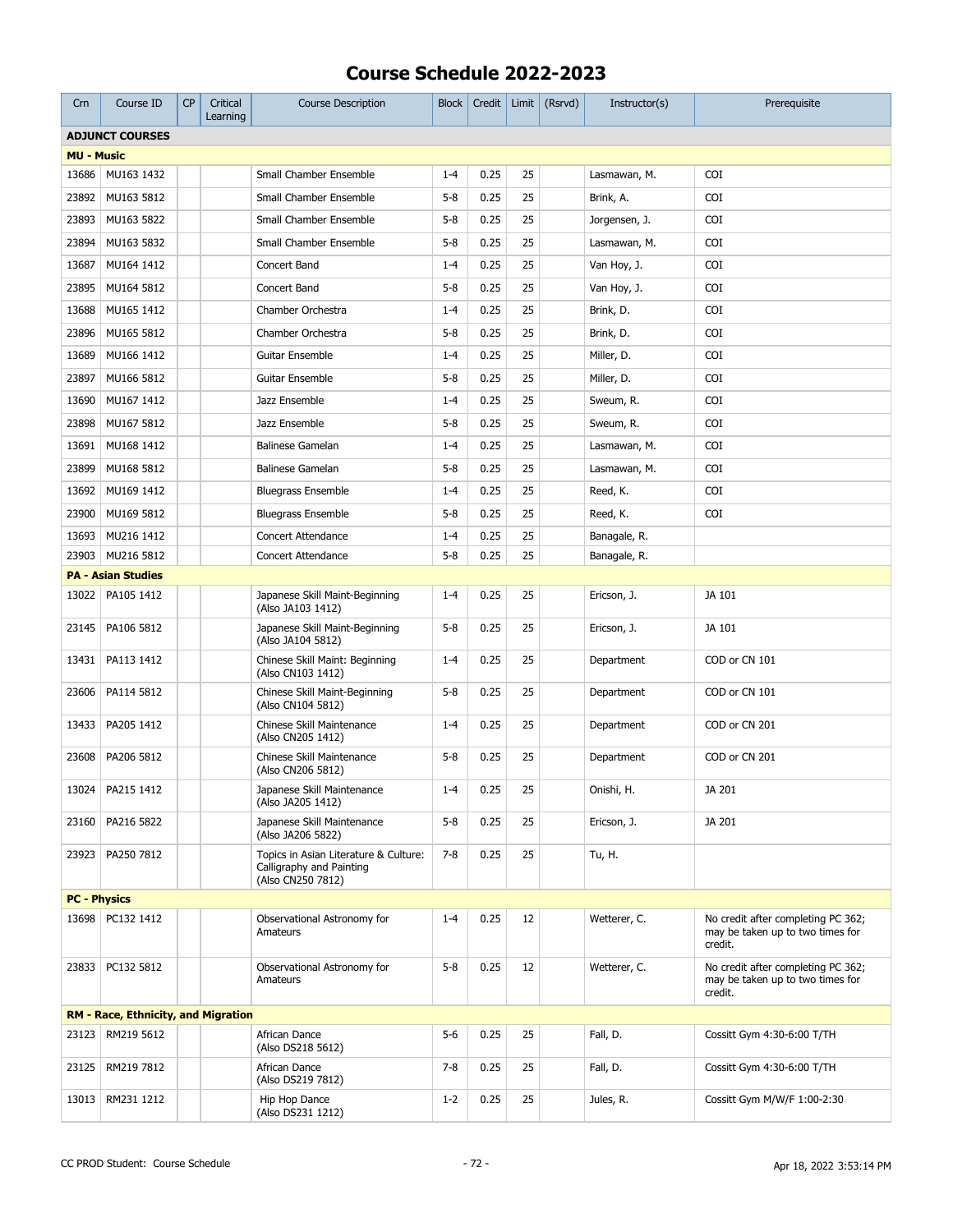| Crn                 | Course ID                                  | <b>CP</b> | Critical<br>Learning | <b>Course Description</b>                                                              | <b>Block</b> | Credit | Limit | (Rsrvd) | Instructor(s) | Prerequisite                                                                      |
|---------------------|--------------------------------------------|-----------|----------------------|----------------------------------------------------------------------------------------|--------------|--------|-------|---------|---------------|-----------------------------------------------------------------------------------|
|                     | <b>ADJUNCT COURSES</b>                     |           |                      |                                                                                        |              |        |       |         |               |                                                                                   |
| <b>MU - Music</b>   |                                            |           |                      |                                                                                        |              |        |       |         |               |                                                                                   |
| 13686               | MU163 1432                                 |           |                      | Small Chamber Ensemble                                                                 | $1 - 4$      | 0.25   | 25    |         | Lasmawan, M.  | <b>COI</b>                                                                        |
| 23892               | MU163 5812                                 |           |                      | Small Chamber Ensemble                                                                 | $5 - 8$      | 0.25   | 25    |         | Brink, A.     | COI                                                                               |
| 23893               | MU163 5822                                 |           |                      | Small Chamber Ensemble                                                                 | $5 - 8$      | 0.25   | 25    |         | Jorgensen, J. | <b>COI</b>                                                                        |
| 23894               | MU163 5832                                 |           |                      | Small Chamber Ensemble                                                                 | $5 - 8$      | 0.25   | 25    |         | Lasmawan, M.  | COI                                                                               |
| 13687               | MU164 1412                                 |           |                      | Concert Band                                                                           | $1 - 4$      | 0.25   | 25    |         | Van Hoy, J.   | COI                                                                               |
| 23895               | MU164 5812                                 |           |                      | Concert Band                                                                           | $5 - 8$      | 0.25   | 25    |         | Van Hoy, J.   | <b>COI</b>                                                                        |
| 13688               | MU165 1412                                 |           |                      | Chamber Orchestra                                                                      | $1 - 4$      | 0.25   | 25    |         | Brink, D.     | <b>COI</b>                                                                        |
| 23896               | MU165 5812                                 |           |                      | Chamber Orchestra                                                                      | $5 - 8$      | 0.25   | 25    |         | Brink, D.     | COI                                                                               |
| 13689               | MU166 1412                                 |           |                      | Guitar Ensemble                                                                        | $1 - 4$      | 0.25   | 25    |         | Miller, D.    | <b>COI</b>                                                                        |
| 23897               | MU166 5812                                 |           |                      | Guitar Ensemble                                                                        | $5 - 8$      | 0.25   | 25    |         | Miller, D.    | <b>COI</b>                                                                        |
| 13690               | MU167 1412                                 |           |                      | Jazz Ensemble                                                                          | $1 - 4$      | 0.25   | 25    |         | Sweum, R.     | COI                                                                               |
| 23898               | MU167 5812                                 |           |                      | Jazz Ensemble                                                                          | $5 - 8$      | 0.25   | 25    |         | Sweum, R.     | <b>COI</b>                                                                        |
| 13691               | MU168 1412                                 |           |                      | <b>Balinese Gamelan</b>                                                                | $1 - 4$      | 0.25   | 25    |         | Lasmawan, M.  | <b>COI</b>                                                                        |
| 23899               | MU168 5812                                 |           |                      | Balinese Gamelan                                                                       | $5 - 8$      | 0.25   | 25    |         | Lasmawan, M.  | COI                                                                               |
| 13692               | MU169 1412                                 |           |                      | <b>Bluegrass Ensemble</b>                                                              | $1 - 4$      | 0.25   | 25    |         | Reed, K.      | <b>COI</b>                                                                        |
| 23900               | MU169 5812                                 |           |                      | <b>Bluegrass Ensemble</b>                                                              | $5 - 8$      | 0.25   | 25    |         | Reed, K.      | COI                                                                               |
| 13693               | MU216 1412                                 |           |                      | <b>Concert Attendance</b>                                                              | $1 - 4$      | 0.25   | 25    |         | Banagale, R.  |                                                                                   |
| 23903               | MU216 5812                                 |           |                      | <b>Concert Attendance</b>                                                              | $5 - 8$      | 0.25   | 25    |         | Banagale, R.  |                                                                                   |
|                     | <b>PA - Asian Studies</b>                  |           |                      |                                                                                        |              |        |       |         |               |                                                                                   |
| 13022               | PA105 1412                                 |           |                      | Japanese Skill Maint-Beginning<br>(Also JA103 1412)                                    | $1 - 4$      | 0.25   | 25    |         | Ericson, J.   | JA 101                                                                            |
| 23145               | PA106 5812                                 |           |                      | Japanese Skill Maint-Beginning<br>(Also JA104 5812)                                    | $5 - 8$      | 0.25   | 25    |         | Ericson, J.   | JA 101                                                                            |
| 13431               | PA113 1412                                 |           |                      | Chinese Skill Maint: Beginning<br>(Also CN103 1412)                                    | $1 - 4$      | 0.25   | 25    |         | Department    | COD or CN 101                                                                     |
| 23606               | PA114 5812                                 |           |                      | Chinese Skill Maint-Beginning<br>(Also CN104 5812)                                     | $5 - 8$      | 0.25   | 25    |         | Department    | COD or CN 101                                                                     |
| 13433               | PA205 1412                                 |           |                      | Chinese Skill Maintenance<br>(Also CN205 1412)                                         | $1 - 4$      | 0.25   | 25    |         | Department    | COD or CN 201                                                                     |
| 23608               | PA206 5812                                 |           |                      | Chinese Skill Maintenance<br>(Also CN206 5812)                                         | $5 - 8$      | 0.25   | 25    |         | Department    | COD or CN 201                                                                     |
|                     | 13024 PA215 1412                           |           |                      | Japanese Skill Maintenance<br>(Also JA205 1412)                                        | $1 - 4$      | 0.25   | 25    |         | Onishi, H.    | JA 201                                                                            |
| 23160               | PA216 5822                                 |           |                      | Japanese Skill Maintenance<br>(Also JA206 5822)                                        | $5 - 8$      | 0.25   | 25    |         | Ericson, J.   | JA 201                                                                            |
| 23923               | PA250 7812                                 |           |                      | Topics in Asian Literature & Culture:<br>Calligraphy and Painting<br>(Also CN250 7812) | $7 - 8$      | 0.25   | 25    |         | Tu, H.        |                                                                                   |
| <b>PC - Physics</b> |                                            |           |                      |                                                                                        |              |        |       |         |               |                                                                                   |
|                     | 13698   PC132 1412                         |           |                      | Observational Astronomy for<br>Amateurs                                                | $1 - 4$      | 0.25   | 12    |         | Wetterer, C.  | No credit after completing PC 362;<br>may be taken up to two times for<br>credit. |
|                     | 23833   PC132 5812                         |           |                      | Observational Astronomy for<br>Amateurs                                                | $5 - 8$      | 0.25   | 12    |         | Wetterer, C.  | No credit after completing PC 362;<br>may be taken up to two times for<br>credit. |
|                     | <b>RM - Race, Ethnicity, and Migration</b> |           |                      |                                                                                        |              |        |       |         |               |                                                                                   |
| 23123               | RM219 5612                                 |           |                      | African Dance<br>(Also DS218 5612)                                                     | $5-6$        | 0.25   | 25    |         | Fall, D.      | Cossitt Gym 4:30-6:00 T/TH                                                        |
| 23125               | RM219 7812                                 |           |                      | African Dance<br>(Also DS219 7812)                                                     | $7 - 8$      | 0.25   | 25    |         | Fall, D.      | Cossitt Gym 4:30-6:00 T/TH                                                        |
| 13013               | RM231 1212                                 |           |                      | Hip Hop Dance<br>(Also DS231 1212)                                                     | $1 - 2$      | 0.25   | 25    |         | Jules, R.     | Cossitt Gym M/W/F 1:00-2:30                                                       |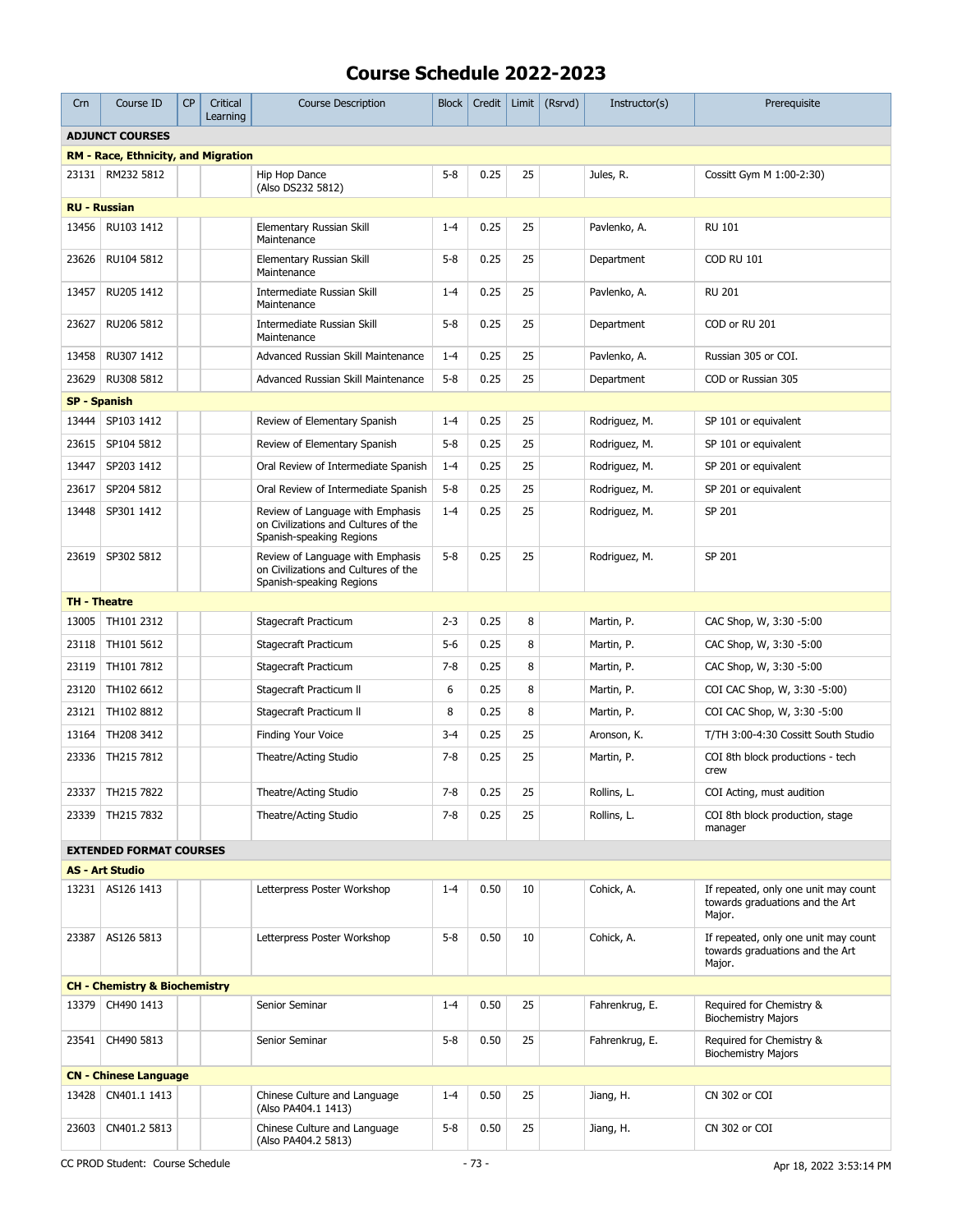| Crn                                        | Course ID                                | <b>CP</b> | Critical<br>Learning | <b>Course Description</b>                                                                            | <b>Block</b> | Credit | Limit $\vert$ | (Rsrvd) | Instructor(s)  | Prerequisite                                                                      |
|--------------------------------------------|------------------------------------------|-----------|----------------------|------------------------------------------------------------------------------------------------------|--------------|--------|---------------|---------|----------------|-----------------------------------------------------------------------------------|
| <b>ADJUNCT COURSES</b>                     |                                          |           |                      |                                                                                                      |              |        |               |         |                |                                                                                   |
| <b>RM - Race, Ethnicity, and Migration</b> |                                          |           |                      |                                                                                                      |              |        |               |         |                |                                                                                   |
|                                            | 23131   RM232 5812                       |           |                      | Hip Hop Dance<br>(Also DS232 5812)                                                                   | $5 - 8$      | 0.25   | 25            |         | Jules, R.      | Cossitt Gym M 1:00-2:30)                                                          |
| <b>RU - Russian</b>                        |                                          |           |                      |                                                                                                      |              |        |               |         |                |                                                                                   |
| 13456                                      | RU103 1412                               |           |                      | Elementary Russian Skill<br>Maintenance                                                              | $1 - 4$      | 0.25   | 25            |         | Pavlenko, A.   | <b>RU 101</b>                                                                     |
| 23626                                      | RU104 5812                               |           |                      | Elementary Russian Skill<br>Maintenance                                                              | $5 - 8$      | 0.25   | 25            |         | Department     | <b>COD RU 101</b>                                                                 |
| 13457                                      | RU205 1412                               |           |                      | Intermediate Russian Skill<br>Maintenance                                                            | $1 - 4$      | 0.25   | 25            |         | Pavlenko, A.   | <b>RU 201</b>                                                                     |
| 23627                                      | RU206 5812                               |           |                      | Intermediate Russian Skill<br>Maintenance                                                            | $5 - 8$      | 0.25   | 25            |         | Department     | COD or RU 201                                                                     |
| 13458                                      | RU307 1412                               |           |                      | Advanced Russian Skill Maintenance                                                                   | $1 - 4$      | 0.25   | 25            |         | Pavlenko, A.   | Russian 305 or COI.                                                               |
| 23629                                      | RU308 5812                               |           |                      | Advanced Russian Skill Maintenance                                                                   | $5 - 8$      | 0.25   | 25            |         | Department     | COD or Russian 305                                                                |
| <b>SP - Spanish</b>                        |                                          |           |                      |                                                                                                      |              |        |               |         |                |                                                                                   |
|                                            | 13444   SP103 1412                       |           |                      | Review of Elementary Spanish                                                                         | $1 - 4$      | 0.25   | 25            |         | Rodriguez, M.  | SP 101 or equivalent                                                              |
| 23615                                      | SP104 5812                               |           |                      | Review of Elementary Spanish                                                                         | $5 - 8$      | 0.25   | 25            |         | Rodriguez, M.  | SP 101 or equivalent                                                              |
| 13447                                      | SP203 1412                               |           |                      | Oral Review of Intermediate Spanish                                                                  | $1 - 4$      | 0.25   | 25            |         | Rodriguez, M.  | SP 201 or equivalent                                                              |
| 23617                                      | SP204 5812                               |           |                      | Oral Review of Intermediate Spanish                                                                  | $5 - 8$      | 0.25   | 25            |         | Rodriguez, M.  | SP 201 or equivalent                                                              |
| 13448                                      | SP301 1412                               |           |                      | Review of Language with Emphasis<br>on Civilizations and Cultures of the<br>Spanish-speaking Regions | $1 - 4$      | 0.25   | 25            |         | Rodriguez, M.  | SP 201                                                                            |
|                                            | 23619   SP302 5812                       |           |                      | Review of Language with Emphasis<br>on Civilizations and Cultures of the<br>Spanish-speaking Regions | $5 - 8$      | 0.25   | 25            |         | Rodriguez, M.  | SP 201                                                                            |
| <b>TH - Theatre</b>                        |                                          |           |                      |                                                                                                      |              |        |               |         |                |                                                                                   |
| 13005                                      | TH101 2312                               |           |                      | Stagecraft Practicum                                                                                 | $2 - 3$      | 0.25   | 8             |         | Martin, P.     | CAC Shop, W, 3:30 -5:00                                                           |
| 23118                                      | TH101 5612                               |           |                      | Stagecraft Practicum                                                                                 | $5 - 6$      | 0.25   | 8             |         | Martin, P.     | CAC Shop, W, 3:30 -5:00                                                           |
| 23119                                      | TH101 7812                               |           |                      | Stagecraft Practicum                                                                                 | $7 - 8$      | 0.25   | 8             |         | Martin, P.     | CAC Shop, W, 3:30 -5:00                                                           |
| 23120                                      | TH102 6612                               |           |                      | Stagecraft Practicum II                                                                              | 6            | 0.25   | 8             |         | Martin, P.     | COI CAC Shop, W, 3:30 -5:00)                                                      |
| 23121                                      | TH102 8812                               |           |                      | Stagecraft Practicum II                                                                              | 8            | 0.25   | 8             |         | Martin, P.     | COI CAC Shop, W, 3:30 -5:00                                                       |
|                                            | 13164 TH208 3412                         |           |                      | Finding Your Voice                                                                                   | $3 - 4$      | 0.25   | 25            |         | Aronson, K.    | T/TH 3:00-4:30 Cossitt South Studio                                               |
| 23336                                      | TH215 7812                               |           |                      | Theatre/Acting Studio                                                                                | $7 - 8$      | 0.25   | 25            |         | Martin, P.     | COI 8th block productions - tech<br>crew                                          |
| 23337                                      | TH215 7822                               |           |                      | Theatre/Acting Studio                                                                                | $7 - 8$      | 0.25   | 25            |         | Rollins, L.    | COI Acting, must audition                                                         |
| 23339                                      | TH215 7832                               |           |                      | Theatre/Acting Studio                                                                                | $7 - 8$      | 0.25   | 25            |         | Rollins, L.    | COI 8th block production, stage<br>manager                                        |
| <b>EXTENDED FORMAT COURSES</b>             |                                          |           |                      |                                                                                                      |              |        |               |         |                |                                                                                   |
|                                            | <b>AS - Art Studio</b>                   |           |                      |                                                                                                      |              |        |               |         |                |                                                                                   |
|                                            | 13231 AS126 1413                         |           |                      | Letterpress Poster Workshop                                                                          | $1 - 4$      | 0.50   | 10            |         | Cohick, A.     | If repeated, only one unit may count<br>towards graduations and the Art<br>Major. |
|                                            | 23387   AS126 5813                       |           |                      | Letterpress Poster Workshop                                                                          | $5 - 8$      | 0.50   | 10            |         | Cohick, A.     | If repeated, only one unit may count<br>towards graduations and the Art<br>Major. |
|                                            | <b>CH - Chemistry &amp; Biochemistry</b> |           |                      |                                                                                                      |              |        |               |         |                |                                                                                   |
| 13379                                      | CH490 1413                               |           |                      | Senior Seminar                                                                                       | $1 - 4$      | 0.50   | 25            |         | Fahrenkrug, E. | Required for Chemistry &<br><b>Biochemistry Majors</b>                            |
|                                            | 23541 CH490 5813                         |           |                      | Senior Seminar                                                                                       | $5 - 8$      | 0.50   | 25            |         | Fahrenkrug, E. | Required for Chemistry &<br><b>Biochemistry Majors</b>                            |
|                                            | <b>CN - Chinese Language</b>             |           |                      |                                                                                                      |              |        |               |         |                |                                                                                   |
| 13428                                      | CN401.1 1413                             |           |                      | Chinese Culture and Language<br>(Also PA404.1 1413)                                                  | $1 - 4$      | 0.50   | 25            |         | Jiang, H.      | CN 302 or COI                                                                     |
| 23603                                      | CN401.2 5813                             |           |                      | Chinese Culture and Language<br>(Also PA404.2 5813)                                                  | $5 - 8$      | 0.50   | 25            |         | Jiang, H.      | CN 302 or COI                                                                     |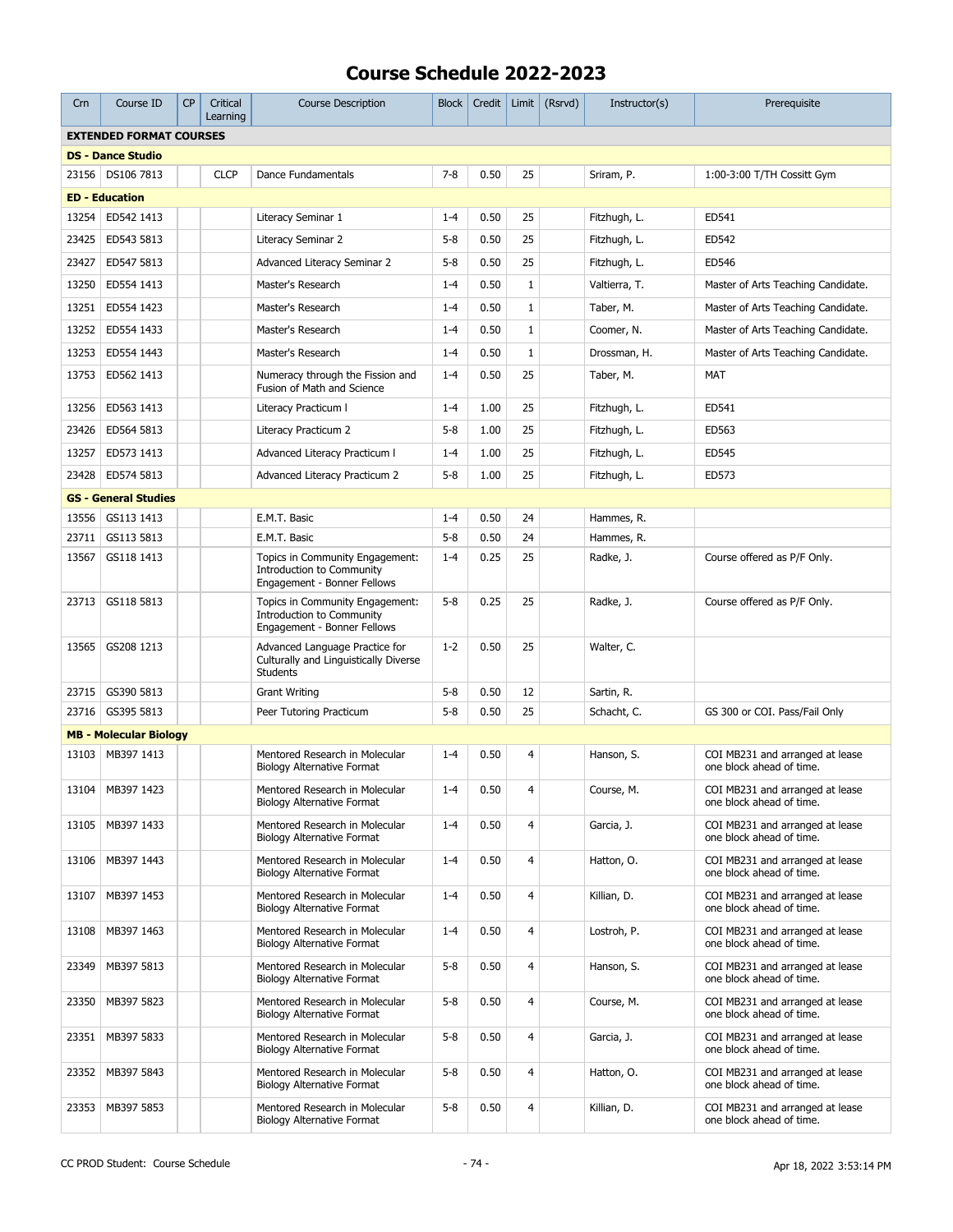| Crn                            | Course ID                     | <b>CP</b> | Critical<br>Learning | <b>Course Description</b>                                                                          | <b>Block</b> | Credit   |                | Limit $(Rsrvd)$ | Instructor(s) | Prerequisite                                                |
|--------------------------------|-------------------------------|-----------|----------------------|----------------------------------------------------------------------------------------------------|--------------|----------|----------------|-----------------|---------------|-------------------------------------------------------------|
| <b>EXTENDED FORMAT COURSES</b> |                               |           |                      |                                                                                                    |              |          |                |                 |               |                                                             |
|                                | <b>DS - Dance Studio</b>      |           |                      |                                                                                                    |              |          |                |                 |               |                                                             |
| 23156                          | DS106 7813                    |           | <b>CLCP</b>          | Dance Fundamentals                                                                                 | $7 - 8$      | 0.50     | 25             |                 | Sriram, P.    | 1:00-3:00 T/TH Cossitt Gym                                  |
|                                | <b>ED - Education</b>         |           |                      |                                                                                                    |              |          |                |                 |               |                                                             |
| 13254                          | ED542 1413                    |           |                      | Literacy Seminar 1                                                                                 | $1 - 4$      | 0.50     | 25             |                 | Fitzhugh, L.  | ED541                                                       |
| 23425                          | ED543 5813                    |           |                      | Literacy Seminar 2                                                                                 | $5 - 8$      | 0.50     | 25             |                 | Fitzhugh, L.  | ED542                                                       |
| 23427                          | ED547 5813                    |           |                      | Advanced Literacy Seminar 2                                                                        | $5 - 8$      | 0.50     | 25             |                 | Fitzhugh, L.  | ED546                                                       |
| 13250                          | ED554 1413                    |           |                      | Master's Research                                                                                  | $1 - 4$      | 0.50     | $\mathbf{1}$   |                 | Valtierra, T. | Master of Arts Teaching Candidate.                          |
| 13251                          | ED554 1423                    |           |                      | Master's Research                                                                                  | $1 - 4$      | 0.50     | 1              |                 | Taber, M.     | Master of Arts Teaching Candidate.                          |
| 13252                          | ED554 1433                    |           |                      | Master's Research                                                                                  | $1 - 4$      | 0.50     | 1              |                 | Coomer, N.    | Master of Arts Teaching Candidate.                          |
| 13253                          | ED554 1443                    |           |                      | Master's Research                                                                                  | $1 - 4$      | 0.50     | $\mathbf{1}$   |                 | Drossman, H.  | Master of Arts Teaching Candidate.                          |
| 13753                          | ED562 1413                    |           |                      | Numeracy through the Fission and<br>Fusion of Math and Science                                     | $1 - 4$      | 0.50     | 25             |                 | Taber, M.     | MAT                                                         |
| 13256                          | ED563 1413                    |           |                      | Literacy Practicum I                                                                               | $1 - 4$      | 1.00     | 25             |                 | Fitzhugh, L.  | ED541                                                       |
| 23426                          | ED564 5813                    |           |                      | Literacy Practicum 2                                                                               | $5 - 8$      | 1.00     | 25             |                 | Fitzhugh, L.  | ED563                                                       |
| 13257                          | ED573 1413                    |           |                      | <b>Advanced Literacy Practicum I</b>                                                               | $1 - 4$      | 1.00     | 25             |                 | Fitzhugh, L.  | ED545                                                       |
| 23428                          | ED574 5813                    |           |                      | Advanced Literacy Practicum 2                                                                      | $5 - 8$      | 1.00     | 25             |                 | Fitzhugh, L.  | ED573                                                       |
|                                | <b>GS - General Studies</b>   |           |                      |                                                                                                    |              |          |                |                 |               |                                                             |
| 13556                          | GS113 1413                    |           |                      | E.M.T. Basic                                                                                       | $1 - 4$      | 0.50     | 24             |                 | Hammes, R.    |                                                             |
| 23711                          | GS113 5813                    |           |                      | E.M.T. Basic                                                                                       | $5 - 8$      | 0.50     | 24             |                 | Hammes, R.    |                                                             |
| 13567                          | GS118 1413                    |           |                      | Topics in Community Engagement:<br><b>Introduction to Community</b><br>Engagement - Bonner Fellows | $1 - 4$      | 0.25     | 25             |                 | Radke, J.     | Course offered as P/F Only.                                 |
| 23713                          | GS118 5813                    |           |                      | Topics in Community Engagement:<br><b>Introduction to Community</b><br>Engagement - Bonner Fellows | $5 - 8$      | 0.25     | 25             |                 | Radke, J.     | Course offered as P/F Only.                                 |
| 13565                          | GS208 1213                    |           |                      | Advanced Language Practice for<br>Culturally and Linguistically Diverse<br><b>Students</b>         | $1 - 2$      | 0.50     | 25             |                 | Walter, C.    |                                                             |
| 23715                          | GS390 5813                    |           |                      | <b>Grant Writing</b>                                                                               | $5 - 8$      | 0.50     | 12             |                 | Sartin, R.    |                                                             |
| 23716                          | GS395 5813                    |           |                      | Peer Tutoring Practicum                                                                            | $5 - 8$      | 0.50     | 25             |                 | Schacht, C.   | GS 300 or COI. Pass/Fail Only                               |
|                                | <b>MB - Molecular Biology</b> |           |                      |                                                                                                    |              |          |                |                 |               |                                                             |
| 13103                          | MB397 1413                    |           |                      | Mentored Research in Molecular<br>Biology Alternative Format                                       | $1 - 4$      | 0.50     | 4              |                 | Hanson, S.    | COI MB231 and arranged at lease<br>one block ahead of time. |
|                                | 13104 MB397 1423              |           |                      | Mentored Research in Molecular<br><b>Biology Alternative Format</b>                                | $1 - 4$      | $0.50\,$ | $\overline{4}$ |                 | Course, M.    | COI MB231 and arranged at lease<br>one block ahead of time. |
| 13105                          | MB397 1433                    |           |                      | Mentored Research in Molecular<br><b>Biology Alternative Format</b>                                | $1 - 4$      | 0.50     | $\overline{4}$ |                 | Garcia, J.    | COI MB231 and arranged at lease<br>one block ahead of time. |
| 13106                          | MB397 1443                    |           |                      | Mentored Research in Molecular<br><b>Biology Alternative Format</b>                                | $1 - 4$      | 0.50     | $\overline{4}$ |                 | Hatton, O.    | COI MB231 and arranged at lease<br>one block ahead of time. |
| 13107                          | MB397 1453                    |           |                      | Mentored Research in Molecular<br><b>Biology Alternative Format</b>                                | $1 - 4$      | 0.50     | $\overline{4}$ |                 | Killian, D.   | COI MB231 and arranged at lease<br>one block ahead of time. |
| 13108                          | MB397 1463                    |           |                      | Mentored Research in Molecular<br><b>Biology Alternative Format</b>                                | $1 - 4$      | 0.50     | $\overline{4}$ |                 | Lostroh, P.   | COI MB231 and arranged at lease<br>one block ahead of time. |
| 23349                          | MB397 5813                    |           |                      | Mentored Research in Molecular<br><b>Biology Alternative Format</b>                                | $5 - 8$      | 0.50     | $\overline{4}$ |                 | Hanson, S.    | COI MB231 and arranged at lease<br>one block ahead of time. |
| 23350                          | MB397 5823                    |           |                      | Mentored Research in Molecular<br><b>Biology Alternative Format</b>                                | $5 - 8$      | 0.50     | $\overline{4}$ |                 | Course, M.    | COI MB231 and arranged at lease<br>one block ahead of time. |
| 23351                          | MB397 5833                    |           |                      | Mentored Research in Molecular<br><b>Biology Alternative Format</b>                                | $5 - 8$      | 0.50     | $\overline{4}$ |                 | Garcia, J.    | COI MB231 and arranged at lease<br>one block ahead of time. |
| 23352                          | MB397 5843                    |           |                      | Mentored Research in Molecular<br><b>Biology Alternative Format</b>                                | $5 - 8$      | 0.50     | $\overline{4}$ |                 | Hatton, O.    | COI MB231 and arranged at lease<br>one block ahead of time. |
| 23353                          | MB397 5853                    |           |                      | Mentored Research in Molecular<br><b>Biology Alternative Format</b>                                | $5 - 8$      | 0.50     | $\overline{4}$ |                 | Killian, D.   | COI MB231 and arranged at lease<br>one block ahead of time. |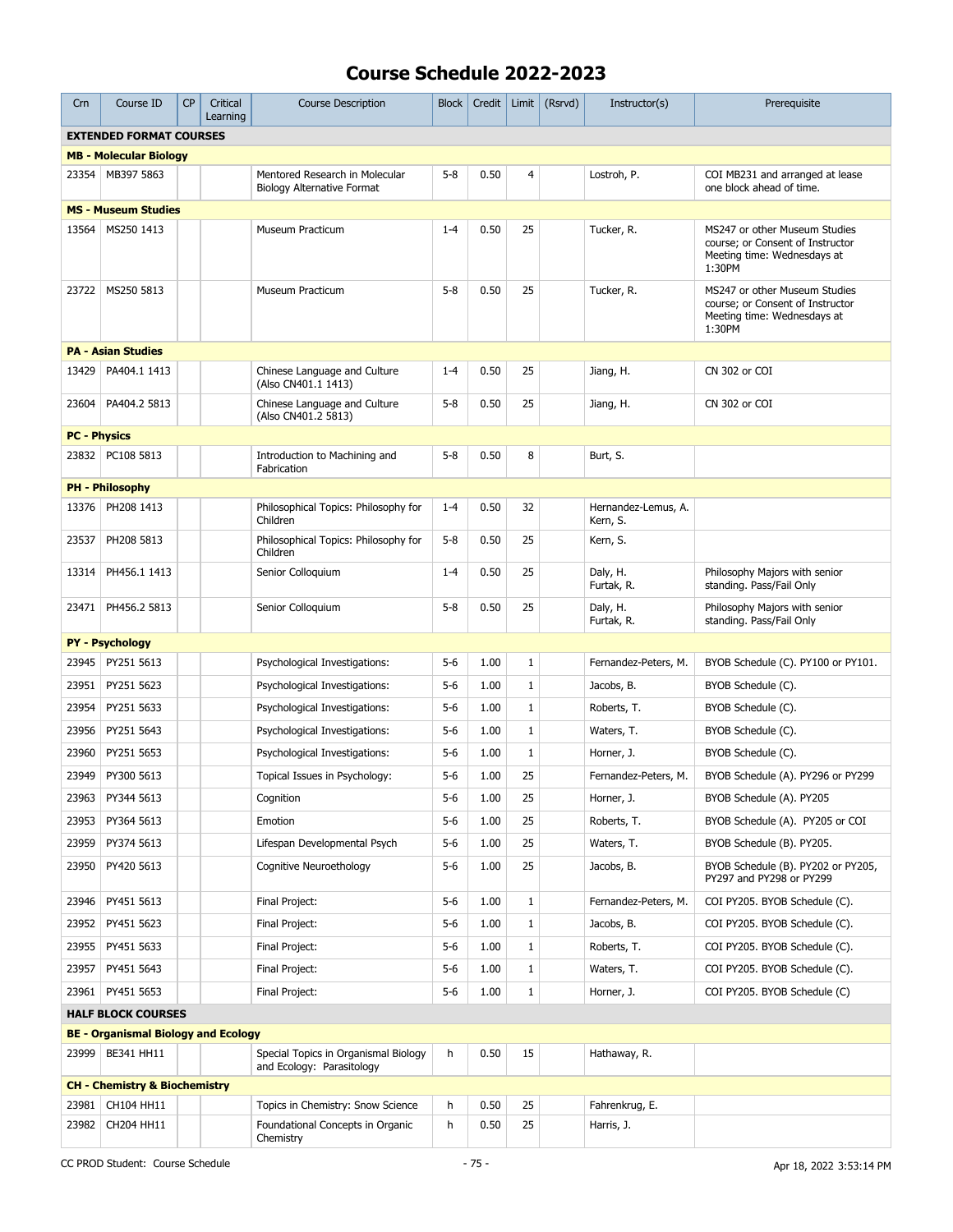| Crn                            | Course ID                                  | <b>CP</b> | Critical<br>Learning | <b>Course Description</b>                                           | <b>Block</b> | Credit | Limit        | (Rsrvd) | Instructor(s)                   | Prerequisite                                                                                               |
|--------------------------------|--------------------------------------------|-----------|----------------------|---------------------------------------------------------------------|--------------|--------|--------------|---------|---------------------------------|------------------------------------------------------------------------------------------------------------|
| <b>EXTENDED FORMAT COURSES</b> |                                            |           |                      |                                                                     |              |        |              |         |                                 |                                                                                                            |
|                                | <b>MB - Molecular Biology</b>              |           |                      |                                                                     |              |        |              |         |                                 |                                                                                                            |
| 23354                          | MB397 5863                                 |           |                      | Mentored Research in Molecular<br><b>Biology Alternative Format</b> | $5 - 8$      | 0.50   | 4            |         | Lostroh, P.                     | COI MB231 and arranged at lease<br>one block ahead of time.                                                |
|                                | <b>MS - Museum Studies</b>                 |           |                      |                                                                     |              |        |              |         |                                 |                                                                                                            |
| 13564                          | MS250 1413                                 |           |                      | Museum Practicum                                                    | $1 - 4$      | 0.50   | 25           |         | Tucker, R.                      | MS247 or other Museum Studies<br>course; or Consent of Instructor<br>Meeting time: Wednesdays at<br>1:30PM |
| 23722                          | MS250 5813                                 |           |                      | Museum Practicum                                                    | $5 - 8$      | 0.50   | 25           |         | Tucker, R.                      | MS247 or other Museum Studies<br>course; or Consent of Instructor<br>Meeting time: Wednesdays at<br>1:30PM |
|                                | <b>PA - Asian Studies</b>                  |           |                      |                                                                     |              |        |              |         |                                 |                                                                                                            |
| 13429                          | PA404.1 1413                               |           |                      | Chinese Language and Culture<br>(Also CN401.1 1413)                 | $1 - 4$      | 0.50   | 25           |         | Jiang, H.                       | CN 302 or COI                                                                                              |
| 23604                          | PA404.2 5813                               |           |                      | Chinese Language and Culture<br>(Also CN401.2 5813)                 | $5 - 8$      | 0.50   | 25           |         | Jiang, H.                       | CN 302 or COI                                                                                              |
| <b>PC - Physics</b>            |                                            |           |                      |                                                                     |              |        |              |         |                                 |                                                                                                            |
| 23832                          | PC108 5813                                 |           |                      | Introduction to Machining and<br>Fabrication                        | $5 - 8$      | 0.50   | 8            |         | Burt, S.                        |                                                                                                            |
|                                | <b>PH - Philosophy</b>                     |           |                      |                                                                     |              |        |              |         |                                 |                                                                                                            |
| 13376                          | PH208 1413                                 |           |                      | Philosophical Topics: Philosophy for<br>Children                    | $1 - 4$      | 0.50   | 32           |         | Hernandez-Lemus, A.<br>Kern, S. |                                                                                                            |
| 23537                          | PH208 5813                                 |           |                      | Philosophical Topics: Philosophy for<br>Children                    | $5 - 8$      | 0.50   | 25           |         | Kern, S.                        |                                                                                                            |
| 13314                          | PH456.1 1413                               |           |                      | Senior Colloquium                                                   | $1 - 4$      | 0.50   | 25           |         | Daly, H.<br>Furtak, R.          | Philosophy Majors with senior<br>standing. Pass/Fail Only                                                  |
| 23471                          | PH456.2 5813                               |           |                      | Senior Colloquium                                                   | $5 - 8$      | 0.50   | 25           |         | Daly, H.<br>Furtak, R.          | Philosophy Majors with senior<br>standing. Pass/Fail Only                                                  |
|                                | <b>PY - Psychology</b>                     |           |                      |                                                                     |              |        |              |         |                                 |                                                                                                            |
| 23945                          | PY251 5613                                 |           |                      | Psychological Investigations:                                       | 5-6          | 1.00   | 1            |         | Fernandez-Peters, M.            | BYOB Schedule (C). PY100 or PY101.                                                                         |
| 23951                          | PY251 5623                                 |           |                      | Psychological Investigations:                                       | $5 - 6$      | 1.00   | $\mathbf 1$  |         | Jacobs, B.                      | BYOB Schedule (C).                                                                                         |
| 23954                          | PY251 5633                                 |           |                      | Psychological Investigations:                                       | 5-6          | 1.00   | $\mathbf{1}$ |         | Roberts, T.                     | BYOB Schedule (C).                                                                                         |
| 23956                          | PY251 5643                                 |           |                      | Psychological Investigations:                                       | 5-6          | 1.00   | $\mathbf{1}$ |         | Waters, T.                      | BYOB Schedule (C).                                                                                         |
| 23960                          | PY251 5653                                 |           |                      | Psychological Investigations:                                       | $5 - 6$      | 1.00   | $\mathbf{1}$ |         | Horner, J.                      | BYOB Schedule (C).                                                                                         |
| 23949                          | PY300 5613                                 |           |                      | Topical Issues in Psychology:                                       | $5 - 6$      | 1.00   | 25           |         | Fernandez-Peters, M.            | BYOB Schedule (A). PY296 or PY299                                                                          |
| 23963                          | PY344 5613                                 |           |                      | Cognition                                                           | 5-6          | 1.00   | 25           |         | Horner, J.                      | BYOB Schedule (A). PY205                                                                                   |
| 23953                          | PY364 5613                                 |           |                      | Emotion                                                             | 5-6          | 1.00   | 25           |         | Roberts, T.                     | BYOB Schedule (A). PY205 or COI                                                                            |
| 23959                          | PY374 5613                                 |           |                      | Lifespan Developmental Psych                                        | 5-6          | 1.00   | 25           |         | Waters, T.                      | BYOB Schedule (B). PY205.                                                                                  |
| 23950                          | PY420 5613                                 |           |                      | Cognitive Neuroethology                                             | 5-6          | 1.00   | 25           |         | Jacobs, B.                      | BYOB Schedule (B). PY202 or PY205,<br>PY297 and PY298 or PY299                                             |
| 23946                          | PY451 5613                                 |           |                      | Final Project:                                                      | $5 - 6$      | 1.00   | $\mathbf{1}$ |         | Fernandez-Peters, M.            | COI PY205. BYOB Schedule (C).                                                                              |
| 23952                          | PY451 5623                                 |           |                      | Final Project:                                                      | 5-6          | 1.00   | $\mathbf 1$  |         | Jacobs, B.                      | COI PY205. BYOB Schedule (C).                                                                              |
| 23955                          | PY451 5633                                 |           |                      | Final Project:                                                      | $5 - 6$      | 1.00   | $\mathbf{1}$ |         | Roberts, T.                     | COI PY205. BYOB Schedule (C).                                                                              |
| 23957                          | PY451 5643                                 |           |                      | Final Project:                                                      | 5-6          | 1.00   | $\mathbf{1}$ |         | Waters, T.                      | COI PY205. BYOB Schedule (C).                                                                              |
|                                | 23961   PY451 5653                         |           |                      | Final Project:                                                      | 5-6          | 1.00   | $\mathbf{1}$ |         | Horner, J.                      | COI PY205. BYOB Schedule (C)                                                                               |
|                                | <b>HALF BLOCK COURSES</b>                  |           |                      |                                                                     |              |        |              |         |                                 |                                                                                                            |
|                                | <b>BE - Organismal Biology and Ecology</b> |           |                      |                                                                     |              |        |              |         |                                 |                                                                                                            |
| 23999                          | BE341 HH11                                 |           |                      | Special Topics in Organismal Biology<br>and Ecology: Parasitology   | h            | 0.50   | 15           |         | Hathaway, R.                    |                                                                                                            |
|                                | <b>CH - Chemistry &amp; Biochemistry</b>   |           |                      |                                                                     |              |        |              |         |                                 |                                                                                                            |
| 23981                          | CH104 HH11                                 |           |                      | Topics in Chemistry: Snow Science                                   | h            | 0.50   | 25           |         | Fahrenkrug, E.                  |                                                                                                            |
| 23982                          | CH204 HH11                                 |           |                      | Foundational Concepts in Organic<br>Chemistry                       | h            | 0.50   | 25           |         | Harris, J.                      |                                                                                                            |